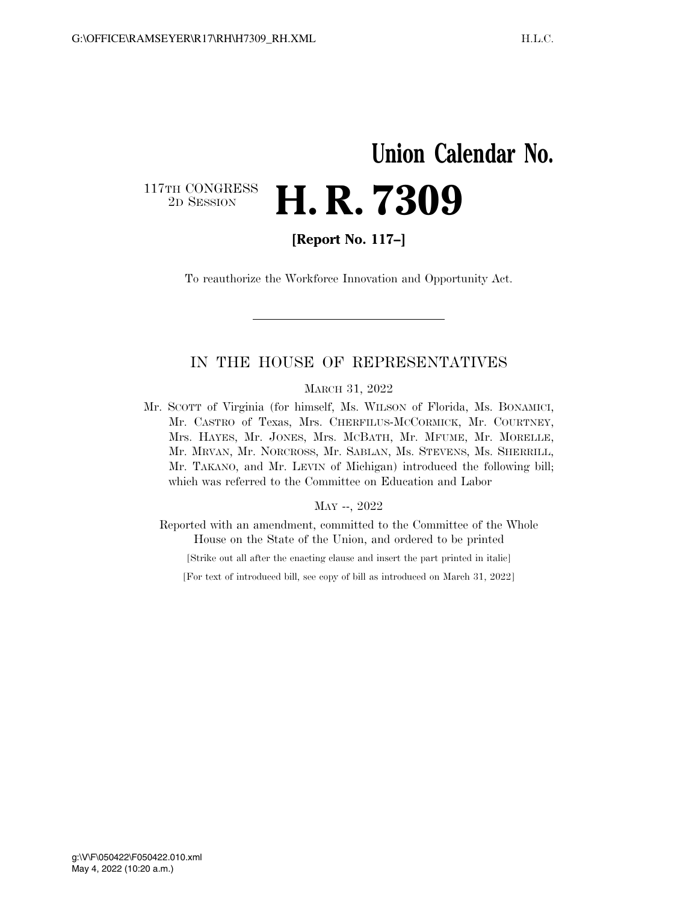## **Union Calendar No.**  117TH CONGRESS<br>2D SESSION 2D SESSION **H. R. 7309**

**[Report No. 117–]** 

To reauthorize the Workforce Innovation and Opportunity Act.

## IN THE HOUSE OF REPRESENTATIVES

MARCH 31, 2022

Mr. SCOTT of Virginia (for himself, Ms. WILSON of Florida, Ms. BONAMICI, Mr. CASTRO of Texas, Mrs. CHERFILUS-MCCORMICK, Mr. COURTNEY, Mrs. HAYES, Mr. JONES, Mrs. MCBATH, Mr. MFUME, Mr. MORELLE, Mr. MRVAN, Mr. NORCROSS, Mr. SABLAN, Ms. STEVENS, Ms. SHERRILL, Mr. TAKANO, and Mr. LEVIN of Michigan) introduced the following bill; which was referred to the Committee on Education and Labor

#### MAY --, 2022

Reported with an amendment, committed to the Committee of the Whole House on the State of the Union, and ordered to be printed

[Strike out all after the enacting clause and insert the part printed in italic]

[For text of introduced bill, see copy of bill as introduced on March 31, 2022]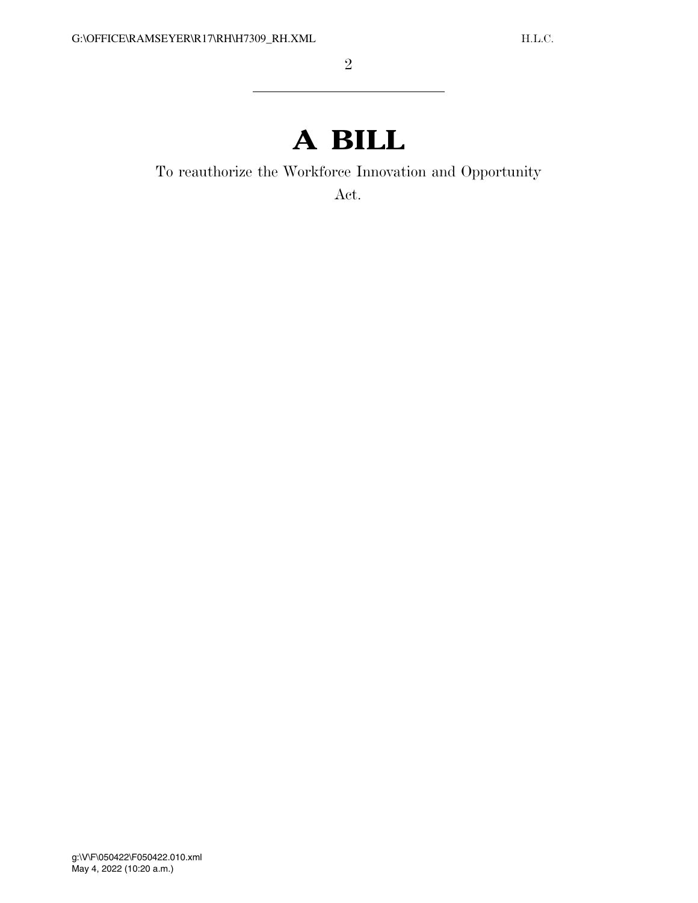# **A BILL**

To reauthorize the Workforce Innovation and Opportunity

Act.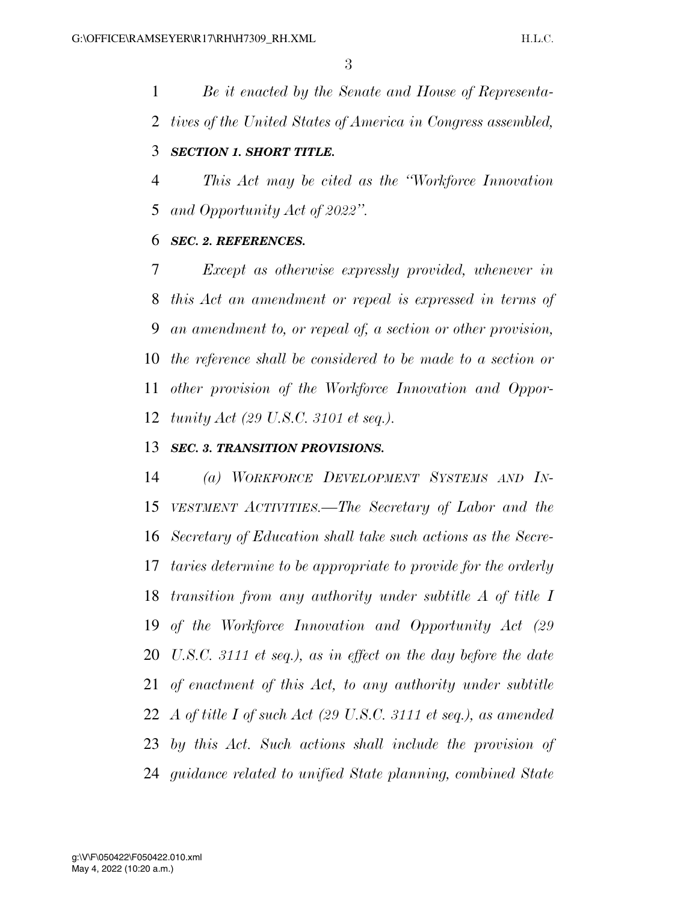*Be it enacted by the Senate and House of Representa-tives of the United States of America in Congress assembled,* 

## *SECTION 1. SHORT TITLE.*

 *This Act may be cited as the ''Workforce Innovation and Opportunity Act of 2022''.* 

## *SEC. 2. REFERENCES.*

 *Except as otherwise expressly provided, whenever in this Act an amendment or repeal is expressed in terms of an amendment to, or repeal of, a section or other provision, the reference shall be considered to be made to a section or other provision of the Workforce Innovation and Oppor-tunity Act (29 U.S.C. 3101 et seq.).* 

## *SEC. 3. TRANSITION PROVISIONS.*

 *(a) WORKFORCE DEVELOPMENT SYSTEMS AND IN- VESTMENT ACTIVITIES.—The Secretary of Labor and the Secretary of Education shall take such actions as the Secre- taries determine to be appropriate to provide for the orderly transition from any authority under subtitle A of title I of the Workforce Innovation and Opportunity Act (29 U.S.C. 3111 et seq.), as in effect on the day before the date of enactment of this Act, to any authority under subtitle A of title I of such Act (29 U.S.C. 3111 et seq.), as amended by this Act. Such actions shall include the provision of guidance related to unified State planning, combined State*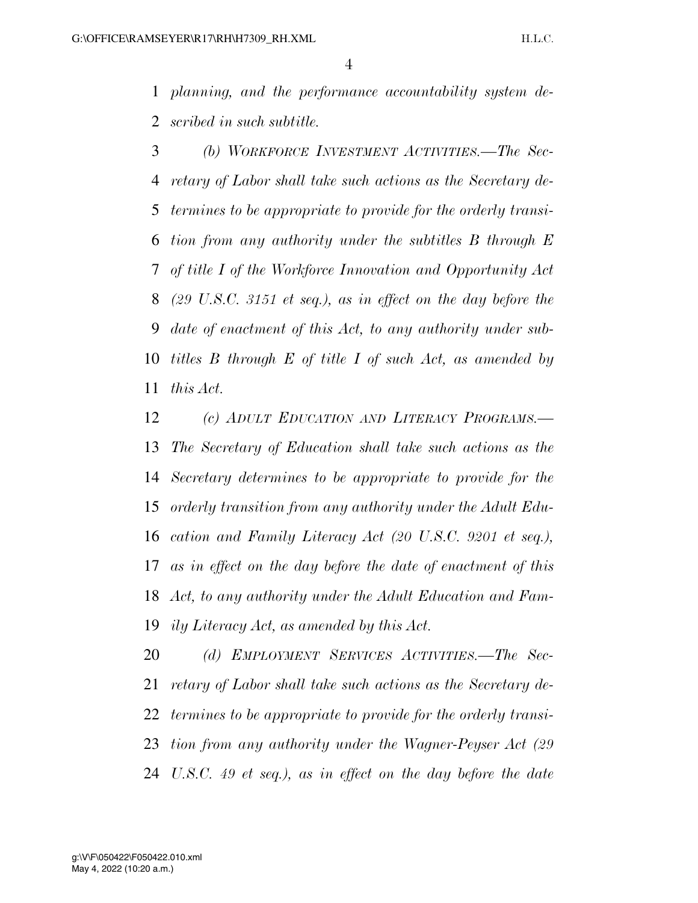*planning, and the performance accountability system de-scribed in such subtitle.* 

 *(b) WORKFORCE INVESTMENT ACTIVITIES.—The Sec- retary of Labor shall take such actions as the Secretary de- termines to be appropriate to provide for the orderly transi- tion from any authority under the subtitles B through E of title I of the Workforce Innovation and Opportunity Act (29 U.S.C. 3151 et seq.), as in effect on the day before the date of enactment of this Act, to any authority under sub- titles B through E of title I of such Act, as amended by this Act.* 

 *(c) ADULT EDUCATION AND LITERACY PROGRAMS.— The Secretary of Education shall take such actions as the Secretary determines to be appropriate to provide for the orderly transition from any authority under the Adult Edu- cation and Family Literacy Act (20 U.S.C. 9201 et seq.), as in effect on the day before the date of enactment of this Act, to any authority under the Adult Education and Fam-ily Literacy Act, as amended by this Act.* 

 *(d) EMPLOYMENT SERVICES ACTIVITIES.—The Sec- retary of Labor shall take such actions as the Secretary de- termines to be appropriate to provide for the orderly transi- tion from any authority under the Wagner-Peyser Act (29 U.S.C. 49 et seq.), as in effect on the day before the date*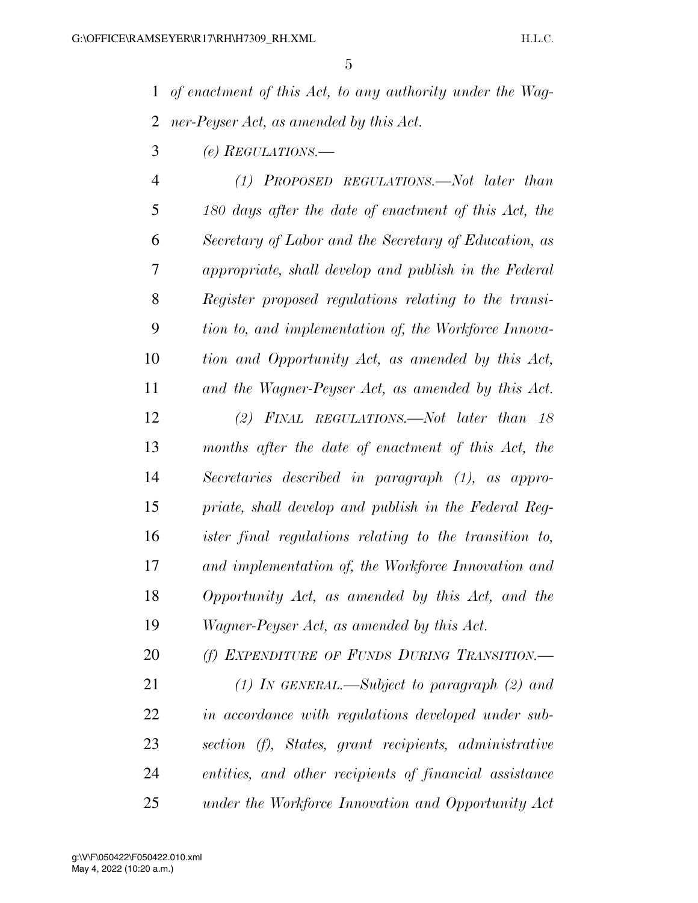*of enactment of this Act, to any authority under the Wag-ner-Peyser Act, as amended by this Act.* 

*(e) REGULATIONS.—* 

 *(1) PROPOSED REGULATIONS.—Not later than 180 days after the date of enactment of this Act, the Secretary of Labor and the Secretary of Education, as appropriate, shall develop and publish in the Federal Register proposed regulations relating to the transi- tion to, and implementation of, the Workforce Innova- tion and Opportunity Act, as amended by this Act, and the Wagner-Peyser Act, as amended by this Act. (2) FINAL REGULATIONS.—Not later than 18 months after the date of enactment of this Act, the Secretaries described in paragraph (1), as appro- priate, shall develop and publish in the Federal Reg- ister final regulations relating to the transition to, and implementation of, the Workforce Innovation and Opportunity Act, as amended by this Act, and the Wagner-Peyser Act, as amended by this Act.* 

 *(f) EXPENDITURE OF FUNDS DURING TRANSITION.— (1) IN GENERAL.—Subject to paragraph (2) and in accordance with regulations developed under sub- section (f), States, grant recipients, administrative entities, and other recipients of financial assistance under the Workforce Innovation and Opportunity Act*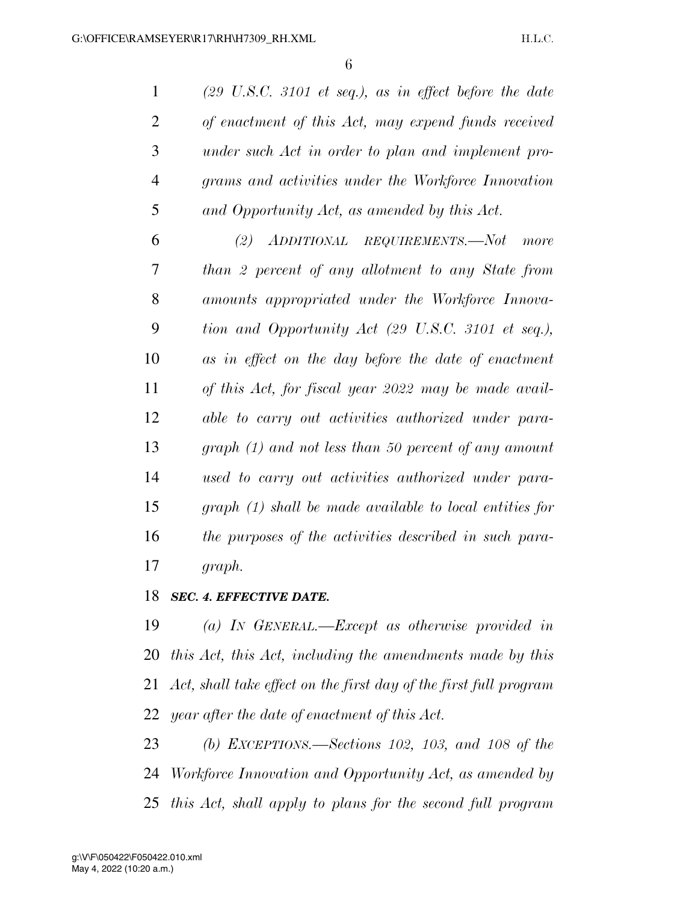*(29 U.S.C. 3101 et seq.), as in effect before the date of enactment of this Act, may expend funds received under such Act in order to plan and implement pro- grams and activities under the Workforce Innovation and Opportunity Act, as amended by this Act.* 

 *(2) ADDITIONAL REQUIREMENTS.—Not more than 2 percent of any allotment to any State from amounts appropriated under the Workforce Innova- tion and Opportunity Act (29 U.S.C. 3101 et seq.), as in effect on the day before the date of enactment of this Act, for fiscal year 2022 may be made avail- able to carry out activities authorized under para- graph (1) and not less than 50 percent of any amount used to carry out activities authorized under para- graph (1) shall be made available to local entities for the purposes of the activities described in such para-graph.* 

*SEC. 4. EFFECTIVE DATE.* 

 *(a) IN GENERAL.—Except as otherwise provided in this Act, this Act, including the amendments made by this Act, shall take effect on the first day of the first full program year after the date of enactment of this Act.* 

 *(b) EXCEPTIONS.—Sections 102, 103, and 108 of the Workforce Innovation and Opportunity Act, as amended by this Act, shall apply to plans for the second full program*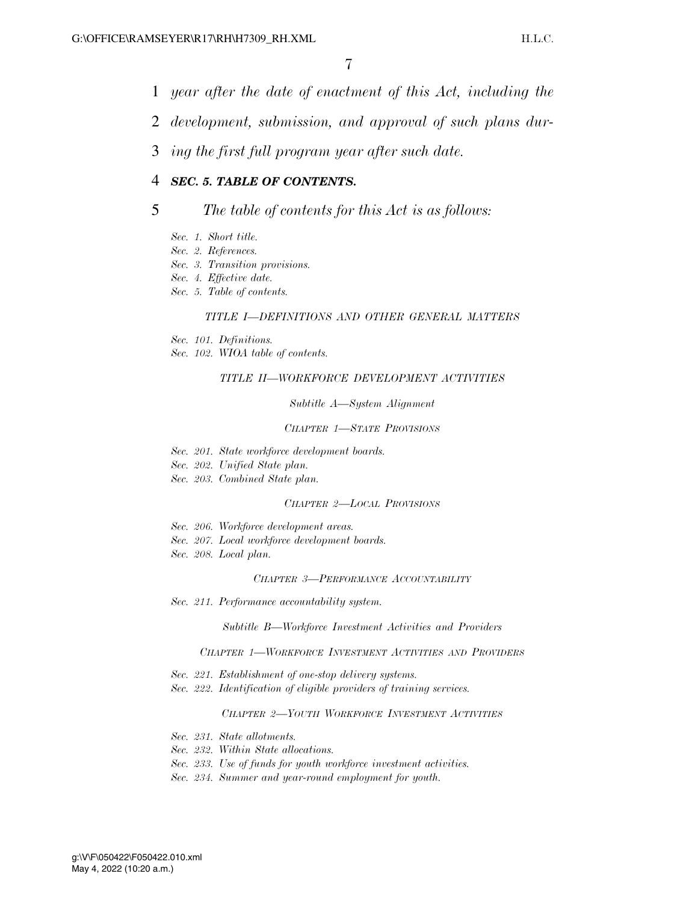- 1 *year after the date of enactment of this Act, including the*
- 2 *development, submission, and approval of such plans dur-*
- 3 *ing the first full program year after such date.*

## 4 *SEC. 5. TABLE OF CONTENTS.*

### 5 *The table of contents for this Act is as follows:*

- *Sec. 1. Short title.*
- *Sec. 2. References.*
- *Sec. 3. Transition provisions.*
- *Sec. 4. Effective date.*
- *Sec. 5. Table of contents.*

#### *TITLE I—DEFINITIONS AND OTHER GENERAL MATTERS*

- *Sec. 101. Definitions.*
- *Sec. 102. WIOA table of contents.*

#### *TITLE II—WORKFORCE DEVELOPMENT ACTIVITIES*

#### *Subtitle A—System Alignment*

#### *CHAPTER 1—STATE PROVISIONS*

- *Sec. 201. State workforce development boards.*
- *Sec. 202. Unified State plan.*
- *Sec. 203. Combined State plan.*

#### *CHAPTER 2—LOCAL PROVISIONS*

- *Sec. 206. Workforce development areas.*
- *Sec. 207. Local workforce development boards.*
- *Sec. 208. Local plan.*

#### *CHAPTER 3—PERFORMANCE ACCOUNTABILITY*

*Sec. 211. Performance accountability system.* 

*Subtitle B—Workforce Investment Activities and Providers* 

#### *CHAPTER 1—WORKFORCE INVESTMENT ACTIVITIES AND PROVIDERS*

- *Sec. 221. Establishment of one-stop delivery systems.*
- *Sec. 222. Identification of eligible providers of training services.*

#### *CHAPTER 2—YOUTH WORKFORCE INVESTMENT ACTIVITIES*

- *Sec. 231. State allotments.*
- *Sec. 232. Within State allocations.*
- *Sec. 233. Use of funds for youth workforce investment activities.*
- *Sec. 234. Summer and year-round employment for youth.*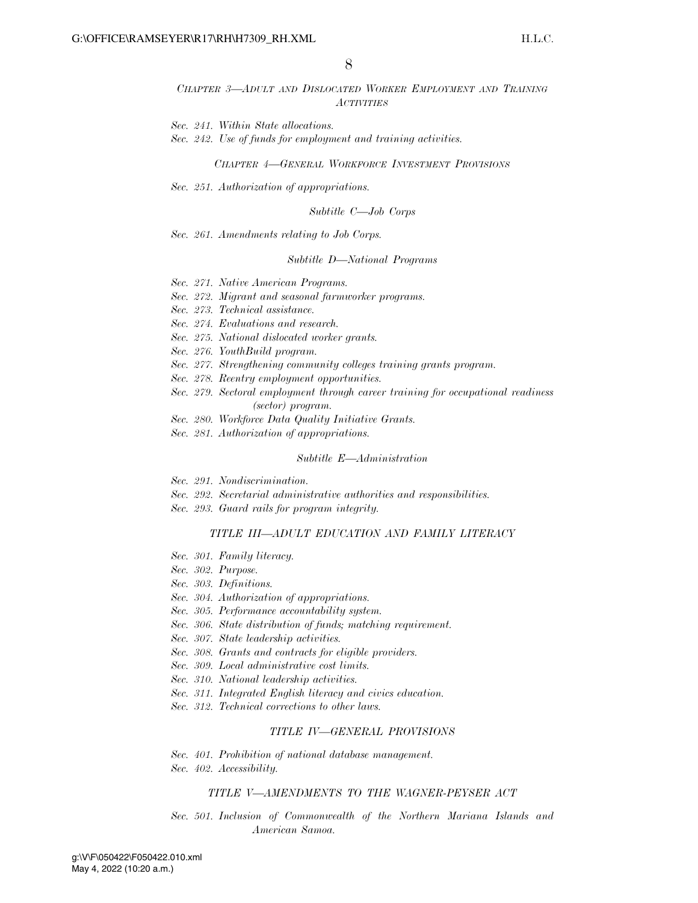#### *CHAPTER 3—ADULT AND DISLOCATED WORKER EMPLOYMENT AND TRAINING ACTIVITIES*

*Sec. 241. Within State allocations.* 

*Sec. 242. Use of funds for employment and training activities.* 

*CHAPTER 4—GENERAL WORKFORCE INVESTMENT PROVISIONS*

*Sec. 251. Authorization of appropriations.* 

#### *Subtitle C—Job Corps*

*Sec. 261. Amendments relating to Job Corps.* 

#### *Subtitle D—National Programs*

- *Sec. 271. Native American Programs.*
- *Sec. 272. Migrant and seasonal farmworker programs.*
- *Sec. 273. Technical assistance.*
- *Sec. 274. Evaluations and research.*
- *Sec. 275. National dislocated worker grants.*
- *Sec. 276. YouthBuild program.*
- *Sec. 277. Strengthening community colleges training grants program.*
- *Sec. 278. Reentry employment opportunities.*
- *Sec. 279. Sectoral employment through career training for occupational readiness (sector) program.*
- *Sec. 280. Workforce Data Quality Initiative Grants.*
- *Sec. 281. Authorization of appropriations.*

#### *Subtitle E—Administration*

- *Sec. 291. Nondiscrimination.*
- *Sec. 292. Secretarial administrative authorities and responsibilities.*
- *Sec. 293. Guard rails for program integrity.*

#### *TITLE III—ADULT EDUCATION AND FAMILY LITERACY*

- *Sec. 301. Family literacy.*
- *Sec. 302. Purpose.*
- *Sec. 303. Definitions.*
- *Sec. 304. Authorization of appropriations.*
- *Sec. 305. Performance accountability system.*
- *Sec. 306. State distribution of funds; matching requirement.*
- *Sec. 307. State leadership activities.*
- *Sec. 308. Grants and contracts for eligible providers.*
- *Sec. 309. Local administrative cost limits.*
- *Sec. 310. National leadership activities.*
- *Sec. 311. Integrated English literacy and civics education.*
- *Sec. 312. Technical corrections to other laws.*

#### *TITLE IV—GENERAL PROVISIONS*

- *Sec. 401. Prohibition of national database management.*
- *Sec. 402. Accessibility.*

#### *TITLE V—AMENDMENTS TO THE WAGNER-PEYSER ACT*

*Sec. 501. Inclusion of Commonwealth of the Northern Mariana Islands and American Samoa.*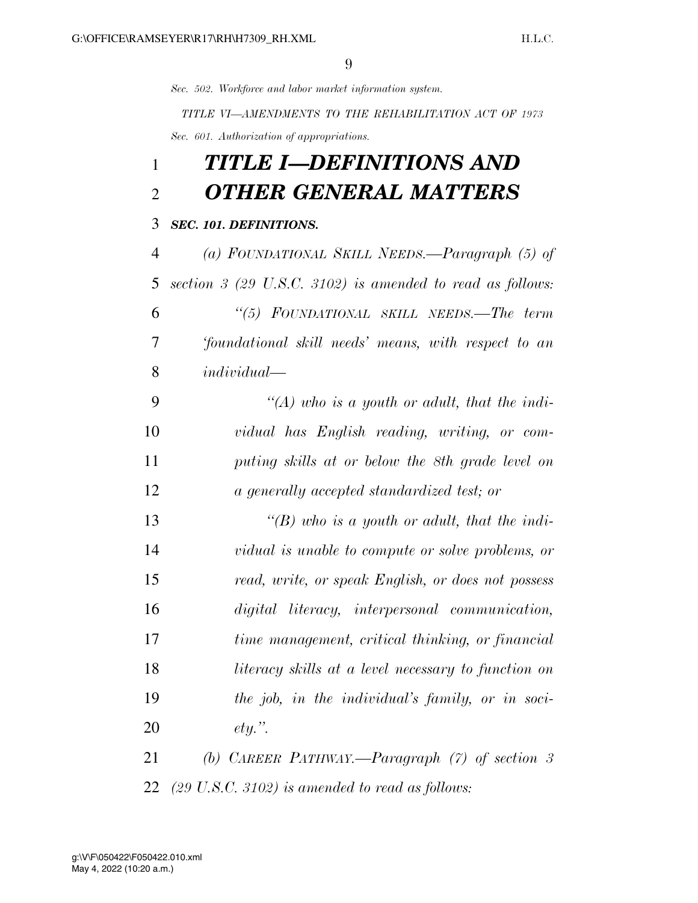*Sec. 502. Workforce and labor market information system.* 

*TITLE VI—AMENDMENTS TO THE REHABILITATION ACT OF 1973 Sec. 601. Authorization of appropriations.* 

## *TITLE I—DEFINITIONS AND OTHER GENERAL MATTERS*

## *SEC. 101. DEFINITIONS.*

 *(a) FOUNDATIONAL SKILL NEEDS.—Paragraph (5) of section 3 (29 U.S.C. 3102) is amended to read as follows: ''(5) FOUNDATIONAL SKILL NEEDS.—The term 'foundational skill needs' means, with respect to an individual—* 

 *''(A) who is a youth or adult, that the indi- vidual has English reading, writing, or com- puting skills at or below the 8th grade level on a generally accepted standardized test; or* 

 *''(B) who is a youth or adult, that the indi- vidual is unable to compute or solve problems, or read, write, or speak English, or does not possess digital literacy, interpersonal communication, time management, critical thinking, or financial literacy skills at a level necessary to function on the job, in the individual's family, or in soci-ety.''.* 

 *(b) CAREER PATHWAY.—Paragraph (7) of section 3 (29 U.S.C. 3102) is amended to read as follows:*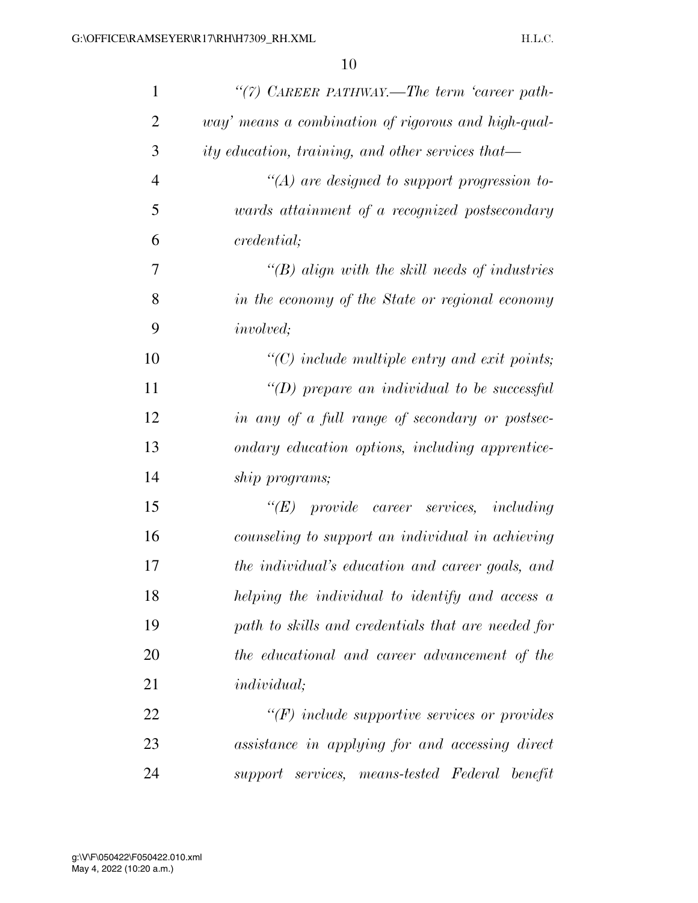| $\mathbf{1}$   | "(7) CAREER PATHWAY.—The term 'career path-         |
|----------------|-----------------------------------------------------|
| $\overline{2}$ | way' means a combination of rigorous and high-qual- |
| 3              | ity education, training, and other services that—   |
| $\overline{4}$ | $\lq (A)$ are designed to support progression to-   |
| 5              | wards attainment of a recognized postsecondary      |
| 6              | <i>credential</i> ;                                 |
| 7              | $\lq\lq B$ align with the skill needs of industries |
| 8              | in the economy of the State or regional economy     |
| 9              | <i>involved</i> ;                                   |
| 10             | $\lq\lq$ include multiple entry and exit points;    |
| 11             | "(D) prepare an individual to be successful         |
| 12             | in any of a full range of secondary or postsec-     |
| 13             | ondary education options, including apprentice-     |
| 14             | ship programs;                                      |
| 15             | $\lq\lq (E)$ provide career services, including     |
| 16             | counseling to support an individual in achieving    |
| 17             | the individual's education and career goals, and    |
| 18             | helping the individual to identify and access a     |
| 19             | path to skills and credentials that are needed for  |
| 20             | the educational and career advancement of the       |
| 21             | <i>individual</i> ;                                 |
| 22             | $\lq\lq(F)$ include supportive services or provides |
| 23             | assistance in applying for and accessing direct     |
| 24             | support services, means-tested Federal benefit      |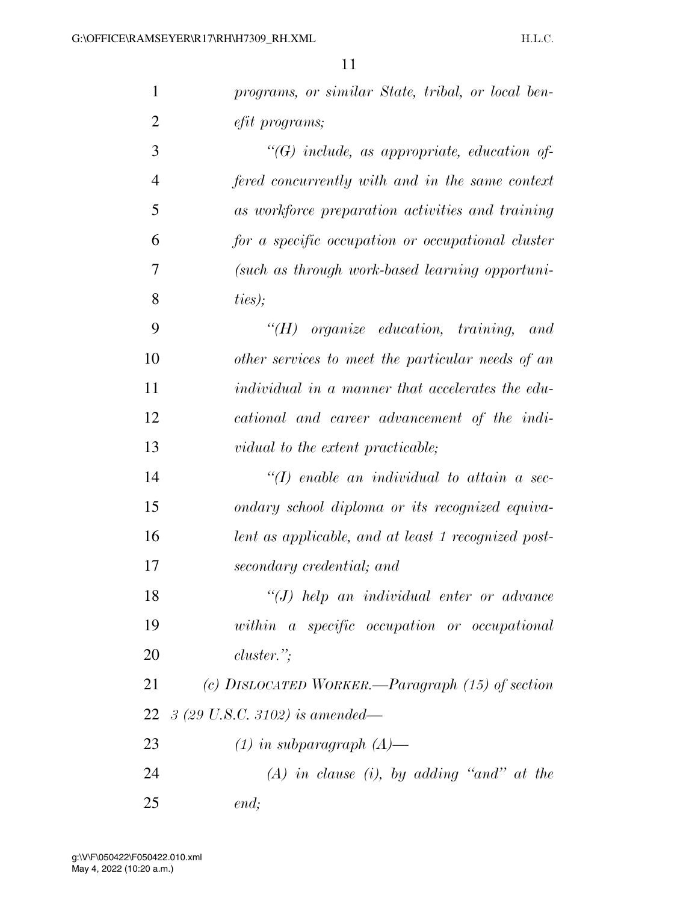| $\mathbf{1}$   | programs, or similar State, tribal, or local ben-       |
|----------------|---------------------------------------------------------|
| $\overline{2}$ | efit programs;                                          |
| 3              | $\lq\lq G$ include, as appropriate, education of-       |
| $\overline{4}$ | fered concurrently with and in the same context         |
| 5              | as workforce preparation activities and training        |
| 6              | for a specific occupation or occupational cluster       |
| 7              | (such as through work-based learning opportuni-         |
| 8              | ties);                                                  |
| 9              | $H$ organize education, training, and                   |
| 10             | other services to meet the particular needs of an       |
| 11             | <i>individual in a manner that accelerates the edu-</i> |
| 12             | cational and career advancement of the indi-            |
| 13             | vidual to the extent practicable;                       |
| 14             | $\lq (I)$ enable an individual to attain a sec-         |
| 15             | ondary school diploma or its recognized equiva-         |
| 16             | lent as applicable, and at least 1 recognized post-     |
| 17             | secondary credential; and                               |
| 18             | $\lq (J)$ help an individual enter or advance           |
| 19             | within a specific occupation or occupational            |
| 20             | $cluster.$ ";                                           |
| 21             | (c) DISLOCATED WORKER.—Paragraph $(15)$ of section      |
|                | 22 $\beta$ (29 U.S.C. 3102) is amended—                 |
| 23             | $(1)$ in subparagraph $(A)$ —                           |
| 24             | $(A)$ in clause (i), by adding "and" at the             |
| 25             | end;                                                    |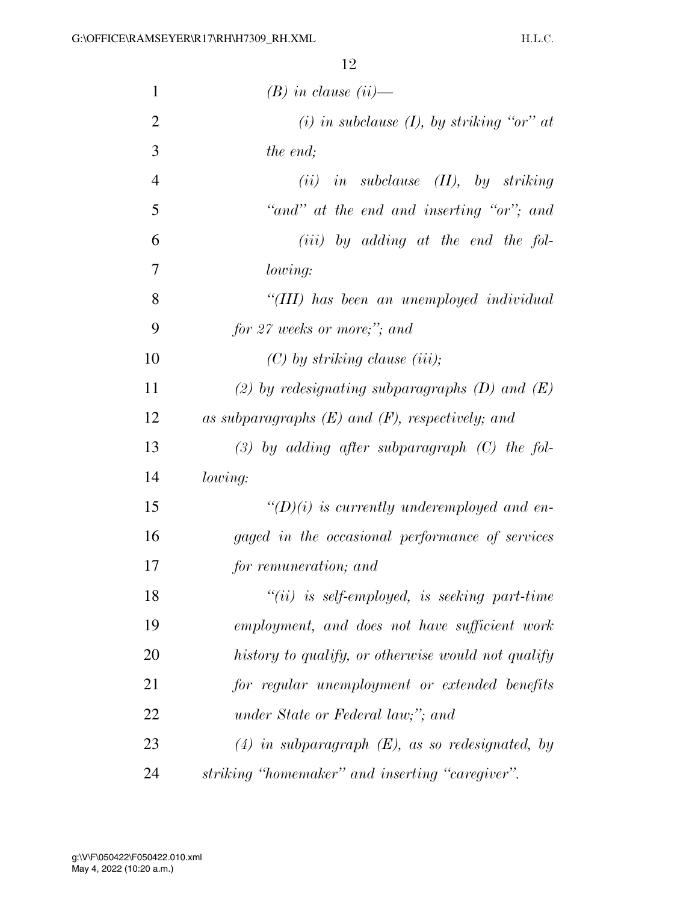| $\mathbf{1}$   | $(B)$ in clause $(ii)$ —                             |
|----------------|------------------------------------------------------|
| $\overline{2}$ | (i) in subclause (I), by striking "or" at            |
| 3              | the end;                                             |
| $\overline{4}$ | $(ii)$ in subclause $(II)$ , by striking             |
| 5              | "and" at the end and inserting "or"; and             |
| 6              | $(iii)$ by adding at the end the fol-                |
| 7              | lowing:                                              |
| 8              | "(III) has been an unemployed individual             |
| 9              | for 27 weeks or more;"; and                          |
| 10             | $(C)$ by striking clause (iii);                      |
| 11             | (2) by redesignating subparagraphs $(D)$ and $(E)$   |
| 12             | as subparagraphs $(E)$ and $(F)$ , respectively; and |
| 13             | $(3)$ by adding after subparagraph $(C)$ the fol-    |
| 14             | lowing:                                              |
| 15             | $\lq (D)(i)$ is currently underemployed and en-      |
| 16             | gaged in the occasional performance of services      |
| 17             | for remuneration; and                                |
| 18             | $"(ii)$ is self-employed, is seeking part-time       |
| 19             | employment, and does not have sufficient work        |
| 20             | history to qualify, or otherwise would not qualify   |
| 21             | for regular unemployment or extended benefits        |
| 22             | under State or Federal law;"; and                    |
| 23             | $(4)$ in subparagraph $(E)$ , as so redesignated, by |
| 24             | striking "homemaker" and inserting "caregiver".      |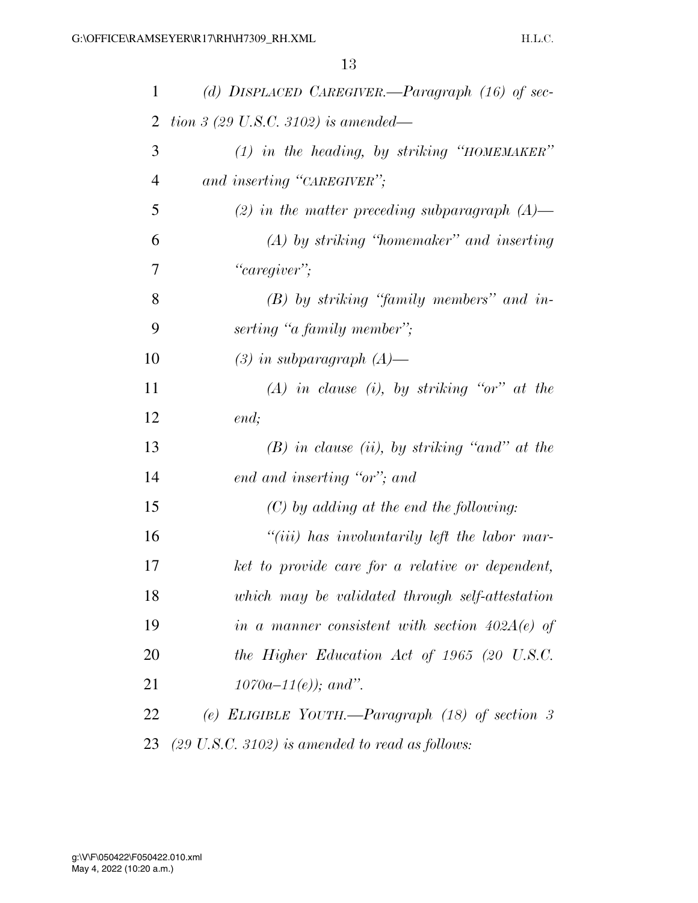| 1              | (d) DISPLACED CAREGIVER.—Paragraph $(16)$ of sec-          |
|----------------|------------------------------------------------------------|
| 2              | tion 3 (29 U.S.C. 3102) is amended—                        |
| 3              | $(1)$ in the heading, by striking "HOMEMAKER"              |
| $\overline{4}$ | and inserting "CAREGIVER";                                 |
| 5              | (2) in the matter preceding subparagraph $(A)$ —           |
| 6              | $(A)$ by striking "homemaker" and inserting                |
| 7              | "caregiver";                                               |
| 8              | $(B)$ by striking "family members" and in-                 |
| 9              | serting "a family member";                                 |
| 10             | $(3)$ in subparagraph $(A)$ —                              |
| 11             | $(A)$ in clause (i), by striking "or" at the               |
| 12             | end;                                                       |
| 13             | $(B)$ in clause (ii), by striking "and" at the             |
| 14             | end and inserting "or"; and                                |
| 15             | $(C)$ by adding at the end the following:                  |
| 16             | "(iii) has involuntarily left the labor mar-               |
| 17             | ket to provide care for a relative or dependent,           |
| 18             | which may be validated through self-attestation            |
| 19             | in a manner consistent with section $402A(e)$ of           |
| 20             | the Higher Education Act of 1965 (20 U.S.C.                |
| 21             | $1070a - 11(e)$ ; and".                                    |
| 22             | (e) ELIGIBLE YOUTH.—Paragraph $(18)$ of section 3          |
| 23             | $(29 \text{ U.S.C. } 3102)$ is amended to read as follows: |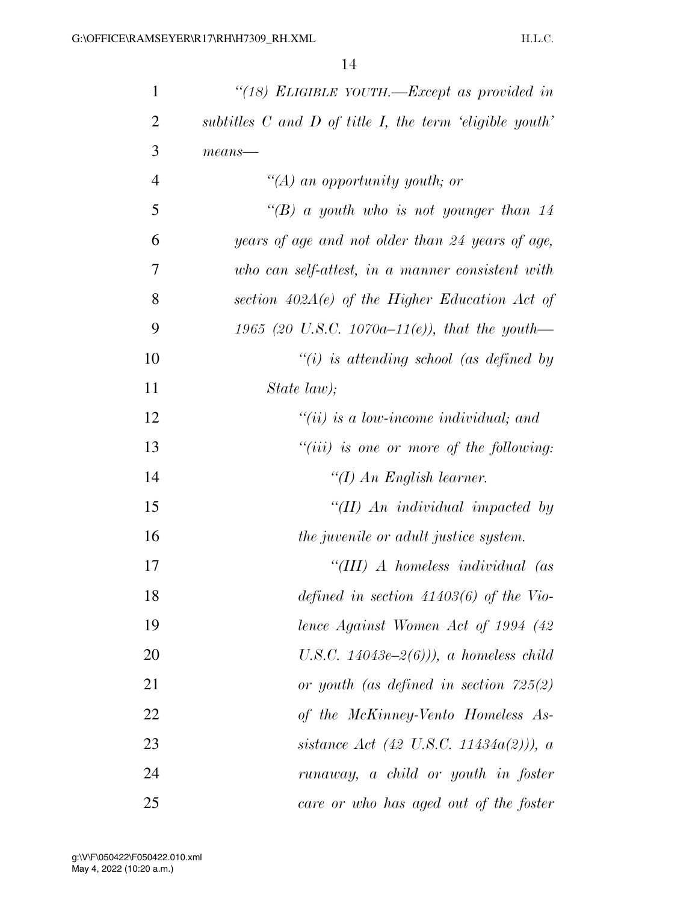| $\mathbf{1}$   | "(18) ELIGIBLE YOUTH.—Except as provided in                    |
|----------------|----------------------------------------------------------------|
| $\overline{2}$ | subtitles $C$ and $D$ of title $I$ , the term 'eligible youth' |
| 3              | $means$ —                                                      |
| $\overline{4}$ | "(A) an opportunity youth; or                                  |
| 5              | "(B) a youth who is not younger than 14                        |
| 6              | years of age and not older than 24 years of age,               |
| 7              | who can self-attest, in a manner consistent with               |
| 8              | section $402A(e)$ of the Higher Education Act of               |
| 9              | 1965 (20 U.S.C. 1070a–11(e)), that the youth—                  |
| 10             | $``(i)$ is attending school (as defined by                     |
| 11             | State law);                                                    |
| 12             | $``(ii)$ is a low-income individual; and                       |
| 13             | $``(iii)$ is one or more of the following:                     |
| 14             | "(I) An English learner.                                       |
| 15             | "(II) An individual impacted by                                |
| 16             | the juvenile or adult justice system.                          |
| 17             | "( $III$ ) A homeless individual (as                           |
| 18             | defined in section $41403(6)$ of the Vio-                      |
| 19             | lence Against Women Act of 1994 (42)                           |
| 20             | U.S.C. 14043e-2 $(6)$ ), a homeless child                      |
| 21             | or youth (as defined in section $725(2)$ )                     |
| 22             | of the McKinney-Vento Homeless As-                             |
| 23             | sistance Act (42 U.S.C. 11434 $a(2)$ )), a                     |
| 24             | runaway, a child or youth in foster                            |
| 25             | care or who has aged out of the foster                         |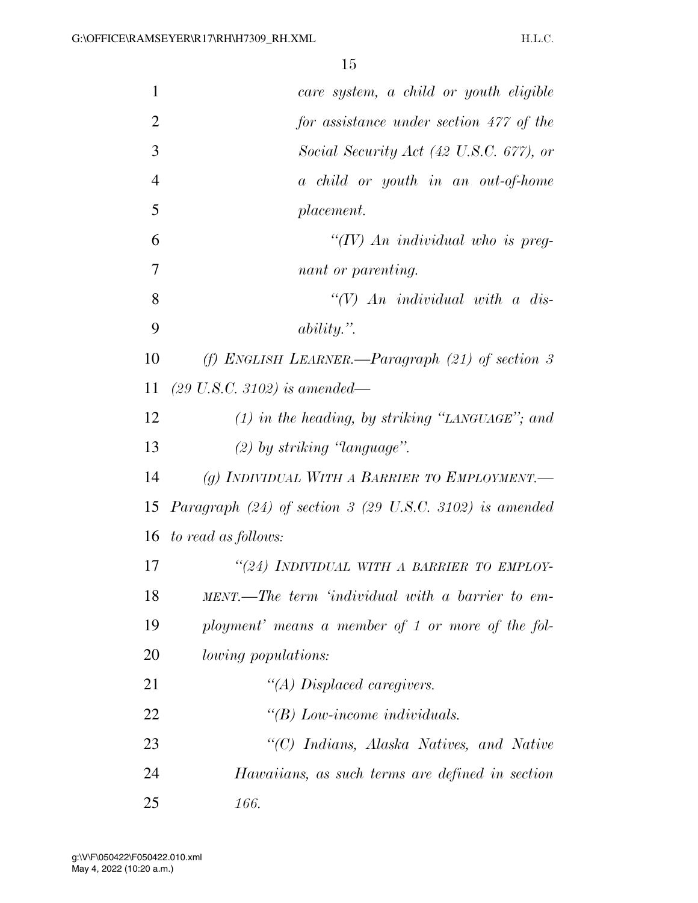| 1              | care system, a child or youth eligible                               |
|----------------|----------------------------------------------------------------------|
| $\overline{2}$ | for assistance under section 477 of the                              |
| 3              | Social Security Act (42 U.S.C. 677), or                              |
| $\overline{4}$ | a child or youth in an out-of-home                                   |
| 5              | placement.                                                           |
| 6              | "(IV) An individual who is preg-                                     |
| 7              | nant or parenting.                                                   |
| 8              | $\lq (V)$ An individual with a dis-                                  |
| 9              | $ability.$ ".                                                        |
| 10             | (f) ENGLISH LEARNER.—Paragraph $(21)$ of section 3                   |
| 11             | $(29 \text{ U.S.C. } 3102)$ is amended—                              |
| 12             | $(1)$ in the heading, by striking "LANGUAGE"; and                    |
| 13             | $(2)$ by striking 'language''.                                       |
| 14             | (g) INDIVIDUAL WITH A BARRIER TO EMPLOYMENT.—                        |
| 15             | Paragraph $(24)$ of section 3 $(29 \text{ U.S.C. } 3102)$ is amended |
| 16             | to read as follows:                                                  |
| 17             | "(24) INDIVIDUAL WITH A BARRIER TO EMPLOY-                           |
| 18             | MENT.—The term 'individual with a barrier to em-                     |
| 19             | ployment' means a member of 1 or more of the fol-                    |
| 20             | <i>lowing populations:</i>                                           |
| 21             | "(A) Displaced caregivers.                                           |
| 22             | $\lq\lq B$ ) Low-income individuals.                                 |
| 23             | "(C) Indians, Alaska Natives, and Native                             |
| 24             | Hawaiians, as such terms are defined in section                      |
| 25             | 166.                                                                 |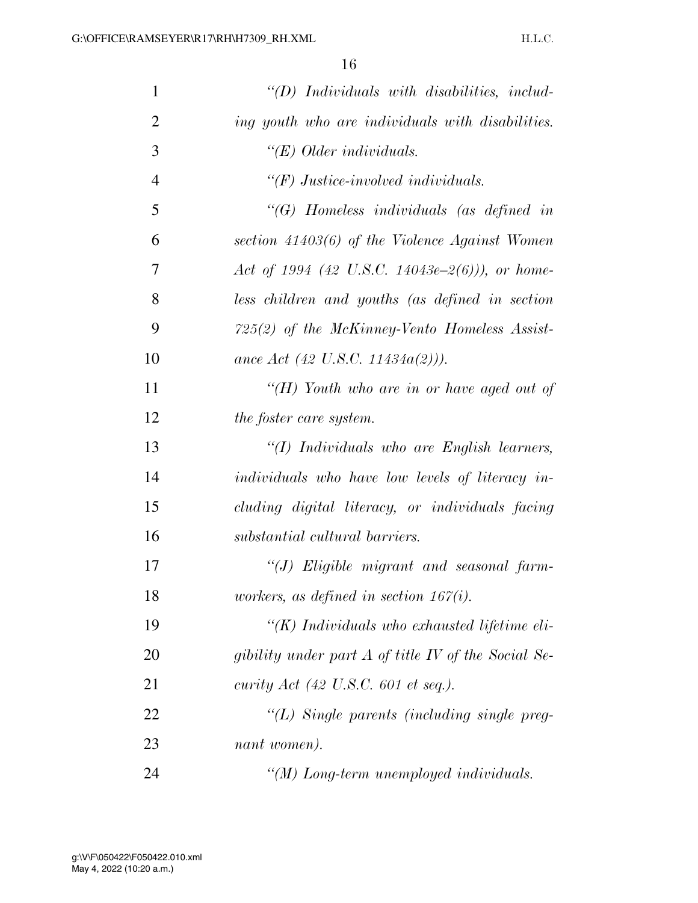| $\mathbf{1}$   | $\lq\lq D$ ) Individuals with disabilities, includ- |
|----------------|-----------------------------------------------------|
| $\overline{2}$ | ing youth who are individuals with disabilities.    |
| 3              | $\lq\lq E$ ) Older individuals.                     |
| $\overline{4}$ | $\lq (F)$ Justice-involved individuals.             |
| 5              | $\lq\lq G$ Homeless individuals (as defined in      |
| 6              | section $41403(6)$ of the Violence Against Women    |
| 7              | Act of 1994 (42 U.S.C. 14043e-2(6))), or home-      |
| 8              | less children and youths (as defined in section     |
| 9              | 725(2) of the McKinney-Vento Homeless Assist-       |
| 10             | ance Act (42 U.S.C. 11434 $a(2)$ )).                |
| 11             | "(H) Youth who are in or have aged out of           |
| 12             | the foster care system.                             |
| 13             | "(I) Individuals who are English learners,          |
| 14             | individuals who have low levels of literacy in-     |
| 15             | cluding digital literacy, or individuals facing     |
| 16             | substantial cultural barriers.                      |
| 17             | "(J) Eligible migrant and seasonal farm-            |
| 18             | workers, as defined in section $167(i)$ .           |
| 19             | " $(K)$ Individuals who exhausted lifetime eli-     |
| 20             | gibility under part A of title IV of the Social Se- |
| 21             | curity $Act$ (42 U.S.C. 601 et seq.).               |
| 22             | $\lq (L)$ Single parents (including single preg-    |
| 23             | nant women).                                        |
| 24             | "(M) Long-term unemployed individuals.              |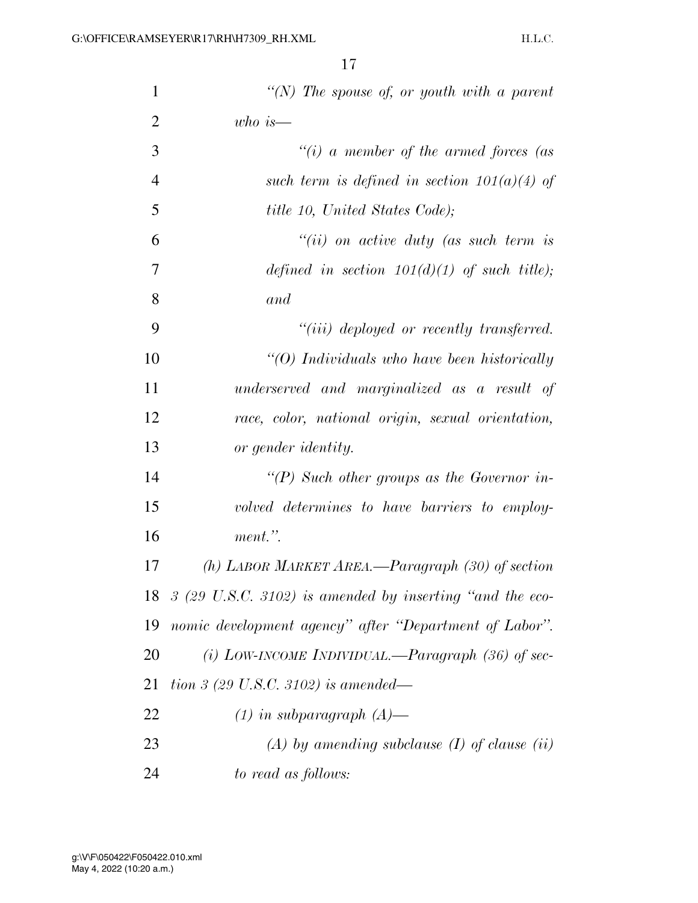| $\mathbf{1}$   | "(N) The spouse of, or youth with a parent                        |
|----------------|-------------------------------------------------------------------|
| $\overline{2}$ | $who\ is-$                                                        |
| 3              | "(i) a member of the armed forces (as                             |
| $\overline{4}$ | such term is defined in section $101(a)(4)$ of                    |
| 5              | <i>title 10, United States Code)</i> ;                            |
| 6              | $``(ii)$ on active duty (as such term is                          |
| 7              | defined in section $101(d)(1)$ of such title);                    |
| 8              | and                                                               |
| 9              | "( <i>iii</i> ) deployed or recently transferred.                 |
| 10             | " $(0)$ Individuals who have been historically                    |
| 11             | underserved and marginalized as a result of                       |
| 12             | race, color, national origin, sexual orientation,                 |
| 13             | or gender identity.                                               |
| 14             | "(P) Such other groups as the Governor in-                        |
| 15             | volved determines to have barriers to employ-                     |
| 16             | ment.".                                                           |
| 17             | (h) LABOR MARKET AREA.—Paragraph $(30)$ of section                |
|                | 18 $\beta$ (29 U.S.C. 3102) is amended by inserting "and the eco- |
| 19             | nomic development agency" after "Department of Labor".            |
| 20             | (i) LOW-INCOME INDIVIDUAL.—Paragraph $(36)$ of sec-               |
| 21             | tion 3 (29 U.S.C. 3102) is amended—                               |
| 22             | $(1)$ in subparagraph $(A)$ —                                     |
| 23             | $(A)$ by amending subclause $(I)$ of clause $(ii)$                |
| 24             | to read as follows:                                               |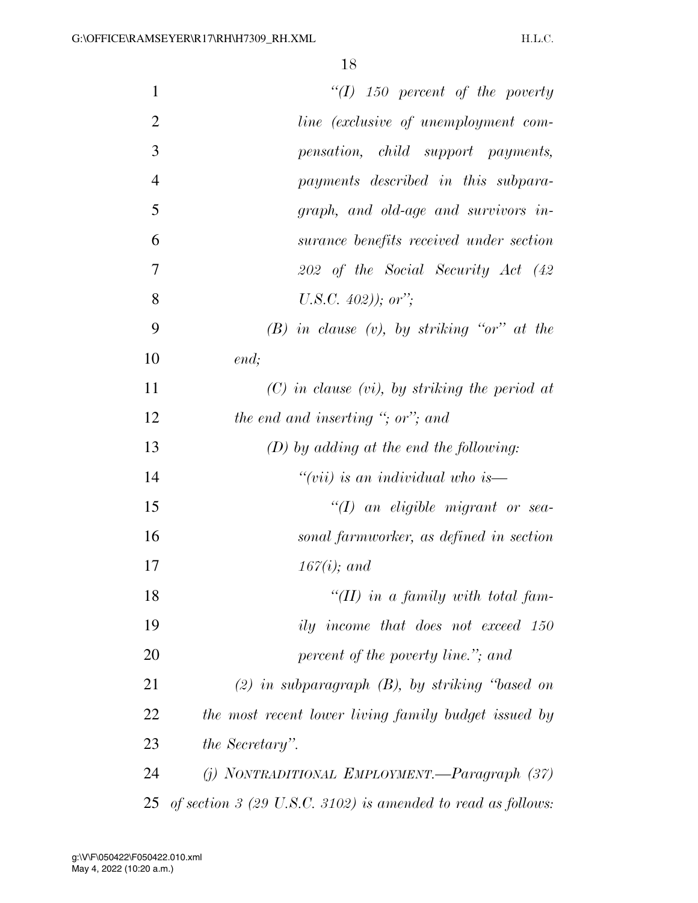| $\mathbf{1}$   | $\lq (I)$ 150 percent of the poverty                               |
|----------------|--------------------------------------------------------------------|
| $\overline{2}$ | <i>line</i> (exclusive of unemployment com-                        |
| 3              | pensation, child support payments,                                 |
| $\overline{4}$ | payments described in this subpara-                                |
| 5              | graph, and old-age and survivors in-                               |
| 6              | surance benefits received under section                            |
| 7              | 202 of the Social Security Act (42                                 |
| 8              | U.S.C. $402$ ); or";                                               |
| 9              | $(B)$ in clause $(v)$ , by striking "or" at the                    |
| 10             | end;                                                               |
| 11             | $(C)$ in clause (vi), by striking the period at                    |
| 12             | the end and inserting "; or"; and                                  |
| 13             | $(D)$ by adding at the end the following:                          |
| 14             | "(vii) is an individual who is—                                    |
| 15             | $\lq (I)$ an eligible migrant or sea-                              |
| 16             | sonal farmworker, as defined in section                            |
| 17             | $167(i)$ ; and                                                     |
| 18             | "(II) in a family with total fam-                                  |
| 19             | ily income that does not exceed 150                                |
| 20             | percent of the poverty line."; and                                 |
| 21             | $(2)$ in subparagraph $(B)$ , by striking "based on                |
| 22             | the most recent lower living family budget issued by               |
| 23             | the Secretary".                                                    |
| 24             | $(j)$ NONTRADITIONAL EMPLOYMENT.—Paragraph $(37)$                  |
| 25             | of section $\beta$ (29 U.S.C. 3102) is amended to read as follows: |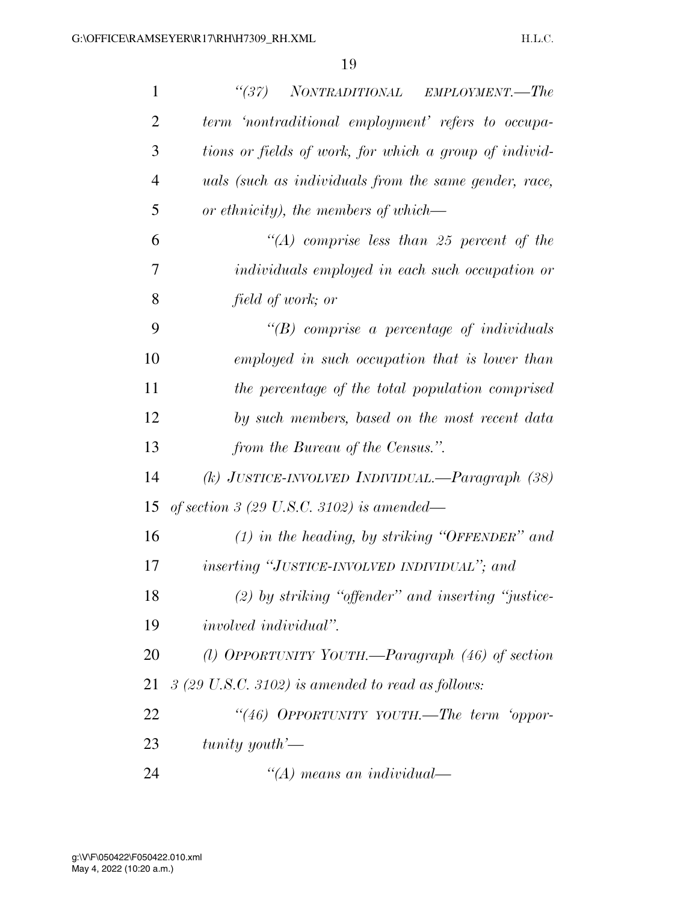| $\mathbf{1}$   | (37)<br>NONTRADITIONAL EMPLOYMENT.—The                      |
|----------------|-------------------------------------------------------------|
| $\overline{2}$ | term 'nontraditional employment' refers to occupa-          |
| 3              | tions or fields of work, for which a group of individ-      |
| $\overline{4}$ | uals (such as individuals from the same gender, race,       |
| 5              | or ethnicity), the members of which—                        |
| 6              | $\lq (A)$ comprise less than 25 percent of the              |
| 7              | individuals employed in each such occupation or             |
| 8              | field of work; or                                           |
| 9              | $\lq\lq B$ comprise a percentage of individuals             |
| 10             | employed in such occupation that is lower than              |
| 11             | the percentage of the total population comprised            |
| 12             | by such members, based on the most recent data              |
| 13             | from the Bureau of the Census.".                            |
| 14             | (k) JUSTICE-INVOLVED INDIVIDUAL.—Paragraph (38)             |
| 15             | of section 3 (29 U.S.C. 3102) is amended—                   |
| 16             | $(1)$ in the heading, by striking "OFFENDER" and            |
| 17             | inserting "JUSTICE-INVOLVED INDIVIDUAL"; and                |
| 18             | $(2)$ by striking "offender" and inserting "justice-        |
| 19             | <i>involved individual</i> ".                               |
| 20             | (1) OPPORTUNITY YOUTH.—Paragraph $(46)$ of section          |
| 21             | $3(29 \text{ U.S.C. } 3102)$ is amended to read as follows: |
| 22             | "(46) OPPORTUNITY YOUTH.—The term 'oppor-                   |
| 23             | $tunity$ youth'—                                            |
| 24             | $\lq (A)$ means an individual—                              |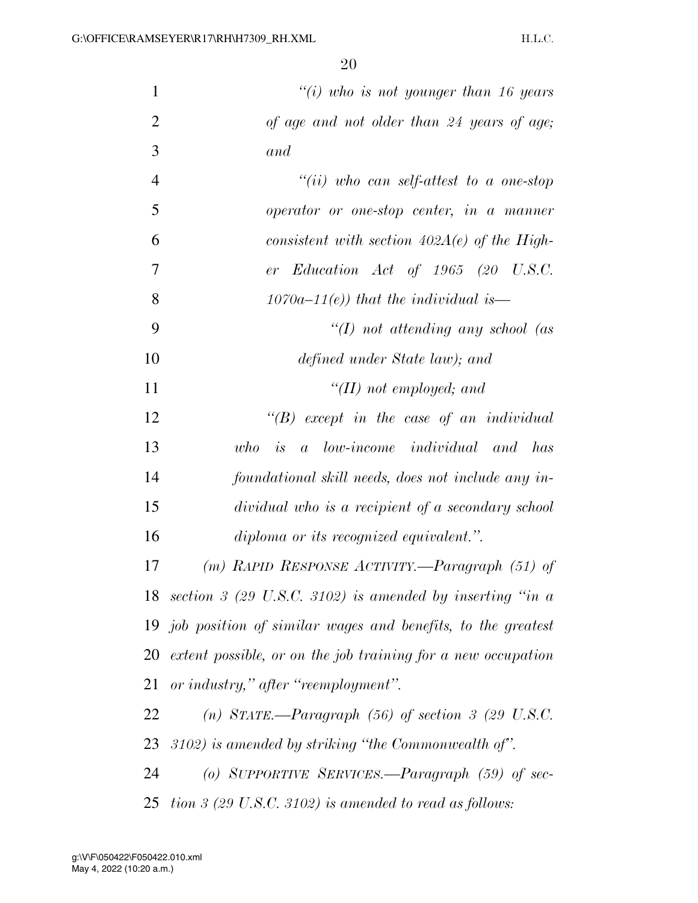| $\mathbf{1}$   | "(i) who is not younger than 16 years                        |
|----------------|--------------------------------------------------------------|
| $\overline{2}$ | of age and not older than 24 years of age;                   |
| 3              | and                                                          |
| $\overline{4}$ | "(ii) who can self-attest to a one-stop                      |
| 5              | operator or one-stop center, in a manner                     |
| 6              | consistent with section $402A(e)$ of the High-               |
| 7              | er Education Act of 1965 $(20 \text{ U.S.C.})$               |
| 8              | $1070a-11(e)$ ) that the individual is—                      |
| 9              | $\lq (I)$ not attending any school (as                       |
| 10             | defined under State law); and                                |
| 11             | $\lq\lq (II)$ not employed; and                              |
| 12             | $\lq\lq B$ except in the case of an individual               |
| 13             | $a$ low-income individual and has<br>who<br>is               |
| 14             | foundational skill needs, does not include any in-           |
| 15             | dividual who is a recipient of a secondary school            |
| 16             | diploma or its recognized equivalent.".                      |
| 17             | (m) RAPID RESPONSE ACTIVITY.—Paragraph (51) of               |
|                | 18 section 3 (29 U.S.C. 3102) is amended by inserting "in a  |
| 19             | job position of similar wages and benefits, to the greatest  |
| 20             | extent possible, or on the job training for a new occupation |
| 21             | or industry," after "reemployment".                          |
| 22             | (n) STATE.—Paragraph $(56)$ of section 3 (29 U.S.C.          |
| 23             | $(3102)$ is amended by striking "the Commonwealth of".       |
| 24             | (o) SUPPORTIVE SERVICES.—Paragraph $(59)$ of sec-            |
| 25             | tion $\beta$ (29 U.S.C. 3102) is amended to read as follows: |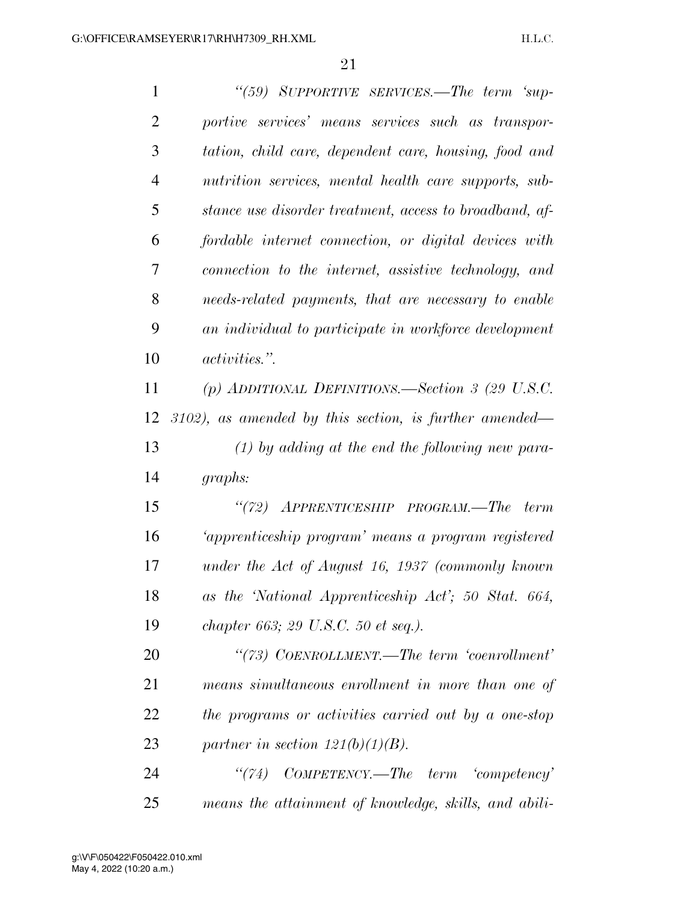| $\mathbf{1}$   | "(59) SUPPORTIVE SERVICES.—The term 'sup-                 |
|----------------|-----------------------------------------------------------|
| $\overline{2}$ | portive services' means services such as transpor-        |
| 3              | tation, child care, dependent care, housing, food and     |
| $\overline{4}$ | nutrition services, mental health care supports, sub-     |
| 5              | stance use disorder treatment, access to broadband, af-   |
| 6              | fordable internet connection, or digital devices with     |
| 7              | connection to the internet, assistive technology, and     |
| 8              | needs-related payments, that are necessary to enable      |
| 9              | an individual to participate in workforce development     |
| 10             | <i>activities.</i> ".                                     |
| 11             | (p) ADDITIONAL DEFINITIONS.—Section 3 (29 U.S.C.          |
| 12             | $3102$ ), as amended by this section, is further amended— |
| 13             | $(1)$ by adding at the end the following new para-        |
| 14             | graphs:                                                   |
| 15             | "(72) APPRENTICESHIP PROGRAM.—The term                    |
| 16             | 'apprenticeship program' means a program registered       |
| 17             | under the Act of August 16, 1937 (commonly known          |
| 18             | as the 'National Apprenticeship Act'; 50 Stat. 664,       |
| 19             | chapter 663; 29 U.S.C. 50 et seq.).                       |
| 20             | "(73) COENROLLMENT.—The term 'coenrollment'               |
| 21             | means simultaneous enrollment in more than one of         |
| 22             | the programs or activities carried out by a one-stop      |
| 23             | partner in section $121(b)(1)(B)$ .                       |
| 24             | COMPETENCY.—The term 'competency'<br>(74)                 |
| 25             | means the attainment of knowledge, skills, and abili-     |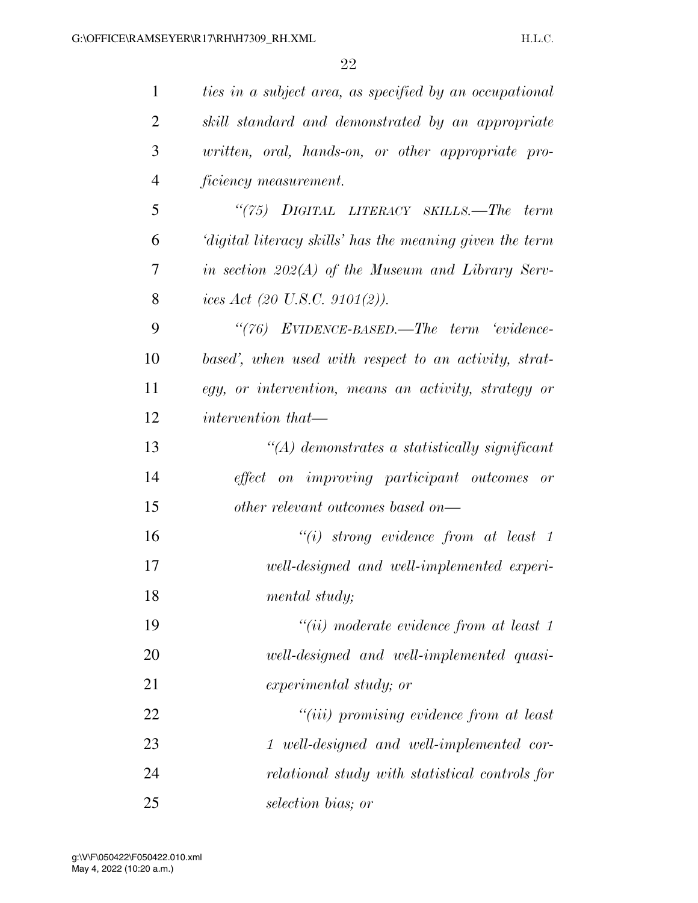| $\mathbf{1}$   | ties in a subject area, as specified by an occupational  |
|----------------|----------------------------------------------------------|
| 2              | skill standard and demonstrated by an appropriate        |
| 3              | written, oral, hands-on, or other appropriate pro-       |
| $\overline{4}$ | ficiency measurement.                                    |
| 5              | "(75) DIGITAL LITERACY SKILLS.—The term                  |
| 6              | 'digital literacy skills' has the meaning given the term |
| 7              | in section $202(A)$ of the Museum and Library Serv-      |
| 8              | ices Act (20 U.S.C. 9101(2)).                            |
| 9              | "(76) EVIDENCE-BASED.—The term 'evidence-                |
| 10             | based', when used with respect to an activity, strat-    |
| 11             | egy, or intervention, means an activity, strategy or     |
| 12             | <i>intervention that—</i>                                |
| 13             | $\lq (A)$ demonstrates a statistically significant       |
| 14             | effect on improving participant outcomes or              |
| 15             | other relevant outcomes based on—                        |
| 16             | $``(i)$ strong evidence from at least 1                  |
| 17             | well-designed and well-implemented experi-               |
| 18             | mental study;                                            |
| 19             | $``(ii)$ moderate evidence from at least 1               |
| 20             | well-designed and well-implemented quasi-                |
| 21             | experimental study; or                                   |
| 22             | "(iii) promising evidence from at least                  |
| 23             | 1 well-designed and well-implemented cor-                |
| 24             | relational study with statistical controls for           |
| 25             | selection bias; or                                       |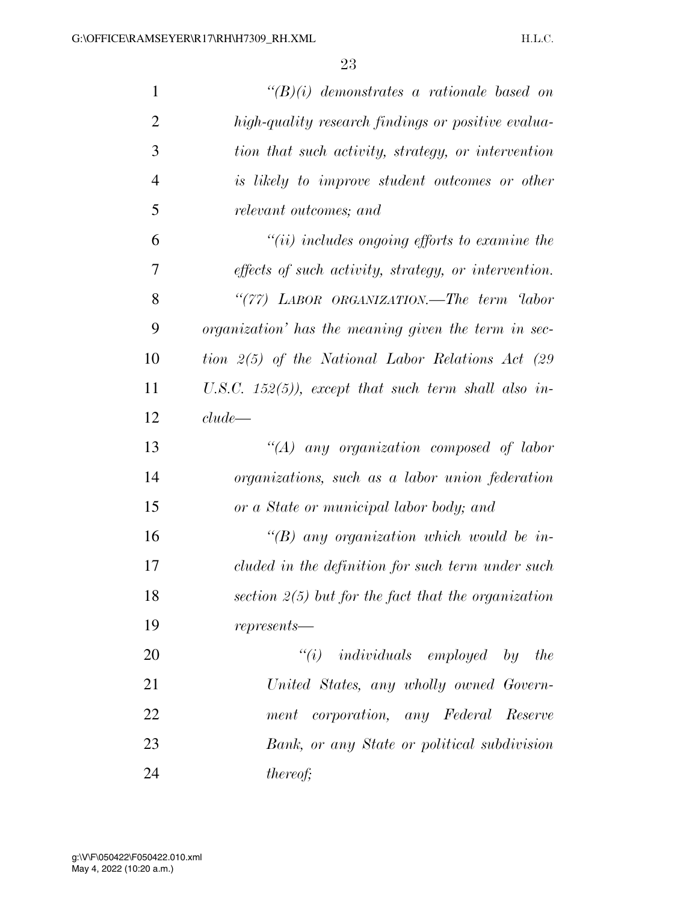| $\mathbf{1}$   | $\lq\lq (B)(i)$ demonstrates a rationale based on           |
|----------------|-------------------------------------------------------------|
| $\overline{2}$ | high-quality research findings or positive evalua-          |
| 3              | tion that such activity, strategy, or intervention          |
| $\overline{4}$ | is likely to improve student outcomes or other              |
| 5              | relevant outcomes; and                                      |
| 6              | $``(ii)$ includes ongoing efforts to examine the            |
| 7              | <i>effects of such activity, strategy, or intervention.</i> |
| 8              | "(77) LABOR ORGANIZATION.—The term 'labor                   |
| 9              | <i>organization'</i> has the meaning given the term in sec- |
| 10             | tion 2(5) of the National Labor Relations Act (29           |
| 11             | U.S.C. 152(5)), except that such term shall also in-        |
| 12             | clude                                                       |
| 13             | "(A) any organization composed of labor                     |
| 14             | organizations, such as a labor union federation             |
| 15             | or a State or municipal labor body; and                     |
| 16             | $\lq\lq B$ any organization which would be in-              |
| 17             | cluded in the definition for such term under such           |
| 18             | section $2(5)$ but for the fact that the organization       |
| 19             | $represents -$                                              |
| 20             | $"(i)$ individuals employed by the                          |
| 21             | United States, any wholly owned Govern-                     |
| 22             | corporation, any Federal Reserve<br>ment                    |
| 23             | Bank, or any State or political subdivision                 |
| 24             | <i>thereof;</i>                                             |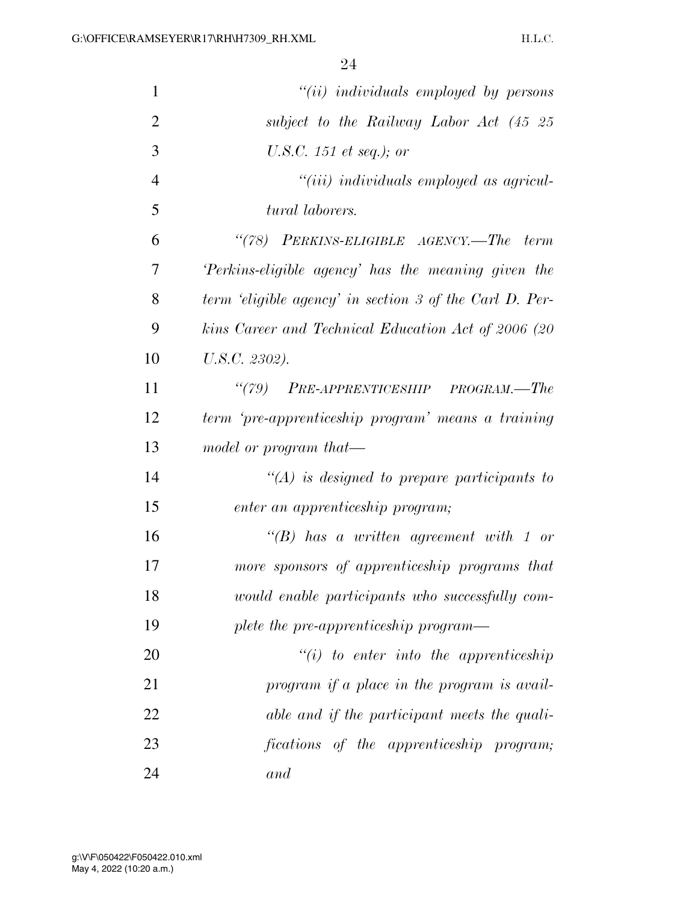| $\mathbf{1}$   | $``(ii)$ individuals employed by persons                |
|----------------|---------------------------------------------------------|
| $\overline{2}$ | subject to the Railway Labor Act (45 25                 |
| 3              | U.S.C. 151 et seq.); or                                 |
| $\overline{4}$ | $``(iii)$ individuals employed as agricul-              |
| 5              | tural laborers.                                         |
| 6              | "(78) PERKINS-ELIGIBLE AGENCY.—The term                 |
| 7              | Perkins-eligible agency' has the meaning given the      |
| 8              | term 'eligible agency' in section 3 of the Carl D. Per- |
| 9              | kins Career and Technical Education Act of 2006 (20     |
| 10             | U.S.C. 2302).                                           |
| 11             | "(79) PRE-APPRENTICESHIP PROGRAM.—The                   |
| 12             | term 'pre-apprenticeship program' means a training      |
| 13             | model or program that-                                  |
| 14             | $\lq (A)$ is designed to prepare participants to        |
| 15             | enter an apprenticeship program;                        |
| 16             | $\lq\lq B$ has a written agreement with 1 or            |
| 17             | more sponsors of apprenticeship programs that           |
| 18             | would enable participants who successfully com-         |
| 19             | plete the pre-apprenticeship program—                   |
| 20             | $"(i)$ to enter into the apprenticeship                 |
| 21             | program if a place in the program is avail-             |
| 22             | able and if the participant meets the quali-            |
| 23             | fications of the apprenticeship program;                |
| 24             | and                                                     |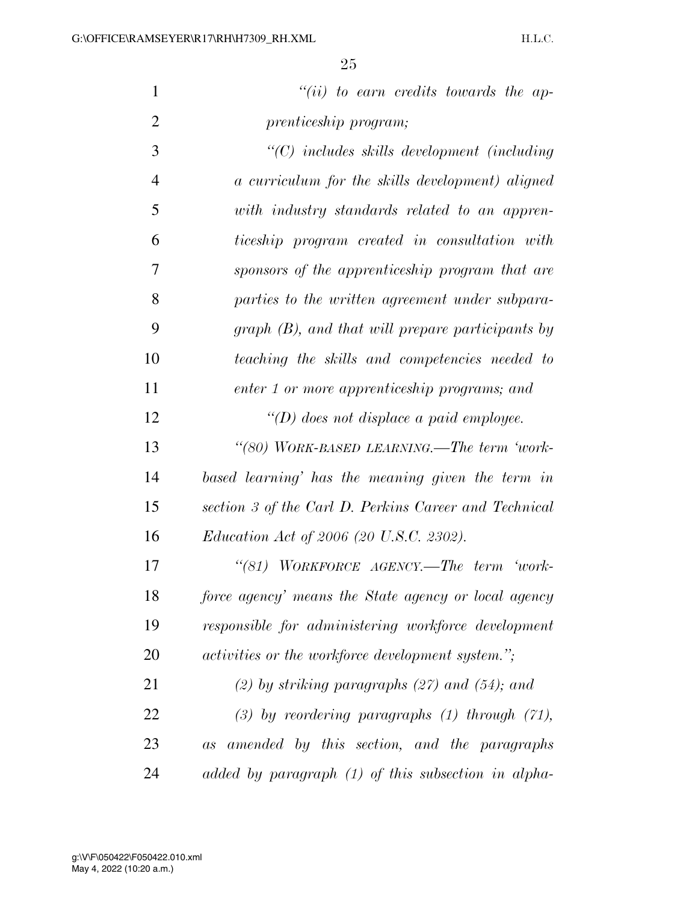| $\mathbf{1}$   | $``(ii)$ to earn credits towards the ap-                  |
|----------------|-----------------------------------------------------------|
| $\overline{2}$ | prenticeship program;                                     |
| 3              | "(C) includes skills development (including               |
| $\overline{4}$ | a curriculum for the skills development) aligned          |
| 5              | with industry standards related to an appren-             |
| 6              | ticeship program created in consultation with             |
| 7              | sponsors of the apprenticeship program that are           |
| 8              | parties to the written agreement under subpara-           |
| 9              | $graph (B)$ , and that will prepare participants by       |
| 10             | teaching the skills and competencies needed to            |
| 11             | enter 1 or more apprenticeship programs; and              |
| 12             | "(D) does not displace a paid employee.                   |
| 13             | "(80) WORK-BASED LEARNING.—The term 'work-                |
| 14             | based learning' has the meaning given the term in         |
| 15             | section 3 of the Carl D. Perkins Career and Technical     |
| 16             | <i>Education Act of 2006 (20 U.S.C. 2302).</i>            |
| 17             | "(81) WORKFORCE AGENCY.—The term 'work-                   |
| 18             | force agency' means the State agency or local agency      |
| 19             | responsible for administering workforce development       |
| 20             | <i>activities or the workforce development system.</i> "; |
| 21             | $(2)$ by striking paragraphs $(27)$ and $(54)$ ; and      |
| 22             | $(3)$ by reordering paragraphs $(1)$ through $(71)$ ,     |

 *as amended by this section, and the paragraphs added by paragraph (1) of this subsection in alpha-*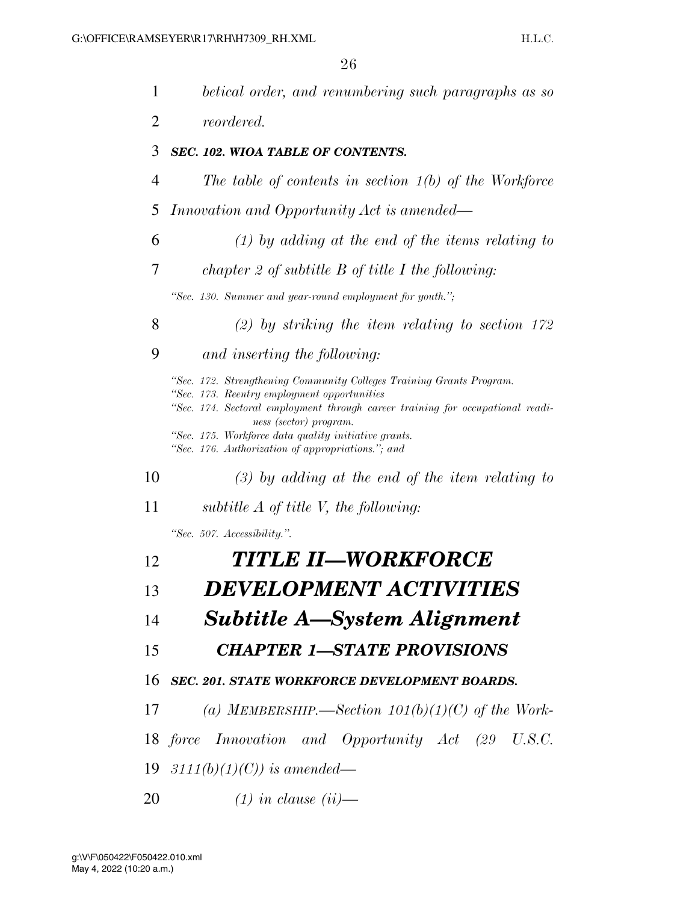| 1              | betical order, and renumbering such paragraphs as so                                                                                                                                                                            |
|----------------|---------------------------------------------------------------------------------------------------------------------------------------------------------------------------------------------------------------------------------|
| $\overline{2}$ | <i>reordered.</i>                                                                                                                                                                                                               |
| 3              | SEC. 102. WIOA TABLE OF CONTENTS.                                                                                                                                                                                               |
| $\overline{4}$ | The table of contents in section $1(b)$ of the Workforce                                                                                                                                                                        |
| 5              | Innovation and Opportunity Act is amended—                                                                                                                                                                                      |
| 6              | $(1)$ by adding at the end of the items relating to                                                                                                                                                                             |
| 7              | chapter 2 of subtitle $B$ of title $I$ the following:                                                                                                                                                                           |
|                | "Sec. 130. Summer and year-round employment for youth.";                                                                                                                                                                        |
| 8              | $(2)$ by striking the item relating to section 172                                                                                                                                                                              |
| 9              | and inserting the following:                                                                                                                                                                                                    |
|                | "Sec. 172. Strengthening Community Colleges Training Grants Program.<br>"Sec. 173. Reentry employment opportunities<br>"Sec. 174. Sectoral employment through career training for occupational readi-<br>ness (sector) program. |
|                | "Sec. 175. Workforce data quality initiative grants.<br>"Sec. 176. Authorization of appropriations."; and                                                                                                                       |
| 10             | $(3)$ by adding at the end of the item relating to                                                                                                                                                                              |
| 11             | subtitle $A$ of title V, the following:                                                                                                                                                                                         |
|                | "Sec. 507. Accessibility.".                                                                                                                                                                                                     |
| 12             | TITLE II—WORKFORCE                                                                                                                                                                                                              |
| 13             | <i>DEVELOPMENT ACTIVITIES</i>                                                                                                                                                                                                   |
| 14             | <b>Subtitle A—System Alignment</b>                                                                                                                                                                                              |
| 15             | <b>CHAPTER 1-STATE PROVISIONS</b>                                                                                                                                                                                               |
| 16             | <b>SEC. 201. STATE WORKFORCE DEVELOPMENT BOARDS.</b>                                                                                                                                                                            |
| 17             | (a) MEMBERSHIP.—Section $101(b)(1)(C)$ of the Work-                                                                                                                                                                             |
|                | 18 force Innovation and Opportunity Act (29 U.S.C.                                                                                                                                                                              |
|                | 19 $3111(b)(1)(C)$ is amended—                                                                                                                                                                                                  |
| 20             | $(1)$ in clause $(ii)$ —                                                                                                                                                                                                        |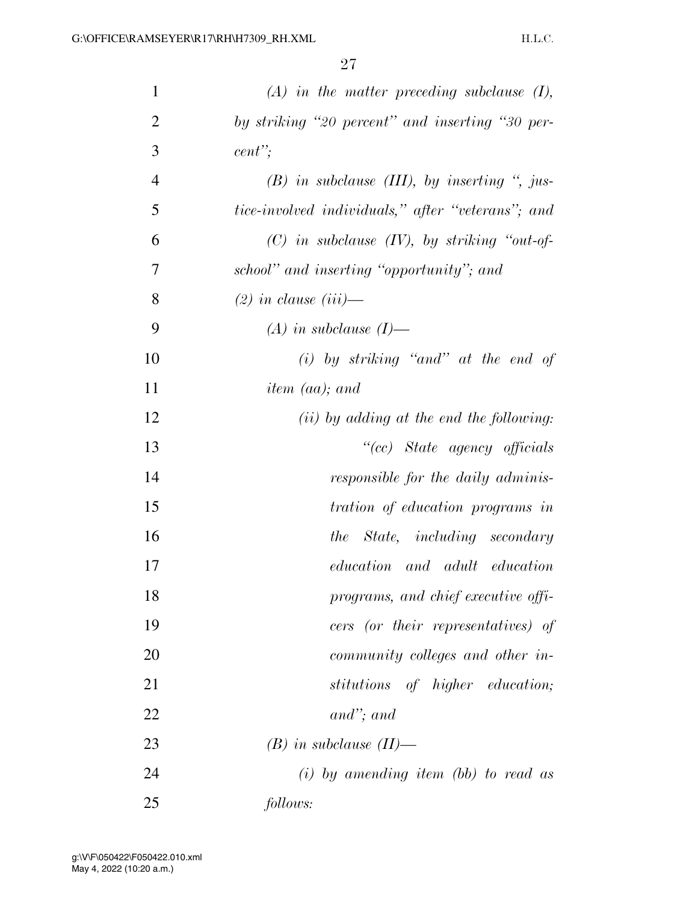| $\mathbf{1}$   | $(A)$ in the matter preceding subclause $(I)$ ,   |
|----------------|---------------------------------------------------|
| $\overline{2}$ | by striking "20 percent" and inserting "30 per-   |
| 3              | cent                                              |
| $\overline{4}$ | $(B)$ in subclause (III), by inserting ", jus-    |
| 5              | tice-involved individuals," after "veterans"; and |
| 6              | $(C)$ in subclause $(IV)$ , by striking "out-of-  |
| 7              | school" and inserting "opportunity"; and          |
| 8              | $(2)$ in clause $(iii)$ —                         |
| 9              | $(A)$ in subclause $(I)$ —                        |
| 10             | $(i)$ by striking "and" at the end of             |
| 11             | item (aa); and                                    |
| 12             | $(ii)$ by adding at the end the following:        |
| 13             | "(cc) State agency officials                      |
| 14             | responsible for the daily adminis-                |
| 15             | tration of education programs in                  |
| 16             | the State, including secondary                    |
| 17             | education and adult education                     |
| 18             | programs, and chief executive offi-               |
| 19             | cers (or their representatives) of                |
| 20             | community colleges and other in-                  |
| 21             | stitutions of higher education;                   |
| 22             | $and$ "; and                                      |
| 23             | $(B)$ in subclause $(II)$ —                       |
| 24             | $(i)$ by amending item (bb) to read as            |
| 25             | follows:                                          |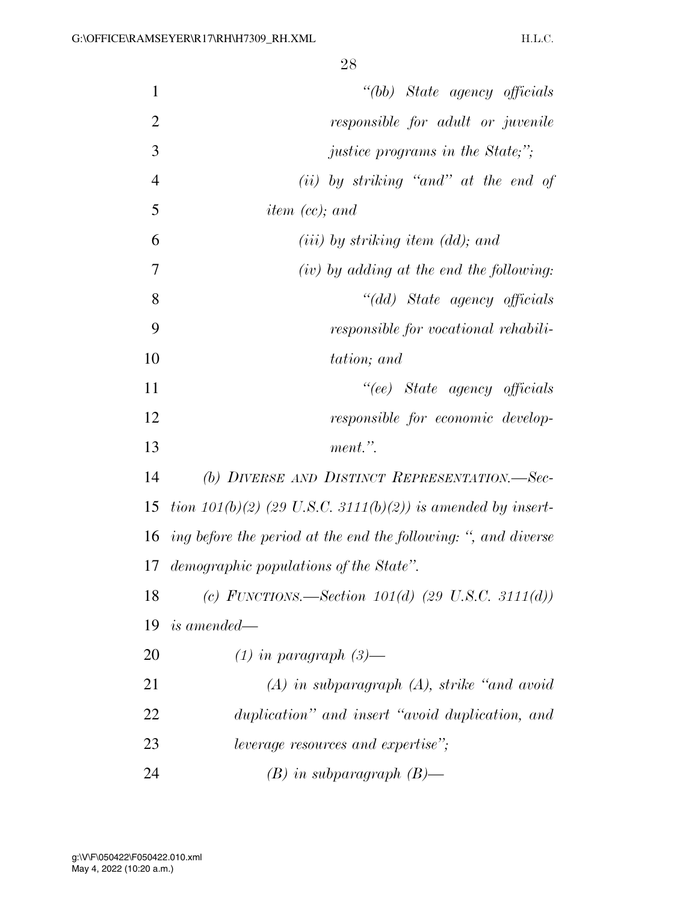| $\mathbf{1}$   | "(bb) State agency officials                                   |
|----------------|----------------------------------------------------------------|
| $\overline{2}$ | responsible for adult or juvenile                              |
| 3              | <i>justice programs in the State;"</i> ;                       |
| $\overline{4}$ | $(ii)$ by striking "and" at the end of                         |
| 5              | <i>item (cc)</i> ; and                                         |
| 6              | $(iii)$ by striking item (dd); and                             |
| $\overline{7}$ | $(iv)$ by adding at the end the following:                     |
| 8              | "(dd) State agency officials                                   |
| 9              | responsible for vocational rehabili-                           |
| 10             | tation; and                                                    |
| 11             | "(ee) State agency officials                                   |
| 12             | responsible for economic develop-                              |
| 13             | ment.".                                                        |
| 14             | (b) DIVERSE AND DISTINCT REPRESENTATION.-Sec-                  |
| 15             | tion $101(b)(2)$ (29 U.S.C. 3111(b)(2)) is amended by insert-  |
| 16             | ing before the period at the end the following: ", and diverse |
| 17             | demographic populations of the State".                         |
| 18             | (c) FUNCTIONS.—Section $101(d)$ (29 U.S.C. 3111(d))            |
| 19             | <i>is amended—</i>                                             |
| 20             | $(1)$ in paragraph $(3)$ —                                     |
| 21             | $(A)$ in subparagraph $(A)$ , strike "and avoid"               |
| 22             | duplication" and insert "avoid duplication, and                |
| 23             | leverage resources and expertise";                             |
| 24             | $(B)$ in subparagraph $(B)$ —                                  |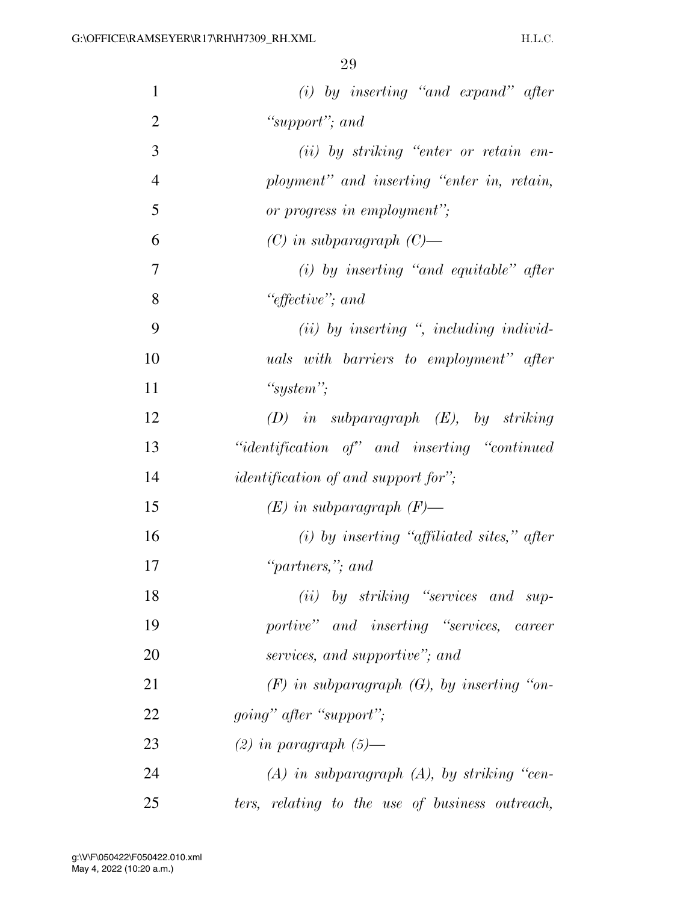| $\mathbf{1}$   | $(i)$ by inserting "and expand" after           |
|----------------|-------------------------------------------------|
| $\overline{2}$ | "support"; and                                  |
| 3              | $(ii)$ by striking "enter or retain em-         |
| $\overline{4}$ | ployment" and inserting "enter in, retain,      |
| 5              | or progress in employment";                     |
| 6              | $(C)$ in subparagraph $(C)$ —                   |
| 7              | $(i)$ by inserting "and equitable" after        |
| 8              | "effective"; and                                |
| 9              | $(ii)$ by inserting ", including individ-       |
| 10             | <i>uals</i> with barriers to employment" after  |
| 11             | "system";                                       |
| 12             | $(D)$ in subparagraph $(E)$ , by striking       |
| 13             | "identification of" and inserting "continued"   |
| 14             | <i>identification of and support for"</i> ;     |
| 15             | $(E)$ in subparagraph $(F)$ —                   |
| 16             | $(i)$ by inserting "affiliated sites," after    |
| 17             | "partners,"; and                                |
| 18             | (ii) by striking "services and sup-             |
| 19             | portive" and inserting "services, career        |
| 20             | services, and supportive"; and                  |
| 21             | $(F)$ in subparagraph $(G)$ , by inserting "on- |
| 22             | <i>going</i> " <i>after</i> " <i>support</i> "; |
| 23             | $(2)$ in paragraph $(5)$ —                      |
| 24             | $(A)$ in subparagraph $(A)$ , by striking "cen- |
| 25             | ters, relating to the use of business outreach, |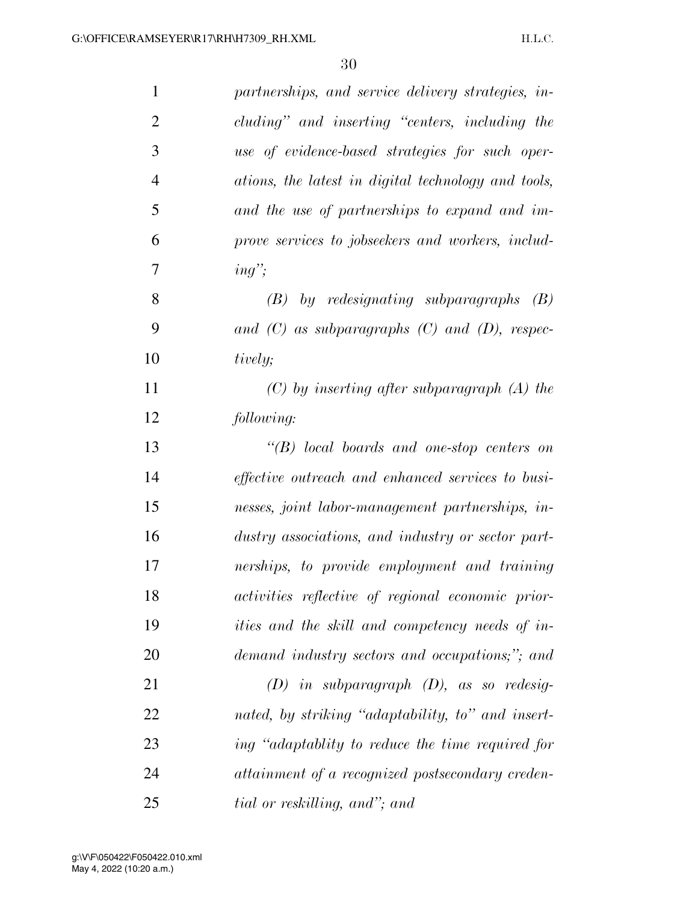| $\mathbf{1}$   | partnerships, and service delivery strategies, in-       |
|----------------|----------------------------------------------------------|
| $\overline{2}$ | cluding" and inserting "centers, including the           |
| 3              | use of evidence-based strategies for such oper-          |
| $\overline{4}$ | ations, the latest in digital technology and tools,      |
| 5              | and the use of partnerships to expand and im-            |
| 6              | prove services to jobseekers and workers, includ-        |
| 7              | $ing$ <sup>"</sup> ;                                     |
| 8              | $(B)$ by redesignating subparagraphs<br>(B)              |
| 9              | and $(C)$ as subparagraphs $(C)$ and $(D)$ , respec-     |
| 10             | tively;                                                  |
| 11             | $(C)$ by inserting after subparagraph $(A)$ the          |
| 12             | following:                                               |
| 13             | $\lq\lq B$ local boards and one-stop centers on          |
| 14             | <i>effective outreach and enhanced services to busi-</i> |
| 15             | nesses, joint labor-management partnerships, in-         |
| 16             | dustry associations, and industry or sector part-        |
| 17             | nerships, to provide employment and training             |
| 18             | activities reflective of regional economic prior-        |
| 19             | <i>ities and the skill and competency needs of in-</i>   |
| 20             | demand industry sectors and occupations;"; and           |
| 21             | $(D)$ in subparagraph $(D)$ , as so redesig-             |
| 22             | nated, by striking "adaptability, to" and insert-        |
| 23             | ing "adaptablity to reduce the time required for         |
| 24             | attainment of a recognized postsecondary creden-         |
| 25             | tial or reskilling, and"; and                            |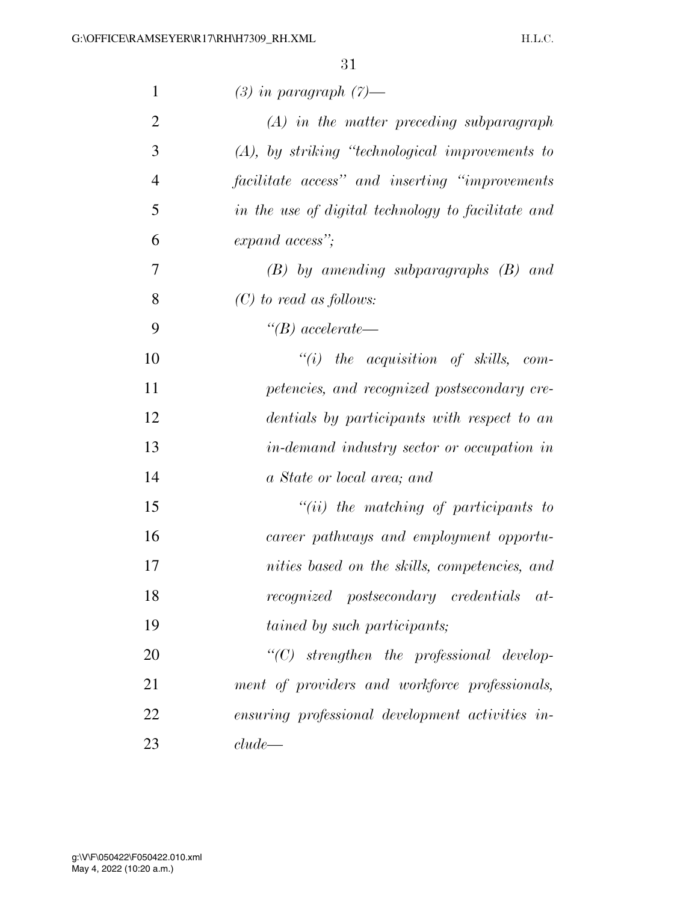| $\mathbf{1}$   | $(3)$ in paragraph $(7)$ —                         |
|----------------|----------------------------------------------------|
| $\overline{2}$ | $(A)$ in the matter preceding subparagraph         |
| 3              | $(A)$ , by striking "technological improvements to |
| $\overline{4}$ | facilitate access" and inserting "improvements"    |
| 5              | in the use of digital technology to facilitate and |
| 6              | expand access";                                    |
| 7              | $(B)$ by amending subparagraphs $(B)$ and          |
| 8              | $(C)$ to read as follows:                          |
| 9              | $\lq (B)$ accelerate—                              |
| 10             | $``(i)$ the acquisition of skills, com-            |
| 11             | petencies, and recognized postsecondary cre-       |
| 12             | dentials by participants with respect to an        |
| 13             | in-demand industry sector or occupation in         |
| 14             | a State or local area; and                         |
| 15             | $``(ii)$ the matching of participants to           |
| 16             | career pathways and employment opportu-            |
| 17             | nities based on the skills, competencies, and      |
| 18             | recognized postsecondary credentials at-           |
| 19             | <i>tained by such participants;</i>                |
| 20             | $"$ (C) strengthen the professional develop-       |
| 21             | ment of providers and workforce professionals,     |
| 22             | ensuring professional development activities in-   |
| 23             | $clude$ —                                          |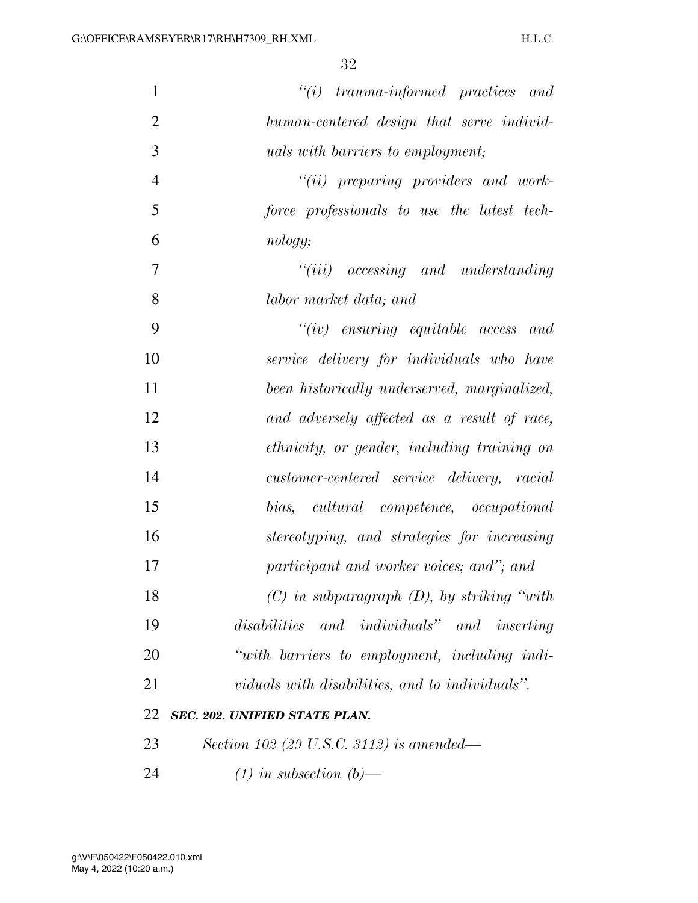| $\mathbf{1}$   | $``(i)$ trauma-informed practices and            |
|----------------|--------------------------------------------------|
| $\overline{2}$ | human-centered design that serve individ-        |
| 3              | <i>uals with barriers to employment;</i>         |
| $\overline{4}$ | $``(ii)$ preparing providers and work-           |
| 5              | force professionals to use the latest tech-      |
| 6              | nology;                                          |
| $\overline{7}$ | $``(iii)$ accessing and understanding            |
| 8              | labor market data; and                           |
| 9              | $``(iv)$ ensuring equitable access and           |
| 10             | service delivery for individuals who have        |
| 11             | been historically underserved, marginalized,     |
| 12             | and adversely affected as a result of race,      |
| 13             | ethnicity, or gender, including training on      |
| 14             | customer-centered service delivery, racial       |
| 15             | bias, cultural competence, occupational          |
| 16             | stereotyping, and strategies for increasing      |
| 17             | participant and worker voices; and"; and         |
| 18             | $(C)$ in subparagraph $(D)$ , by striking "with" |
| 19             | disabilities and individuals" and inserting      |
| 20             | "with barriers to employment, including indi-    |
| 21             | viduals with disabilities, and to individuals".  |
| 22             | SEC. 202. UNIFIED STATE PLAN.                    |
| 23             | Section 102 (29 U.S.C. 3112) is amended—         |
| 24             | $(1)$ in subsection $(b)$ —                      |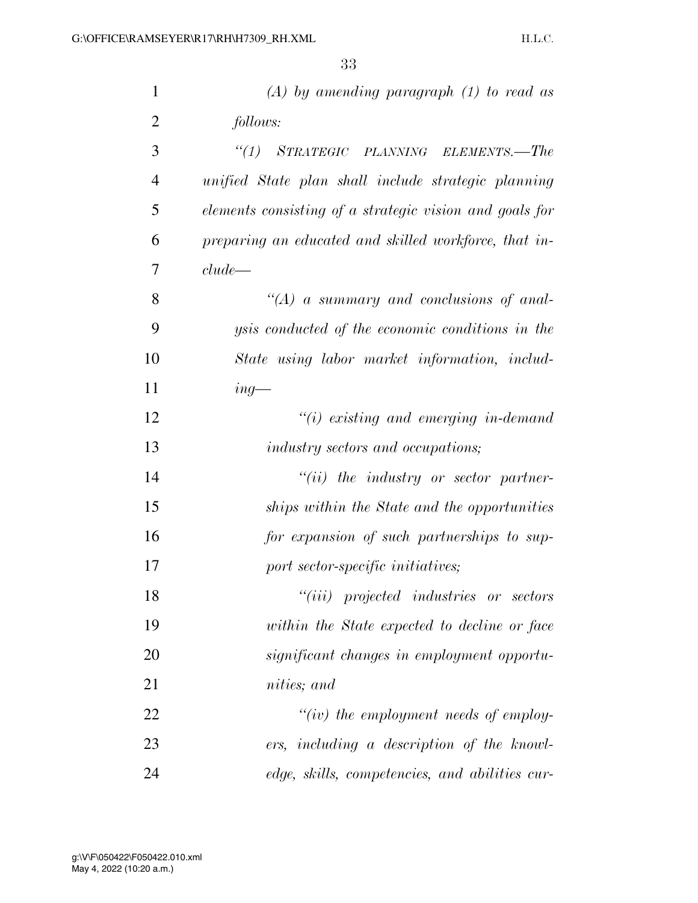| $\mathbf{1}$   | $(A)$ by amending paragraph $(1)$ to read as            |
|----------------|---------------------------------------------------------|
| $\overline{2}$ | follows:                                                |
| 3              | "(1) STRATEGIC PLANNING ELEMENTS.—The                   |
| $\overline{4}$ | unified State plan shall include strategic planning     |
| 5              | elements consisting of a strategic vision and goals for |
| 6              | preparing an educated and skilled workforce, that in-   |
| 7              | clude                                                   |
| 8              | "(A) a summary and conclusions of anal-                 |
| 9              | <i>ysis conducted of the economic conditions in the</i> |
| 10             | State using labor market information, includ-           |
| 11             | $ing-$                                                  |
| 12             | $"(i)$ existing and emerging in-demand                  |
| 13             | <i>industry sectors and occupations;</i>                |
| 14             | $"(ii)$ the industry or sector partner-                 |
| 15             | ships within the State and the opportunities            |
| 16             | for expansion of such partnerships to sup-              |
| 17             | port sector-specific initiatives;                       |
| 18             | "( <i>iii</i> ) projected industries or sectors         |
| 19             | within the State expected to decline or face            |
| 20             | significant changes in employment opportu-              |
| 21             | nities; and                                             |
| 22             | "(iv) the employment needs of employ-                   |
| 23             | ers, including a description of the knowl-              |
| 24             | edge, skills, competencies, and abilities cur-          |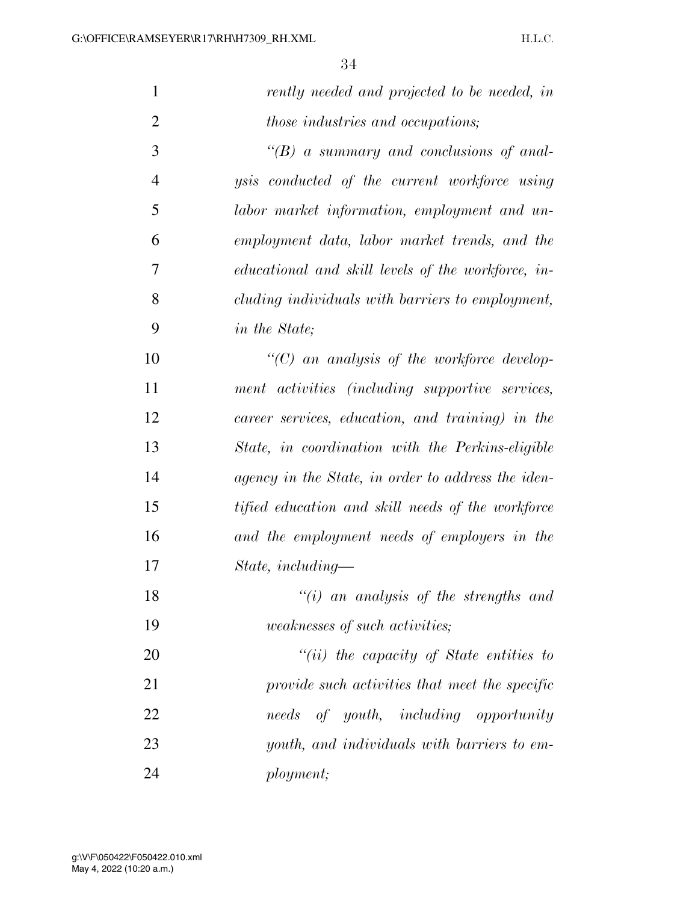| $\mathbf{1}$   | rently needed and projected to be needed, in         |
|----------------|------------------------------------------------------|
| $\overline{2}$ | those industries and occupations;                    |
| 3              | $\lq\lq(B)$ a summary and conclusions of anal-       |
| $\overline{4}$ | <i>ysis</i> conducted of the current workforce using |
| 5              | labor market information, employment and un-         |
| 6              | employment data, labor market trends, and the        |
| 7              | educational and skill levels of the workforce, in-   |
| 8              | cluding individuals with barriers to employment,     |
| 9              | <i>in the State</i> ;                                |
| 10             | $\lq\lq C$ and analysis of the workforce develop-    |
| 11             | ment activities (including supportive services,      |
| 12             | career services, education, and training) in the     |
| 13             | State, in coordination with the Perkins-eligible     |
| 14             | agency in the State, in order to address the iden-   |
| 15             | tified education and skill needs of the workforce    |
| 16             | and the employment needs of employers in the         |
| 17             | $State, including-$                                  |
| 18             | " $(i)$ an analysis of the strengths and             |
| 19             | <i>weaknesses of such activities;</i>                |
| 20             | "(ii) the capacity of State entities to              |
| 21             | provide such activities that meet the specific       |
| 22             | of youth, including opportunity<br>needs             |
| 23             | youth, and individuals with barriers to em-          |
| 24             | ployment;                                            |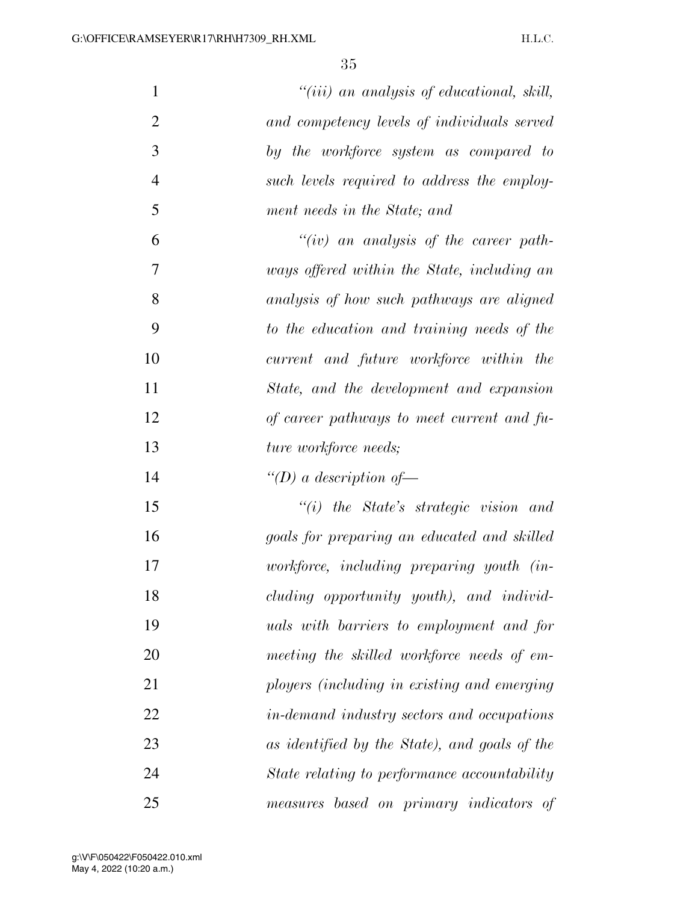| $\mathbf{1}$   | $"(iii)$ an analysis of educational, skill,     |
|----------------|-------------------------------------------------|
| $\overline{2}$ | and competency levels of individuals served     |
| 3              | by the workforce system as compared to          |
| $\overline{4}$ | such levels required to address the employ-     |
| 5              | ment needs in the State; and                    |
| 6              | " $(iv)$ an analysis of the career path-        |
| 7              | ways offered within the State, including an     |
| 8              | analysis of how such pathways are aligned       |
| 9              | to the education and training needs of the      |
| 10             | current and future workforce within the         |
| 11             | State, and the development and expansion        |
| 12             | of career pathways to meet current and fu-      |
| 13             | ture workforce needs;                           |
| 14             | "(D) a description of —                         |
| 15             | $``(i)$ the State's strategic vision and        |
| 16             | goals for preparing an educated and skilled     |
| 17             | workforce, including preparing youth (in-       |
| 18             | cluding opportunity youth), and individ-        |
| 19             | <i>uals with barriers to employment and for</i> |
| 20             | meeting the skilled workforce needs of em-      |
| 21             | ployers (including in existing and emerging     |
| 22             | in-demand industry sectors and occupations      |
| 23             | as identified by the State), and goals of the   |
| 24             | State relating to performance accountability    |
| 25             | measures based on primary indicators of         |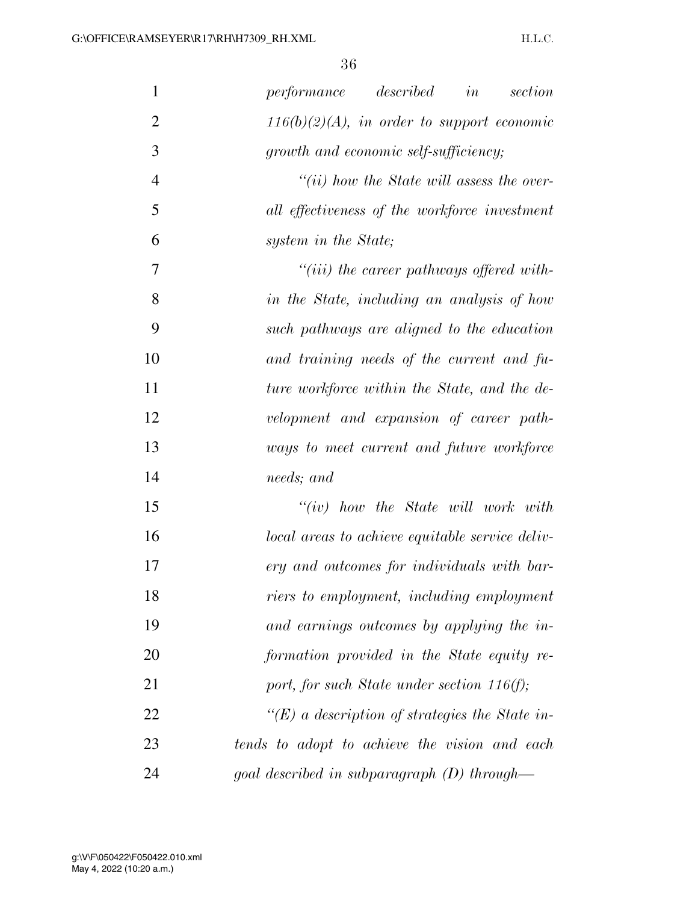| $\mathbf{1}$   | performance described<br>in<br>section          |
|----------------|-------------------------------------------------|
| $\overline{2}$ | $116(b)(2)(A)$ , in order to support economic   |
| 3              | growth and economic self-sufficiency;           |
| $\overline{4}$ | $``(ii)$ how the State will assess the over-    |
| 5              | all effectiveness of the workforce investment   |
| 6              | system in the State;                            |
| 7              | $``(iii)$ the career pathways offered with-     |
| 8              | in the State, including an analysis of how      |
| 9              | such pathways are aligned to the education      |
| 10             | and training needs of the current and fu-       |
| 11             | ture workforce within the State, and the de-    |
| 12             | velopment and expansion of career path-         |
| 13             | ways to meet current and future workforce       |
| 14             | needs; and                                      |
| 15             | $``(iv)$ how the State will work with           |
| 16             | local areas to achieve equitable service deliv- |
| 17             | ery and outcomes for individuals with bar-      |
| 18             | riers to employment, including employment       |
| 19             | and earnings outcomes by applying the in-       |
| 20             | formation provided in the State equity re-      |
| 21             | port, for such State under section $116(f)$ ;   |
| 22             | "(E) a description of strategies the State in-  |
| 23             | tends to adopt to achieve the vision and each   |
| 24             | goal described in subparagraph $(D)$ through—   |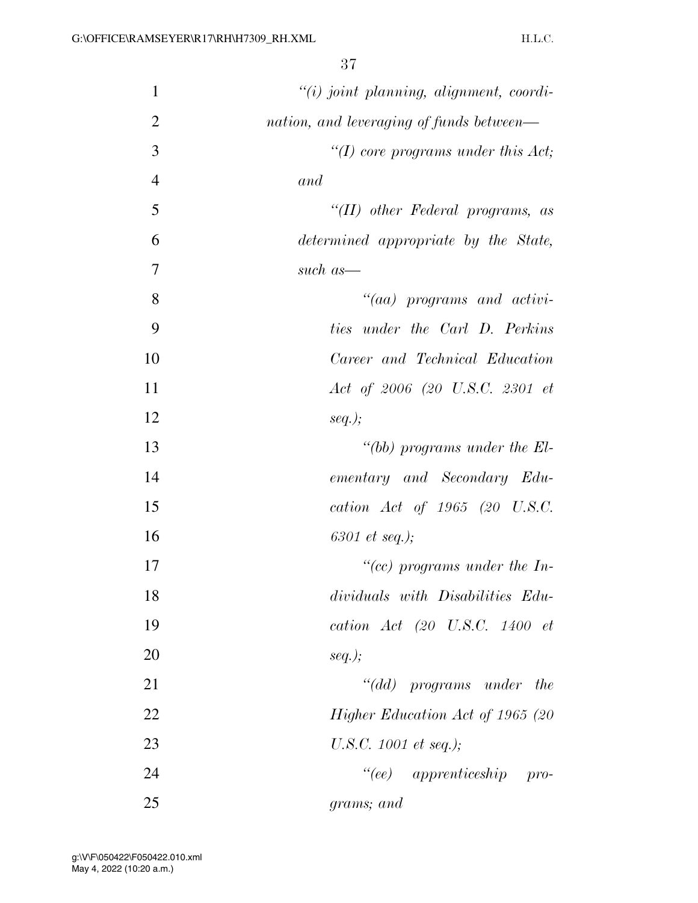| $\mathbf{1}$   | $``(i) joint planning, alignment, coordi-$ |
|----------------|--------------------------------------------|
| $\overline{2}$ | nation, and leveraging of funds between—   |
| 3              | "(I) core programs under this $Act;$       |
| $\overline{4}$ | and                                        |
| 5              | " $(II)$ other Federal programs, as        |
| 6              | determined appropriate by the State,       |
| $\overline{7}$ | such as-                                   |
| 8              | $``(aa)$ programs and activi-              |
| 9              | ties under the Carl D. Perkins             |
| 10             | Career and Technical Education             |
| 11             | Act of 2006 (20 U.S.C. 2301 et             |
| 12             | $seq.$ );                                  |
| 13             | "(bb) programs under the $El$ -            |
| 14             | ementary and Secondary Edu-                |
| 15             | cation Act of 1965 (20 U.S.C.              |
| 16             | 6301 et seq.);                             |
| 17             | "(cc) programs under the In-               |
| 18             | dividuals with Disabilities Edu-           |
| 19             | cation $Act$ (20 U.S.C. 1400 $et$          |
| 20             | $seq.$ );                                  |
| 21             | "(dd) programs under the                   |
| 22             | Higher Education Act of 1965 (20           |
| 23             | U.S.C. 1001 et seq.);                      |
| 24             | "(ee) apprenticeship pro-                  |
| 25             | grams; and                                 |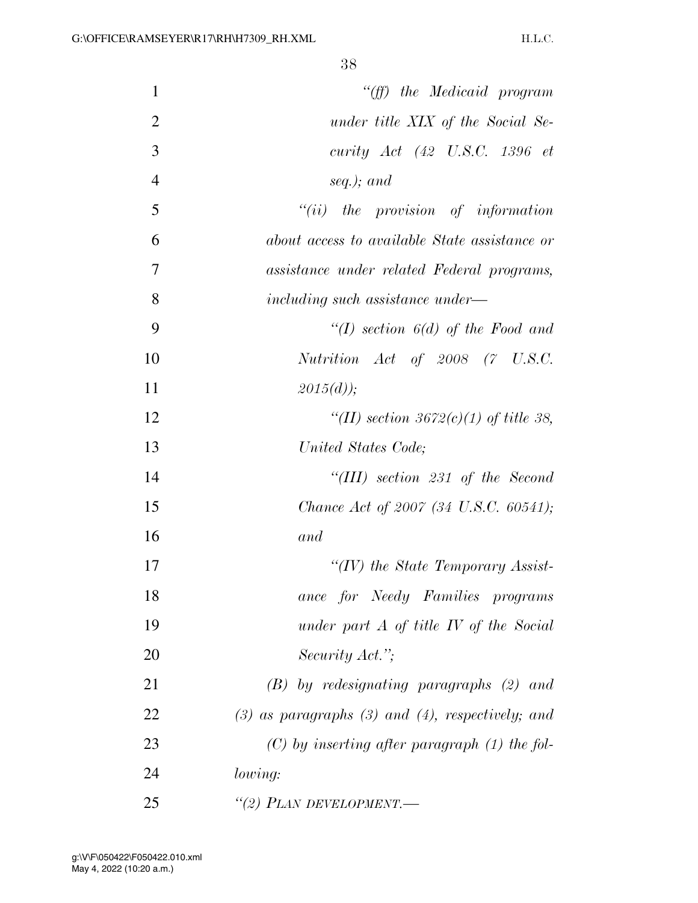| $\mathbf{1}$   | "(ff) the Medicaid program                              |
|----------------|---------------------------------------------------------|
| $\overline{2}$ | under title XIX of the Social Se-                       |
| 3              | curity $Act$ (42 U.S.C. 1396 $et$                       |
| $\overline{4}$ | seq.); and                                              |
| 5              | $``(ii)$ the provision of information                   |
| 6              | about access to available State assistance or           |
| 7              | assistance under related Federal programs,              |
| 8              | including such assistance under—                        |
| 9              | "(I) section $6(d)$ of the Food and                     |
| 10             | Nutrition Act of 2008 (7 U.S.C.                         |
| 11             | $2015(d)$ ;                                             |
| 12             | "(II) section 3672(c)(1) of title 38,                   |
| 13             | United States Code;                                     |
| 14             | "(III) section 231 of the Second                        |
| 15             | Chance Act of 2007 (34 U.S.C. 60541);                   |
| 16             | and                                                     |
| 17             | "(IV) the State Temporary Assist-                       |
| 18             | ance for Needy Families programs                        |
| 19             | under part $A$ of title $IV$ of the Social              |
| 20             | Security Act.";                                         |
| 21             | $(B)$ by redesignating paragraphs $(2)$ and             |
| 22             | $(3)$ as paragraphs $(3)$ and $(4)$ , respectively; and |
| 23             | $(C)$ by inserting after paragraph $(1)$ the fol-       |
| 24             | <i>lowing:</i>                                          |
| 25             | "(2) PLAN DEVELOPMENT.-                                 |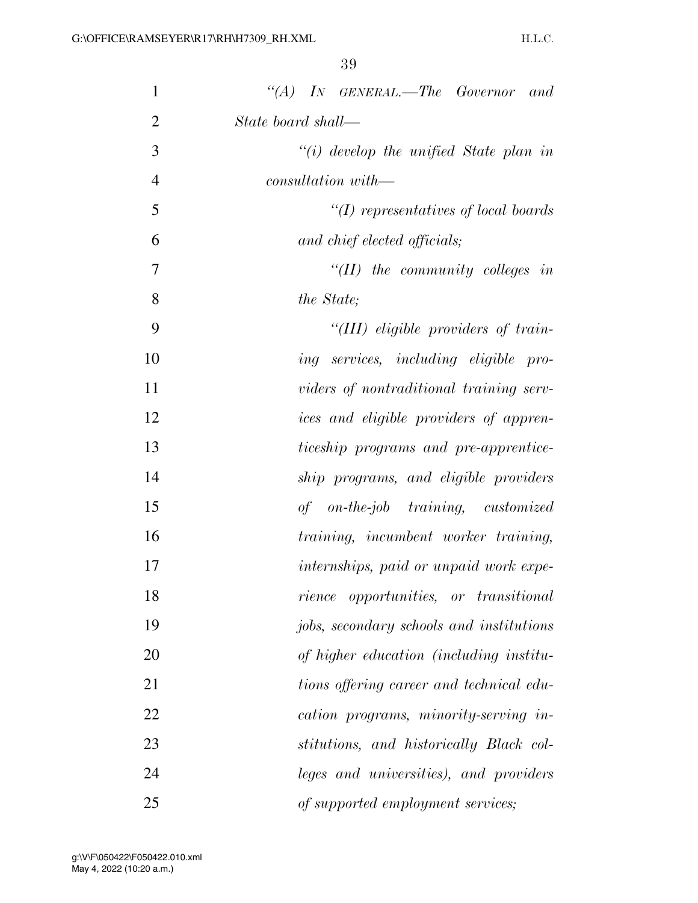| 1              | "(A) IN GENERAL.—The Governor and                    |
|----------------|------------------------------------------------------|
| $\overline{2}$ | State board shall—                                   |
| 3              | $``(i)$ develop the unified State plan in            |
| $\overline{4}$ | consultation with—                                   |
| 5              | $\lq (I)$ representatives of local boards            |
| 6              | and chief elected officials;                         |
| 7              | " $(II)$ the community colleges in                   |
| 8              | the State;                                           |
| 9              | "(III) eligible providers of train-                  |
| 10             | ing services, including eligible pro-                |
| 11             | viders of nontraditional training serv-              |
| 12             | <i>ices</i> and <i>eligible</i> providers of appren- |
| 13             | ticeship programs and pre-apprentice-                |
| 14             | ship programs, and eligible providers                |
| 15             | of on-the-job training, customized                   |
| 16             | training, incumbent worker training,                 |
| 17             | internships, paid or unpaid work expe-               |
| 18             | <i>rience opportunities, or transitional</i>         |
| 19             | jobs, secondary schools and institutions             |
| 20             | of higher education (including institu-              |
| 21             | tions offering career and technical edu-             |
| 22             | cation programs, minority-serving in-                |
| 23             | stitutions, and historically Black col-              |
| 24             | leges and universities), and providers               |
| 25             | of supported employment services;                    |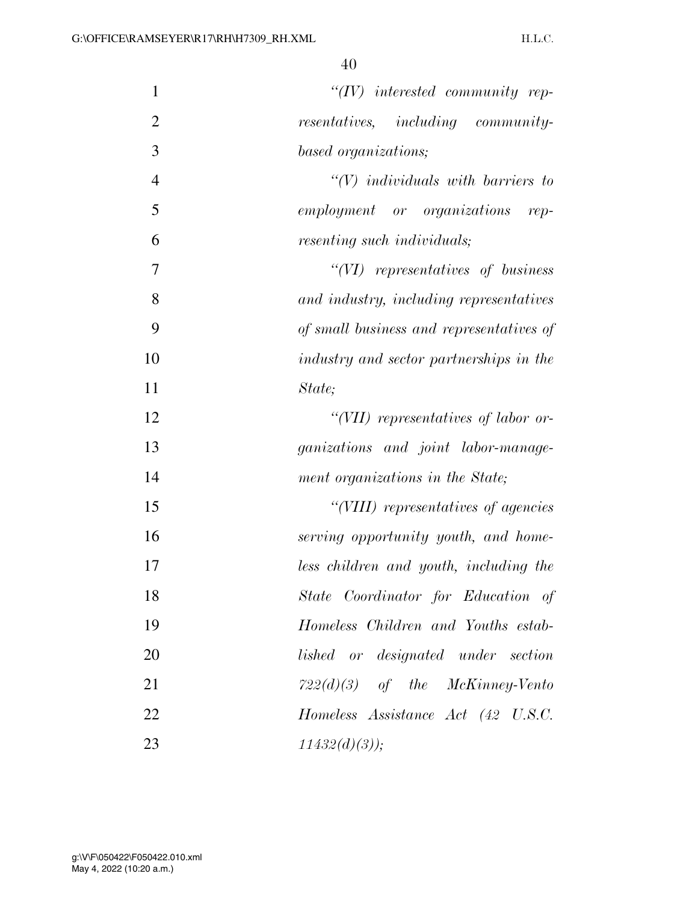| $\mathbf{1}$   | $``(IV)$ interested community rep-       |
|----------------|------------------------------------------|
| $\overline{2}$ | resentatives, including community-       |
| 3              | based organizations;                     |
| $\overline{4}$ | $\lq (V)$ individuals with barriers to   |
| 5              | employment or organizations rep-         |
| 6              | resenting such individuals;              |
| 7              | $``(VI)$ representatives of business     |
| 8              | and industry, including representatives  |
| 9              | of small business and representatives of |
| 10             | industry and sector partnerships in the  |
| 11             | State;                                   |
| 12             | "(VII) representatives of labor or-      |
| 13             | ganizations and joint labor-manage-      |
| 14             | ment organizations in the State;         |
| 15             | "(VIII) representatives of agencies      |
| 16             | serving opportunity youth, and home-     |
| 17             | less children and youth, including the   |
| 18             | State Coordinator for Education of       |
| 19             | Homeless Children and Youths estab-      |
| 20             | lished or designated under section       |
| 21             | $722(d)(3)$ of the McKinney-Vento        |
| 22             | Homeless Assistance Act (42 U.S.C.       |
| 23             | $11432(d)(3)$ );                         |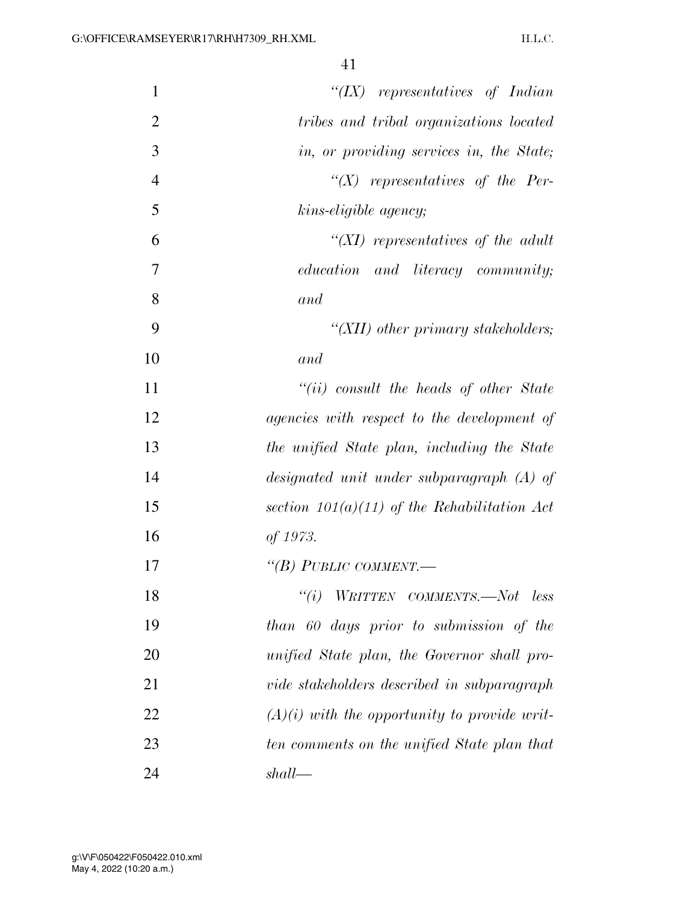| $\mathbf{1}$   | " $(IX)$ representatives of Indian             |
|----------------|------------------------------------------------|
| $\overline{2}$ | tribes and tribal organizations located        |
| 3              | in, or providing services in, the State;       |
| $\overline{4}$ | $\lq (X)$ representatives of the Per-          |
| 5              | kins-eligible agency;                          |
| 6              | "(XI) representatives of the adult             |
| 7              | education and literacy community;              |
| 8              | and                                            |
| 9              | "(XII) other primary stakeholders;             |
| 10             | and                                            |
| 11             | $``(ii)$ consult the heads of other State      |
| 12             | agencies with respect to the development of    |
| 13             | the unified State plan, including the State    |
| 14             | designated unit under subparagraph (A) of      |
| 15             | section $101(a)(11)$ of the Rehabilitation Act |
| 16             | of 1973.                                       |
| 17             | "(B) PUBLIC COMMENT.—                          |
| 18             | ``(i)<br>WRITTEN COMMENTS.—Not less            |
| 19             | than 60 days prior to submission of the        |
| 20             | unified State plan, the Governor shall pro-    |
| 21             | vide stakeholders described in subparagraph    |
| 22             | $(A)(i)$ with the opportunity to provide writ- |
| 23             | ten comments on the unified State plan that    |
| 24             | shall                                          |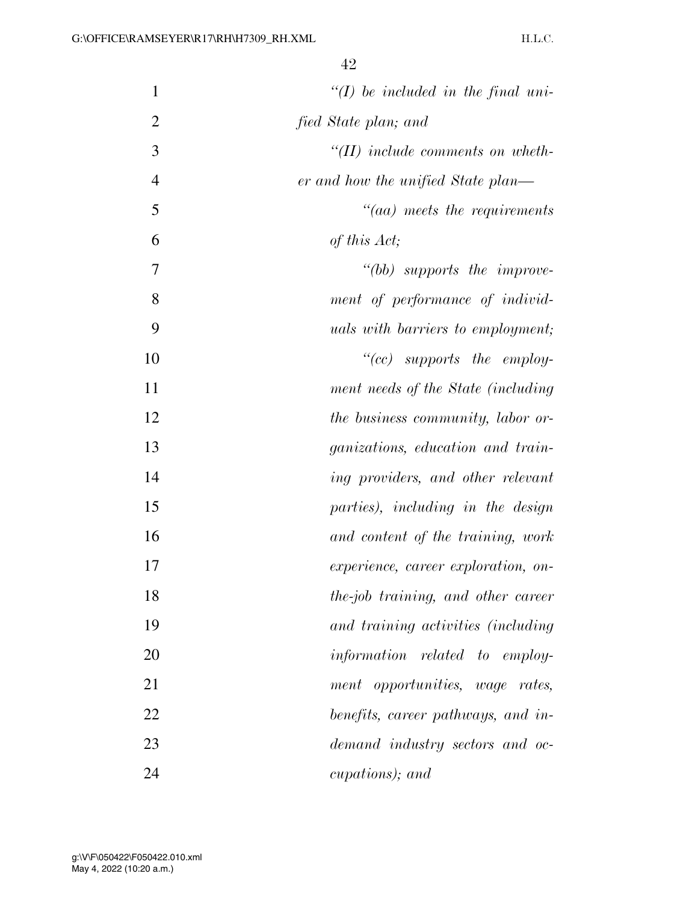| $\mathbf{1}$   | $\lq (I)$ be included in the final uni-  |
|----------------|------------------------------------------|
| $\overline{2}$ | fied State plan; and                     |
| 3              | $H(H)$ include comments on wheth-        |
| $\overline{4}$ | er and how the unified State plan—       |
| 5              | $"(aa)$ meets the requirements           |
| 6              | of this Act;                             |
| 7              | "(bb) supports the improve-              |
| 8              | ment of performance of individ-          |
| 9              | <i>uals with barriers to employment;</i> |
| 10             | $``(cc)$ supports the employ-            |
| 11             | ment needs of the State (including       |
| 12             | <i>the business community, labor or-</i> |
| 13             | <i>ganizations, education and train-</i> |
| 14             | ing providers, and other relevant        |
| 15             | parties), including in the design        |
| 16             | and content of the training, work        |
| 17             | experience, career exploration, on-      |
| 18             | the-job training, and other career       |
| 19             | and training activities (including       |
| 20             | information related to employ-           |
| 21             | ment opportunities, wage rates,          |
| 22             | benefits, career pathways, and in-       |
| 23             | demand industry sectors and oc-          |
| 24             | cupations); and                          |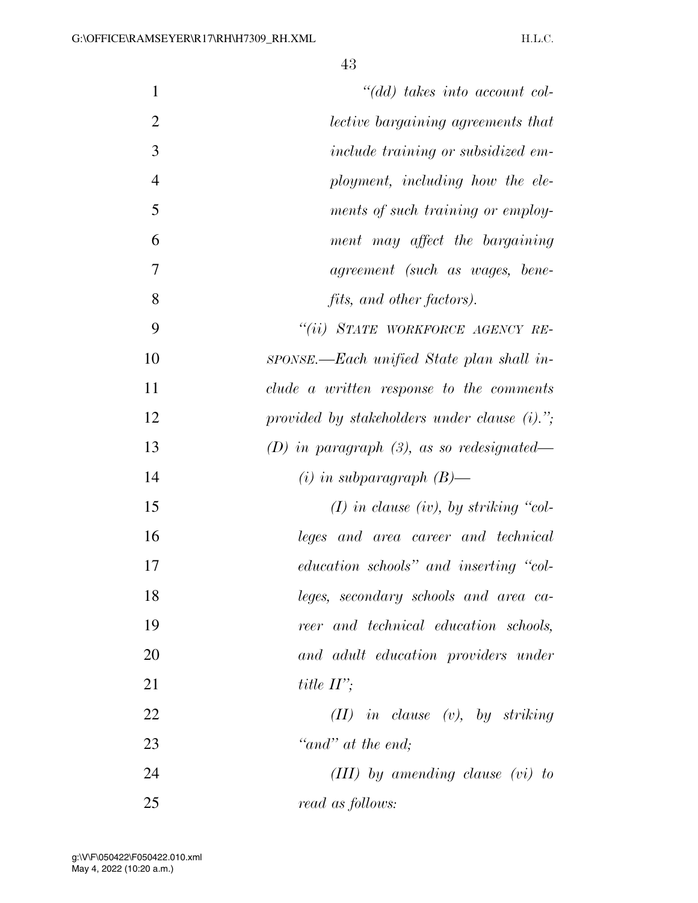| $\mathbf{1}$   | $" (dd)$ takes into account col-                |
|----------------|-------------------------------------------------|
| $\overline{2}$ | <i>lective bargaining agreements that</i>       |
| 3              | include training or subsidized em-              |
| $\overline{4}$ | ployment, including how the ele-                |
| 5              | ments of such training or employ-               |
| 6              | ment may affect the bargaining                  |
| 7              | agreement (such as wages, bene-                 |
| 8              | <i>fits, and other factors).</i>                |
| 9              | "(ii) STATE WORKFORCE AGENCY RE-                |
| 10             | sponse.—Each unified State plan shall in-       |
| 11             | clude a written response to the comments        |
| 12             | provided by stakeholders under clause $(i)$ ."; |
| 13             | (D) in paragraph $(3)$ , as so redesignated—    |
| 14             | $(i)$ in subparagraph $(B)$ —                   |
| 15             | $(I)$ in clause (iv), by striking "col-         |
| 16             | leges and area career and technical             |
| 17             | education schools" and inserting "col-          |
| 18             | leges, secondary schools and area ca-           |
| 19             | reer and technical education schools,           |
| 20             | and adult education providers under             |
| 21             | title $II$ ';                                   |
| 22             | $(II)$ in clause $(v)$ , by striking            |
| 23             | "and" at the end;                               |
| 24             | $(III)$ by amending clause $(vi)$ to            |
| 25             | read as follows:                                |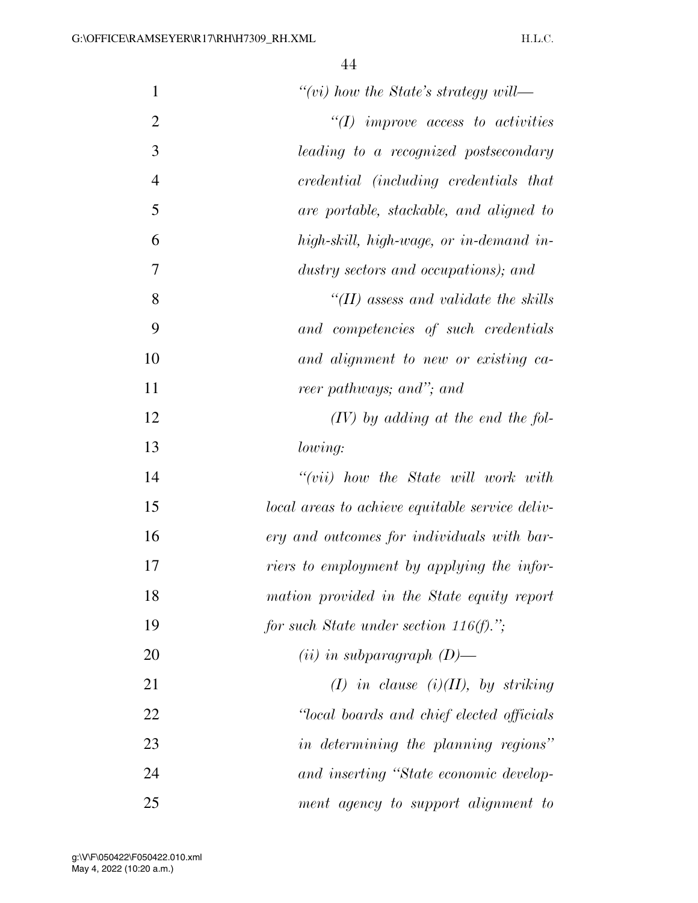| $\mathbf{1}$   | "(vi) how the State's strategy will—            |
|----------------|-------------------------------------------------|
| $\overline{2}$ | $\lq (I)$ improve access to activities          |
| 3              | leading to a recognized postsecondary           |
| $\overline{4}$ | credential (including credentials that          |
| 5              | are portable, stackable, and aligned to         |
| 6              | high-skill, high-wage, or in-demand in-         |
| 7              | dustry sectors and occupations); and            |
| 8              | "(II) assess and validate the skills            |
| 9              | and competencies of such credentials            |
| 10             | and alignment to new or existing ca-            |
| 11             | reer pathways; and"; and                        |
| 12             | $(IV)$ by adding at the end the fol-            |
| 13             | lowing:                                         |
| 14             | $``(vii)$ how the State will work with          |
| 15             | local areas to achieve equitable service deliv- |
| 16             | ery and outcomes for individuals with bar-      |
| 17             | riers to employment by applying the infor-      |
| 18             | mation provided in the State equity report      |
| 19             | for such State under section 116(f).";          |
| 20             | $(ii)$ in subparagraph $(D)$ —                  |
| 21             | $(I)$ in clause $(i)(II)$ , by striking         |
| 22             | "local boards and chief elected officials"      |
| 23             | in determining the planning regions"            |
| 24             | and inserting "State economic develop-          |
| 25             | ment agency to support alignment to             |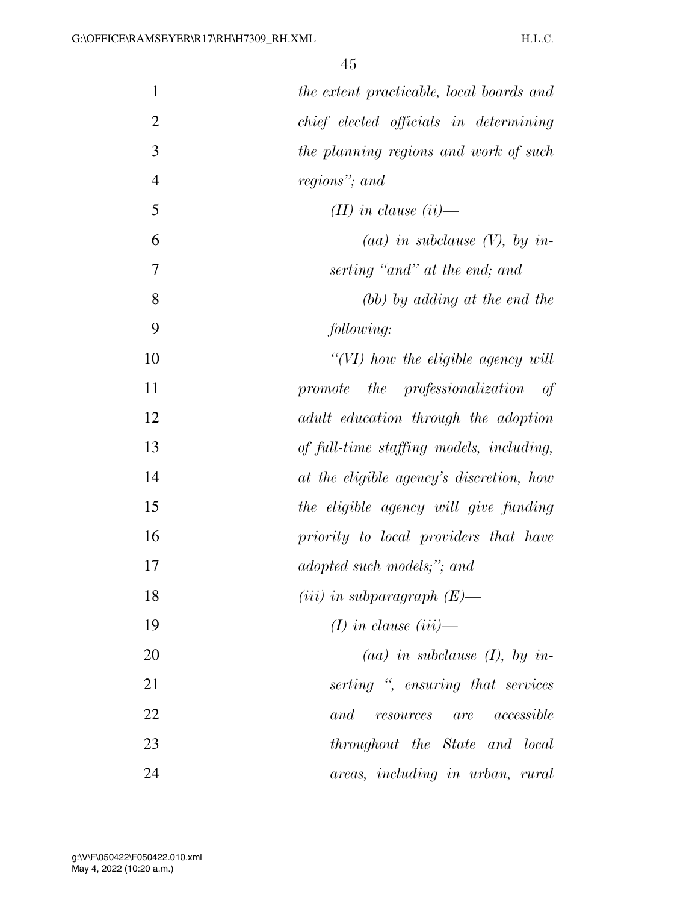| $\mathbf{1}$   | the extent practicable, local boards and |
|----------------|------------------------------------------|
| $\overline{2}$ | chief elected officials in determining   |
| 3              | the planning regions and work of such    |
| $\overline{4}$ | regions"; and                            |
| 5              | $(II)$ in clause $(ii)$ —                |
| 6              | (aa) in subclause $(V)$ , by in-         |
| 7              | serting "and" at the end; and            |
| 8              | (bb) by adding at the end the            |
| 9              | following:                               |
| 10             | "(VI) how the eligible agency will       |
| 11             | promote the professionalization<br>of    |
| 12             | adult education through the adoption     |
| 13             | of full-time staffing models, including, |
| 14             | at the eligible agency's discretion, how |
| 15             | the eligible agency will give funding    |
| 16             | priority to local providers that have    |
| 17             | adopted such models;"; and               |
| 18             | (iii) in subparagraph $(E)$ —            |
| 19             | $(I)$ in clause $(iii)$ —                |
| 20             | $(aa)$ in subclause $(I)$ , by in-       |
| 21             | serting ", ensuring that services        |
| 22             | and<br><i>resources</i> are accessible   |
| 23             | throughout the State and local           |
| 24             | areas, including in urban, rural         |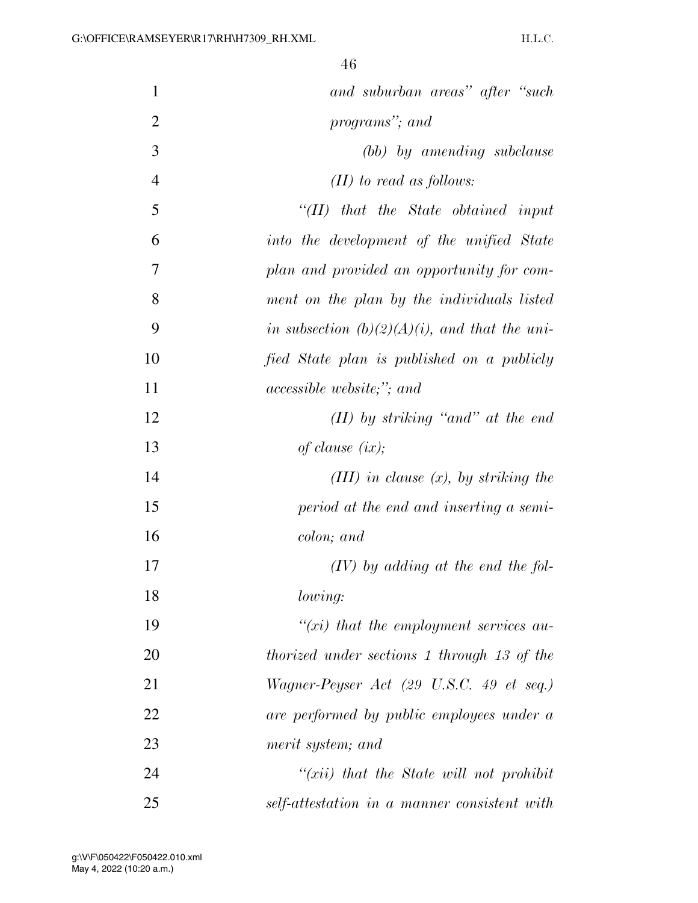| $\mathbf{1}$   | and suburban areas" after "such                    |
|----------------|----------------------------------------------------|
| $\overline{2}$ | programs"; and                                     |
| 3              | (bb) by amending subclause                         |
| $\overline{4}$ | $(II)$ to read as follows:                         |
| 5              | $``(II)$ that the State obtained input             |
| 6              | into the development of the unified State          |
| 7              | plan and provided an opportunity for com-          |
| 8              | ment on the plan by the individuals listed         |
| 9              | in subsection $(b)(2)(A)(i)$ , and that the uni-   |
| 10             | fied State plan is published on a publicly         |
| 11             | <i>accessible website;"; and</i>                   |
| 12             | $(II)$ by striking "and" at the end                |
| 13             | of clause $(ix);$                                  |
| 14             | (III) in clause $(x)$ , by striking the            |
| 15             | period at the end and inserting a semi-            |
| 16             | colon; and                                         |
| 17             | $(IV)$ by adding at the end the fol-               |
| 18             | lowing:                                            |
| 19             | $\lq\lq(xi)$ that the employment services au-      |
| 20             | <i>thorized under sections 1 through 13 of the</i> |
| 21             | Wagner-Peyser Act (29 U.S.C. 49 et seq.)           |
| 22             | are performed by public employees under a          |
| 23             | merit system; and                                  |
| 24             | $\tilde{f}(xii)$ that the State will not prohibit  |
| 25             | self-attestation in a manner consistent with       |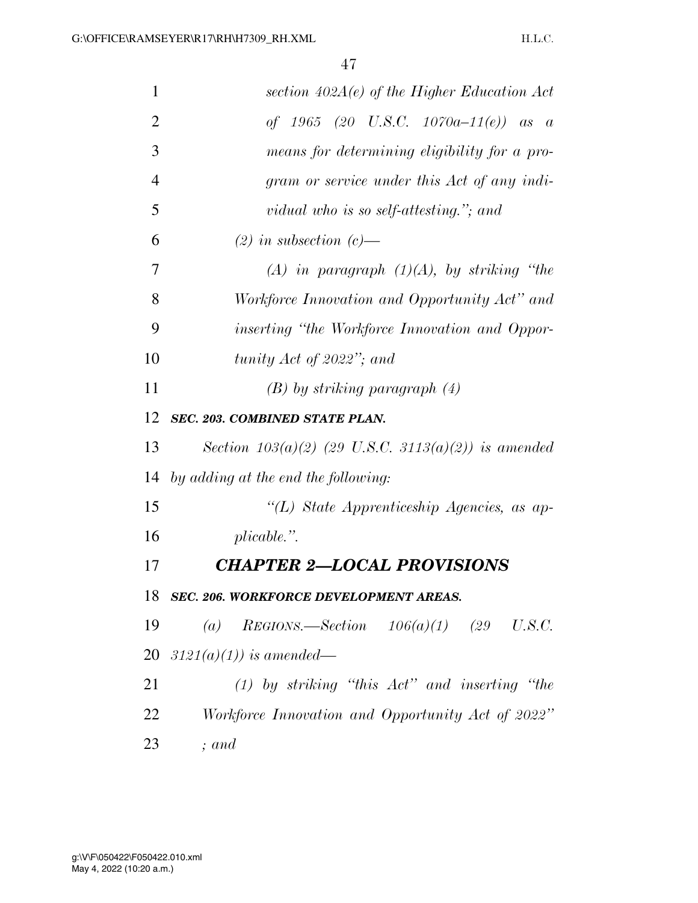| $\mathbf{1}$   | section $402A(e)$ of the Higher Education Act         |
|----------------|-------------------------------------------------------|
| $\overline{2}$ | of 1965 (20 U.S.C. 1070a-11(e)) as a                  |
| 3              | means for determining eligibility for a pro-          |
| $\overline{4}$ | gram or service under this Act of any indi-           |
| 5              | vidual who is so self-attesting."; and                |
| 6              | $(2)$ in subsection $(c)$ —                           |
| 7              | $(A)$ in paragraph $(1)(A)$ , by striking "the        |
| 8              | Workforce Innovation and Opportunity Act" and         |
| 9              | <i>inserting "the Workforce Innovation and Oppor-</i> |
| 10             | tunity Act of 2022"; and                              |
| 11             | $(B)$ by striking paragraph $(4)$                     |
| 12             | <b>SEC. 203. COMBINED STATE PLAN.</b>                 |
| 13             | Section $103(a)(2)$ (29 U.S.C. 3113(a)(2)) is amended |
| 14             | by adding at the end the following:                   |
| 15             | "(L) State Apprenticeship Agencies, as ap-            |
| 16             | $plicable.$ ".                                        |
| 17             | <b>CHAPTER 2-LOCAL PROVISIONS</b>                     |
| 18             | SEC. 206. WORKFORCE DEVELOPMENT AREAS.                |
| 19             | (a) REGIONS.—Section $106(a)(1)$ (29 U.S.C.           |
| 20             | $3121(a)(1)$ ) is amended—                            |
| 21             | $(1)$ by striking "this $Act$ " and inserting "the    |
| 22             | Workforce Innovation and Opportunity Act of 2022"     |
| 23             | $;$ and                                               |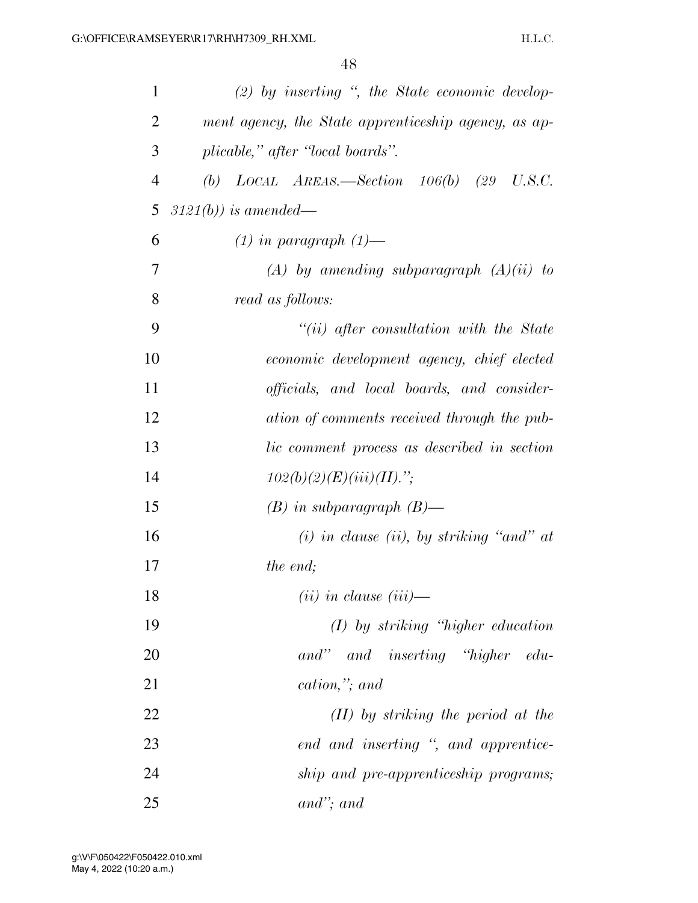| $\mathbf{1}$   | $(2)$ by inserting ", the State economic develop-                  |
|----------------|--------------------------------------------------------------------|
| $\overline{2}$ | ment agency, the State apprenticeship agency, as ap-               |
| 3              | plicable," after "local boards".                                   |
| $\overline{4}$ | (b) $LOCAL$ $AREAS$ —Section $106(b)$ (29 U.S.C.                   |
| 5              | $3121(b)$ ) is amended—                                            |
| 6              | $(1)$ in paragraph $(1)$ —                                         |
| 7              | $(A)$ by amending subparagraph $(A)(ii)$ to                        |
| 8              | read as follows:                                                   |
| 9              | $``(ii)$ after consultation with the State                         |
| 10             | economic development agency, chief elected                         |
| 11             | <i>officials</i> , and <i>local boards</i> , and <i>consider</i> - |
| 12             | ation of comments received through the pub-                        |
| 13             | lic comment process as described in section                        |
| 14             | $102(b)(2)(E)(iii)(II).$ ";                                        |
| 15             | $(B)$ in subparagraph $(B)$ —                                      |
| 16             | $(i)$ in clause (ii), by striking "and" at                         |
| 17             | the end;                                                           |
| 18             | $(ii)$ in clause $(iii)$ —                                         |
| 19             | $(I)$ by striking "higher education"                               |
| 20             | and" and inserting "higher edu-                                    |
| 21             | cation,"; and                                                      |
| 22             | $(II)$ by striking the period at the                               |
| 23             | end and inserting ", and apprentice-                               |
| 24             | ship and pre-apprenticeship programs;                              |
| 25             | $and$ "; and                                                       |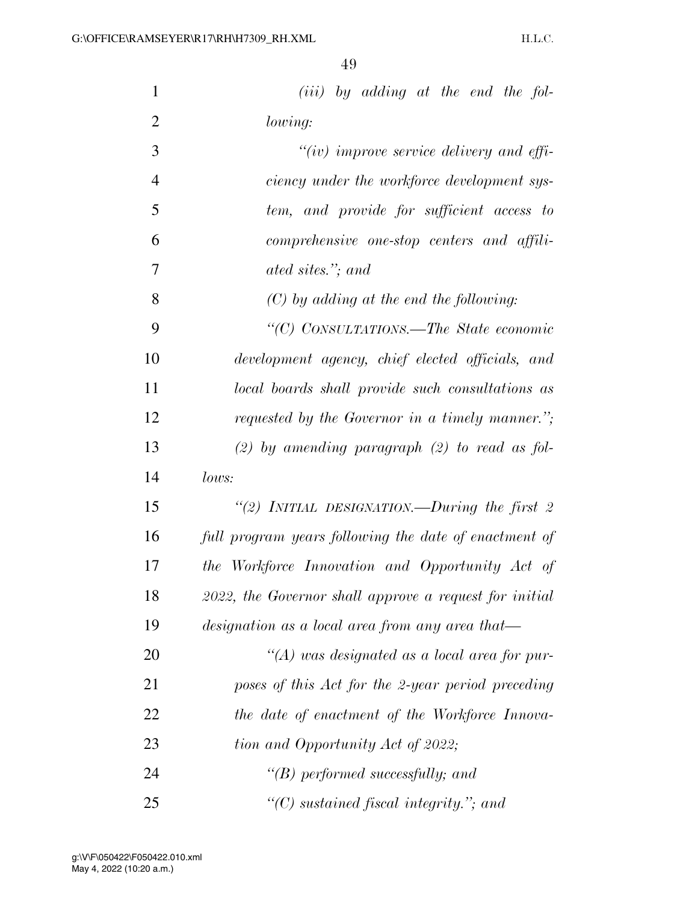| $\mathbf{1}$   | $(iii)$ by adding at the end the fol-                  |
|----------------|--------------------------------------------------------|
| $\overline{2}$ | lowing:                                                |
| 3              | $``(iv)$ improve service delivery and effi-            |
| $\overline{4}$ | ciency under the workforce development sys-            |
| 5              | tem, and provide for sufficient access to              |
| 6              | comprehensive one-stop centers and affili-             |
| 7              | ated sites."; and                                      |
| 8              | $(C)$ by adding at the end the following:              |
| 9              | "(C) CONSULTATIONS.—The State economic                 |
| 10             | development agency, chief elected officials, and       |
| 11             | local boards shall provide such consultations as       |
| 12             | requested by the Governor in a timely manner.";        |
| 13             | $(2)$ by amending paragraph $(2)$ to read as fol-      |
| 14             | lows:                                                  |
| 15             | "(2) INITIAL DESIGNATION.—During the first $2$         |
| 16             | full program years following the date of enactment of  |
| 17             | the Workforce Innovation and Opportunity Act of        |
| 18             | 2022, the Governor shall approve a request for initial |
| 19             | designation as a local area from any area that—        |
| 20             | $\lq (A)$ was designated as a local area for pur-      |
| 21             | poses of this Act for the 2-year period preceding      |
| 22             | the date of enactment of the Workforce Innova-         |
| 23             | tion and Opportunity Act of 2022;                      |
| 24             | $\lq\lq(B)$ performed successfully; and                |
| 25             | "(C) sustained fiscal integrity."; and                 |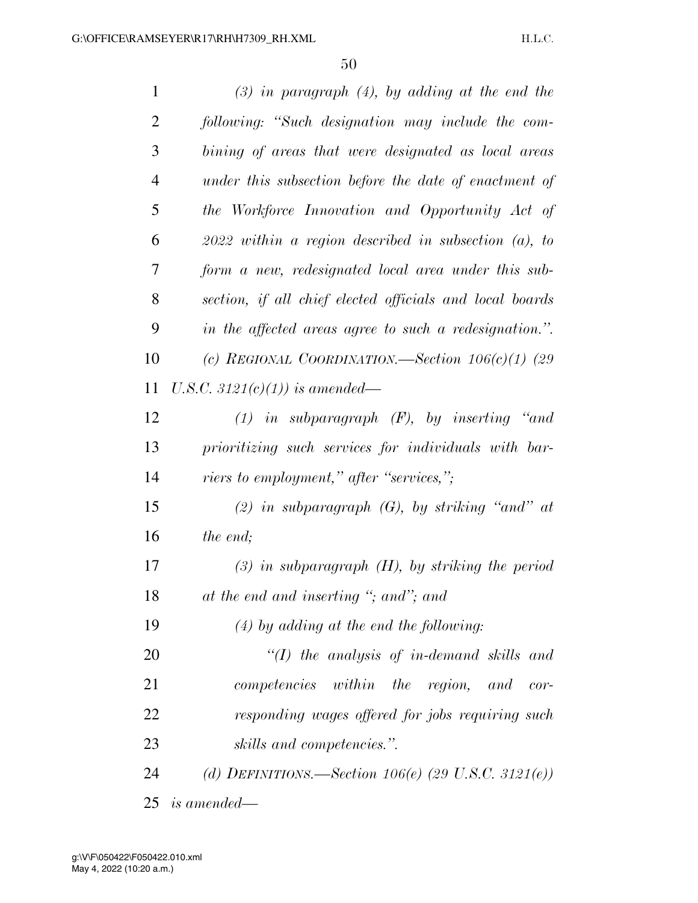| $\mathbf{1}$   | $(3)$ in paragraph $(4)$ , by adding at the end the      |
|----------------|----------------------------------------------------------|
| $\overline{2}$ | following: "Such designation may include the com-        |
| 3              | bining of areas that were designated as local areas      |
| $\overline{4}$ | under this subsection before the date of enactment of    |
| 5              | the Workforce Innovation and Opportunity Act of          |
| 6              | $2022$ within a region described in subsection (a), to   |
| 7              | form a new, redesignated local area under this sub-      |
| 8              | section, if all chief elected officials and local boards |
| 9              | in the affected areas agree to such a redesignation.".   |
| 10             | (c) REGIONAL COORDINATION.—Section $106(c)(1)$ (29       |
| 11             | U.S.C. 3121(c)(1)) is amended—                           |
| 12             | $(1)$ in subparagraph $(F)$ , by inserting "and          |
| 13             | prioritizing such services for individuals with bar-     |
| 14             | <i>riers to employment," after "services,"</i> ;         |
| 15             | (2) in subparagraph $(G)$ , by striking "and" at         |
| 16             | the end;                                                 |
| 17             | $(3)$ in subparagraph $(H)$ , by striking the period     |
| 18             | at the end and inserting "; and"; and                    |
| 19             | $(4)$ by adding at the end the following:                |
| 20             | $\lq (I)$ the analysis of in-demand skills and           |
| 21             | competencies within the region, and<br>$cor-$            |
| 22             | responding wages offered for jobs requiring such         |
| 23             | skills and competencies.".                               |
| 24             | (d) DEFINITIONS.—Section 106(e) (29 U.S.C. 3121(e))      |
| 25             | <i>is amended—</i>                                       |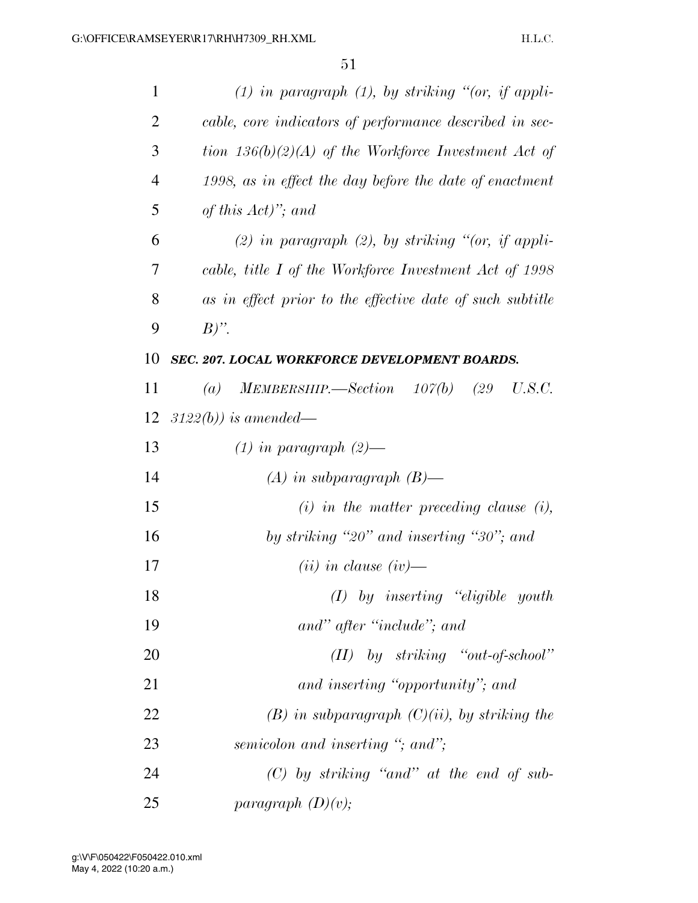| 1              | $(1)$ in paragraph $(1)$ , by striking "(or, if appli-    |
|----------------|-----------------------------------------------------------|
| 2              | cable, core indicators of performance described in sec-   |
| 3              | tion $136(b)(2)(A)$ of the Workforce Investment Act of    |
| $\overline{4}$ | 1998, as in effect the day before the date of enactment   |
| 5              | of this $Act)$ "; and                                     |
| 6              | $(2)$ in paragraph $(2)$ , by striking "(or, if appli-    |
| 7              | cable, title I of the Workforce Investment Act of 1998    |
| 8              | as in effect prior to the effective date of such subtitle |
| 9              | $B)$ ".                                                   |
| 10             | SEC. 207. LOCAL WORKFORCE DEVELOPMENT BOARDS.             |
| 11             | (a) MEMBERSHIP.—Section $107(b)$ (29)<br>U.S.C.           |
| 12             | $3122(b)$ ) is amended—                                   |
| 13             | $(1)$ in paragraph $(2)$ —                                |
| 14             | $(A)$ in subparagraph $(B)$ —                             |
| 15             | $(i)$ in the matter preceding clause $(i)$ ,              |
| 16             | by striking "20" and inserting "30"; and                  |
| 17             | $(ii)$ in clause $(iv)$ —                                 |
| 18             | $(I)$ by inserting "eligible youth                        |
| 19             | and" after "include"; and                                 |
| 20             | $(II)$ by striking "out-of-school"                        |
| 21             | and inserting "opportunity"; and                          |
| 22             | $(B)$ in subparagraph $(C)(ii)$ , by striking the         |
| 23             | semicolon and inserting "; and";                          |
| 24             | $(C)$ by striking "and" at the end of sub-                |
| 25             | paragraph $(D)(v)$ ;                                      |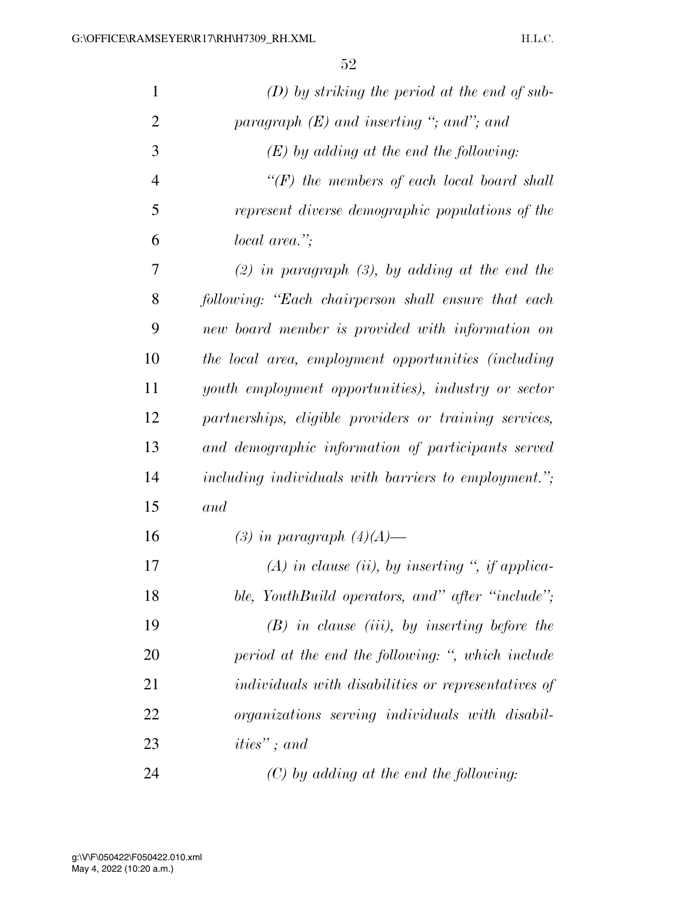| $\mathbf{1}$   | $(D)$ by striking the period at the end of sub-            |
|----------------|------------------------------------------------------------|
| $\overline{2}$ | paragraph $(E)$ and inserting "; and"; and                 |
| 3              | $(E)$ by adding at the end the following:                  |
| $\overline{4}$ | $\lq (F)$ the members of each local board shall            |
| 5              | represent diverse demographic populations of the           |
| 6              | local area.";                                              |
| 7              | $(2)$ in paragraph $(3)$ , by adding at the end the        |
| 8              | following: "Each chairperson shall ensure that each        |
| 9              | new board member is provided with information on           |
| 10             | the local area, employment opportunities (including        |
| 11             | youth employment opportunities), industry or sector        |
| 12             | partnerships, eligible providers or training services,     |
| 13             | and demographic information of participants served         |
| 14             | including individuals with barriers to employment.";       |
| 15             | and                                                        |
| 16             | (3) in paragraph $(4)(A)$ —                                |
| 17             | $(A)$ in clause (ii), by inserting ", if applica-          |
| 18             | ble, YouthBuild operators, and" after "include";           |
| 19             | $(B)$ in clause (iii), by inserting before the             |
| 20             | period at the end the following: ", which include          |
| 21             | <i>individuals with disabilities or representatives of</i> |
| 22             | organizations serving individuals with disabil-            |
| 23             | $ities"$ ; and                                             |
| 24             | $(C)$ by adding at the end the following:                  |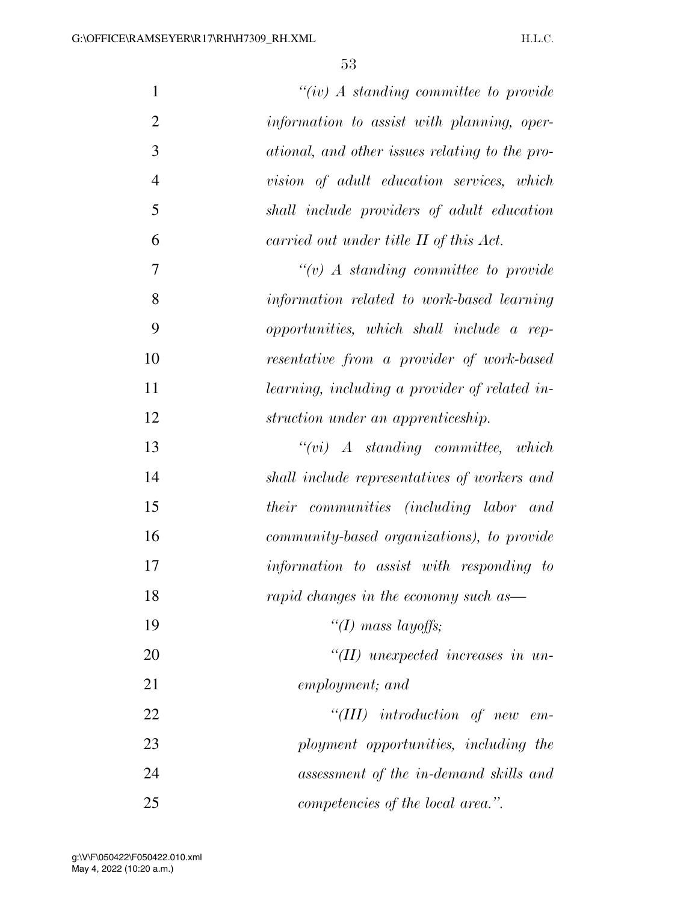| $\mathbf{1}$   | "(iv) $\Lambda$ standing committee to provide     |
|----------------|---------------------------------------------------|
| $\mathfrak{2}$ | information to assist with planning, oper-        |
| 3              | ational, and other issues relating to the pro-    |
| $\overline{4}$ | vision of adult education services, which         |
| 5              | shall include providers of adult education        |
| 6              | carried out under title II of this Act.           |
| $\tau$         | $``(v)$ A standing committee to provide           |
| 8              | information related to work-based learning        |
| 9              | opportunities, which shall include a rep-         |
| 10             | resentative from a provider of work-based         |
| 11             | learning, including a provider of related in-     |
| 12             | struction under an apprenticeship.                |
| 13             | $``(vi)$ A standing committee, which              |
| 14             | shall include representatives of workers and      |
| 15             | communities (including labor and<br><i>their</i>  |
| 16             | <i>community-based organizations), to provide</i> |
| 17             | information to assist with responding to          |
| 18             | rapid changes in the economy such as-             |
| 19             | "(I) mass layoffs;                                |
| 20             | $H(II)$ unexpected increases in un-               |
| 21             | employment; and                                   |
| 22             | $``(III)$ introduction of new<br>$em-$            |
| 23             | ployment opportunities, including the             |
| 24             | assessment of the in-demand skills and            |
| 25             | competencies of the local area.".                 |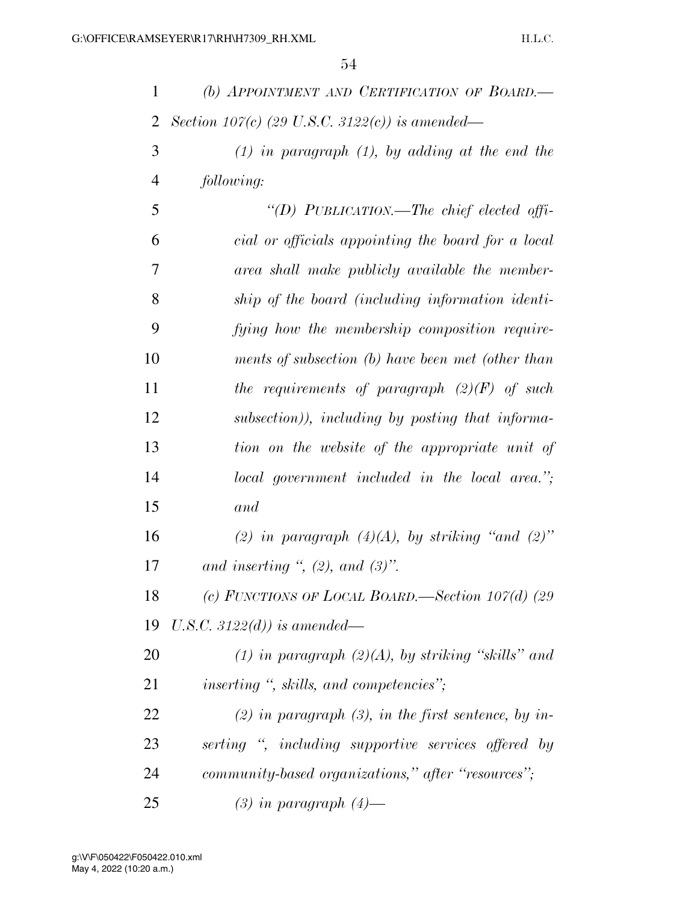| 1              | (b) APPOINTMENT AND CERTIFICATION OF BOARD.          |
|----------------|------------------------------------------------------|
| 2              | Section 107(c) (29 U.S.C. 3122(c)) is amended—       |
| 3              | $(1)$ in paragraph $(1)$ , by adding at the end the  |
| $\overline{4}$ | following:                                           |
| 5              | "(D) PUBLICATION.—The chief elected offi-            |
| 6              | cial or officials appointing the board for a local   |
| 7              | area shall make publicly available the member-       |
| 8              | ship of the board (including information identi-     |
| 9              | fying how the membership composition require-        |
| 10             | ments of subsection (b) have been met (other than    |
| 11             | the requirements of paragraph $(2)(F)$ of such       |
| 12             | subsection)), including by posting that informa-     |
| 13             | tion on the website of the appropriate unit of       |
| 14             | local government included in the local area.";       |
| 15             | and                                                  |
| 16             | (2) in paragraph $(4)(A)$ , by striking "and $(2)$ " |
| 17             | and inserting ", $(2)$ , and $(3)$ ".                |
| 18             | (c) FUNCTIONS OF LOCAL BOARD. Section $107(d)$ (29)  |
| 19             | U.S.C. 3122(d)) is amended—                          |
| 20             | (1) in paragraph $(2)(A)$ , by striking "skills" and |
| 21             | inserting ", skills, and competencies";              |
| 22             | (2) in paragraph (3), in the first sentence, by in-  |
| 23             | serting ", including supportive services offered by  |
| 24             | community-based organizations," after "resources";   |
| 25             | $(3)$ in paragraph $(4)$ —                           |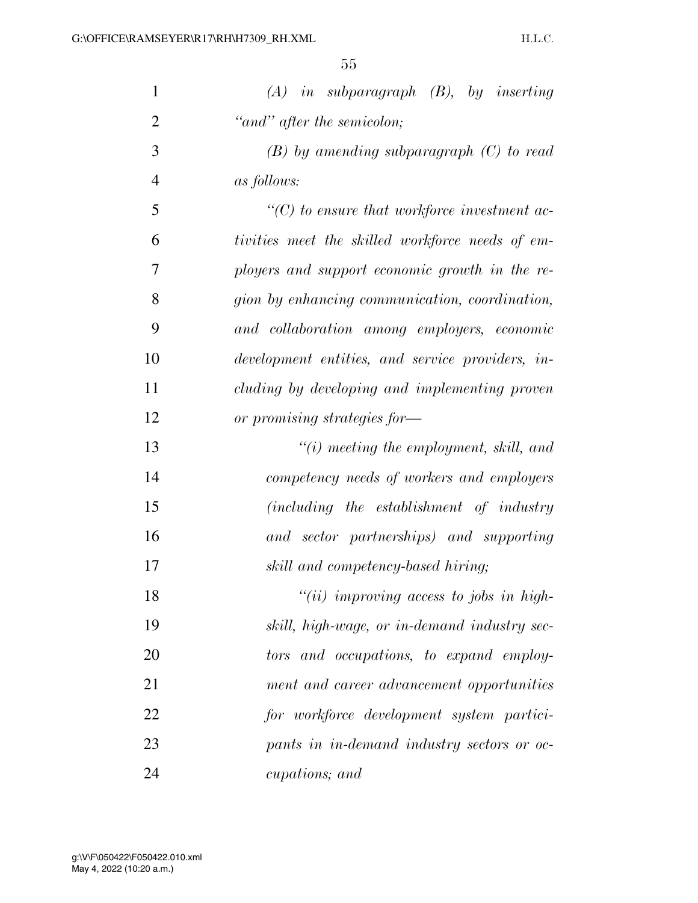| $\mathbf{1}$   | $(A)$ in subparagraph $(B)$ , by inserting         |
|----------------|----------------------------------------------------|
| $\overline{2}$ | "and" after the semicolon;                         |
| 3              | $(B)$ by amending subparagraph $(C)$ to read       |
| $\overline{4}$ | <i>as follows:</i>                                 |
| 5              | $\lq\lq C$ to ensure that workforce investment ac- |
| 6              | tivities meet the skilled workforce needs of em-   |
| 7              | ployers and support economic growth in the re-     |
| 8              | gion by enhancing communication, coordination,     |
| 9              | and collaboration among employers, economic        |
| 10             | development entities, and service providers, in-   |
| 11             | cluding by developing and implementing proven      |
| 12             | or promising strategies for-                       |
| 13             | $\lq\lq(i)$ meeting the employment, skill, and     |
| 14             | competency needs of workers and employers          |
| 15             | (including the establishment of industry           |
| 16             | and sector partnerships) and supporting            |
| 17             | skill and competency-based hiring;                 |
| 18             | $"(ii)$ improving access to jobs in high-          |
| 19             | skill, high-wage, or in-demand industry sec-       |
| 20             | tors and occupations, to expand employ-            |
| 21             | ment and career advancement opportunities          |
| 22             | for workforce development system partici-          |
| 23             | pants in in-demand industry sectors or oc-         |
| 24             | cupations; and                                     |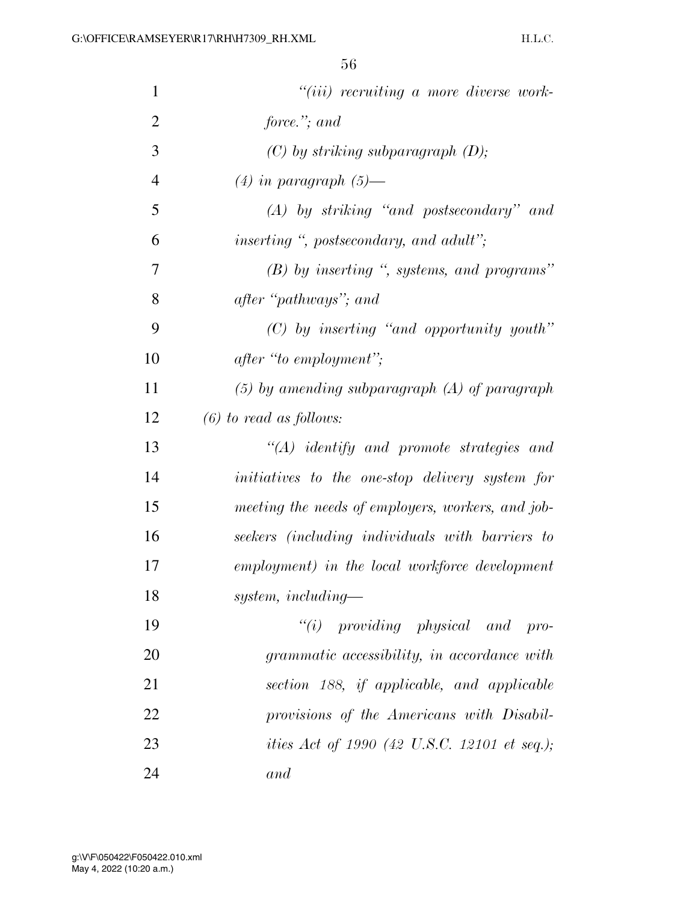| $\mathbf{1}$   | $"(iii)$ recruiting a more diverse work-             |
|----------------|------------------------------------------------------|
| $\overline{2}$ | force."; and                                         |
| 3              | $(C)$ by striking subparagraph $(D)$ ;               |
| $\overline{4}$ | $(4)$ in paragraph $(5)$ —                           |
| 5              | $(A)$ by striking "and postsecondary" and            |
| 6              | <i>inserting</i> ", postsecondary, and adult";       |
| 7              | $(B)$ by inserting ", systems, and programs"         |
| 8              | after "pathways"; and                                |
| 9              | $(C)$ by inserting "and opportunity youth"           |
| 10             | after "to employment";                               |
| 11             | $(5)$ by amending subparagraph $(A)$ of paragraph    |
| 12             | $(6)$ to read as follows:                            |
| 13             | $\lq\lq (A)$ identify and promote strategies and     |
| 14             | initiatives to the one-stop delivery system for      |
| 15             | meeting the needs of employers, workers, and job-    |
| 16             | seekers (including individuals with barriers to      |
| 17             | employment) in the local workforce development       |
| 18             | $system, including-$                                 |
| 19             | $``(i)$ providing physical and pro-                  |
| 20             | grammatic accessibility, in accordance with          |
| 21             | section 188, if applicable, and applicable           |
| 22             | provisions of the Americans with Disabil-            |
| 23             | <i>ities Act of 1990 (42 U.S.C. 12101 et seq.)</i> ; |
| 24             | and                                                  |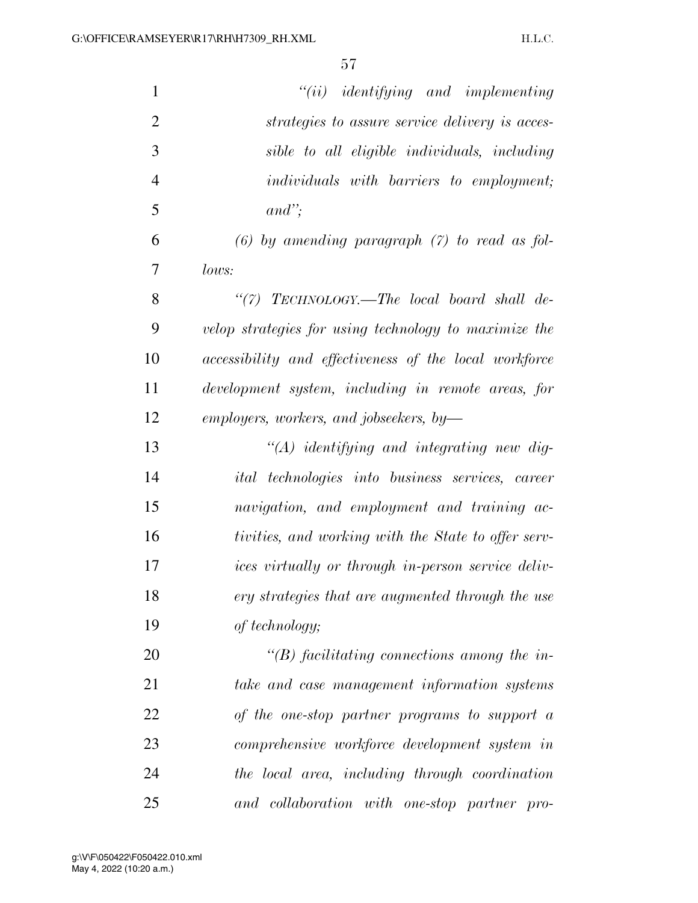| $\mathbf{1}$   | $``(ii)$ identifying and implementing                   |
|----------------|---------------------------------------------------------|
| $\overline{2}$ | strategies to assure service delivery is acces-         |
| 3              | sible to all eligible individuals, including            |
| $\overline{4}$ | <i>individuals with barriers to employment;</i>         |
| 5              | $and$ ";                                                |
| 6              | $(6)$ by amending paragraph $(7)$ to read as fol-       |
| 7              | lows:                                                   |
| 8              | "(7) TECHNOLOGY.—The local board shall de-              |
| 9              | velop strategies for using technology to maximize the   |
| 10             | accessibility and effectiveness of the local workforce  |
| 11             | development system, including in remote areas, for      |
| 12             | employers, workers, and jobseekers, by-                 |
| 13             | $"(A)$ identifying and integrating new dig-             |
| 14             | <i>ital technologies into business services, career</i> |
| 15             | navigation, and employment and training ac-             |
| 16             | tivities, and working with the State to offer serv-     |
| 17             | ices virtually or through in-person service deliv-      |
| 18             | ery strategies that are augmented through the use       |
| 19             | of technology;                                          |
| 20             | $\lq\lq(B)$ facilitating connections among the in-      |
| 21             | take and case management information systems            |
| 22             | of the one-stop partner programs to support a           |
| 23             | comprehensive workforce development system in           |
| 24             | the local area, including through coordination          |
| 25             | and collaboration with one-stop partner pro-            |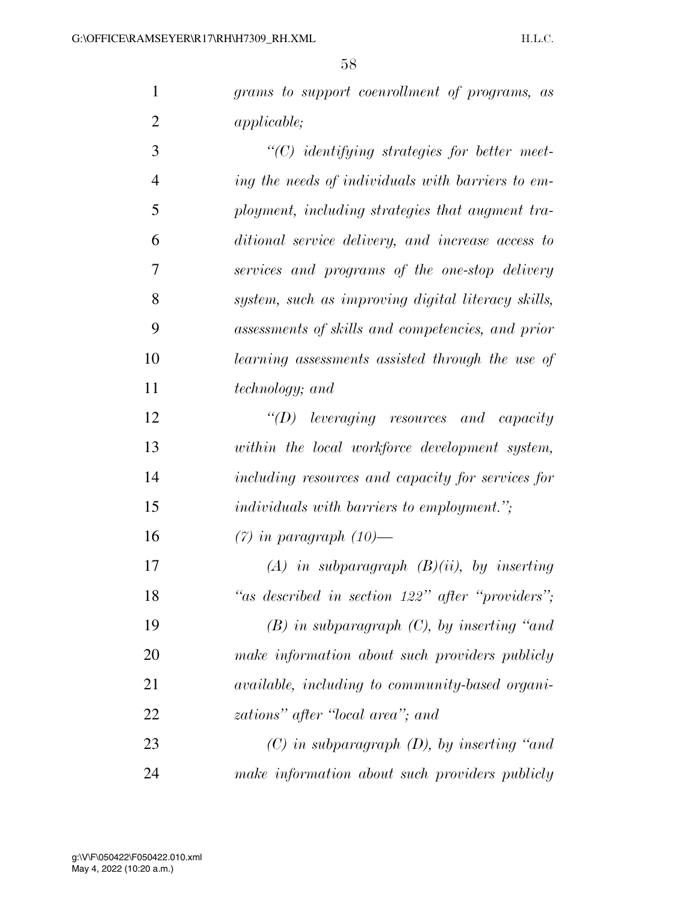*grams to support coenrollment of programs, as applicable;* 

 *''(C) identifying strategies for better meet- ing the needs of individuals with barriers to em- ployment, including strategies that augment tra- ditional service delivery, and increase access to services and programs of the one-stop delivery system, such as improving digital literacy skills, assessments of skills and competencies, and prior learning assessments assisted through the use of technology; and* 

 *''(D) leveraging resources and capacity within the local workforce development system, including resources and capacity for services for individuals with barriers to employment.'';* 

*(7) in paragraph (10)—* 

 *(A) in subparagraph (B)(ii), by inserting ''as described in section 122'' after ''providers''; (B) in subparagraph (C), by inserting ''and make information about such providers publicly available, including to community-based organi-zations'' after ''local area''; and* 

 *(C) in subparagraph (D), by inserting ''and make information about such providers publicly*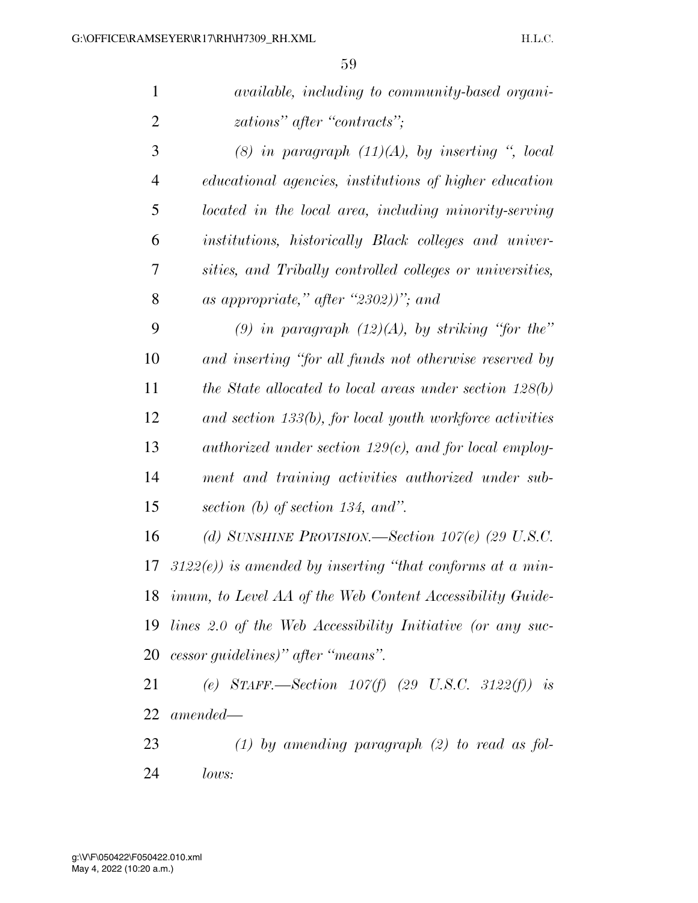| $\mathbf{1}$   | <i>available, including to community-based organi-</i>       |
|----------------|--------------------------------------------------------------|
| $\overline{2}$ | zations" after "contracts";                                  |
| 3              | (8) in paragraph $(11)(A)$ , by inserting ", local           |
| $\overline{4}$ | educational agencies, institutions of higher education       |
| 5              | located in the local area, including minority-serving        |
| 6              | institutions, historically Black colleges and univer-        |
| 7              | sities, and Tribally controlled colleges or universities,    |
| 8              | as appropriate," after "2302))"; and                         |
| 9              | (9) in paragraph $(12)(A)$ , by striking "for the"           |
| 10             | and inserting "for all funds not otherwise reserved by       |
| 11             | the State allocated to local areas under section $128(b)$    |
| 12             | and section $133(b)$ , for local youth workforce activities  |
| 13             | authorized under section $129(c)$ , and for local employ-    |
| 14             | ment and training activities authorized under sub-           |
| 15             | section (b) of section 134, and".                            |
| 16             | (d) SUNSHINE PROVISION.—Section $107(e)$ (29 U.S.C.          |
| 17             | $3122(e)$ ) is amended by inserting "that conforms at a min- |
|                | 18 imum, to Level AA of the Web Content Accessibility Guide- |
| 19             | lines 2.0 of the Web Accessibility Initiative (or any suc-   |
|                | 20 cessor guidelines)" after "means".                        |
| 21             | (e) STAFF.—Section $107(f)$ (29 U.S.C. 3122(f)) is           |
|                | $22$ amended—                                                |
| 23             | $(1)$ by amending paragraph $(2)$ to read as fol-            |

*lows:*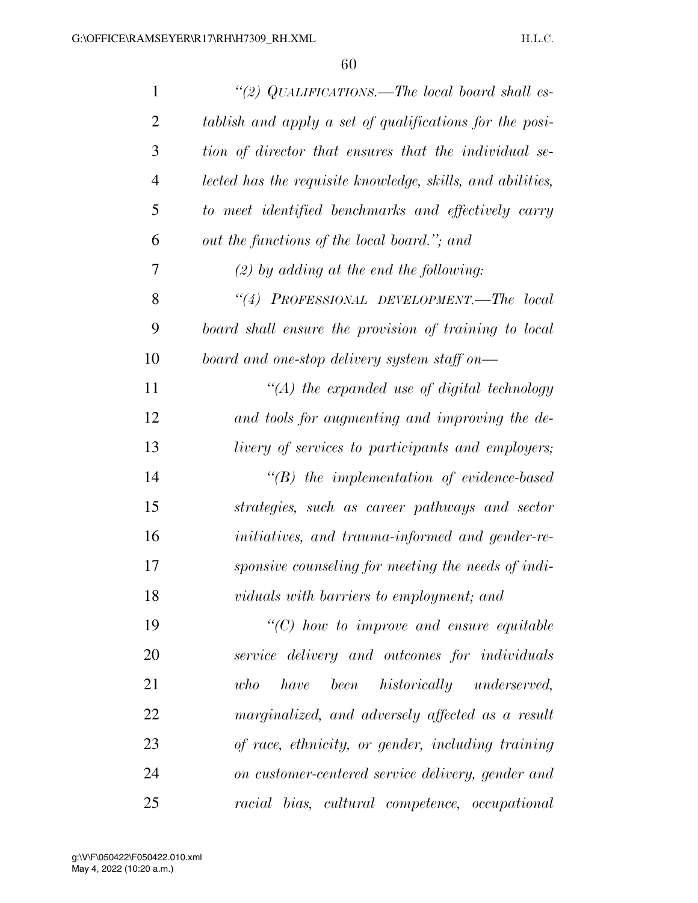| $\mathbf{1}$   | "(2) QUALIFICATIONS.—The local board shall es-             |
|----------------|------------------------------------------------------------|
| $\overline{2}$ | tablish and apply a set of qualifications for the posi-    |
| 3              | tion of director that ensures that the individual se-      |
| $\overline{4}$ | lected has the requisite knowledge, skills, and abilities, |
| 5              | to meet identified benchmarks and effectively carry        |
| 6              | out the functions of the local board."; and                |
| 7              | $(2)$ by adding at the end the following:                  |
| 8              | "(4) PROFESSIONAL DEVELOPMENT.-The local                   |
| 9              | board shall ensure the provision of training to local      |
| 10             | board and one-stop delivery system staff on—               |
| 11             | $\lq (A)$ the expanded use of digital technology           |
| 12             | and tools for augmenting and improving the de-             |
| 13             | <i>livery of services to participants and employers;</i>   |
| 14             | $\lq\lq B$ ) the implementation of evidence-based          |
| 15             | strategies, such as career pathways and sector             |
| 16             | initiatives, and trauma-informed and gender-re-            |
| 17             | sponsive counseling for meeting the needs of indi-         |
| 18             | viduals with barriers to employment; and                   |
| 19             | $\lq\lq C$ ) how to improve and ensure equitable           |
| 20             | service delivery and outcomes for individuals              |
| 21             | been historically underserved,<br>who<br>have              |
| 22             | marginalized, and adversely affected as a result           |
| 23             | of race, ethnicity, or gender, including training          |
| 24             | on customer-centered service delivery, gender and          |
| 25             | racial bias, cultural competence, occupational             |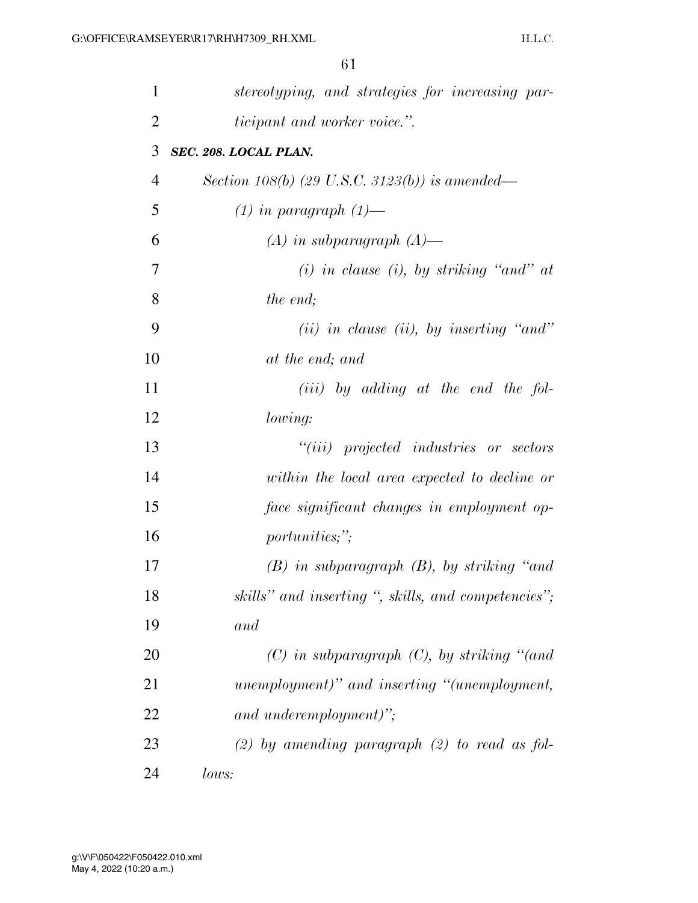| 1              | stereotyping, and strategies for increasing par-    |
|----------------|-----------------------------------------------------|
| $\overline{2}$ | <i>ticipant and worker voice.</i> ".                |
| 3              | SEC. 208. LOCAL PLAN.                               |
| $\overline{4}$ | Section 108(b) (29 U.S.C. 3123(b)) is amended—      |
| 5              | $(1)$ in paragraph $(1)$ —                          |
| 6              | $(A)$ in subparagraph $(A)$ —                       |
| 7              | $(i)$ in clause $(i)$ , by striking "and" at        |
| 8              | the end;                                            |
| 9              | $(ii)$ in clause (ii), by inserting "and"           |
| 10             | at the end; and                                     |
| 11             | $(iii)$ by adding at the end the fol-               |
| 12             | lowing:                                             |
| 13             | $``(iii)$ projected industries or sectors           |
| 14             | within the local area expected to decline or        |
| 15             | face significant changes in employment op-          |
| 16             | <i>portunities;"</i> ;                              |
| 17             | $(B)$ in subparagraph $(B)$ , by striking "and      |
| 18             | skills" and inserting ", skills, and competencies"; |
| 19             | and                                                 |
| 20             | $(C)$ in subparagraph $(C)$ , by striking "(and     |
| 21             | unemployment)" and inserting "(unemployment,        |
| 22             | and underemployment)";                              |
| 23             | $(2)$ by amending paragraph $(2)$ to read as fol-   |
| 24             | lows:                                               |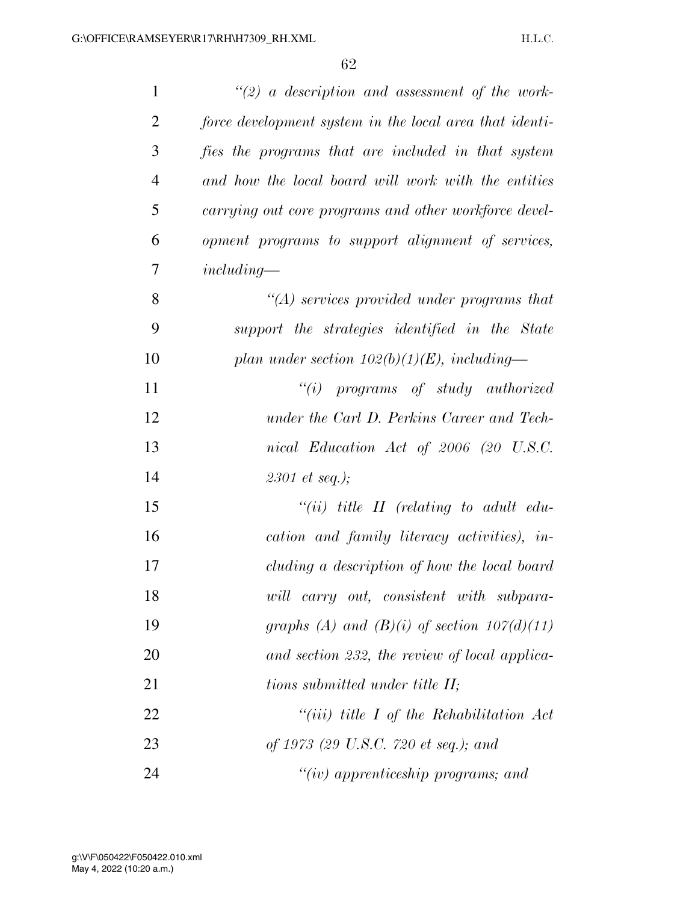| $\mathbf{1}$   | $\lq(2)$ a description and assessment of the work-      |
|----------------|---------------------------------------------------------|
| $\overline{2}$ | force development system in the local area that identi- |
| 3              | fies the programs that are included in that system      |
| $\overline{4}$ | and how the local board will work with the entities     |
| 5              | carrying out core programs and other workforce devel-   |
| 6              | opment programs to support alignment of services,       |
| 7              | $including-$                                            |
| 8              | $\lq (A)$ services provided under programs that         |
| 9              | support the strategies identified in the State          |
| 10             | plan under section $102(b)(1)(E)$ , including—          |
| 11             | $``(i)$ programs of study authorized                    |
| 12             | under the Carl D. Perkins Career and Tech-              |
| 13             | nical Education Act of 2006 (20 U.S.C.                  |
| 14             | 2301 et seq.);                                          |
| 15             | $``(ii)$ title II (relating to adult edu-               |
| 16             | cation and family literacy activities), in-             |
| 17             | cluding a description of how the local board            |
| 18             | will carry out, consistent with subpara-                |
| 19             | graphs (A) and (B)(i) of section $107(d)(11)$           |
| 20             | and section 232, the review of local applica-           |
| 21             | tions submitted under title II;                         |
| 22             | "(iii) title $I$ of the Rehabilitation Act              |
| 23             | of 1973 (29 U.S.C. 720 et seq.); and                    |
| 24             | " $(iv)$ apprenticeship programs; and                   |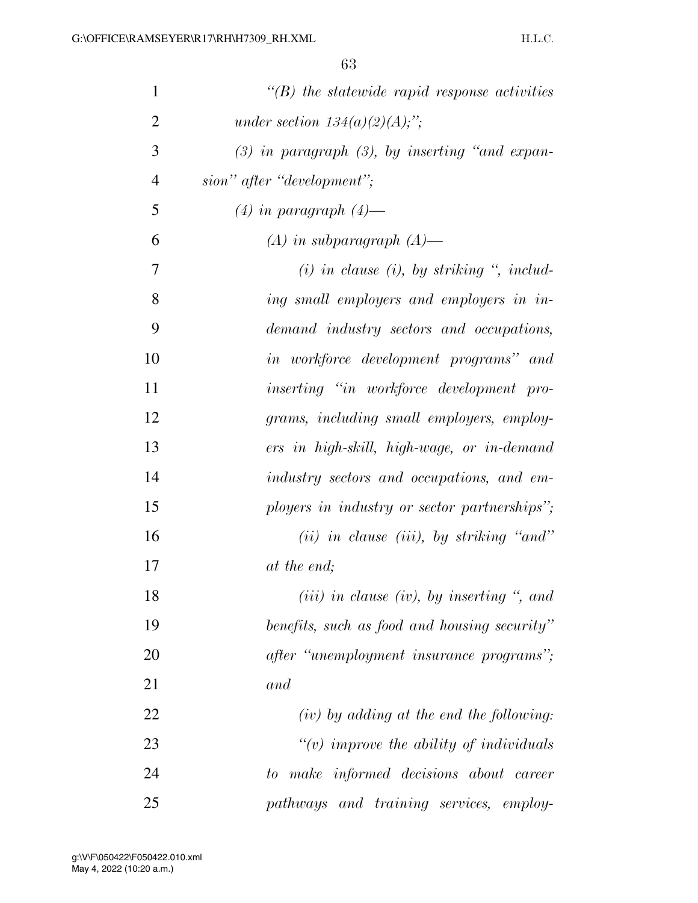| $\mathbf{1}$   | $\lq\lq(B)$ the statewide rapid response activities     |
|----------------|---------------------------------------------------------|
| $\overline{2}$ | under section $134(a)(2)(A);$ ";                        |
| 3              | $(3)$ in paragraph $(3)$ , by inserting "and expan-     |
| $\overline{4}$ | sion" after "development";                              |
| 5              | $(4)$ in paragraph $(4)$ —                              |
| 6              | $(A)$ in subparagraph $(A)$ —                           |
| 7              | $(i)$ in clause $(i)$ , by striking $\degree$ , includ- |
| 8              | ing small employers and employers in in-                |
| 9              | demand industry sectors and occupations,                |
| 10             | in workforce development programs" and                  |
| 11             | inserting "in workforce development pro-                |
| 12             | grams, including small employers, employ-               |
| 13             | ers in high-skill, high-wage, or in-demand              |
| 14             | industry sectors and occupations, and em-               |
| 15             | ployers in industry or sector partnerships";            |
| 16             | $(ii)$ in clause (iii), by striking "and"               |
| 17             | at the end;                                             |
| 18             | $(iii)$ in clause (iv), by inserting ", and             |
| 19             | benefits, such as food and housing security"            |
| 20             | after "unemployment insurance programs";                |
| 21             | and                                                     |
| 22             | $(iv)$ by adding at the end the following:              |
| 23             | " $(v)$ improve the ability of individuals"             |
| 24             | to make informed decisions about career                 |
| 25             | pathways and training services, employ-                 |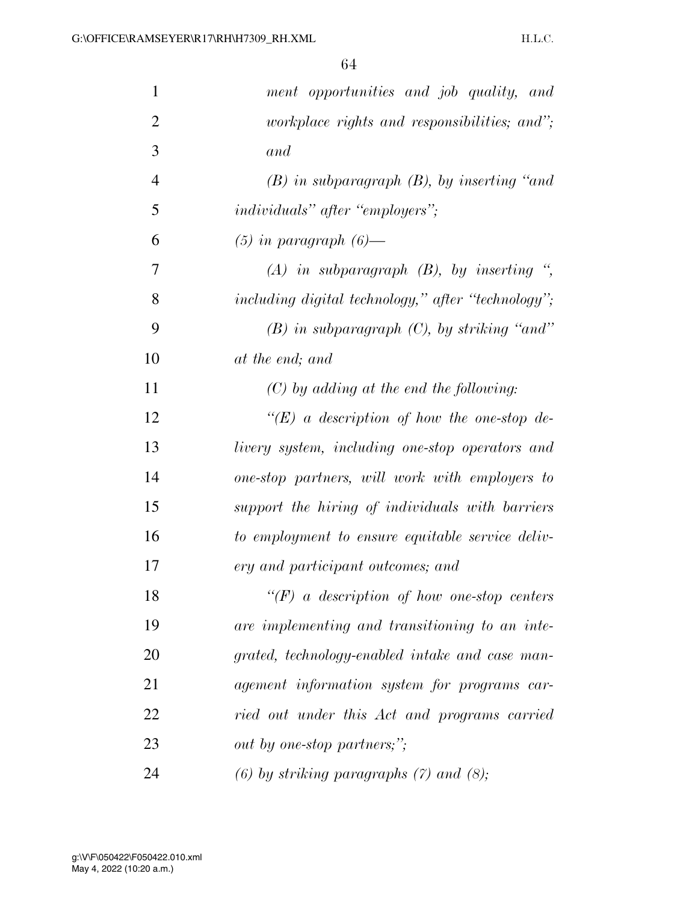| $\mathbf{1}$   | ment opportunities and job quality, and                 |
|----------------|---------------------------------------------------------|
| $\overline{2}$ | <i>workplace rights and responsibilities; and";</i>     |
| 3              | and                                                     |
| $\overline{4}$ | $(B)$ in subparagraph $(B)$ , by inserting "and"        |
| 5              | <i>individuals</i> " <i>after</i> " <i>employers</i> "; |
| 6              | $(5)$ in paragraph $(6)$ —                              |
| 7              | $(A)$ in subparagraph $(B)$ , by inserting ",           |
| 8              | including digital technology," after "technology";      |
| 9              | $(B)$ in subparagraph $(C)$ , by striking "and"         |
| 10             | at the end; and                                         |
| 11             | $(C)$ by adding at the end the following:               |
| 12             | "(E) a description of how the one-stop de-              |
| 13             | livery system, including one-stop operators and         |
| 14             | one-stop partners, will work with employers to          |
| 15             | support the hiring of individuals with barriers         |
| 16             | to employment to ensure equitable service deliv-        |
| 17             | ery and participant outcomes; and                       |
| 18             | $\lq\lq(F)$ a description of how one-stop centers       |
| 19             | are implementing and transitioning to an inte-          |
| 20             | grated, technology-enabled intake and case man-         |
| 21             | agement information system for programs car-            |
| 22             | ried out under this Act and programs carried            |
| 23             | out by one-stop partners;";                             |
| 24             | $(6)$ by striking paragraphs $(7)$ and $(8)$ ;          |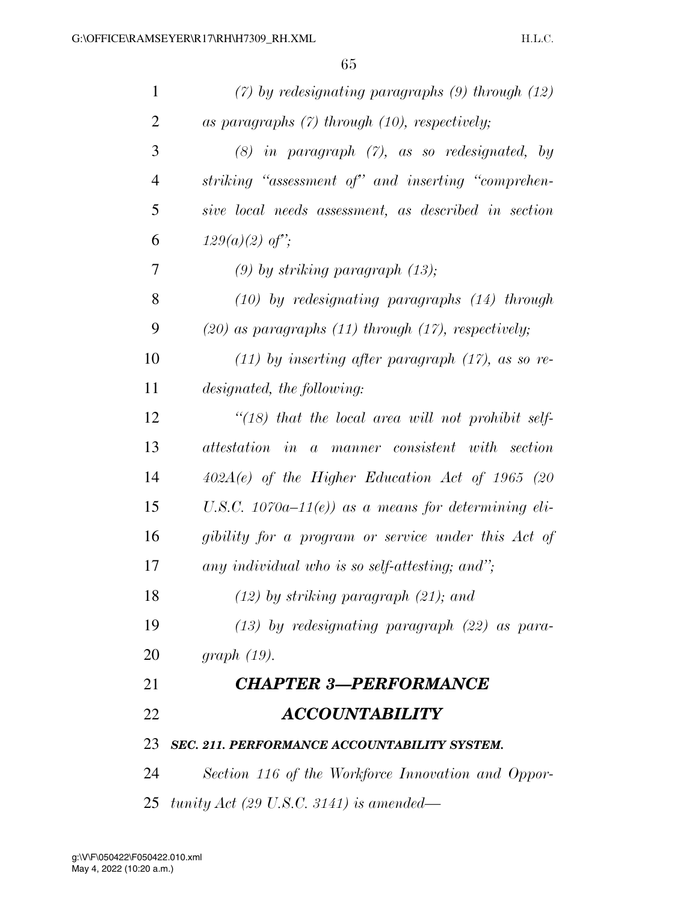| $\mathbf{1}$   | $(7)$ by redesignating paragraphs $(9)$ through $(12)$     |
|----------------|------------------------------------------------------------|
| 2              | as paragraphs $(7)$ through $(10)$ , respectively;         |
| 3              | $(8)$ in paragraph $(7)$ , as so redesignated, by          |
| $\overline{4}$ | striking "assessment of" and inserting "comprehen-         |
| 5              | sive local needs assessment, as described in section       |
| 6              | $129(a)(2)$ of";                                           |
| 7              | $(9)$ by striking paragraph $(13)$ ;                       |
| 8              | $(10)$ by redesignating paragraphs $(14)$ through          |
| 9              | $(20)$ as paragraphs $(11)$ through $(17)$ , respectively; |
| 10             | $(11)$ by inserting after paragraph $(17)$ , as so re-     |
| 11             | designated, the following:                                 |
| 12             | "(18) that the local area will not prohibit self-          |
| 13             | attestation in a manner consistent with section            |
| 14             | $402A(e)$ of the Higher Education Act of 1965 (20          |
| 15             | U.S.C. 1070a-11 $(e)$ ) as a means for determining eli-    |
| 16             | gibility for a program or service under this Act of        |
| 17             | any individual who is so self-attesting; and";             |
| 18             | $(12)$ by striking paragraph $(21)$ ; and                  |
| 19             | $(13)$ by redesignating paragraph $(22)$ as para-          |
| 20             | graph(19).                                                 |
| 21             | <b>CHAPTER 3-PERFORMANCE</b>                               |
| 22             | <b>ACCOUNTABILITY</b>                                      |
| 23             | SEC. 211. PERFORMANCE ACCOUNTABILITY SYSTEM.               |
| 24             | Section 116 of the Workforce Innovation and Oppor-         |
| 25             | tunity Act (29 U.S.C. 3141) is amended—                    |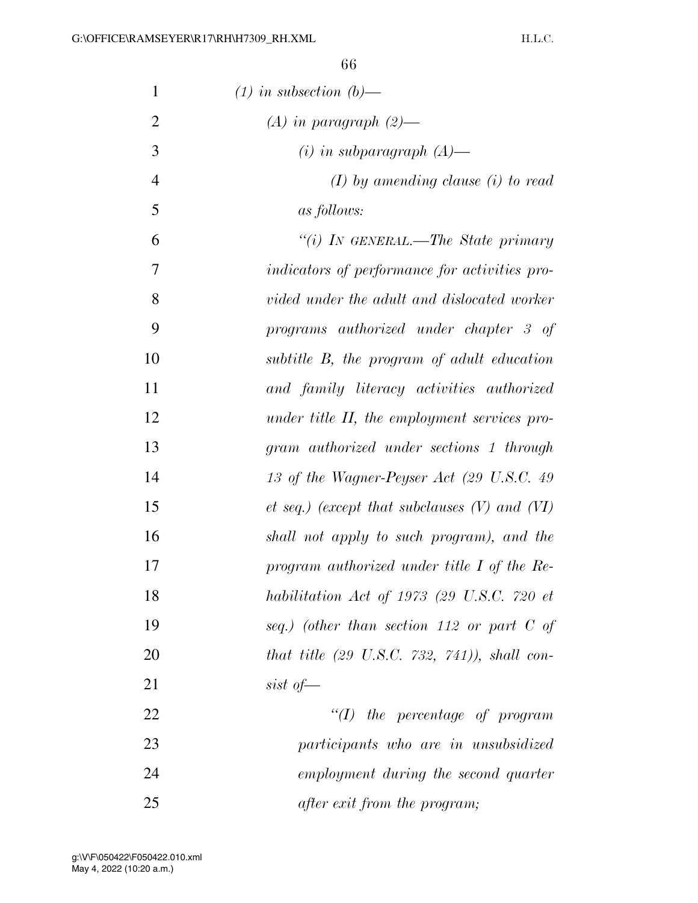H.L.C.

| 1              | $(1)$ in subsection $(b)$ —                             |
|----------------|---------------------------------------------------------|
| $\overline{2}$ | $(A)$ in paragraph $(2)$ —                              |
| 3              | $(i)$ in subparagraph $(A)$ —                           |
| $\overline{4}$ | $(I)$ by amending clause (i) to read                    |
| 5              | <i>as follows:</i>                                      |
| 6              | "(i) In GENERAL.—The State primary                      |
| 7              | indicators of performance for activities pro-           |
| 8              | vided under the adult and dislocated worker             |
| 9              | programs authorized under chapter 3 of                  |
| 10             | subtitle B, the program of adult education              |
| 11             | and family literacy activities authorized               |
| 12             | under title II, the employment services pro-            |
| 13             | gram authorized under sections 1 through                |
| 14             | 13 of the Wagner-Peyser Act (29 U.S.C. 49               |
| 15             | $et\ seq.)$ (except that subclauses $(V)$ and $(VI)$    |
| 16             | shall not apply to such program), and the               |
| 17             | program authorized under title $I$ of the Re-           |
| 18             | habilitation Act of 1973 (29 U.S.C. 720 $et$            |
| 19             | seq.) (other than section 112 or part $C$ of            |
| 20             | that title $(29 \text{ U.S.C. } 732, 741)$ , shall con- |
| 21             | sist of $-$                                             |
| 22             | $\lq (I)$ the percentage of program                     |
| 23             | participants who are in unsubsidized                    |
| 24             | employment during the second quarter                    |
| 25             | after exit from the program;                            |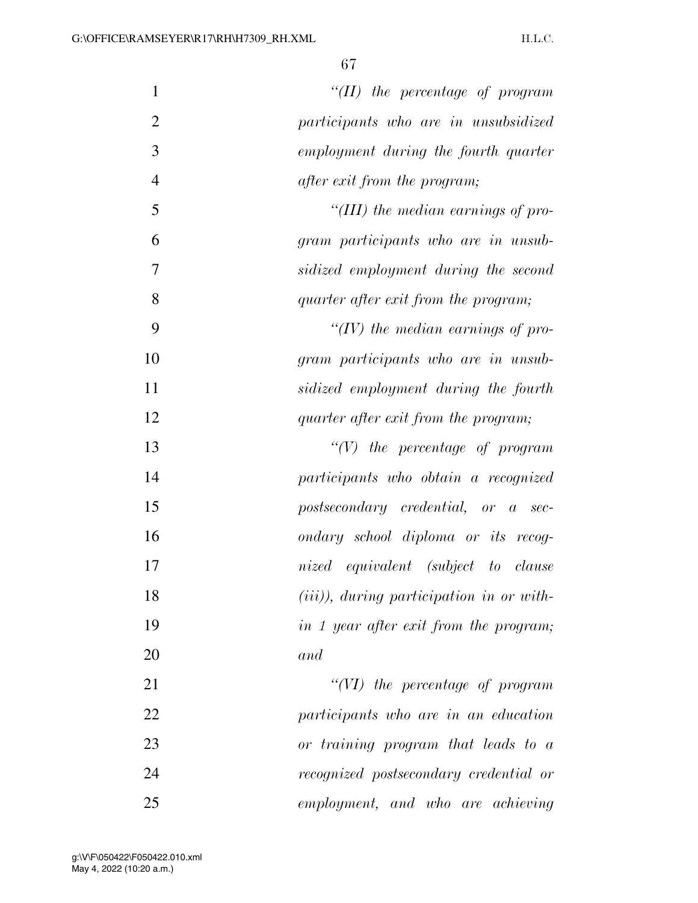| $\mathbf{1}$   | $``(II)$ the percentage of program                                            |
|----------------|-------------------------------------------------------------------------------|
| $\overline{2}$ | participants who are in unsubsidized                                          |
| 3              | employment during the fourth quarter                                          |
| $\overline{4}$ | <i>after exit from the program;</i>                                           |
| 5              | "(III) the median earnings of pro-                                            |
| 6              | gram participants who are in unsub-                                           |
| 7              | sidized employment during the second                                          |
| 8              | quarter after exit from the program;                                          |
| 9              | " $(IV)$ the median earnings of pro-                                          |
| 10             | gram participants who are in unsub-                                           |
| 11             | sidized employment during the fourth                                          |
| 12             | quarter after exit from the program;                                          |
| 13             | $\lq\lq(V)$ the percentage of program                                         |
| 14             | participants who obtain a recognized                                          |
| 15             | $postsecondary\;{\;{\it{creditial,}}\;}{\;}{\it{or}}\;{\;}{\it{a}}$<br>$sec-$ |
| 16             | ondary school diploma or its recog-                                           |
| 17             | nized equivalent (subject to clause                                           |
| 18             | $(iii)$ , during participation in or with-                                    |
| 19             | in 1 year after exit from the program;                                        |
| 20             | and                                                                           |
| 21             | $``(VI)$ the percentage of program                                            |
| 22             | participants who are in an education                                          |
| 23             | or training program that leads to a                                           |
| 24             | recognized postsecondary credential or                                        |
| 25             | employment, and who are achieving                                             |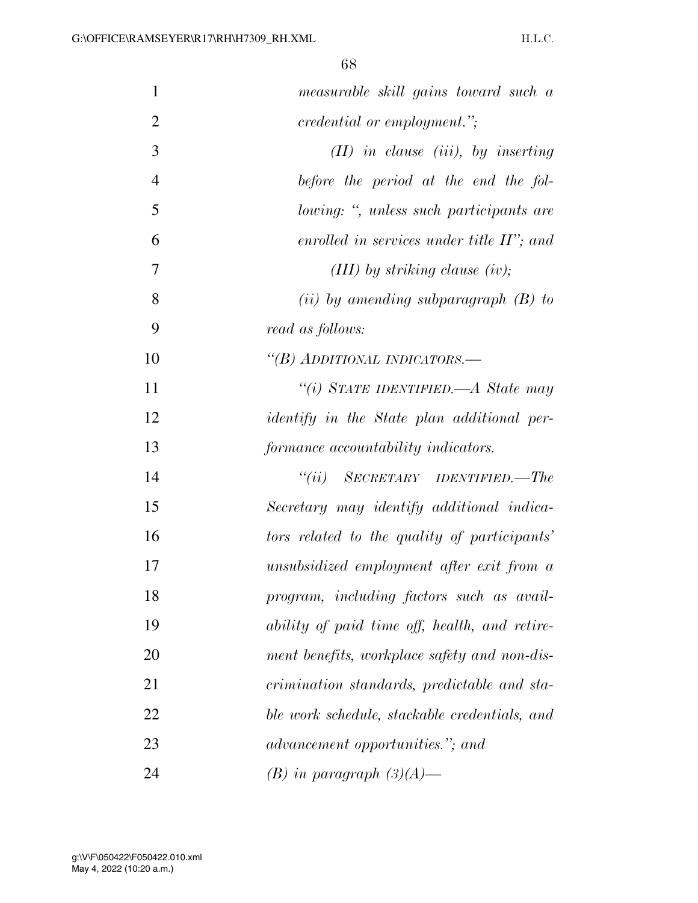| $\mathbf{1}$   | measurable skill gains toward such a              |
|----------------|---------------------------------------------------|
| $\overline{2}$ | <i>credential or employment.</i> ";               |
| 3              | $(II)$ in clause (iii), by inserting              |
| $\overline{4}$ | before the period at the end the fol-             |
| 5              | lowing: ", unless such participants are           |
| 6              | enrolled in services under title $II$ ; and       |
| 7              | $(III)$ by striking clause (iv);                  |
| 8              | (ii) by amending subparagraph $(B)$ to            |
| 9              | read as follows:                                  |
| 10             | "(B) ADDITIONAL INDICATORS.—                      |
| 11             | "(i) STATE IDENTIFIED.—A State may                |
| 12             | <i>identify</i> in the State plan additional per- |
| 13             | formance accountability indicators.               |
| 14             | $``(ii)$ SECRETARY IDENTIFIED.—The                |
| 15             | Secretary may identify additional indica-         |
| 16             | tors related to the quality of participants'      |
| 17             | unsubsidized employment after exit from a         |
| 18             | program, including factors such as avail-         |
| 19             | ability of paid time off, health, and retire-     |
| 20             | ment benefits, workplace safety and non-dis-      |
| 21             | crimination standards, predictable and sta-       |
| 22             | ble work schedule, stackable credentials, and     |
| 23             | advancement opportunities."; and                  |
| 24             | $(B)$ in paragraph $(3)(A)$ —                     |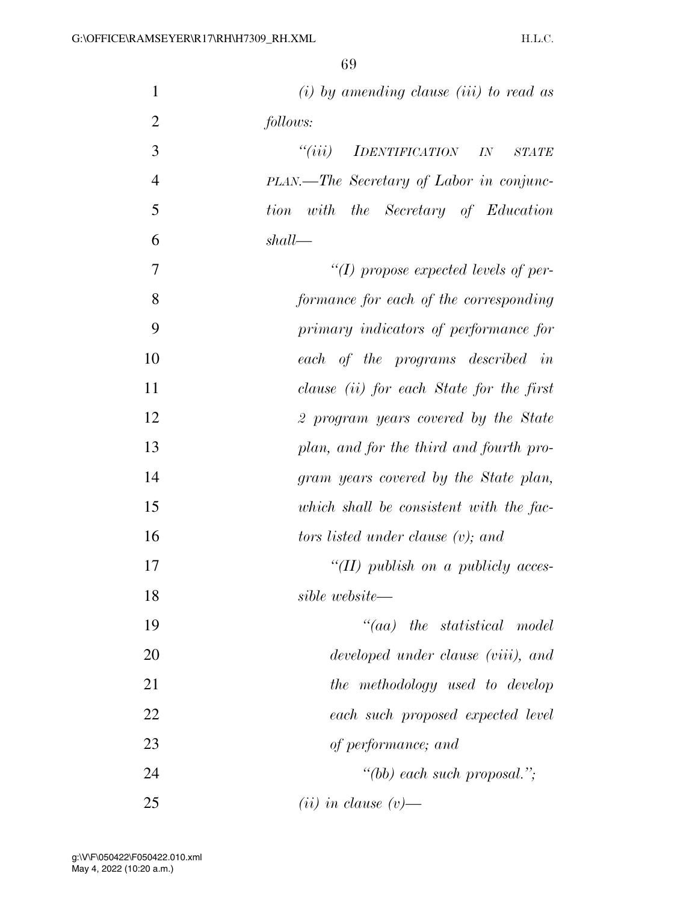| $\mathbf{1}$   | $(i)$ by amending clause $(iii)$ to read as            |
|----------------|--------------------------------------------------------|
| $\overline{2}$ | follows:                                               |
| 3              | ``(iii)<br><i>IDENTIFICATION</i><br>IN<br><b>STATE</b> |
| $\overline{4}$ | PLAN.—The Secretary of Labor in conjunc-               |
| 5              | with the Secretary of Education<br>tion                |
| 6              | shall                                                  |
| 7              | $\lq (I)$ propose expected levels of per-              |
| 8              | formance for each of the corresponding                 |
| 9              | primary indicators of performance for                  |
| 10             | each of the programs described in                      |
| 11             | clause (ii) for each State for the first               |
| 12             | 2 program years covered by the State                   |
| 13             | plan, and for the third and fourth pro-                |
| 14             | gram years covered by the State plan,                  |
| 15             | which shall be consistent with the fac-                |
| 16             | tors listed under clause $(v)$ ; and                   |
| 17             | "(II) publish on a publicly acces-                     |
| 18             | sible website—                                         |
| 19             | $``(aa)$ the statistical model                         |
| 20             | developed under clause (viii), and                     |
| 21             | the methodology used to develop                        |
| 22             | each such proposed expected level                      |
| 23             | of performance; and                                    |
| 24             | "(bb) each such proposal.";                            |
| 25             | $(ii)$ in clause $(v)$ —                               |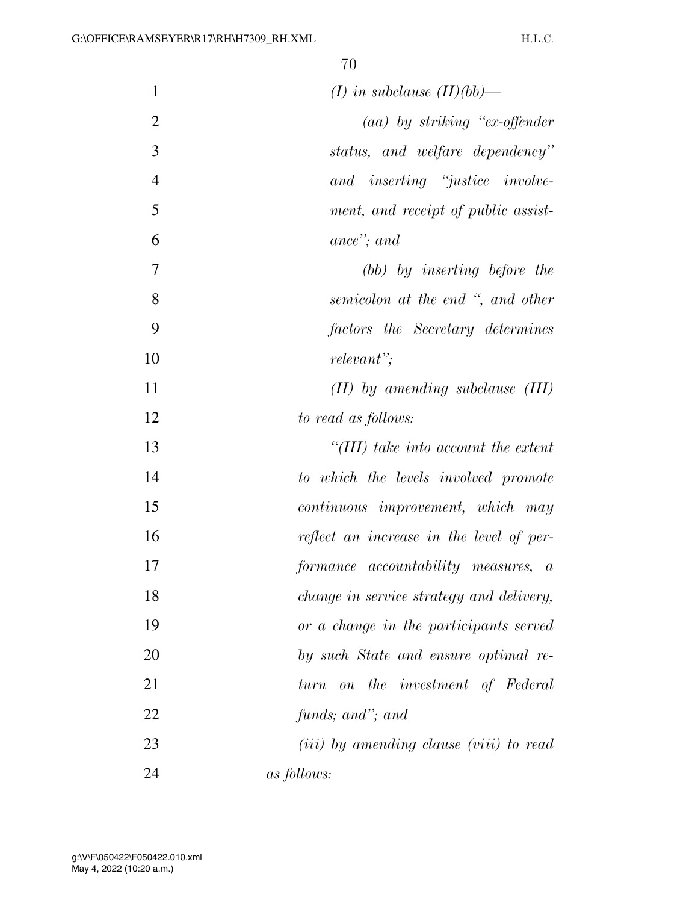| $\mathbf{1}$   | $(I)$ in subclause $(II)(bb)$ —                           |
|----------------|-----------------------------------------------------------|
| $\overline{2}$ | $(aa)$ by striking "ex-offender"                          |
| 3              | status, and welfare dependency"                           |
| $\overline{4}$ | and inserting "justice involve-                           |
| 5              | ment, and receipt of public assist-                       |
| 6              | ance"; and                                                |
| 7              | (bb) by inserting before the                              |
| 8              | semicolon at the end ", and other                         |
| 9              | factors the Secretary determines                          |
| 10             | relevant";                                                |
| 11             | $(II)$ by amending subclause $(III)$                      |
| 12             | to read as follows:                                       |
| 13             | "(III) take into account the extent                       |
| 14             | to which the levels involved promote                      |
| 15             | continuous improvement, which may                         |
| 16             | reflect an increase in the level of per-                  |
| 17             | formance accountability measures, a                       |
| 18             | <i>change in service strategy and delivery,</i>           |
| 19             | or a change in the participants served                    |
| 20             | by such State and ensure optimal re-                      |
| 21             | on the investment of Federal<br>turn                      |
| 22             | funds; and"; and                                          |
| 23             | ( <i>iii</i> ) by amending clause ( <i>viii</i> ) to read |
| 24             | <i>as follows:</i>                                        |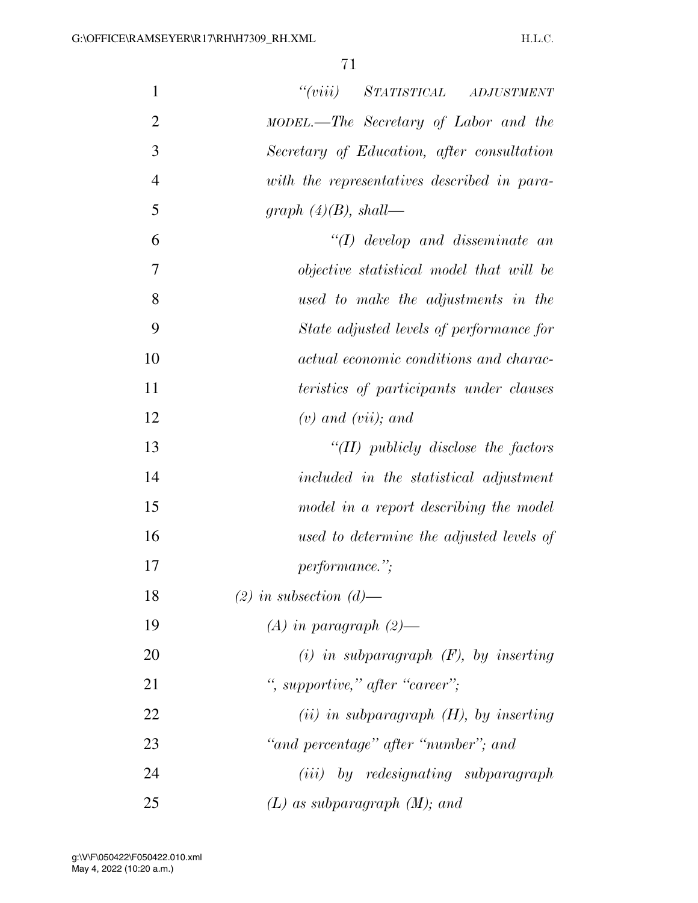| 1              | "(viii) STATISTICAL ADJUSTMENT              |
|----------------|---------------------------------------------|
| $\overline{2}$ | MODEL.—The Secretary of Labor and the       |
| 3              | Secretary of Education, after consultation  |
| $\overline{4}$ | with the representatives described in para- |
| 5              | graph $(4)(B)$ , shall—                     |
| 6              | $\lq (I)$ develop and disseminate an        |
| 7              | objective statistical model that will be    |
| 8              | used to make the adjustments in the         |
| 9              | State adjusted levels of performance for    |
| 10             | actual economic conditions and charac-      |
| 11             | teristics of participants under clauses     |
| 12             | $(v)$ and $(vii)$ ; and                     |
| 13             | "(II) publicly disclose the factors         |
| 14             | included in the statistical adjustment      |
| 15             | model in a report describing the model      |
| 16             | used to determine the adjusted levels of    |
| 17             | <i>performance.</i> ";                      |
| 18             | $(2)$ in subsection $(d)$ —                 |
| 19             | $(A)$ in paragraph $(2)$ —                  |
| 20             | $(i)$ in subparagraph $(F)$ , by inserting  |
| 21             | ", supportive," after "career";             |
| 22             | $(ii)$ in subparagraph $(H)$ , by inserting |
| 23             | "and percentage" after "number"; and        |
| 24             | (iii) by redesignating subparagraph         |
| 25             | $(L)$ as subparagraph $(M)$ ; and           |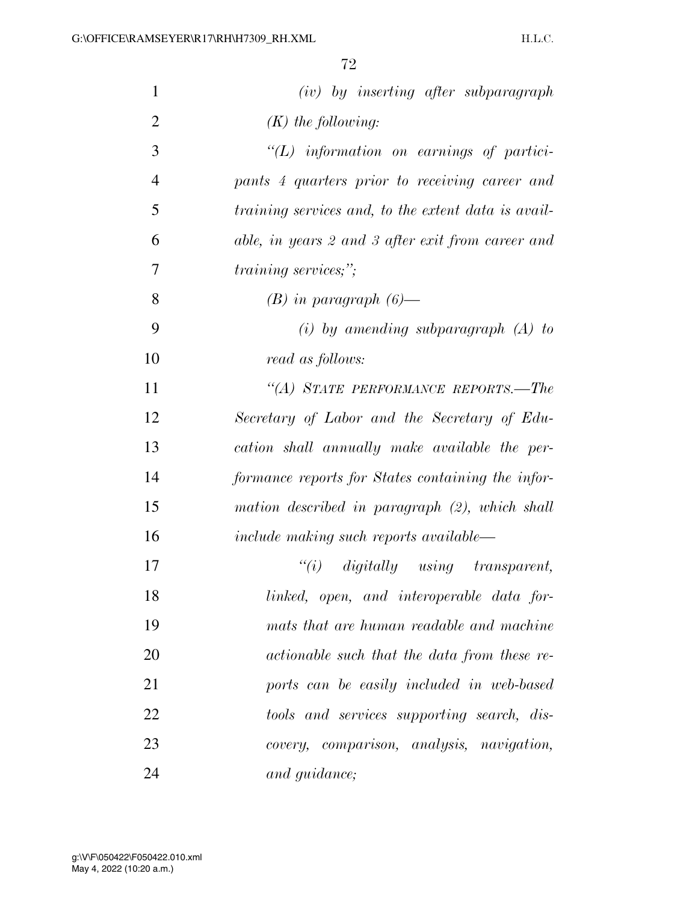| $\mathbf{1}$   | $(iv)$ by inserting after subparagraph              |
|----------------|-----------------------------------------------------|
| $\overline{2}$ | $(K)$ the following:                                |
| 3              | $\lq (L)$ information on earnings of partici-       |
| $\overline{4}$ | pants 4 quarters prior to receiving career and      |
| 5              | training services and, to the extent data is avail- |
| 6              | able, in years 2 and 3 after exit from career and   |
| 7              | <i>training services;"</i> ;                        |
| 8              | $(B)$ in paragraph $(6)$ —                          |
| 9              | $(i)$ by amending subparagraph $(A)$ to             |
| 10             | read as follows:                                    |
| 11             | "(A) STATE PERFORMANCE REPORTS.—The                 |
| 12             | Secretary of Labor and the Secretary of Edu-        |
| 13             | cation shall annually make available the per-       |
| 14             | formance reports for States containing the infor-   |
| 15             | mation described in paragraph (2), which shall      |
| 16             | $include$ $making$ such reports $available$         |
| 17             | $``(i)$ digitally using transparent,                |
| 18             | linked, open, and interoperable data for-           |
| 19             | mats that are human readable and machine            |
| 20             | actionable such that the data from these re-        |
| 21             | ports can be easily included in web-based           |
| 22             | tools and services supporting search, dis-          |
| 23             | comparison, analysis, navigation,<br>covery,        |
| 24             | and guidance;                                       |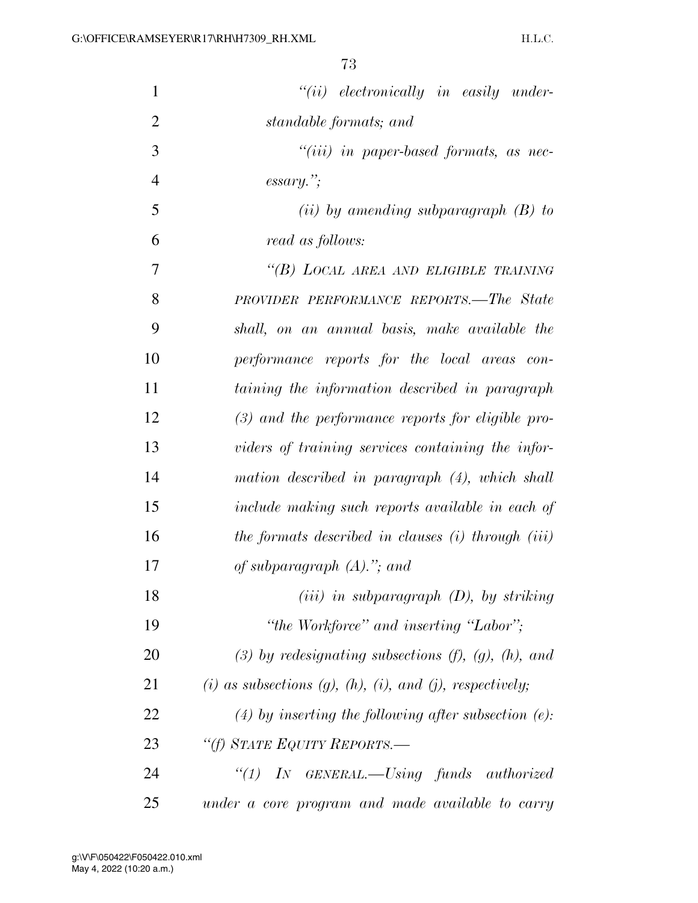| $\mathbf{1}$   | $``(ii)$ electronically in easily under-                               |
|----------------|------------------------------------------------------------------------|
| $\overline{2}$ | standable formats; and                                                 |
| 3              | $``(iii)$ in paper-based formats, as nec-                              |
| $\overline{4}$ | $\emph{essary."};$                                                     |
| 5              | (ii) by amending subparagraph $(B)$ to                                 |
| 6              | read as follows:                                                       |
| $\overline{7}$ | "(B) LOCAL AREA AND ELIGIBLE TRAINING                                  |
| 8              | <b>PROVIDER PERFORMANCE REPORTS.—The State</b>                         |
| 9              | shall, on an annual basis, make available the                          |
| 10             | performance reports for the local areas con-                           |
| 11             | taining the information described in paragraph                         |
| 12             | $(3)$ and the performance reports for eligible pro-                    |
| 13             | viders of training services containing the infor-                      |
| 14             | mation described in paragraph (4), which shall                         |
| 15             | include making such reports available in each of                       |
| 16             | the formats described in clauses $(i)$ through $(iii)$                 |
| 17             | of subparagraph $(A)$ ."; and                                          |
| 18             | $(iii)$ in subparagraph $(D)$ , by striking                            |
| 19             | "the Workforce" and inserting "Labor";                                 |
| 20             | $(3)$ by redesignating subsections $(f)$ , $(g)$ , $(h)$ , and         |
| 21             | $(i)$ as subsections $(g)$ , $(h)$ , $(i)$ , and $(j)$ , respectively; |
| 22             | $(4)$ by inserting the following after subsection $(e)$ :              |
| 23             | "(f) STATE EQUITY REPORTS.-                                            |
| 24             | "(1) IN GENERAL.—Using funds authorized                                |
| 25             | under a core program and made available to carry                       |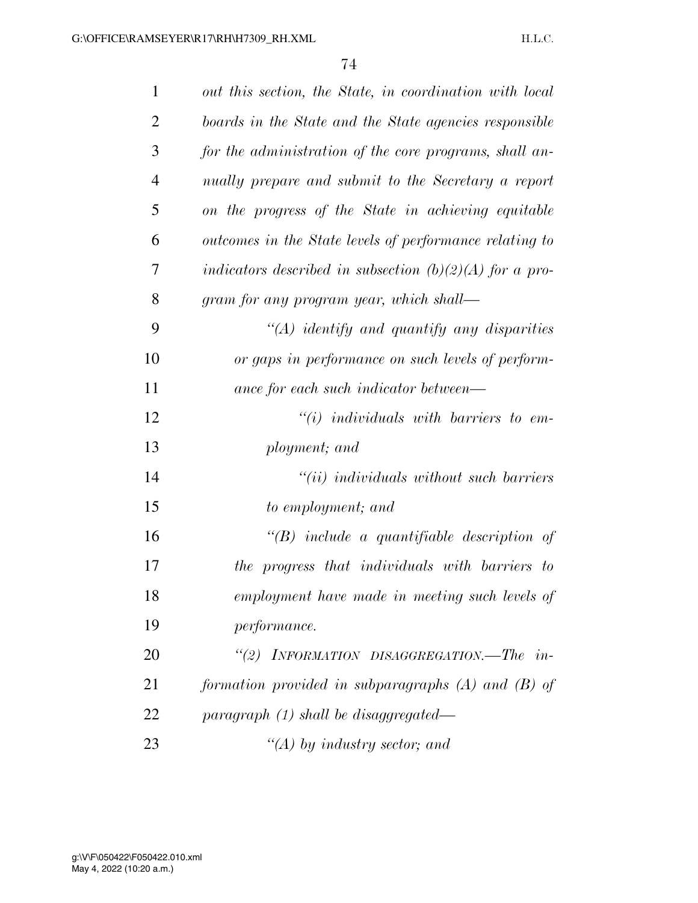| $\mathbf{1}$   | out this section, the State, in coordination with local   |
|----------------|-----------------------------------------------------------|
| $\overline{2}$ | boards in the State and the State agencies responsible    |
| 3              | for the administration of the core programs, shall an-    |
| $\overline{4}$ | nually prepare and submit to the Secretary a report       |
| 5              | on the progress of the State in achieving equitable       |
| 6              | outcomes in the State levels of performance relating to   |
| 7              | indicators described in subsection $(b)(2)(A)$ for a pro- |
| 8              | gram for any program year, which shall—                   |
| 9              | $\lq (A)$ identify and quantify any disparities           |
| 10             | or gaps in performance on such levels of perform-         |
| 11             | ance for each such indicator between—                     |
| 12             | $\lq\lq(i)$ individuals with barriers to em-              |
| 13             | ployment; and                                             |
| 14             | $``(ii)$ individuals without such barriers                |
| 15             | to employment; and                                        |
| 16             | $\lq\lq B$ include a quantifiable description of          |
| 17             | the progress that individuals with barriers to            |
| 18             | employment have made in meeting such levels of            |
| 19             | <i>performance.</i>                                       |
| 20             | "(2) INFORMATION DISAGGREGATION.—The in-                  |
| 21             | formation provided in subparagraphs $(A)$ and $(B)$ of    |
| 22             | paragraph $(1)$ shall be disaggregated—                   |
| 23             | "(A) by industry sector; and                              |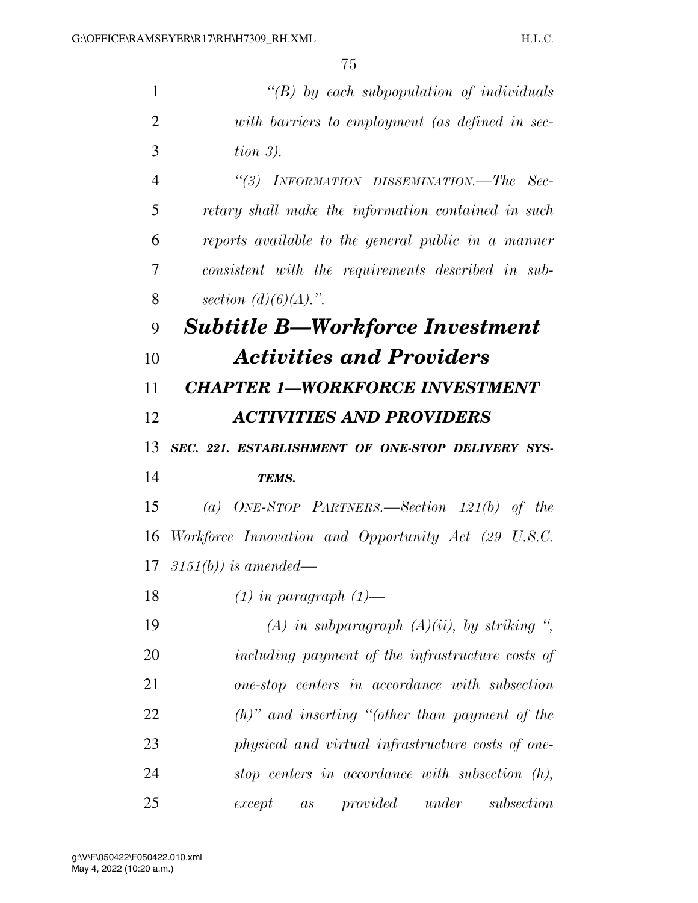| 1              | "(B) by each subpopulation of individuals                    |
|----------------|--------------------------------------------------------------|
| $\overline{2}$ | with barriers to employment (as defined in sec-              |
| 3              | tion $3$ ).                                                  |
| $\overline{4}$ | "(3) INFORMATION DISSEMINATION.—The Sec-                     |
| 5              | retary shall make the information contained in such          |
| 6              | reports available to the general public in a manner          |
| 7              | consistent with the requirements described in sub-           |
| 8              | section $(d)(6)(A)$ .".                                      |
| 9              | <b>Subtitle B—Workforce Investment</b>                       |
| 10             | <b>Activities and Providers</b>                              |
| 11             | <b>CHAPTER 1-WORKFORCE INVESTMENT</b>                        |
| 12             | <b>ACTIVITIES AND PROVIDERS</b>                              |
| 13             | SEC. 221. ESTABLISHMENT OF ONE-STOP DELIVERY SYS-            |
| 14             | <b>TEMS.</b>                                                 |
| 15             | (a) ONE-STOP PARTNERS.—Section $121(b)$ of the               |
| 16             | Workforce Innovation and Opportunity Act (29 U.S.C.          |
|                | 17 $3151(b)$ is amended—                                     |
| 18             | $(1)$ in paragraph $(1)$ —                                   |
| 19             | (A) in subparagraph $(A)(ii)$ , by striking ",               |
| 20             | including payment of the infrastructure costs of             |
| 21             | one-stop centers in accordance with subsection               |
| 22             | $(h)$ " and inserting "(other than payment of the            |
| 23             | physical and virtual infrastructure costs of one-            |
| 24             | stop centers in accordance with subsection $(h)$ ,           |
| 25             | provided<br>under<br>subsection<br>except<br>$\mathfrak{a}s$ |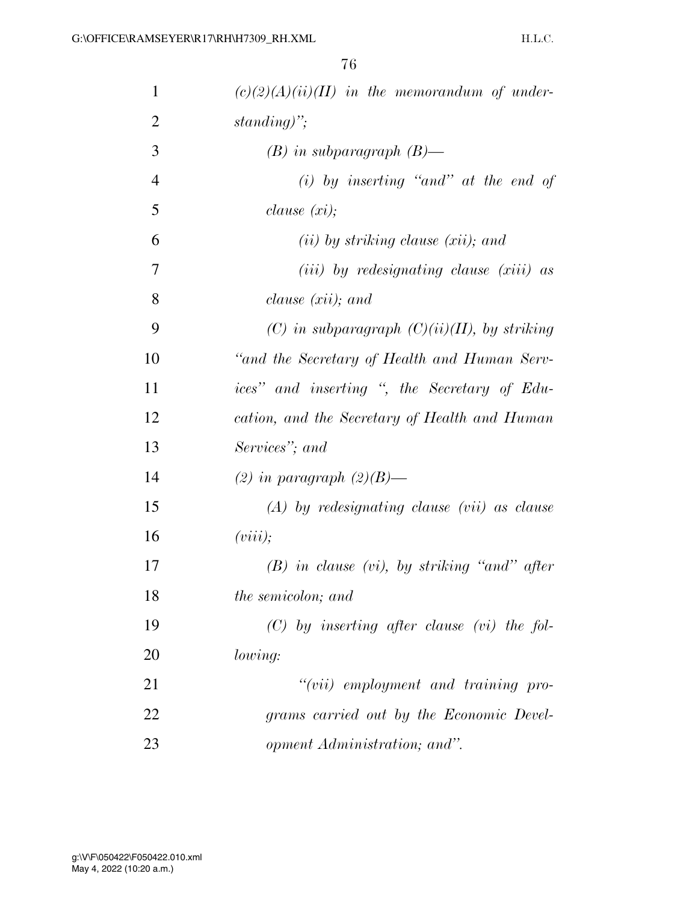| 1              | $(c)(2)(A)(ii)(II)$ in the memorandum of under- |
|----------------|-------------------------------------------------|
| $\overline{2}$ | standing)";                                     |
| 3              | $(B)$ in subparagraph $(B)$ —                   |
| $\overline{4}$ | $(i)$ by inserting "and" at the end of          |
| 5              | clause(xi);                                     |
| 6              | $(ii)$ by striking clause $(xii)$ ; and         |
| 7              | $(iii)$ by redesignating clause $(xiii)$ as     |
| 8              | clause $(xii)$ ; and                            |
| 9              | (C) in subparagraph $(C)(ii)(II)$ , by striking |
| 10             | "and the Secretary of Health and Human Serv-    |
| 11             | ices" and inserting ", the Secretary of Edu-    |
| 12             | cation, and the Secretary of Health and Human   |
| 13             | Services"; and                                  |
| 14             | (2) in paragraph $(2)(B)$ —                     |
| 15             | $(A)$ by redesignating clause (vii) as clause   |
| 16             | (viii);                                         |
| 17             | $(B)$ in clause (vi), by striking "and" after   |
| 18             | the semicolon; and                              |
| 19             | $(C)$ by inserting after clause (vi) the fol-   |
| 20             | lowing:                                         |
| 21             | $``(vii)$ employment and training pro-          |
| 22             | grams carried out by the Economic Devel-        |
| 23             | opment Administration; and".                    |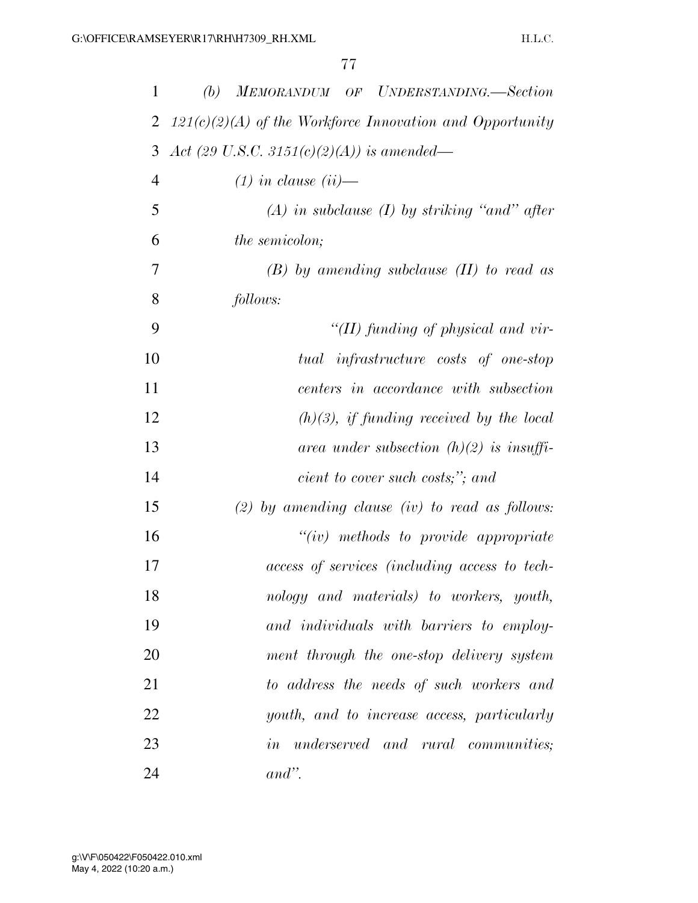| 1              | (b)<br>MEMORANDUM OF UNDERSTANDING.—Section                |
|----------------|------------------------------------------------------------|
| 2              | $121(c)(2)(A)$ of the Workforce Innovation and Opportunity |
| 3              | Act (29 U.S.C. 3151(c)(2)(A)) is amended—                  |
| $\overline{4}$ | $(1)$ in clause $(ii)$ —                                   |
| 5              | $(A)$ in subclause $(I)$ by striking "and" after           |
| 6              | <i>the semicolon;</i>                                      |
| 7              | $(B)$ by amending subclause $(II)$ to read as              |
| 8              | follows:                                                   |
| 9              | "(II) funding of physical and vir-                         |
| 10             | tual infrastructure costs of one-stop                      |
| 11             | centers in accordance with subsection                      |
| 12             | $(h)(3)$ , if funding received by the local                |
| 13             | area under subsection $(h)(2)$ is insuffi-                 |
| 14             | cient to cover such costs;"; and                           |
| 15             | $(2)$ by amending clause $(iv)$ to read as follows:        |
| 16             | $``(iv)$ methods to provide appropriate                    |
| 17             | access of services (including access to tech-              |
| 18             | nology and materials) to workers, youth,                   |
| 19             | and individuals with barriers to employ-                   |
| 20             | ment through the one-stop delivery system                  |
| 21             | to address the needs of such workers and                   |
| 22             | youth, and to increase access, particularly                |
| 23             | <i>in</i> underserved and rural communities;               |
| 24             | $and$ ".                                                   |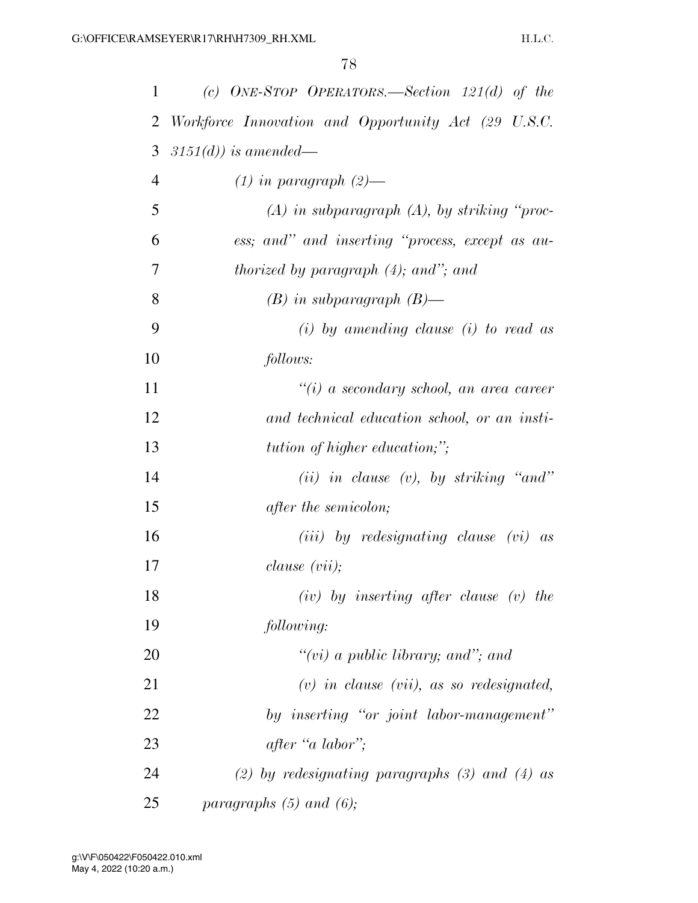| 1  | (c) ONE-STOP OPERATORS.—Section $121(d)$ of the     |
|----|-----------------------------------------------------|
| 2  | Workforce Innovation and Opportunity Act (29 U.S.C. |
| 3  | $3151(d)$ ) is amended—                             |
| 4  | $(1)$ in paragraph $(2)$ —                          |
| 5  | $(A)$ in subparagraph $(A)$ , by striking "proc-    |
| 6  | ess; and" and inserting "process, except as au-     |
| 7  | <i>thorized by paragraph</i> (4); and"; and         |
| 8  | $(B)$ in subparagraph $(B)$ —                       |
| 9  | $(i)$ by amending clause $(i)$ to read as           |
| 10 | follows:                                            |
| 11 | $``(i)$ a secondary school, an area career          |
| 12 | and technical education school, or an insti-        |
| 13 | <i>tution of higher education;"</i> ;               |
| 14 | (ii) in clause (v), by striking "and"               |
| 15 | after the semicolon;                                |
| 16 | $(iii)$ by redesignating clause $(vi)$ as           |
| 17 | clause(vii);                                        |
| 18 | $(iv)$ by inserting after clause $(v)$ the          |
| 19 | following:                                          |
| 20 | " $(vi)$ a public library; and"; and                |
| 21 | $(v)$ in clause $(vii)$ , as so redesignated,       |
| 22 | by inserting "or joint labor-management"            |
| 23 | after "a labor";                                    |
| 24 | (2) by redesignating paragraphs (3) and (4) as      |
| 25 | paragraphs $(5)$ and $(6)$ ;                        |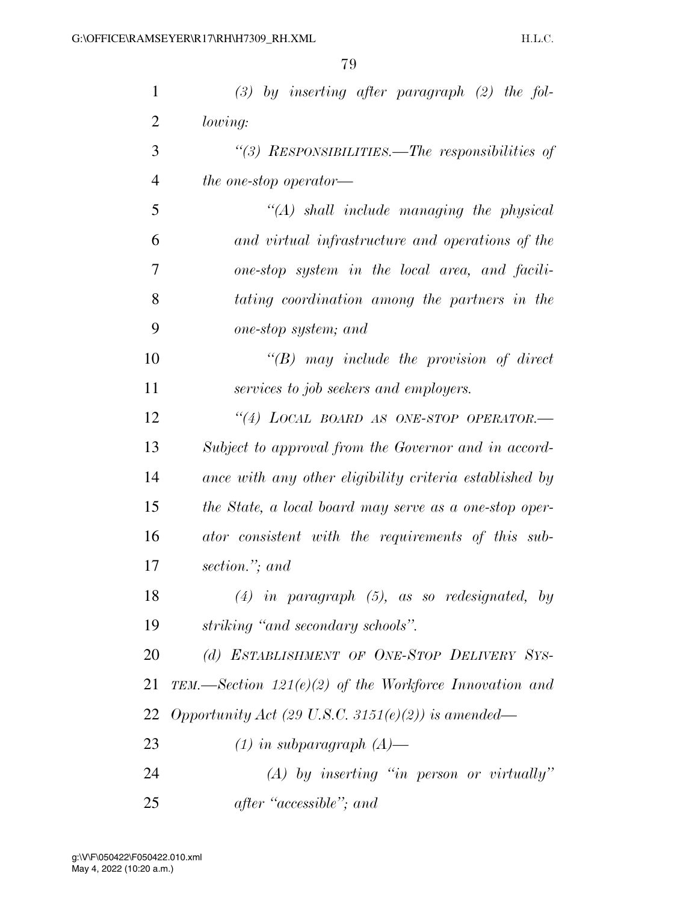| $\mathbf{1}$   | $(3)$ by inserting after paragraph $(2)$ the fol-        |
|----------------|----------------------------------------------------------|
| 2              | lowing:                                                  |
| 3              | "(3) RESPONSIBILITIES.—The responsibilities of           |
| $\overline{4}$ | the one-stop operator—                                   |
| 5              | $\lq (A)$ shall include managing the physical            |
| 6              | and virtual infrastructure and operations of the         |
| 7              | one-stop system in the local area, and facili-           |
| 8              | tating coordination among the partners in the            |
| 9              | one-stop system; and                                     |
| 10             | $\lq\lq B$ may include the provision of direct           |
| 11             | services to job seekers and employers.                   |
| 12             | "(4) LOCAL BOARD AS ONE-STOP OPERATOR.-                  |
| 13             | Subject to approval from the Governor and in accord-     |
| 14             | ance with any other eligibility criteria established by  |
| 15             | the State, a local board may serve as a one-stop oper-   |
| 16             | ator consistent with the requirements of this sub-       |
| 17             | section."; and                                           |
| 18             | $(4)$ in paragraph $(5)$ , as so redesignated, by        |
| 19             | striking "and secondary schools".                        |
| 20             | (d) ESTABLISHMENT OF ONE-STOP DELIVERY SYS-              |
| 21             | TEM.—Section $121(e)(2)$ of the Workforce Innovation and |
| 22             | Opportunity Act (29 U.S.C. 3151(e)(2)) is amended—       |
| 23             | $(1)$ in subparagraph $(A)$ —                            |
| 24             | $(A)$ by inserting "in person or virtually"              |
| 25             | after "accessible"; and                                  |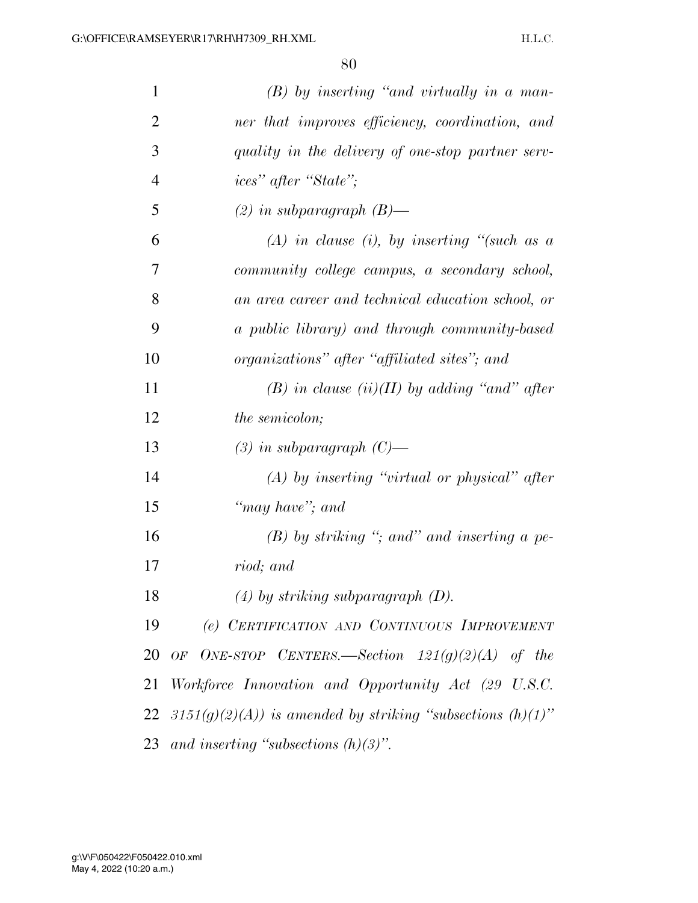| 1              | $(B)$ by inserting "and virtually in a man-                      |
|----------------|------------------------------------------------------------------|
| $\overline{2}$ | ner that improves efficiency, coordination, and                  |
| 3              | quality in the delivery of one-stop partner serv-                |
| $\overline{4}$ | <i>ices</i> " after "State";                                     |
| 5              | $(2)$ in subparagraph $(B)$ —                                    |
| 6              | $(A)$ in clause (i), by inserting "(such as a                    |
| 7              | community college campus, a secondary school,                    |
| 8              | an area career and technical education school, or                |
| 9              | a public library) and through community-based                    |
| 10             | organizations" after "affiliated sites"; and                     |
| 11             | (B) in clause $(ii)(II)$ by adding "and" after                   |
| 12             | <i>the semicolon;</i>                                            |
| 13             | $(3)$ in subparagraph $(C)$ —                                    |
| 14             | $(A)$ by inserting "virtual or physical" after                   |
| 15             | "may have"; and                                                  |
| 16             | $(B)$ by striking "; and" and inserting a pe-                    |
| 17             | riod; and                                                        |
| 18             | $(4)$ by striking subparagraph $(D)$ .                           |
| 19             | (e) CERTIFICATION AND CONTINUOUS IMPROVEMENT                     |
| 20             | OF ONE-STOP CENTERS.—Section $121(g)(2)(A)$ of the               |
| 21             | Workforce Innovation and Opportunity Act (29 U.S.C.              |
|                | 22 3151(g)(2)(A)) is amended by striking "subsections $(h)(1)$ " |
|                | 23 and inserting "subsections $(h)(3)$ ".                        |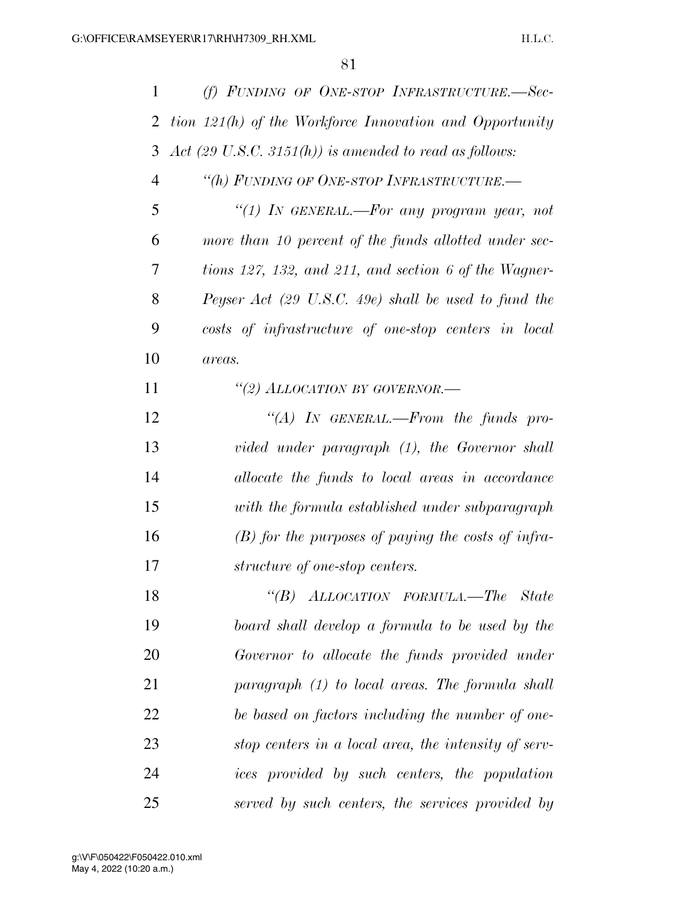| $\mathbf{1}$   | (f) FUNDING OF ONE-STOP INFRASTRUCTURE.-Sec-                      |
|----------------|-------------------------------------------------------------------|
| 2              | tion 121(h) of the Workforce Innovation and Opportunity           |
| 3              | Act $(29 \text{ U.S.C. } 3151(h))$ is amended to read as follows: |
| $\overline{4}$ | "(h) FUNDING OF ONE-STOP INFRASTRUCTURE.-                         |
| 5              | "(1) In GENERAL.—For any program year, not                        |
| 6              | more than 10 percent of the funds allotted under sec-             |
| 7              | tions 127, 132, and 211, and section 6 of the Wagner-             |
| 8              | Peyser Act (29 U.S.C. 49e) shall be used to fund the              |
| 9              | costs of infrastructure of one-stop centers in local              |
| 10             | areas.                                                            |
| 11             | "(2) ALLOCATION BY GOVERNOR.-                                     |
| 12             | "(A) IN GENERAL.—From the funds pro-                              |
| 13             | vided under paragraph (1), the Governor shall                     |
| 14             | allocate the funds to local areas in accordance                   |
| 15             | with the formula established under subparagraph                   |
| 16             | $(B)$ for the purposes of paying the costs of infra-              |
| 17             | structure of one-stop centers.                                    |
| 18             | "(B) ALLOCATION FORMULA.—The State                                |
| 19             | board shall develop a formula to be used by the                   |
| 20             | Governor to allocate the funds provided under                     |
| 21             | $paramph (1) to local areas. The formula shall$                   |
| 22             | be based on factors including the number of one-                  |
| 23             | stop centers in a local area, the intensity of serv-              |
| 24             | ices provided by such centers, the population                     |
| 25             | served by such centers, the services provided by                  |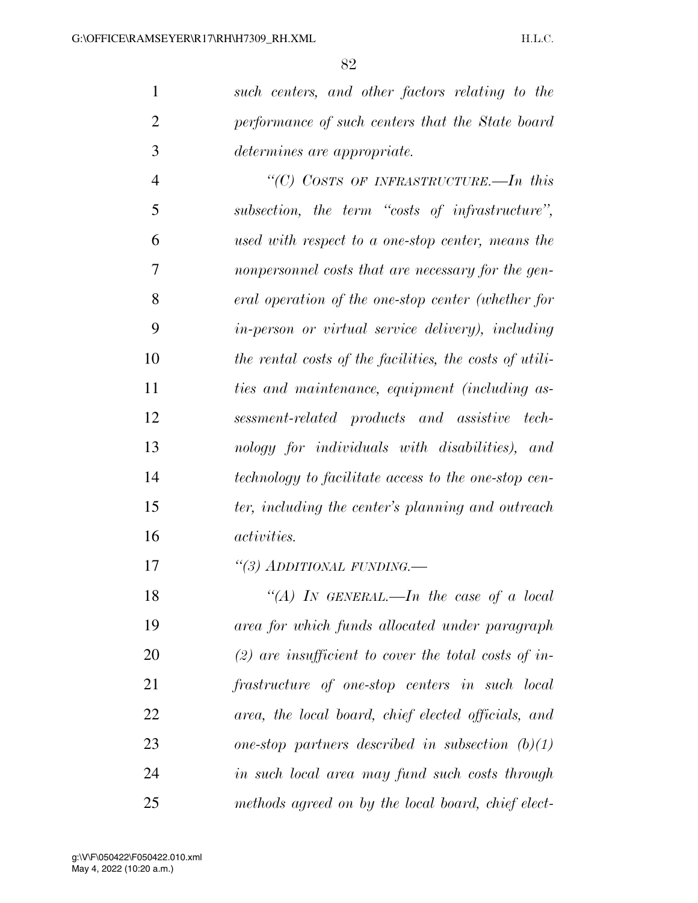*such centers, and other factors relating to the performance of such centers that the State board determines are appropriate.* 

 *''(C) COSTS OF INFRASTRUCTURE.—In this subsection, the term ''costs of infrastructure'', used with respect to a one-stop center, means the nonpersonnel costs that are necessary for the gen- eral operation of the one-stop center (whether for in-person or virtual service delivery), including the rental costs of the facilities, the costs of utili- ties and maintenance, equipment (including as- sessment-related products and assistive tech- nology for individuals with disabilities), and technology to facilitate access to the one-stop cen- ter, including the center's planning and outreach activities.* 

*''(3) ADDITIONAL FUNDING.—* 

 *''(A) IN GENERAL.—In the case of a local area for which funds allocated under paragraph (2) are insufficient to cover the total costs of in- frastructure of one-stop centers in such local area, the local board, chief elected officials, and one-stop partners described in subsection (b)(1) in such local area may fund such costs through methods agreed on by the local board, chief elect-*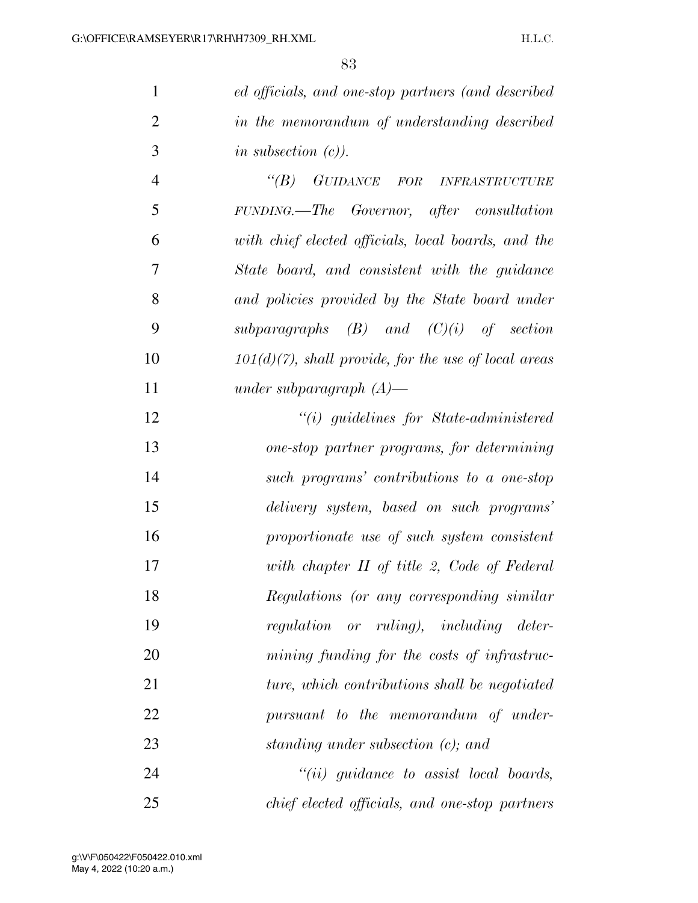*ed officials, and one-stop partners (and described in the memorandum of understanding described in subsection (c)).* 

 *''(B) GUIDANCE FOR INFRASTRUCTURE FUNDING.—The Governor, after consultation with chief elected officials, local boards, and the State board, and consistent with the guidance and policies provided by the State board under subparagraphs (B) and (C)(i) of section 101(d)(7), shall provide, for the use of local areas under subparagraph (A)—* 

 *''(i) guidelines for State-administered one-stop partner programs, for determining such programs' contributions to a one-stop delivery system, based on such programs' proportionate use of such system consistent with chapter II of title 2, Code of Federal Regulations (or any corresponding similar regulation or ruling), including deter- mining funding for the costs of infrastruc- ture, which contributions shall be negotiated pursuant to the memorandum of under-standing under subsection (c); and* 

 *''(ii) guidance to assist local boards, chief elected officials, and one-stop partners*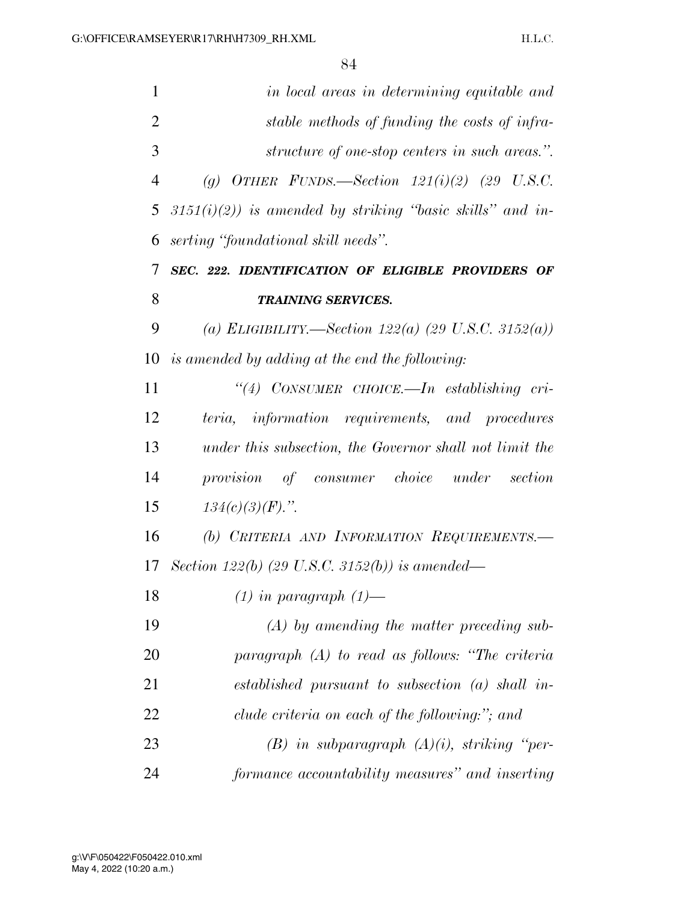| 1              | in local areas in determining equitable and                  |
|----------------|--------------------------------------------------------------|
| $\overline{2}$ | stable methods of funding the costs of infra-                |
| 3              | structure of one-stop centers in such areas.".               |
| $\overline{4}$ | (g) OTHER FUNDS.—Section $121(i)(2)$ (29 U.S.C.              |
| 5              | $3151(i)(2)$ ) is amended by striking "basic skills" and in- |
| 6              | serting "foundational skill needs".                          |
| 7              | SEC. 222. IDENTIFICATION OF ELIGIBLE PROVIDERS OF            |
| 8              | <b>TRAINING SERVICES.</b>                                    |
| 9              | (a) ELIGIBILITY.—Section 122(a) (29 U.S.C. 3152(a))          |
| 10             | is amended by adding at the end the following:               |
| 11             | "(4) CONSUMER CHOICE.—In establishing cri-                   |
| 12             | teria, information requirements, and procedures              |
| 13             | under this subsection, the Governor shall not limit the      |
| 14             | provision of consumer choice under section                   |
| 15             | $134(c)(3)(F)$ .".                                           |
| 16             | (b) CRITERIA AND INFORMATION REQUIREMENTS.-                  |
| 17             | Section 122(b) (29 U.S.C. 3152(b)) is amended—               |
| 18             | $(1)$ in paragraph $(1)$ —                                   |
| 19             | $(A)$ by amending the matter preceding sub-                  |
| 20             | paragraph (A) to read as follows: "The criteria              |
| 21             | established pursuant to subsection $(a)$ shall in-           |
| 22             | clude criteria on each of the following:"; and               |
| 23             | $(B)$ in subparagraph $(A)(i)$ , striking "per-              |
| 24             | formance accountability measures" and inserting              |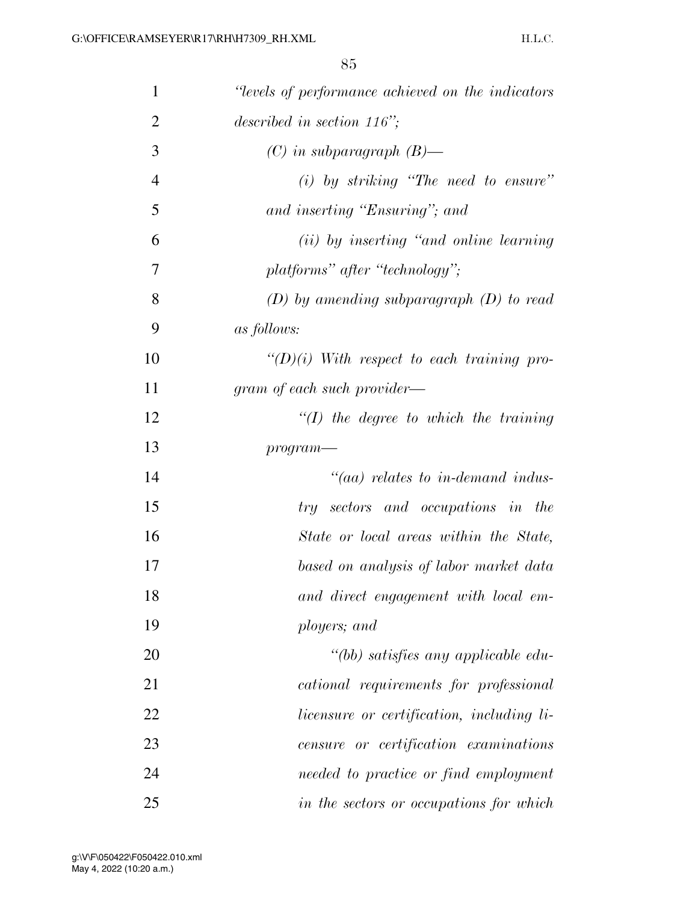| $\mathbf{1}$   | "levels of performance achieved on the indicators" |
|----------------|----------------------------------------------------|
| $\overline{2}$ | described in section $116$ ";                      |
| 3              | $(C)$ in subparagraph $(B)$ —                      |
| $\overline{4}$ | $(i)$ by striking "The need to ensure"             |
| 5              | and inserting "Ensuring"; and                      |
| 6              | (ii) by inserting "and online learning"            |
| 7              | platforms" after "technology";                     |
| 8              | $(D)$ by amending subparagraph $(D)$ to read       |
| 9              | <i>as follows:</i>                                 |
| 10             | $\lq (D)(i)$ With respect to each training pro-    |
| 11             | gram of each such provider—                        |
| 12             | $\lq (I)$ the degree to which the training         |
| 13             | $program-$                                         |
| 14             | $\mathcal{C}(aa)$ relates to in-demand indus-      |
| 15             | try sectors and occupations in the                 |
| 16             | State or local areas within the State,             |
| 17             | based on analysis of labor market data             |
| 18             | and direct engagement with local em-               |
| 19             | ployers; and                                       |
| 20             | "(bb) satisfies any applicable edu-                |
| 21             | cational requirements for professional             |
| 22             | <i>licensure or certification, including li-</i>   |
| 23             | censure or certification examinations              |
| 24             | needed to practice or find employment              |
| 25             | in the sectors or occupations for which            |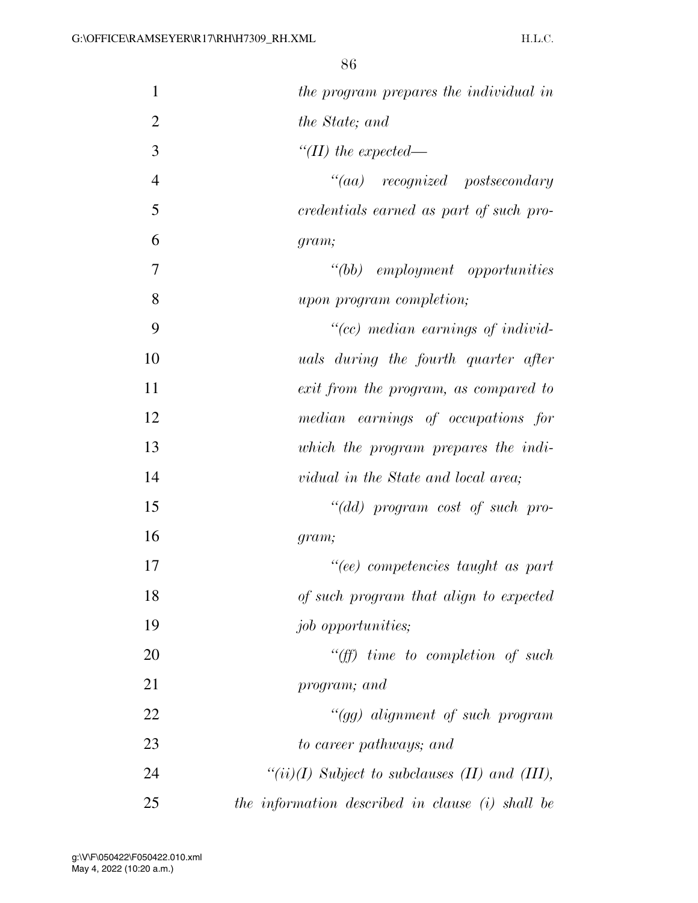| $\mathbf{1}$   | the program prepares the individual in                 |
|----------------|--------------------------------------------------------|
| $\overline{2}$ | <i>the State; and</i>                                  |
| 3              | "(II) the expected—                                    |
| $\overline{4}$ | $``(aa)$ recognized postsecondary                      |
| 5              | credentials earned as part of such pro-                |
| 6              | gram;                                                  |
| 7              | $"(bb)$ employment opportunities                       |
| 8              | upon program completion;                               |
| 9              | "(cc) median earnings of individ-                      |
| 10             | uals during the fourth quarter after                   |
| 11             | exit from the program, as compared to                  |
| 12             | median earnings of occupations for                     |
| 13             | which the program prepares the indi-                   |
| 14             | vidual in the State and local area;                    |
| 15             | "(dd) program cost of such pro-                        |
| 16             | gram;                                                  |
| 17             | "(ee) competencies taught as part                      |
| 18             | of such program that align to expected                 |
| 19             | <i>job opportunities;</i>                              |
| 20             | $\lq\lq(ff)$ time to completion of such                |
| 21             | program; and                                           |
| 22             | "(gg) alignment of such program                        |
| 23             | to career pathways; and                                |
| 24             | " $(ii)(I)$ Subject to subclauses $(II)$ and $(III)$ , |
| 25             | the information described in clause (i) shall be       |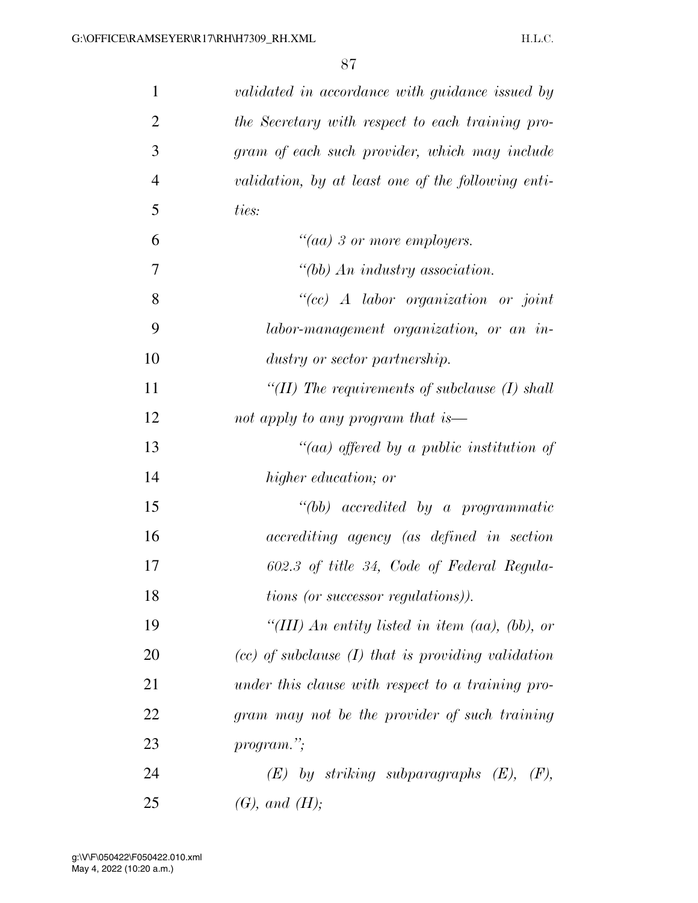| $\mathbf{1}$   | validated in accordance with guidance issued by        |
|----------------|--------------------------------------------------------|
| $\overline{2}$ | the Secretary with respect to each training pro-       |
| 3              | gram of each such provider, which may include          |
| $\overline{4}$ | validation, by at least one of the following enti-     |
| 5              | ties:                                                  |
| 6              | "(aa) 3 or more employers.                             |
| 7              | "(bb) An industry association.                         |
| 8              | "(cc) $\Lambda$ labor organization or joint            |
| 9              | labor-management organization, or an in-               |
| 10             | dustry or sector partnership.                          |
| 11             | "(II) The requirements of subclause $(I)$ shall        |
| 12             | not apply to any program that is—                      |
| 13             | "(aa) offered by a public institution of               |
| 14             | higher education; or                                   |
| 15             | $``(bb)$ accredited by a programmatic                  |
| 16             | accrediting agency (as defined in section              |
| 17             | 602.3 of title 34, Code of Federal Regula-             |
| 18             | <i>tions (or successor regulations)</i> ).             |
| 19             | "(III) An entity listed in item (aa), (bb), or         |
| 20             | $(cc)$ of subclause $(I)$ that is providing validation |
| 21             | under this clause with respect to a training pro-      |
| 22             | gram may not be the provider of such training          |
| 23             | program.";                                             |
| 24             | $(E)$ by striking subparagraphs $(E)$ , $(F)$ ,        |
| 25             | $(G),$ and $(H);$                                      |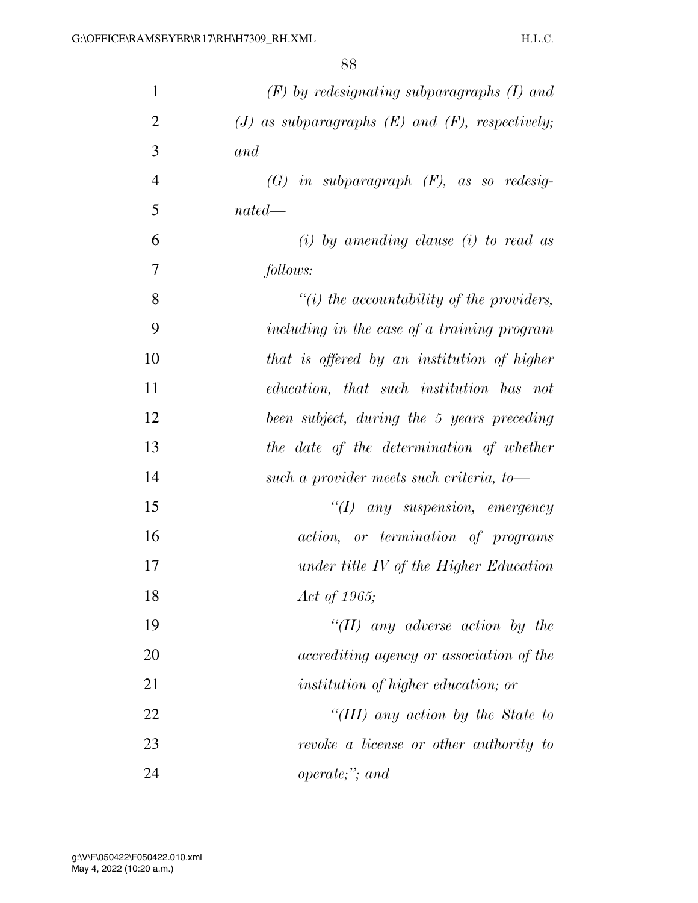| $\mathbf{1}$   | $(F)$ by redesignating subparagraphs $(I)$ and         |
|----------------|--------------------------------------------------------|
| $\overline{2}$ | $(J)$ as subparagraphs $(E)$ and $(F)$ , respectively; |
| 3              | and                                                    |
| $\overline{4}$ | $(G)$ in subparagraph $(F)$ , as so redesig-           |
| 5              | $nated$ —                                              |
| 6              | $(i)$ by amending clause $(i)$ to read as              |
| 7              | follows:                                               |
| 8              | $\lq\lq(i)$ the accountability of the providers,       |
| 9              | including in the case of a training program            |
| 10             | that is offered by an institution of higher            |
| 11             | education, that such institution has not               |
| 12             | been subject, during the 5 years preceding             |
| 13             | the date of the determination of whether               |
| 14             | such a provider meets such criteria, to-               |
| 15             | $``(1)$ any suspension, emergency                      |
| 16             | <i>action</i> , <i>or termination of programs</i>      |
| 17             | under title IV of the Higher Education                 |
| 18             | Act of 1965;                                           |
| 19             | "(II) any adverse action by the                        |
| 20             | accrediting agency or association of the               |
| 21             | institution of higher education; or                    |
| 22             | "(III) any action by the State to                      |
| 23             | revoke a license or other authority to                 |
| 24             | $\textit{operate};$ and                                |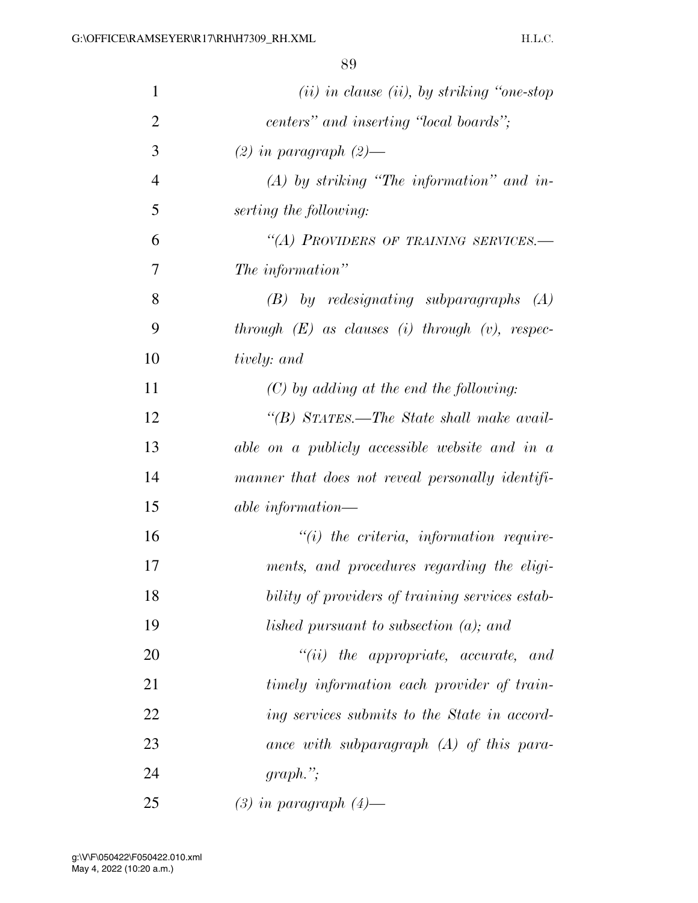| $\mathbf{1}$   | $(ii)$ in clause (ii), by striking "one-stop"        |
|----------------|------------------------------------------------------|
| $\overline{2}$ | centers" and inserting "local boards";               |
| 3              | $(2)$ in paragraph $(2)$ —                           |
| $\overline{4}$ | $(A)$ by striking "The information" and in-          |
| 5              | serting the following:                               |
| 6              | "(A) PROVIDERS OF TRAINING SERVICES.-                |
| 7              | The information"                                     |
| 8              | $(B)$ by redesignating subparagraphs $(A)$           |
| 9              | through $(E)$ as clauses (i) through $(v)$ , respec- |
| 10             | tively: and                                          |
| 11             | $(C)$ by adding at the end the following:            |
| 12             | "(B) STATES.—The State shall make avail-             |
| 13             | able on a publicly accessible website and in a       |
| 14             | manner that does not reveal personally identifi-     |
| 15             | <i>able information—</i>                             |
| 16             | $"(i)$ the criteria, information require-            |
| 17             | ments, and procedures regarding the eligi-           |
| 18             | bility of providers of training services estab-      |
| 19             | lished pursuant to subsection $(a)$ ; and            |
| 20             | $``(ii)$ the appropriate, accurate, and              |
| 21             | timely information each provider of train-           |
| 22             | ing services submits to the State in accord-         |
| 23             | ance with subparagraph $(A)$ of this para-           |
| 24             | $graph.$ ";                                          |
| 25             | $(3)$ in paragraph $(4)$ —                           |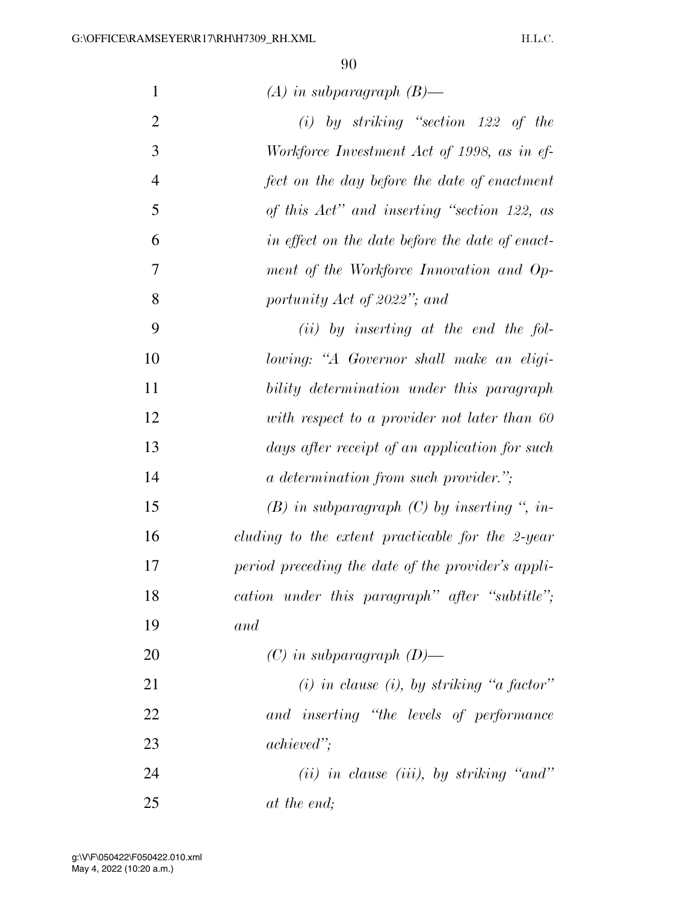| $\mathbf{1}$   | $(A)$ in subparagraph $(B)$ —                      |
|----------------|----------------------------------------------------|
| $\overline{2}$ | $(i)$ by striking "section 122 of the              |
| 3              | Workforce Investment Act of 1998, as in ef-        |
| $\overline{4}$ | fect on the day before the date of enactment       |
| 5              | of this Act" and inserting "section 122, as        |
| 6              | in effect on the date before the date of enact-    |
| 7              | ment of the Workforce Innovation and Op-           |
| 8              | portunity Act of 2022"; and                        |
| 9              | $(ii)$ by inserting at the end the fol-            |
| 10             | lowing: "A Governor shall make an eligi-           |
| 11             | bility determination under this paragraph          |
| 12             | with respect to a provider not later than 60       |
| 13             | days after receipt of an application for such      |
| 14             | <i>a determination from such provider.</i> ";      |
| 15             | $(B)$ in subparagraph $(C)$ by inserting ", in-    |
| 16             | cluding to the extent practicable for the 2-year   |
| 17             | period preceding the date of the provider's appli- |
| 18             | cation under this paragraph" after "subtitle";     |
| 19             | and                                                |
| 20             | $(C)$ in subparagraph $(D)$ —                      |
| 21             | $(i)$ in clause $(i)$ , by striking "a factor"     |
| 22             | and inserting "the levels of performance           |
| 23             | <i>achieved</i> ";                                 |
| 24             | $(ii)$ in clause (iii), by striking "and"          |
| 25             | at the end;                                        |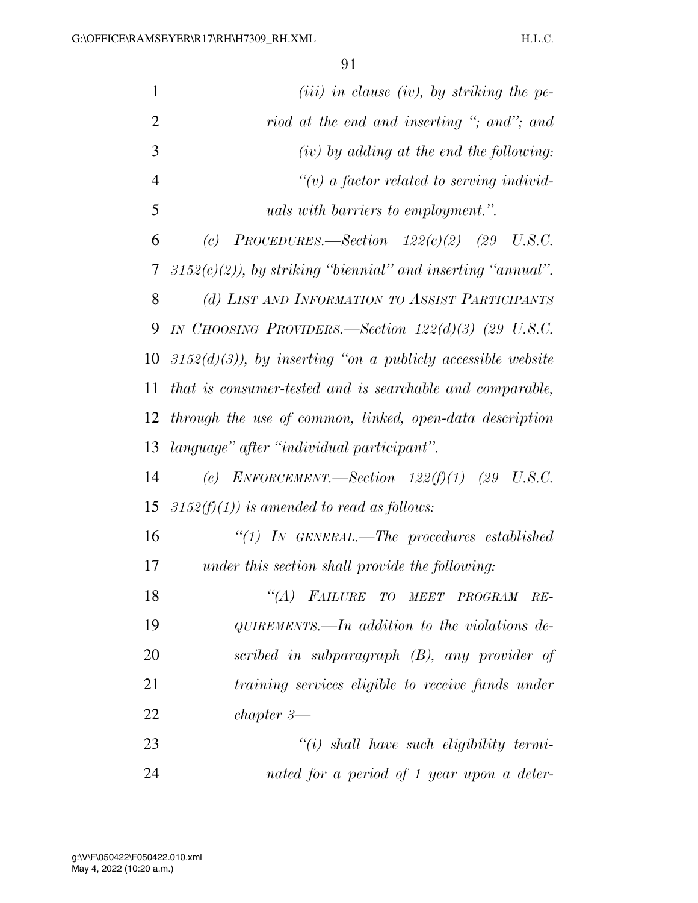| $\mathbf{1}$   | $(iii)$ in clause (iv), by striking the pe-                   |
|----------------|---------------------------------------------------------------|
| $\overline{2}$ | riod at the end and inserting "; and"; and                    |
| 3              | $(iv)$ by adding at the end the following:                    |
| $\overline{4}$ | $\lq\lq(v)$ a factor related to serving individ-              |
| 5              | uals with barriers to employment.".                           |
| 6              | PROCEDURES.—Section $122(c)(2)$ (29 U.S.C.<br>(c)             |
| 7              | $3152(c)(2)$ , by striking "biennial" and inserting "annual". |
| 8              | (d) LIST AND INFORMATION TO ASSIST PARTICIPANTS               |
| 9              | IN CHOOSING PROVIDERS.—Section $122(d)(3)$ (29 U.S.C.         |
| 10             | $3152(d)(3)$ , by inserting "on a publicty accessible website |
| 11             | that is consumer-tested and is searchable and comparable,     |
| 12             | through the use of common, linked, open-data description      |
| 13             | language" after "individual participant".                     |
| 14             | (e) ENFORCEMENT.—Section $122(f)(1)$ (29 U.S.C.               |
| 15             | $3152(f)(1)$ ) is amended to read as follows:                 |
| 16             | $``(1)$ IN GENERAL.—The procedures established                |
| 17             | under this section shall provide the following:               |
| 18             | "(A) FAILURE TO MEET PROGRAM<br>$RE-$                         |
| 19             | $QUIREMENTS.$ addition to the violations de-                  |
| 20             | scribed in subparagraph (B), any provider of                  |
| 21             | training services eligible to receive funds under             |
| 22             | $chapper 3$ —                                                 |
| 23             | $"(i)$ shall have such eligibility termi-                     |
| 24             | nated for a period of 1 year upon a deter-                    |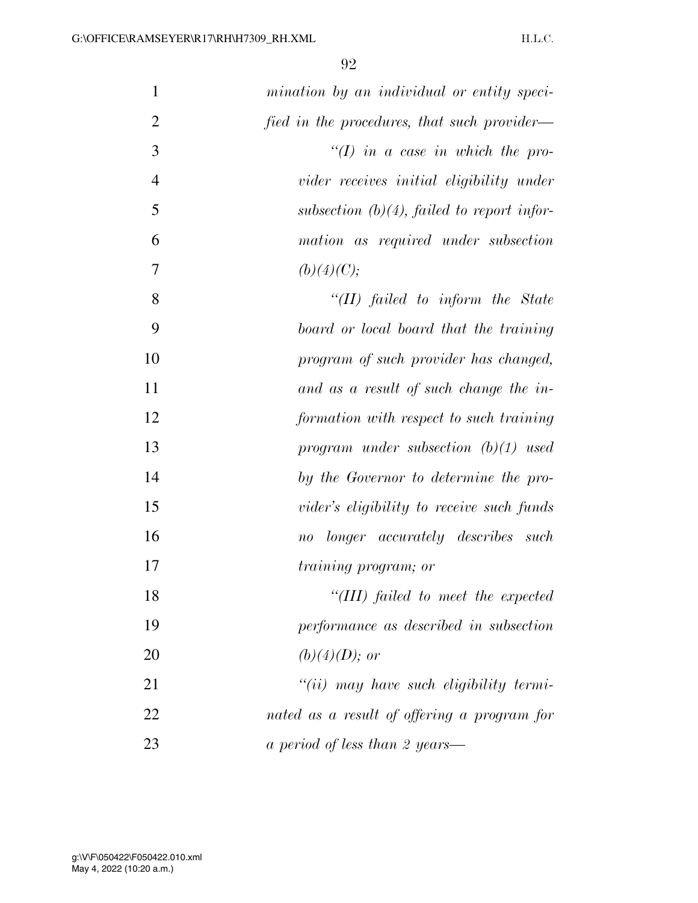| $\mathbf{1}$   | mination by an individual or entity speci-    |
|----------------|-----------------------------------------------|
| $\overline{2}$ | fied in the procedures, that such provider—   |
| 3              | $\lq (I)$ in a case in which the pro-         |
| $\overline{4}$ | vider receives initial eligibility under      |
| 5              | subsection $(b)(4)$ , failed to report infor- |
| 6              | mation as required under subsection           |
| 7              | (b)(4)(C);                                    |
| 8              | "(II) failed to inform the State              |
| 9              | board or local board that the training        |
| 10             | program of such provider has changed,         |
| 11             | and as a result of such change the in-        |
| 12             | formation with respect to such training       |
| 13             | program under subsection $(b)(1)$ used        |
| 14             | by the Governor to determine the pro-         |
| 15             | vider's eligibility to receive such funds     |
| 16             | no longer accurately describes such           |
| 17             | <i>training program; or</i>                   |
| 18             | "(III) failed to meet the expected            |
| 19             | performance as described in subsection        |
| 20             | $(b)(4)(D);$ or                               |
| 21             | $``(ii)$ may have such eligibility termi-     |
| 22             | nated as a result of offering a program for   |
| 23             | a period of less than 2 years—                |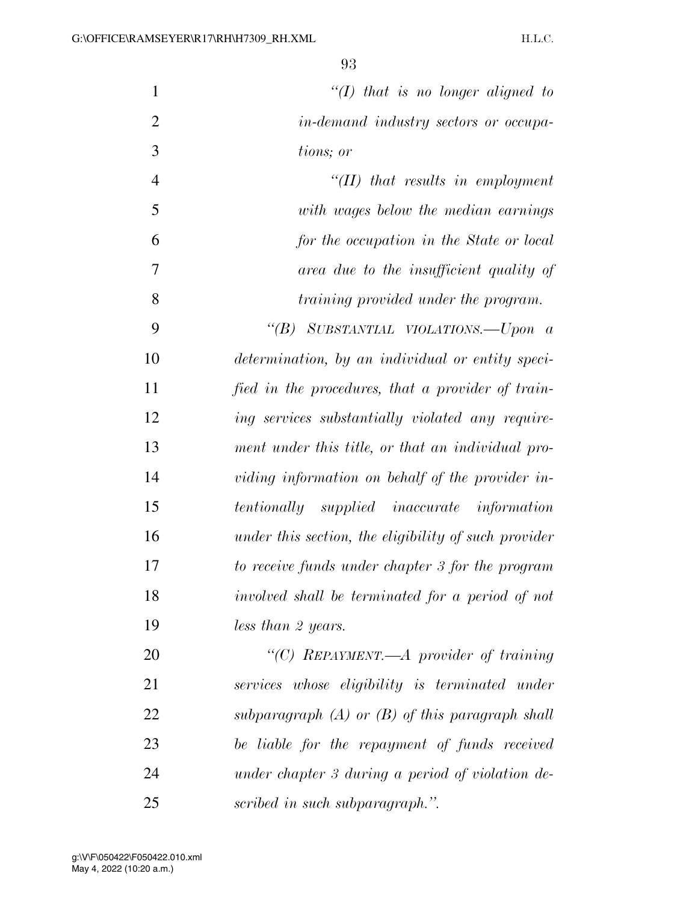| $\mathbf{1}$   | "(I) that is no longer aligned to                    |
|----------------|------------------------------------------------------|
| $\overline{2}$ | in-demand industry sectors or occupa-                |
| 3              | tions; or                                            |
| $\overline{4}$ | $H(II)$ that results in employment                   |
| 5              | with wages below the median earnings                 |
| 6              | for the occupation in the State or local             |
| 7              | area due to the insufficient quality of              |
| 8              | <i>training provided under the program.</i>          |
| 9              | "(B) SUBSTANTIAL VIOLATIONS.—Upon a                  |
| 10             | determination, by an individual or entity speci-     |
| 11             | fied in the procedures, that a provider of train-    |
| 12             | ing services substantially violated any require-     |
| 13             | ment under this title, or that an individual pro-    |
| 14             | viding information on behalf of the provider in-     |
| 15             | tentionally supplied inaccurate information          |
| 16             | under this section, the eligibility of such provider |
| 17             | to receive funds under chapter 3 for the program     |
| 18             | involved shall be terminated for a period of not     |
| 19             | less than 2 years.                                   |
| 20             | "(C) REPAYMENT.—A provider of training               |
| 21             | services whose eligibility is terminated under       |
| 22             | subparagraph $(A)$ or $(B)$ of this paragraph shall  |
| 23             | be liable for the repayment of funds received        |
| 24             | under chapter 3 during a period of violation de-     |
| 25             | scribed in such subparagraph.".                      |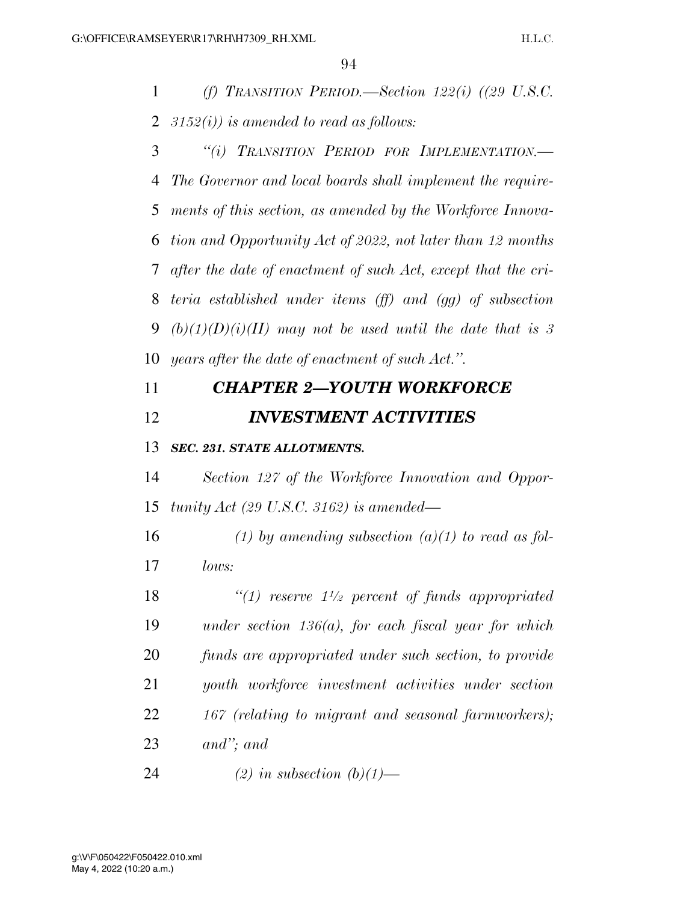*(f) TRANSITION PERIOD.—Section 122(i) ((29 U.S.C. 3152(i)) is amended to read as follows:* 

 *''(i) TRANSITION PERIOD FOR IMPLEMENTATION.— The Governor and local boards shall implement the require- ments of this section, as amended by the Workforce Innova- tion and Opportunity Act of 2022, not later than 12 months after the date of enactment of such Act, except that the cri- teria established under items (ff) and (gg) of subsection (b)(1)(D)(i)(II) may not be used until the date that is 3 years after the date of enactment of such Act.''.* 

## *CHAPTER 2—YOUTH WORKFORCE INVESTMENT ACTIVITIES*

## *SEC. 231. STATE ALLOTMENTS.*

 *Section 127 of the Workforce Innovation and Oppor-tunity Act (29 U.S.C. 3162) is amended—* 

 *(1) by amending subsection (a)(1) to read as fol-lows:* 

 *<i>''(1) reserve*  $1\frac{1}{2}$  *percent of funds appropriated under section 136(a), for each fiscal year for which funds are appropriated under such section, to provide youth workforce investment activities under section 167 (relating to migrant and seasonal farmworkers); and''; and* 

*(2) in subsection (b)(1)—*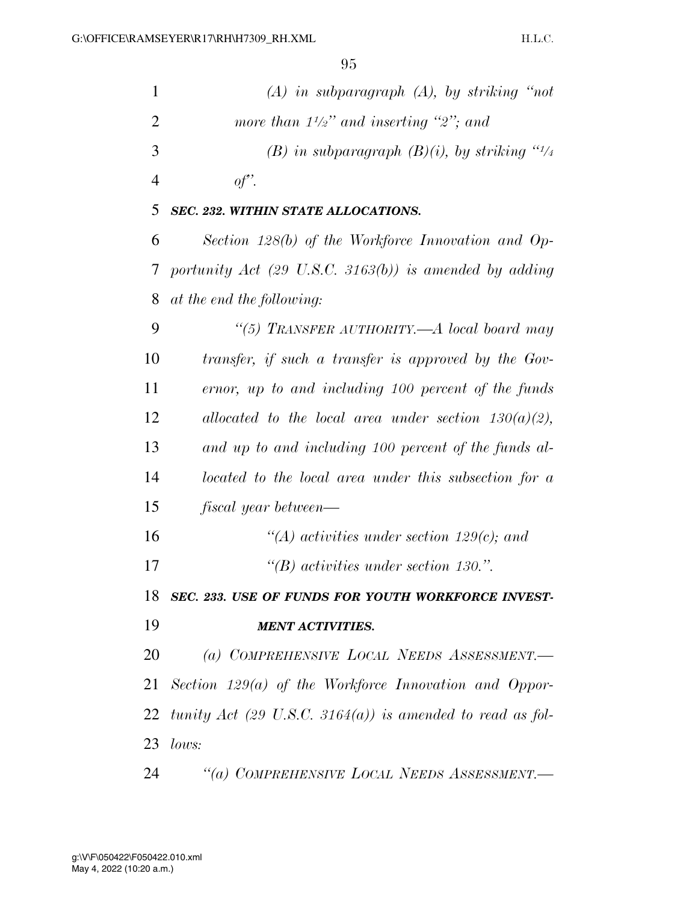| $\mathbf{1}$   | $(A)$ in subparagraph $(A)$ , by striking "not                    |
|----------------|-------------------------------------------------------------------|
| $\overline{2}$ | more than $1\frac{1}{2}$ " and inserting "2"; and                 |
| 3              | (B) in subparagraph $(B)(i)$ , by striking "1/4"                  |
| $\overline{4}$ | of'.                                                              |
| 5              | SEC. 232. WITHIN STATE ALLOCATIONS.                               |
| 6              | Section $128(b)$ of the Workforce Innovation and Op-              |
| 7              | portunity Act $(29 \text{ U.S.C. } 3163(b))$ is amended by adding |
| 8              | at the end the following:                                         |
| 9              | "(5) TRANSFER AUTHORITY.—A local board may                        |
| 10             | transfer, if such a transfer is approved by the Gov-              |
| 11             | ernor, up to and including 100 percent of the funds               |
| 12             | allocated to the local area under section $130(a)(2)$ ,           |
| 13             | and up to and including 100 percent of the funds al-              |
| 14             | located to the local area under this subsection for a             |
| 15             | fiscal year between—                                              |
| 16             | "(A) activities under section 129 $(c)$ ; and                     |
| 17             | $\lq\lq B$ activities under section 130.".                        |
| 18             | SEC. 233. USE OF FUNDS FOR YOUTH WORKFORCE INVEST-                |
| 19             | <b>MENT ACTIVITIES.</b>                                           |
| 20             | (a) COMPREHENSIVE LOCAL NEEDS ASSESSMENT.                         |
| 21             | Section $129(a)$ of the Workforce Innovation and Oppor-           |
|                | 22 tunity Act (29 U.S.C. 3164(a)) is amended to read as fol-      |
| 23             | lows:                                                             |
| 24             | "(a) COMPREHENSIVE LOCAL NEEDS ASSESSMENT.-                       |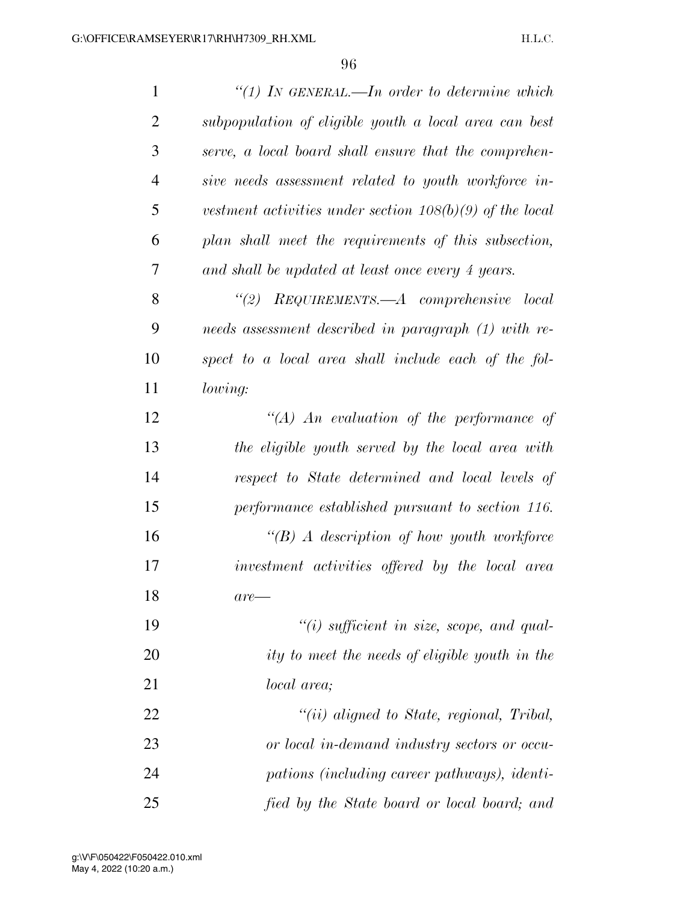| $\mathbf{1}$   | "(1) IN GENERAL.—In order to determine which               |
|----------------|------------------------------------------------------------|
| $\overline{2}$ | subpopulation of eligible youth a local area can best      |
| 3              | serve, a local board shall ensure that the comprehen-      |
| $\overline{4}$ | sive needs assessment related to youth workforce in-       |
| 5              | vestment activities under section $108(b)(9)$ of the local |
| 6              | plan shall meet the requirements of this subsection,       |
| 7              | and shall be updated at least once every 4 years.          |
| 8              | "(2) $REQUIREMENTS. -A$ comprehensive local                |
| 9              | needs assessment described in paragraph (1) with re-       |
| 10             | spect to a local area shall include each of the fol-       |
| 11             | lowing:                                                    |
| 12             | "(A) An evaluation of the performance of                   |
| 13             | the eligible youth served by the local area with           |
| 14             | respect to State determined and local levels of            |
| 15             | performance established pursuant to section 116.           |
| 16             | $\lq\lq B$ A description of how youth workforce            |
| 17             | investment activities offered by the local area            |
| 18             | $are-$                                                     |
| 19             | $"(i)$ sufficient in size, scope, and qual-                |
| 20             | ity to meet the needs of eligible youth in the             |
| 21             | <i>local</i> area;                                         |
| 22             | $``(ii)$ aligned to State, regional, Tribal,               |
| 23             | or local in-demand industry sectors or occu-               |
| 24             | pations (including career pathways), identi-               |
| 25             | fied by the State board or local board; and                |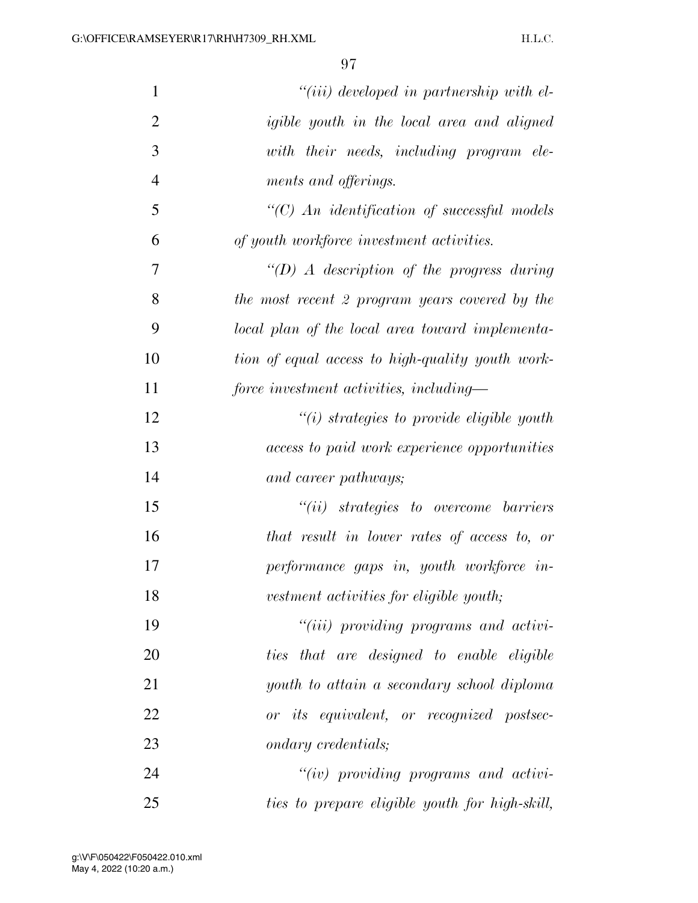| $\mathbf{1}$   | "(iii) developed in partnership with el-          |
|----------------|---------------------------------------------------|
| $\overline{2}$ | igible youth in the local area and aligned        |
| 3              | with their needs, including program ele-          |
| $\overline{4}$ | ments and offerings.                              |
| 5              | $\lq\lq C$ An identification of successful models |
| 6              | of youth workforce investment activities.         |
| 7              | $\lq (D)$ A description of the progress during    |
| 8              | the most recent 2 program years covered by the    |
| 9              | local plan of the local area toward implementa-   |
| 10             | tion of equal access to high-quality youth work-  |
| 11             | force investment activities, including-           |
| 12             | $"(i)$ strategies to provide eligible youth       |
| 13             | access to paid work experience opportunities      |
| 14             | and career pathways;                              |
| 15             | $``(ii)$ strategies to overcome barriers          |
| 16             | that result in lower rates of access to, or       |
| 17             | performance gaps in, youth workforce in-          |
| 18             | vestment activities for eligible youth;           |
| 19             | "(iii) providing programs and activi-             |
| 20             | ties that are designed to enable eligible         |
| 21             | youth to attain a secondary school diploma        |
| 22             | or its equivalent, or recognized postsec-         |
| 23             | ondary credentials;                               |
| 24             | $``(iv)$ providing programs and activi-           |
| 25             | ties to prepare eligible youth for high-skill,    |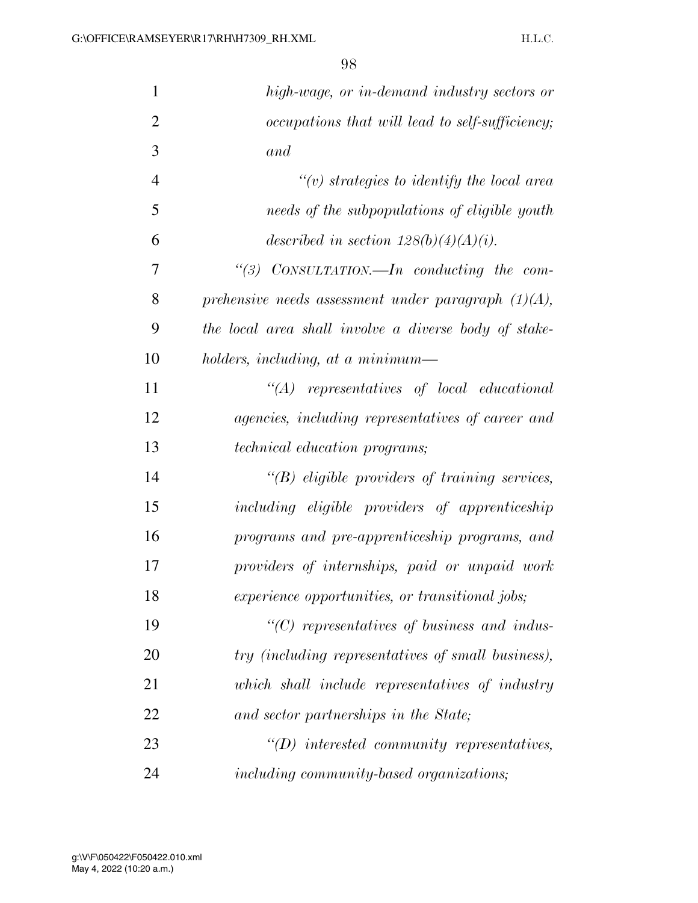| $\mathbf{1}$   | high-wage, or in-demand industry sectors or            |
|----------------|--------------------------------------------------------|
| $\overline{2}$ | occupations that will lead to self-sufficiency;        |
| 3              | and                                                    |
| $\overline{4}$ | $\lq\lq(v)$ strategies to identify the local area      |
| 5              | needs of the subpopulations of eligible youth          |
| 6              | described in section $128(b)(4)(A)(i)$ .               |
| 7              | "(3) $CONSULTATION$ —In conducting the com-            |
| 8              | prehensive needs assessment under paragraph $(1)(A)$ , |
| 9              | the local area shall involve a diverse body of stake-  |
| 10             | holders, including, at a minimum—                      |
| 11             | $\lq\lq (A)$ representatives of local educational      |
| 12             | agencies, including representatives of career and      |
| 13             | technical education programs;                          |
| 14             | $\lq\lq B$ eligible providers of training services,    |
| 15             | including eligible providers of apprenticeship         |
| 16             | programs and pre-apprenticeship programs, and          |
| 17             | providers of internships, paid or unpaid work          |
| 18             | experience opportunities, or transitional jobs;        |
| 19             | $\lq\lq C$ representatives of business and indus-      |
| 20             | try (including representatives of small business),     |
| 21             | which shall include representatives of industry        |
| 22             | and sector partnerships in the State;                  |
| 23             | $\lq\lq D$ interested community representatives,       |
| 24             | including community-based organizations;               |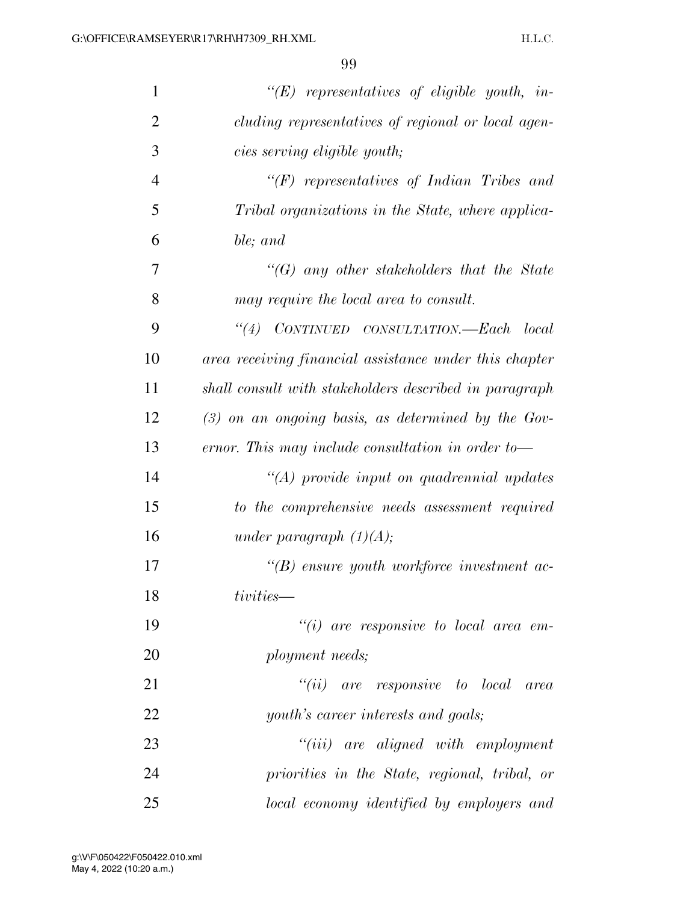| $\mathbf{1}$   | $\lq\lq (E)$ representatives of eligible youth, in-    |
|----------------|--------------------------------------------------------|
| $\overline{2}$ | cluding representatives of regional or local agen-     |
| 3              | cies serving eligible youth;                           |
| $\overline{4}$ | $\lq\lq(F)$ representatives of Indian Tribes and       |
| 5              | Tribal organizations in the State, where applica-      |
| 6              | ble; and                                               |
| 7              | $\lq\lq(G)$ any other stakeholders that the State      |
| 8              | may require the local area to consult.                 |
| 9              | "(4) CONTINUED CONSULTATION.—Each local                |
| 10             | area receiving financial assistance under this chapter |
| 11             | shall consult with stakeholders described in paragraph |
| 12             | $(3)$ on an ongoing basis, as determined by the Gov-   |
| 13             | ernor. This may include consultation in order to-      |
| 14             | $"(A)$ provide input on quadrennial updates            |
| 15             | to the comprehensive needs assessment required         |
| 16             | under paragraph $(1)(A);$                              |
| 17             | $\lq\lq(B)$ ensure youth workforce investment ac-      |
| 18             | tivities—                                              |
| 19             | $``(i)$ are responsive to local area em-               |
| 20             | ployment needs;                                        |
| 21             | $``(ii)$ are responsive to local area                  |
| 22             | youth's career interests and goals;                    |
| 23             | $``(iii)$ are aligned with employment                  |
| 24             | priorities in the State, regional, tribal, or          |
| 25             | local economy identified by employers and              |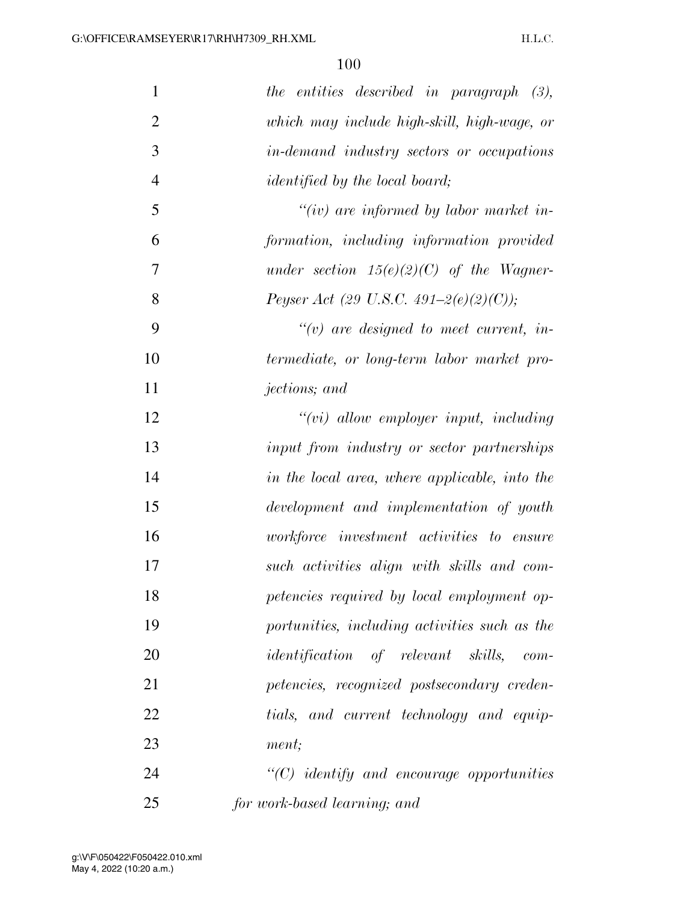| $\mathbf{1}$   | the entities described in paragraph $(3)$ ,      |
|----------------|--------------------------------------------------|
| $\overline{2}$ | which may include high-skill, high-wage, or      |
| 3              | <i>in-demand industry sectors or occupations</i> |
| $\overline{4}$ | <i>identified by the local board</i> ;           |
| 5              | $``(iv)$ are informed by labor market in-        |
| 6              | formation, including information provided        |
| 7              | under section $15(e)(2)(C)$ of the Wagner-       |
| 8              | Peyser Act (29 U.S.C. 491-2(e)(2)(C));           |
| 9              | $\lq\lq(v)$ are designed to meet current, in-    |
| 10             | termediate, or long-term labor market pro-       |
| 11             | <i>jections</i> ; and                            |
| 12             | $``(vi)$ allow employer input, including         |
| 13             | input from industry or sector partnerships       |
| 14             | in the local area, where applicable, into the    |
| 15             | development and implementation of youth          |
| 16             | workforce investment activities to ensure        |
| 17             | such activities align with skills and com-       |
| 18             | petencies required by local employment op-       |
| 19             | portunities, including activities such as the    |
| 20             | <i>identification</i> of relevant skills, com-   |
| 21             | petencies, recognized postsecondary creden-      |
| 22             | tials, and current technology and equip-         |
| 23             | ment;                                            |
| 24             | $"$ (C) identify and encourage opportunities     |
| 25             | for work-based learning; and                     |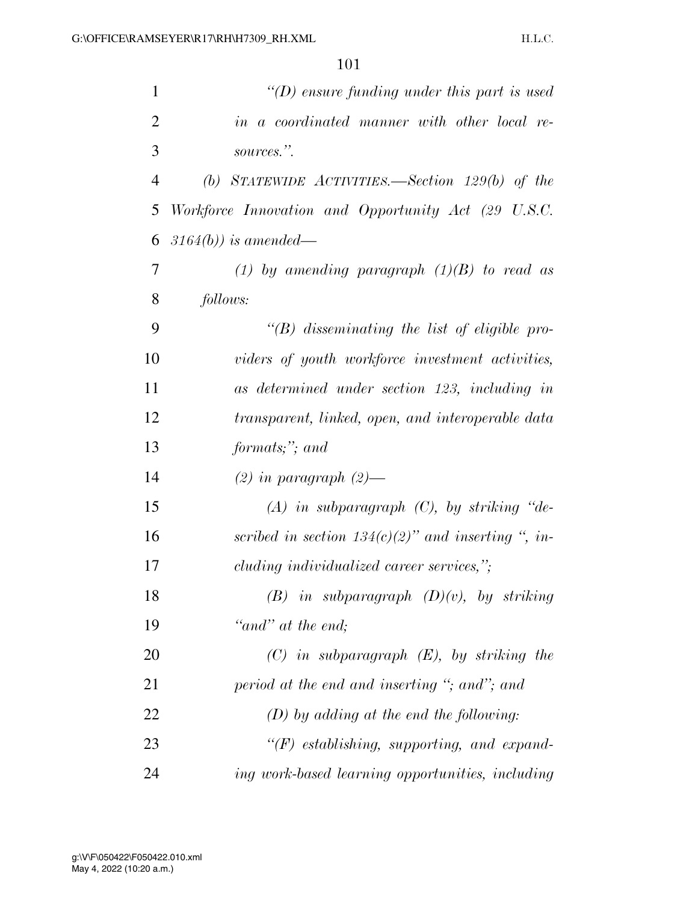| $\mathbf{1}$   | "(D) ensure funding under this part is used           |
|----------------|-------------------------------------------------------|
| $\overline{2}$ | in a coordinated manner with other local re-          |
| 3              | sources.".                                            |
| $\overline{4}$ | (b) STATEWIDE ACTIVITIES.—Section $129(b)$ of the     |
| 5              | Workforce Innovation and Opportunity Act (29 U.S.C.   |
| 6              | $3164(b)$ ) is amended—                               |
| 7              | (1) by amending paragraph $(1)(B)$ to read as         |
| 8              | follows:                                              |
| 9              | $\lq\lq B$ disseminating the list of eligible pro-    |
| 10             | viders of youth workforce investment activities,      |
| 11             | as determined under section 123, including in         |
| 12             | transparent, linked, open, and interoperable data     |
| 13             | formats;"; and                                        |
| 14             | $(2)$ in paragraph $(2)$ —                            |
| 15             | $(A)$ in subparagraph $(C)$ , by striking "de-        |
| 16             | scribed in section $134(c)(2)$ " and inserting ", in- |
| 17             | cluding individualized career services,";             |
| 18             | $(B)$ in subparagraph $(D)(v)$ , by striking          |
| 19             | "and" at the end;                                     |
| 20             | $(C)$ in subparagraph $(E)$ , by striking the         |
| 21             | period at the end and inserting "; and"; and          |
| 22             | $(D)$ by adding at the end the following:             |
| 23             | $``(F)$ establishing, supporting, and expand-         |
| 24             | ing work-based learning opportunities, including      |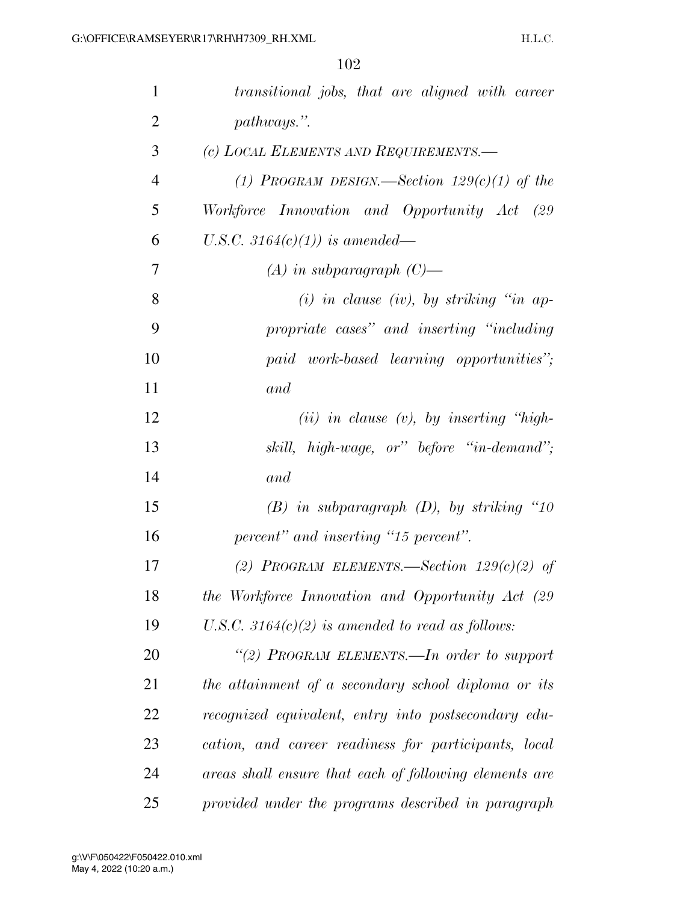| $\mathbf{1}$   | transitional jobs, that are aligned with career        |
|----------------|--------------------------------------------------------|
| $\overline{2}$ | pathways.".                                            |
| 3              | (c) LOCAL ELEMENTS AND REQUIREMENTS.—                  |
| $\overline{4}$ | (1) PROGRAM DESIGN.—Section $129(c)(1)$ of the         |
| 5              | Workforce Innovation and Opportunity Act (29           |
| 6              | U.S.C. 3164(c)(1)) is amended—                         |
| 7              | $(A)$ in subparagraph $(C)$ —                          |
| 8              | $(i)$ in clause $(iv)$ , by striking "in ap-           |
| 9              | propriate cases" and inserting "including              |
| 10             | paid work-based learning opportunities";               |
| 11             | and                                                    |
| 12             | $(ii)$ in clause $(v)$ , by inserting "high-           |
| 13             | skill, high-wage, or" before "in-demand";              |
| 14             | and                                                    |
| 15             | $(B)$ in subparagraph $(D)$ , by striking "10          |
| 16             | percent" and inserting "15 percent".                   |
| 17             | (2) PROGRAM ELEMENTS.—Section $129(c)(2)$ of           |
| 18             | the Workforce Innovation and Opportunity Act (29       |
| 19             | U.S.C. 3164 $(c)(2)$ is amended to read as follows:    |
| 20             | "(2) PROGRAM ELEMENTS.—In order to support             |
| 21             | the attainment of a secondary school diploma or its    |
| 22             | recognized equivalent, entry into postsecondary edu-   |
| 23             | cation, and career readiness for participants, local   |
| 24             | areas shall ensure that each of following elements are |
| 25             | provided under the programs described in paragraph     |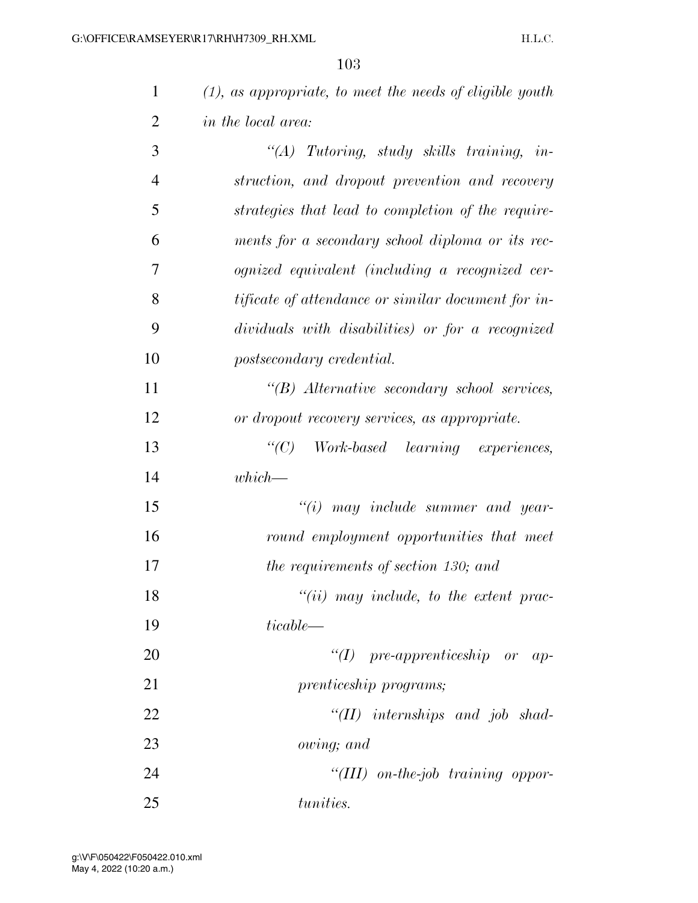|                | 1U5                                                         |
|----------------|-------------------------------------------------------------|
| $\mathbf{1}$   | $(1)$ , as appropriate, to meet the needs of eligible youth |
| $\overline{2}$ | <i>in the local area:</i>                                   |
| 3              | $\lq\lq (A)$ Tutoring, study skills training, in-           |
| $\overline{4}$ | struction, and dropout prevention and recovery              |
| 5              | strategies that lead to completion of the require-          |
| 6              | ments for a secondary school diploma or its rec-            |
| $\overline{7}$ | ognized equivalent (including a recognized cer-             |
| 8              | <i>tificate of attendance or similar document for in-</i>   |
| 9              | dividuals with disabilities) or for a recognized            |
| 10             | postsecondary credential.                                   |
| 11             | "(B) Alternative secondary school services,                 |
| 12             | or dropout recovery services, as appropriate.               |
| 13             | Work-based learning experiences,<br>$\lq\lq C$ )            |

*which—* 

 *''(i) may include summer and year- round employment opportunities that meet the requirements of section 130; and ''(ii) may include, to the extent prac-ticable—* 

 *''(I) pre-apprenticeship or ap- prenticeship programs; ''(II) internships and job shad-owing; and* 

 *''(III) on-the-job training oppor-tunities.*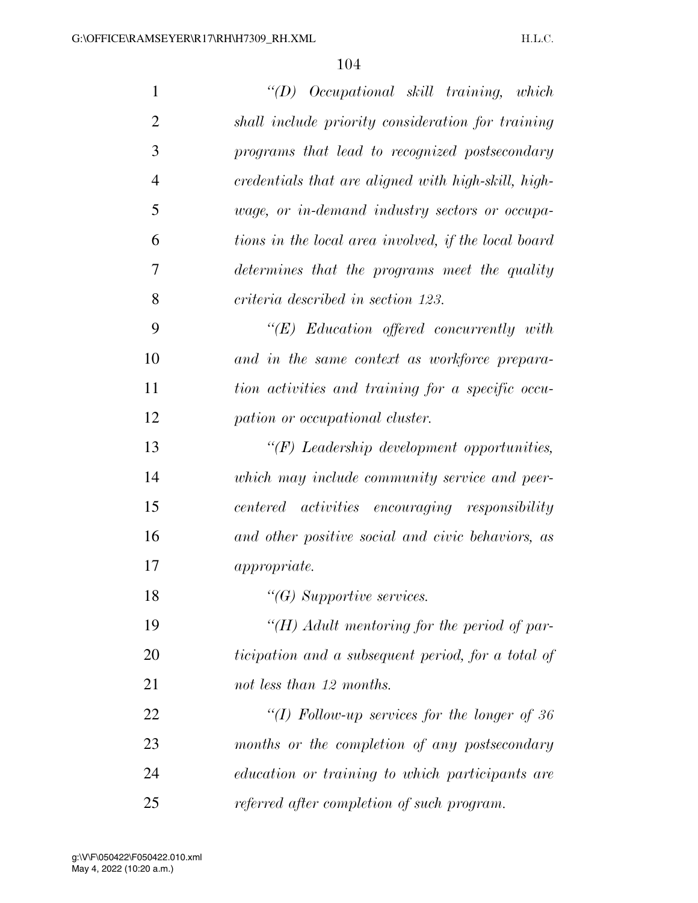| $\mathbf{1}$   | $\lq\lq D$ Occupational skill training, which        |
|----------------|------------------------------------------------------|
| $\overline{2}$ | shall include priority consideration for training    |
| 3              | programs that lead to recognized postsecondary       |
| $\overline{4}$ | credentials that are aligned with high-skill, high-  |
| 5              | wage, or in-demand industry sectors or occupa-       |
| 6              | tions in the local area involved, if the local board |
| 7              | determines that the programs meet the quality        |
| 8              | criteria described in section 123.                   |
| 9              | $\lq\lq (E)$ Education offered concurrently with     |
| 10             | and in the same context as workforce prepara-        |
| 11             | tion activities and training for a specific occu-    |
| 12             | pation or occupational cluster.                      |
| 13             | $H(F)$ Leadership development opportunities,         |
| 14             | which may include community service and peer-        |
| 15             | centered activities encouraging responsibility       |
| 16             | and other positive social and civic behaviors, as    |
| 17             | <i>appropriate.</i>                                  |
| 18             | $\lq\lq G$ Supportive services.                      |
| 19             | "(H) Adult mentoring for the period of par-          |
| 20             | ticipation and a subsequent period, for a total of   |
| 21             | not less than 12 months.                             |
| 22             | "(I) Follow-up services for the longer of 36         |
| 23             | months or the completion of any postsecondary        |
| 24             | education or training to which participants are      |
| 25             | referred after completion of such program.           |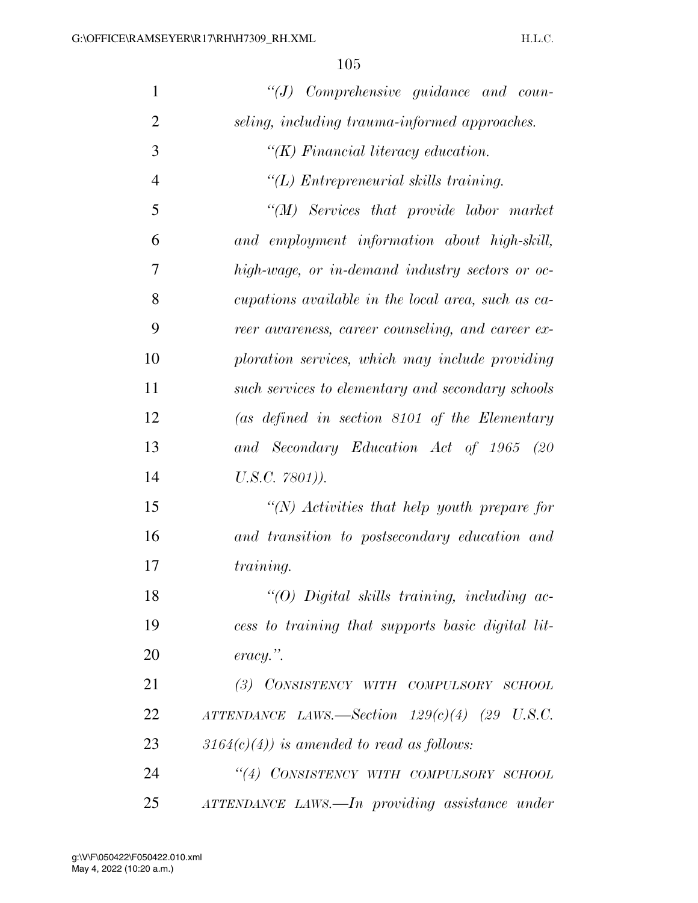| $\mathbf{1}$   | $``(J)$ Comprehensive guidance and coun-               |
|----------------|--------------------------------------------------------|
| $\overline{2}$ | seling, including trauma-informed approaches.          |
| 3              | $\lq (K)$ Financial literacy education.                |
| $\overline{4}$ | "(L) Entrepreneurial skills training.                  |
| 5              | $\lq (M)$ Services that provide labor market           |
| 6              | and employment information about high-skill,           |
| 7              | high-wage, or in-demand industry sectors or oc-        |
| 8              | cupations available in the local area, such as ca-     |
| 9              | reer awareness, career counseling, and career ex-      |
| 10             | ploration services, which may include providing        |
| 11             | such services to elementary and secondary schools      |
| 12             | $(as\ defined\ in\ section\ 8101\ of\ the\ Elementary$ |
| 13             | and Secondary Education Act of 1965 (20                |
| 14             | $U.S.C. 7801)$ ).                                      |
| 15             | "(N) Activities that help youth prepare for            |
| 16             | and transition to postsecondary education and          |
| 17             | <i>training.</i>                                       |
| 18             | "(O) Digital skills training, including ac-            |
| 19             | cess to training that supports basic digital lit-      |
| 20             | $\textit{eracy."}.$                                    |
| 21             | (3) CONSISTENCY WITH COMPULSORY SCHOOL                 |
| 22             | ATTENDANCE LAWS.—Section $129(c)(4)$ (29 U.S.C.        |
| 23             | $3164(c)(4)$ ) is amended to read as follows:          |
| 24             | "(4) CONSISTENCY WITH COMPULSORY SCHOOL                |
| 25             | ATTENDANCE LAWS.—In providing assistance under         |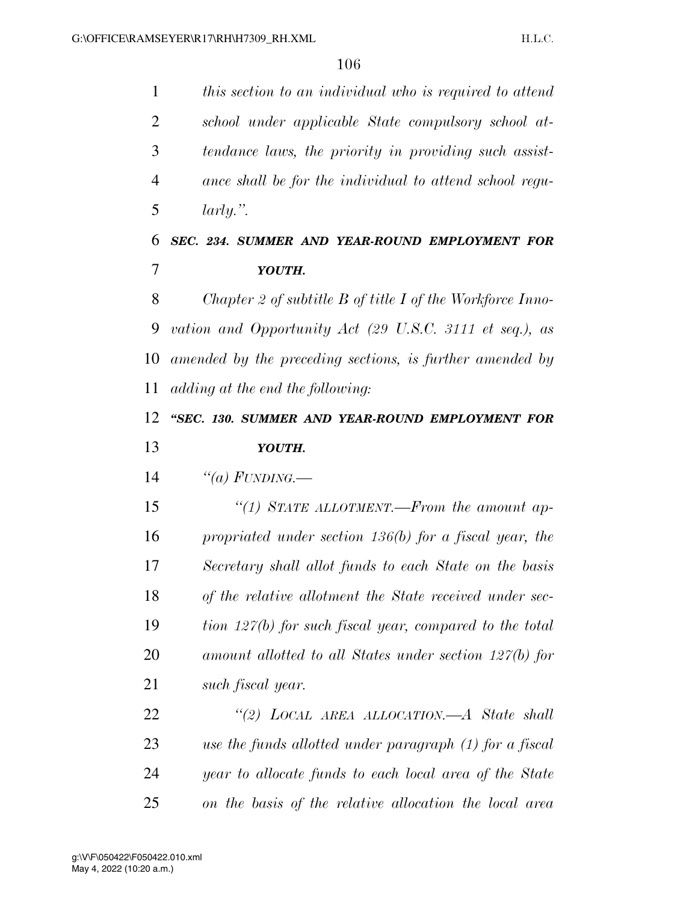*this section to an individual who is required to attend school under applicable State compulsory school at- tendance laws, the priority in providing such assist- ance shall be for the individual to attend school regu- larly.''. SEC. 234. SUMMER AND YEAR-ROUND EMPLOYMENT FOR YOUTH. Chapter 2 of subtitle B of title I of the Workforce Inno- vation and Opportunity Act (29 U.S.C. 3111 et seq.), as amended by the preceding sections, is further amended by adding at the end the following: ''SEC. 130. SUMMER AND YEAR-ROUND EMPLOYMENT FOR YOUTH. ''(a) FUNDING.— ''(1) STATE ALLOTMENT.—From the amount ap- propriated under section 136(b) for a fiscal year, the Secretary shall allot funds to each State on the basis of the relative allotment the State received under sec- tion 127(b) for such fiscal year, compared to the total amount allotted to all States under section 127(b) for such fiscal year. ''(2) LOCAL AREA ALLOCATION.—A State shall use the funds allotted under paragraph (1) for a fiscal year to allocate funds to each local area of the State on the basis of the relative allocation the local area*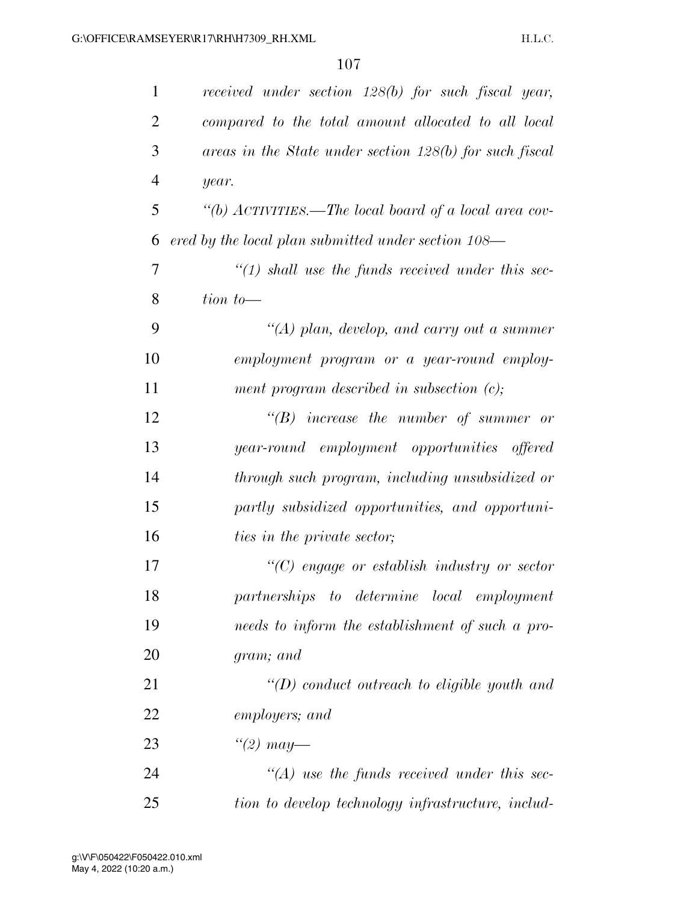| 1              | received under section 128(b) for such fiscal year,      |
|----------------|----------------------------------------------------------|
| $\overline{2}$ | compared to the total amount allocated to all local      |
| 3              | areas in the State under section 128(b) for such fiscal  |
| $\overline{4}$ | year.                                                    |
| 5              | "(b) $ACTIVITIES.$ —The local board of a local area cov- |
| 6              | ered by the local plan submitted under section 108—      |
| 7              | $\lq(1)$ shall use the funds received under this sec-    |
| 8              | $\lim$ to —                                              |
| 9              | $\lq (A)$ plan, develop, and carry out a summer          |
| 10             | employment program or a year-round employ-               |
| 11             | ment program described in subsection $(c)$ ;             |
| 12             | $\lq\lq B$ increase the number of summer or              |
| 13             | year-round employment opportunities offered              |
| 14             | through such program, including unsubsidized or          |
| 15             | partly subsidized opportunities, and opportuni-          |
| 16             | ties in the private sector;                              |
| 17             | $\lq\lq C$ engage or establish industry or sector        |
| 18             | partnerships to determine local employment               |
| 19             | needs to inform the establishment of such a pro-         |
| 20             | gram; and                                                |
| 21             | $\lq (D)$ conduct outreach to eligible youth and         |
| 22             | employers; and                                           |
| 23             | "(2) may—                                                |
| 24             | $\lq (A)$ use the funds received under this sec-         |
| 25             | tion to develop technology infrastructure, includ-       |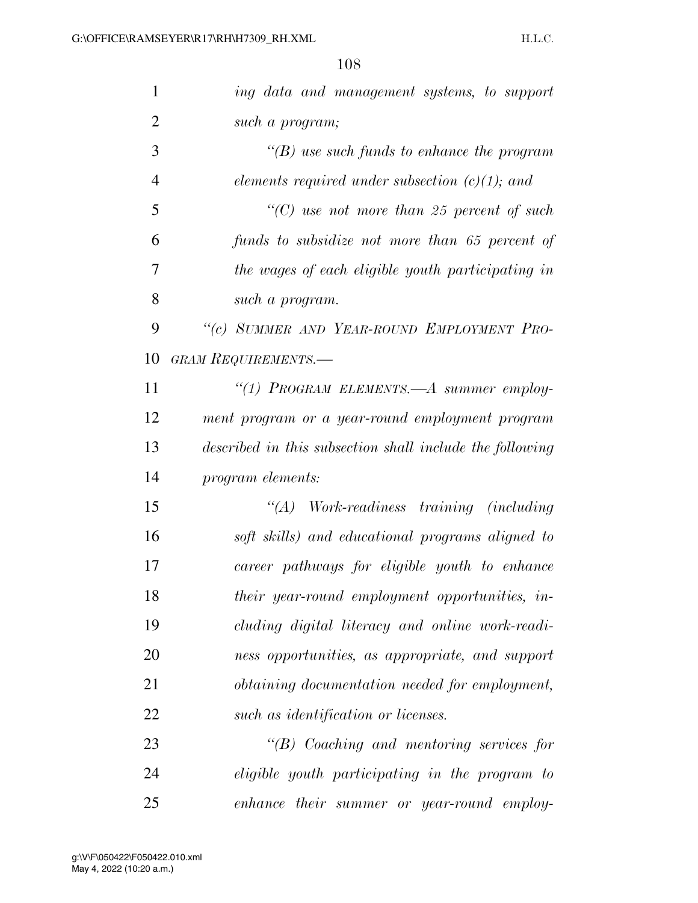| $\mathbf{1}$   | ing data and management systems, to support              |
|----------------|----------------------------------------------------------|
| $\overline{2}$ | such a program;                                          |
| 3              | $\lq\lq(B)$ use such funds to enhance the program        |
| $\overline{4}$ | elements required under subsection $(c)(1)$ ; and        |
| 5              | "(C) use not more than 25 percent of such                |
| 6              | funds to subsidize not more than 65 percent of           |
| 7              | the wages of each eligible youth participating in        |
| 8              | such a program.                                          |
| 9              | "(c) SUMMER AND YEAR-ROUND EMPLOYMENT PRO-               |
| 10             | <b>GRAM REQUIREMENTS.—</b>                               |
| 11             | "(1) PROGRAM ELEMENTS.—A summer employ-                  |
| 12             | ment program or a year-round employment program          |
| 13             | described in this subsection shall include the following |
| 14             | program elements:                                        |
| 15             | $\lq (A)$<br>Work-readiness training (including          |
| 16             | soft skills) and educational programs aligned to         |
| 17             | career pathways for eligible youth to enhance            |
| 18             | their year-round employment opportunities, in-           |
| 19             | cluding digital literacy and online work-readi-          |
| 20             | ness opportunities, as appropriate, and support          |
| 21             | <i>obtaining documentation needed for employment,</i>    |
| 22             | such as identification or licenses.                      |
| 23             | $\lq\lq B$ Coaching and mentoring services for           |
| 24             | <i>eligible youth participating in the program to</i>    |
| 25             | enhance their summer or year-round employ-               |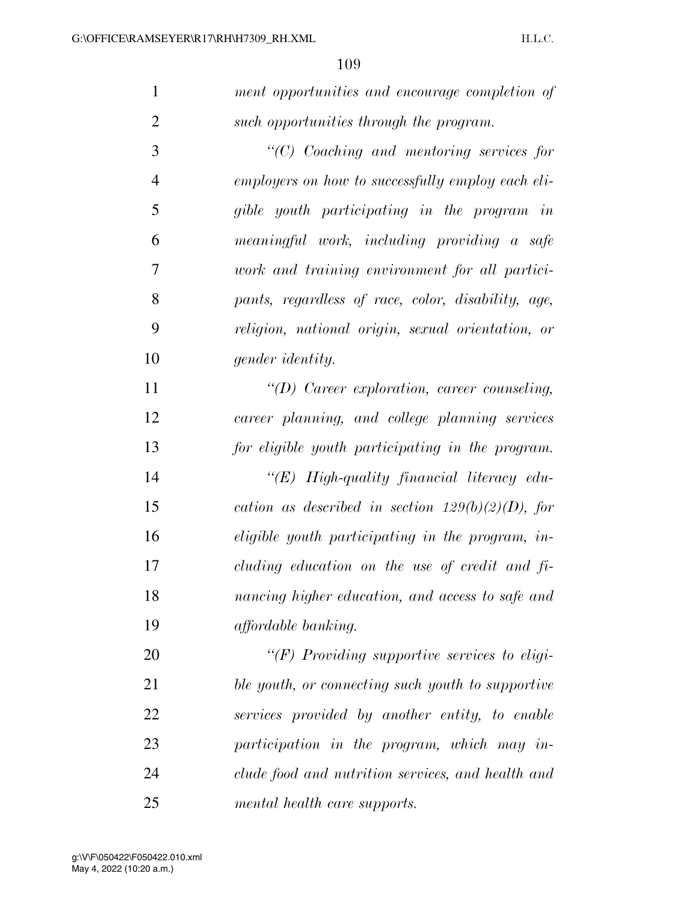*ment opportunities and encourage completion of such opportunities through the program. ''(C) Coaching and mentoring services for* 

 *employers on how to successfully employ each eli- gible youth participating in the program in meaningful work, including providing a safe work and training environment for all partici- pants, regardless of race, color, disability, age, religion, national origin, sexual orientation, or gender identity.* 

 *''(D) Career exploration, career counseling, career planning, and college planning services for eligible youth participating in the program.* 

 *''(E) High-quality financial literacy edu- cation as described in section 129(b)(2)(D), for eligible youth participating in the program, in- cluding education on the use of credit and fi- nancing higher education, and access to safe and affordable banking.* 

 *''(F) Providing supportive services to eligi- ble youth, or connecting such youth to supportive services provided by another entity, to enable participation in the program, which may in- clude food and nutrition services, and health and mental health care supports.*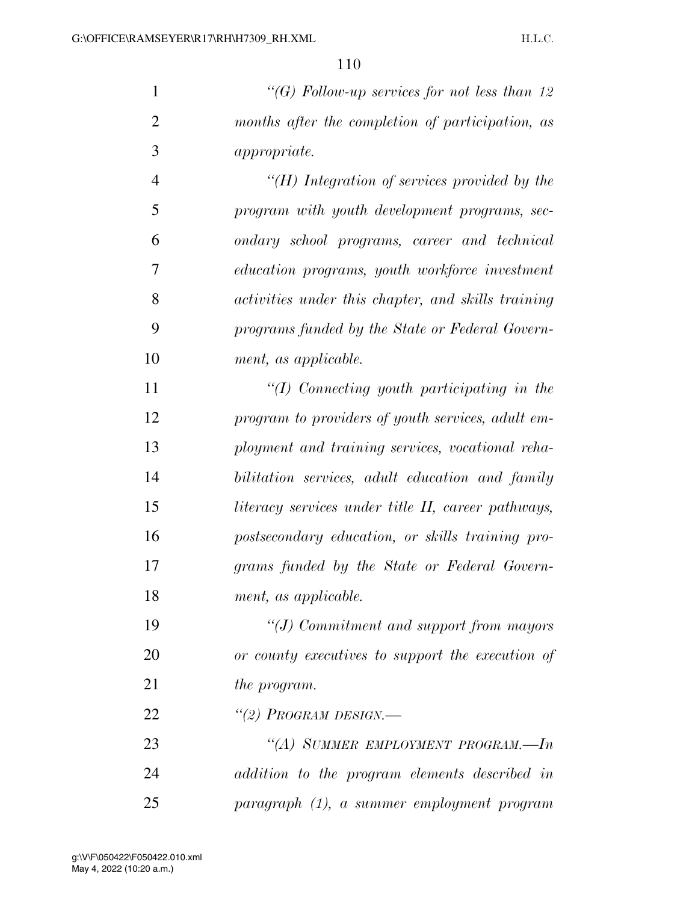*''(G) Follow-up services for not less than 12 months after the completion of participation, as appropriate.* 

 *''(H) Integration of services provided by the program with youth development programs, sec- ondary school programs, career and technical education programs, youth workforce investment activities under this chapter, and skills training programs funded by the State or Federal Govern-ment, as applicable.* 

 *''(I) Connecting youth participating in the program to providers of youth services, adult em- ployment and training services, vocational reha- bilitation services, adult education and family literacy services under title II, career pathways, postsecondary education, or skills training pro- grams funded by the State or Federal Govern-ment, as applicable.* 

 *''(J) Commitment and support from mayors or county executives to support the execution of the program.* 

*''(2) PROGRAM DESIGN.—* 

 *''(A) SUMMER EMPLOYMENT PROGRAM.—In addition to the program elements described in paragraph (1), a summer employment program*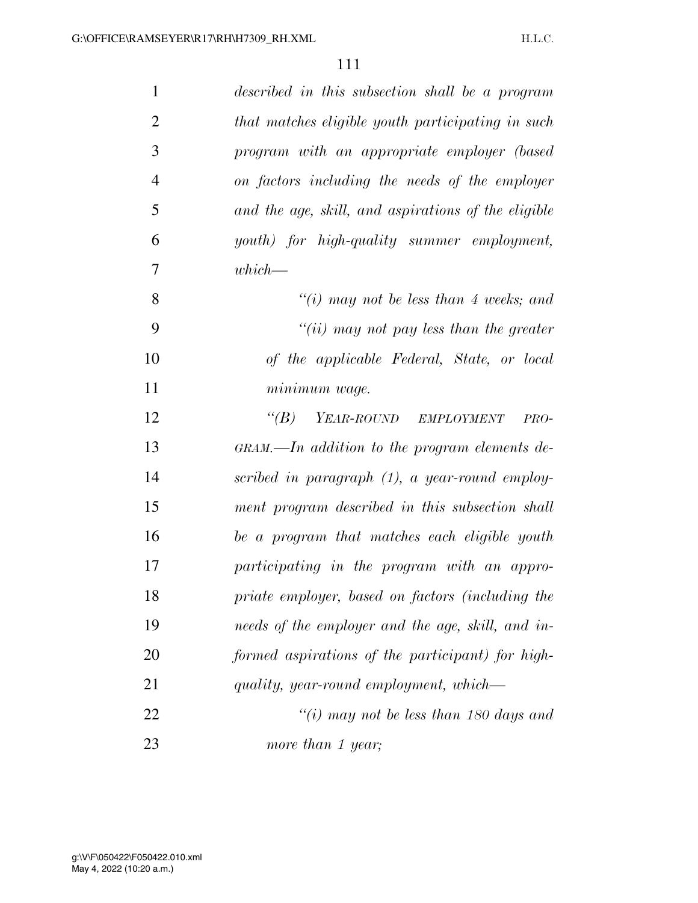| $\mathbf{1}$   | described in this subsection shall be a program                           |
|----------------|---------------------------------------------------------------------------|
| $\overline{2}$ | that matches eligible youth participating in such                         |
| 3              | program with an appropriate employer (based                               |
| $\overline{4}$ | on factors including the needs of the employer                            |
| 5              | and the age, skill, and aspirations of the eligible                       |
| 6              | youth) for high-quality summer employment,                                |
| 7              | $which$ —                                                                 |
| 8              | "(i) may not be less than 4 weeks; and                                    |
| 9              | "(ii) may not pay less than the greater                                   |
| 10             | of the applicable Federal, State, or local                                |
| 11             | minimum wage.                                                             |
| 12             | YEAR-ROUND EMPLOYMENT<br>$\lq(B)$<br>PRO-                                 |
| 13             | $GRAM$ , $\longrightarrow$ <i>In addition to the program elements de-</i> |
| 14             | scribed in paragraph $(1)$ , a year-round employ-                         |
| 15             | ment program described in this subsection shall                           |
| 16             | be a program that matches each eligible youth                             |
| 17             | participating in the program with an appro-                               |
| 18             | priate employer, based on factors (including the                          |
| 19             | needs of the employer and the age, skill, and in-                         |
| 20             | formed aspirations of the participant) for high-                          |
| 21             | quality, year-round employment, which—                                    |
| 22             | "(i) may not be less than 180 days and                                    |
| 23             | more than 1 year;                                                         |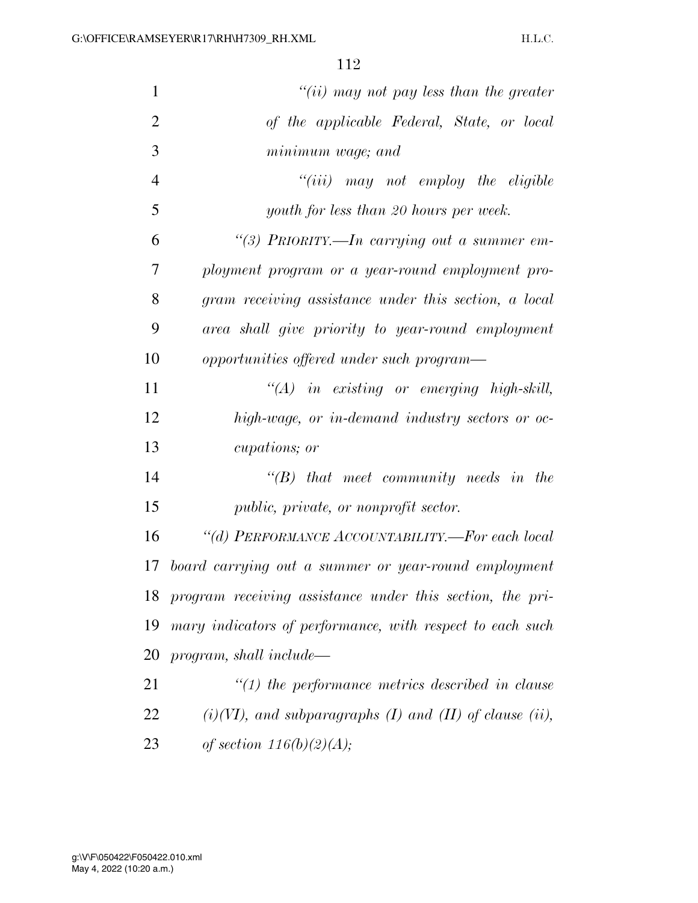| $\mathbf{1}$   | "(ii) may not pay less than the greater                      |
|----------------|--------------------------------------------------------------|
| $\overline{2}$ | of the applicable Federal, State, or local                   |
| 3              | minimum wage; and                                            |
| $\overline{4}$ | $``(iii)$ may not employ the eligible                        |
| 5              | youth for less than 20 hours per week.                       |
| 6              | "(3) PRIORITY.—In carrying out a summer em-                  |
| 7              | ployment program or a year-round employment pro-             |
| 8              | gram receiving assistance under this section, a local        |
| 9              | area shall give priority to year-round employment            |
| 10             | opportunities offered under such program—                    |
| 11             | $\lq (A)$ in existing or emerging high-skill,                |
| 12             | high-wage, or in-demand industry sectors or oc-              |
| 13             | <i>cupations</i> ; <i>or</i>                                 |
| 14             | $\lq\lq B$ that meet community needs in the                  |
| 15             | public, private, or nonprofit sector.                        |
| 16             | "(d) PERFORMANCE ACCOUNTABILITY.—For each local              |
| 17             | board carrying out a summer or year-round employment         |
|                | 18 program receiving assistance under this section, the pri- |
| 19             | mary indicators of performance, with respect to each such    |
| 20             | program, shall include—                                      |
| 21             | $\lq(1)$ the performance metrics described in clause         |
| 22             | $(i)(VI)$ , and subparagraphs (I) and (II) of clause (ii),   |
| 23             | of section $116(b)(2)(A);$                                   |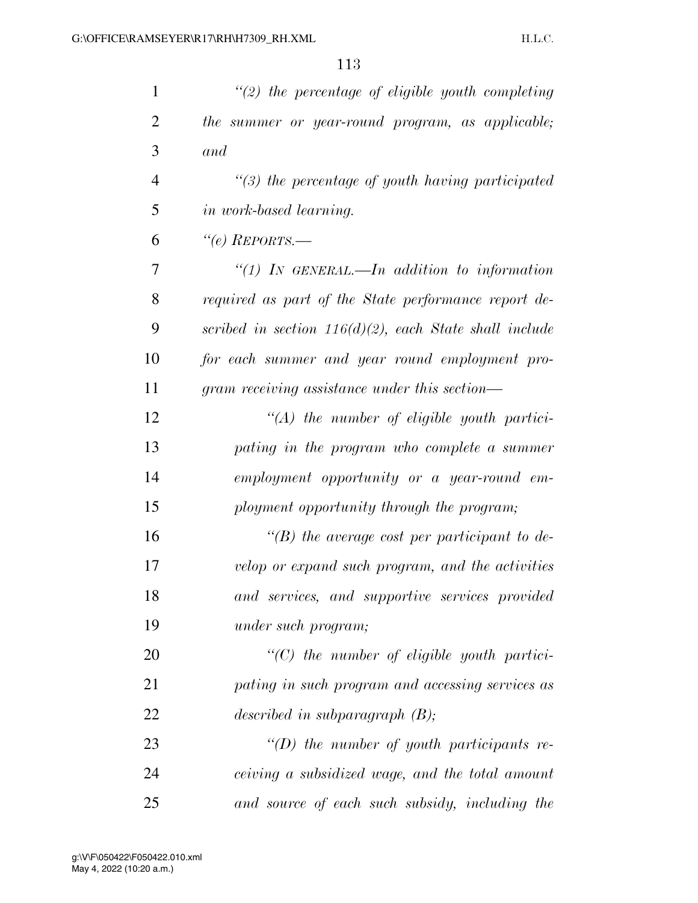| $\mathbf{1}$   | $\lq(2)$ the percentage of eligible youth completing      |
|----------------|-----------------------------------------------------------|
| $\overline{2}$ | the summer or year-round program, as applicable;          |
| 3              | and                                                       |
| $\overline{4}$ | $\lq(3)$ the percentage of youth having participated      |
| 5              | <i>in work-based learning.</i>                            |
| 6              | "(e) $REPORTS$ .                                          |
| 7              | "(1) IN GENERAL.—In addition to information               |
| 8              | required as part of the State performance report de-      |
| 9              | scribed in section $116(d)(2)$ , each State shall include |
| 10             | for each summer and year round employment pro-            |
| 11             | gram receiving assistance under this section—             |
| 12             | $\lq (A)$ the number of eligible youth partici-           |
| 13             | pating in the program who complete a summer               |
| 14             | employment opportunity or a year-round em-                |
| 15             | ployment opportunity through the program;                 |
| 16             | $\lq\lq(B)$ the average cost per participant to de-       |
| 17             | velop or expand such program, and the activities          |
| 18             | and services, and supportive services provided            |
| 19             | <i>under such program;</i>                                |
| 20             | $\lq$ (C) the number of eligible youth partici-           |
| 21             | pating in such program and accessing services as          |
| 22             | described in subparagraph $(B)$ ;                         |
| 23             | "(D) the number of youth participants re-                 |
| 24             | ceiving a subsidized wage, and the total amount           |
| 25             | and source of each such subsidy, including the            |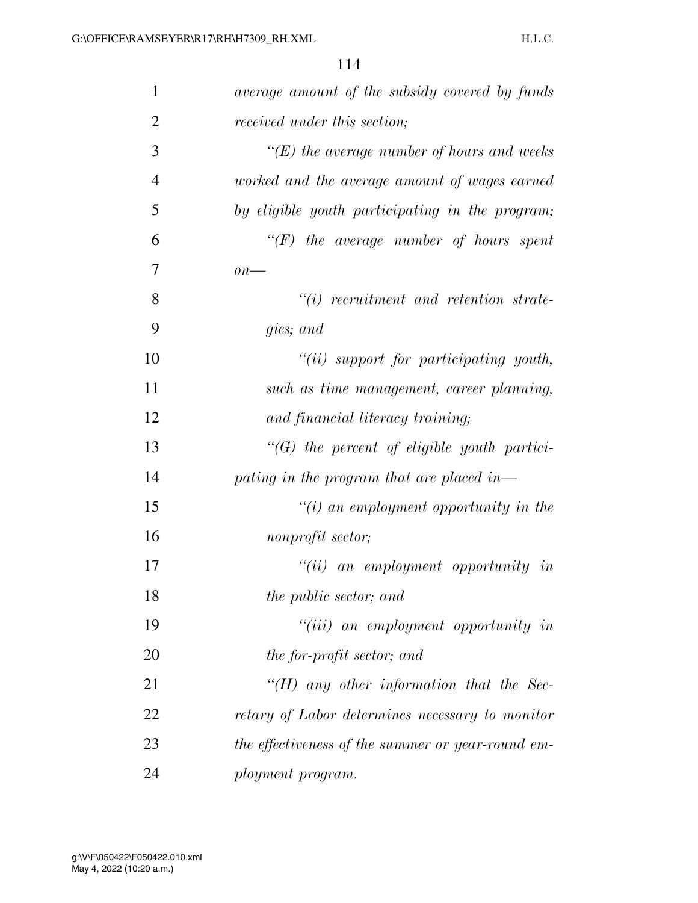| $\mathbf{1}$   | average amount of the subsidy covered by funds     |
|----------------|----------------------------------------------------|
| $\overline{2}$ | received under this section;                       |
| 3              | $\lq\lq(E)$ the average number of hours and weeks  |
| $\overline{4}$ | worked and the average amount of wages earned      |
| 5              | by eligible youth participating in the program;    |
| 6              | $\lq\lq(F)$ the average number of hours spent      |
| 7              | $\overline{on}$ —                                  |
| 8              | $"(i)$ recruitment and retention strate-           |
| 9              | gies; and                                          |
| 10             | $``(ii)$ support for participating youth,          |
| 11             | such as time management, career planning,          |
| 12             | and financial literacy training;                   |
| 13             | $\lq\lq(G)$ the percent of eligible youth partici- |
| 14             | pating in the program that are placed in—          |
| 15             | $"(i)$ an employment opportunity in the            |
| 16             | nonprofit sector;                                  |
| 17             | $``(ii)$ an employment opportunity in              |
| 18             | the public sector; and                             |
| 19             | $``(iii)$ an employment opportunity in             |
| 20             | the for-profit sector; and                         |
| 21             | $H$ any other information that the Sec-            |
| 22             | retary of Labor determines necessary to monitor    |
| 23             | the effectiveness of the summer or year-round em-  |
| 24             | ployment program.                                  |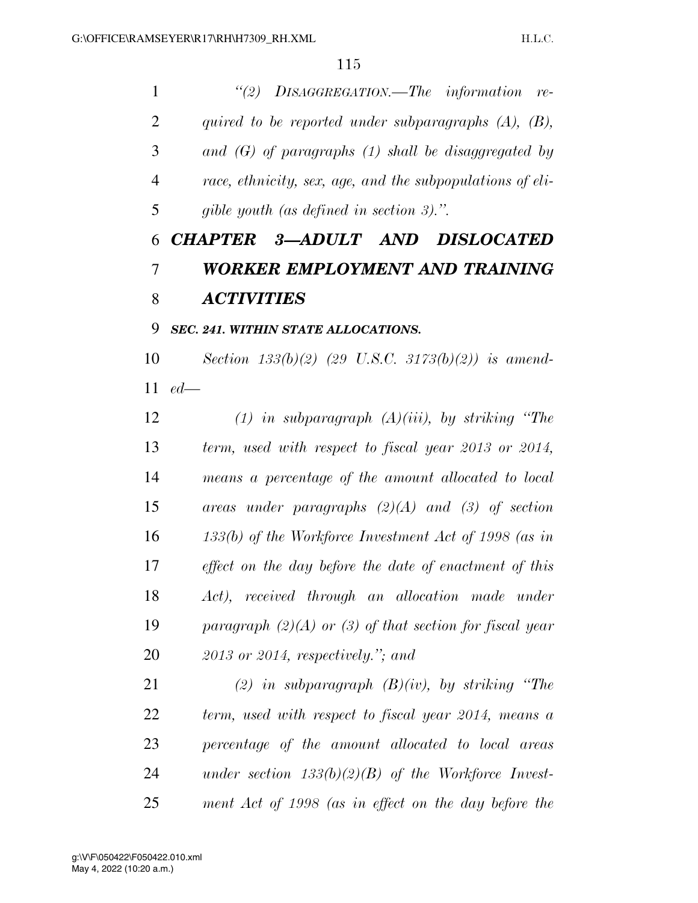*''(2) DISAGGREGATION.—The information re- quired to be reported under subparagraphs (A), (B), and (G) of paragraphs (1) shall be disaggregated by race, ethnicity, sex, age, and the subpopulations of eli-gible youth (as defined in section 3).''.* 

## *CHAPTER 3—ADULT AND DISLOCATED WORKER EMPLOYMENT AND TRAINING ACTIVITIES*

## *SEC. 241. WITHIN STATE ALLOCATIONS.*

 *Section 133(b)(2) (29 U.S.C. 3173(b)(2)) is amend-ed—* 

 *(1) in subparagraph (A)(iii), by striking ''The term, used with respect to fiscal year 2013 or 2014, means a percentage of the amount allocated to local areas under paragraphs (2)(A) and (3) of section 133(b) of the Workforce Investment Act of 1998 (as in effect on the day before the date of enactment of this Act), received through an allocation made under paragraph (2)(A) or (3) of that section for fiscal year 2013 or 2014, respectively.''; and* 

 *(2) in subparagraph (B)(iv), by striking ''The term, used with respect to fiscal year 2014, means a percentage of the amount allocated to local areas under section 133(b)(2)(B) of the Workforce Invest-ment Act of 1998 (as in effect on the day before the*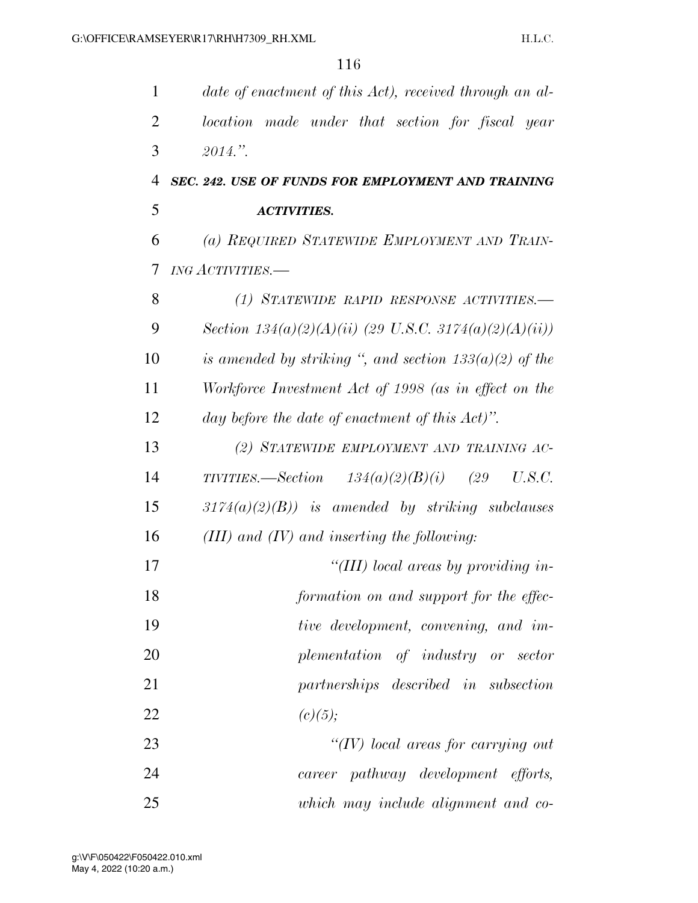| 1              | date of enactment of this Act), received through an al-  |
|----------------|----------------------------------------------------------|
| $\overline{2}$ | location made under that section for fiscal year         |
| 3              | 2014."                                                   |
| 4              | SEC. 242. USE OF FUNDS FOR EMPLOYMENT AND TRAINING       |
| 5              | <b>ACTIVITIES.</b>                                       |
| 6              | (a) REQUIRED STATEWIDE EMPLOYMENT AND TRAIN-             |
| 7              | <b>ING ACTIVITIES.-</b>                                  |
| 8              | (1) STATEWIDE RAPID RESPONSE ACTIVITIES.-                |
| 9              | Section $134(a)(2)(A)(ii)$ (29 U.S.C. 3174(a)(2)(A)(ii)) |
| 10             | is amended by striking ", and section $133(a)(2)$ of the |
| 11             | Workforce Investment Act of 1998 (as in effect on the    |
| 12             | day before the date of enactment of this $Act)$ ".       |
| 13             | (2) STATEWIDE EMPLOYMENT AND TRAINING AC-                |
| 14             | TIVITIES.—Section $134(a)(2)(B)(i)$ (29<br>U.S.C.        |
| 15             | $3174(a)(2)(B)$ is amended by striking subclauses        |
| 16             | $(III)$ and $(IV)$ and inserting the following:          |
| 17             | "(III) local areas by providing in-                      |
| 18             | formation on and support for the effec-                  |
| 19             | tive development, convening, and im-                     |
| 20             | plementation of industry or sector                       |
| 21             | partnerships described in subsection                     |
| 22             | (c)(5);                                                  |
| 23             | $\lq (IV)$ local areas for carrying out                  |
| 24             | career pathway development efforts,                      |
| 25             | which may include alignment and co-                      |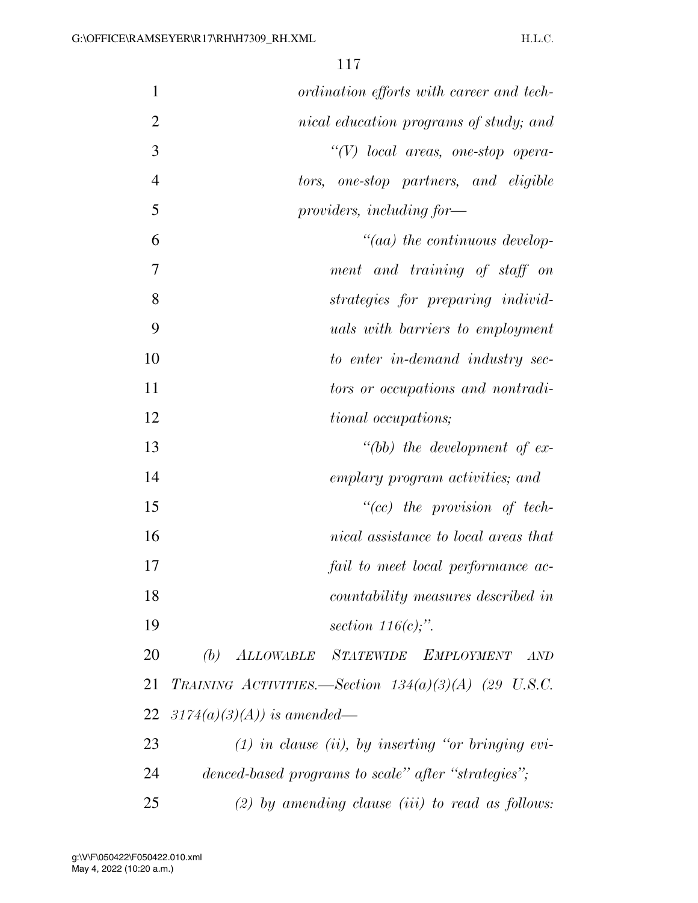| $\mathbf{1}$   | ordination efforts with career and tech-               |
|----------------|--------------------------------------------------------|
| $\overline{2}$ | nical education programs of study; and                 |
| 3              |                                                        |
|                | $\lq\lq(V)$ local areas, one-stop opera-               |
| $\overline{4}$ | one-stop partners, and eligible<br>tors,               |
| 5              | providers, including for-                              |
| 6              | $"(aa)$ the continuous develop-                        |
| 7              | ment and training of staff on                          |
| 8              | strategies for preparing individ-                      |
| 9              | <i>uals with barriers to employment</i>                |
| 10             | to enter in-demand industry sec-                       |
| 11             | tors or occupations and nontradi-                      |
| 12             | <i>tional occupations</i> ;                            |
| 13             | "(bb) the development of $ex$ -                        |
| 14             | emplary program activities; and                        |
| 15             | $``(cc)$ the provision of tech-                        |
| 16             | nical assistance to local areas that                   |
| 17             | fail to meet local performance ac-                     |
| 18             | countability measures described in                     |
| 19             | section $116(c)$ ;".                                   |
| 20             | $(b)$ ALLOWABLE<br>STATEWIDE EMPLOYMENT<br>AND         |
| 21             | TRAINING ACTIVITIES.—Section $134(a)(3)(A)$ (29 U.S.C. |
| 22             | $3174(a)(3)(A)$ is amended—                            |
| 23             | $(1)$ in clause (ii), by inserting "or bringing evi-   |
| 24             | denced-based programs to scale" after "strategies";    |
| 25             | $(2)$ by amending clause $(iii)$ to read as follows:   |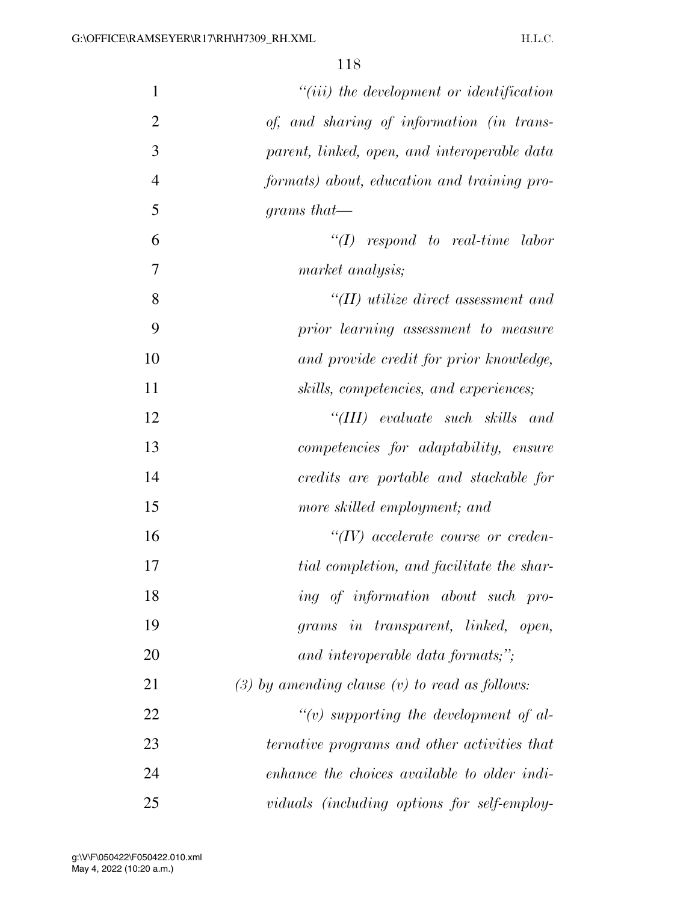| $\mathbf{1}$   | $"(iii)$ the development or identification         |
|----------------|----------------------------------------------------|
| $\overline{2}$ | of, and sharing of information (in trans-          |
| 3              | parent, linked, open, and interoperable data       |
| $\overline{4}$ | formats) about, education and training pro-        |
| 5              | grams that—                                        |
| 6              | $\lq (I)$ respond to real-time labor               |
| 7              | market analysis;                                   |
| 8              | $H(II)$ utilize direct assessment and              |
| 9              | prior learning assessment to measure               |
| 10             | and provide credit for prior knowledge,            |
| 11             | skills, competencies, and experiences;             |
| 12             | "(III) evaluate such skills and                    |
| 13             | <i>competencies for adaptability, ensure</i>       |
| 14             | credits are portable and stackable for             |
| 15             | more skilled employment; and                       |
| 16             | $``(IV)$ accelerate course or creden-              |
| 17             | tial completion, and facilitate the shar-          |
| 18             | ing of information about such pro-                 |
| 19             | grams in transparent, linked, open,                |
| 20             | and interoperable data formats;";                  |
| 21             | $(3)$ by amending clause $(v)$ to read as follows: |
| 22             | "(v) supporting the development of al-             |
| 23             | ternative programs and other activities that       |
| 24             | enhance the choices available to older indi-       |
| 25             | viduals (including options for self-employ-        |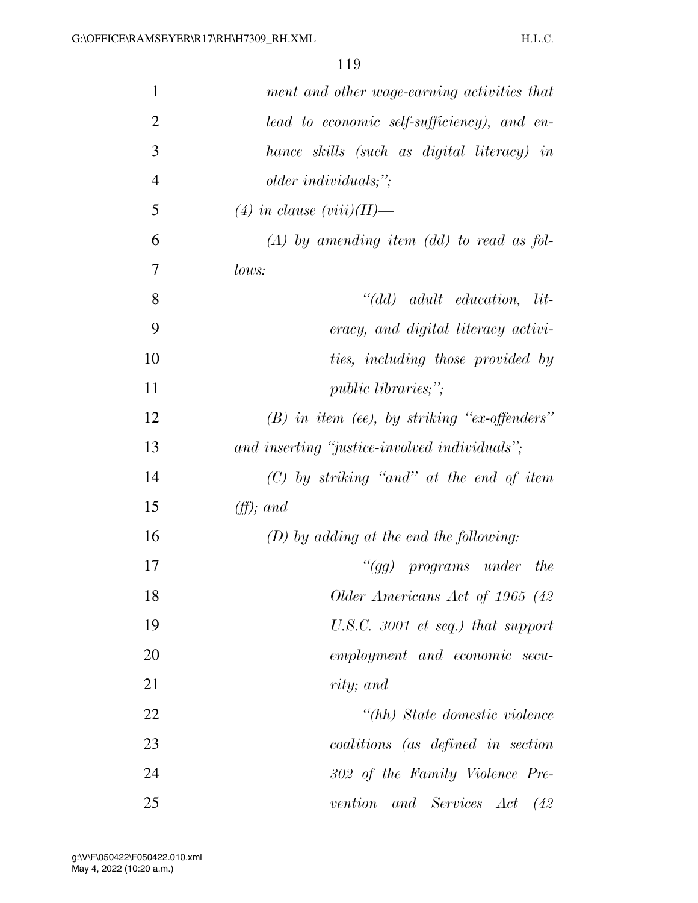| $\mathbf{1}$   | ment and other wage-earning activities that                                   |
|----------------|-------------------------------------------------------------------------------|
| $\overline{2}$ | lead to economic self-sufficiency), and en-                                   |
| 3              | hance skills (such as digital literacy) in                                    |
| $\overline{4}$ | older individuals;";                                                          |
| 5              | $(4)$ in clause $(viii)(II)$ —                                                |
| 6              | $(A)$ by amending item $(dd)$ to read as fol-                                 |
| 7              | lows:                                                                         |
| 8              | $" (dd) \quad \alpha \alpha \nu t \quad \alpha \alpha \nu t \quad \text{in.}$ |
| 9              | eracy, and digital literacy activi-                                           |
| 10             | ties, including those provided by                                             |
| 11             | <i>public libraries;"</i> ;                                                   |
| 12             | $(B)$ in item (ee), by striking "ex-offenders"                                |
| 13             | and inserting "justice-involved individuals";                                 |
| 14             | $(C)$ by striking "and" at the end of item                                    |
| 15             | $(f\!f);$ and                                                                 |
| 16             | $(D)$ by adding at the end the following:                                     |
| 17             | " $(gg)$ programs under<br><i>the</i>                                         |
| 18             | Older Americans Act of 1965 (42)                                              |
| 19             | U.S.C. 3001 et seq.) that support                                             |
| 20             | employment and economic secu-                                                 |
| 21             | rity; and                                                                     |
| 22             | "(hh) State domestic violence                                                 |
| 23             | coalitions (as defined in section                                             |
| 24             | 302 of the Family Violence Pre-                                               |
| 25             | vention and Services Act (42                                                  |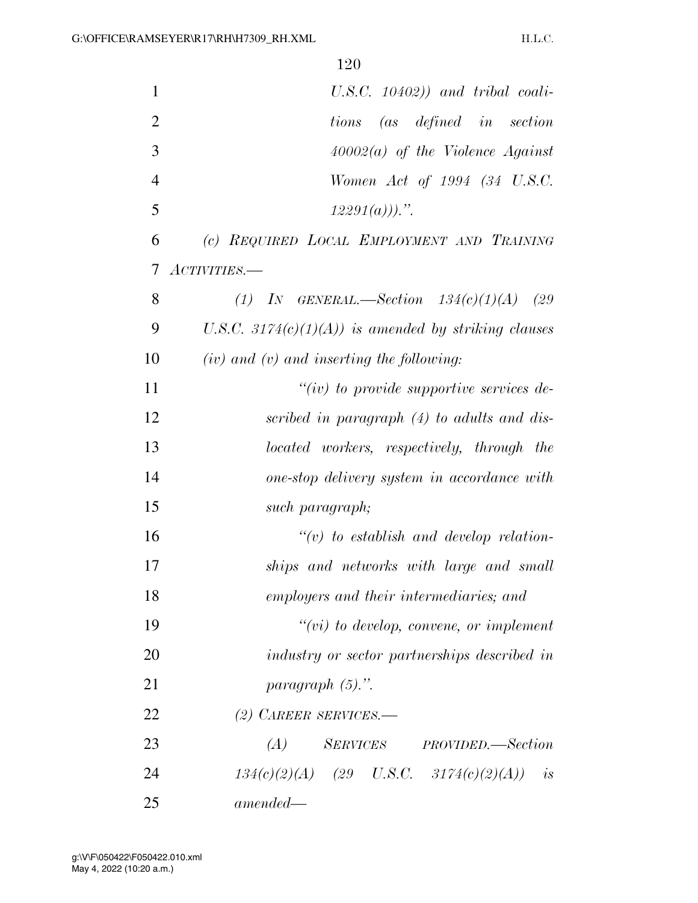| $\mathbf{1}$   | $U.S.C.$ $10402)$ ) and tribal coali-                |
|----------------|------------------------------------------------------|
| $\mathfrak{2}$ | tions (as defined in section                         |
| 3              | $40002(a)$ of the Violence Against                   |
| $\overline{4}$ | Women Act of 1994 (34 U.S.C.                         |
| 5              | $12291(a))$ .".                                      |
| 6              | (c) REQUIRED LOCAL EMPLOYMENT AND TRAINING           |
| 7              | ACTIVITIES.                                          |
| 8              | (1) IN GENERAL.—Section $134(c)(1)(A)$ (29           |
| 9              | U.S.C. 3174(c)(1)(A)) is amended by striking clauses |
| 10             | $(iv)$ and $(v)$ and inserting the following:        |
| 11             | $``(iv)$ to provide supportive services de-          |
| 12             | scribed in paragraph (4) to adults and dis-          |
| 13             | located workers, respectively, through the           |
| 14             | one-stop delivery system in accordance with          |
| 15             | such paragraph;                                      |
| 16             | $\lq\lq(v)$ to establish and develop relation-       |
| 17             | ships and networks with large and small              |
| 18             | employers and their intermediaries; and              |
| 19             | $``(vi)$ to develop, convene, or implement           |
| 20             | industry or sector partnerships described in         |
| 21             | paragraph $(5)$ .".                                  |
| 22             | $(2)$ CAREER SERVICES.—                              |
| 23             | (A) SERVICES PROVIDED.—Section                       |
| 24             | $134(c)(2)(A)$ (29 U.S.C. 3174(c)(2)(A)) is          |
| 25             | $amended -$                                          |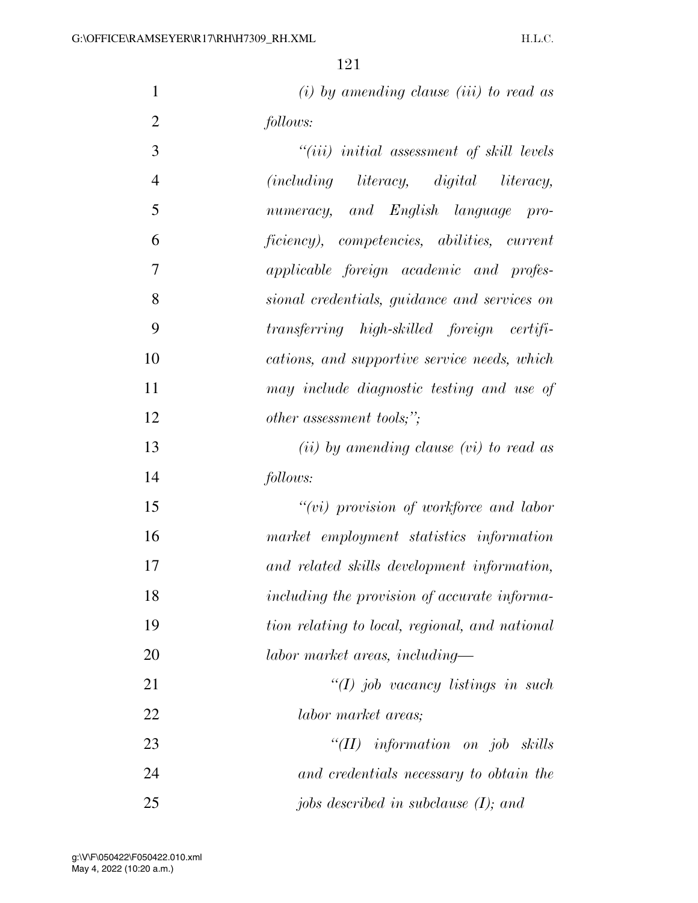*(i) by amending clause (iii) to read as follows:* 

| 3              | $``(iii)$ initial assessment of skill levels   |
|----------------|------------------------------------------------|
| $\overline{4}$ | (including literacy, digital literacy,         |
| 5              | numeracy, and English language pro-            |
| 6              | ficiency), competencies, abilities, current    |
| 7              | applicable foreign academic and profes-        |
| 8              | sional credentials, guidance and services on   |
| 9              | transferring high-skilled foreign certifi-     |
| 10             | cations, and supportive service needs, which   |
| 11             | may include diagnostic testing and use of      |
| 12             | other assessment tools;";                      |
| 13             | $(ii)$ by amending clause $(vi)$ to read as    |
| 14             | follows:                                       |
| 15             | $``(vi)$ provision of workforce and labor      |
| 16             | market employment statistics information       |
| 17             | and related skills development information,    |
| 18             | including the provision of accurate informa-   |
| 19             | tion relating to local, regional, and national |
| 20             | labor market areas, including—                 |
| 21             | $\lq (I)$ job vacancy listings in such         |
| 22             | labor market areas;                            |
| 23             | " $(II)$ information on job skills             |
| 24             | and credentials necessary to obtain the        |
| 25             | jobs described in subclause $(I)$ ; and        |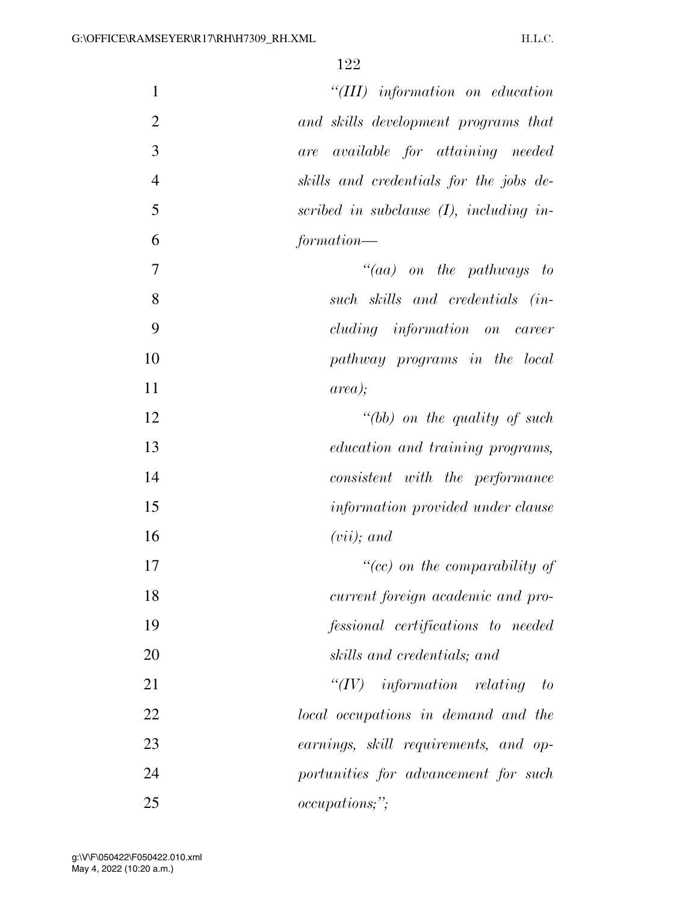| $\mathbf{1}$   | $``(III)$ information on education           |
|----------------|----------------------------------------------|
| $\overline{2}$ |                                              |
|                | and skills development programs that         |
| 3              | <i>available for attaining needed</i><br>are |
| $\overline{4}$ | skills and credentials for the jobs de-      |
| 5              | scribed in subclause $(I)$ , including in-   |
| 6              | formation—                                   |
| 7              | $``(aa)$ on the pathways to                  |
| 8              | such skills and credentials (in-             |
| 9              | cluding information on career                |
| 10             | pathway programs in the local                |
| 11             | area);                                       |
| 12             | $" (bb)$ on the quality of such              |
| 13             | education and training programs,             |
| 14             | consistent with the performance              |
| 15             | information provided under clause            |
| 16             | $(vii)$ ; and                                |
| 17             | "(cc) on the comparability of                |
| 18             | current foreign academic and pro-            |
| 19             | fessional certifications to needed           |
| 20             | skills and credentials; and                  |
| 21             | ``(IV)<br>$information$ relating to          |
| 22             | local occupations in demand and the          |
| 23             | earnings, skill requirements, and op-        |
| 24             | portunities for advancement for such         |
| 25             | <i>occupations</i> ;";                       |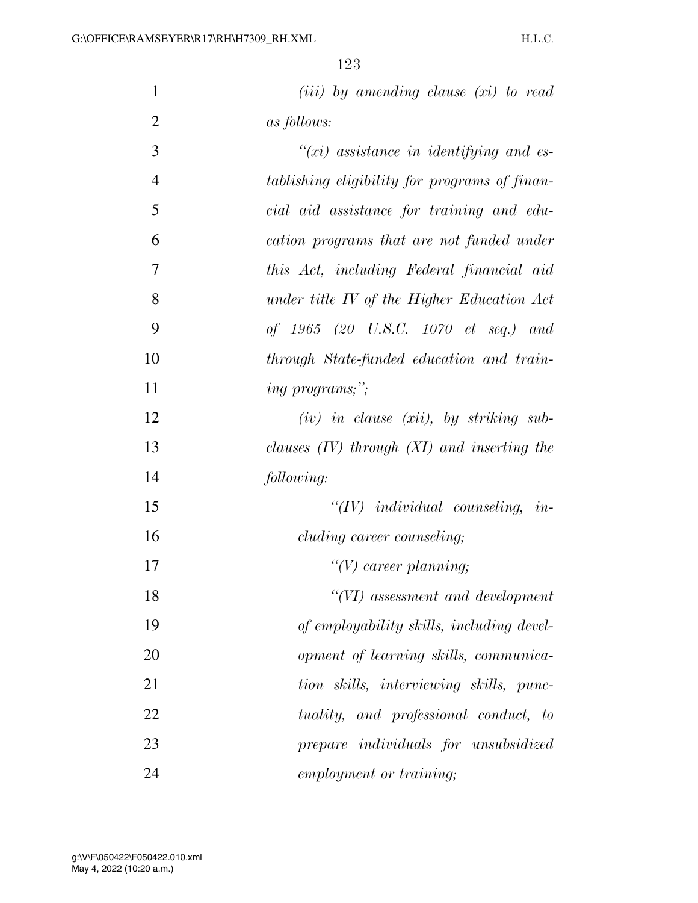| $\mathbf{1}$   | $(iii)$ by amending clause $(xi)$ to read         |
|----------------|---------------------------------------------------|
| $\overline{2}$ | <i>as follows:</i>                                |
| 3              | $\tilde{f}(xi)$ assistance in identifying and es- |
| $\overline{4}$ | tablishing eligibility for programs of finan-     |
| 5              | cial aid assistance for training and edu-         |
| 6              | cation programs that are not funded under         |
| $\overline{7}$ | this Act, including Federal financial aid         |
| 8              | under title IV of the Higher Education Act        |
| 9              | of 1965 (20 U.S.C. 1070 et seq.) and              |
| 10             | through State-funded education and train-         |
| 11             | <i>ing programs</i> ;";                           |
| 12             | $(iv)$ in clause $(xii)$ , by striking sub-       |
| 13             | clauses $(IV)$ through $(XI)$ and inserting the   |
| 14             | following:                                        |
| 15             | $``(IV)$ individual counseling, in-               |
| 16             | cluding career counseling;                        |
| 17             | $\lq\lq(V)$ career planning;                      |

 *''(VI) assessment and development of employability skills, including devel- opment of learning skills, communica- tion skills, interviewing skills, punc- tuality, and professional conduct, to prepare individuals for unsubsidized employment or training;*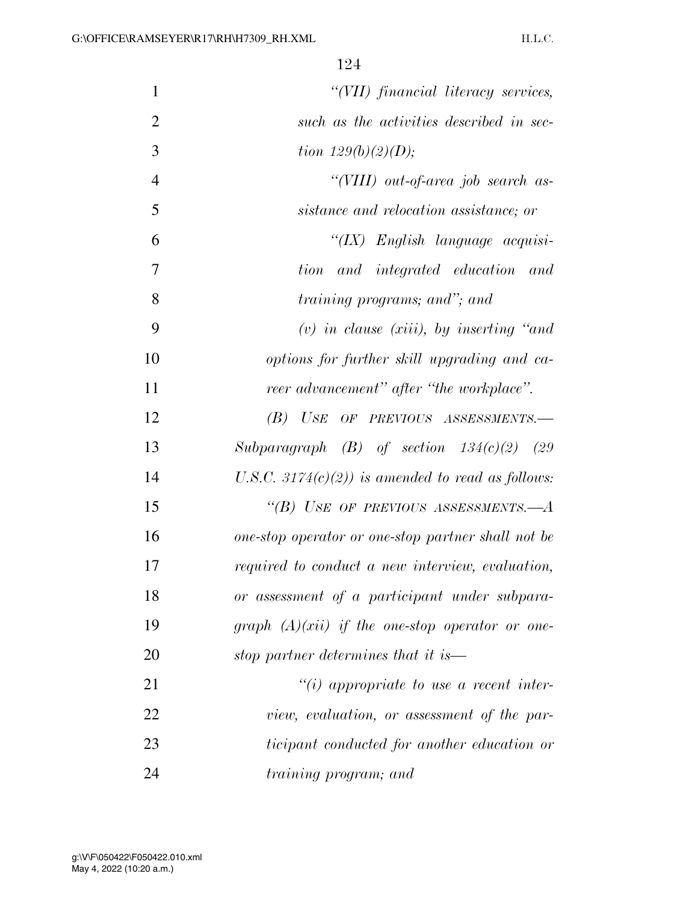| $\mathbf{1}$   | "(VII) financial literacy services,                   |
|----------------|-------------------------------------------------------|
| $\overline{2}$ | such as the activities described in sec-              |
| 3              | <i>tion</i> $129(b)(2)(D)$ ;                          |
| $\overline{4}$ | "(VIII) out-of-area job search as-                    |
| 5              | sistance and relocation assistance; or                |
| 6              | " $(IX)$ English language acquisi-                    |
| $\overline{7}$ | tion<br>and integrated education and                  |
| 8              | <i>training programs; and"; and</i>                   |
| 9              | $(v)$ in clause (xiii), by inserting "and             |
| 10             | options for further skill upgrading and ca-           |
| 11             | reer advancement" after "the workplace".              |
| 12             | USE OF PREVIOUS ASSESSMENTS.-<br>(B)                  |
| 13             | Subparagraph $(B)$ of section $134(c)(2)$ (29         |
| 14             | U.S.C. 3174 $(c)(2)$ ) is amended to read as follows: |
| 15             | "(B) USE OF PREVIOUS ASSESSMENTS.— $A$                |
| 16             | one-stop operator or one-stop partner shall not be    |
| 17             | required to conduct a new interview, evaluation,      |
| 18             | or assessment of a participant under subpara-         |
| 19             | graph $(A)(xii)$ if the one-stop operator or one-     |
| 20             | stop partner determines that it is—                   |
| 21             | $\lq\lq(i)$ appropriate to use a recent inter-        |
| 22             | view, evaluation, or assessment of the par-           |
| 23             | ticipant conducted for another education or           |
| 24             | <i>training program; and</i>                          |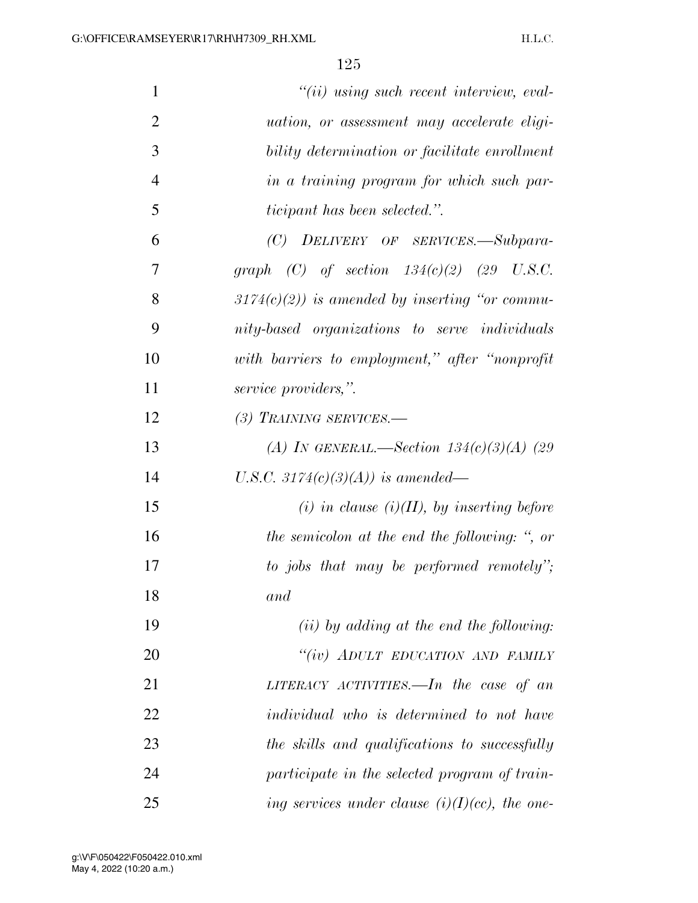| $\mathbf{1}$   | $"(ii)$ using such recent interview, eval-         |
|----------------|----------------------------------------------------|
| $\overline{2}$ | <i>uation, or assessment may accelerate eligi-</i> |
| 3              | bility determination or facilitate enrollment      |
| $\overline{4}$ | in a training program for which such par-          |
| 5              | <i>ticipant has been selected.</i> ".              |
| 6              | (C) DELIVERY OF SERVICES.-Subpara-                 |
| $\overline{7}$ | graph (C) of section $134(c)(2)$ (29 U.S.C.        |
| 8              | $3174(c)(2)$ ) is amended by inserting "or commu-  |
| 9              | nity-based organizations to serve individuals      |
| 10             | with barriers to employment," after "nonprofit     |
| 11             | service providers,".                               |
| 12             | (3) TRAINING SERVICES.—                            |
| 13             | (A) IN GENERAL.—Section $134(c)(3)(A)$ (29         |
| 14             | U.S.C. 3174(c)(3)(A)) is amended—                  |
| 15             | (i) in clause $(i)(II)$ , by inserting before      |
| 16             | the semicolon at the end the following: ", or      |
| 17             | to jobs that may be performed remotely";           |
| 18             | and                                                |
| 19             | $(ii)$ by adding at the end the following:         |
| 20             | "(iv) ADULT EDUCATION AND FAMILY                   |
| 21             | LITERACY ACTIVITIES. $\frac{1}{n}$ the case of an  |
| 22             | individual who is determined to not have           |
| 23             | the skills and qualifications to successfully      |
| 24             | participate in the selected program of train-      |
| 25             | ing services under clause $(i)(I)(cc)$ , the one-  |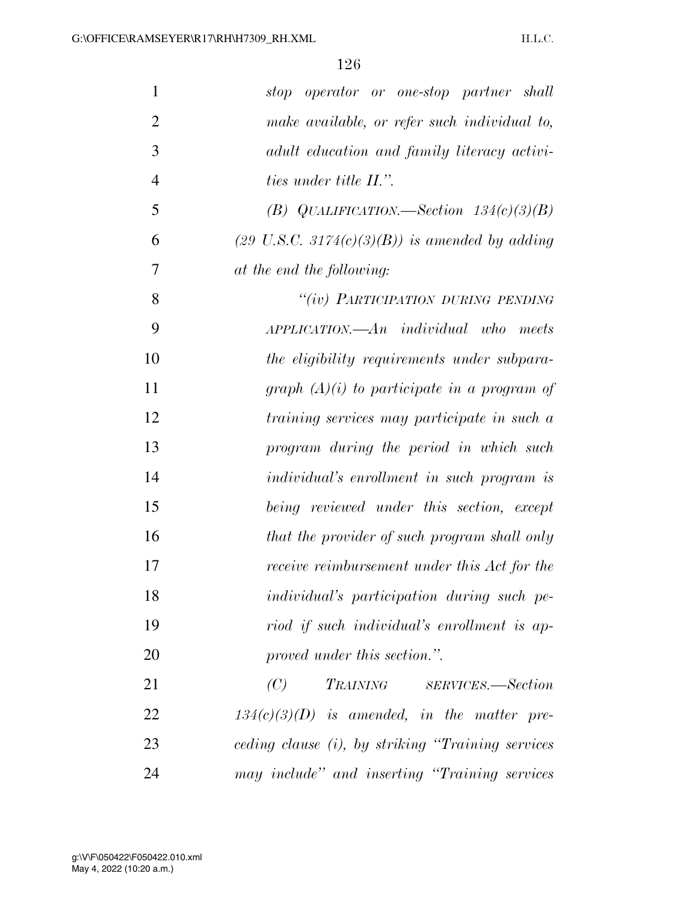| 1              | stop operator or one-stop partner shall                   |
|----------------|-----------------------------------------------------------|
| $\overline{2}$ | make available, or refer such individual to,              |
| 3              | adult education and family literacy activi-               |
| $\overline{4}$ | <i>ties under title II.".</i>                             |
| 5              | (B) QUALIFICATION.—Section $134(c)(3)(B)$                 |
| 6              | $(29 \text{ U.S.C. } 3174(c)(3)(B))$ is amended by adding |
| 7              | at the end the following:                                 |
| 8              | "(iv) PARTICIPATION DURING PENDING                        |
| 9              | $APPLICATION. - An individual who meets$                  |
| 10             | the eligibility requirements under subpara-               |
| 11             | graph $(A)(i)$ to participate in a program of             |
| 12             | training services may participate in such a               |
| 13             | program during the period in which such                   |
| 14             | <i>individual's enrollment in such program is</i>         |
| 15             | being reviewed under this section, except                 |
| 16             | that the provider of such program shall only              |
| 17             | receive reimbursement under this Act for the              |
| 18             | individual's participation during such pe-                |
| 19             | riod if such individual's enrollment is ap-               |
| 20             | proved under this section.".                              |
| 21             | TRAINING SERVICES.—Section<br>(C)                         |
| 22             | $134(c)(3)(D)$ is amended, in the matter pre-             |
| 23             | ceding clause (i), by striking "Training services         |
| 24             | may include" and inserting "Training services"            |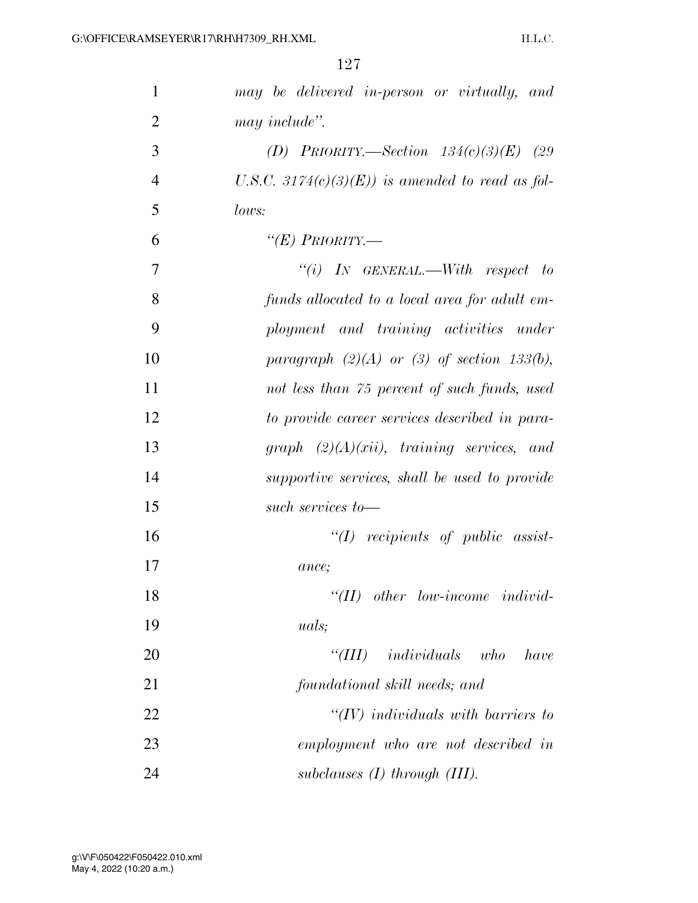| $\mathbf{1}$   | may be delivered in-person or virtually, and       |
|----------------|----------------------------------------------------|
| $\overline{2}$ | may include".                                      |
| 3              | (D) PRIORITY.—Section $134(c)(3)(E)$ (29           |
| $\overline{4}$ | U.S.C. 3174 $(c)(3)(E)$ is amended to read as fol- |
| 5              | lows:                                              |
| 6              | " $(E)$ Priority.—                                 |
| 7              | "(i) IN GENERAL.—With respect to                   |
| 8              | funds allocated to a local area for adult em-      |
| 9              | ployment and training activities under             |
| 10             | paragraph $(2)(A)$ or $(3)$ of section 133(b),     |
| 11             | not less than 75 percent of such funds, used       |
| 12             | to provide career services described in para-      |
| 13             | graph $(2)(A)(xii)$ , training services, and       |
| 14             | supportive services, shall be used to provide      |
| 15             | such services to-                                  |
| 16             | $``(I)$ recipients of public assist-               |
| 17             | ance;                                              |
| 18             | $``(II)$ other low-income individ-                 |
| 19             | <i>uals</i> ;                                      |
| 20             | $``(III)$ individuals who<br>have                  |
| 21             | foundational skill needs; and                      |
| 22             | $\lq (IV)$ individuals with barriers to            |
| 23             | employment who are not described in                |
| 24             | subclauses $(I)$ through $(III)$ .                 |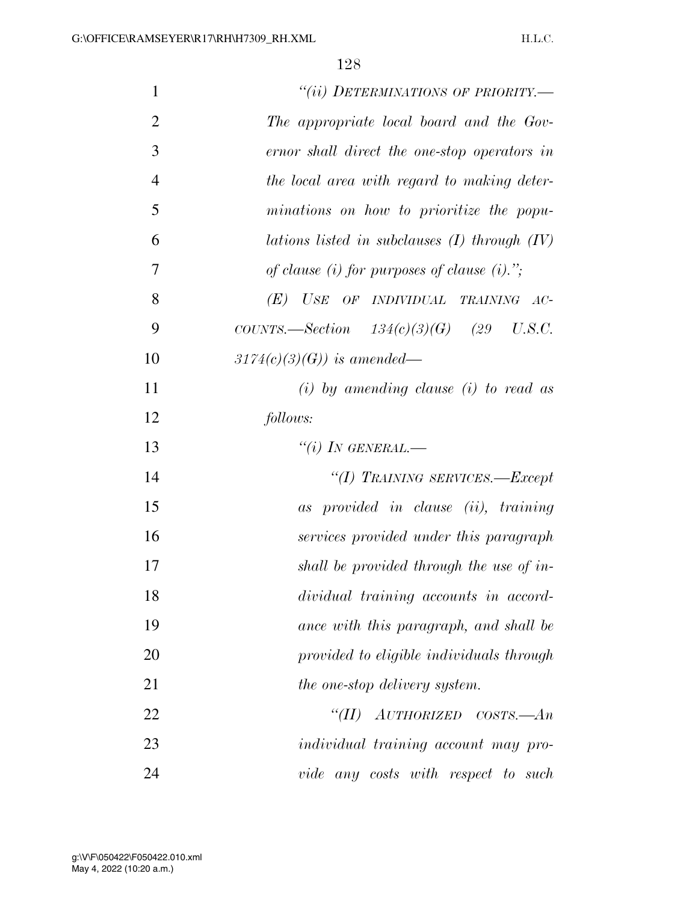| $\mathbf{1}$   | "(ii) DETERMINATIONS OF PRIORITY.-                |
|----------------|---------------------------------------------------|
| $\overline{2}$ | The appropriate local board and the Gov-          |
| 3              | ernor shall direct the one-stop operators in      |
| $\overline{4}$ | the local area with regard to making deter-       |
| 5              | minations on how to prioritize the popu-          |
| 6              | lations listed in subclauses $(I)$ through $(IV)$ |
| 7              | of clause (i) for purposes of clause (i).";       |
| 8              | (E)<br>USE<br>OF INDIVIDUAL TRAINING AC-          |
| 9              | COUNTS.—Section $134(c)(3)(G)$ (29 U.S.C.         |
| 10             | $3174(c)(3)(G)$ is amended—                       |
| 11             | $(i)$ by amending clause $(i)$ to read as         |
| 12             | follows:                                          |
| 13             | "(i) IN GENERAL.—                                 |
| 14             | "(I) TRAINING SERVICES.—Except                    |
| 15             | as provided in clause (ii), training              |
| 16             | services provided under this paragraph            |
| 17             | shall be provided through the use of in-          |
| 18             | dividual training accounts in accord-             |
| 19             | ance with this paragraph, and shall be            |
| 20             | provided to eligible individuals through          |
| 21             | the one-stop delivery system.                     |
| 22             | $AUTHORIZED$ $COSTS. - An$<br>$\lq(TI)$           |
| 23             | <i>individual training account may pro-</i>       |
| 24             | vide any costs with respect to such               |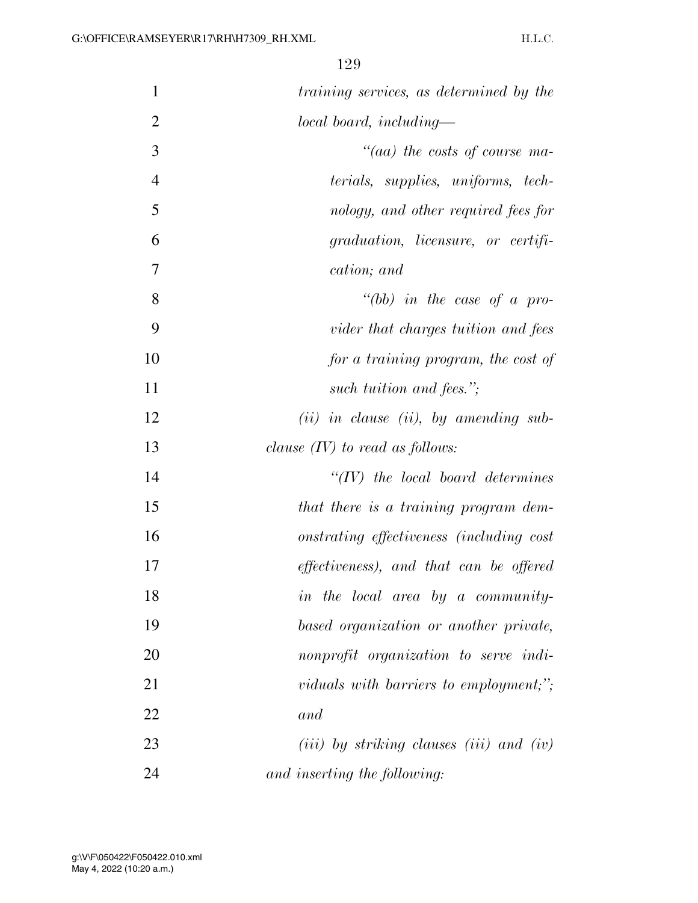| $\mathbf{1}$   | training services, as determined by the                             |
|----------------|---------------------------------------------------------------------|
| $\overline{2}$ | local board, including—                                             |
| 3              | $\degree$ (aa) the costs of course ma-                              |
| $\overline{4}$ | terials, supplies, uniforms, tech-                                  |
| 5              | nology, and other required fees for                                 |
| 6              | graduation, licensure, or certifi-                                  |
| 7              | cation; and                                                         |
| 8              | "(bb) in the case of a pro-                                         |
| 9              | vider that charges tuition and fees                                 |
| 10             | for a training program, the cost of                                 |
| 11             | such tuition and fees.";                                            |
| 12             | $(ii)$ in clause (ii), by amending sub-                             |
| 13             | clause $(IV)$ to read as follows:                                   |
| 14             | $``(IV)$ the local board determines                                 |
| 15             | that there is a training program dem-                               |
| 16             | onstrating effectiveness (including cost                            |
| 17             | effectiveness), and that can be offered                             |
| 18             | in the local area by a community-                                   |
| 19             | based organization or another private,                              |
| 20             | nonprofit organization to serve indi-                               |
| 21             | viduals with barriers to employment;";                              |
| 22             | and                                                                 |
| 23             | ( <i>iii</i> ) by striking clauses ( <i>iii</i> ) and ( <i>iv</i> ) |
| 24             | and inserting the following:                                        |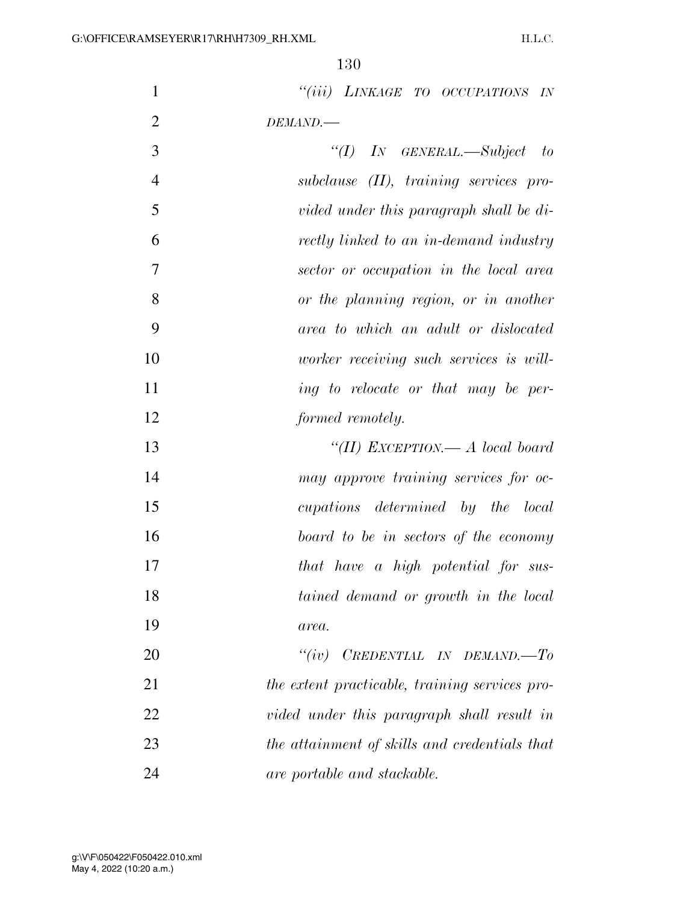| $\mathbf{1}$   | "(iii) LINKAGE TO OCCUPATIONS IN               |
|----------------|------------------------------------------------|
| $\overline{2}$ | DEMAND.                                        |
| 3              | "(I) IN GENERAL.—Subject to                    |
| $\overline{4}$ | $subclause$ (II), training services pro-       |
| 5              | vided under this paragraph shall be di-        |
| 6              | rectly linked to an in-demand industry         |
| 7              | sector or occupation in the local area         |
| 8              | or the planning region, or in another          |
| 9              | area to which an adult or dislocated           |
| 10             | worker receiving such services is will-        |
| 11             | ing to relocate or that may be per-            |
| 12             | formed remotely.                               |
| 13             | "(II) EXCEPTION.— A local board                |
| 14             | may approve training services for oc-          |
| 15             | cupations determined by the local              |
| 16             | board to be in sectors of the economy          |
| 17             | that have a high potential for sus-            |
| 18             | tained demand or growth in the local           |
| 19             | area.                                          |
| 20             | CREDENTIAL IN DEMAND.-To<br>``(iv)             |
| 21             | the extent practicable, training services pro- |
| 22             | vided under this paragraph shall result in     |
| 23             | the attainment of skills and credentials that  |
| 24             | are portable and stackable.                    |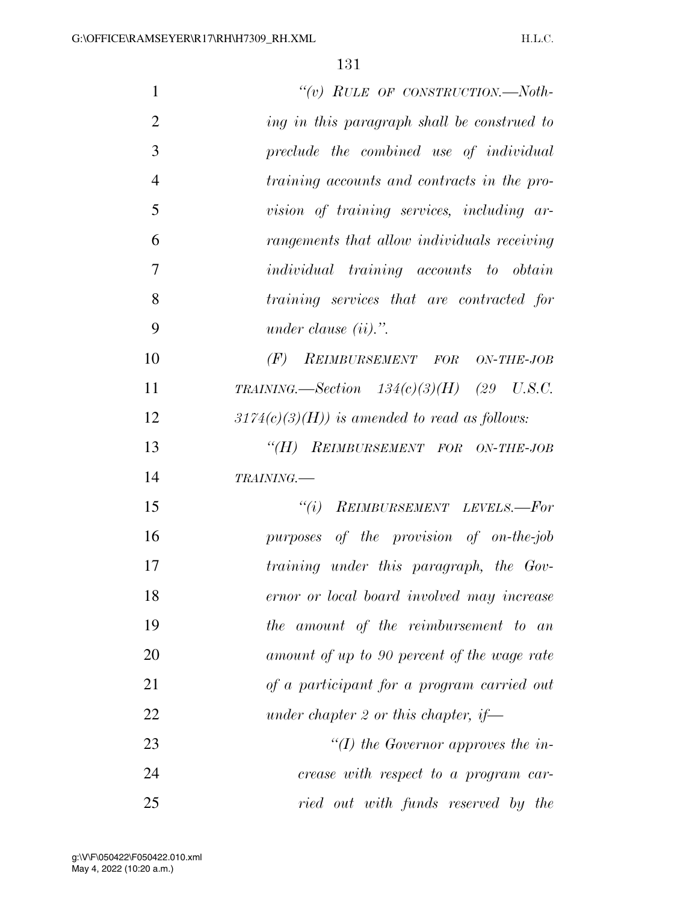| $\mathbf{1}$   | "(v) RULE OF CONSTRUCTION.—Noth-               |
|----------------|------------------------------------------------|
| $\overline{2}$ | ing in this paragraph shall be construed to    |
| 3              | preclude the combined use of individual        |
| $\overline{4}$ | training accounts and contracts in the pro-    |
| 5              | vision of training services, including ar-     |
| 6              | rangements that allow individuals receiving    |
| 7              | <i>individual</i> training accounts to obtain  |
| 8              | training services that are contracted for      |
| 9              | under clause $(ii).$ ".                        |
| 10             | $(F)$ REIMBURSEMENT FOR ON-THE-JOB             |
| 11             | TRAINING. $-$ Section 134(c)(3)(H) (29 U.S.C.  |
| 12             | $3174(c)(3)(H)$ is amended to read as follows: |
| 13             | "(H) REIMBURSEMENT FOR ON-THE-JOB              |
| 14             | TRAINING.                                      |
| 15             | $``(i)$ REIMBURSEMENT LEVELS.-For              |
| 16             | purposes of the provision of on-the-job        |
| 17             | training under this paragraph, the Gov-        |
| 18             | ernor or local board involved may increase     |
| 19             | the amount of the reimbursement to an          |
| 20             | amount of up to 90 percent of the wage rate    |
| 21             | of a participant for a program carried out     |
| 22             | under chapter 2 or this chapter, if—           |
| 23             | "(I) the Governor approves the in-             |
| 24             | crease with respect to a program car-          |
| 25             | ried out with funds reserved by the            |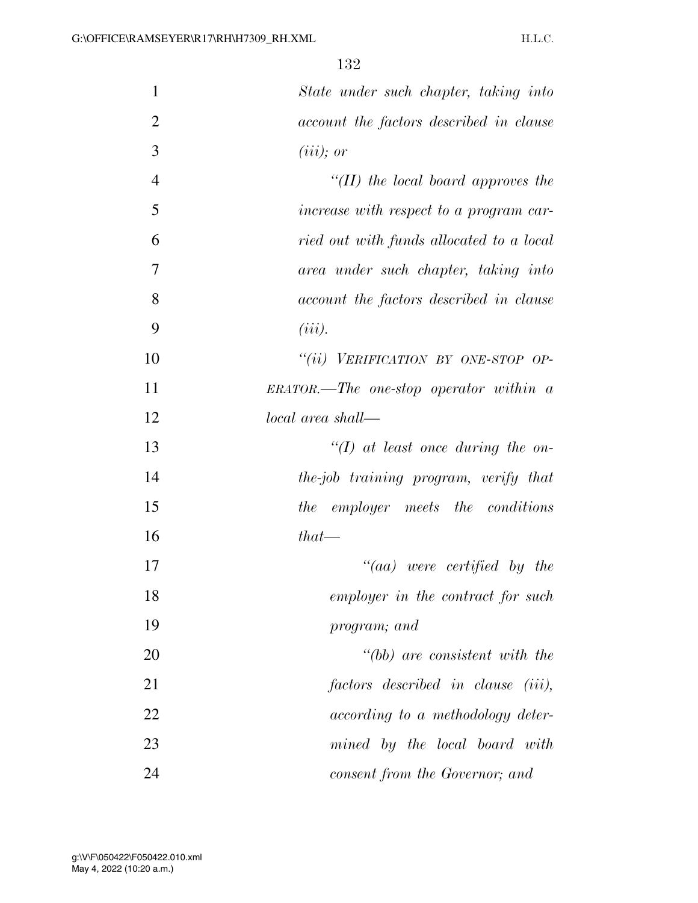| $\mathbf{1}$   | State under such chapter, taking into     |
|----------------|-------------------------------------------|
| $\overline{2}$ | account the factors described in clause   |
| 3              | $(iii)$ ; or                              |
| $\overline{4}$ | "(II) the local board approves the        |
| 5              | increase with respect to a program car-   |
| 6              | ried out with funds allocated to a local  |
| 7              | area under such chapter, taking into      |
| 8              | account the factors described in clause   |
| 9              | $(iii)$ .                                 |
| 10             | "(ii) VERIFICATION BY ONE-STOP OP-        |
| 11             | $ERATOR.$ —The one-stop operator within a |
| 12             | local area shall—                         |
| 13             | $\lq (I)$ at least once during the on-    |
| 14             | the-job training program, verify that     |
| 15             | the employer meets the conditions         |
| 16             | $that-$                                   |
| 17             | $\degree$ (aa) were certified by the      |
| 18             | employer in the contract for such         |
| 19             | program; and                              |
| 20             | $" (bb)$ are consistent with the          |
| 21             | factors described in clause (iii),        |
| 22             | according to a methodology deter-         |
| 23             | mined by the local board with             |
| 24             | consent from the Governor; and            |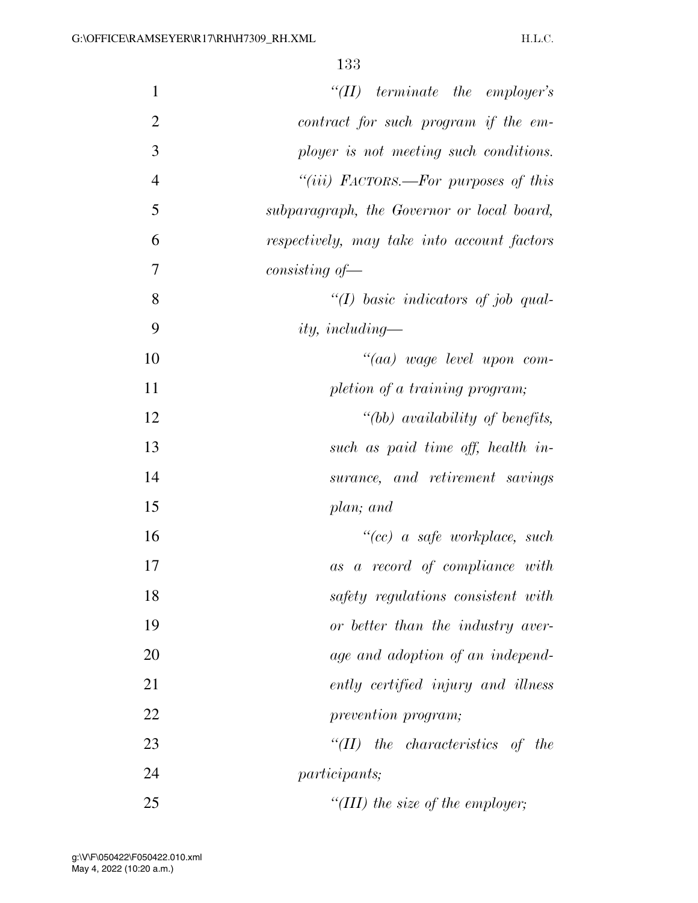| $\mathbf{1}$   | $``(II)$ terminate the employer's                         |
|----------------|-----------------------------------------------------------|
| $\mathfrak{2}$ | contract for such program if the em-                      |
| 3              | ployer is not meeting such conditions.                    |
| $\overline{4}$ | "( <i>iii</i> ) $\textit{FACTORS.}$ —For purposes of this |
| 5              | subparagraph, the Governor or local board,                |
| 6              | respectively, may take into account factors               |
| $\overline{7}$ | $consisting of \frown$                                    |
| 8              | "(I) basic indicators of job qual-                        |
| 9              | <i>ity, including—</i>                                    |
| 10             | "(aa) wage level upon com-                                |
| 11             | pletion of a training program;                            |
| 12             | "(bb) availability of benefits,                           |
| 13             | such as paid time off, health in-                         |
| 14             | surance, and retirement savings                           |
| 15             | plan; and                                                 |
| 16             | $``(cc)$ a safe workplace, such                           |
| 17             | a record of compliance with<br>as                         |
| 18             | safety regulations consistent with                        |
| 19             | or better than the industry aver-                         |
| 20             | age and adoption of an independ-                          |
| 21             | ently certified injury and illness                        |
| 22             | prevention program;                                       |
| 23             | $\lq(T)$<br>the characteristics of the                    |
| 24             | <i>participants</i> ;                                     |
| 25             | "(III) the size of the employer;                          |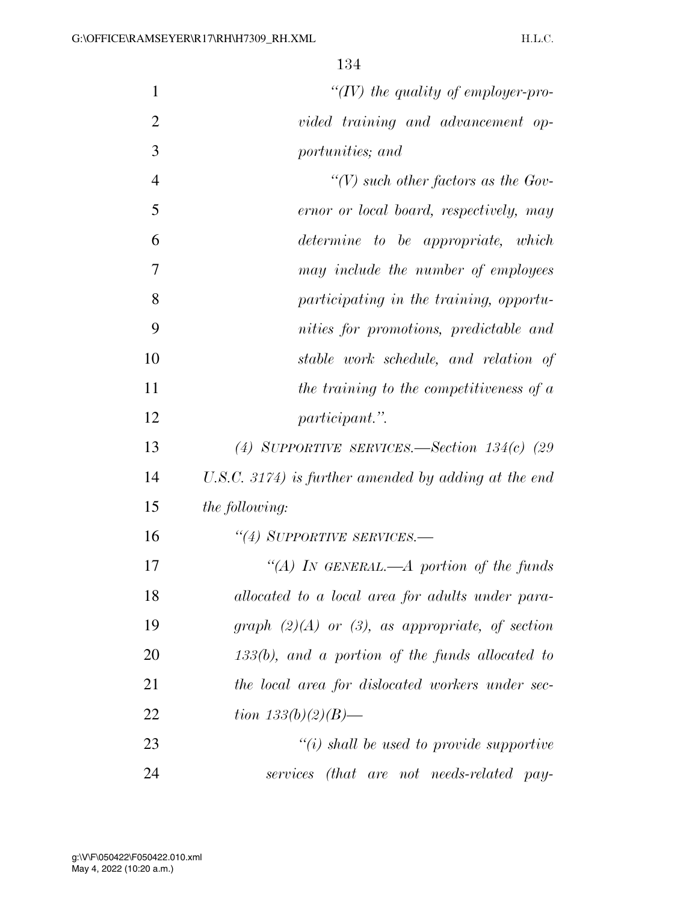| 1              | "(IV) the quality of employer-pro-                   |
|----------------|------------------------------------------------------|
| $\overline{2}$ | vided training and advancement op-                   |
| 3              | portunities; and                                     |
| $\overline{4}$ | "(V) such other factors as the Gov-                  |
| 5              | ernor or local board, respectively, may              |
| 6              | determine to be appropriate, which                   |
| 7              | may include the number of employees                  |
| 8              | participating in the training, opportu-              |
| 9              | nities for promotions, predictable and               |
| 10             | stable work schedule, and relation of                |
| 11             | the training to the competitiveness of a             |
| 12             | <i>participant.</i> "                                |
| 13             | (4) SUPPORTIVE SERVICES.—Section $134(c)$ (29)       |
| 14             | U.S.C. 3174) is further amended by adding at the end |
| 15             | <i>the following:</i>                                |
| 16             | "(4) SUPPORTIVE SERVICES.—                           |
| 17             | "(A) IN GENERAL.—A portion of the funds              |
| 18             | allocated to a local area for adults under para-     |
| 19             | graph $(2)(A)$ or $(3)$ , as appropriate, of section |
| 20             | $133(b)$ , and a portion of the funds allocated to   |
| 21             | the local area for dislocated workers under sec-     |
| 22             | tion $133(b)(2)(B)$ —                                |
| 23             | $"(i)$ shall be used to provide supportive           |
| 24             | services (that are not needs-related pay-            |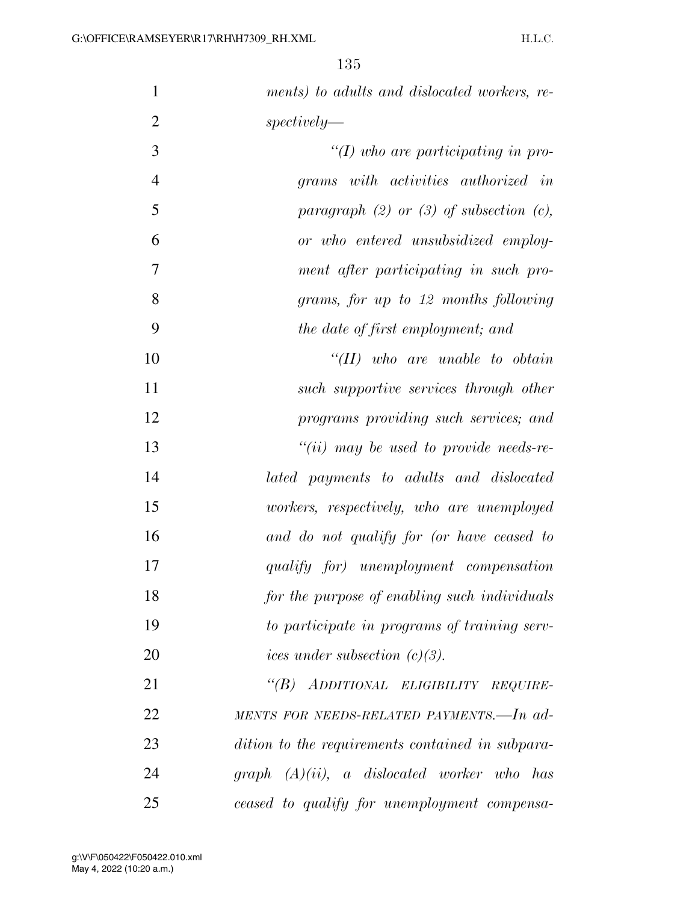| $\mathbf{1}$   | ments) to adults and dislocated workers, re-     |
|----------------|--------------------------------------------------|
| $\overline{2}$ | spectively                                       |
| 3              | $\lq (I)$ who are participating in pro-          |
| $\overline{4}$ | grams with activities authorized in              |
| 5              | paragraph $(2)$ or $(3)$ of subsection $(c)$ ,   |
| 6              | or who entered unsubsidized employ-              |
| 7              | ment after participating in such pro-            |
| 8              | grams, for up to 12 months following             |
| 9              | the date of first employment; and                |
| 10             | $``(II)$ who are unable to obtain                |
| 11             | such supportive services through other           |
| 12             | programs providing such services; and            |
| 13             | $``(ii)$ may be used to provide needs-re-        |
| 14             | lated payments to adults and dislocated          |
| 15             | workers, respectively, who are unemployed        |
| 16             | and do not qualify for (or have ceased to        |
| 17             | qualify for) unemployment compensation           |
| 18             | for the purpose of enabling such individuals     |
| 19             | to participate in programs of training serv-     |
| 20             | ices under subsection $(c)(3)$ .                 |
| 21             | "(B) ADDITIONAL ELIGIBILITY REQUIRE-             |
| 22             | MENTS FOR NEEDS-RELATED PAYMENTS.-In ad-         |
| 23             | dition to the requirements contained in subpara- |
| 24             | $graph (A)(ii)$ , a dislocated worker who has    |
| 25             | ceased to qualify for unemployment compensa-     |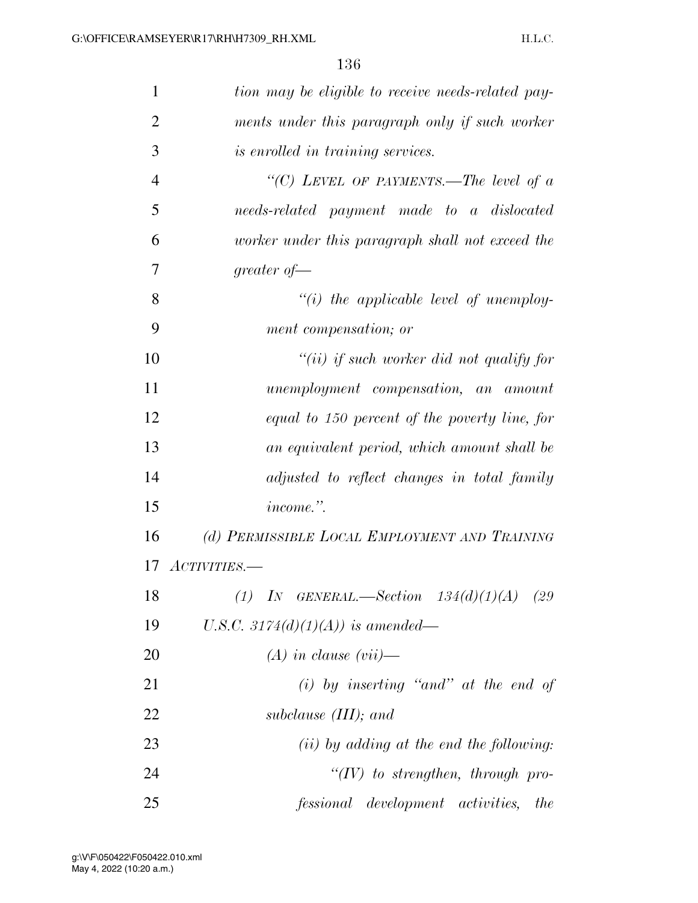| $\mathbf{1}$   | tion may be eligible to receive needs-related pay- |
|----------------|----------------------------------------------------|
| $\overline{2}$ | ments under this paragraph only if such worker     |
| 3              | is enrolled in training services.                  |
| $\overline{4}$ | "(C) LEVEL OF PAYMENTS.—The level of $a$           |
| 5              | needs-related payment made to a dislocated         |
| 6              | worker under this paragraph shall not exceed the   |
| 7              | greater of $-$                                     |
| 8              | $``(i)$ the applicable level of unemploy-          |
| 9              | ment compensation; or                              |
| 10             | "(ii) if such worker did not qualify for           |
| 11             | unemployment compensation, an amount               |
| 12             | equal to 150 percent of the poverty line, for      |
| 13             | an equivalent period, which amount shall be        |
| 14             | adjusted to reflect changes in total family        |
| 15             | income.".                                          |
| 16             | (d) PERMISSIBLE LOCAL EMPLOYMENT AND TRAINING      |
| 17             | ACTIVITIES.-                                       |
| 18             | $(1)$ IN GENERAL.—Section $134(d)(1)(A)$<br>(29)   |
| 19             | U.S.C. 3174(d)(1)(A)) is amended—                  |
| 20             | $(A)$ in clause $(vii)$ —                          |
| 21             | $(i)$ by inserting "and" at the end of             |
| 22             | subclause $(III)$ ; and                            |
| 23             | $(ii)$ by adding at the end the following:         |
| 24             | $``(IV)$ to strengthen, through pro-               |
| 25             | <i>fessional</i> development activities, the       |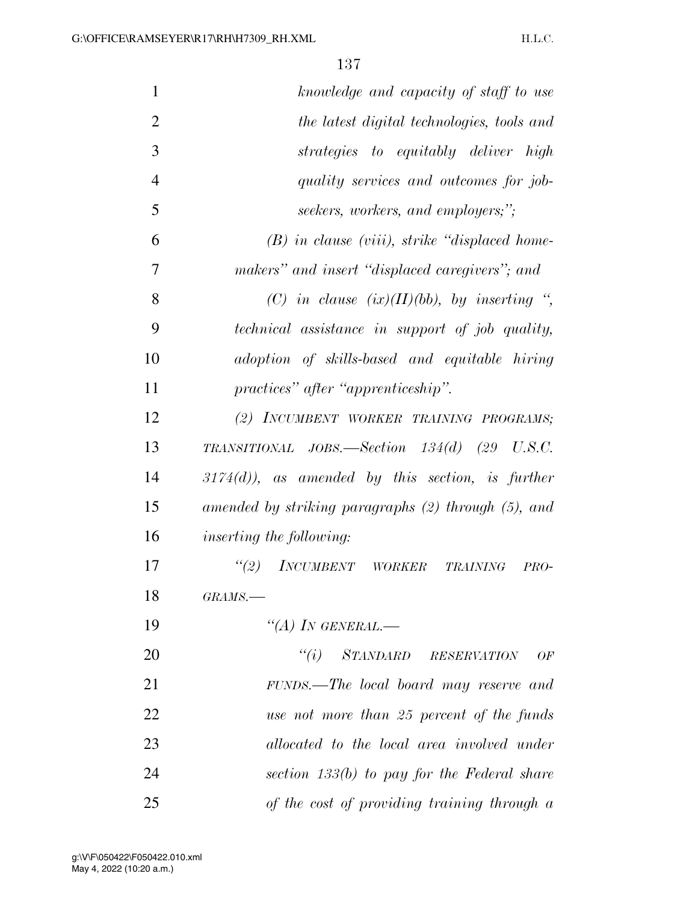| $\mathbf{1}$   | knowledge and capacity of staff to use              |
|----------------|-----------------------------------------------------|
| $\overline{2}$ | the latest digital technologies, tools and          |
| 3              | strategies to equitably deliver high                |
| $\overline{4}$ | quality services and outcomes for job-              |
| 5              | seekers, workers, and employers;";                  |
| 6              | $(B)$ in clause (viii), strike "displaced home-     |
| 7              | makers" and insert "displaced caregivers"; and      |
| 8              | (C) in clause $(ix)(II)(bb)$ , by inserting ",      |
| 9              | technical assistance in support of job quality,     |
| 10             | adoption of skills-based and equitable hiring       |
| 11             | practices" after "apprenticeship".                  |
| 12             | (2) INCUMBENT WORKER TRAINING PROGRAMS;             |
| 13             | TRANSITIONAL JOBS.—Section $134(d)$ (29 U.S.C.      |
| 14             | $3174(d)$ , as amended by this section, is further  |
| 15             | amended by striking paragraphs (2) through (5), and |
| 16             | <i>inserting the following:</i>                     |
| 17             | (2)<br>INCUMBENT WORKER TRAINING<br>$PRO-$          |
| 18             | $GRAMS$ .                                           |
| 19             | "(A) IN GENERAL.—                                   |
| 20             | "(i) STANDARD RESERVATION<br>OF                     |
| 21             | FUNDS.—The local board may reserve and              |
| 22             | use not more than 25 percent of the funds           |
| 23             | allocated to the local area involved under          |
| 24             | section $133(b)$ to pay for the Federal share       |
| 25             | of the cost of providing training through a         |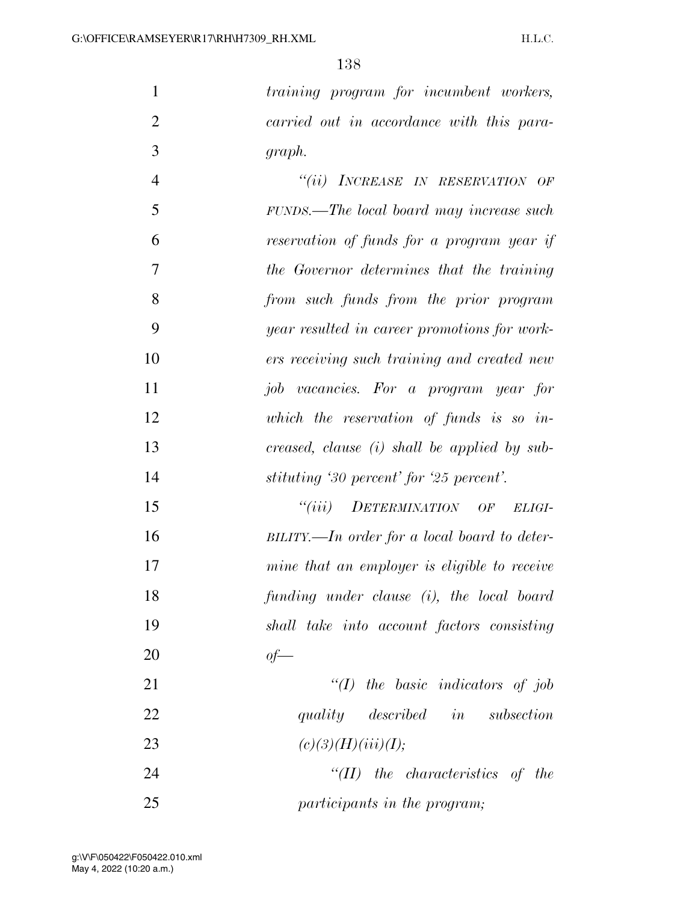*training program for incumbent workers, carried out in accordance with this para-graph.* 

 *''(ii) INCREASE IN RESERVATION OF FUNDS.—The local board may increase such reservation of funds for a program year if the Governor determines that the training from such funds from the prior program year resulted in career promotions for work- ers receiving such training and created new job vacancies. For a program year for which the reservation of funds is so in- creased, clause (i) shall be applied by sub-stituting '30 percent' for '25 percent'.* 

 *''(iii) DETERMINATION OF ELIGI- BILITY.—In order for a local board to deter- mine that an employer is eligible to receive funding under clause (i), the local board shall take into account factors consisting of—* 

 *''(I) the basic indicators of job quality described in subsection*  23  $(c)(3)(H)(iii)(I);$ 

 *''(II) the characteristics of the participants in the program;*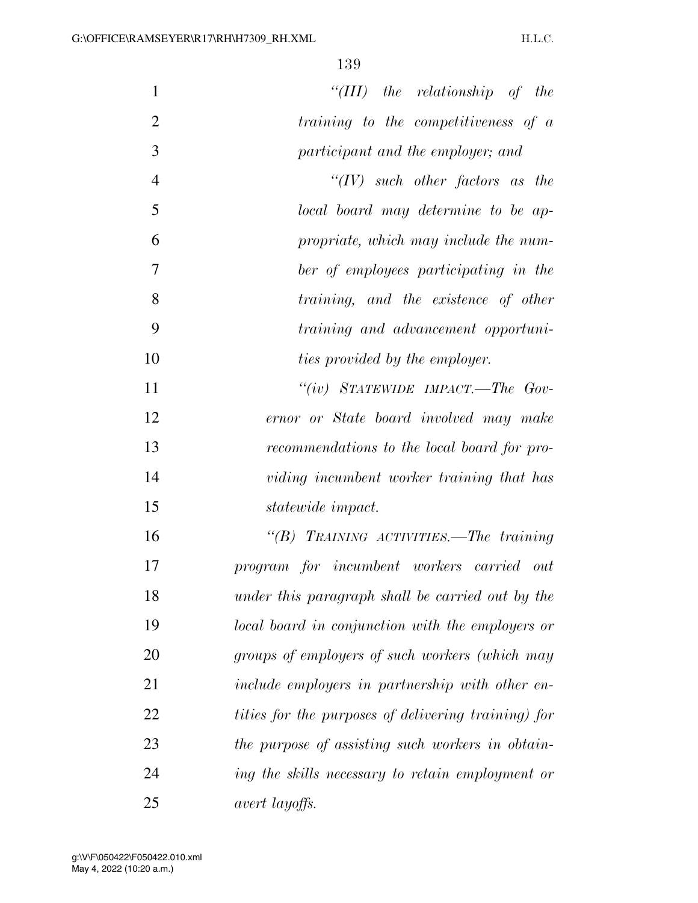| $\mathbf{1}$   | "(III) the relationship of the                             |
|----------------|------------------------------------------------------------|
| $\overline{2}$ | training to the competitiveness of a                       |
| 3              | participant and the employer; and                          |
| $\overline{4}$ | " $(IV)$ such other factors as the                         |
| 5              | local board may determine to be ap-                        |
| 6              | propriate, which may include the num-                      |
| 7              | ber of employees participating in the                      |
| 8              | training, and the existence of other                       |
| 9              | training and advancement opportuni-                        |
| 10             | ties provided by the employer.                             |
| 11             | "(iv) STATEWIDE IMPACT.—The Gov-                           |
| 12             | ernor or State board involved may make                     |
| 13             | recommendations to the local board for pro-                |
| 14             | viding incumbent worker training that has                  |
| 15             | <i>statewide impact.</i>                                   |
| 16             | "(B) TRAINING ACTIVITIES.—The training                     |
| 17             | program for incumbent workers carried out                  |
| 18             | under this paragraph shall be carried out by the           |
| 19             | local board in conjunction with the employers or           |
| 20             | groups of employers of such workers (which may             |
| 21             | include employers in partnership with other en-            |
| 22             | <i>tities for the purposes of delivering training) for</i> |
| 23             | the purpose of assisting such workers in obtain-           |
| 24             | ing the skills necessary to retain employment or           |
| 25             | avert layoffs.                                             |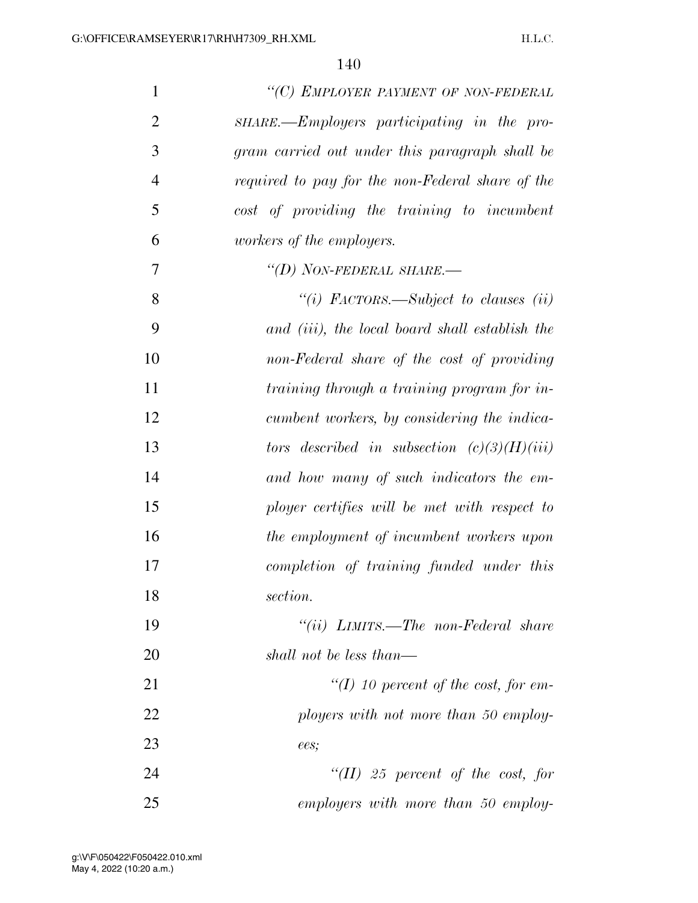| $\mathbf{1}$   | "(C) EMPLOYER PAYMENT OF NON-FEDERAL             |
|----------------|--------------------------------------------------|
| $\overline{2}$ | SHARE.—Employers participating in the pro-       |
| 3              | gram carried out under this paragraph shall be   |
| $\overline{4}$ | required to pay for the non-Federal share of the |
| 5              | cost of providing the training to incumbent      |
| 6              | <i>workers of the employers.</i>                 |
| 7              | "(D) NON-FEDERAL SHARE.-                         |
| 8              | "(i) FACTORS.—Subject to clauses (ii)            |
| 9              | and (iii), the local board shall establish the   |
| 10             | non-Federal share of the cost of providing       |
| 11             | training through a training program for in-      |
| 12             | cumbent workers, by considering the indica-      |
| 13             | tors described in subsection $(c)(3)(H)(iii)$    |
| 14             | and how many of such indicators the em-          |
| 15             | ployer certifies will be met with respect to     |
| 16             | the employment of incumbent workers upon         |
| 17             | completion of training funded under this         |
| 18             | section.                                         |
| 19             | "(ii) $LIMITS.$ —The non-Federal share           |
| 20             | shall not be less than—                          |
| 21             | "(I) 10 percent of the cost, for em-             |
| 22             | ployers with not more than 50 employ-            |
| 23             | ees;                                             |
| 24             | "(II) 25 percent of the cost, for                |
| 25             | employers with more than 50 employ-              |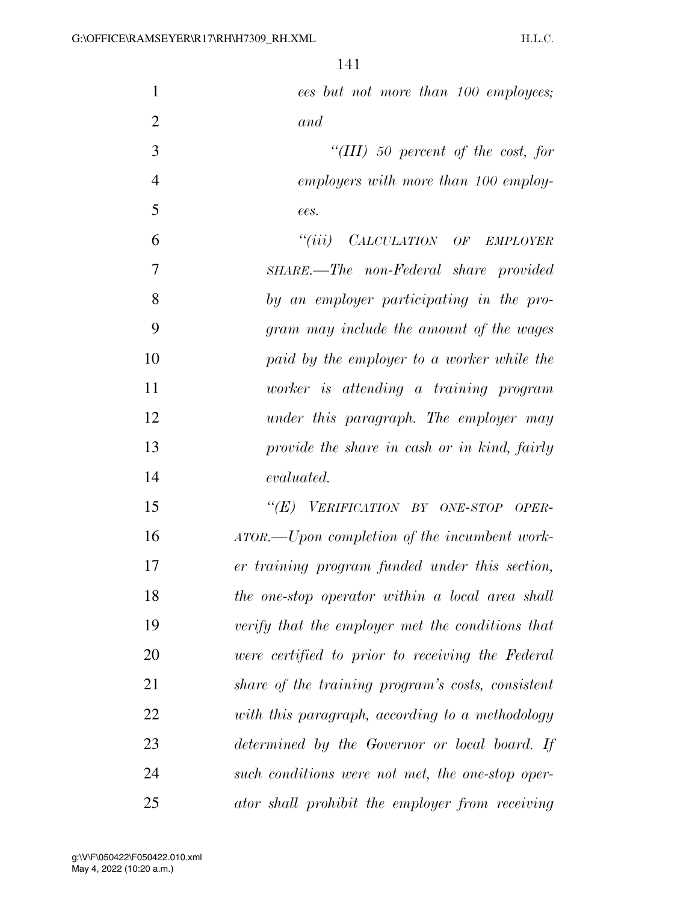| $\mathbf{1}$   | ees but not more than 100 employees;              |
|----------------|---------------------------------------------------|
| $\overline{2}$ | and                                               |
| 3              | "(III) 50 percent of the cost, for                |
| $\overline{4}$ | employers with more than 100 employ-              |
| 5              | ees.                                              |
| 6              | "(iii) CALCULATION OF EMPLOYER                    |
| 7              | SHARE.—The non-Federal share provided             |
| 8              | by an employer participating in the pro-          |
| 9              | gram may include the amount of the wages          |
| 10             | paid by the employer to a worker while the        |
| 11             | worker is attending a training program            |
| 12             | under this paragraph. The employer may            |
| 13             | provide the share in cash or in kind, fairly      |
| 14             | evaluated.                                        |
| 15             | "(E) VERIFICATION BY ONE-STOP OPER-               |
| 16             | ATOR.—Upon completion of the incumbent work-      |
| 17             | er training program funded under this section,    |
| 18             | the one-stop operator within a local area shall   |
| 19             | verify that the employer met the conditions that  |
| 20             | were certified to prior to receiving the Federal  |
| 21             | share of the training program's costs, consistent |
| 22             | with this paragraph, according to a methodology   |
| 23             | determined by the Governor or local board. If     |
| 24             | such conditions were not met, the one-stop oper-  |
| 25             | ator shall prohibit the employer from receiving   |

May 4, 2022 (10:20 a.m.) g:\V\F\050422\F050422.010.xml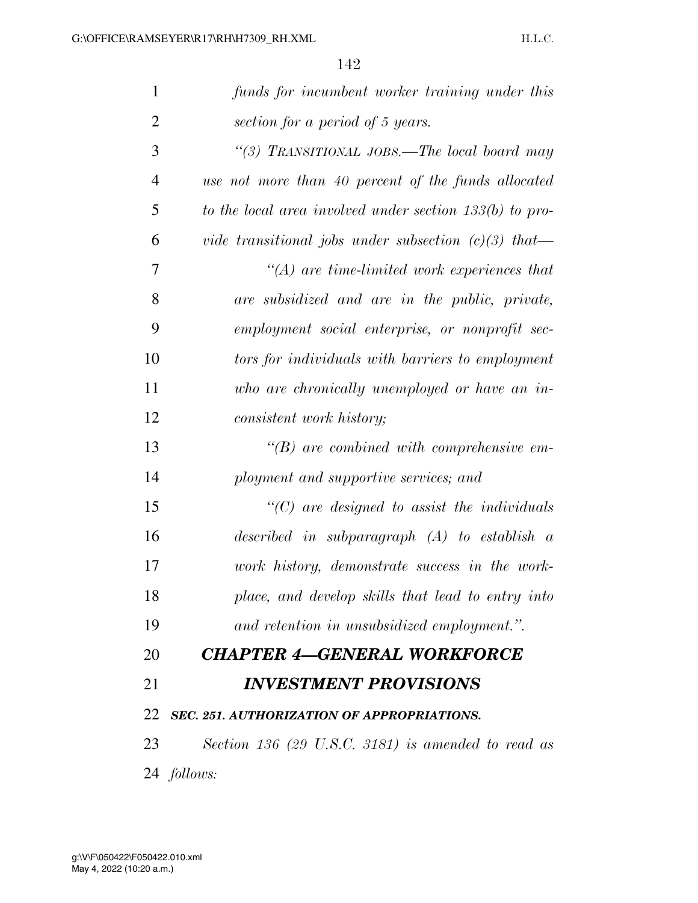| $\mathbf{1}$   | funds for incumbent worker training under this            |
|----------------|-----------------------------------------------------------|
| $\overline{2}$ | section for a period of 5 years.                          |
| 3              | "(3) TRANSITIONAL JOBS.—The local board may               |
| $\overline{4}$ | use not more than 40 percent of the funds allocated       |
| 5              | to the local area involved under section $133(b)$ to pro- |
| 6              | vide transitional jobs under subsection $(c)(3)$ that—    |
| 7              | $H(A)$ are time-limited work experiences that             |
| 8              | are subsidized and are in the public, private,            |
| 9              | employment social enterprise, or nonprofit sec-           |
| 10             | tors for individuals with barriers to employment          |
| 11             | who are chronically unemployed or have an in-             |
| 12             | consistent work history;                                  |
| 13             | $\lq\lq B$ are combined with comprehensive em-            |
| 14             | ployment and supportive services; and                     |
| 15             | $\lq$ (C) are designed to assist the individuals          |
| 16             | described in subparagraph $(A)$ to establish a            |
| 17             | work history, demonstrate success in the work-            |
| 18             | place, and develop skills that lead to entry into         |
| 19             | and retention in unsubsidized employment.".               |
| 20             | <b>CHAPTER 4-GENERAL WORKFORCE</b>                        |
| 21             | <b>INVESTMENT PROVISIONS</b>                              |
| 22             | <b>SEC. 251. AUTHORIZATION OF APPROPRIATIONS.</b>         |
| 23             | Section 136 (29 U.S.C. 3181) is amended to read as        |
|                | 24 <i>follows:</i>                                        |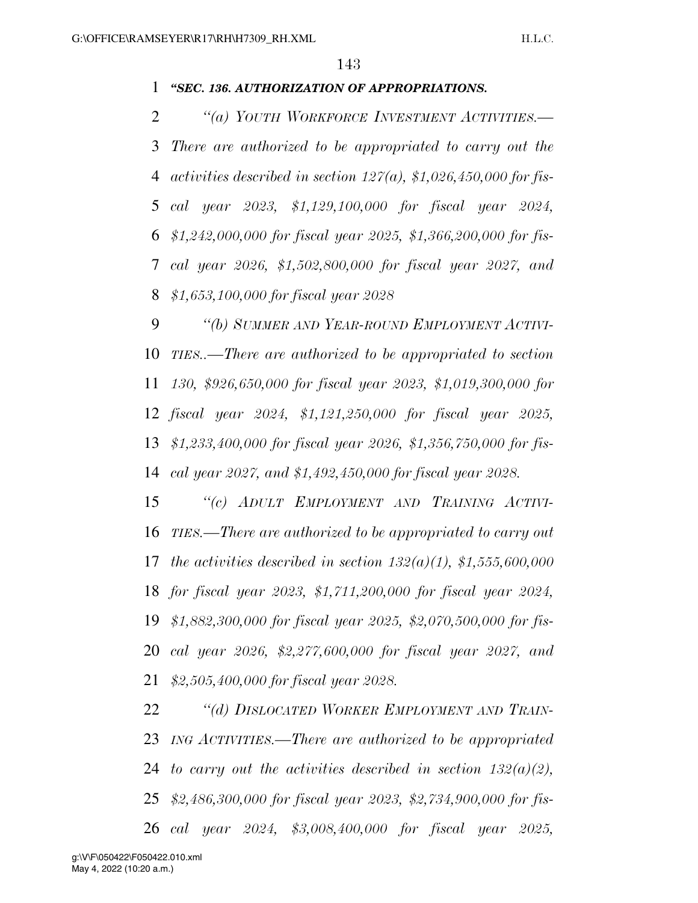## *''SEC. 136. AUTHORIZATION OF APPROPRIATIONS.*

 *''(a) YOUTH WORKFORCE INVESTMENT ACTIVITIES.— There are authorized to be appropriated to carry out the activities described in section 127(a), \$1,026,450,000 for fis- cal year 2023, \$1,129,100,000 for fiscal year 2024, \$1,242,000,000 for fiscal year 2025, \$1,366,200,000 for fis- cal year 2026, \$1,502,800,000 for fiscal year 2027, and \$1,653,100,000 for fiscal year 2028* 

 *''(b) SUMMER AND YEAR-ROUND EMPLOYMENT ACTIVI- TIES..—There are authorized to be appropriated to section 130, \$926,650,000 for fiscal year 2023, \$1,019,300,000 for fiscal year 2024, \$1,121,250,000 for fiscal year 2025, \$1,233,400,000 for fiscal year 2026, \$1,356,750,000 for fis-cal year 2027, and \$1,492,450,000 for fiscal year 2028.* 

 *''(c) ADULT EMPLOYMENT AND TRAINING ACTIVI- TIES.—There are authorized to be appropriated to carry out the activities described in section 132(a)(1), \$1,555,600,000 for fiscal year 2023, \$1,711,200,000 for fiscal year 2024, \$1,882,300,000 for fiscal year 2025, \$2,070,500,000 for fis- cal year 2026, \$2,277,600,000 for fiscal year 2027, and \$2,505,400,000 for fiscal year 2028.* 

 *''(d) DISLOCATED WORKER EMPLOYMENT AND TRAIN- ING ACTIVITIES.—There are authorized to be appropriated to carry out the activities described in section 132(a)(2), \$2,486,300,000 for fiscal year 2023, \$2,734,900,000 for fis-cal year 2024, \$3,008,400,000 for fiscal year 2025,*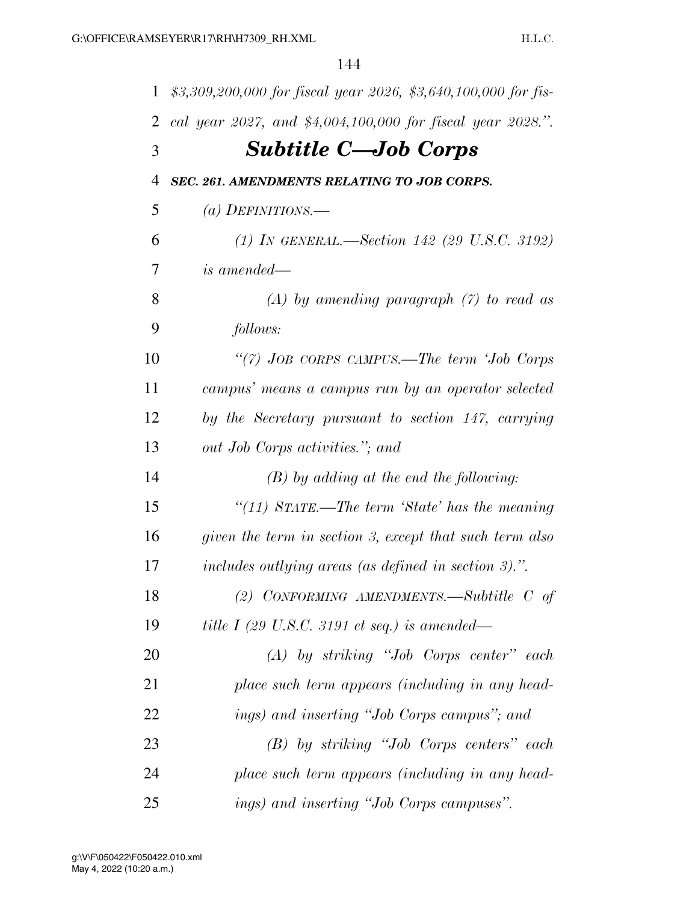| $\mathbf{1}$   | \$3,309,200,000 for fiscal year 2026, \$3,640,100,000 for fis- |
|----------------|----------------------------------------------------------------|
| 2              | cal year 2027, and \$4,004,100,000 for fiscal year 2028.".     |
| 3              | <b>Subtitle C—Job Corps</b>                                    |
| $\overline{4}$ | SEC. 261. AMENDMENTS RELATING TO JOB CORPS.                    |
| 5              | (a) DEFINITIONS.—                                              |
| 6              | (1) IN GENERAL.—Section 142 (29 U.S.C. 3192)                   |
| 7              | <i>is amended—</i>                                             |
| 8              | $(A)$ by amending paragraph $(7)$ to read as                   |
| 9              | follows:                                                       |
| 10             | "(7) JOB CORPS CAMPUS.—The term 'Job Corps                     |
| 11             | campus' means a campus run by an operator selected             |
| 12             | by the Secretary pursuant to section 147, carrying             |
| 13             | out Job Corps activities."; and                                |
| 14             | $(B)$ by adding at the end the following:                      |
| 15             | "(11) STATE.—The term 'State' has the meaning                  |
| 16             | given the term in section 3, except that such term also        |
| 17             | includes outlying areas (as defined in section 3).".           |
| 18             | (2) CONFORMING AMENDMENTS.—Subtitle $C$ of                     |
| 19             | title I (29 U.S.C. 3191 et seq.) is amended—                   |
| 20             | $(A)$ by striking "Job Corps center" each                      |
| 21             | place such term appears (including in any head-                |
| 22             | ings) and inserting "Job Corps campus"; and                    |
| 23             | $(B)$ by striking "Job Corps centers" each                     |
| 24             | place such term appears (including in any head-                |
| 25             | ings) and inserting "Job Corps campuses".                      |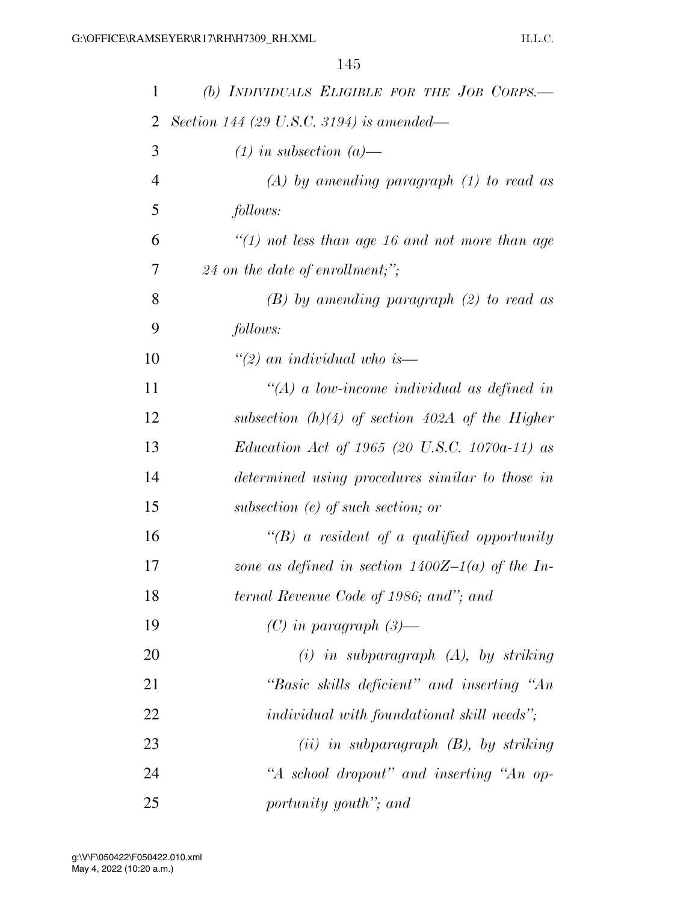| 1              | (b) INDIVIDUALS ELIGIBLE FOR THE JOB CORPS.—         |
|----------------|------------------------------------------------------|
| 2              | Section 144 (29 U.S.C. 3194) is amended—             |
| 3              | $(1)$ in subsection $(a)$ —                          |
| $\overline{4}$ | $(A)$ by amending paragraph $(1)$ to read as         |
| 5              | follows:                                             |
| 6              | $\lq(1)$ not less than age 16 and not more than age  |
| 7              | $24$ on the date of enrollment;";                    |
| 8              | $(B)$ by amending paragraph $(2)$ to read as         |
| 9              | follows:                                             |
| 10             | $\degree$ (2) an individual who is—                  |
| 11             | $\lq (A)$ a low-income individual as defined in      |
| 12             | subsection $(h)(4)$ of section 402A of the Higher    |
| 13             | <i>Education Act of 1965 (20 U.S.C. 1070a-11) as</i> |
| 14             | determined using procedures similar to those in      |
| 15             | subsection $(e)$ of such section; or                 |
| 16             | $\lq\lq(B)$ a resident of a qualified opportunity    |
| 17             | zone as defined in section $1400Z-1(a)$ of the In-   |
| 18             | ternal Revenue Code of 1986; and"; and               |
| 19             | $(C)$ in paragraph $(3)$ —                           |
| 20             | $(i)$ in subparagraph $(A)$ , by striking            |
| 21             | "Basic skills deficient" and inserting "An           |
| 22             | <i>individual with foundational skill needs</i> ";   |
| 23             | $(ii)$ in subparagraph $(B)$ , by striking           |
| 24             | "A school dropout" and inserting "An op-             |
| 25             | portunity youth"; and                                |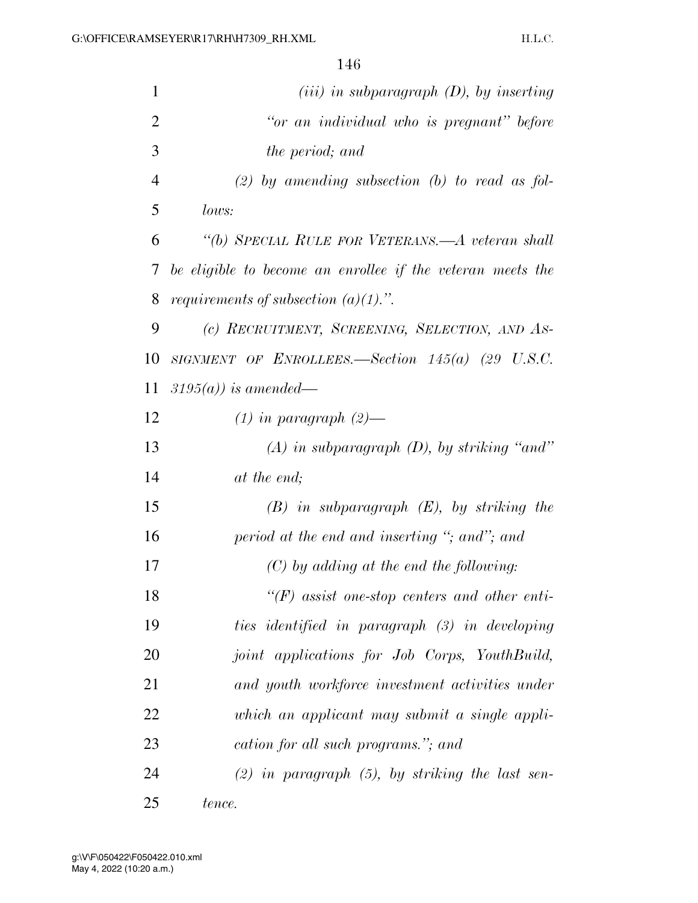| $\mathbf{1}$   | $(iii)$ in subparagraph $(D)$ , by inserting               |
|----------------|------------------------------------------------------------|
| $\overline{2}$ | "or an individual who is pregnant" before                  |
| 3              | the period; and                                            |
| $\overline{4}$ | $(2)$ by amending subsection (b) to read as fol-           |
| 5              | lows:                                                      |
| 6              | "(b) SPECIAL RULE FOR VETERANS.—A veteran shall            |
| 7              | be eligible to become an enrollee if the veteran meets the |
| 8              | <i>requirements of subsection <math>(a)(1)</math>.</i> ".  |
| 9              | (c) RECRUITMENT, SCREENING, SELECTION, AND AS-             |
| 10             | SIGNMENT OF ENROLLEES.—Section $145(a)$ (29 U.S.C.         |
| 11             | $3195(a)$ ) is amended—                                    |
| 12             | $(1)$ in paragraph $(2)$ —                                 |
| 13             | $(A)$ in subparagraph $(D)$ , by striking "and"            |
| 14             | at the end;                                                |
| 15             | $(B)$ in subparagraph $(E)$ , by striking the              |
| 16             | period at the end and inserting "; and"; and               |
| 17             | $(C)$ by adding at the end the following:                  |
| 18             | $H(F)$ assist one-stop centers and other enti-             |
| 19             | ties identified in paragraph (3) in developing             |
| 20             | joint applications for Job Corps, YouthBuild,              |
| 21             | and youth workforce investment activities under            |
| 22             | which an applicant may submit a single appli-              |
| 23             | cation for all such programs."; and                        |
| 24             | $(2)$ in paragraph $(5)$ , by striking the last sen-       |
| 25             | tence.                                                     |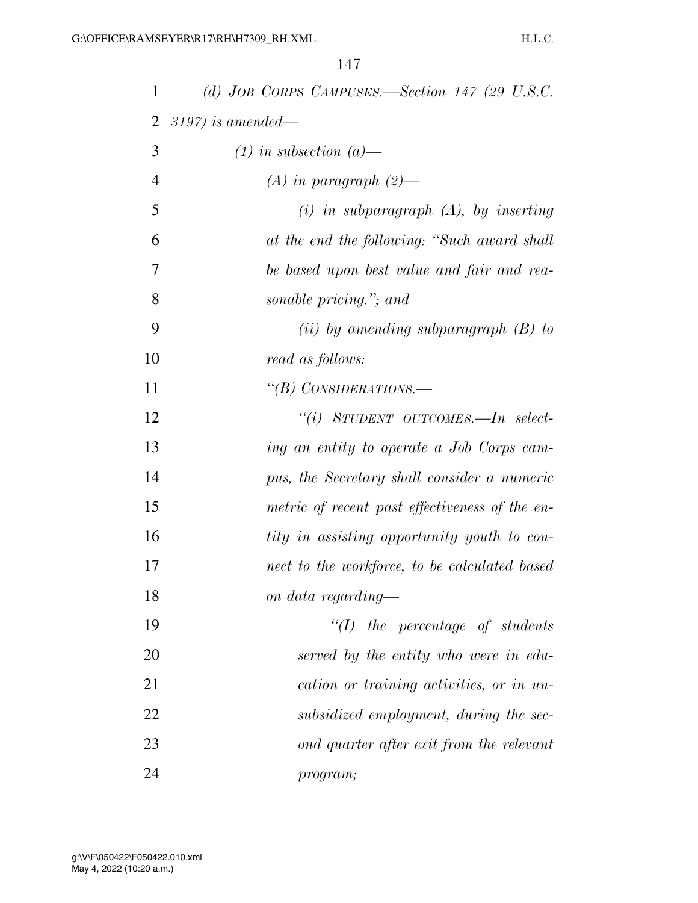| 1              | (d) JOB CORPS CAMPUSES.—Section 147 (29 U.S.C. |
|----------------|------------------------------------------------|
| $\overline{2}$ | $3197$ ) is amended—                           |
| 3              | $(1)$ in subsection $(a)$ —                    |
| $\overline{4}$ | $(A)$ in paragraph $(2)$ —                     |
| 5              | $(i)$ in subparagraph $(A)$ , by inserting     |
| 6              | at the end the following: "Such award shall    |
| 7              | be based upon best value and fair and rea-     |
| 8              | sonable pricing."; and                         |
| 9              | (ii) by amending subparagraph $(B)$ to         |
| 10             | read as follows:                               |
| 11             | "(B) CONSIDERATIONS.—                          |
| 12             | "(i) STUDENT OUTCOMES.—In select-              |
| 13             | ing an entity to operate a Job Corps cam-      |
| 14             | pus, the Secretary shall consider a numeric    |
| 15             | metric of recent past effectiveness of the en- |
| 16             | tity in assisting opportunity youth to con-    |
| 17             | nect to the workforce, to be calculated based  |
| 18             | on data regarding—                             |
| 19             | $\lq (I)$ the percentage of students           |
| 20             | served by the entity who were in edu-          |
| 21             | cation or training activities, or in un-       |
| 22             | subsidized employment, during the sec-         |
| 23             | ond quarter after exit from the relevant       |
| 24             | program;                                       |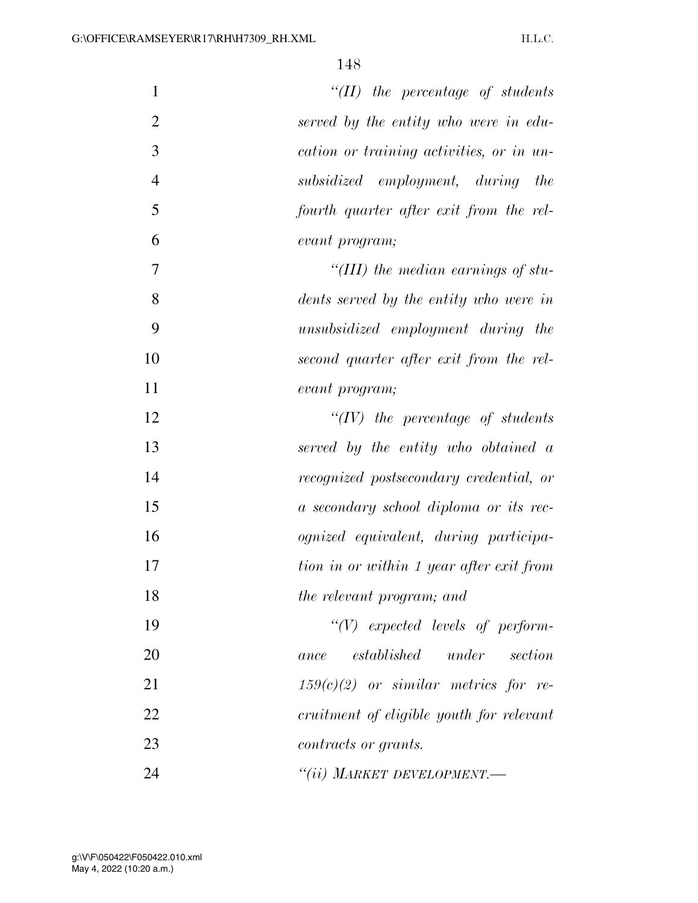| $\mathbf{1}$   | $\lq\lq (II)$ the percentage of students     |
|----------------|----------------------------------------------|
| $\overline{2}$ | served by the entity who were in edu-        |
| 3              | cation or training activities, or in un-     |
| $\overline{4}$ | subsidized employment, during<br>the         |
| 5              | fourth quarter after exit from the rel-      |
| 6              | evant program;                               |
| 7              | "(III) the median earnings of stu-           |
| 8              | dents served by the entity who were in       |
| 9              | unsubsidized employment during the           |
| 10             | second quarter after exit from the rel-      |
| 11             | evant program;                               |
| 12             | $\lq\lq (IV)$ the percentage of students     |
| 13             | served by the entity who obtained a          |
| 14             | recognized postsecondary credential, or      |
| 15             | a secondary school diploma or its rec-       |
| 16             | <i>ognized</i> equivalent, during participa- |
| 17             | tion in or within 1 year after exit from     |
| 18             | the relevant program; and                    |
| 19             | $``(V)$ expected levels of perform-          |
| 20             | under<br>established<br>section<br>ance      |
| 21             | $159(c)(2)$ or similar metrics for re-       |
| 22             | cruitment of eligible youth for relevant     |
| 23             | contracts or grants.                         |
| 24             | $``(ii)$ Market Development.—                |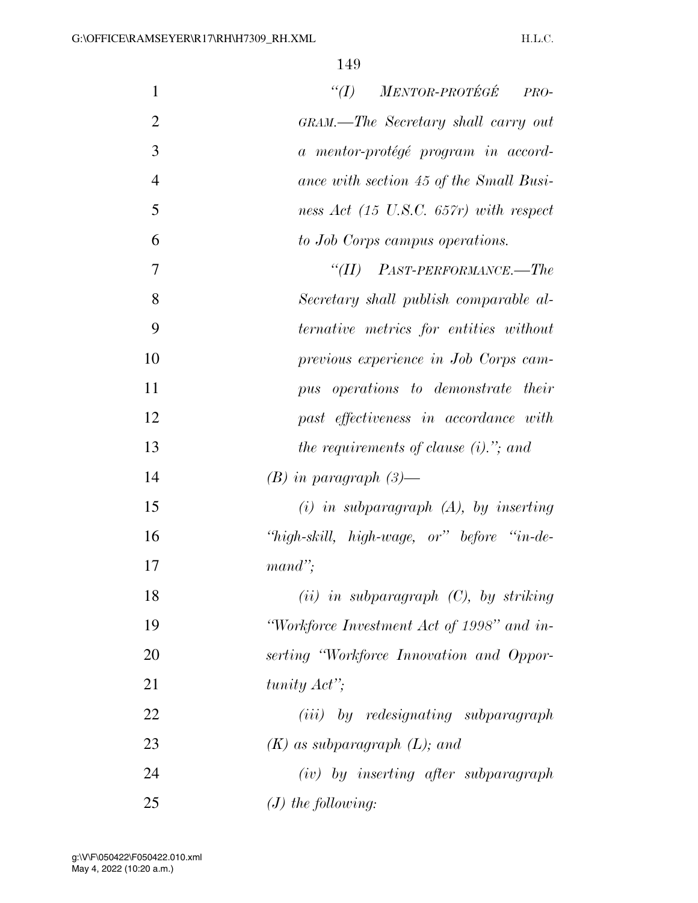| $\mathbf{1}$   | $``(I)$ MENTOR-PROTÉGÉ<br>PRO-                    |
|----------------|---------------------------------------------------|
| $\overline{2}$ | GRAM.—The Secretary shall carry out               |
| 3              | a mentor-protégé program in accord-               |
| $\overline{4}$ | ance with section 45 of the Small Busi-           |
| 5              | ness Act $(15 \text{ U.S.C. } 657r)$ with respect |
| 6              | to Job Corps campus operations.                   |
| $\overline{7}$ | $``(II)$ PAST-PERFORMANCE.—The                    |
| 8              | Secretary shall publish comparable al-            |
| 9              | ternative metrics for entities without            |
| 10             | previous experience in Job Corps cam-             |
| 11             | pus operations to demonstrate their               |
| 12             | past effectiveness in accordance with             |
| 13             | the requirements of clause $(i)$ ,"; and          |
| 14             | $(B)$ in paragraph $(3)$ —                        |
| 15             | $(i)$ in subparagraph $(A)$ , by inserting        |
| 16             | "high-skill, high-wage, or" before "in-de-        |
| 17             | $mand$ ";                                         |
| 18             | $(ii)$ in subparagraph $(C)$ , by striking        |
| 19             | "Workforce Investment Act of 1998" and in-        |
| 20             | serting "Workforce Innovation and Oppor-          |
| 21             | tunity $Act$ <sup>"</sup> ;                       |
| 22             | (iii) by redesignating subparagraph               |
| 23             | $(K)$ as subparagraph $(L)$ ; and                 |
| 24             | $(iv)$ by inserting after subparagraph            |
| 25             | $(J)$ the following:                              |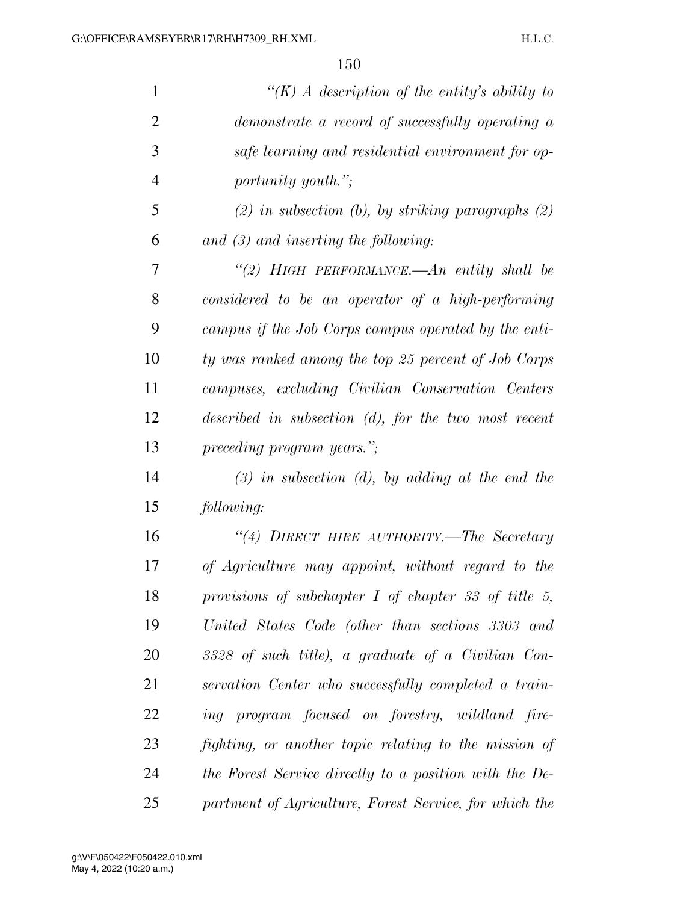| $\mathbf{1}$   | "(K) A description of the entity's ability to             |
|----------------|-----------------------------------------------------------|
| $\overline{2}$ | demonstrate a record of successfully operating a          |
| 3              | safe learning and residential environment for op-         |
| $\overline{4}$ | <i>portunity youth.</i> ";                                |
| 5              | $(2)$ in subsection (b), by striking paragraphs $(2)$     |
| 6              | and $(3)$ and inserting the following:                    |
| 7              | "(2) HIGH PERFORMANCE.—An entity shall be                 |
| 8              | considered to be an operator of a high-performing         |
| 9              | campus if the Job Corps campus operated by the enti-      |
| 10             | ty was ranked among the top 25 percent of Job Corps       |
| 11             | campuses, excluding Civilian Conservation Centers         |
| 12             | $described$ in subsection $(d)$ , for the two most recent |
| 13             | preceding program years.";                                |
| 14             | $(3)$ in subsection (d), by adding at the end the         |
| 15             | following:                                                |
| 16             | "(4) DIRECT HIRE AUTHORITY.—The Secretary                 |
| 17             | of Agriculture may appoint, without regard to the         |
| 18             | provisions of subchapter $I$ of chapter 33 of title 5,    |
| 19             | United States Code (other than sections 3303 and          |
| 20             | 3328 of such title), a graduate of a Civilian Con-        |
| 21             | servation Center who successfully completed a train-      |
| 22             | ing program focused on forestry, wildland fire-           |
| 23             | fighting, or another topic relating to the mission of     |
| 24             | the Forest Service directly to a position with the De-    |
| 25             | partment of Agriculture, Forest Service, for which the    |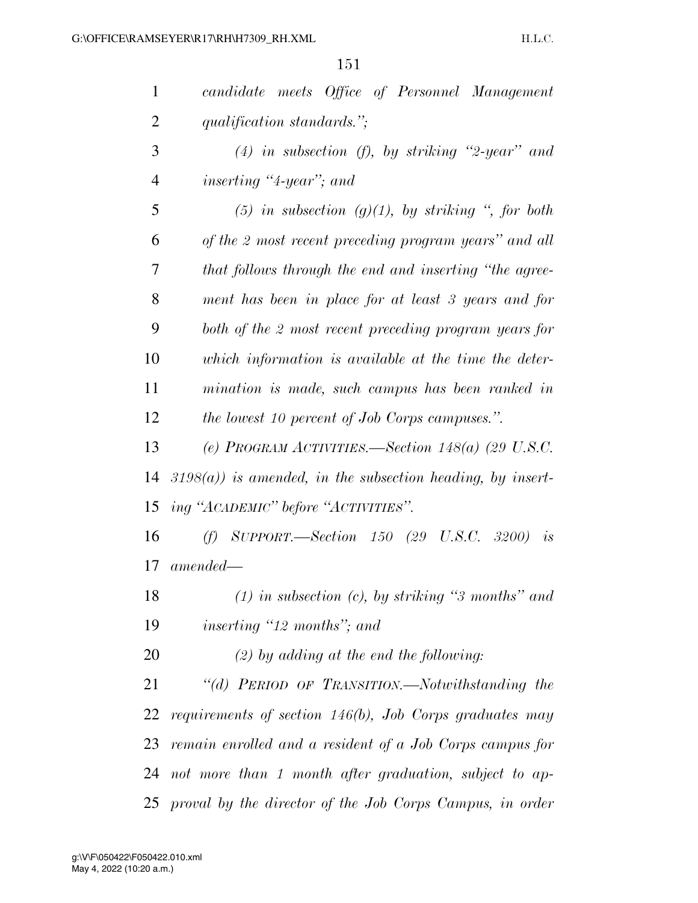| $\mathbf{1}$   | candidate meets Office of Personnel Management                |
|----------------|---------------------------------------------------------------|
| $\overline{2}$ | qualification standards.";                                    |
| 3              | (4) in subsection (f), by striking "2-year" and               |
| $\overline{4}$ | <i>inserting</i> "4-year"; and                                |
| 5              | $(5)$ in subsection $(g)(1)$ , by striking ", for both        |
| 6              | of the 2 most recent preceding program years" and all         |
| 7              | that follows through the end and inserting "the agree-        |
| 8              | ment has been in place for at least 3 years and for           |
| 9              | both of the 2 most recent preceding program years for         |
| 10             | which information is available at the time the deter-         |
| 11             | mination is made, such campus has been ranked in              |
| 12             | <i>the lowest 10 percent of Job Corps campuses."</i> .        |
| 13             | (e) PROGRAM ACTIVITIES.—Section 148(a) (29 U.S.C.             |
| 14             | $3198(a)$ ) is amended, in the subsection heading, by insert- |
| 15             | ing "АСАДЕМІС" before "АСТІVІТІЕЅ".                           |
| 16             | (f) SUPPORT.—Section $150$ (29 U.S.C. 3200)<br>is             |
| 17             | amended—                                                      |
| 18             | $(1)$ in subsection $(c)$ , by striking "3 months" and        |
| 19             | <i>inserting</i> "12 <i>months</i> "; and                     |
| 20             | $(2)$ by adding at the end the following:                     |
| 21             | "(d) PERIOD OF TRANSITION.—Notwithstanding the                |
| 22             | requirements of section $146(b)$ , Job Corps graduates may    |
| 23             | remain enrolled and a resident of a Job Corps campus for      |
| 24             | not more than 1 month after graduation, subject to ap-        |
|                | 25 proval by the director of the Job Corps Campus, in order   |

May 4, 2022 (10:20 a.m.) g:\V\F\050422\F050422.010.xml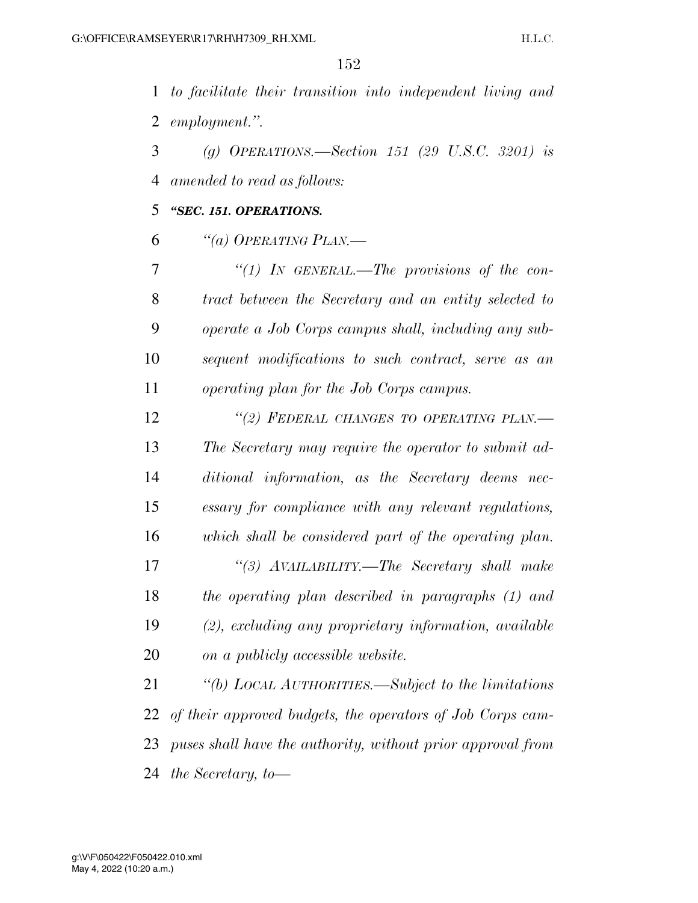*to facilitate their transition into independent living and employment.''.* 

 *(g) OPERATIONS.—Section 151 (29 U.S.C. 3201) is amended to read as follows:* 

*''SEC. 151. OPERATIONS.* 

*''(a) OPERATING PLAN.—* 

 *''(1) IN GENERAL.—The provisions of the con- tract between the Secretary and an entity selected to operate a Job Corps campus shall, including any sub- sequent modifications to such contract, serve as an operating plan for the Job Corps campus.* 

 *''(2) FEDERAL CHANGES TO OPERATING PLAN.— The Secretary may require the operator to submit ad- ditional information, as the Secretary deems nec- essary for compliance with any relevant regulations, which shall be considered part of the operating plan. ''(3) AVAILABILITY.—The Secretary shall make the operating plan described in paragraphs (1) and (2), excluding any proprietary information, available on a publicly accessible website.* 

 *''(b) LOCAL AUTHORITIES.—Subject to the limitations of their approved budgets, the operators of Job Corps cam- puses shall have the authority, without prior approval from the Secretary, to—*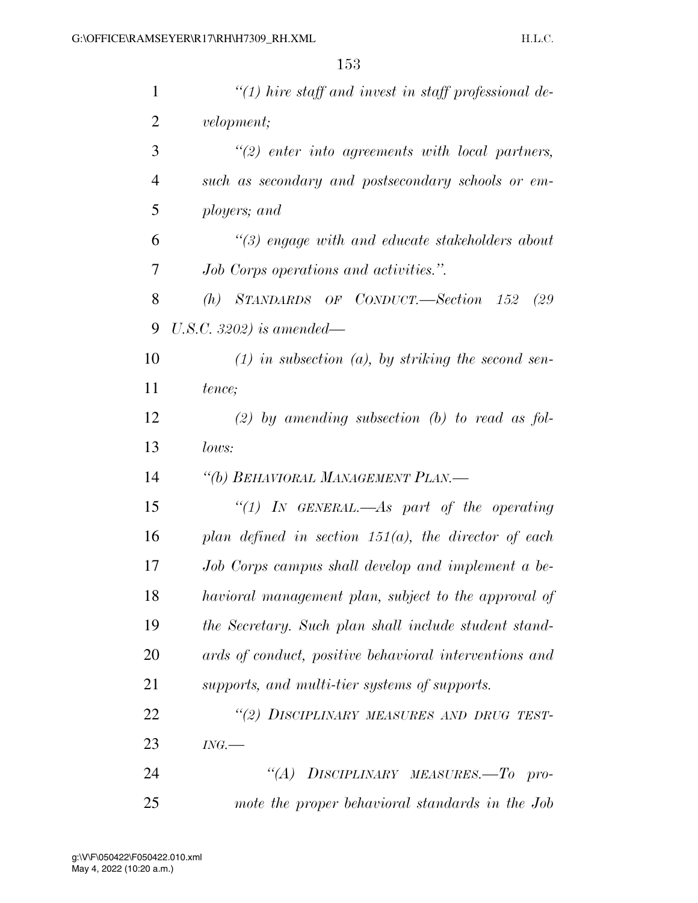| $\mathbf{1}$   | $\lq(1)$ hire staff and invest in staff professional de- |
|----------------|----------------------------------------------------------|
| $\overline{2}$ | <i>velopment</i> ;                                       |
| 3              | $\lq(2)$ enter into agreements with local partners,      |
| $\overline{4}$ | such as secondary and postsecondary schools or em-       |
| 5              | ployers; and                                             |
| 6              | $\lq(3)$ engage with and educate stakeholders about      |
| 7              | Job Corps operations and activities.".                   |
| 8              | STANDARDS OF CONDUCT.—Section 152<br>(h)<br>(29          |
| 9              | U.S.C. 3202) is amended—                                 |
| 10             | $(1)$ in subsection $(a)$ , by striking the second sen-  |
| 11             | tence;                                                   |
| 12             | $(2)$ by amending subsection (b) to read as fol-         |
| 13             | lows:                                                    |
| 14             | "(b) BEHAVIORAL MANAGEMENT PLAN.—                        |
| 15             | "(1) In GENERAL.—As part of the operating                |
| 16             | plan defined in section $151(a)$ , the director of each  |
| 17             | Job Corps campus shall develop and implement a be-       |
| 18             | havioral management plan, subject to the approval of     |
| 19             | the Secretary. Such plan shall include student stand-    |
| 20             | ards of conduct, positive behavioral interventions and   |
| 21             | supports, and multi-tier systems of supports.            |
| 22             | "(2) DISCIPLINARY MEASURES AND DRUG TEST-                |
| 23             | ING.                                                     |
| 24             | DISCIPLINARY MEASURES.-To pro-<br>$\lq (A)$              |
| 25             | mote the proper behavioral standards in the Job          |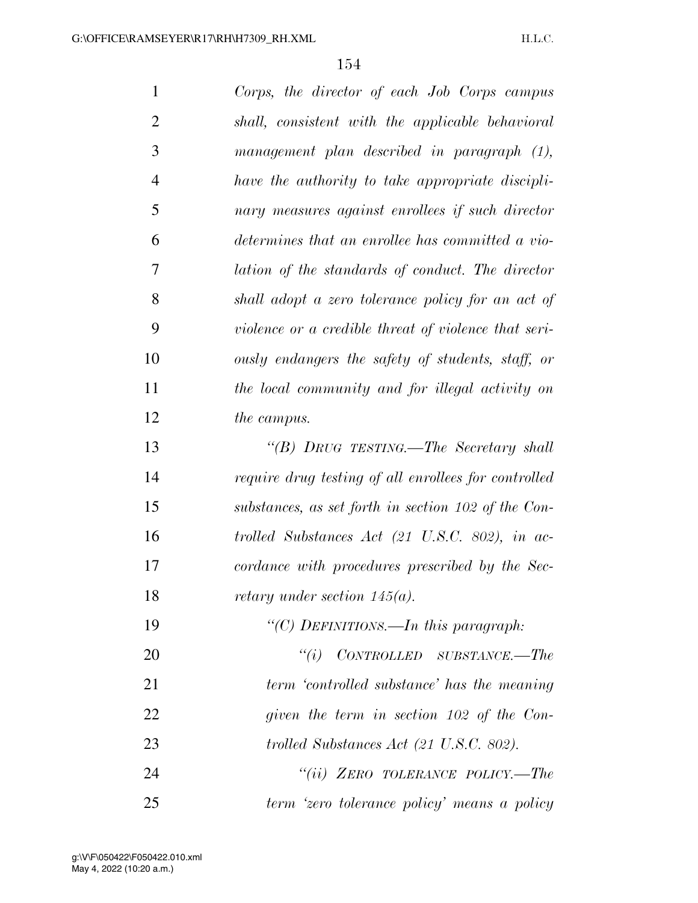| $\mathbf{1}$   | Corps, the director of each Job Corps campus               |
|----------------|------------------------------------------------------------|
| $\overline{2}$ | shall, consistent with the applicable behavioral           |
| 3              | management plan described in paragraph (1),                |
| $\overline{4}$ | have the authority to take appropriate discipli-           |
| 5              | nary measures against enrollees if such director           |
| 6              | determines that an enrollee has committed a vio-           |
| 7              | lation of the standards of conduct. The director           |
| 8              | shall adopt a zero tolerance policy for an act of          |
| 9              | violence or a credible threat of violence that seri-       |
| 10             | ously endangers the safety of students, staff, or          |
| 11             | the local community and for illegal activity on            |
| 12             | <i>the campus.</i>                                         |
| 13             | "(B) DRUG TESTING.—The Secretary shall                     |
| 14             | require drug testing of all enrollees for controlled       |
| 15             | substances, as set forth in section 102 of the Con-        |
| 16             | trolled Substances Act $(21 \text{ U.S.C. } 802)$ , in ac- |
| 17             | cordance with procedures prescribed by the Sec-            |
| 18             | <i>retary under section 145(a).</i>                        |
| 19             | "(C) DEFINITIONS.—In this paragraph:                       |
| 20             | $``(i)$ CONTROLLED SUBSTANCE.—The                          |
| 21             | term 'controlled substance' has the meaning                |
| 22             | given the term in section 102 of the Con-                  |
| 23             | trolled Substances Act (21 U.S.C. 802).                    |
| 24             | "(ii) ZERO TOLERANCE POLICY.—The                           |
| 25             | term 'zero tolerance policy' means a policy                |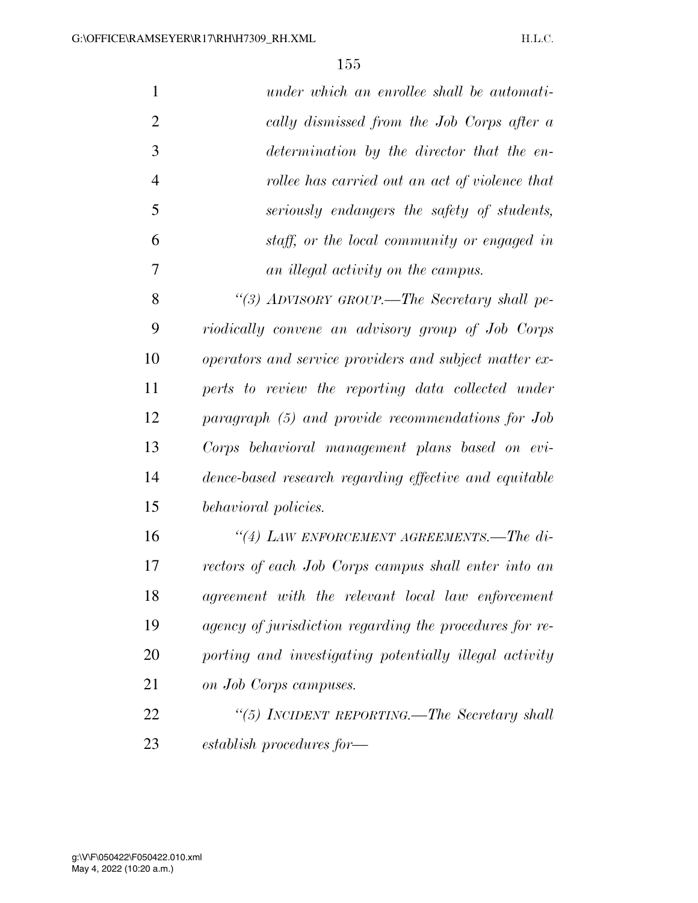| $\mathbf{1}$   | under which an enrollee shall be automati-              |
|----------------|---------------------------------------------------------|
| $\overline{2}$ | cally dismissed from the Job Corps after a              |
| 3              | determination by the director that the en-              |
| $\overline{4}$ | rollee has carried out an act of violence that          |
| 5              | seriously endangers the safety of students,             |
| 6              | staff, or the local community or engaged in             |
| 7              | an illegal activity on the campus.                      |
| 8              | "(3) ADVISORY GROUP.—The Secretary shall pe-            |
| 9              | riodically convene an advisory group of Job Corps       |
| 10             | operators and service providers and subject matter ex-  |
| 11             | perts to review the reporting data collected under      |
| 12             | paragraph (5) and provide recommendations for Job       |
| 13             | Corps behavioral management plans based on evi-         |
| 14             | dence-based research regarding effective and equitable  |
| 15             | behavioral policies.                                    |
| 16             | "(4) LAW ENFORCEMENT AGREEMENTS.—The di-                |
| 17             | rectors of each Job Corps campus shall enter into an    |
| 18             | agreement with the relevant local law enforcement       |
| 19             | agency of jurisdiction regarding the procedures for re- |
| 20             | porting and investigating potentially illegal activity  |
| 21             | on Job Corps campuses.                                  |
| 22             | "(5) INCIDENT REPORTING.—The Secretary shall            |
| 23             | establish procedures for—                               |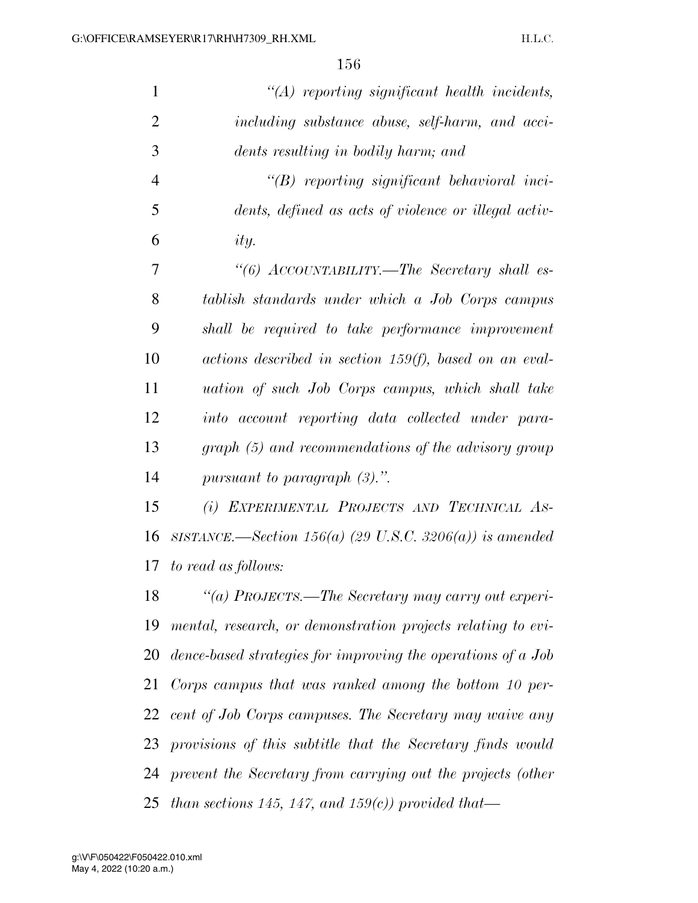| $\mathbf{1}$   | $\lq (A)$ reporting significant health incidents,                |
|----------------|------------------------------------------------------------------|
| $\overline{2}$ | including substance abuse, self-harm, and acci-                  |
| 3              | dents resulting in bodily harm; and                              |
| $\overline{4}$ | $\lq\lq B$ reporting significant behavioral inci-                |
| 5              | dents, defined as acts of violence or illegal activ-             |
| 6              | ity.                                                             |
| 7              | "(6) ACCOUNTABILITY.—The Secretary shall es-                     |
| 8              | tablish standards under which a Job Corps campus                 |
| 9              | shall be required to take performance improvement                |
| 10             | $actions\ described\ in\ section\ 159(f),\ based\ on\ an\ eval-$ |
| 11             | uation of such Job Corps campus, which shall take                |
| 12             | into account reporting data collected under para-                |
| 13             | graph (5) and recommendations of the advisory group              |
| 14             | pursuant to paragraph $(3)$ .".                                  |
| 15             | (i) EXPERIMENTAL PROJECTS AND TECHNICAL AS-                      |
| 16             | SISTANCE.—Section 156(a) (29 U.S.C. 3206(a)) is amended          |
| 17             | to read as follows:                                              |
| 18             | "(a) PROJECTS.—The Secretary may carry out experi-               |
| 19             | mental, research, or demonstration projects relating to evi-     |
| 20             | dence-based strategies for improving the operations of a Job     |
| 21             | Corps campus that was ranked among the bottom 10 per-            |
| 22             | cent of Job Corps campuses. The Secretary may waive any          |
| 23             | provisions of this subtitle that the Secretary finds would       |
|                | 24 prevent the Secretary from carrying out the projects (other   |
|                |                                                                  |

*than sections 145, 147, and 159(c)) provided that—*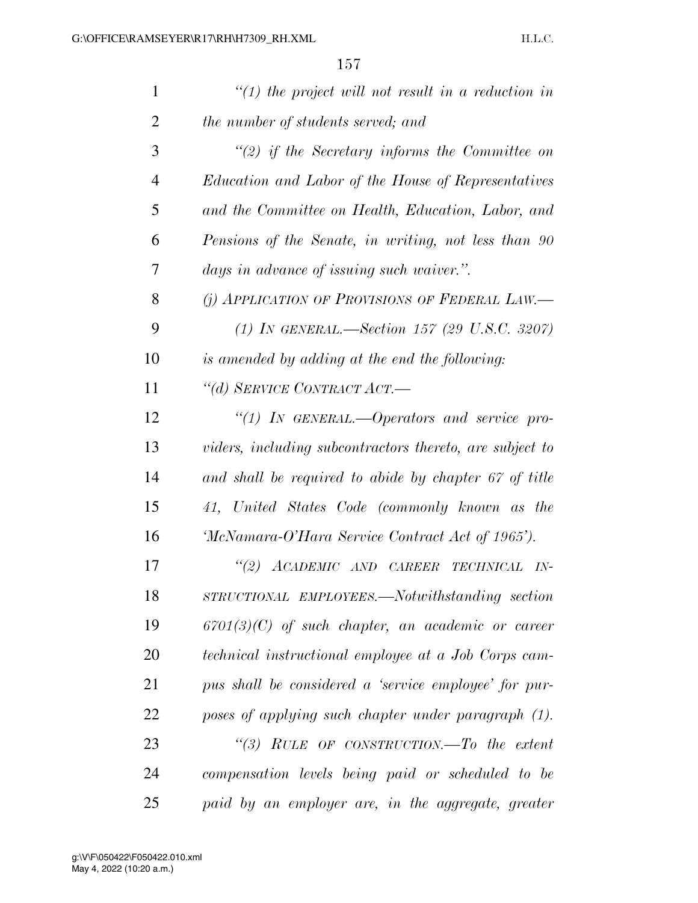| $\mathbf{1}$   | $\lq(1)$ the project will not result in a reduction in   |
|----------------|----------------------------------------------------------|
| $\overline{2}$ | the number of students served; and                       |
| 3              | $\lq(2)$ if the Secretary informs the Committee on       |
| $\overline{4}$ | Education and Labor of the House of Representatives      |
| 5              | and the Committee on Health, Education, Labor, and       |
| 6              | Pensions of the Senate, in writing, not less than 90     |
| 7              | days in advance of issuing such waiver.".                |
| 8              | (j) APPLICATION OF PROVISIONS OF FEDERAL LAW.            |
| 9              | (1) IN GENERAL.—Section 157 (29 U.S.C. 3207)             |
| 10             | is amended by adding at the end the following:           |
| 11             | "(d) SERVICE CONTRACT ACT.-                              |
| 12             | "(1) IN GENERAL.—Operators and service pro-              |
| 13             | viders, including subcontractors thereto, are subject to |
| 14             | and shall be required to abide by chapter 67 of title    |
| 15             | 41, United States Code (commonly known as the            |
| 16             | 'McNamara-O'Hara Service Contract Act of 1965').         |
| 17             | "(2) ACADEMIC AND CAREER<br>TECHNICAL IN-                |
| 18             | STRUCTIONAL EMPLOYEES.—Notwithstanding section           |
| 19             | $6701(3)(C)$ of such chapter, an academic or career      |
| 20             | technical instructional employee at a Job Corps cam-     |
| 21             | pus shall be considered a 'service employee' for pur-    |
| 22             | poses of applying such chapter under paragraph (1).      |
| 23             | "(3) RULE OF CONSTRUCTION.—To the extent                 |
| 24             | compensation levels being paid or scheduled to be        |
| 25             | paid by an employer are, in the aggregate, greater       |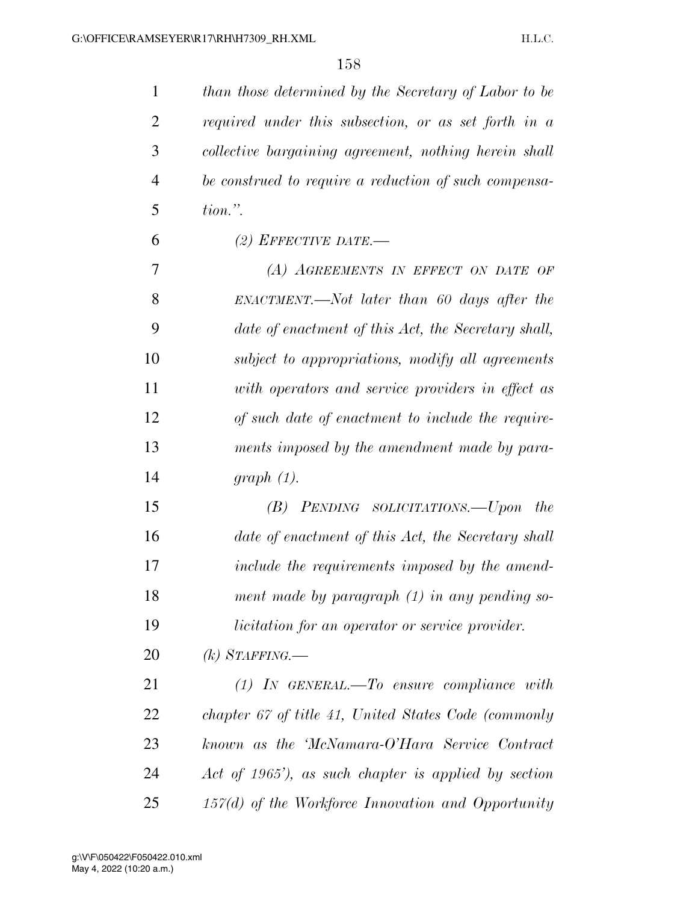*than those determined by the Secretary of Labor to be required under this subsection, or as set forth in a collective bargaining agreement, nothing herein shall be construed to require a reduction of such compensa- tion.''. (2) EFFECTIVE DATE.—* 

 *(A) AGREEMENTS IN EFFECT ON DATE OF ENACTMENT.—Not later than 60 days after the date of enactment of this Act, the Secretary shall, subject to appropriations, modify all agreements with operators and service providers in effect as of such date of enactment to include the require- ments imposed by the amendment made by para-graph (1).* 

 *(B) PENDING SOLICITATIONS.—Upon the date of enactment of this Act, the Secretary shall include the requirements imposed by the amend- ment made by paragraph (1) in any pending so-licitation for an operator or service provider.* 

*(k) STAFFING.—* 

 *(1) IN GENERAL.—To ensure compliance with chapter 67 of title 41, United States Code (commonly known as the 'McNamara-O'Hara Service Contract Act of 1965'), as such chapter is applied by section 157(d) of the Workforce Innovation and Opportunity*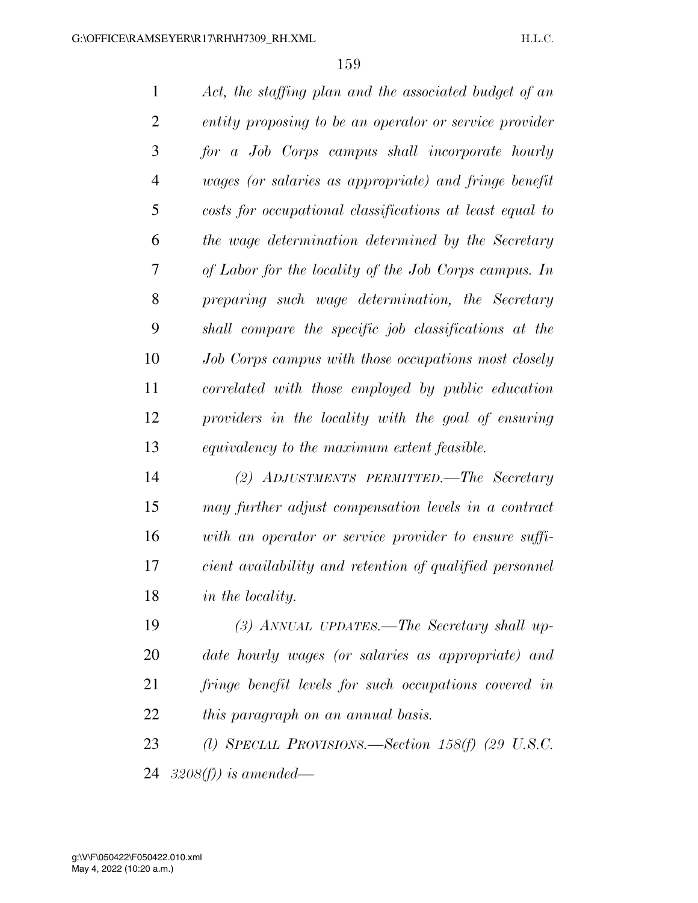*Act, the staffing plan and the associated budget of an entity proposing to be an operator or service provider for a Job Corps campus shall incorporate hourly wages (or salaries as appropriate) and fringe benefit costs for occupational classifications at least equal to the wage determination determined by the Secretary of Labor for the locality of the Job Corps campus. In preparing such wage determination, the Secretary shall compare the specific job classifications at the Job Corps campus with those occupations most closely correlated with those employed by public education providers in the locality with the goal of ensuring equivalency to the maximum extent feasible. (2) ADJUSTMENTS PERMITTED.—The Secretary may further adjust compensation levels in a contract with an operator or service provider to ensure suffi-cient availability and retention of qualified personnel* 

*in the locality.* 

 *(3) ANNUAL UPDATES.—The Secretary shall up- date hourly wages (or salaries as appropriate) and fringe benefit levels for such occupations covered in this paragraph on an annual basis.* 

 *(l) SPECIAL PROVISIONS.—Section 158(f) (29 U.S.C. 3208(f)) is amended—*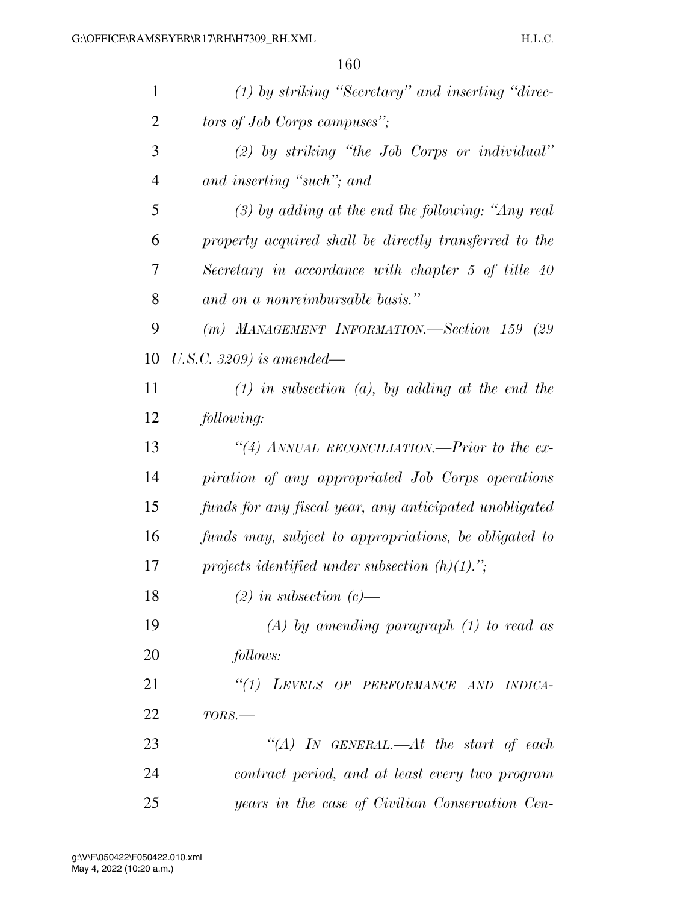| $\mathbf{1}$   | $(1)$ by striking "Secretary" and inserting "direc-    |
|----------------|--------------------------------------------------------|
| $\overline{2}$ | tors of Job Corps campuses";                           |
| 3              | $(2)$ by striking "the Job Corps or individual"        |
| $\overline{4}$ | and inserting "such"; and                              |
| 5              | $(3)$ by adding at the end the following: "Any real    |
| 6              | property acquired shall be directly transferred to the |
| 7              | Secretary in accordance with chapter 5 of title 40     |
| 8              | and on a nonreimbursable basis."                       |
| 9              | (m) MANAGEMENT INFORMATION.-Section 159 (29            |
| 10             | U.S.C. 3209) is amended—                               |
| 11             | $(1)$ in subsection $(a)$ , by adding at the end the   |
| 12             | following:                                             |
| 13             | "(4) ANNUAL RECONCILIATION.—Prior to the ex-           |
| 14             | piration of any appropriated Job Corps operations      |
| 15             | funds for any fiscal year, any anticipated unobligated |
| 16             | funds may, subject to appropriations, be obligated to  |
| 17             | projects identified under subsection $(h)(1)$ .";      |
| 18             | $(2)$ in subsection $(c)$ —                            |
| 19             | $(A)$ by amending paragraph $(1)$ to read as           |
| 20             | follows:                                               |
| 21             | "(1) LEVELS OF PERFORMANCE AND INDICA-                 |
| 22             | $TORS$ .                                               |
| 23             | "(A) IN GENERAL.—At the start of each                  |
| 24             | contract period, and at least every two program        |
| 25             | years in the case of Civilian Conservation Cen-        |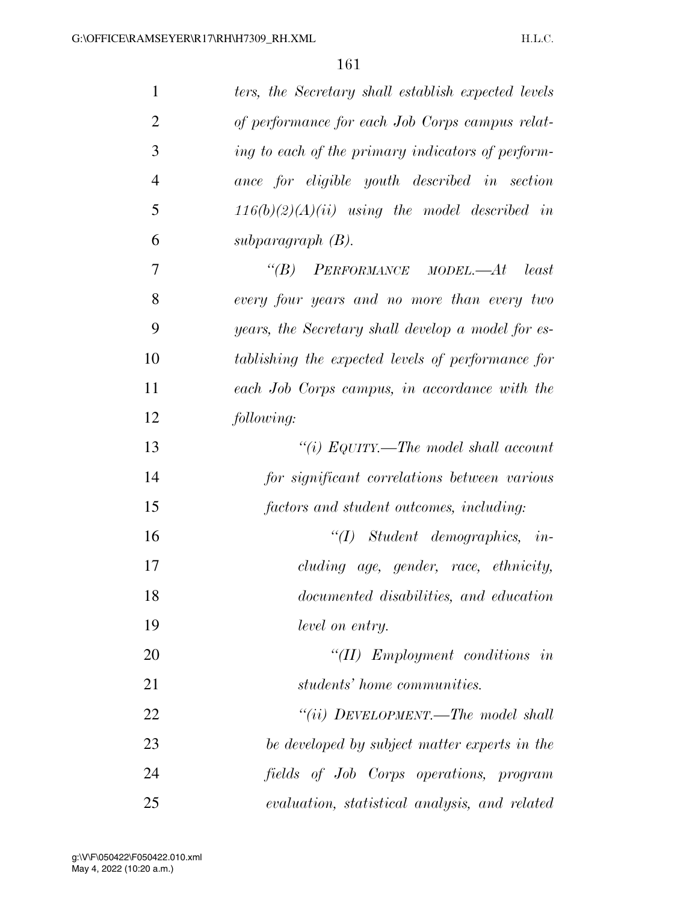| $\mathbf{1}$   | ters, the Secretary shall establish expected levels |
|----------------|-----------------------------------------------------|
| $\overline{2}$ | of performance for each Job Corps campus relat-     |
| 3              | ing to each of the primary indicators of perform-   |
| $\overline{4}$ | ance for eligible youth described in section        |
| 5              | $116(b)(2)(A)(ii)$ using the model described in     |
| 6              | subparagraph $(B)$ .                                |
| $\tau$         | $\lq\lq B$ PERFORMANCE MODEL.—At<br>least           |
| 8              | every four years and no more than every two         |
| 9              | years, the Secretary shall develop a model for es-  |
| 10             | tablishing the expected levels of performance for   |
| 11             | each Job Corps campus, in accordance with the       |
| 12             | following:                                          |
| 13             | "(i) EQUITY.—The model shall account                |
| 14             | for significant correlations between various        |
| 15             | factors and student outcomes, including:            |
| 16             | $\lq (I)$ Student demographics, in-                 |
| 17             | cluding age, gender, race, ethnicity,               |
| 18             | documented disabilities, and education              |
| 19             | level on entry.                                     |
| 20             | $\lq$ ( <i>II</i> ) <i>Employment</i> conditions in |
| 21             | students' home communities.                         |
| 22             | "(ii) DEVELOPMENT.—The model shall                  |
| 23             | be developed by subject matter experts in the       |
| 24             | fields of Job Corps operations, program             |
| 25             | evaluation, statistical analysis, and related       |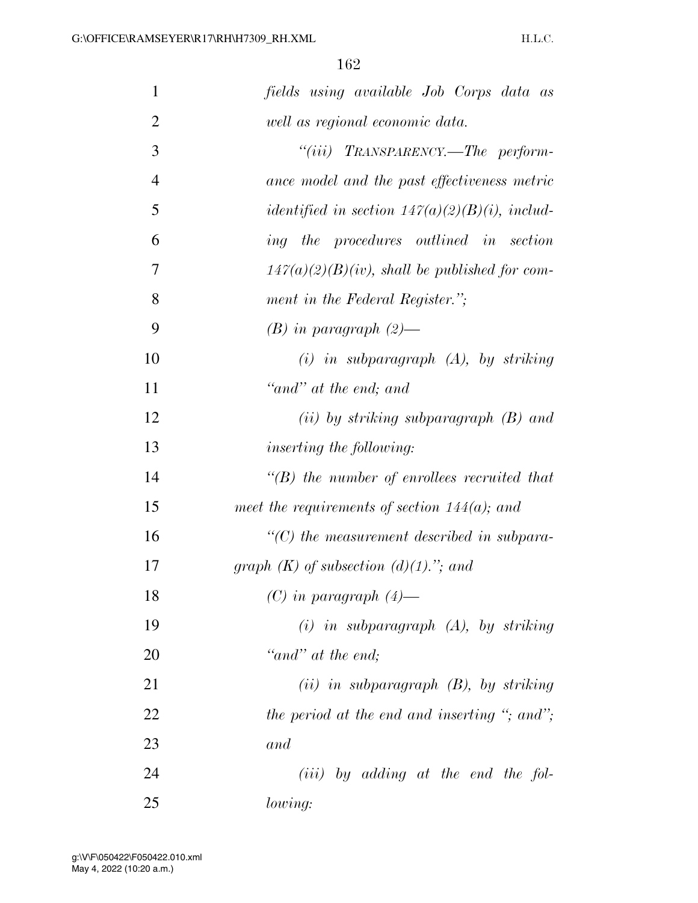| 1              | fields using available Job Corps data as           |
|----------------|----------------------------------------------------|
| $\overline{2}$ | well as regional economic data.                    |
| 3              | "(iii) $TRANSPARENT.$ The perform-                 |
| $\overline{4}$ | ance model and the past effectiveness metric       |
| 5              | identified in section $147(a)(2)(B)(i)$ , includ-  |
| 6              | ing the procedures outlined in section             |
| 7              | $147(a)(2)(B)(iv)$ , shall be published for com-   |
| 8              | ment in the Federal Register.";                    |
| 9              | $(B)$ in paragraph $(2)$ —                         |
| 10             | $(i)$ in subparagraph $(A)$ , by striking          |
| 11             | "and" at the end; and                              |
| 12             | $(ii)$ by striking subparagraph $(B)$ and          |
| 13             | <i>inserting the following:</i>                    |
| 14             | $\lq\lq(B)$ the number of enrollees recruited that |
| 15             | meet the requirements of section $144(a)$ ; and    |
| 16             | $\lq\lq C$ the measurement described in subpara-   |
| 17             | graph $(K)$ of subsection $(d)(1)$ ."; and         |
| 18             | $(C)$ in paragraph $(4)$ —                         |
| 19             | $(i)$ in subparagraph $(A)$ , by striking          |
| 20             | "and" at the end;                                  |
| 21             | $(ii)$ in subparagraph $(B)$ , by striking         |
| 22             | the period at the end and inserting "; and";       |
| 23             | and                                                |
| 24             | $(iii)$ by adding at the end the fol-              |
| 25             | lowing:                                            |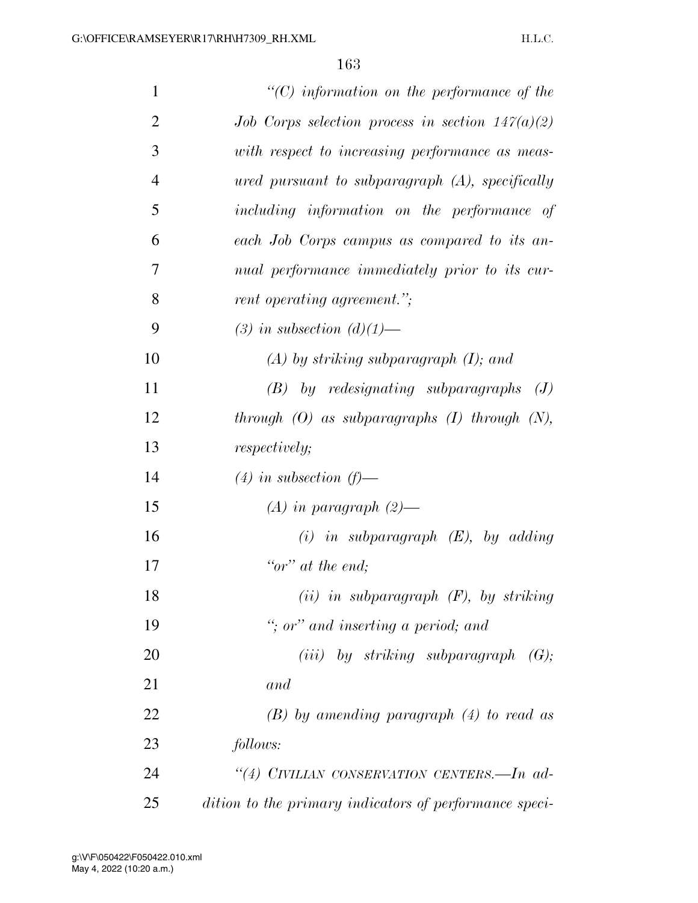| $\mathbf{1}$   | $"$ (C) information on the performance of the          |
|----------------|--------------------------------------------------------|
| $\overline{2}$ | Job Corps selection process in section $147(a)(2)$     |
| 3              | with respect to increasing performance as meas-        |
| $\overline{4}$ |                                                        |
|                | $u$ red pursuant to subparagraph $(A)$ , specifically  |
| 5              | including information on the performance of            |
| 6              | each Job Corps campus as compared to its an-           |
| 7              | nual performance immediately prior to its cur-         |
| 8              | rent operating agreement.";                            |
| 9              | (3) in subsection $(d)(1)$ —                           |
| 10             | $(A)$ by striking subparagraph $(I)$ ; and             |
| 11             | $(B)$ by redesignating subparagraphs $(J)$             |
| 12             | through $(O)$ as subparagraphs $(I)$ through $(N)$ ,   |
| 13             | <i>respectively;</i>                                   |
| 14             | $(4)$ in subsection $(f)$ —                            |
| 15             | $(A)$ in paragraph $(2)$ —                             |
| 16             | $(i)$ in subparagraph $(E)$ , by adding                |
| 17             | "or" at the end;                                       |
| 18             | $(ii)$ in subparagraph $(F)$ , by striking             |
| 19             | "; or" and inserting a period; and                     |
| 20             | (iii) by striking subparagraph $(G);$                  |
| 21             | and                                                    |
| 22             | $(B)$ by amending paragraph $(4)$ to read as           |
| 23             | follows:                                               |
| 24             | "(4) CIVILIAN CONSERVATION CENTERS.—In ad-             |
| 25             | dition to the primary indicators of performance speci- |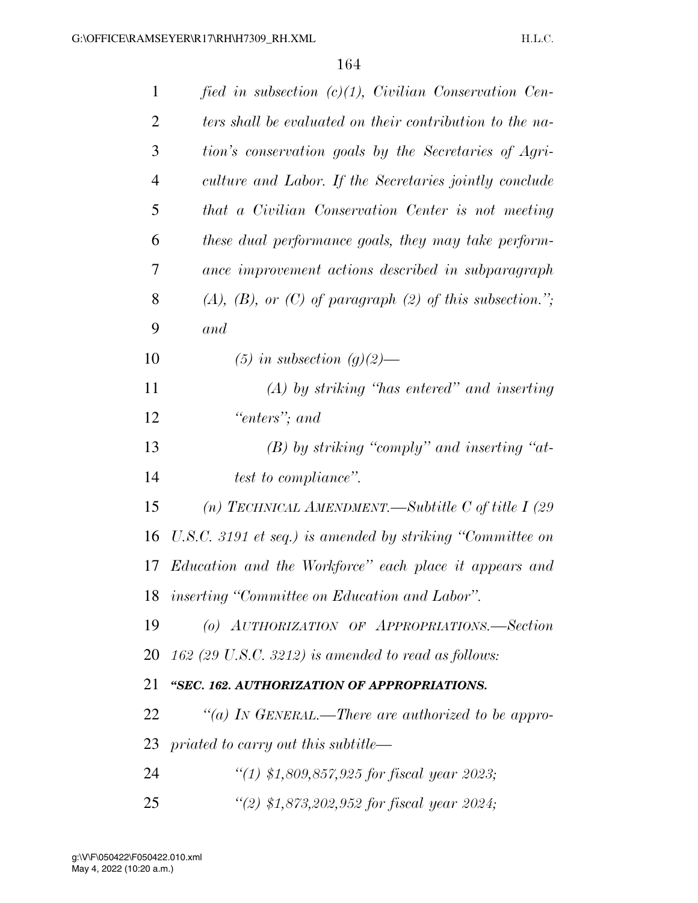| $\mathbf{1}$   | fied in subsection $(c)(1)$ , Civilian Conservation Cen-    |
|----------------|-------------------------------------------------------------|
| 2              | ters shall be evaluated on their contribution to the na-    |
| 3              | tion's conservation goals by the Secretaries of Agri-       |
| $\overline{4}$ | culture and Labor. If the Secretaries jointly conclude      |
| 5              | that a Civilian Conservation Center is not meeting          |
| 6              | these dual performance goals, they may take perform-        |
| 7              | ance improvement actions described in subparagraph          |
| 8              | $(A), (B), or (C)$ of paragraph $(2)$ of this subsection."; |
| 9              | and                                                         |
| 10             | $(5)$ in subsection $(g)(2)$ —                              |
| 11             | $(A)$ by striking "has entered" and inserting               |
| 12             | "enters"; and                                               |
| 13             | $(B)$ by striking "comply" and inserting "at-               |
| 14             | test to compliance".                                        |
| 15             | (n) TECHNICAL AMENDMENT.—Subtitle C of title I $(29$        |
| 16             | U.S.C. 3191 et seq.) is amended by striking "Committee on   |
| 17             | Education and the Workforce" each place it appears and      |
| 18             | inserting "Committee on Education and Labor".               |
| 19             | (o) AUTHORIZATION OF APPROPRIATIONS.-Section                |
| 20             | $162$ (29 U.S.C. 3212) is amended to read as follows:       |
| 21             | "SEC. 162. AUTHORIZATION OF APPROPRIATIONS.                 |
| 22             | "(a) IN GENERAL.—There are authorized to be appro-          |
| 23             | priated to carry out this subtitle—                         |
| 24             | "(1) \$1,809,857,925 for fiscal year 2023;                  |
| 25             | "(2) $$1,873,202,952$ for fiscal year 2024;                 |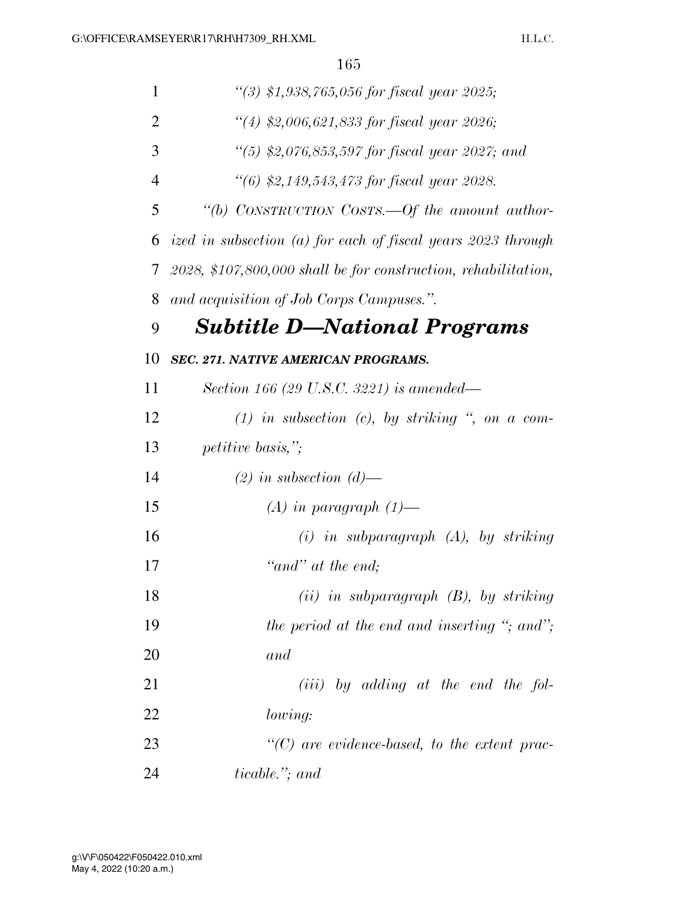| $\mathbf{1}$   | "(3) $$1,938,765,056$ for fiscal year 2025;                     |
|----------------|-----------------------------------------------------------------|
| $\overline{2}$ | "(4) \$2,006,621,833 for fiscal year 2026;                      |
| 3              | "(5) \$2,076,853,597 for fiscal year 2027; and                  |
| 4              | "(6) \$2,149,543,473 for fiscal year 2028.                      |
| 5              | "(b) CONSTRUCTION COSTS.—Of the amount author-                  |
| 6              | ized in subsection (a) for each of fiscal years 2023 through    |
| 7              | $2028, $107,800,000$ shall be for construction, rehabilitation, |
| 8              | and acquisition of Job Corps Campuses.".                        |
| 9              | <b>Subtitle D—National Programs</b>                             |
| 10             | <b>SEC. 271. NATIVE AMERICAN PROGRAMS.</b>                      |
| 11             | Section 166 (29 U.S.C. 3221) is amended—                        |
| 12             | $(1)$ in subsection $(c)$ , by striking ", on a com-            |
| 13             | <i>petitive basis,"</i> ;                                       |
| 14             | $(2)$ in subsection $(d)$ —                                     |
| 15             | $(A)$ in paragraph $(1)$ —                                      |
| 16             | $(i)$ in subparagraph $(A)$ , by striking                       |
| 17             | "and" at the end;                                               |
| 18             | $(ii)$ in subparagraph $(B)$ , by striking                      |
| 19             | the period at the end and inserting "; and";                    |
| 20             | and                                                             |
| 21             | $(iii)$ by adding at the end the fol-                           |
| 22             | lowing:                                                         |
| 23             | $\lq\lq C$ are evidence-based, to the extent prac-              |
| 24             | <i>ticable.</i> "; and                                          |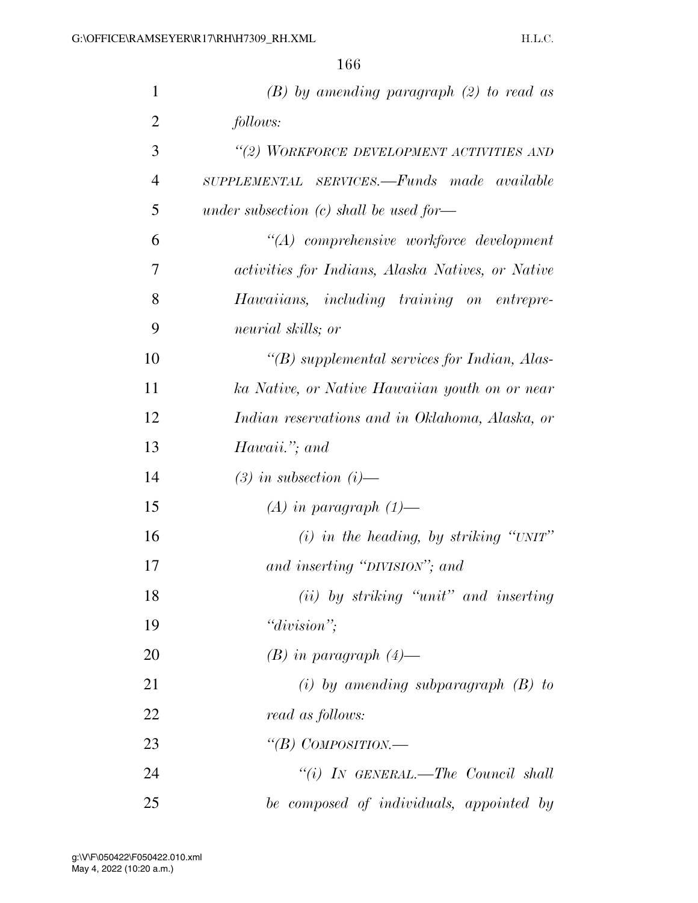| $\mathbf{1}$   | $(B)$ by amending paragraph $(2)$ to read as      |
|----------------|---------------------------------------------------|
| $\overline{2}$ | follows:                                          |
| 3              | "(2) WORKFORCE DEVELOPMENT ACTIVITIES AND         |
| $\overline{4}$ | SUPPLEMENTAL SERVICES.—Funds made available       |
| 5              | under subsection $(c)$ shall be used for—         |
| 6              | "(A) comprehensive workforce development          |
| 7              | activities for Indians, Alaska Natives, or Native |
| 8              | Hawaiians, including training on entrepre-        |
| 9              | neurial skills; or                                |
| 10             | $\lq (B)$ supplemental services for Indian, Alas- |
| 11             | ka Native, or Native Hawaiian youth on or near    |
| 12             | Indian reservations and in Oklahoma, Alaska, or   |
| 13             | Hawaii."; and                                     |
| 14             | $(3)$ in subsection $(i)$ —                       |
| 15             | $(A)$ in paragraph $(1)$ —                        |
| 16             | $(i)$ in the heading, by striking "UNIT"          |
| 17             | and inserting "DIVISION"; and                     |
| 18             | (ii) by striking "unit" and inserting             |
| 19             | "division";                                       |
| 20             | $(B)$ in paragraph $(4)$ —                        |
| 21             | $(i)$ by amending subparagraph $(B)$ to           |
| 22             | read as follows:                                  |
| 23             | "(B) COMPOSITION.—                                |
| 24             | "(i) IN GENERAL.—The Council shall                |
| 25             | be composed of individuals, appointed by          |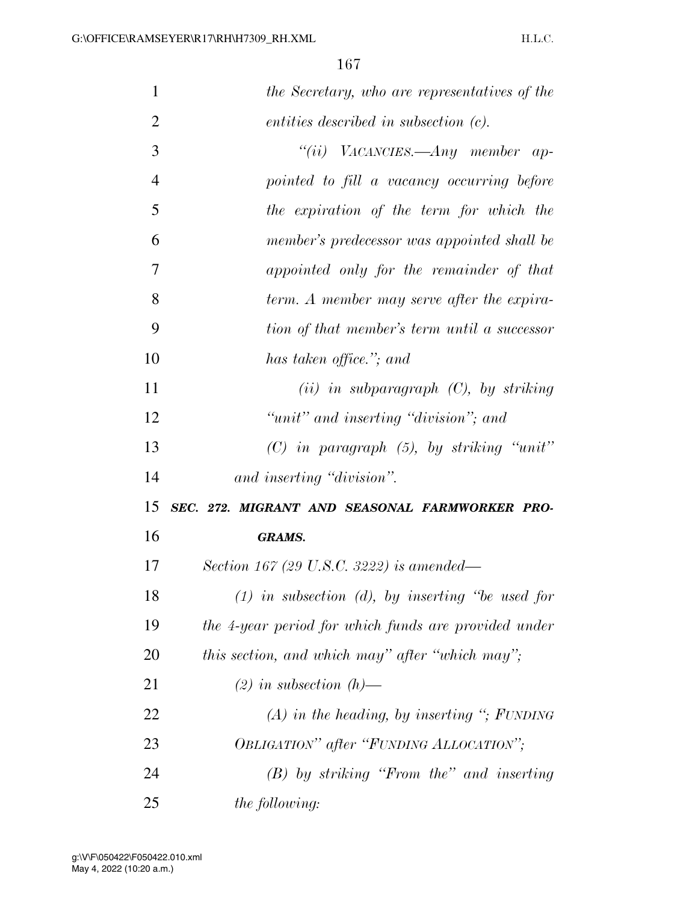| 1              | the Secretary, who are representatives of the         |
|----------------|-------------------------------------------------------|
| $\overline{2}$ | entities described in subsection (c).                 |
| 3              | "(ii) VACANCIES.—Any member ap-                       |
| $\overline{4}$ | pointed to fill a vacancy occurring before            |
| 5              | the expiration of the term for which the              |
| 6              | member's predecessor was appointed shall be           |
| $\overline{7}$ | appointed only for the remainder of that              |
| 8              | term. A member may serve after the expira-            |
| 9              | tion of that member's term until a successor          |
| 10             | has taken office."; and                               |
| 11             | $(ii)$ in subparagraph $(C)$ , by striking            |
| 12             | "unit" and inserting "division"; and                  |
| 13             | $(C)$ in paragraph $(5)$ , by striking "unit"         |
| 14             | and inserting "division".                             |
| 15             | SEC. 272. MIGRANT AND SEASONAL FARMWORKER PRO-        |
| 16             | <b>GRAMS.</b>                                         |
| 17             | Section 167 (29 U.S.C. 3222) is amended—              |
| 18             | $(1)$ in subsection $(d)$ , by inserting "be used for |
| 19             | the 4-year period for which funds are provided under  |
| 20             | this section, and which may" after "which may";       |
| 21             | $(2)$ in subsection $(h)$ —                           |
| 22             | $(A)$ in the heading, by inserting "; FUNDING         |
| 23             | OBLIGATION" after "FUNDING ALLOCATION";               |
| 24             | $(B)$ by striking "From the" and inserting            |
| 25             | <i>the following:</i>                                 |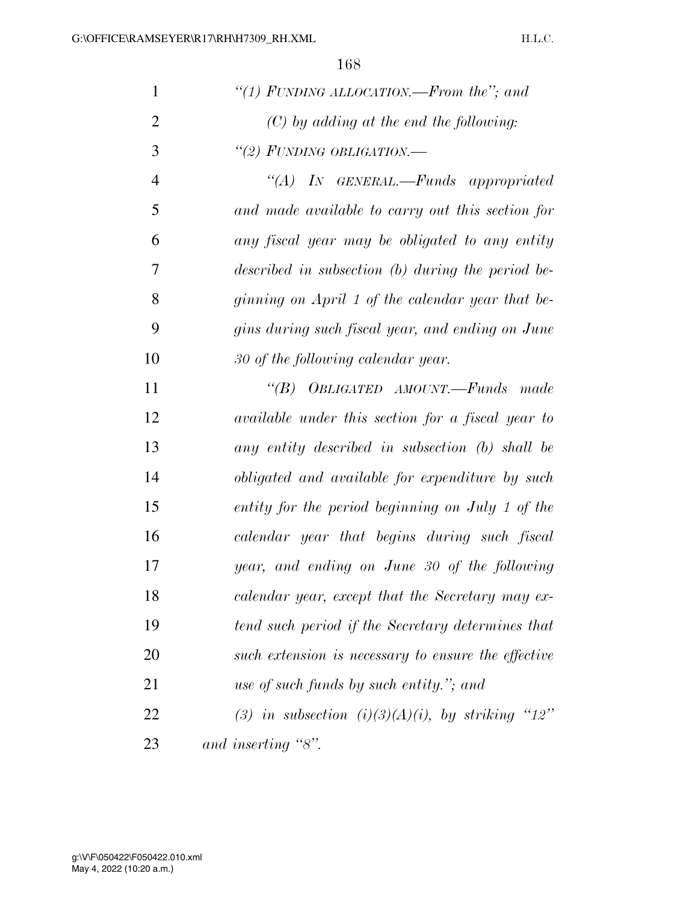H.L.C.

| $\mathbf{1}$   | "(1) FUNDING ALLOCATION.—From the"; and             |
|----------------|-----------------------------------------------------|
| $\overline{2}$ | $(C)$ by adding at the end the following:           |
| 3              | "(2) FUNDING OBLIGATION.—                           |
| $\overline{4}$ | "(A) IN GENERAL.—Funds appropriated                 |
| 5              | and made available to carry out this section for    |
| 6              | any fiscal year may be obligated to any entity      |
| 7              | described in subsection $(b)$ during the period be- |
| 8              | ginning on April 1 of the calendar year that be-    |
| 9              | gins during such fiscal year, and ending on June    |
| 10             | 30 of the following calendar year.                  |
| 11             | "(B) OBLIGATED AMOUNT.—Funds made                   |
| 12             | available under this section for a fiscal year to   |
| 13             | any entity described in subsection (b) shall be     |
| 14             | obligated and available for expenditure by such     |
| 15             | entity for the period beginning on July 1 of the    |
| 16             | calendar year that begins during such fiscal        |
| 17             | year, and ending on June 30 of the following        |
| 18             | calendar year, except that the Secretary may ex-    |
| 19             | tend such period if the Secretary determines that   |
| 20             | such extension is necessary to ensure the effective |
| 21             | use of such funds by such entity."; and             |
| 22             | (3) in subsection (i)(3)(A)(i), by striking "12"    |
| 23             | and inserting "8".                                  |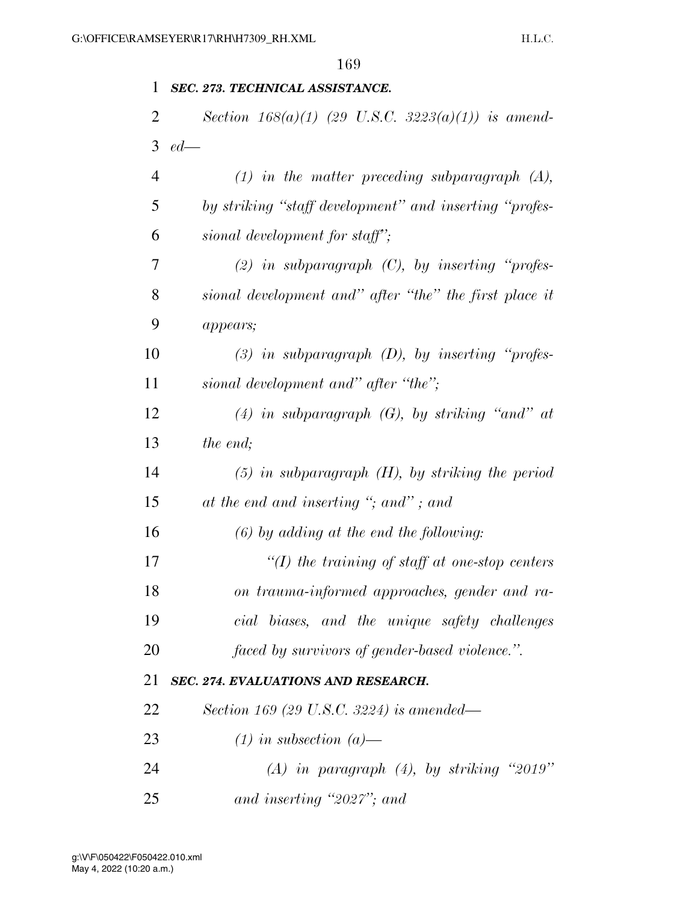## *SEC. 273. TECHNICAL ASSISTANCE.*

|                   |  | Section $168(a)(1)$ (29 U.S.C. 3223(a)(1)) is amend- |  |
|-------------------|--|------------------------------------------------------|--|
| $3 \text{ } ed$ — |  |                                                      |  |

| $\overline{4}$ | $(1)$ in the matter preceding subparagraph $(A)$ ,     |
|----------------|--------------------------------------------------------|
| 5              | by striking "staff development" and inserting "profes- |
| 6              | sional development for staff";                         |

 *(2) in subparagraph (C), by inserting ''profes- sional development and'' after ''the'' the first place it appears;* 

 *(3) in subparagraph (D), by inserting ''profes-sional development and'' after ''the'';* 

 *(4) in subparagraph (G), by striking ''and'' at the end;* 

 *(5) in subparagraph (H), by striking the period at the end and inserting ''; and'' ; and* 

## *(6) by adding at the end the following:*

 *''(I) the training of staff at one-stop centers on trauma-informed approaches, gender and ra- cial biases, and the unique safety challenges faced by survivors of gender-based violence.''.* 

## *SEC. 274. EVALUATIONS AND RESEARCH.*

- *Section 169 (29 U.S.C. 3224) is amended—*
- *(1) in subsection (a)—*
- *(A) in paragraph (4), by striking ''2019''*
- *and inserting ''2027''; and*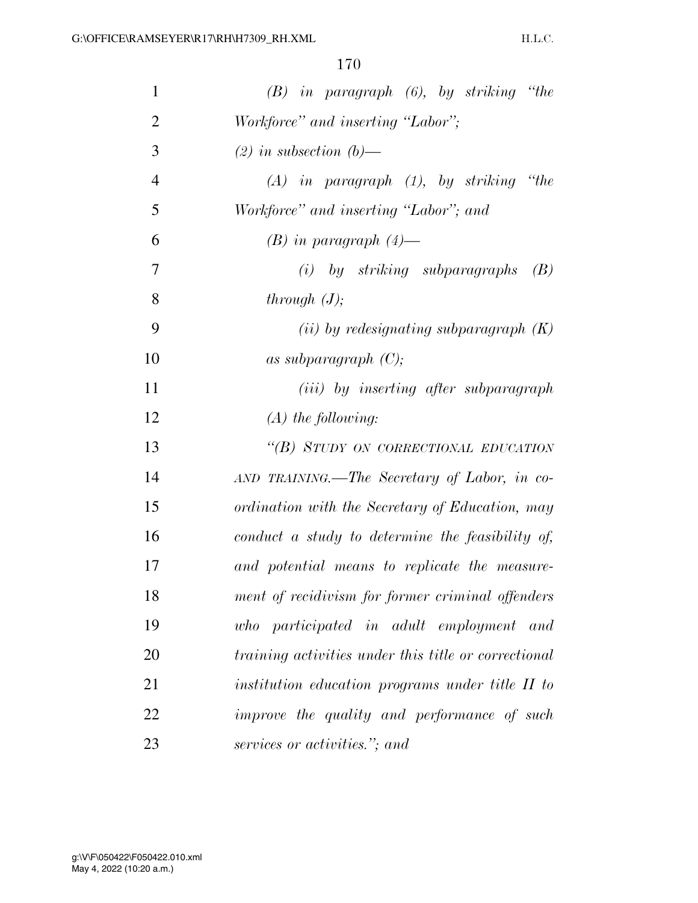| $\mathbf{1}$   | $(B)$ in paragraph $(6)$ , by striking "the          |
|----------------|------------------------------------------------------|
| $\overline{2}$ | Workforce" and inserting "Labor";                    |
| 3              | $(2)$ in subsection $(b)$ —                          |
| $\overline{4}$ | $(A)$ in paragraph $(1)$ , by striking "the          |
| 5              | Workforce" and inserting "Labor"; and                |
| 6              | $(B)$ in paragraph $(4)$ —                           |
| 7              | $(i)$ by striking subparagraphs<br>(B)               |
| 8              | through $(J)$ ;                                      |
| 9              | (ii) by redesignating subparagraph $(K)$             |
| 10             | as subparagraph $(C)$ ;                              |
| 11             | ( <i>iii</i> ) by inserting after subparagraph       |
| 12             | $(A)$ the following:                                 |
| 13             | "(B) STUDY ON CORRECTIONAL EDUCATION                 |
| 14             | AND TRAINING.—The Secretary of Labor, in co-         |
| 15             | ordination with the Secretary of Education, may      |
| 16             | conduct a study to determine the feasibility of,     |
| 17             | and potential means to replicate the measure-        |
| 18             | ment of recidivism for former criminal offenders     |
| 19             | participated in adult employment and<br>who          |
| 20             | training activities under this title or correctional |
| 21             | institution education programs under title II to     |
| 22             | improve the quality and performance of such          |
| 23             | services or activities."; and                        |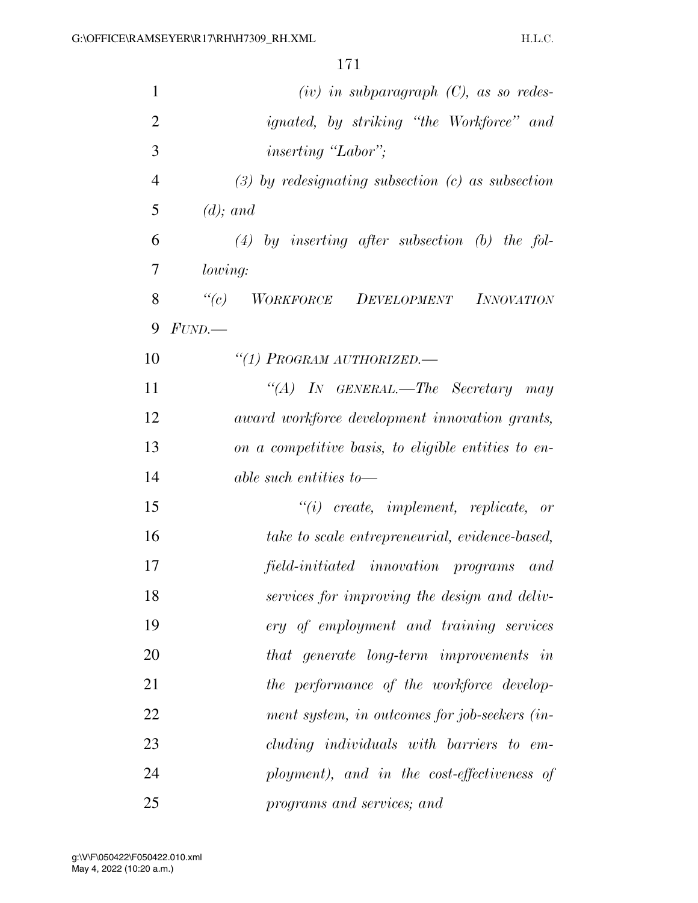| 1              | $(iv)$ in subparagraph $(C)$ , as so redes-                             |
|----------------|-------------------------------------------------------------------------|
| $\overline{2}$ | <i>ignated</i> , by striking "the Workforce" and                        |
| 3              | <i>inserting</i> "Labor";                                               |
| $\overline{4}$ | $(3)$ by redesignating subsection $(c)$ as subsection                   |
| 5              | $(d)$ ; and                                                             |
| 6              | $(4)$ by inserting after subsection (b) the fol-                        |
| 7              | lowing:                                                                 |
| 8              | WORKFORCE DEVELOPMENT INNOVATION<br>$\lq(c)$                            |
| 9              | FUND.                                                                   |
| 10             | "(1) PROGRAM AUTHORIZED.-                                               |
| 11             | "(A) IN GENERAL.—The Secretary may                                      |
| 12             | award workforce development innovation grants,                          |
| 13             | on a competitive basis, to eligible entities to en-                     |
| 14             | $able \; such \; entities \; to \longrightarrow$                        |
| 15             | $"(i) \text{ create}, \text{ implement}, \text{ replicate}, \text{ or}$ |
| 16             | take to scale entrepreneurial, evidence-based,                          |
| 17             | field-initiated innovation programs<br>and                              |
| 18             | services for improving the design and deliv-                            |
| 19             | ery of employment and training services                                 |
| 20             | that generate long-term improvements in                                 |
| 21             | the performance of the workforce develop-                               |
| 22             | ment system, in outcomes for job-seekers (in-                           |
| 23             | cluding individuals with barriers to em-                                |
| 24             | ployment), and in the cost-effectiveness of                             |
| 25             | programs and services; and                                              |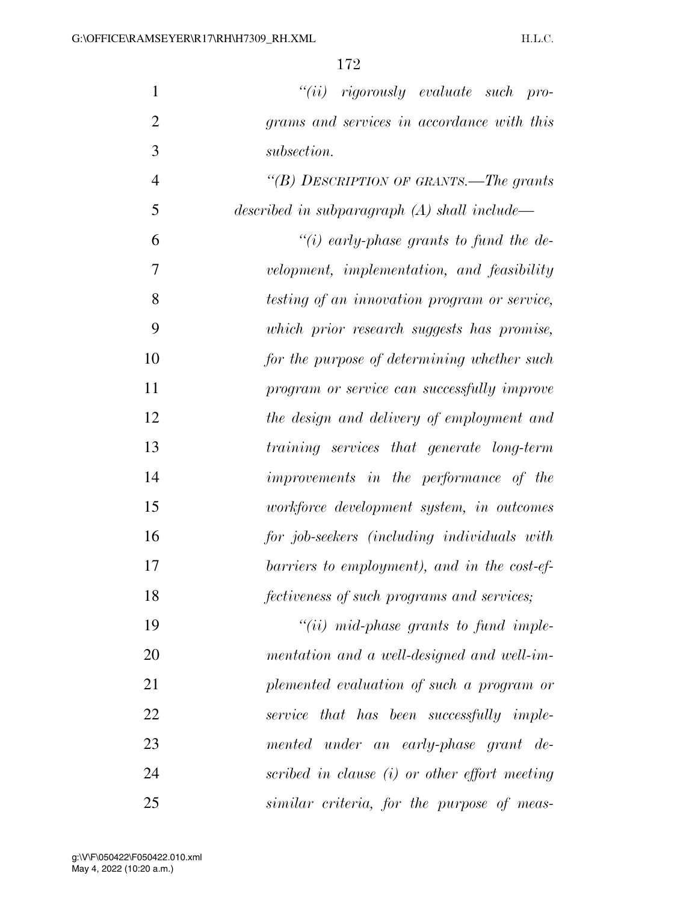| $\mathbf{1}$   | $``(ii)$ rigorously evaluate such pro-         |
|----------------|------------------------------------------------|
| $\overline{2}$ | grams and services in accordance with this     |
| 3              | subsection.                                    |
| $\overline{4}$ | "(B) DESCRIPTION OF GRANTS.—The grants         |
| 5              | described in subparagraph $(A)$ shall include— |
| 6              | "(i) early-phase grants to fund the de-        |
| 7              | velopment, implementation, and feasibility     |
| 8              | testing of an innovation program or service,   |
| 9              | which prior research suggests has promise,     |
| 10             | for the purpose of determining whether such    |
| 11             | program or service can successfully improve    |
| 12             | the design and delivery of employment and      |
| 13             | training services that generate long-term      |
| 14             | improvements in the performance of the         |
| 15             | workforce development system, in outcomes      |
| 16             | for job-seekers (including individuals with    |
| 17             | barriers to employment), and in the cost-ef-   |
| 18             | fectiveness of such programs and services;     |
| 19             | $``(ii)$ mid-phase grants to fund imple-       |
| 20             | mentation and a well-designed and well-im-     |
| 21             | plemented evaluation of such a program or      |
| 22             | service that has been successfully imple-      |
| 23             | mented under an early-phase grant de-          |
| 24             | scribed in clause (i) or other effort meeting  |
| 25             | similar criteria, for the purpose of meas-     |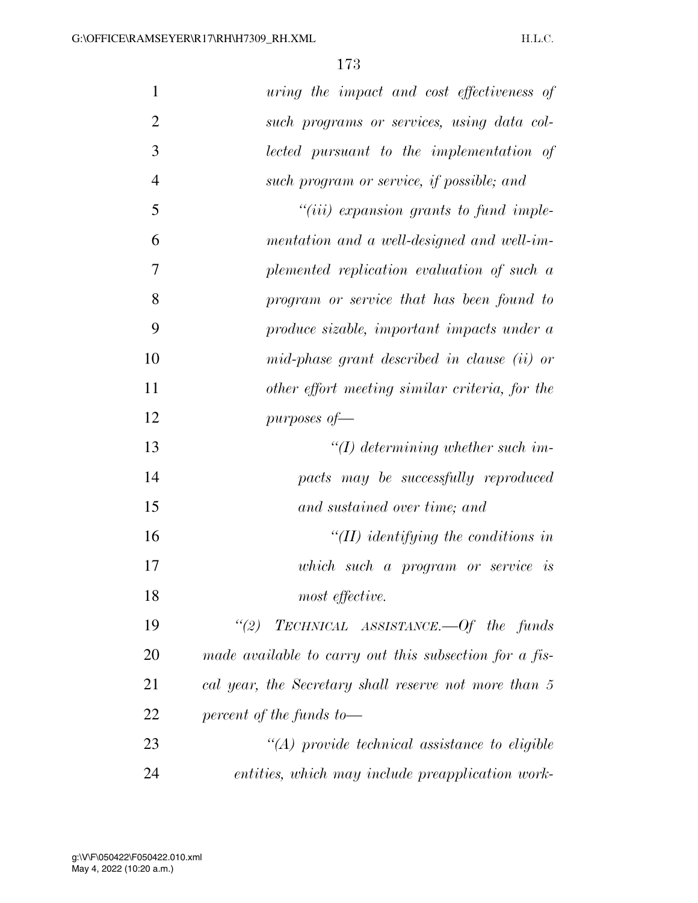| $\mathbf{1}$   | uring the impact and cost effectiveness of             |
|----------------|--------------------------------------------------------|
| $\overline{2}$ | such programs or services, using data col-             |
| 3              | lected pursuant to the implementation of               |
| $\overline{4}$ | such program or service, if possible; and              |
| 5              | $``(iii)$ expansion grants to fund imple-              |
| 6              | mentation and a well-designed and well-im-             |
| 7              | plemented replication evaluation of such a             |
| 8              | program or service that has been found to              |
| 9              | produce sizable, important impacts under a             |
| 10             | mid-phase grant described in clause (ii) or            |
| 11             | other effort meeting similar criteria, for the         |
| 12             | purposes of $-$                                        |
| 13             | $\lq (I)$ determining whether such im-                 |
| 14             | pacts may be successfully reproduced                   |
| 15             | and sustained over time; and                           |
| 16             | $H(H)$ identifying the conditions in                   |
| 17             | which such a program or service is                     |
| 18             | most effective.                                        |
| 19             | "(2) TECHNICAL ASSISTANCE.—Of the funds                |
| 20             | made available to carry out this subsection for a fis- |
| 21             | cal year, the Secretary shall reserve not more than 5  |
| 22             | percent of the funds to-                               |
| 23             | $\lq (A)$ provide technical assistance to eligible     |
| 24             | entities, which may include preapplication work-       |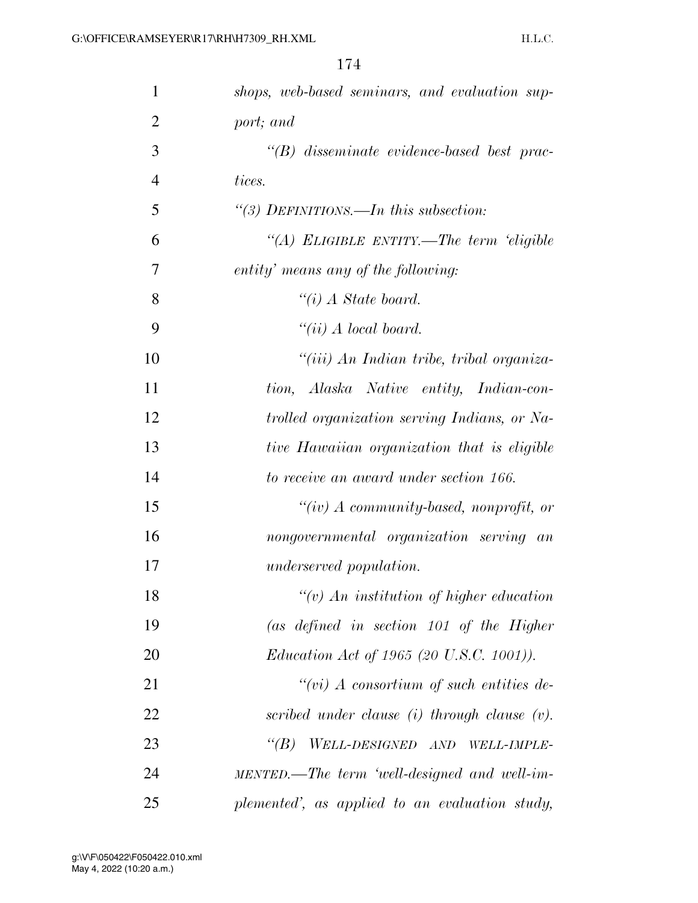| 1              | shops, web-based seminars, and evaluation sup-    |
|----------------|---------------------------------------------------|
| $\overline{2}$ | port; and                                         |
| 3              | $\lq\lq B$ disseminate evidence-based best prac-  |
| $\overline{4}$ | tices.                                            |
| 5              | "(3) DEFINITIONS.—In this subsection:             |
| 6              | "(A) ELIGIBLE ENTITY.—The term 'eligible          |
| 7              | entity' means any of the following:               |
| 8              | $\lq\lq(i)$ A State board.                        |
| 9              | "(ii) $A$ local board.                            |
| 10             | "(iii) An Indian tribe, tribal organiza-          |
| 11             | tion, Alaska Native entity, Indian-con-           |
| 12             | trolled organization serving Indians, or Na-      |
| 13             | tive Hawaiian organization that is eligible       |
| 14             | to receive an award under section 166.            |
| 15             | "(iv) $\Lambda$ community-based, nonprofit, or    |
| 16             | nongovernmental organization serving an           |
| 17             | <i>underserved population.</i>                    |
| 18             | $\lq\lq(v)$ An institution of higher education    |
| 19             | (as defined in section $101$ of the Higher        |
| 20             | <i>Education Act of 1965 (20 U.S.C. 1001)).</i>   |
| 21             | $``(vi)$ A consortium of such entities de-        |
| 22             | scribed under clause $(i)$ through clause $(v)$ . |
| 23             | WELL-DESIGNED AND WELL-IMPLE-<br>$\lq(B)$         |
| 24             | MENTED.—The term 'well-designed and well-im-      |
| 25             | plemented', as applied to an evaluation study,    |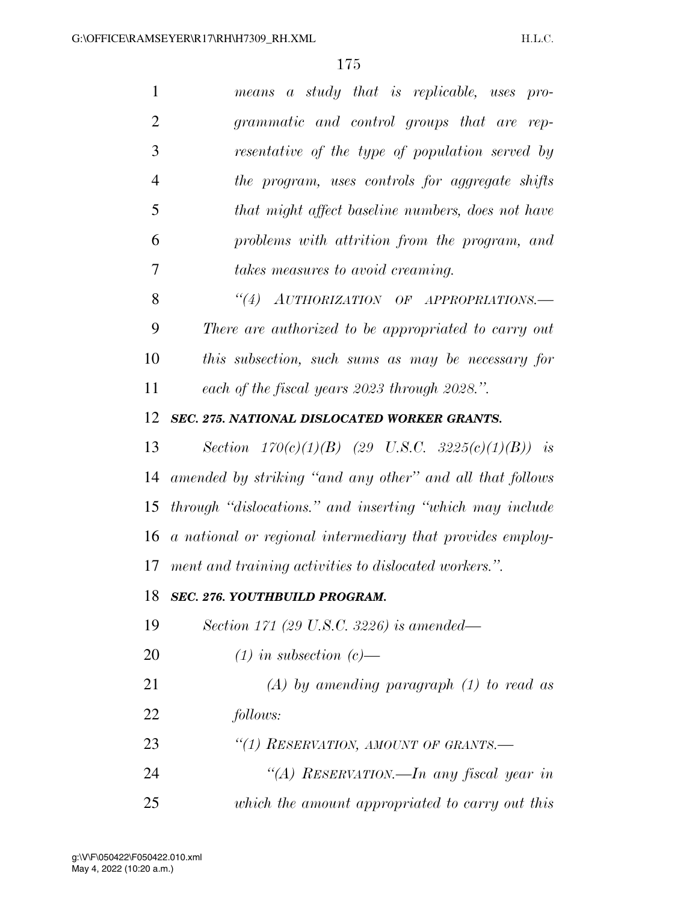| 1              | means a study that is replicable, uses pro-               |
|----------------|-----------------------------------------------------------|
| $\overline{2}$ | grammatic and control groups that are rep-                |
| 3              | resentative of the type of population served by           |
| 4              | the program, uses controls for aggregate shifts           |
| 5              | that might affect baseline numbers, does not have         |
| 6              | problems with attrition from the program, and             |
| 7              | takes measures to avoid creaming.                         |
| 8              | "(4) AUTHORIZATION OF APPROPRIATIONS.-                    |
| 9              | There are authorized to be appropriated to carry out      |
| 10             | this subsection, such sums as may be necessary for        |
| 11             | each of the fiscal years 2023 through 2028.".             |
| 12             | SEC. 275. NATIONAL DISLOCATED WORKER GRANTS.              |
| 13             | Section $170(c)(1)(B)$ (29 U.S.C. 3225(c)(1)(B)) is       |
| 14             | amended by striking "and any other" and all that follows  |
| 15             | through "dislocations." and inserting "which may include  |
| 16             | a national or regional intermediary that provides employ- |
| 17             | ment and training activities to dislocated workers.".     |
| 18             | SEC. 276. YOUTHBUILD PROGRAM.                             |
| 19             | Section 171 (29 U.S.C. 3226) is amended—                  |
| 20             | $(1)$ in subsection $(c)$ —                               |
| 21             | $(A)$ by amending paragraph $(1)$ to read as              |
| 22             | follows:                                                  |
| 23             | "(1) RESERVATION, AMOUNT OF GRANTS.-                      |
| 24             | "(A) RESERVATION.—In any fiscal year in                   |
| 25             | which the amount appropriated to carry out this           |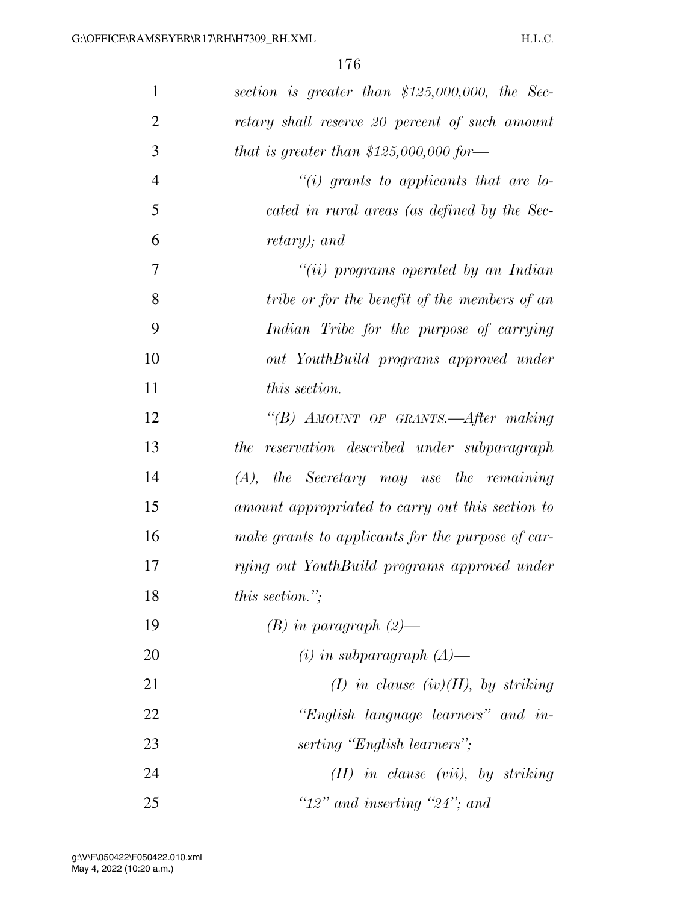| $\mathbf{1}$   | section is greater than $$125,000,000$ , the Sec- |
|----------------|---------------------------------------------------|
| $\overline{2}$ | retary shall reserve 20 percent of such amount    |
| 3              | that is greater than $$125,000,000$ for —         |
| $\overline{4}$ | "(i) grants to applicants that are lo-            |
| 5              | cated in rural areas (as defined by the Sec-      |
| 6              | retary); and                                      |
| 7              | "(ii) programs operated by an Indian              |
| 8              | tribe or for the benefit of the members of an     |
| 9              | Indian Tribe for the purpose of carrying          |
| 10             | out YouthBuild programs approved under            |
| 11             | this section.                                     |
| 12             | "(B) AMOUNT OF GRANTS.—After making               |
| 13             | the reservation described under subparagraph      |
| 14             | $(A)$ , the Secretary may use the remaining       |
| 15             | amount appropriated to carry out this section to  |
| 16             | make grants to applicants for the purpose of car- |
| 17             | rying out YouthBuild programs approved under      |
| 18             | this section.";                                   |
| 19             | $(B)$ in paragraph $(2)$ —                        |
| 20             | $(i)$ in subparagraph $(A)$ —                     |
| 21             | $(I)$ in clause $(iv)(II)$ , by striking          |
| 22             | "English language learners" and in-               |
| 23             | serting "English learners";                       |
| 24             | $(II)$ in clause (vii), by striking               |
| 25             | " $12"$ and inserting " $24"$ ; and               |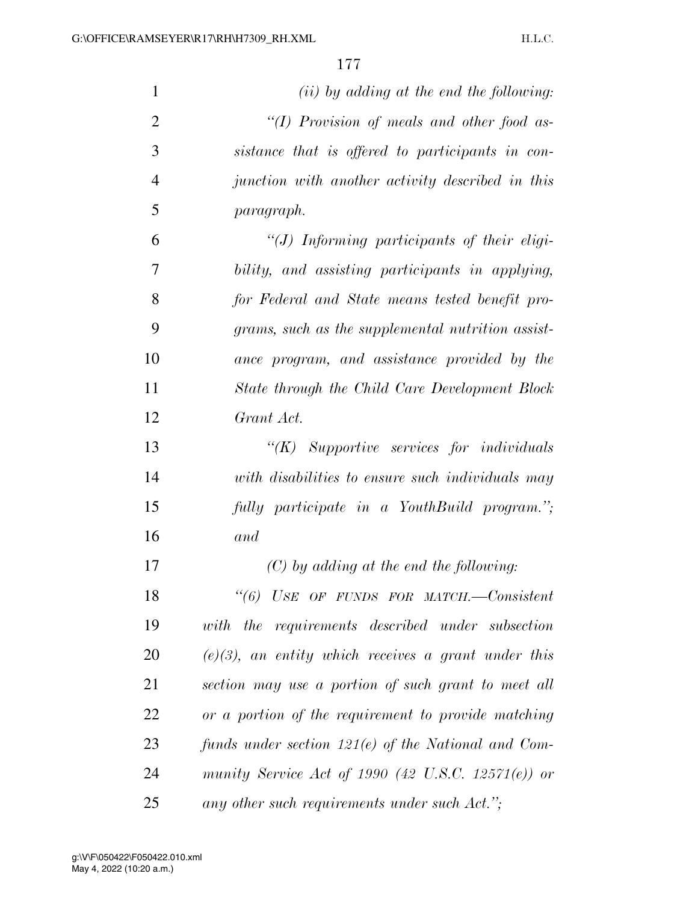| $\mathbf{1}$   | $(ii)$ by adding at the end the following:             |
|----------------|--------------------------------------------------------|
| $\overline{2}$ | "(I) Provision of meals and other food as-             |
| 3              | sistance that is offered to participants in con-       |
| $\overline{4}$ | junction with another activity described in this       |
| 5              | <i>paragraph.</i>                                      |
| 6              | "(J) Informing participants of their eligi-            |
| 7              | bility, and assisting participants in applying,        |
| 8              | for Federal and State means tested benefit pro-        |
| 9              | grams, such as the supplemental nutrition assist-      |
| 10             | ance program, and assistance provided by the           |
| 11             | State through the Child Care Development Block         |
| 12             | Grant Act.                                             |
| 13             | $\lq\lq (K)$ Supportive services for individuals       |
| 14             | with disabilities to ensure such individuals may       |
| 15             | fully participate in a YouthBuild program.";           |
| 16             | and                                                    |
| 17             | $(C)$ by adding at the end the following:              |
| 18             | "(6) USE OF FUNDS FOR MATCH.--Consistent               |
| 19             | with the requirements described under subsection       |
| 20             | $(e)(3)$ , an entity which receives a grant under this |
| 21             | section may use a portion of such grant to meet all    |
| 22             | or a portion of the requirement to provide matching    |
| 23             | funds under section $121(e)$ of the National and Com-  |
| 24             | munity Service Act of 1990 (42 U.S.C. 12571(e)) or     |
| 25             | any other such requirements under such Act.";          |

May 4, 2022 (10:20 a.m.) g:\V\F\050422\F050422.010.xml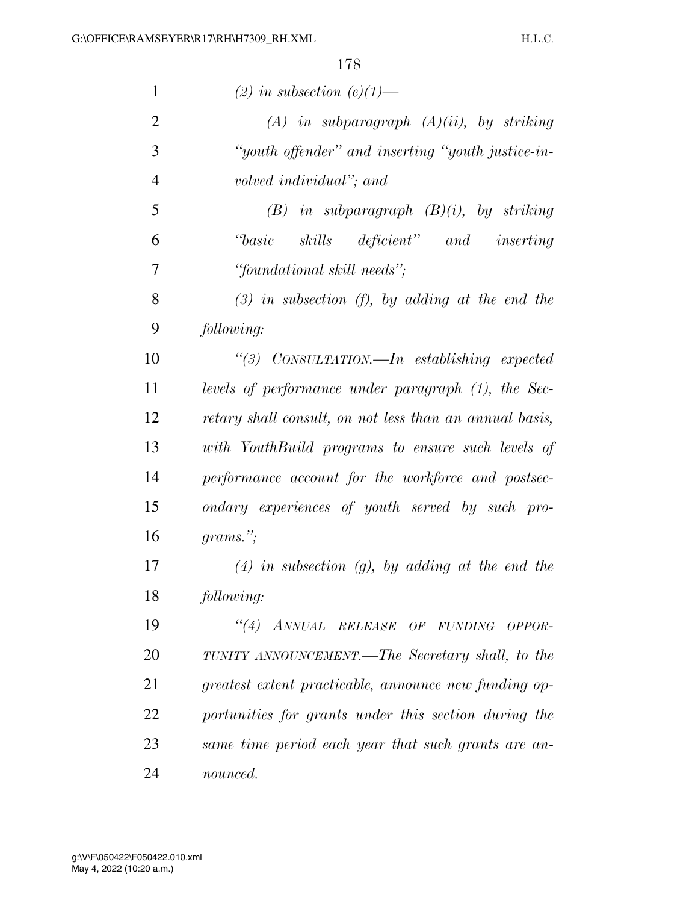| $\mathbf{1}$   | (2) in subsection (e)(1)—                               |
|----------------|---------------------------------------------------------|
| $\overline{2}$ | $(A)$ in subparagraph $(A)(ii)$ , by striking           |
| 3              | "youth offender" and inserting "youth justice-in-       |
| $\overline{4}$ | volved individual"; and                                 |
| 5              | $(B)$ in subparagraph $(B)(i)$ , by striking            |
| 6              | "basic skills deficient" and inserting                  |
| 7              | "foundational skill needs";                             |
| 8              | $(3)$ in subsection (f), by adding at the end the       |
| 9              | following:                                              |
| 10             | "(3) CONSULTATION.—In establishing expected             |
| 11             | levels of performance under paragraph (1), the Sec-     |
| 12             | retary shall consult, on not less than an annual basis, |
| 13             | with YouthBuild programs to ensure such levels of       |
| 14             | performance account for the workforce and postsec-      |
| 15             | ondary experiences of youth served by such pro-         |
| 16             | $grams$ ";                                              |
| 17             | $(4)$ in subsection $(g)$ , by adding at the end the    |
| 18             | following:                                              |
| 19             | "(4) ANNUAL RELEASE OF FUNDING OPPOR-                   |
| 20             | TUNITY ANNOUNCEMENT.—The Secretary shall, to the        |
| 21             | greatest extent practicable, announce new funding op-   |
| 22             | portunities for grants under this section during the    |
| 23             | same time period each year that such grants are an-     |
| 24             | nounced.                                                |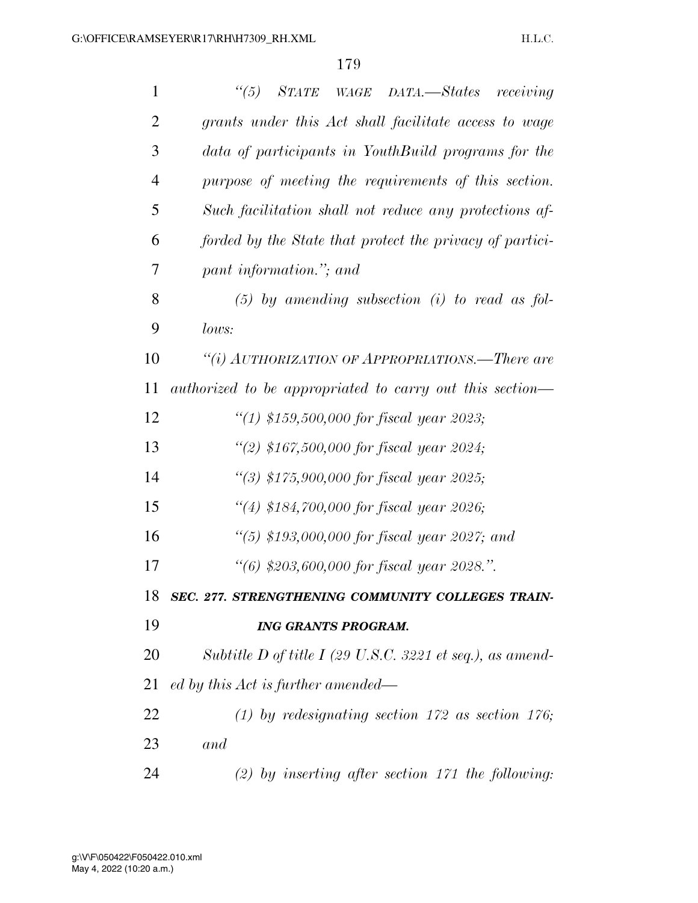| $\mathbf{1}$   | $\binom{11}{3}$<br>STATE WAGE DATA.-States receiving      |
|----------------|-----------------------------------------------------------|
| $\overline{2}$ | grants under this Act shall facilitate access to wage     |
| 3              | data of participants in YouthBuild programs for the       |
| $\overline{4}$ | purpose of meeting the requirements of this section.      |
| 5              | Such facilitation shall not reduce any protections af-    |
| 6              | forded by the State that protect the privacy of partici-  |
| 7              | pant information."; and                                   |
| 8              | $(5)$ by amending subsection (i) to read as fol-          |
| 9              | lows:                                                     |
| 10             | "(i) AUTHORIZATION OF APPROPRIATIONS.—There are           |
| 11             | authorized to be appropriated to carry out this section—  |
| 12             | "(1) \$159,500,000 for fiscal year 2023;                  |
| 13             | "(2) \$167,500,000 for fiscal year 2024;                  |
| 14             | "(3) $$175,900,000$ for fiscal year 2025;                 |
| 15             | "(4) \$184,700,000 for fiscal year 2026;                  |
| 16             | "(5) \$193,000,000 for fiscal year 2027; and              |
| 17             | "(6) \$203,600,000 for fiscal year 2028.".                |
| 18             | SEC. 277. STRENGTHENING COMMUNITY COLLEGES TRAIN-         |
| 19             | <b>ING GRANTS PROGRAM.</b>                                |
| 20             | Subtitle D of title I (29 U.S.C. 3221 et seq.), as amend- |
| 21             | ed by this Act is further amended—                        |
| 22             | (1) by redesignating section 172 as section 176;          |
| 23             | and                                                       |
| 24             | $(2)$ by inserting after section 171 the following:       |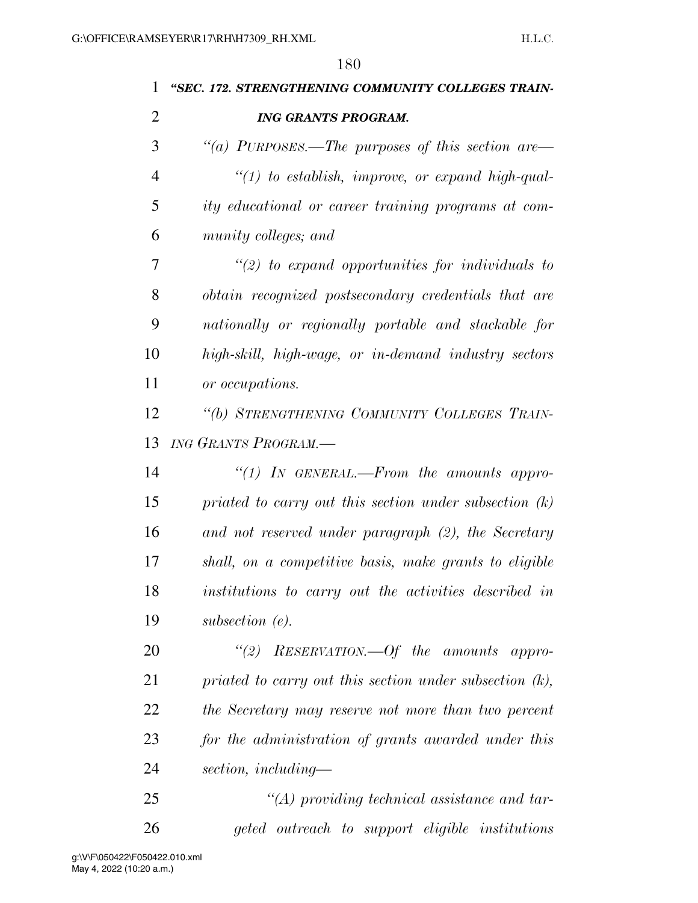| 1              | "SEC. 172. STRENGTHENING COMMUNITY COLLEGES TRAIN-         |
|----------------|------------------------------------------------------------|
| $\overline{2}$ | <b>ING GRANTS PROGRAM.</b>                                 |
| 3              | "(a) PURPOSES.—The purposes of this section are—           |
| $\overline{4}$ | $\lq(1)$ to establish, improve, or expand high-qual-       |
| 5              | <i>ity educational or career training programs at com-</i> |
| 6              | munity colleges; and                                       |
| 7              | $\lq(2)$ to expand opportunities for individuals to        |
| 8              | obtain recognized postsecondary credentials that are       |
| 9              | nationally or regionally portable and stackable for        |
| 10             | high-skill, high-wage, or in-demand industry sectors       |
| 11             | or occupations.                                            |
| 12             | "(b) STRENGTHENING COMMUNITY COLLEGES TRAIN-               |
| 13             | ING GRANTS PROGRAM.-                                       |
| 14             | "(1) IN GENERAL.—From the amounts appro-                   |
| 15             | priated to carry out this section under subsection $(k)$   |
| 16             | and not reserved under paragraph (2), the Secretary        |
| 17             | shall, on a competitive basis, make grants to eligible     |
| 18             | institutions to carry out the activities described in      |
| 19             | subsection $(e)$ .                                         |
| 20             | "(2) RESERVATION.—Of the amounts appro-                    |
| 21             | priated to carry out this section under subsection $(k)$ , |
| 22             | the Secretary may reserve not more than two percent        |
| 23             | for the administration of grants awarded under this        |
| 24             | section, including—                                        |
| 25             | $\lq (A)$ providing technical assistance and tar-          |
| 26             | geted outreach to support eligible institutions            |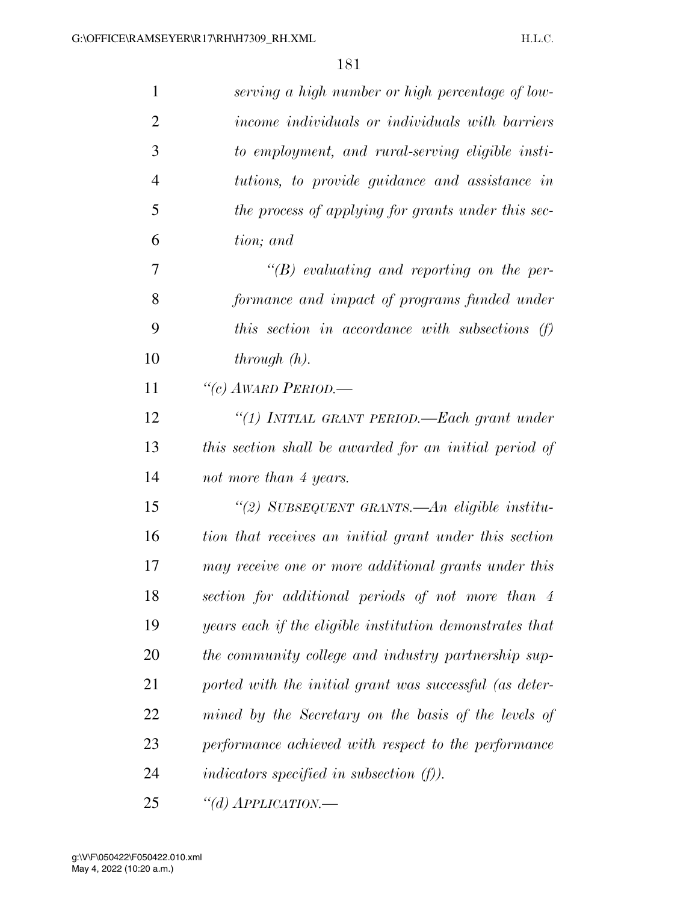| $\mathbf{1}$ | serving a high number or high percentage of low-         |
|--------------|----------------------------------------------------------|
| 2            | income individuals or individuals with barriers          |
| 3            | to employment, and rural-serving eligible insti-         |
| 4            | tutions, to provide guidance and assistance in           |
| 5            | the process of applying for grants under this sec-       |
| 6            | tion; and                                                |
| 7            | $\lq\lq B$ evaluating and reporting on the per-          |
| 8            | formance and impact of programs funded under             |
| 9            | this section in accordance with subsections (f)          |
| 10           | through(h).                                              |
| 11           | "(c) AWARD PERIOD.—                                      |
| 12           | "(1) INITIAL GRANT PERIOD.—Each grant under              |
| 13           | this section shall be awarded for an initial period of   |
| 14           | not more than 4 years.                                   |
| 15           | "(2) SUBSEQUENT GRANTS.—An eligible institu-             |
| 16           | tion that receives an initial grant under this section   |
| 17           | may receive one or more additional grants under this     |
| 18           | section for additional periods of not more than 4        |
| 19           | years each if the eligible institution demonstrates that |
| 20           | the community college and industry partnership sup-      |
| 21           | ported with the initial grant was successful (as deter-  |
| 22           | mined by the Secretary on the basis of the levels of     |
| 23           | performance achieved with respect to the performance     |
| 24           | indicators specified in subsection $(f)$ ).              |
| 25           | "(d) $APPLICATION$ .                                     |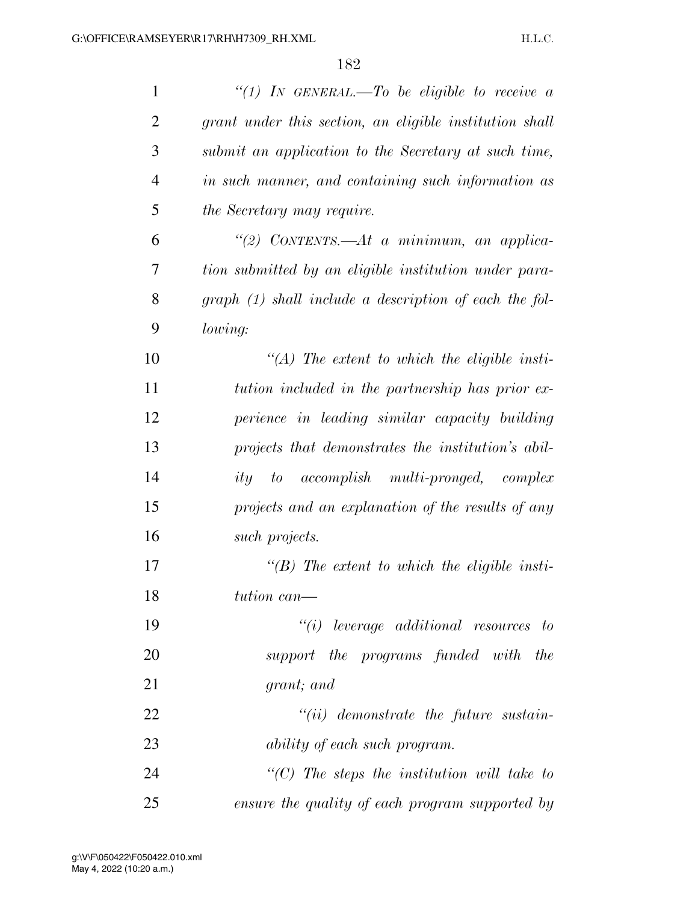| $\mathbf{1}$   | "(1) IN GENERAL.—To be eligible to receive a             |
|----------------|----------------------------------------------------------|
| $\overline{2}$ | grant under this section, an eligible institution shall  |
| 3              | submit an application to the Secretary at such time,     |
| $\overline{4}$ | in such manner, and containing such information as       |
| 5              | <i>the Secretary may require.</i>                        |
| 6              | "(2) CONTENTS.— $At$ a minimum, an applica-              |
| 7              | tion submitted by an eligible institution under para-    |
| 8              | $graph (1) shall include a description of each the fol-$ |
| 9              | lowing:                                                  |
| 10             | $\lq (A)$ The extent to which the eligible insti-        |
| 11             | tution included in the partnership has prior ex-         |
| 12             | perience in leading similar capacity building            |
| 13             | projects that demonstrates the institution's abil-       |
| 14             | to accomplish multi-pronged, complex<br>ity              |
| 15             | projects and an explanation of the results of any        |
| 16             | such projects.                                           |
| 17             | $\lq\lq(B)$ The extent to which the eligible insti-      |
| 18             | tution can—                                              |
| 19             | $``(i)$ leverage additional resources to                 |
| 20             | support the programs funded with the                     |
| 21             | grant; and                                               |
| 22             | $``(ii)$ demonstrate the future sustain-                 |
| 23             | ability of each such program.                            |
| 24             | " $(C)$ The steps the institution will take to           |
| 25             | ensure the quality of each program supported by          |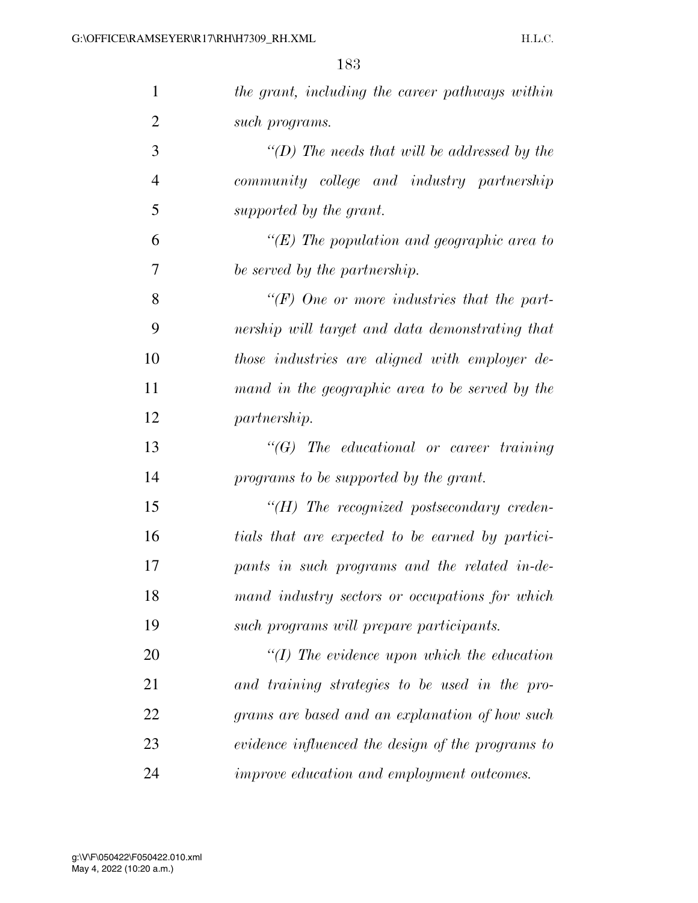| $\mathbf{1}$   | the grant, including the career pathways within   |
|----------------|---------------------------------------------------|
| $\overline{2}$ | such programs.                                    |
| 3              | "(D) The needs that will be addressed by the      |
| $\overline{4}$ | community college and industry partnership        |
| 5              | supported by the grant.                           |
| 6              | " $(E)$ The population and geographic area to     |
| 7              | be served by the partnership.                     |
| 8              | "(F) One or more industries that the part-        |
| 9              | nership will target and data demonstrating that   |
| 10             | those industries are aligned with employer de-    |
| 11             | mand in the geographic area to be served by the   |
| 12             | <i>partnership.</i>                               |
| 13             | $\lq\lq G$ The educational or career training     |
| 14             | programs to be supported by the grant.            |
| 15             | $H$ ) The recognized postsecondary creden-        |
| 16             | tials that are expected to be earned by partici-  |
| 17             | pants in such programs and the related in-de-     |
| 18             | mand industry sectors or occupations for which    |
| 19             | such programs will prepare participants.          |
| 20             | $\lq (I)$ The evidence upon which the education   |
| 21             | and training strategies to be used in the pro-    |
| 22             | grams are based and an explanation of how such    |
| 23             | evidence influenced the design of the programs to |
| 24             | improve education and employment outcomes.        |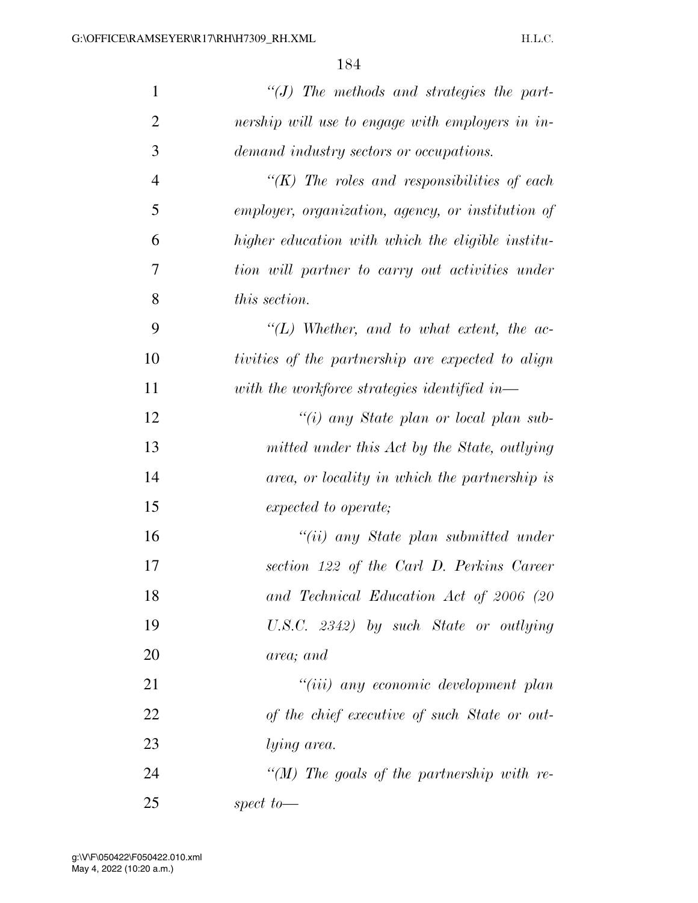| $\mathbf{1}$   | $\lq\lq J$ The methods and strategies the part-   |
|----------------|---------------------------------------------------|
| $\overline{2}$ | nership will use to engage with employers in in-  |
| 3              | demand industry sectors or occupations.           |
| $\overline{4}$ | " $(K)$ The roles and responsibilities of each    |
| 5              | employer, organization, agency, or institution of |
| 6              | higher education with which the eligible institu- |
| 7              | tion will partner to carry out activities under   |
| 8              | this section.                                     |
| 9              | $\lq (L)$ Whether, and to what extent, the ac-    |
| 10             | tivities of the partnership are expected to align |
| 11             | with the workforce strategies identified in—      |
| 12             | "(i) any State plan or local plan sub-            |
| 13             | mitted under this Act by the State, outlying      |
| 14             | area, or locality in which the partnership is     |
| 15             | expected to operate;                              |
| 16             | "(ii) any State plan submitted under              |
| 17             | section 122 of the Carl D. Perkins Career         |
| 18             | and Technical Education Act of 2006 (20           |
| 19             | U.S.C. 2342) by such State or outlying            |
| 20             | area; and                                         |
| 21             | "(iii) any economic development plan              |
| 22             | of the chief executive of such State or out-      |
| 23             | lying area.                                       |
| 24             | "(M) The goals of the partnership with re-        |
| 25             | spect to $-$                                      |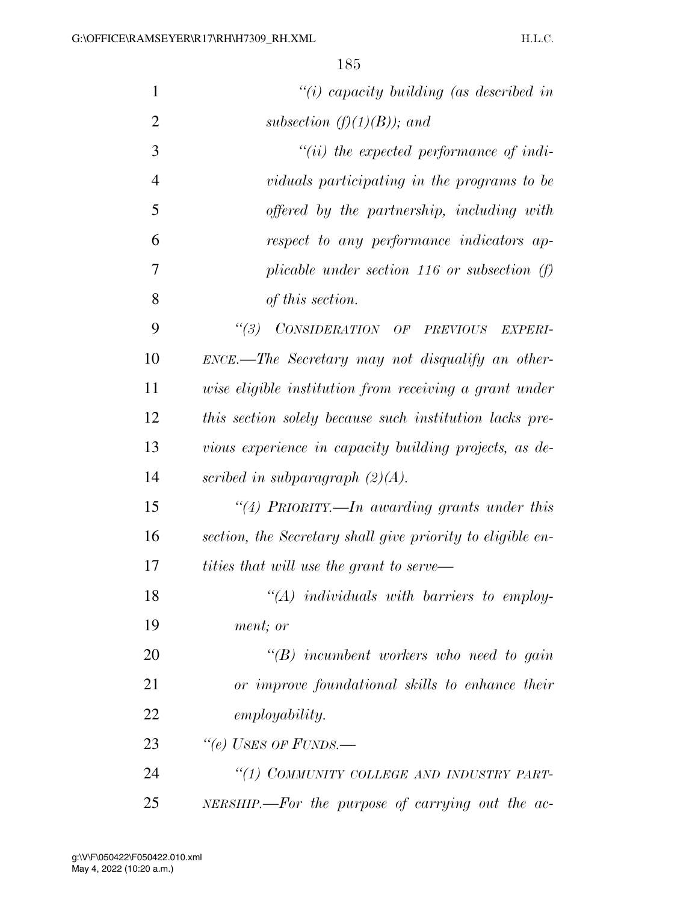| $\mathbf{1}$   | "(i) capacity building (as described in                    |
|----------------|------------------------------------------------------------|
| $\overline{2}$ | subsection $(f)(1)(B)$ ; and                               |
| 3              | $``(ii)$ the expected performance of indi-                 |
| $\overline{4}$ | viduals participating in the programs to be                |
| 5              | offered by the partnership, including with                 |
| 6              | respect to any performance indicators ap-                  |
| 7              | plicable under section 116 or subsection $(f)$             |
| 8              | of this section.                                           |
| 9              | (3)<br>CONSIDERATION OF PREVIOUS<br><i>EXPERI-</i>         |
| 10             | $ENCE$ .—The Secretary may not disqualify an other-        |
| 11             | wise eligible institution from receiving a grant under     |
| 12             | this section solely because such institution lacks pre-    |
| 13             | vious experience in capacity building projects, as de-     |
| 14             | scribed in subparagraph $(2)(A)$ .                         |
| 15             | "(4) PRIORITY.—In awarding grants under this               |
| 16             | section, the Secretary shall give priority to eligible en- |
| 17             | tities that will use the grant to serve—                   |
| 18             | $\lq (A)$ individuals with barriers to employ-             |
| 19             | ment; or                                                   |
| 20             | $\lq\lq B$ incumbent workers who need to gain              |
| 21             | or improve foundational skills to enhance their            |
| 22             | <i>employability.</i>                                      |
| 23             | "(e) USES OF FUNDS.—                                       |
| 24             | "(1) COMMUNITY COLLEGE AND INDUSTRY PART-                  |
| 25             | NERSHIP.—For the purpose of carrying out the ac-           |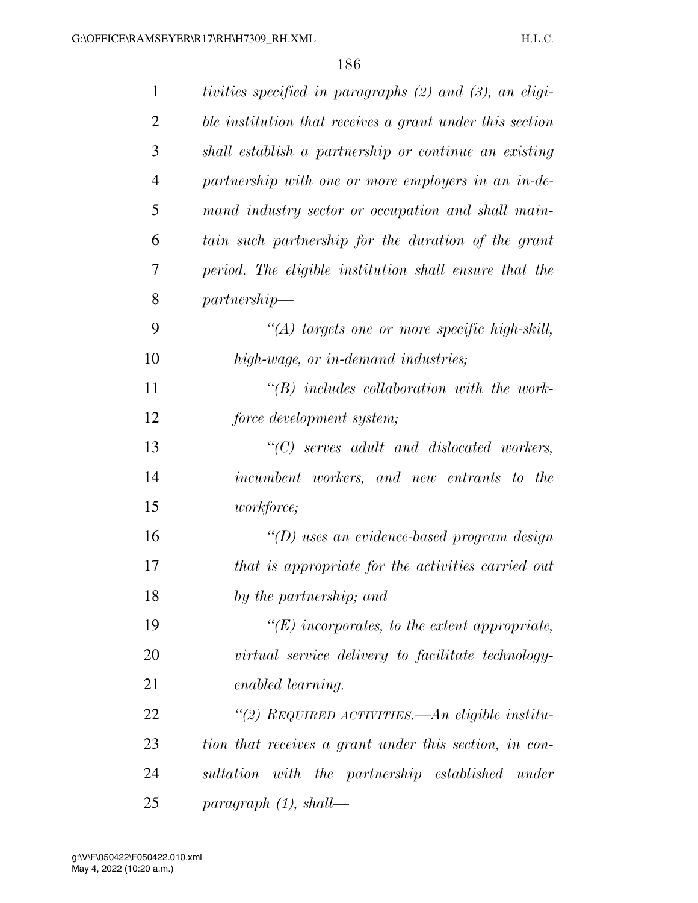| $\mathbf{1}$   | tivities specified in paragraphs (2) and (3), an eligi-  |
|----------------|----------------------------------------------------------|
| $\overline{2}$ | ble institution that receives a grant under this section |
| 3              | shall establish a partnership or continue an existing    |
| $\overline{4}$ | partnership with one or more employers in an in-de-      |
| 5              | mand industry sector or occupation and shall main-       |
| 6              | tain such partnership for the duration of the grant      |
| 7              | period. The eligible institution shall ensure that the   |
| 8              | partnership                                              |
| 9              | $\lq (A)$ targets one or more specific high-skill,       |
| 10             | high-wage, or in-demand industries;                      |
| 11             | $\lq\lq B$ includes collaboration with the work-         |
| 12             | force development system;                                |
| 13             | $\lq\lq C$ serves adult and dislocated workers,          |
| 14             | incumbent workers, and new entrants to the               |
| 15             | <i>workforce</i> ;                                       |
| 16             | $\lq\lq(D)$ uses an evidence-based program design        |
| 17             | that is appropriate for the activities carried out       |
| 18             | by the partnership; and                                  |
| 19             | $\lq\lq(E)$ incorporates, to the extent appropriate,     |
| 20             | virtual service delivery to facilitate technology-       |
| 21             | enabled learning.                                        |
| 22             | "(2) REQUIRED ACTIVITIES.—An eligible institu-           |
| 23             | tion that receives a grant under this section, in con-   |
| 24             | sultation with the partnership established under         |
| 25             | $paramph (1), shall$ —                                   |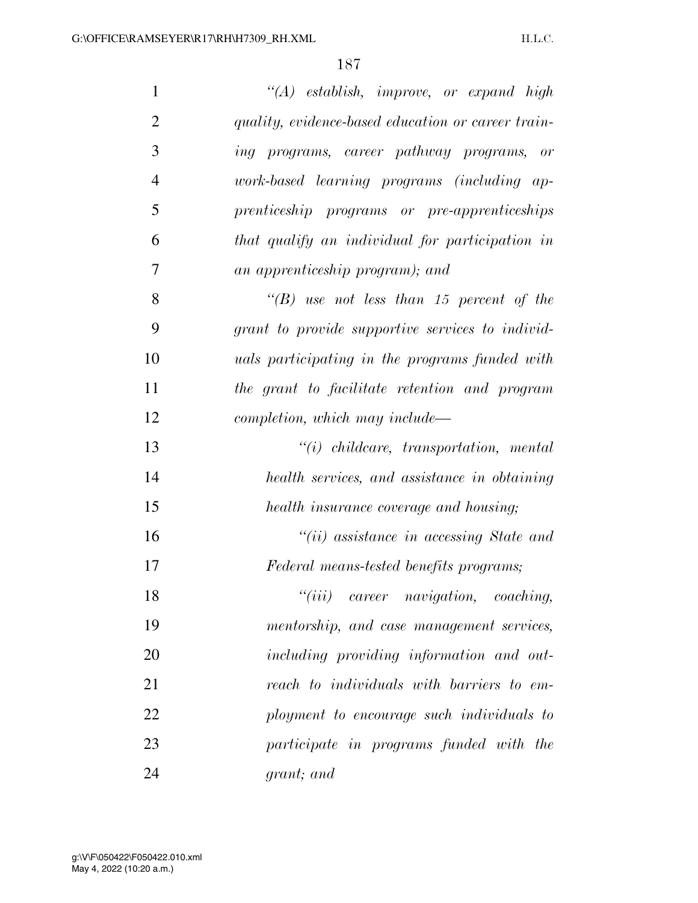| $\mathbf{1}$   | "(A) establish, improve, or expand high                  |
|----------------|----------------------------------------------------------|
| $\overline{2}$ | quality, evidence-based education or career train-       |
| 3              | ing programs, career pathway programs, or                |
| $\overline{4}$ | work-based learning programs (including ap-              |
| 5              | prenticeship programs or pre-apprenticeships             |
| 6              | that qualify an individual for participation in          |
| 7              | an apprenticeship program); and                          |
| 8              | "(B) use not less than 15 percent of the                 |
| 9              | grant to provide supportive services to individ-         |
| 10             | <i>uals participating in the programs funded with</i>    |
| 11             | the grant to facilitate retention and program            |
| 12             | completion, which may include—                           |
| 13             | $"(i)$ childcare, transportation, mental                 |
| 14             | health services, and assistance in obtaining             |
| 15             | health insurance coverage and housing;                   |
| 16             | $``(ii)$ assistance in accessing State and               |
| 17             | Federal means-tested benefits programs;                  |
| 18             | $``(iii) \quad career \quad navigation, \quad coaching,$ |
| 19             | mentorship, and case management services,                |
| 20             | including providing information and out-                 |
| 21             | reach to individuals with barriers to em-                |
| 22             | ployment to encourage such individuals to                |
| 23             | participate in programs funded with the                  |
| 24             | grant; and                                               |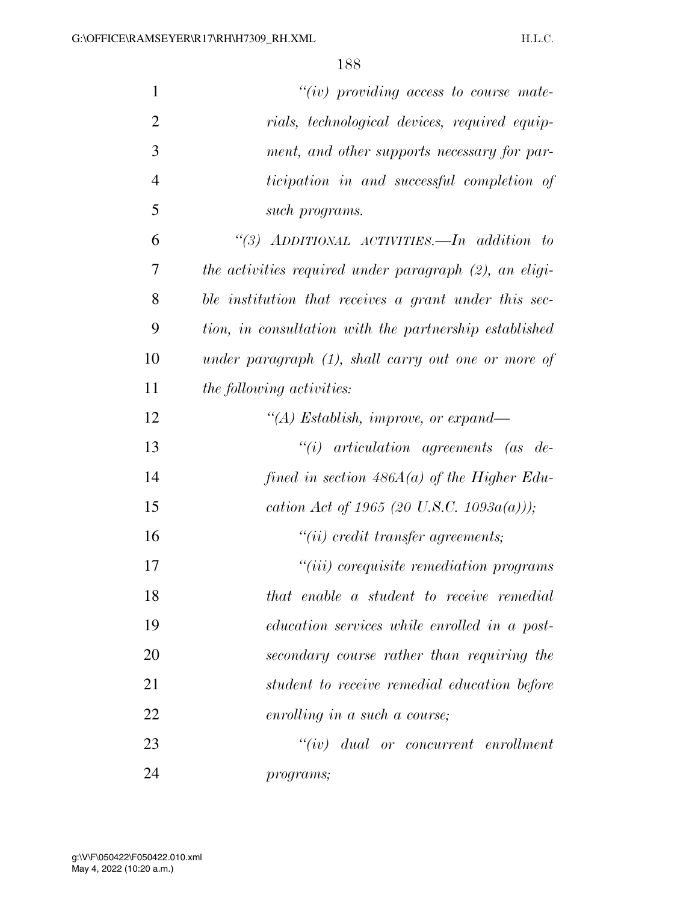| $\mathbf{1}$   | $``(iv)$ providing access to course mate-              |
|----------------|--------------------------------------------------------|
| $\overline{2}$ | rials, technological devices, required equip-          |
| 3              | ment, and other supports necessary for par-            |
| $\overline{4}$ | ticipation in and successful completion of             |
| 5              | such programs.                                         |
| 6              | "(3) ADDITIONAL ACTIVITIES.—In addition to             |
| 7              | the activities required under paragraph (2), an eligi- |
| 8              | ble institution that receives a grant under this sec-  |
| 9              | tion, in consultation with the partnership established |
| 10             | under paragraph $(1)$ , shall carry out one or more of |
| 11             | <i>the following activities:</i>                       |
| 12             | "(A) Establish, improve, or expand—                    |
| 13             | $``(i)$ articulation agreements (as de-                |
| 14             | fined in section $486A(a)$ of the Higher Edu-          |
| 15             | cation Act of 1965 (20 U.S.C. 1093 $a(a)$ ));          |
| 16             | "(ii) credit transfer agreements;                      |
| 17             | "( <i>iii</i> ) corequisite remediation programs       |
| 18             | that enable a student to receive remedial              |
| 19             | education services while enrolled in a post-           |
| 20             | secondary course rather than requiring the             |
| 21             | student to receive remedial education before           |
| 22             | enrolling in a such a course;                          |
| 23             | $``(iv)$ dual or concurrent enrollment                 |
| 24             | programs;                                              |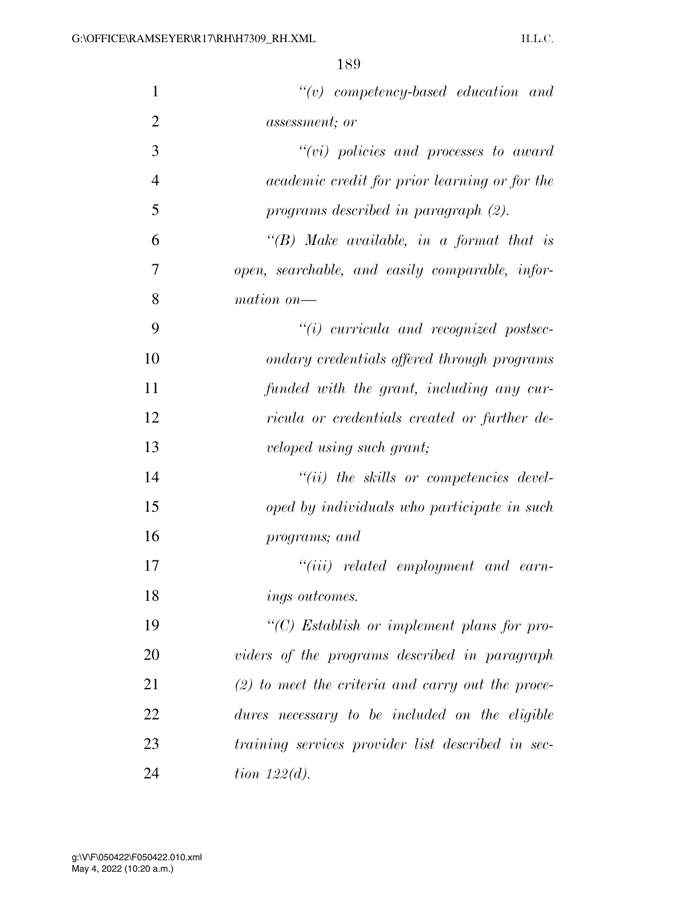| $\mathbf{1}$   | $``(v)$ competency-based education and               |
|----------------|------------------------------------------------------|
| $\overline{2}$ | <i>assessment</i> ; or                               |
| 3              | $``(vi)~policies~and~processes~to~award$             |
| $\overline{4}$ | <i>academic credit for prior learning or for the</i> |
| 5              | programs described in paragraph (2).                 |
| 6              | "(B) Make available, in a format that is             |
| 7              | open, searchable, and easily comparable, infor-      |
| 8              | mation on-                                           |
| 9              | $``(i)$ curricula and recognized postsec-            |
| 10             | ondary credentials offered through programs          |
| 11             | funded with the grant, including any cur-            |
| 12             | ricula or credentials created or further de-         |
| 13             | veloped using such grant;                            |
| 14             | $``(ii)$ the skills or competencies devel-           |
| 15             | oped by individuals who participate in such          |
| 16             | programs; and                                        |
| 17             | $``(iii)$ related employment and earn-               |
| 18             | <i>ings outcomes.</i>                                |
| 19             | $\lq\lq C$ Establish or implement plans for pro-     |
| 20             | viders of the programs described in paragraph        |
| 21             | $(2)$ to meet the criteria and carry out the proce-  |
| 22             | dures necessary to be included on the eligible       |
| 23             | training services provider list described in sec-    |
| 24             | tion $122(d)$ .                                      |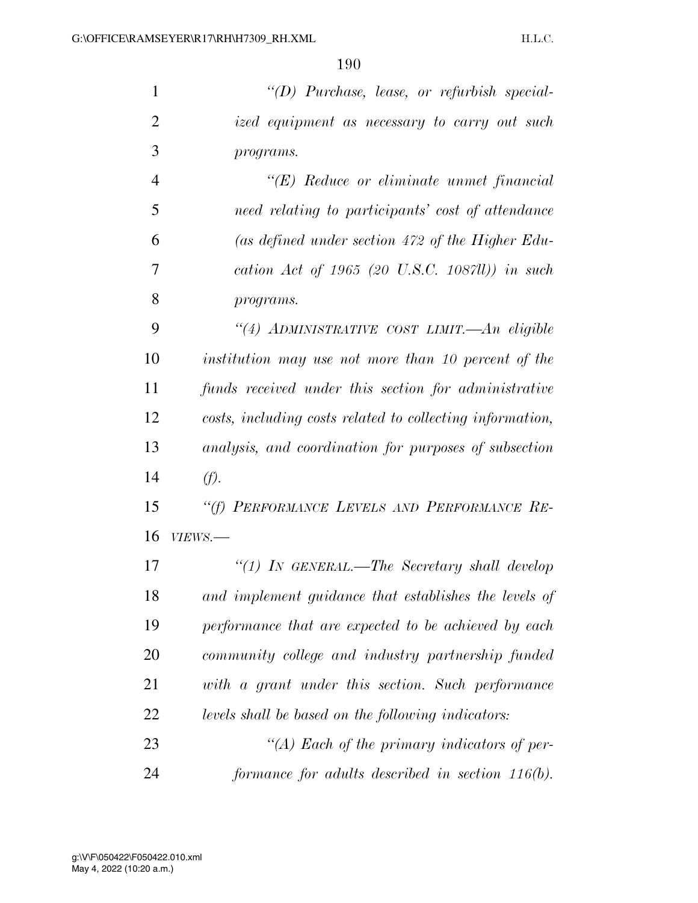*''(D) Purchase, lease, or refurbish special- ized equipment as necessary to carry out such programs.* 

 *''(E) Reduce or eliminate unmet financial need relating to participants' cost of attendance (as defined under section 472 of the Higher Edu- cation Act of 1965 (20 U.S.C. 1087ll)) in such programs.* 

 *''(4) ADMINISTRATIVE COST LIMIT.—An eligible institution may use not more than 10 percent of the funds received under this section for administrative costs, including costs related to collecting information, analysis, and coordination for purposes of subsection (f).* 

 *''(f) PERFORMANCE LEVELS AND PERFORMANCE RE-VIEWS.—* 

 *''(1) IN GENERAL.—The Secretary shall develop and implement guidance that establishes the levels of performance that are expected to be achieved by each community college and industry partnership funded with a grant under this section. Such performance levels shall be based on the following indicators: ''(A) Each of the primary indicators of per-*

*formance for adults described in section 116(b).*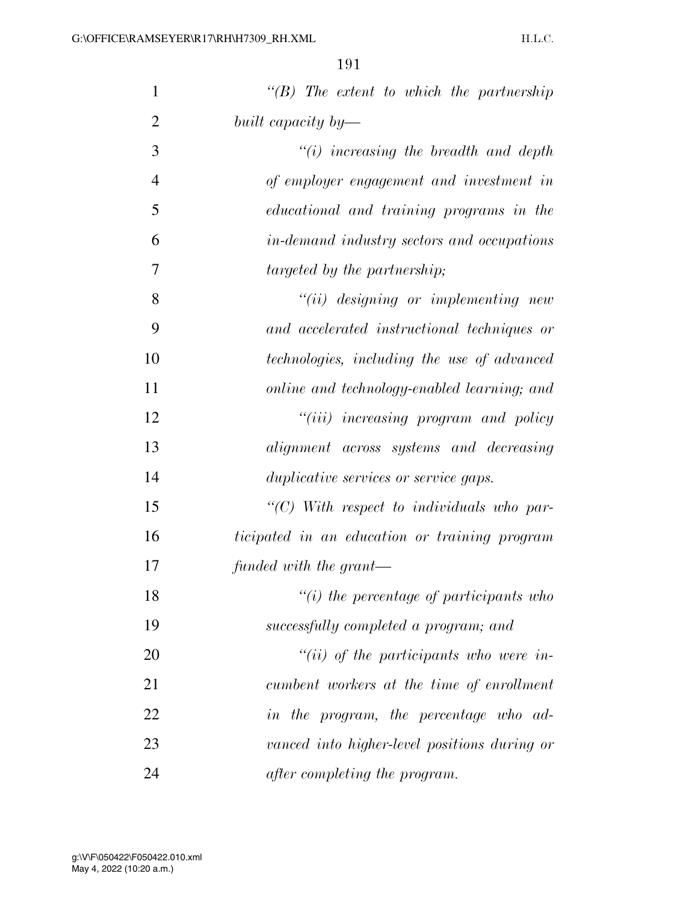| $\mathbf{1}$   | $\lq\lq B$ ) The extent to which the partnership  |
|----------------|---------------------------------------------------|
| $\overline{2}$ | built capacity by—                                |
| 3              | $"(i)$ increasing the breadth and depth           |
| $\overline{4}$ | of employer engagement and investment in          |
| 5              | educational and training programs in the          |
| 6              | in-demand industry sectors and occupations        |
| 7              | targeted by the partnership;                      |
| 8              | $``(ii)$ designing or implementing new            |
| 9              | and accelerated instructional techniques or       |
| 10             | technologies, including the use of advanced       |
| 11             | online and technology-enabled learning; and       |
| 12             | "(iii) increasing program and policy              |
| 13             | alignment across systems and decreasing           |
| 14             | duplicative services or service gaps.             |
| 15             | $\lq\lq C$ ) With respect to individuals who par- |
| 16             | ticipated in an education or training program     |
| 17             | funded with the grant—                            |
| 18             | $"(i)$ the percentage of participants who         |
| 19             | successfully completed a program; and             |
| 20             | $``(ii)$ of the participants who were in-         |
| 21             | cumbent workers at the time of enrollment         |
| 22             | in the program, the percentage who ad-            |
| 23             | vanced into higher-level positions during or      |
| 24             | after completing the program.                     |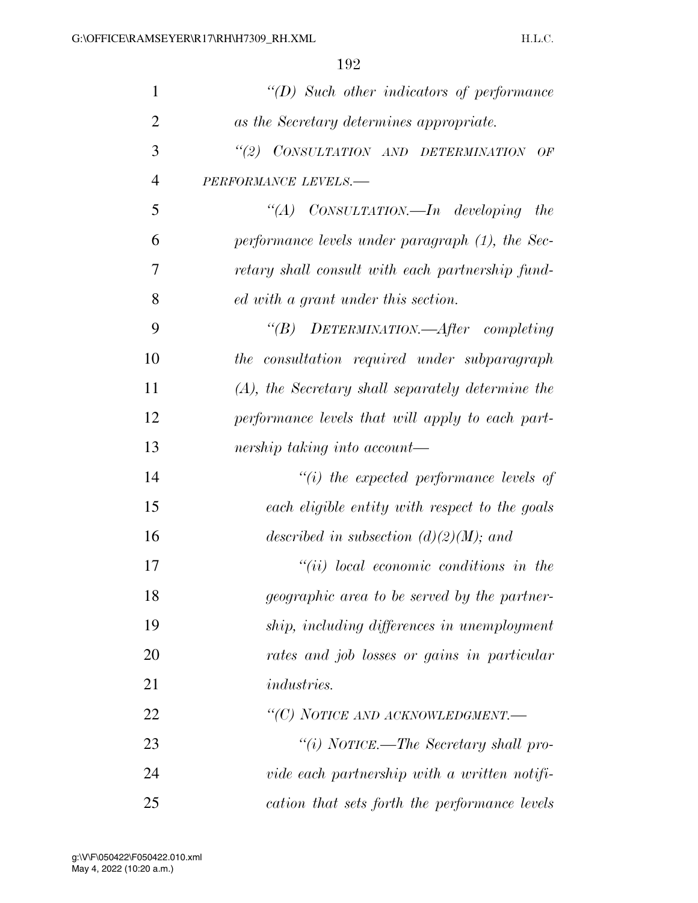| 1              | $\lq\lq D$ Such other indicators of performance      |
|----------------|------------------------------------------------------|
| $\overline{2}$ | as the Secretary determines appropriate.             |
| 3              | "(2) CONSULTATION AND DETERMINATION<br>OF            |
| $\overline{4}$ | PERFORMANCE LEVELS.-                                 |
| 5              | "(A) $CONSULTATION$ <i>developing the</i>            |
| 6              | performance levels under paragraph (1), the Sec-     |
| 7              | retary shall consult with each partnership fund-     |
| 8              | ed with a grant under this section.                  |
| 9              | "(B) DETERMINATION.—After completing                 |
| 10             | the consultation required under subparagraph         |
| 11             | $(A)$ , the Secretary shall separately determine the |
| 12             | performance levels that will apply to each part-     |
| 13             | nership taking into account—                         |
| 14             | $``(i)$ the expected performance levels of           |
| 15             | each eligible entity with respect to the goals       |
| 16             | described in subsection $(d)(2)(M)$ ; and            |
| 17             | $``(ii)$ local economic conditions in the            |
| 18             | <i>geographic area to be served by the partner-</i>  |
| 19             | ship, including differences in unemployment          |
| 20             | rates and job losses or gains in particular          |
| 21             | <i>industries.</i>                                   |
| 22             | "(C) NOTICE AND ACKNOWLEDGMENT.-                     |
| 23             | "(i) NOTICE.—The Secretary shall pro-                |
| 24             | vide each partnership with a written notifi-         |
| 25             | cation that sets forth the performance levels        |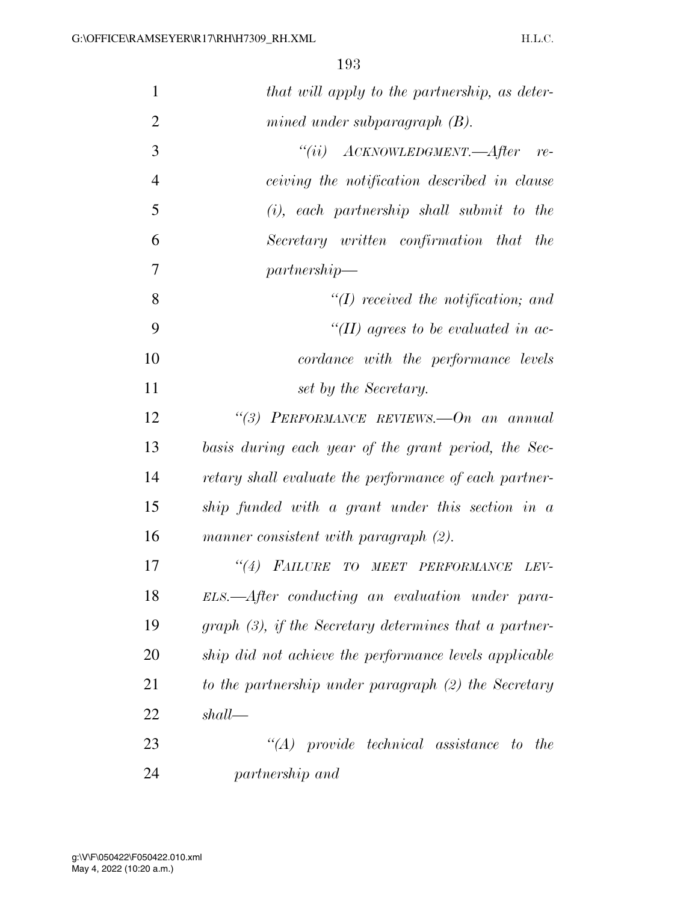| $\mathbf{1}$   | that will apply to the partnership, as deter-             |
|----------------|-----------------------------------------------------------|
| $\overline{2}$ | mined under subparagraph $(B)$ .                          |
| 3              | $``(ii) \quad ACKNOWLEDGMENT. \text{—After}$<br>$re-$     |
| $\overline{4}$ | ceiving the notification described in clause              |
| 5              | $(i)$ , each partnership shall submit to the              |
| 6              | Secretary written confirmation that<br>the                |
| 7              | partnership                                               |
| 8              | $\lq (I)$ received the notification; and                  |
| 9              | "(II) agrees to be evaluated in ac-                       |
| 10             | cordance with the performance levels                      |
| 11             | set by the Secretary.                                     |
| 12             | "(3) PERFORMANCE REVIEWS. $-On$ an annual                 |
| 13             | basis during each year of the grant period, the Sec-      |
| 14             | retary shall evaluate the performance of each partner-    |
| 15             | ship funded with a grant under this section in a          |
| 16             | manner consistent with paragraph (2).                     |
| 17             | (4)<br><b>FAILURE TO</b><br>MEET PERFORMANCE<br>LEV-      |
| 18             | ELS.—After conducting an evaluation under para-           |
| 19             | graph $(3)$ , if the Secretary determines that a partner- |
| 20             | ship did not achieve the performance levels applicable    |
| 21             | to the partnership under paragraph (2) the Secretary      |
| 22             | shall                                                     |
| 23             | $\lq\lq (A)$ provide technical assistance to<br>the       |
| 24             | partnership and                                           |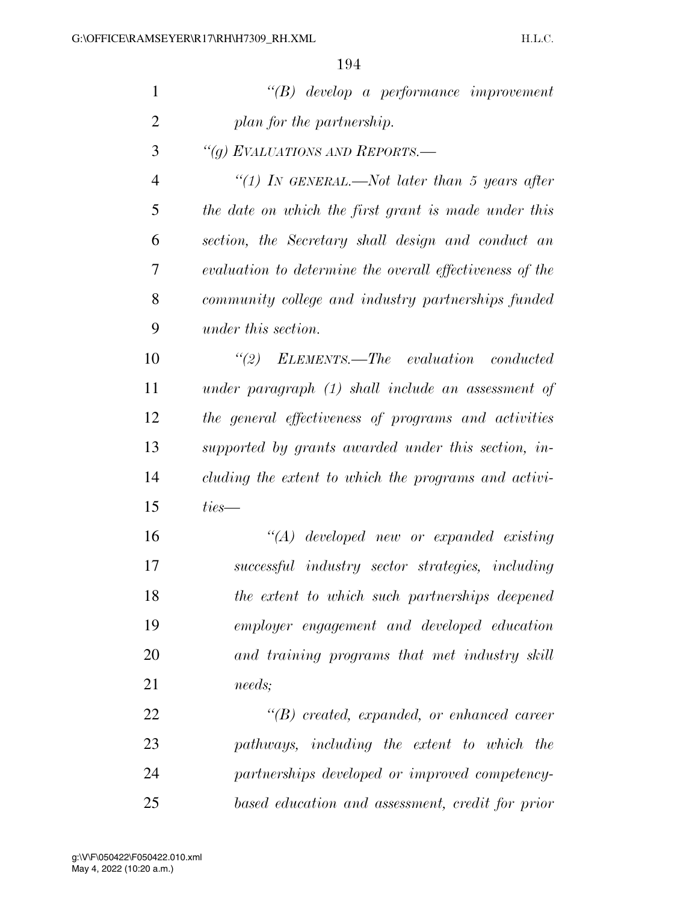| $\mathbf{1}$   | $\lq\lq B$ develop a performance improvement             |
|----------------|----------------------------------------------------------|
| $\overline{2}$ | plan for the partnership.                                |
| 3              | "(g) EVALUATIONS AND REPORTS.—                           |
| $\overline{4}$ | "(1) In GENERAL.—Not later than 5 years after            |
| 5              | the date on which the first grant is made under this     |
| 6              | section, the Secretary shall design and conduct an       |
| 7              | evaluation to determine the overall effectiveness of the |
| 8              | community college and industry partnerships funded       |
| 9              | under this section.                                      |
| 10             | $\lq$ (2) ELEMENTS.—The evaluation conducted             |
| 11             | under paragraph $(1)$ shall include an assessment of     |
| 12             | the general effectiveness of programs and activities     |
| 13             | supported by grants awarded under this section, in-      |
| 14             | cluding the extent to which the programs and activi-     |
| 15             | $ties-$                                                  |
| 16             | $\lq (A)$ developed new or expanded existing             |
| 17             | successful industry sector strategies, including         |
| 18             | the extent to which such partnerships deepened           |
| 19             | employer engagement and developed education              |
| 20             | and training programs that met industry skill            |
| 21             | needs;                                                   |
| 22             | $\lq\lq(B)$ created, expanded, or enhanced career        |
| 23             | pathways, including the extent to which the              |
| 24             | partnerships developed or improved competency-           |
| 25             | based education and assessment, credit for prior         |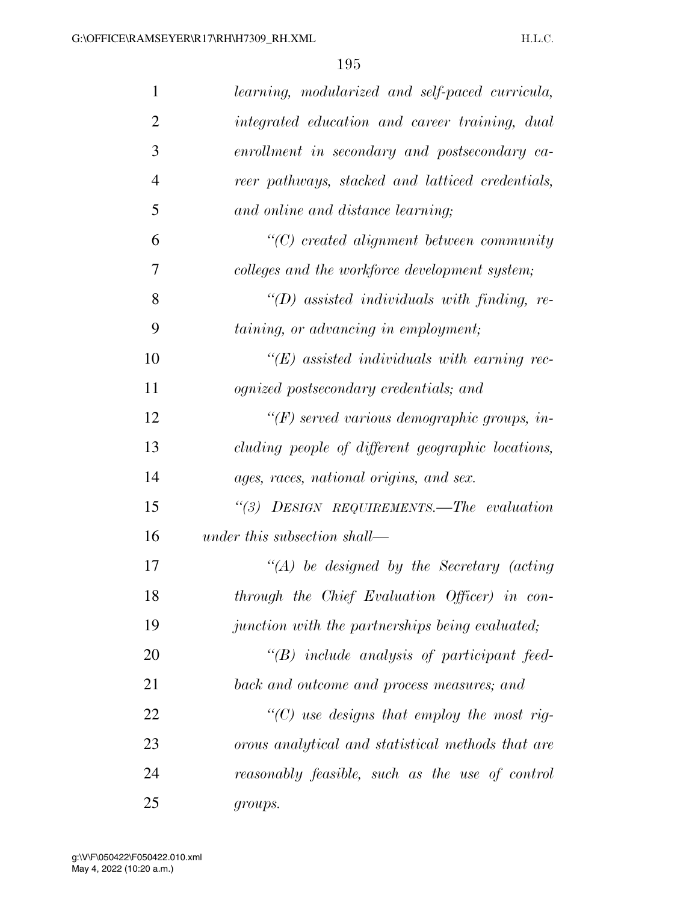| $\mathbf{1}$   | learning, modularized and self-paced curricula,     |
|----------------|-----------------------------------------------------|
| $\overline{2}$ | integrated education and career training, dual      |
| 3              | enrollment in secondary and postsecondary ca-       |
| $\overline{4}$ | reer pathways, stacked and latticed credentials,    |
| 5              | and online and distance learning;                   |
| 6              | $\lq\lq C$ created alignment between community      |
| 7              | colleges and the workforce development system;      |
| 8              | " $(D)$ assisted individuals with finding, re-      |
| 9              | taining, or advancing in employment;                |
| 10             | $\lq\lq (E)$ assisted individuals with earning rec- |
| 11             | ognized postsecondary credentials; and              |
| 12             | " $(F)$ served various demographic groups, in-      |
| 13             | cluding people of different geographic locations,   |
| 14             | ages, races, national origins, and sex.             |
| 15             | "(3) DESIGN REQUIREMENTS.—The evaluation            |
| 16             | under this subsection shall—                        |
| 17             | $\lq (A)$ be designed by the Secretary (acting      |
| 18             | through the Chief Evaluation Officer) in con-       |
| 19             | junction with the partnerships being evaluated;     |
| 20             | $\lq\lq B$ include analysis of participant feed-    |
| 21             | back and outcome and process measures; and          |
| 22             | "(C) use designs that employ the most rig-          |
| 23             | orous analytical and statistical methods that are   |
| 24             | reasonably feasible, such as the use of control     |
| 25             | groups.                                             |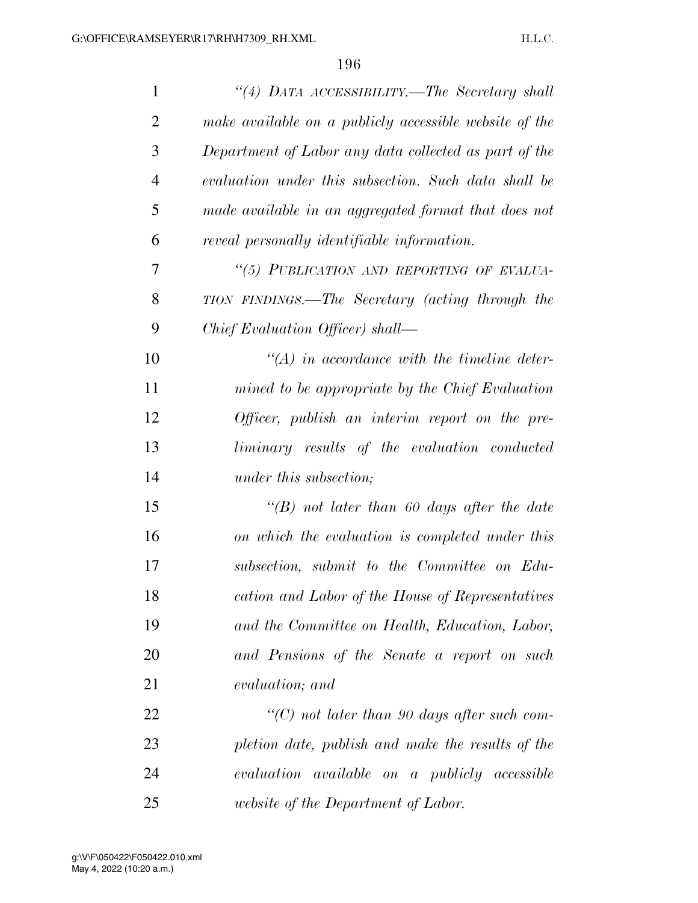| $\mathbf{1}$   | "(4) DATA ACCESSIBILITY.—The Secretary shall           |
|----------------|--------------------------------------------------------|
| $\overline{2}$ | make available on a publicty accessible website of the |
| 3              | Department of Labor any data collected as part of the  |
| $\overline{4}$ | evaluation under this subsection. Such data shall be   |
| 5              | made available in an aggregated format that does not   |
| 6              | reveal personally identifiable information.            |
| 7              | "(5) PUBLICATION AND REPORTING OF EVALUA-              |
| 8              | TION FINDINGS.—The Secretary (acting through the       |
| 9              | Chief Evaluation Officer) shall—                       |
| 10             | $\lq (A)$ in accordance with the timeline deter-       |
| 11             | mined to be appropriate by the Chief Evaluation        |
| 12             | Officer, publish an interim report on the pre-         |
| 13             | liminary results of the evaluation conducted           |
| 14             | under this subsection;                                 |
| 15             | "(B) not later than 60 days after the date             |
| 16             | on which the evaluation is completed under this        |
| 17             | subsection, submit to the Committee on Edu-            |
| 18             | cation and Labor of the House of Representatives       |
| 19             | and the Committee on Health, Education, Labor,         |
| 20             | and Pensions of the Senate a report on such            |
| 21             | evaluation; and                                        |
| 22             | $\lq\lq C$ ) not later than 90 days after such com-    |
| 23             | pletion date, publish and make the results of the      |
| 24             | evaluation available on a publicly accessible          |
| 25             | <i>website of the Department of Labor.</i>             |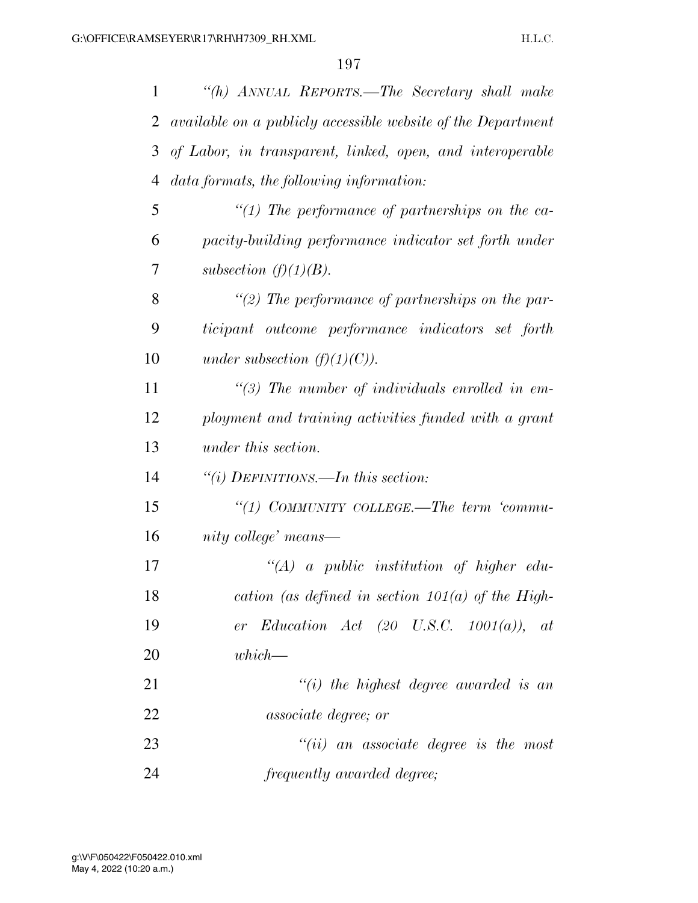| $\mathbf{1}$ | "(h) ANNUAL REPORTS.—The Secretary shall make                |
|--------------|--------------------------------------------------------------|
| 2            | available on a publicly accessible website of the Department |
| 3            | of Labor, in transparent, linked, open, and interoperable    |
| 4            | data formats, the following information:                     |
| 5            | $"(1)$ The performance of partnerships on the ca-            |
| 6            | pacity-building performance indicator set forth under        |
| 7            | subsection $(f)(1)(B)$ .                                     |
| 8            | "(2) The performance of partnerships on the par-             |
| 9            | ticipant outcome performance indicators set forth            |
| 10           | under subsection $(f)(1)(C)$ .                               |
| 11           | $\lq(3)$ The number of individuals enrolled in em-           |
| 12           | ployment and training activities funded with a grant         |
| 13           | under this section.                                          |
| 14           | "(i) DEFINITIONS.—In this section:                           |
| 15           | "(1) COMMUNITY COLLEGE.—The term 'commu-                     |
| 16           | nity college' means—                                         |
| 17           | $\lq (A)$ a public institution of higher edu-                |
| 18           | cation (as defined in section $101(a)$ of the High-          |
| 19           | er Education Act $(20 \text{ U.S.C. } 1001(a)), at$          |
| 20           | which—                                                       |
| 21           | $``(i)$ the highest degree awarded is an                     |
| 22           | <i>associate degree; or</i>                                  |
| 23           | $``(ii)$ an associate degree is the most                     |
| 24           | frequently awarded degree;                                   |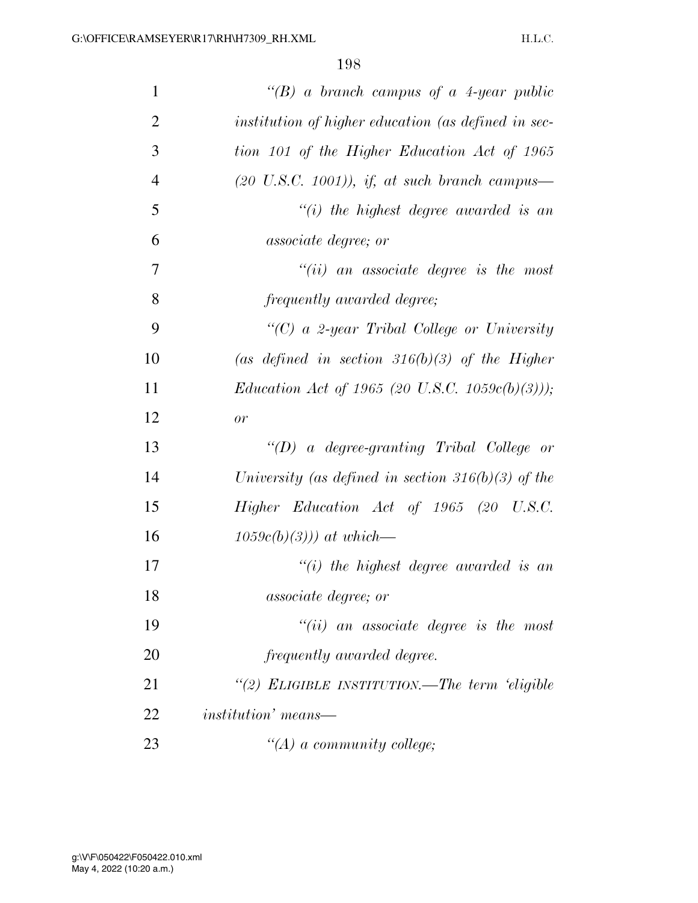| $\mathbf{1}$   | "(B) a branch campus of a 4-year public                  |
|----------------|----------------------------------------------------------|
| $\overline{2}$ | institution of higher education (as defined in sec-      |
| 3              | tion 101 of the Higher Education Act of 1965             |
| $\overline{4}$ | $(20 \text{ U.S.C. } 1001)$ , if, at such branch campus— |
| 5              | $``(i)$ the highest degree awarded is an                 |
| 6              | associate degree; or                                     |
| 7              | $``(ii)$ an associate degree is the most                 |
| 8              | frequently awarded degree;                               |
| 9              | "(C) a 2-year Tribal College or University               |
| 10             | (as defined in section 316(b)(3) of the Higher           |
| 11             | <i>Education Act of 1965 (20 U.S.C. 1059c(b)(3)))</i> ;  |
| 12             | or                                                       |
| 13             | "(D) a degree-granting Tribal College or                 |
| 14             | University (as defined in section 316(b)(3) of the       |
| 15             | Higher Education Act of 1965 (20 U.S.C.                  |
| 16             | $1059c(b)(3))$ at which—                                 |
| 17             | $``(i)$ the highest degree awarded is an                 |
| 18             | <i>associate degree; or</i>                              |
| 19             | $"(ii)$ an associate degree is the most                  |
| 20             | frequently awarded degree.                               |
| 21             | "(2) ELIGIBLE INSTITUTION.—The term 'eligible            |
| 22             | <i>institution'</i> means—                               |
| 23             | $\lq (A)$ a community college;                           |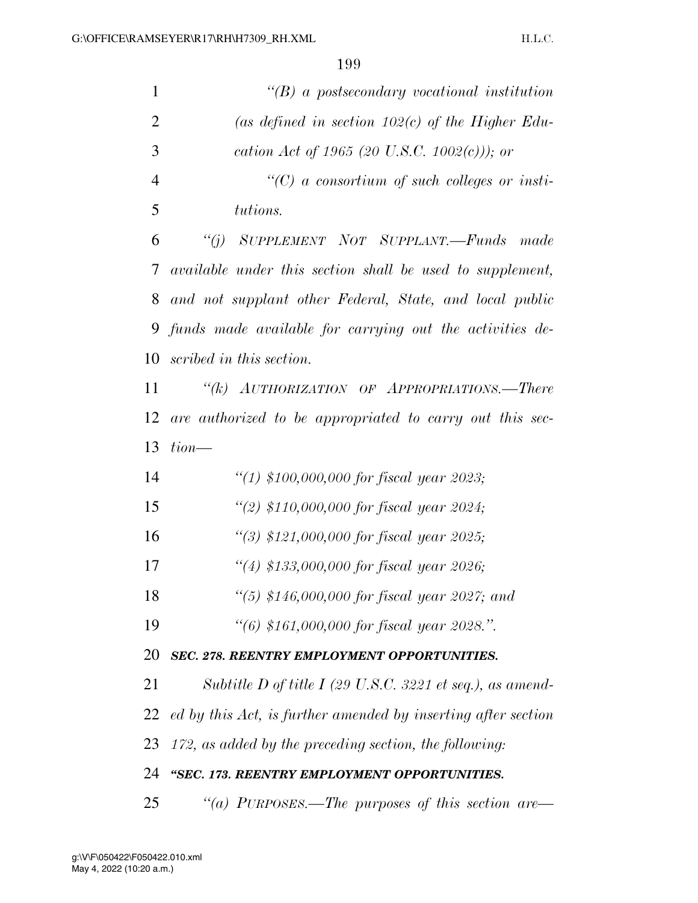| $\mathbf{1}$   | $\lq\lq(B)$ a postsecondary vocational institution               |
|----------------|------------------------------------------------------------------|
| $\overline{2}$ | (as defined in section 102(c) of the Higher Edu-                 |
| 3              | cation Act of 1965 (20 U.S.C. 1002(c))); or                      |
| $\overline{4}$ | $\lq\lq C$ a consortium of such colleges or insti-               |
| 5              | tutions.                                                         |
| 6              | SUPPLEMENT NOT SUPPLANT.-Funds<br>``(j)<br>made                  |
| 7              | <i>available under this section shall be used to supplement,</i> |
| 8              | and not supplant other Federal, State, and local public          |
| 9              | funds made available for carrying out the activities de-         |
| 10             | scribed in this section.                                         |
| 11             | "(k) AUTHORIZATION OF APPROPRIATIONS.—There                      |
| 12             | are authorized to be appropriated to carry out this sec-         |
| 13             | $tion$ —                                                         |
| 14             | "(1) \$100,000,000 for fiscal year 2023;                         |
| 15             | "(2) \$110,000,000 for fiscal year 2024;                         |
| 16             | "(3) $$121,000,000$ for fiscal year 2025;                        |
| 17             | "(4) \$133,000,000 for fiscal year 2026;                         |
| 18             | "(5) $$146,000,000$ for fiscal year 2027; and                    |
| 19             | "(6) \$161,000,000 for fiscal year 2028.".                       |
| 20             | SEC. 278. REENTRY EMPLOYMENT OPPORTUNITIES.                      |
| 21             | Subtitle D of title I (29 U.S.C. 3221 et seq.), as amend-        |
| 22             | ed by this Act, is further amended by inserting after section    |
| 23             | 172, as added by the preceding section, the following:           |
| 24             | "SEC. 173. REENTRY EMPLOYMENT OPPORTUNITIES.                     |
| 25             | "(a) PURPOSES.—The purposes of this section are—                 |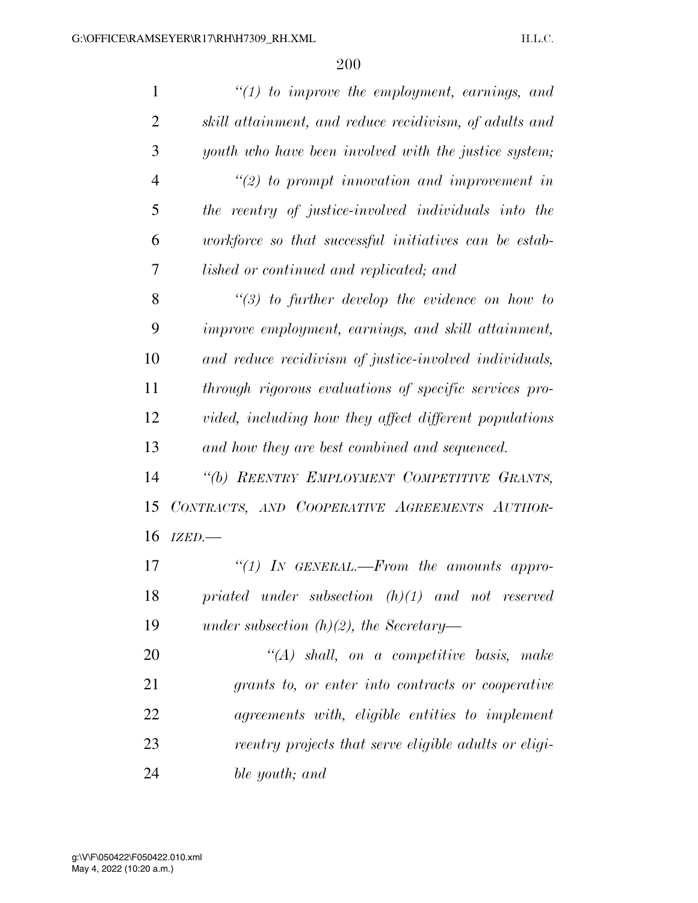| $\mathbf{1}$   | $"(1)$ to improve the employment, earnings, and        |
|----------------|--------------------------------------------------------|
| $\overline{2}$ | skill attainment, and reduce recidivism, of adults and |
| 3              | youth who have been involved with the justice system;  |
| $\overline{4}$ | $\lq(2)$ to prompt innovation and improvement in       |
| 5              | the reentry of justice-involved individuals into the   |
| 6              | workforce so that successful initiatives can be estab- |
| 7              | lished or continued and replicated; and                |
| 8              | $\lq(3)$ to further develop the evidence on how to     |
| 9              | improve employment, earnings, and skill attainment,    |
| 10             | and reduce recidivism of justice-involved individuals, |
| 11             | through rigorous evaluations of specific services pro- |
| 12             | vided, including how they affect different populations |
| 13             | and how they are best combined and sequenced.          |
| 14             | "(b) REENTRY EMPLOYMENT COMPETITIVE GRANTS,            |
| 15             | CONTRACTS, AND COOPERATIVE AGREEMENTS AUTHOR-          |
| 16             | IZED.-                                                 |
| 17             | "(1) IN GENERAL.—From the amounts appro-               |
| 18             | priated under subsection $(h)(1)$ and not reserved     |
| 19             | under subsection $(h)(2)$ , the Secretary-             |
| 20             | $\lq\lq (A)$ shall, on a competitive basis, make       |
| 21             | grants to, or enter into contracts or cooperative      |
| 22             | agreements with, eligible entities to implement        |
| 23             | reentry projects that serve eligible adults or eligi-  |
| 24             | ble youth; and                                         |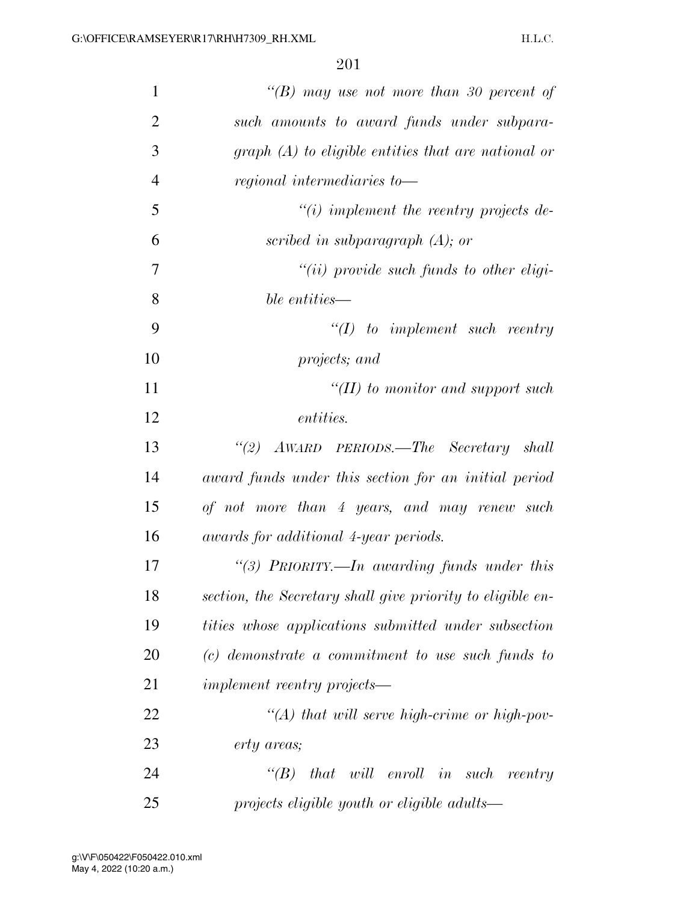| $\mathbf{1}$   | "(B) may use not more than 30 percent of                   |
|----------------|------------------------------------------------------------|
| $\overline{2}$ | such amounts to award funds under subpara-                 |
| 3              | $graph(A)$ to eligible entities that are national or       |
| $\overline{4}$ | regional intermediaries to-                                |
| 5              | $\lq\lq(i)$ implement the reentry projects de-             |
| 6              | scribed in subparagraph $(A)$ ; or                         |
| 7              | $``(ii)$ provide such funds to other eligi-                |
| 8              | ble entities—                                              |
| 9              | $\lq (I)$ to implement such reentry                        |
| 10             | projects; and                                              |
| 11             | "(II) to monitor and support such                          |
| 12             | <i>entities.</i>                                           |
| 13             | "(2) AWARD PERIODS.—The Secretary shall                    |
| 14             | award funds under this section for an initial period       |
| 15             | of not more than 4 years, and may renew such               |
| 16             | awards for additional 4-year periods.                      |
| 17             | "(3) PRIORITY.—In awarding funds under this                |
| 18             | section, the Secretary shall give priority to eligible en- |
| 19             | tities whose applications submitted under subsection       |
| 20             | $(c)$ demonstrate a commitment to use such funds to        |
| 21             | <i>implement reentry projects—</i>                         |
| 22             | $\lq (A)$ that will serve high-crime or high-pov-          |
| 23             | erty areas;                                                |
| 24             | that will enroll in such reentry<br>$\lq(B)$               |
| 25             | projects eligible youth or eligible adults—                |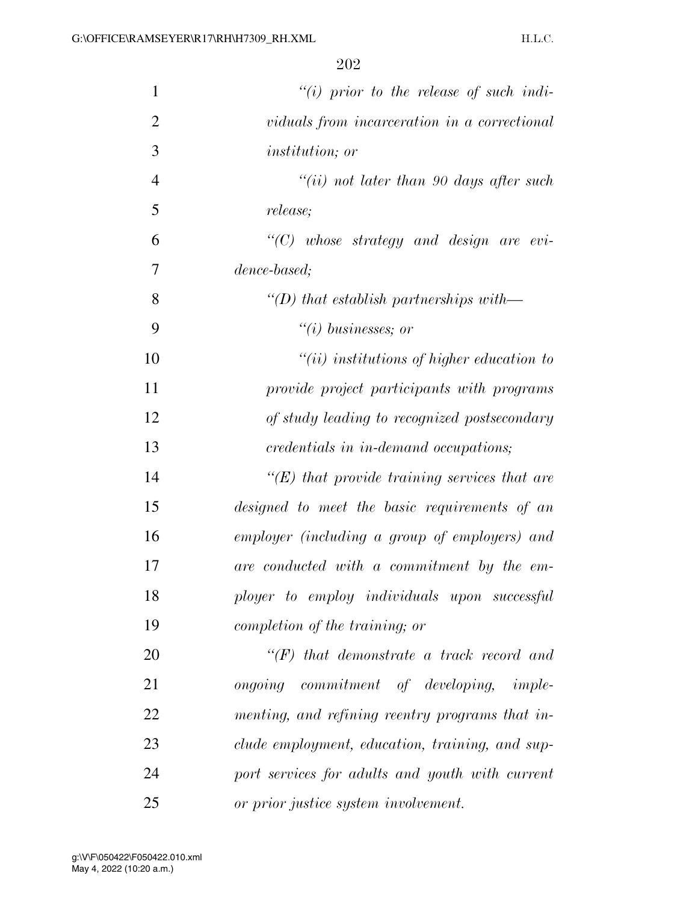| $\mathbf{1}$   | $"(i)$ prior to the release of such indi-           |
|----------------|-----------------------------------------------------|
| $\overline{2}$ | viduals from incarceration in a correctional        |
| 3              | <i>institution</i> ; <i>or</i>                      |
| $\overline{4}$ | "(ii) not later than 90 days after such             |
| 5              | <i>release</i> ;                                    |
| 6              | $\lq\lq C$ whose strategy and design are evi-       |
| 7              | dence-based;                                        |
| 8              | "(D) that establish partnerships with—              |
| 9              | $``(i) \; business\; or$                            |
| 10             | $``(ii)$ institutions of higher education to        |
| 11             | provide project participants with programs          |
| 12             | of study leading to recognized postsecondary        |
| 13             | credentials in in-demand occupations;               |
| 14             | $\lq\lq(E)$ that provide training services that are |
| 15             | designed to meet the basic requirements of an       |
| 16             | employer (including a group of employers) and       |
| 17             | are conducted with a commitment by the em-          |
| 18             | ployer to employ individuals upon successful        |
| 19             | completion of the training; or                      |
| 20             | $\lq\lq(F)$ that demonstrate a track record and     |
| 21             | ongoing commitment of developing, imple-            |
| 22             | menting, and refining reentry programs that in-     |
| 23             | clude employment, education, training, and sup-     |
| 24             | port services for adults and youth with current     |
| 25             | or prior justice system involvement.                |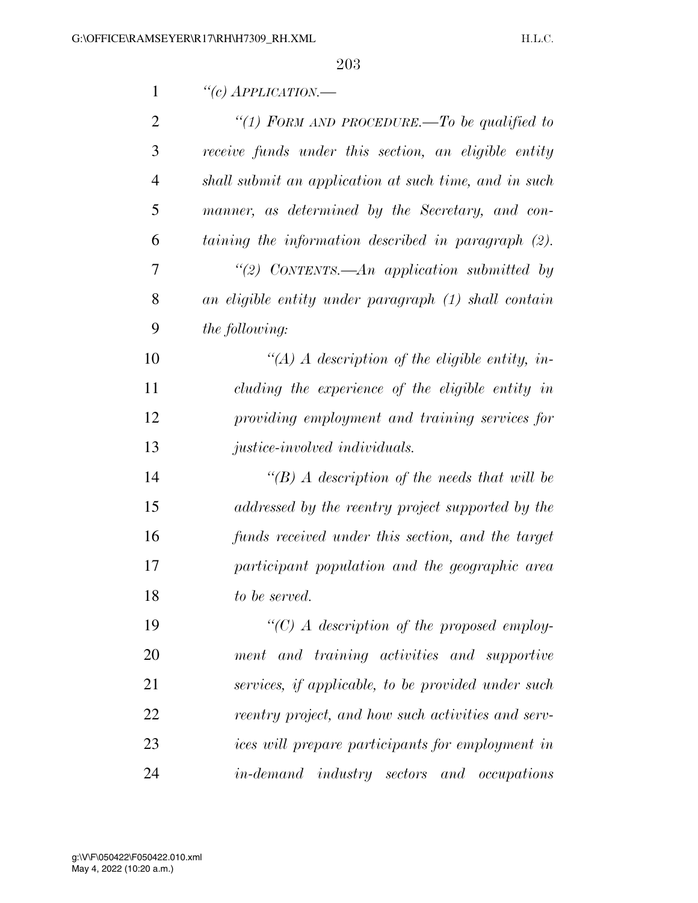| $\mathbf{1}$   | "(c) APPLICATION.-                                    |
|----------------|-------------------------------------------------------|
| $\overline{2}$ | "(1) FORM AND PROCEDURE.—To be qualified to           |
| 3              | receive funds under this section, an eligible entity  |
| $\overline{4}$ | shall submit an application at such time, and in such |
| 5              | manner, as determined by the Secretary, and con-      |
| 6              | taining the information described in paragraph (2).   |
| 7              | "(2) CONTENTS.—An application submitted by            |
| 8              | an eligible entity under paragraph (1) shall contain  |
| 9              | the following:                                        |
| 10             | "(A) A description of the eligible entity, in-        |
| 11             | cluding the experience of the eligible entity in      |
| 12             | providing employment and training services for        |
| 13             | justice-involved individuals.                         |
| 14             | $\lq (B)$ A description of the needs that will be     |
| 15             | addressed by the reentry project supported by the     |
| 16             | funds received under this section, and the target     |
| 17             | participant population and the geographic area        |
| 18             | to be served.                                         |
| 19             | "(C) A description of the proposed employ-            |
| 20             | ment and training activities and supportive           |
| 21             | services, if applicable, to be provided under such    |
| 22             | reentry project, and how such activities and serv-    |
| 23             | ices will prepare participants for employment in      |
| 24             | <i>in-demand industry sectors and occupations</i>     |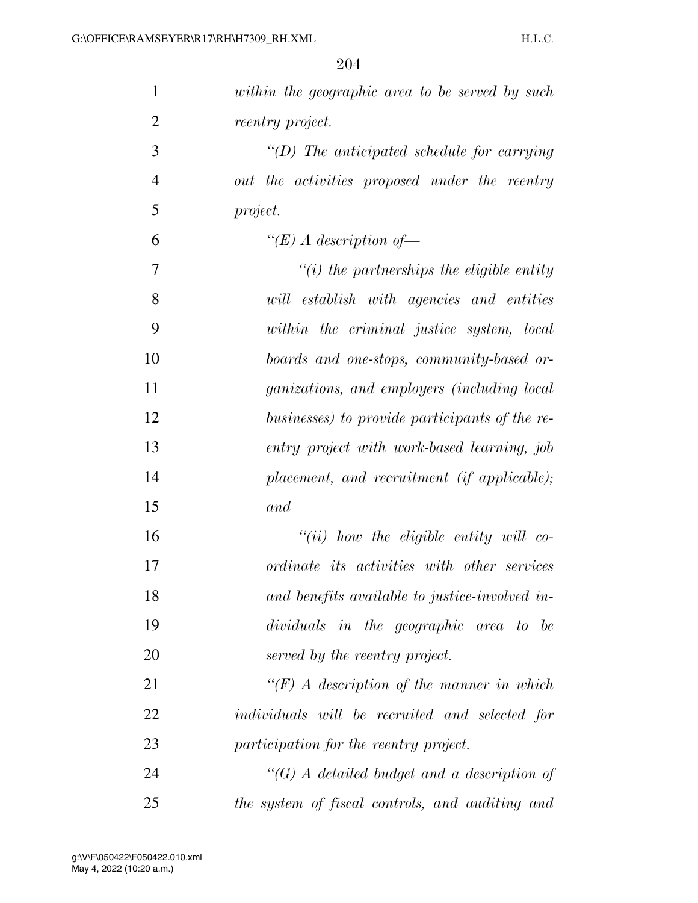| $\mathbf{1}$   | within the geographic area to be served by such    |
|----------------|----------------------------------------------------|
| $\overline{2}$ | reentry project.                                   |
| 3              | $\lq (D)$ The anticipated schedule for carrying    |
| $\overline{4}$ | out the activities proposed under the reentry      |
| 5              | project.                                           |
| 6              | "(E) A description of $-$                          |
| 7              | $\lq\lq(i)$ the partnerships the eligible entity   |
| 8              | will establish with agencies and entities          |
| 9              | within the criminal justice system, local          |
| 10             | boards and one-stops, community-based or-          |
| 11             | <i>ganizations, and employers (including local</i> |
| 12             | businesses) to provide participants of the re-     |
| 13             | entry project with work-based learning, job        |
| 14             | placement, and recruitment (if applicable);        |
| 15             | and                                                |
| 16             | $``(ii)$ how the eligible entity will co-          |
| 17             | ordinate its activities with other services        |
| 18             | and benefits available to justice-involved in-     |
| 19             | dividuals in the geographic area to be             |
| 20             | served by the reentry project.                     |
| 21             | $\lq (F)$ A description of the manner in which     |
| 22             | individuals will be recruited and selected for     |
| 23             | participation for the reentry project.             |
| 24             | $\lq\lq(G)$ A detailed budget and a description of |
| 25             | the system of fiscal controls, and auditing and    |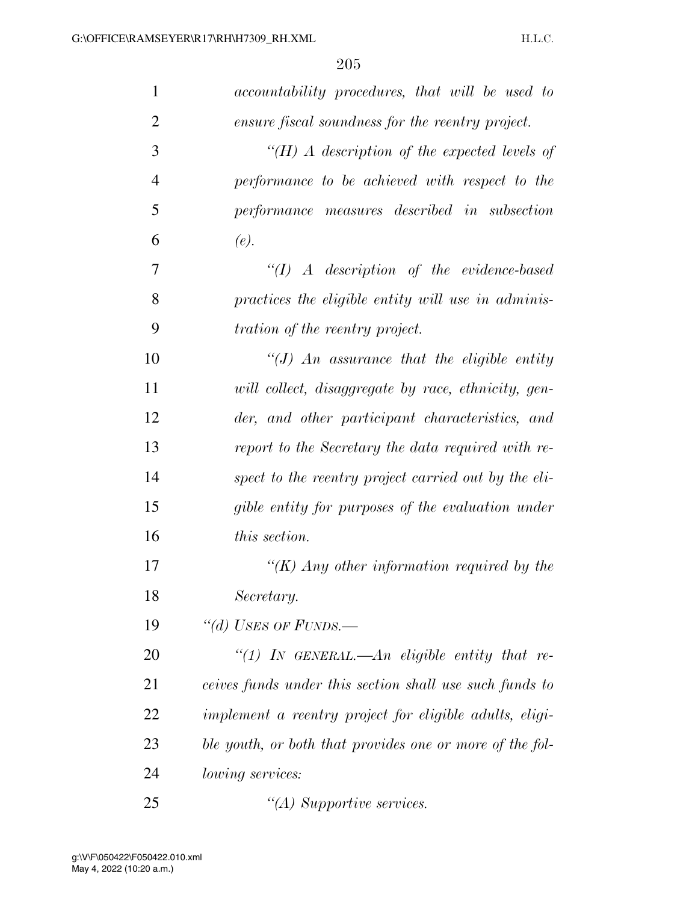| $\mathbf{1}$   | accountability procedures, that will be used to          |
|----------------|----------------------------------------------------------|
| $\overline{2}$ | ensure fiscal soundness for the reentry project.         |
| 3              | " $(H)$ A description of the expected levels of          |
| $\overline{4}$ | performance to be achieved with respect to the           |
| 5              | performance measures described in subsection             |
| 6              | (e).                                                     |
| 7              | $\lq (I)$ A description of the evidence-based            |
| 8              | practices the eligible entity will use in adminis-       |
| 9              | <i>tration of the reentry project.</i>                   |
| 10             | $\lq (J)$ An assurance that the eligible entity          |
| 11             | will collect, disaggregate by race, ethnicity, gen-      |
| 12             | der, and other participant characteristics, and          |
| 13             | report to the Secretary the data required with re-       |
| 14             | spect to the reentry project carried out by the eli-     |
| 15             | gible entity for purposes of the evaluation under        |
| 16             | <i>this section.</i>                                     |
| 17             | "(K) Any other information required by the               |
| 18             | Secretary.                                               |
| 19             | "(d) USES OF FUNDS.—                                     |
| 20             | "(1) In GENERAL.—An eligible entity that re-             |
| 21             | ceives funds under this section shall use such funds to  |
| 22             | implement a reentry project for eligible adults, eligi-  |
| 23             | ble youth, or both that provides one or more of the fol- |
| 24             | <i>lowing services:</i>                                  |
| 25             | $\lq (A)$ Supportive services.                           |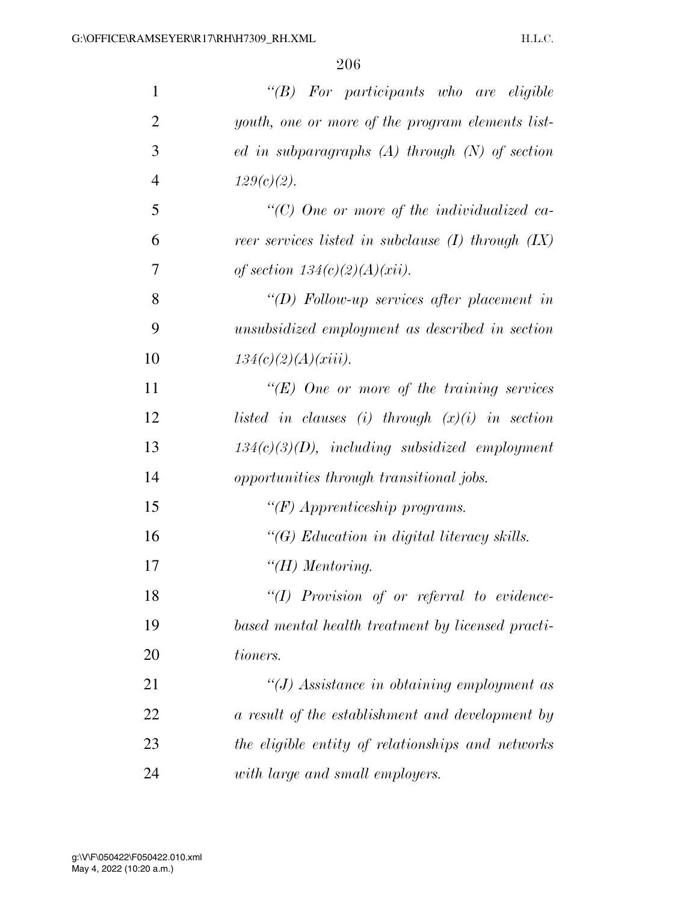| $\mathbf{1}$   | " $(B)$ For participants who are eligible              |
|----------------|--------------------------------------------------------|
| $\overline{2}$ | youth, one or more of the program elements list-       |
| 3              | ed in subparagraphs $(A)$ through $(N)$ of section     |
| $\overline{4}$ | $129(c)(2)$ .                                          |
| 5              | $\lq\lq C$ ) One or more of the individualized ca-     |
| 6              | reer services listed in subclause $(I)$ through $(IX)$ |
| 7              | of section $134(c)(2)(A)(xii)$ .                       |
| 8              | "(D) Follow-up services after placement in             |
| 9              | unsubsidized employment as described in section        |
| 10             | $134(c)(2)(A)(xiii)$ .                                 |
| 11             | " $(E)$ One or more of the training services"          |
| 12             | listed in clauses (i) through $(x)(i)$ in section      |
| 13             | $134(c)(3)(D)$ , including subsidized employment       |
| 14             | opportunities through transitional jobs.               |
| 15             | " $(F)$ Apprenticeship programs.                       |
| 16             | $\lq\lq G$ Education in digital literacy skills.       |
| 17             | $H$ ) Mentoring.                                       |
| 18             | $"(1)$ Provision of or referral to evidence-           |
| 19             | based mental health treatment by licensed practi-      |
| 20             | tioners.                                               |
| 21             | "(J) Assistance in obtaining employment as             |
| 22             | a result of the establishment and development by       |
| 23             | the eligible entity of relationships and networks      |
| 24             | with large and small employers.                        |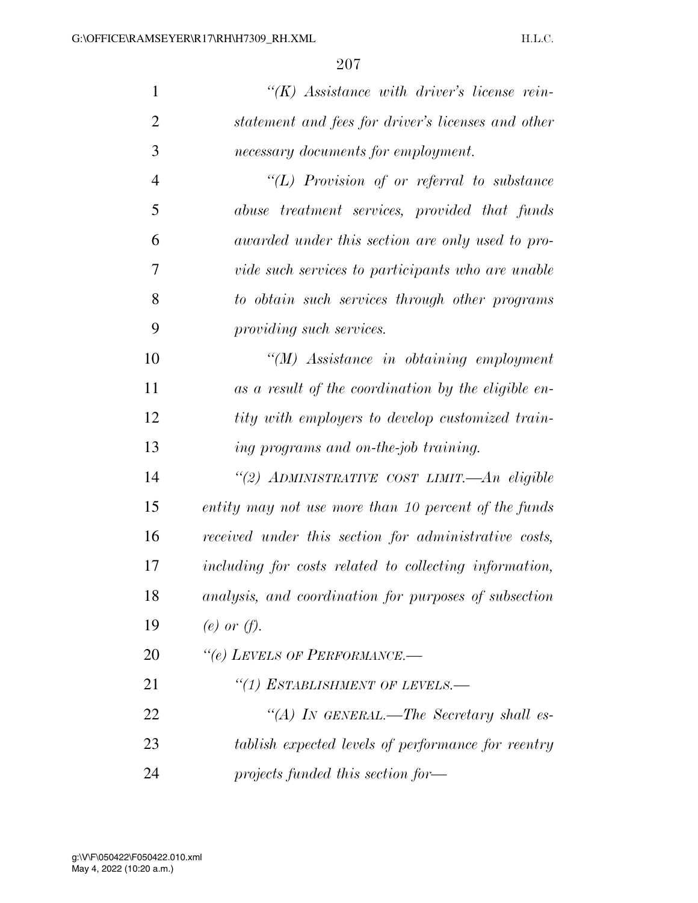| $\mathbf{1}$   | $\lq\lq (K)$ Assistance with driver's license rein-    |
|----------------|--------------------------------------------------------|
| $\overline{2}$ | statement and fees for driver's licenses and other     |
| 3              | necessary documents for employment.                    |
| $\overline{4}$ | " $(L)$ Provision of or referral to substance          |
| 5              | abuse treatment services, provided that funds          |
| 6              | awarded under this section are only used to pro-       |
| 7              | vide such services to participants who are unable      |
| 8              | to obtain such services through other programs         |
| 9              | providing such services.                               |
| 10             | $\lq (M)$ Assistance in obtaining employment           |
| 11             | as a result of the coordination by the eligible en-    |
| 12             | tity with employers to develop customized train-       |
| 13             | ing programs and on-the-job training.                  |
| 14             | "(2) ADMINISTRATIVE COST LIMIT.—An eligible            |
| 15             | entity may not use more than 10 percent of the funds   |
| 16             | received under this section for administrative costs,  |
| 17             | including for costs related to collecting information, |
| 18             | analysis, and coordination for purposes of subsection  |
| 19             | (e) or $(f)$ .                                         |
| 20             | "(e) LEVELS OF PERFORMANCE.-                           |
| 21             | "(1) ESTABLISHMENT OF LEVELS.-                         |
| 22             | "(A) IN GENERAL.—The Secretary shall es-               |
| 23             | tablish expected levels of performance for reentry     |
| 24             | projects funded this section for—                      |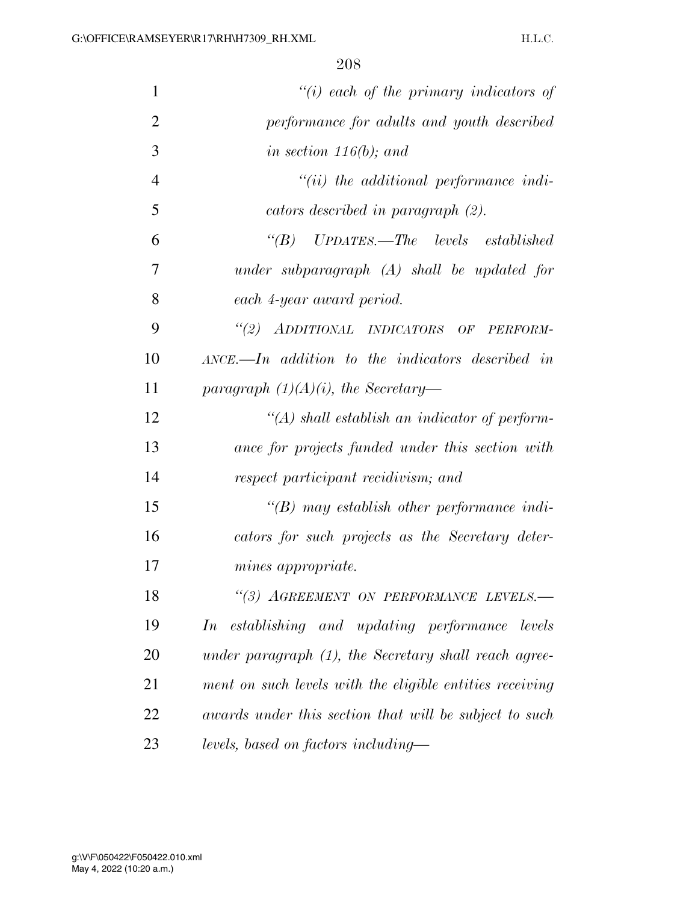| $\mathbf{1}$   | $"(i)$ each of the primary indicators of                  |
|----------------|-----------------------------------------------------------|
| $\overline{2}$ | performance for adults and youth described                |
| 3              | in section $116(b)$ ; and                                 |
| $\overline{4}$ | $"(ii)$ the additional performance indi-                  |
| 5              | cators described in paragraph (2).                        |
| 6              | $\lq\lq B$ UPDATES. The levels established                |
| 7              | under subparagraph $(A)$ shall be updated for             |
| 8              | each 4-year award period.                                 |
| 9              | "(2) ADDITIONAL INDICATORS OF PERFORM-                    |
| 10             | $\Delta NCE$ . In addition to the indicators described in |
| 11             | paragraph $(1)(A)(i)$ , the Secretary-                    |
| 12             | $\lq (A)$ shall establish an indicator of perform-        |
| 13             | ance for projects funded under this section with          |
| 14             | respect participant recidivism; and                       |
| 15             | $\lq (B)$ may establish other performance indi-           |
| 16             | cators for such projects as the Secretary deter-          |
| 17             | <i>mines appropriate.</i>                                 |
| 18             | "(3) AGREEMENT ON PERFORMANCE LEVELS.-                    |
| 19             | establishing and updating performance levels<br>In        |
| 20             | under paragraph (1), the Secretary shall reach agree-     |
| 21             | ment on such levels with the eligible entities receiving  |
| 22             | awards under this section that will be subject to such    |
| 23             | levels, based on factors including—                       |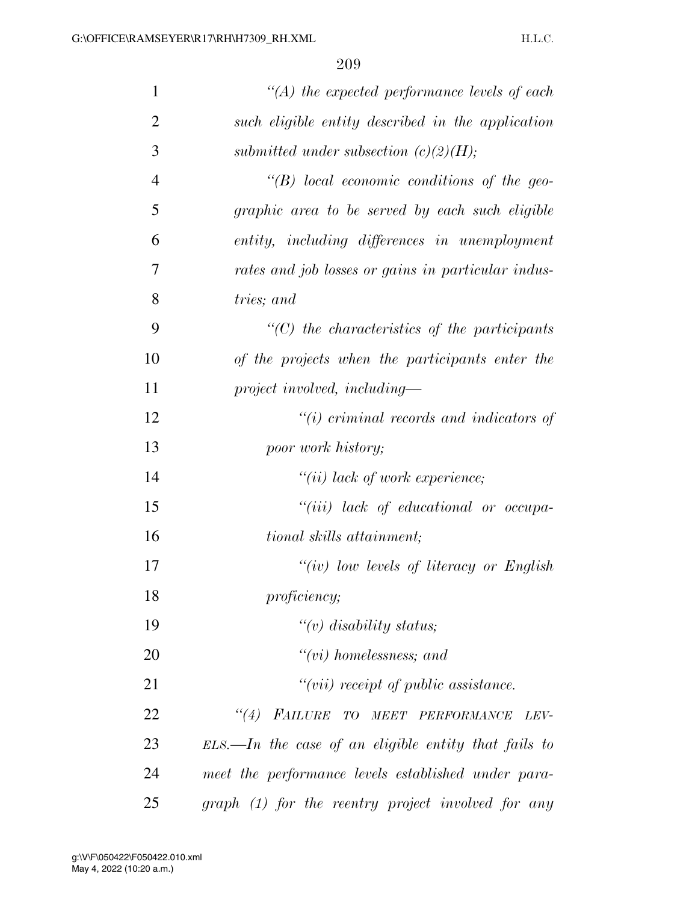| $\mathbf{1}$   | $\lq (A)$ the expected performance levels of each       |
|----------------|---------------------------------------------------------|
| $\overline{2}$ | such eligible entity described in the application       |
| 3              | submitted under subsection $(c)(2)(H);$                 |
| $\overline{4}$ | $\lq\lq B$ ) local economic conditions of the geo-      |
| 5              | graphic area to be served by each such eligible         |
| 6              | entity, including differences in unemployment           |
| 7              | rates and job losses or gains in particular indus-      |
| 8              | tries; and                                              |
| 9              | $"$ (C) the characteristics of the participants         |
| 10             | of the projects when the participants enter the         |
| 11             | $project \, involved, \, including-$                    |
| 12             | $\lq\lq(i)$ criminal records and indicators of          |
| 13             | poor work history;                                      |
| 14             | $"(ii)$ lack of work experience;                        |
| 15             | $``(iii)$ lack of educational or occupa-                |
| 16             | tional skills attainment;                               |
| 17             | " $(iv)$ low levels of literacy or English              |
| 18             | <i>proficiency</i> ;                                    |
| 19             | " $(v)$ disability status;                              |
| 20             | $``(vi)$ homelessness; and                              |
| 21             | $"(vii)$ receipt of public assistance.                  |
| 22             | "(4) FAILURE TO MEET PERFORMANCE<br>LEV-                |
| 23             | $ELS$ . In the case of an eligible entity that fails to |
| 24             | meet the performance levels established under para-     |
| 25             | $graph (1)$ for the reentry project involved for any    |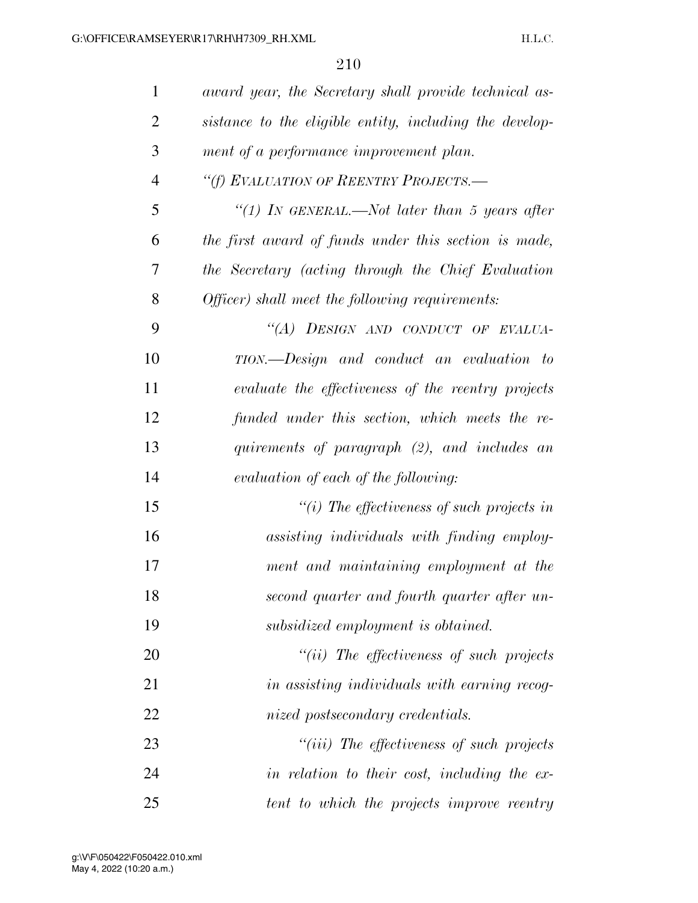| $\mathbf{1}$   | award year, the Secretary shall provide technical as-   |
|----------------|---------------------------------------------------------|
| $\overline{2}$ | sistance to the eligible entity, including the develop- |
| 3              | ment of a performance improvement plan.                 |
| $\overline{4}$ | "(f) EVALUATION OF REENTRY PROJECTS.-                   |
| 5              | "(1) In GENERAL.—Not later than 5 years after           |
| 6              | the first award of funds under this section is made,    |
| 7              | the Secretary (acting through the Chief Evaluation      |
| 8              | Officer) shall meet the following requirements:         |
| 9              | "(A) DESIGN AND CONDUCT OF EVALUA-                      |
| 10             | TION.—Design and conduct an evaluation to               |
| 11             | evaluate the effectiveness of the reentry projects      |
| 12             | funded under this section, which meets the re-          |
| 13             | quirements of paragraph (2), and includes an            |
| 14             | evaluation of each of the following:                    |
| 15             | "(i) The effectiveness of such projects in              |
| 16             | assisting individuals with finding employ-              |
| 17             | ment and maintaining employment at the                  |
| 18             | second quarter and fourth quarter after un-             |
| 19             | subsidized employment is obtained.                      |
| 20             | $``(ii)$ The effectiveness of such projects             |
| 21             | in assisting individuals with earning recog-            |
| 22             | nized postsecondary credentials.                        |
| 23             | $``(iii)$ The effectiveness of such projects            |
| 24             | in relation to their cost, including the ex-            |
| 25             | tent to which the projects improve reentry              |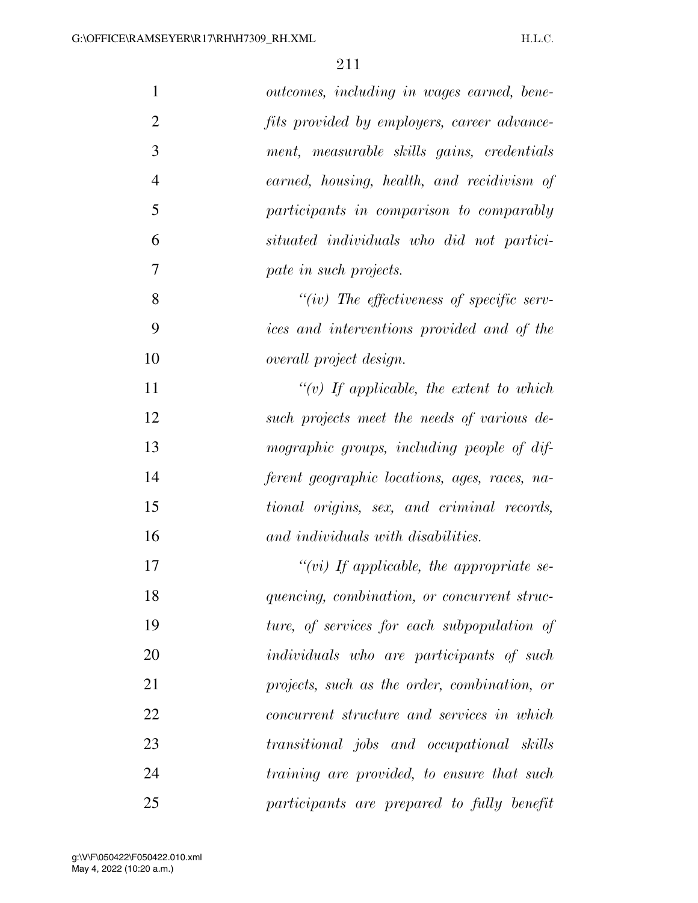| $\mathbf{1}$   | outcomes, including in wages earned, bene-        |
|----------------|---------------------------------------------------|
| $\overline{2}$ | fits provided by employers, career advance-       |
| 3              | ment, measurable skills gains, credentials        |
| $\overline{4}$ | earned, housing, health, and recidivism of        |
| 5              | participants in comparison to comparably          |
| 6              | situated individuals who did not partici-         |
| 7              | pate in such projects.                            |
| 8              | "(iv) The effectiveness of specific serv-         |
| 9              | ices and interventions provided and of the        |
| 10             | overall project design.                           |
| 11             | "(v) If applicable, the extent to which           |
| 12             | such projects meet the needs of various de-       |
| 13             | mographic groups, including people of dif-        |
| 14             | ferent geographic locations, ages, races, na-     |
| 15             | tional origins, sex, and criminal records,        |
| 16             | and individuals with disabilities.                |
| 17             | "(vi) If applicable, the appropriate se-          |
| 18             | quencing, combination, or concurrent struc-       |
| 19             | ture, of services for each subpopulation of       |
| 20             | <i>individuals</i> who are participants of such   |
| 21             | projects, such as the order, combination, or      |
| 22             | <i>concurrent structure and services in which</i> |
| 23             | transitional jobs and occupational skills         |
| 24             | training are provided, to ensure that such        |
| 25             | participants are prepared to fully benefit        |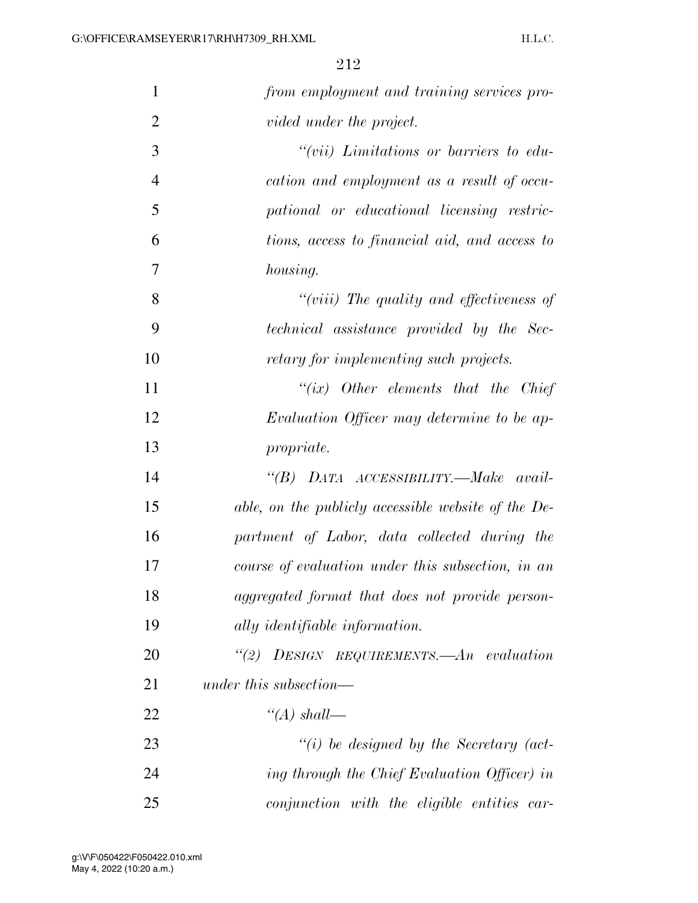| 1              | from employment and training services pro-          |
|----------------|-----------------------------------------------------|
| $\overline{2}$ | vided under the project.                            |
| 3              | $``(vii)$ Limitations or barriers to edu-           |
| 4              | cation and employment as a result of occu-          |
| 5              | pational or educational licensing restric-          |
| 6              | tions, access to financial aid, and access to       |
| 7              | housing.                                            |
| 8              | "(viii) The quality and effectiveness of            |
| 9              | technical assistance provided by the Sec-           |
| 10             | retary for implementing such projects.              |
| 11             | "(ix) Other elements that the Chief                 |
| 12             | Evaluation Officer may determine to be ap-          |
| 13             | <i>propriate.</i>                                   |
| 14             | "(B) DATA ACCESSIBILITY.—Make avail-                |
| 15             | able, on the publicly accessible website of the De- |
| 16             | partment of Labor, data collected during the        |
| 17             | course of evaluation under this subsection, in an   |
| 18             | aggregated format that does not provide person-     |
| 19             | ally identifiable information.                      |
| 20             | "(2) DESIGN REQUIREMENTS. $An$ evaluation           |
| 21             | under this subsection—                              |
| 22             | "(A) shall—                                         |
| 23             | $``(i)$ be designed by the Secretary (act-          |
| 24             | ing through the Chief Evaluation Officer) in        |
| 25             | conjunction with the eligible entities car-         |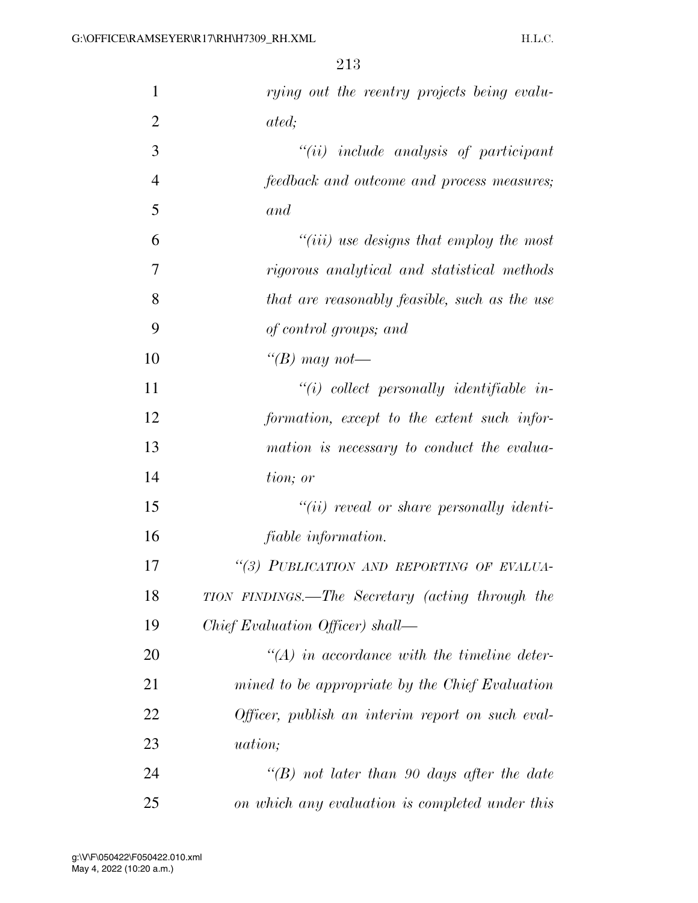| $\mathbf{1}$   | rying out the reentry projects being evalu-      |
|----------------|--------------------------------------------------|
| $\overline{2}$ | ated;                                            |
| 3              | $``(ii)$ include analysis of participant         |
| $\overline{4}$ | feedback and outcome and process measures;       |
| 5              | and                                              |
| 6              | $``(iii)$ use designs that employ the most       |
| 7              | rigorous analytical and statistical methods      |
| 8              | that are reasonably feasible, such as the use    |
| 9              | of control groups; and                           |
| 10             | "(B) may not—                                    |
| 11             | $"(i)$ collect personally identifiable in-       |
| 12             | formation, except to the extent such infor-      |
| 13             | mation is necessary to conduct the evalua-       |
| 14             | tion; or                                         |
| 15             | $``(ii)$ reveal or share personally identi-      |
| 16             | <i>fiable information.</i>                       |
| 17             | "(3) PUBLICATION AND REPORTING OF EVALUA-        |
| 18             | TION FINDINGS.—The Secretary (acting through the |
| 19             | Chief Evaluation Officer) shall—                 |
| 20             | $\lq (A)$ in accordance with the timeline deter- |
| 21             | mined to be appropriate by the Chief Evaluation  |
| 22             | Officer, publish an interim report on such eval- |
| 23             | <i>uation</i> ;                                  |
| 24             | "(B) not later than 90 days after the date       |
| 25             | on which any evaluation is completed under this  |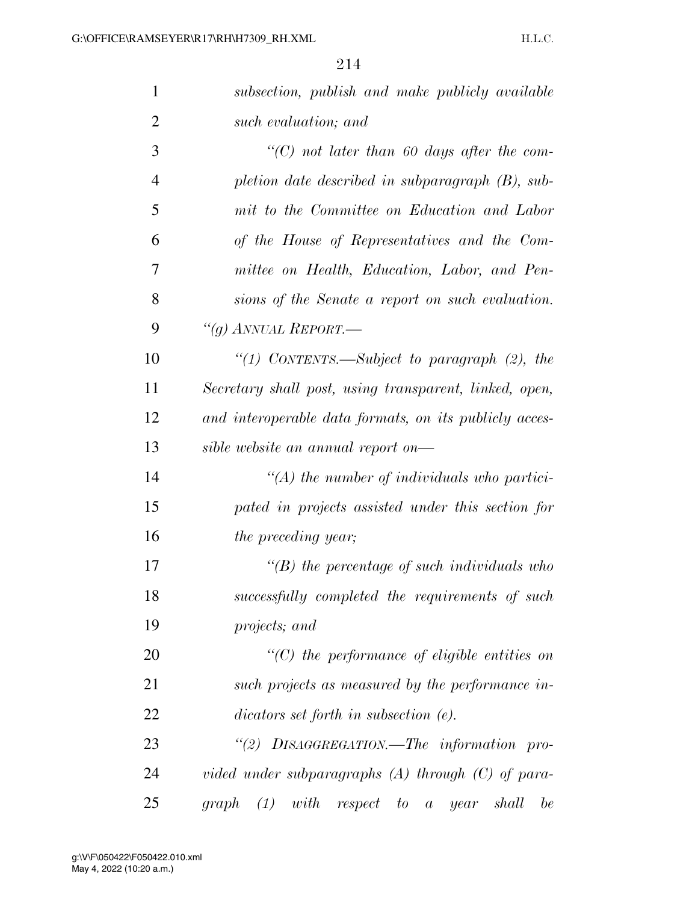| $\mathbf{1}$   | subsection, publish and make publicly available        |
|----------------|--------------------------------------------------------|
| $\overline{2}$ | such evaluation; and                                   |
| 3              | $\lq\lq C$ not later than 60 days after the com-       |
| $\overline{4}$ | pletion date described in subparagraph $(B)$ , sub-    |
| 5              | mit to the Committee on Education and Labor            |
| 6              | of the House of Representatives and the Com-           |
| 7              | mittee on Health, Education, Labor, and Pen-           |
| 8              | sions of the Senate a report on such evaluation.       |
| 9              | "(g) ANNUAL REPORT.—                                   |
| 10             | "(1) CONTENTS.—Subject to paragraph $(2)$ , the        |
| 11             | Secretary shall post, using transparent, linked, open, |
| 12             | and interoperable data formats, on its publicly acces- |
| 13             | sible website an annual report on—                     |
| 14             | $\lq (A)$ the number of individuals who partici-       |
| 15             | pated in projects assisted under this section for      |
| 16             | <i>the preceding year</i> ;                            |
| 17             | $\lq (B)$ the percentage of such individuals who       |
| 18             | successfully completed the requirements of such        |
| 19             | projects; and                                          |
| 20             | $\lq\lq C$ ) the performance of eligible entities on   |
| 21             | such projects as measured by the performance in-       |
| 22             | $dicators set forth$ in subsection $(e)$ .             |
| 23             | "(2) DISAGGREGATION.—The information pro-              |
| 24             | vided under subparagraphs $(A)$ through $(C)$ of para- |
| 25             | graph (1) with respect to a year<br>shall<br>be        |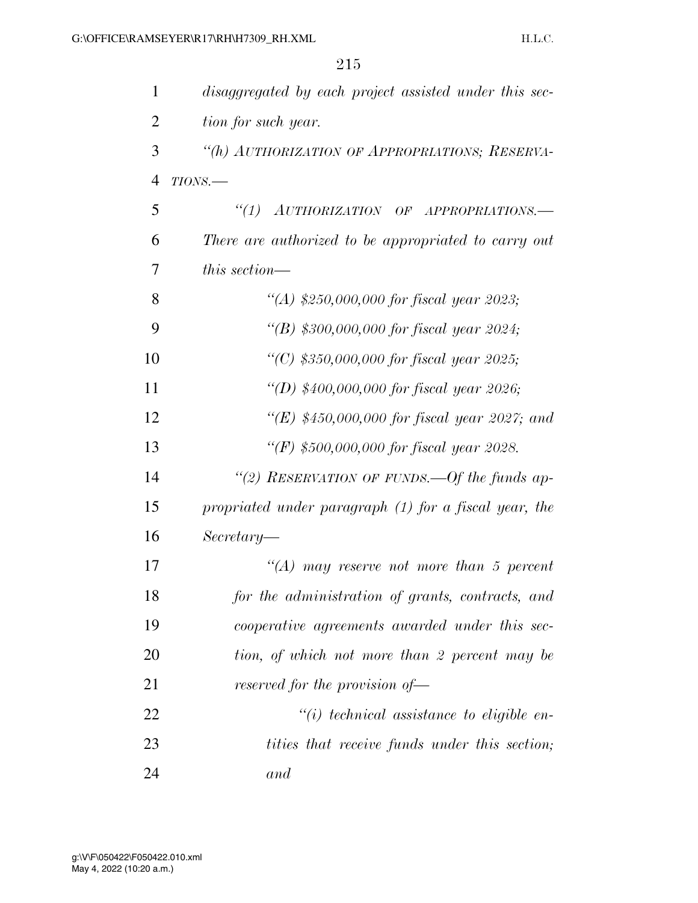| $\mathbf{1}$   | disaggregated by each project assisted under this sec- |
|----------------|--------------------------------------------------------|
| $\overline{2}$ | tion for such year.                                    |
| 3              | "(h) AUTHORIZATION OF APPROPRIATIONS; RESERVA-         |
| $\overline{4}$ | $TIONS$ .                                              |
| 5              | "(1) AUTHORIZATION OF APPROPRIATIONS.-                 |
| 6              | There are authorized to be appropriated to carry out   |
| 7              | this section—                                          |
| 8              | "(A) \$250,000,000 for fiscal year 2023;               |
| 9              | "(B) \$300,000,000 for fiscal year 2024;               |
| 10             | "(C) $$350,000,000$ for fiscal year 2025;              |
| 11             | "(D) $$400,000,000$ for fiscal year 2026;              |
| 12             | "(E) \$450,000,000 for fiscal year 2027; and           |
| 13             | "(F) $$500,000,000$ for fiscal year 2028.              |
| 14             | "(2) RESERVATION OF FUNDS.—Of the funds ap-            |
| 15             | propriated under paragraph (1) for a fiscal year, the  |
| 16             | $Secretary-$                                           |
| 17             | $H(A)$ may reserve not more than 5 percent             |
| 18             | for the administration of grants, contracts, and       |
| 19             | cooperative agreements awarded under this sec-         |
| 20             | tion, of which not more than 2 percent may be          |
| 21             | reserved for the provision of-                         |
| 22             | $``(i)$ technical assistance to eligible en-           |
| 23             | tities that receive funds under this section;          |
| 24             | and                                                    |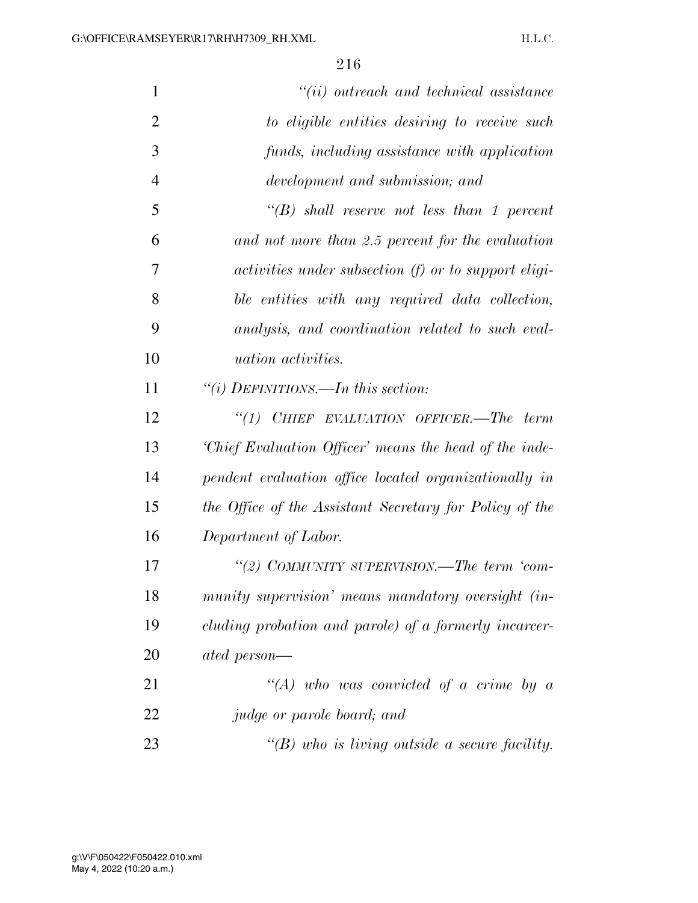| $\mathbf{1}$   | $``(ii)$ outreach and technical assistance                  |
|----------------|-------------------------------------------------------------|
| $\overline{2}$ | to eligible entities desiring to receive such               |
| 3              | funds, including assistance with application                |
| $\overline{4}$ | development and submission; and                             |
| 5              | $\lq\lq(B)$ shall reserve not less than 1 percent           |
| 6              | and not more than 2.5 percent for the evaluation            |
| 7              | <i>activities under subsection (f) or to support eligi-</i> |
| 8              | ble entities with any required data collection,             |
| 9              | analysis, and coordination related to such eval-            |
| 10             | <i>uation activities.</i>                                   |
| 11             | "(i) DEFINITIONS.—In this section:                          |
| 12             | "(1) CHIEF EVALUATION OFFICER.—The term                     |
| 13             | 'Chief Evaluation Officer' means the head of the inde-      |
| 14             | pendent evaluation office located organizationally in       |
| 15             | the Office of the Assistant Secretary for Policy of the     |
| 16             | Department of Labor.                                        |
| 17             | "(2) COMMUNITY SUPERVISION.—The term 'com-                  |
| 18             | munity supervision' means mandatory oversight (in-          |
| 19             | cluding probation and parole) of a formerly incarcer-       |
| 20             | ated person—                                                |
| 21             | $\lq (A)$ who was convicted of a crime by a                 |
| 22             | judge or parole board; and                                  |
| 23             | "(B) who is living outside a secure facility.               |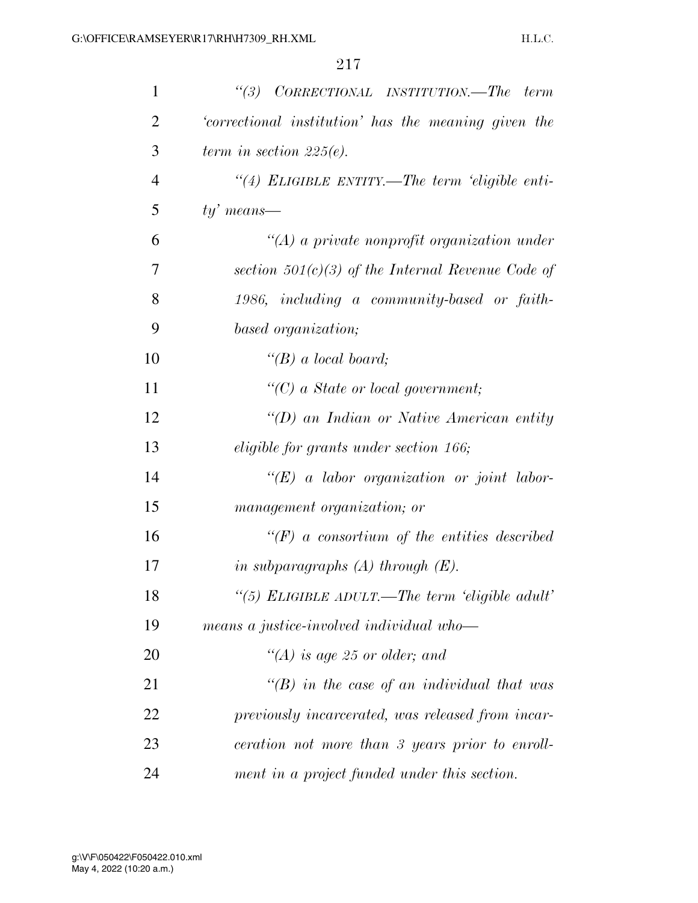| $\mathbf{1}$   | CORRECTIONAL INSTITUTION.—The term<br>(3)            |
|----------------|------------------------------------------------------|
| $\overline{2}$ | 'correctional institution' has the meaning given the |
| 3              | term in section $225(e)$ .                           |
| $\overline{4}$ | "(4) ELIGIBLE ENTITY.—The term 'eligible enti-       |
| 5              | $ty'$ means—                                         |
| 6              | $\lq (A)$ a private nonprofit organization under     |
| 7              | section $501(c)(3)$ of the Internal Revenue Code of  |
| 8              | 1986, including a community-based or faith-          |
| 9              | based organization;                                  |
| 10             | "(B) a local board;                                  |
| 11             | $\lq\lq C$ a State or local government;              |
| 12             | "(D) an Indian or Native American entity             |
| 13             | eligible for grants under section 166;               |
| 14             | $\lq\lq (E)$ a labor organization or joint labor-    |
| 15             | management organization; or                          |
| 16             | $\lq\lq(F)$ a consortium of the entities described   |
| 17             | in subparagraphs $(A)$ through $(E)$ .               |
| 18             | "(5) ELIGIBLE ADULT.—The term 'eligible adult'       |
| 19             | means a justice-involved individual who-             |
| 20             | "(A) is age 25 or older; and                         |
| 21             | $\lq\lq(B)$ in the case of an individual that was    |
| 22             | previously incarcerated, was released from incar-    |
| 23             | ceration not more than 3 years prior to enroll-      |
| 24             | ment in a project funded under this section.         |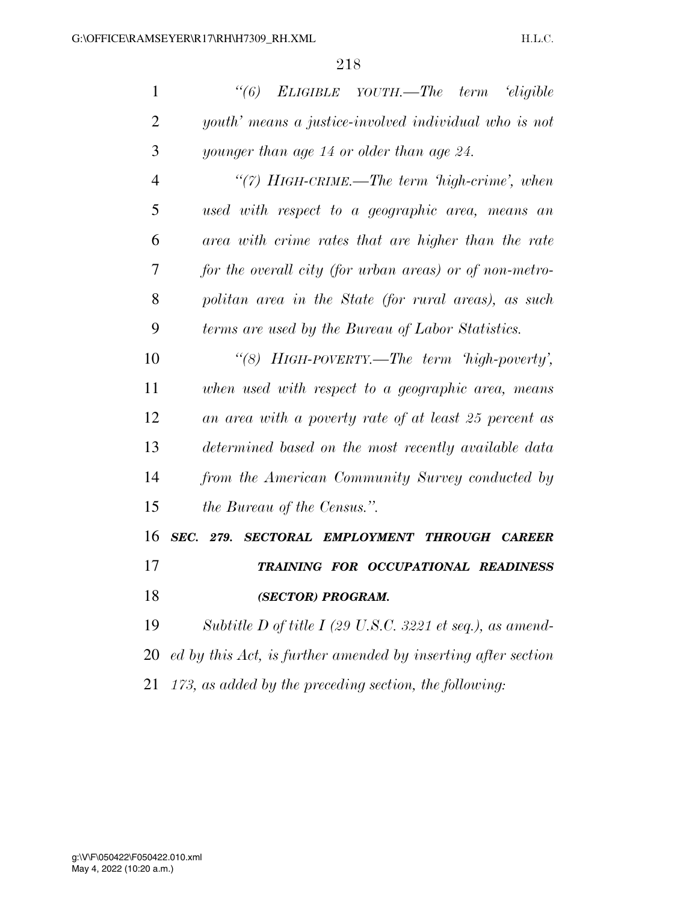| $\mathbf{1}$   | (6)<br>ELIGIBLE YOUTH.—The term 'eligible                     |
|----------------|---------------------------------------------------------------|
| $\overline{2}$ | youth' means a justice-involved individual who is not         |
| 3              | younger than age 14 or older than age 24.                     |
| $\overline{4}$ | "(7) HIGH-CRIME.—The term 'high-crime', when                  |
| 5              | used with respect to a geographic area, means an              |
| 6              | area with crime rates that are higher than the rate           |
| 7              | for the overall city (for urban areas) or of non-metro-       |
| 8              | politan area in the State (for rural areas), as such          |
| 9              | terms are used by the Bureau of Labor Statistics.             |
| 10             | "(8) HIGH-POVERTY.—The term $high-power$ ,"                   |
| 11             | when used with respect to a geographic area, means            |
| 12             | an area with a poverty rate of at least 25 percent as         |
| 13             | determined based on the most recently available data          |
| 14             | from the American Community Survey conducted by               |
| 15             | <i>the Bureau of the Census.</i> ".                           |
| 16             | SEC. 279.<br>SECTORAL EMPLOYMENT THROUGH CAREER               |
| 17             | TRAINING FOR OCCUPATIONAL READINESS                           |
| 18             | (SECTOR) PROGRAM.                                             |
| 19             | Subtitle D of title I (29 U.S.C. 3221 et seq.), as amend-     |
| 20             | ed by this Act, is further amended by inserting after section |
| 21             | 173, as added by the preceding section, the following:        |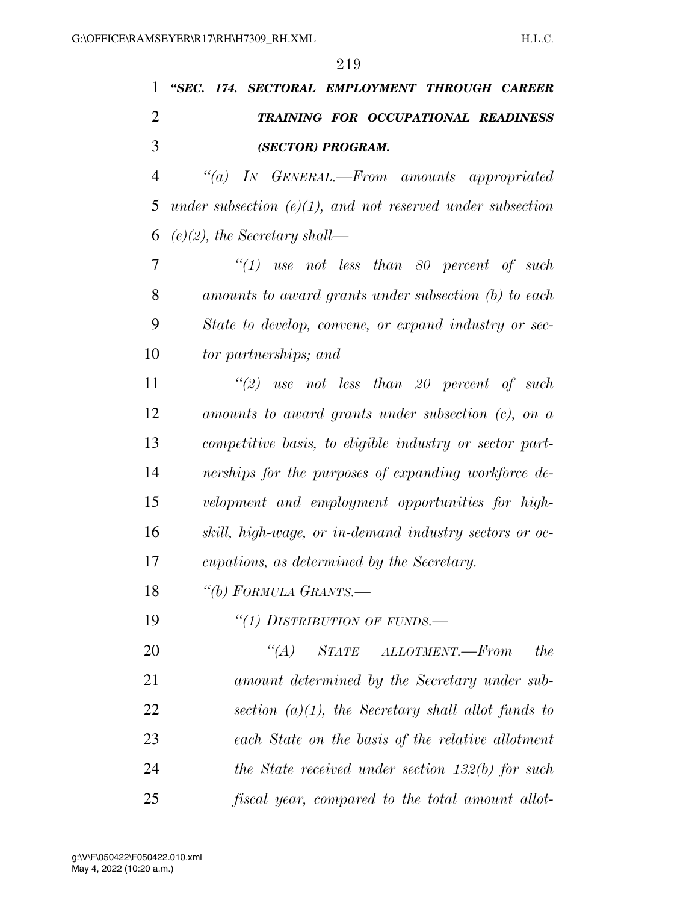# *''SEC. 174. SECTORAL EMPLOYMENT THROUGH CAREER TRAINING FOR OCCUPATIONAL READINESS (SECTOR) PROGRAM.*

 *''(a) IN GENERAL.—From amounts appropriated under subsection (e)(1), and not reserved under subsection (e)(2), the Secretary shall—* 

 *''(1) use not less than 80 percent of such amounts to award grants under subsection (b) to each State to develop, convene, or expand industry or sec-tor partnerships; and* 

 *''(2) use not less than 20 percent of such amounts to award grants under subsection (c), on a competitive basis, to eligible industry or sector part- nerships for the purposes of expanding workforce de- velopment and employment opportunities for high- skill, high-wage, or in-demand industry sectors or oc-cupations, as determined by the Secretary.* 

*''(b) FORMULA GRANTS.—* 

*''(1) DISTRIBUTION OF FUNDS.—* 

 *''(A) STATE ALLOTMENT.—From the amount determined by the Secretary under sub- section (a)(1), the Secretary shall allot funds to each State on the basis of the relative allotment the State received under section 132(b) for such fiscal year, compared to the total amount allot-*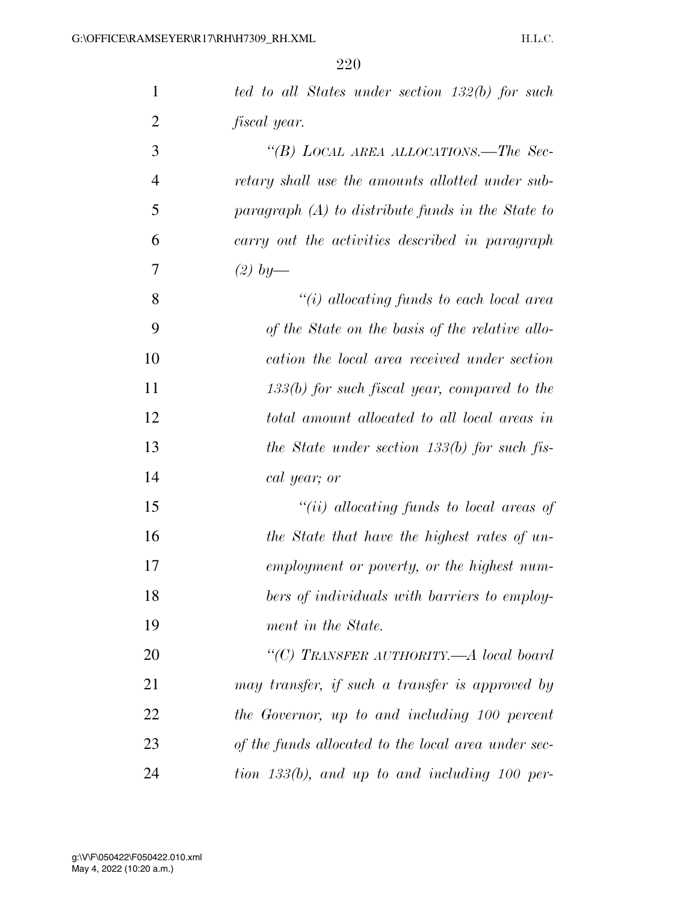| $\mathbf{1}$   | ted to all States under section 132(b) for such     |
|----------------|-----------------------------------------------------|
| $\overline{2}$ | fiscal year.                                        |
| 3              | "(B) LOCAL AREA ALLOCATIONS.—The Sec-               |
| $\overline{4}$ | retary shall use the amounts allotted under sub-    |
| 5              | paragraph $(A)$ to distribute funds in the State to |
| 6              | carry out the activities described in paragraph     |
| 7              | $(2)$ by-                                           |
| 8              | "(i) allocating funds to each local area            |
| 9              | of the State on the basis of the relative allo-     |
| 10             | cation the local area received under section        |
| 11             | $133(b)$ for such fiscal year, compared to the      |
| 12             | total amount allocated to all local areas in        |
| 13             | the State under section $133(b)$ for such fis-      |
| 14             | cal year; or                                        |
| 15             | "(ii) allocating funds to local areas of            |
| 16             | the State that have the highest rates of un-        |
| 17             | employment or poverty, or the highest num-          |
| 18             | bers of individuals with barriers to employ-        |
| 19             | ment in the State.                                  |
| 20             | "(C) TRANSFER AUTHORITY.—A local board              |
| 21             | may transfer, if such a transfer is approved by     |
| 22             | the Governor, up to and including 100 percent       |
| 23             | of the funds allocated to the local area under sec- |
| 24             | tion $133(b)$ , and up to and including 100 per-    |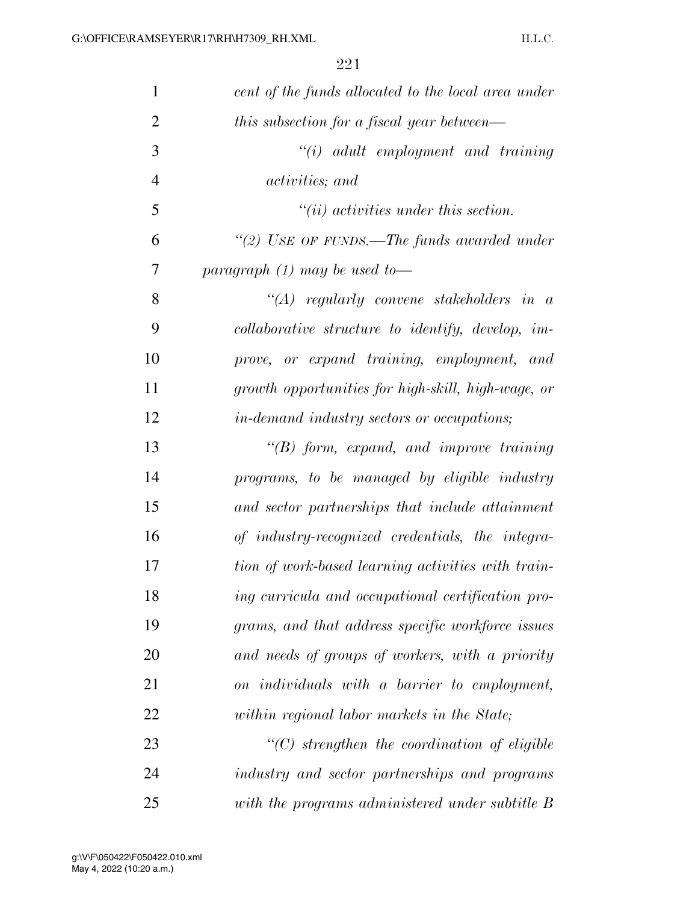| 1              | cent of the funds allocated to the local area under |
|----------------|-----------------------------------------------------|
| $\overline{2}$ | this subsection for a fiscal year between—          |
| 3              | $"(i)$ adult employment and training                |
| 4              | <i>activities</i> ; and                             |
| 5              | $``(ii)$ activities under this section.             |
| 6              | "(2) USE OF FUNDS.—The funds awarded under          |
| 7              | paragraph $(1)$ may be used to-                     |
| 8              | "(A) regularly convene stakeholders in $\alpha$     |
| 9              | collaborative structure to identify, develop, im-   |
| 10             | prove, or expand training, employment, and          |
| 11             | growth opportunities for high-skill, high-wage, or  |
| 12             | in-demand industry sectors or occupations;          |
| 13             | $\lq\lq B$ form, expand, and improve training       |
| 14             | programs, to be managed by eligible industry        |
| 15             | and sector partnerships that include attainment     |
| 16             | of industry-recognized credentials, the integra-    |
| 17             | tion of work-based learning activities with train-  |
| 18             | ing curricula and occupational certification pro-   |
| 19             | grams, and that address specific workforce issues   |
| 20             | and needs of groups of workers, with a priority     |
| 21             | on individuals with a barrier to employment,        |
| 22             | within regional labor markets in the State;         |
| 23             | $"$ (C) strengthen the coordination of eligible     |
| 24             | industry and sector partnerships and programs       |
| 25             | with the programs administered under subtitle B     |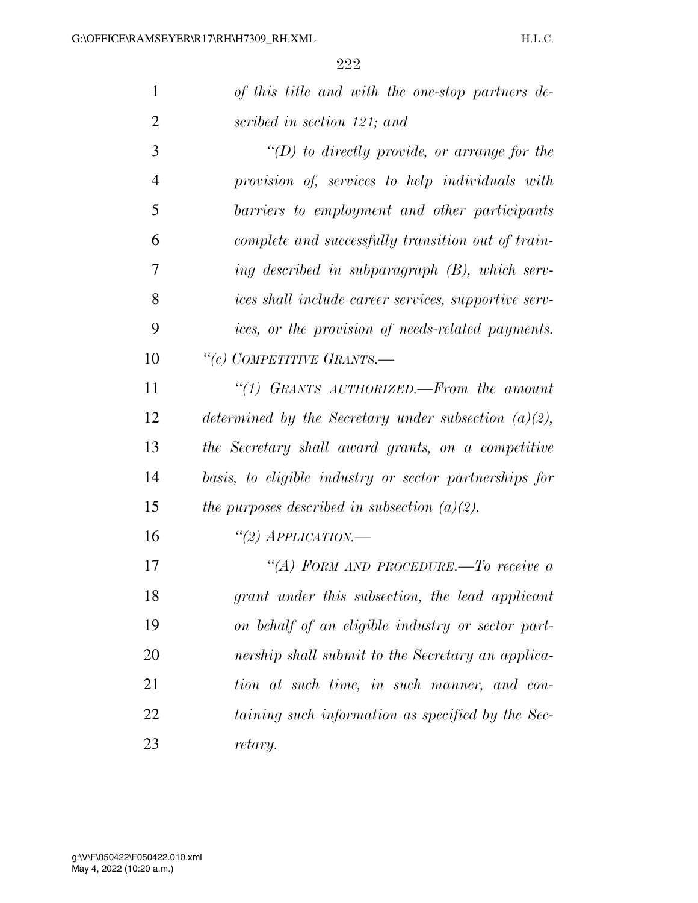| 1              | of this title and with the one-stop partners de-        |
|----------------|---------------------------------------------------------|
| $\overline{2}$ | scribed in section 121; and                             |
| 3              | "(D) to directly provide, or arrange for the            |
| $\overline{4}$ | provision of, services to help individuals with         |
| 5              | barriers to employment and other participants           |
| 6              | complete and successfully transition out of train-      |
| 7              | ing described in subparagraph $(B)$ , which serv-       |
| 8              | ices shall include career services, supportive serv-    |
| 9              | ices, or the provision of needs-related payments.       |
| 10             | "(c) COMPETITIVE GRANTS.-                               |
| 11             | "(1) GRANTS AUTHORIZED.—From the amount                 |
| 12             | determined by the Secretary under subsection $(a)(2)$ , |
| 13             | the Secretary shall award grants, on a competitive      |
| 14             | basis, to eligible industry or sector partnerships for  |
| 15             | the purposes described in subsection $(a)(2)$ .         |
| 16             | "(2) APPLICATION.—                                      |
| 17             | "(A) FORM AND PROCEDURE.—To receive a                   |
| 18             | grant under this subsection, the lead applicant         |
| 19             | on behalf of an eligible industry or sector part-       |
| 20             | nership shall submit to the Secretary an applica-       |
| 21             | tion at such time, in such manner, and con-             |
| 22             | taining such information as specified by the Sec-       |
| 23             | retary.                                                 |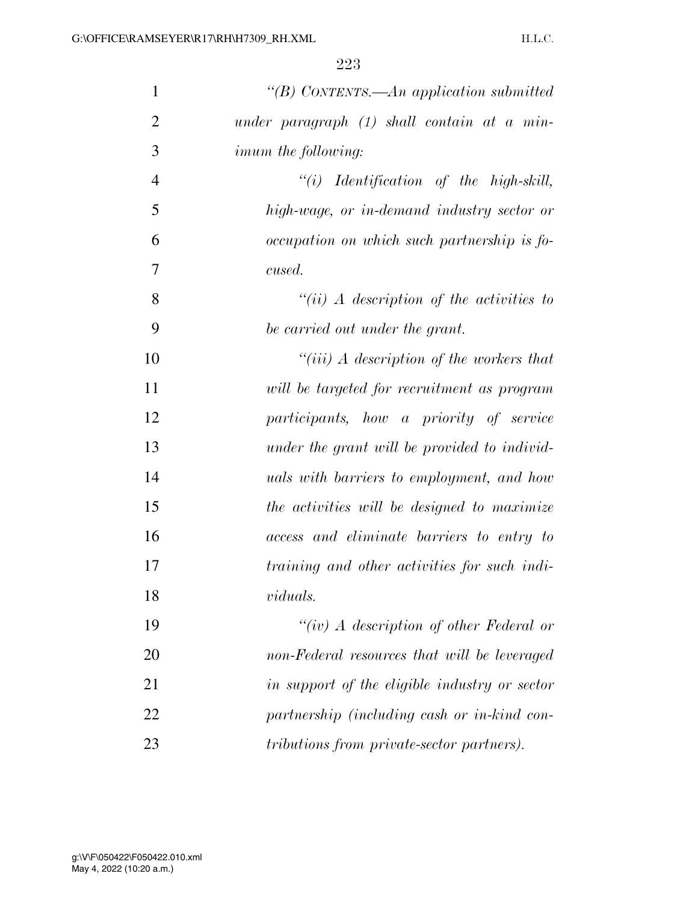| $\mathbf{1}$   | "(B) CONTENTS.—An application submitted          |
|----------------|--------------------------------------------------|
| $\overline{2}$ | under paragraph $(1)$ shall contain at a min-    |
| 3              | <i>imum the following:</i>                       |
| $\overline{4}$ | $``(i)$ Identification of the high-skill,        |
| 5              | high-wage, or in-demand industry sector or       |
| 6              | occupation on which such partnership is fo-      |
| 7              | cused.                                           |
| 8              | "(ii) A description of the activities to         |
| 9              | be carried out under the grant.                  |
| 10             | "(iii) $\Lambda$ description of the workers that |
| 11             | will be targeted for recruitment as program      |
| 12             | participants, how a priority of service          |
| 13             | under the grant will be provided to individ-     |
| 14             | <i>uals with barriers to employment, and how</i> |
| 15             | the activities will be designed to maximize      |
| 16             | access and eliminate barriers to entry to        |
| 17             | training and other activities for such indi-     |
| 18             | viduals.                                         |
| 19             | "(iv) A description of other Federal or          |
| 20             | non-Federal resources that will be leveraged     |
| 21             | in support of the eligible industry or sector    |
| 22             | partnership (including cash or in-kind con-      |
| 23             | tributions from private-sector partners).        |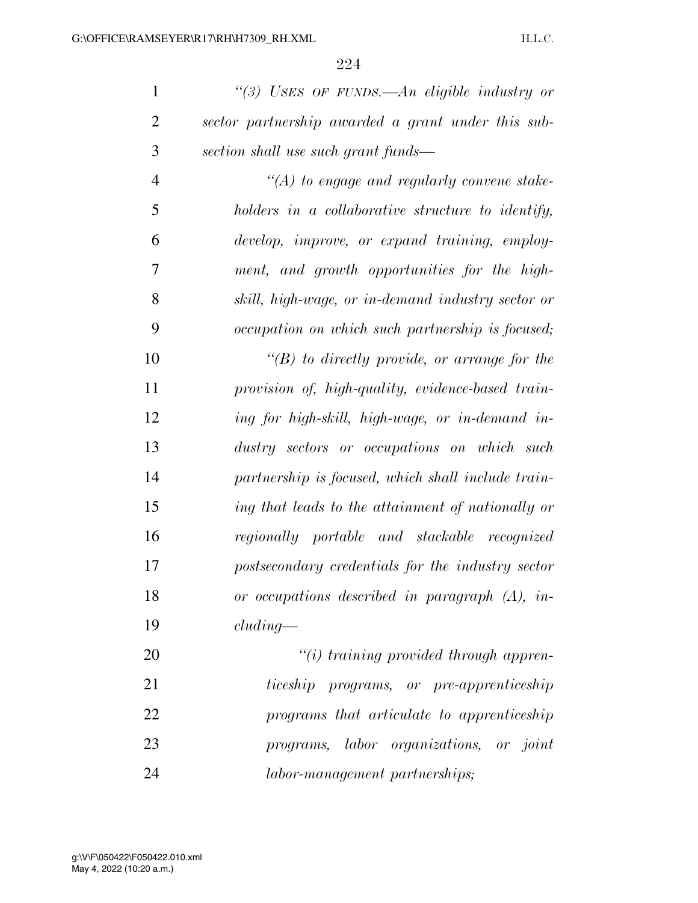*''(3) USES OF FUNDS.—An eligible industry or sector partnership awarded a grant under this sub-section shall use such grant funds—* 

 *''(A) to engage and regularly convene stake- holders in a collaborative structure to identify, develop, improve, or expand training, employ- ment, and growth opportunities for the high- skill, high-wage, or in-demand industry sector or occupation on which such partnership is focused;* 

 *''(B) to directly provide, or arrange for the provision of, high-quality, evidence-based train- ing for high-skill, high-wage, or in-demand in- dustry sectors or occupations on which such partnership is focused, which shall include train- ing that leads to the attainment of nationally or regionally portable and stackable recognized postsecondary credentials for the industry sector or occupations described in paragraph (A), in-cluding—* 

 *''(i) training provided through appren- ticeship programs, or pre-apprenticeship programs that articulate to apprenticeship programs, labor organizations, or joint labor-management partnerships;*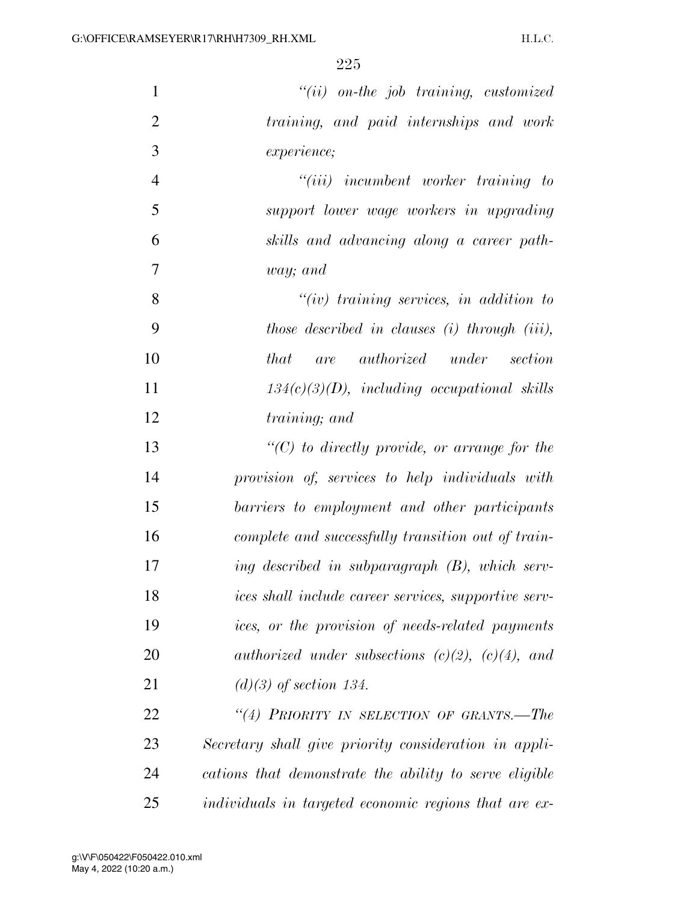| $\mathbf{1}$   | $``(ii)$ on-the job training, customized               |
|----------------|--------------------------------------------------------|
| $\overline{2}$ | training, and paid internships and work                |
| 3              | <i>experience</i> ;                                    |
| $\overline{4}$ | $``(iii)$ incumbent worker training to                 |
| 5              | support lower wage workers in upgrading                |
| 6              | skills and advancing along a career path-              |
| 7              | way; and                                               |
| 8              | $``(iv)$ training services, in addition to             |
| 9              | those described in clauses (i) through (iii),          |
| 10             | <i>that</i> are authorized under section               |
| 11             | $134(c)(3)(D)$ , including occupational skills         |
| 12             | training; and                                          |
| 13             | $\lq\lq C$ to directly provide, or arrange for the     |
| 14             | provision of, services to help individuals with        |
| 15             | barriers to employment and other participants          |
| 16             | complete and successfully transition out of train-     |
| 17             | ing described in subparagraph (B), which serv-         |
| 18             | ices shall include career services, supportive serv-   |
| 19             | ices, or the provision of needs-related payments       |
| 20             | authorized under subsections $(c)(2)$ , $(c)(4)$ , and |
| 21             | $(d)(3)$ of section 134.                               |
| 22             | "(4) PRIORITY IN SELECTION OF GRANTS.-The              |
| 23             | Secretary shall give priority consideration in appli-  |
| 24             | cations that demonstrate the ability to serve eligible |
| 25             | individuals in targeted economic regions that are ex-  |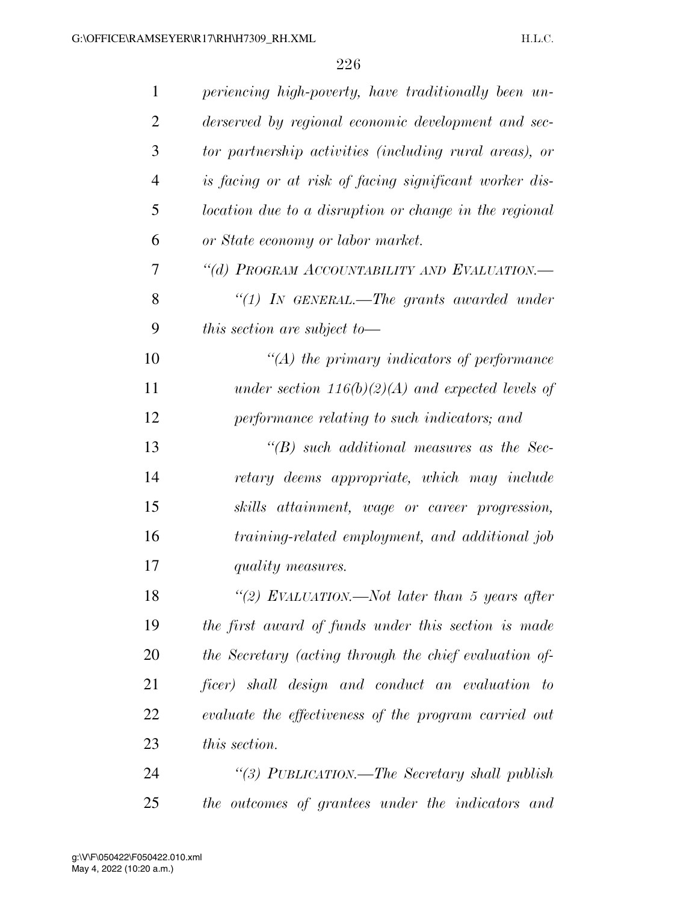| 1              | periencing high-poverty, have traditionally been un-   |
|----------------|--------------------------------------------------------|
| $\overline{2}$ | derserved by regional economic development and sec-    |
| 3              | tor partnership activities (including rural areas), or |
| $\overline{4}$ | is facing or at risk of facing significant worker dis- |
| 5              | location due to a disruption or change in the regional |
| 6              | or State economy or labor market.                      |
| 7              | "(d) PROGRAM ACCOUNTABILITY AND EVALUATION.-           |
| 8              | " $(1)$ IN GENERAL.—The grants awarded under           |
| 9              | this section are subject to $-$                        |
| 10             | $\lq (A)$ the primary indicators of performance        |
| 11             | under section $116(b)(2)(A)$ and expected levels of    |
| 12             | performance relating to such indicators; and           |
| 13             | $\lq\lq(B)$ such additional measures as the Sec-       |
| 14             | retary deems appropriate, which may include            |
| 15             | skills attainment, wage or career progression,         |
| 16             | training-related employment, and additional job        |
| 17             | quality measures.                                      |
| 18             | "(2) EVALUATION.—Not later than 5 years after          |
| 19             | the first award of funds under this section is made    |
| <b>20</b>      | the Secretary (acting through the chief evaluation of- |
| 21             | ficer) shall design and conduct an evaluation to       |
| 22             | evaluate the effectiveness of the program carried out  |
| 23             | this section.                                          |
| 24             | "(3) PUBLICATION.—The Secretary shall publish          |
| 25             | the outcomes of grantees under the indicators and      |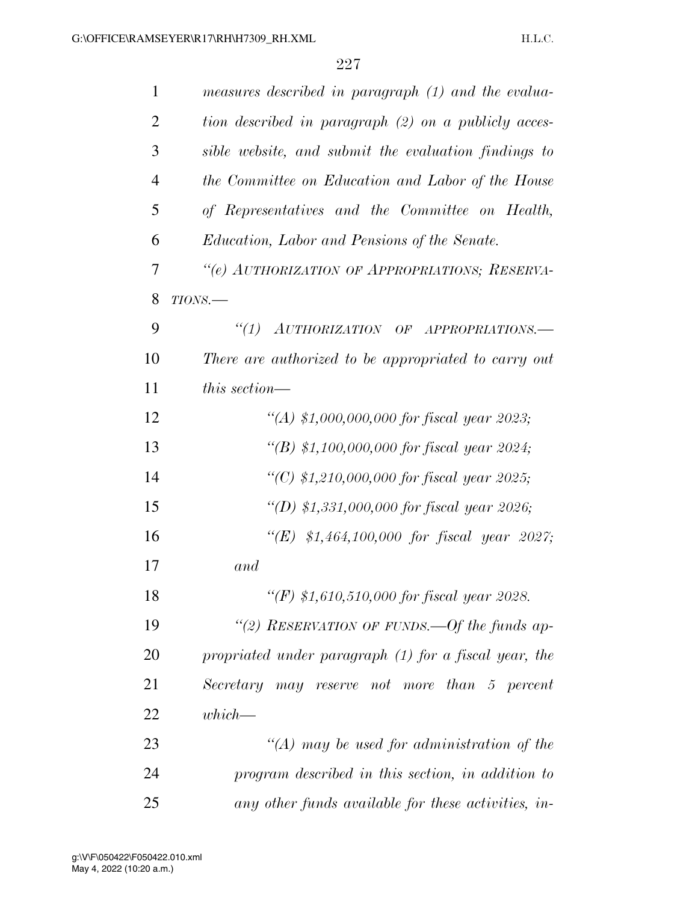| 1              | measures described in paragraph (1) and the evalua-   |
|----------------|-------------------------------------------------------|
| $\overline{2}$ | tion described in paragraph (2) on a publicly acces-  |
| 3              | sible website, and submit the evaluation findings to  |
| $\overline{4}$ | the Committee on Education and Labor of the House     |
| 5              | of Representatives and the Committee on Health,       |
| 6              | Education, Labor and Pensions of the Senate.          |
| 7              | "(e) AUTHORIZATION OF APPROPRIATIONS; RESERVA-        |
| 8              | $TIONS$ .                                             |
| 9              | ``(1)<br>AUTHORIZATION OF APPROPRIATIONS.             |
| 10             | There are authorized to be appropriated to carry out  |
| 11             | this section—                                         |
| 12             | "(A) \$1,000,000,000 for fiscal year 2023;            |
| 13             | "(B) \$1,100,000,000 for fiscal year 2024;            |
| 14             | "(C) \$1,210,000,000 for fiscal year 2025;            |
| 15             | "(D) \$1,331,000,000 for fiscal year 2026;            |
| 16             | "(E) $$1,464,100,000$ for fiscal year 2027;           |
| 17             | and                                                   |
| 18             | "(F) \$1,610,510,000 for fiscal year 2028.            |
| 19             | "(2) RESERVATION OF FUNDS.—Of the funds ap-           |
| 20             | propriated under paragraph (1) for a fiscal year, the |
| 21             | Secretary may reserve not more than 5 percent         |
| 22             | $which$ —                                             |
| 23             | "(A) may be used for administration of the            |
| 24             | program described in this section, in addition to     |
| 25             | any other funds available for these activities, in-   |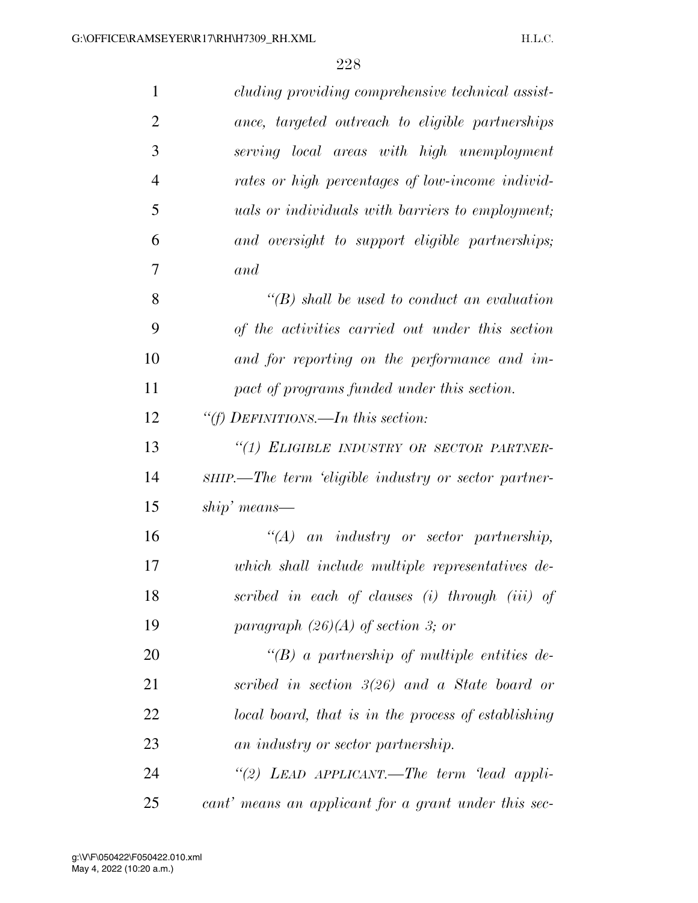| $\mathbf{1}$   | cluding providing comprehensive technical assist-       |
|----------------|---------------------------------------------------------|
| $\overline{2}$ | ance, targeted outreach to eligible partnerships        |
| 3              | serving local areas with high unemployment              |
| $\overline{4}$ | rates or high percentages of low-income individ-        |
| 5              | <i>uals or individuals with barriers to employment;</i> |
| 6              | and oversight to support eligible partnerships;         |
| 7              | and                                                     |
| 8              | $\lq\lq(B)$ shall be used to conduct an evaluation      |
| 9              | of the activities carried out under this section        |
| 10             | and for reporting on the performance and im-            |
| 11             | pact of programs funded under this section.             |
| 12             | "(f) DEFINITIONS.—In this section:                      |
| 13             | "(1) ELIGIBLE INDUSTRY OR SECTOR PARTNER-               |
| 14             | SHIP.—The term 'eligible industry or sector partner-    |
| 15             | $ship'$ means—                                          |
| 16             | $\lq\lq (A)$ an industry or sector partnership,         |
| 17             | which shall include multiple representatives de-        |
| 18             | scribed in each of clauses (i) through (iii) of         |
| 19             | paragraph $(26)(A)$ of section 3; or                    |
| 20             | "(B) a partnership of multiple entities de-             |
| 21             | scribed in section $3(26)$ and a State board or         |
| 22             | local board, that is in the process of establishing     |
| 23             | an industry or sector partnership.                      |
| 24             | "(2) LEAD APPLICANT.—The term 'lead appli-              |
| 25             | cant' means an applicant for a grant under this sec-    |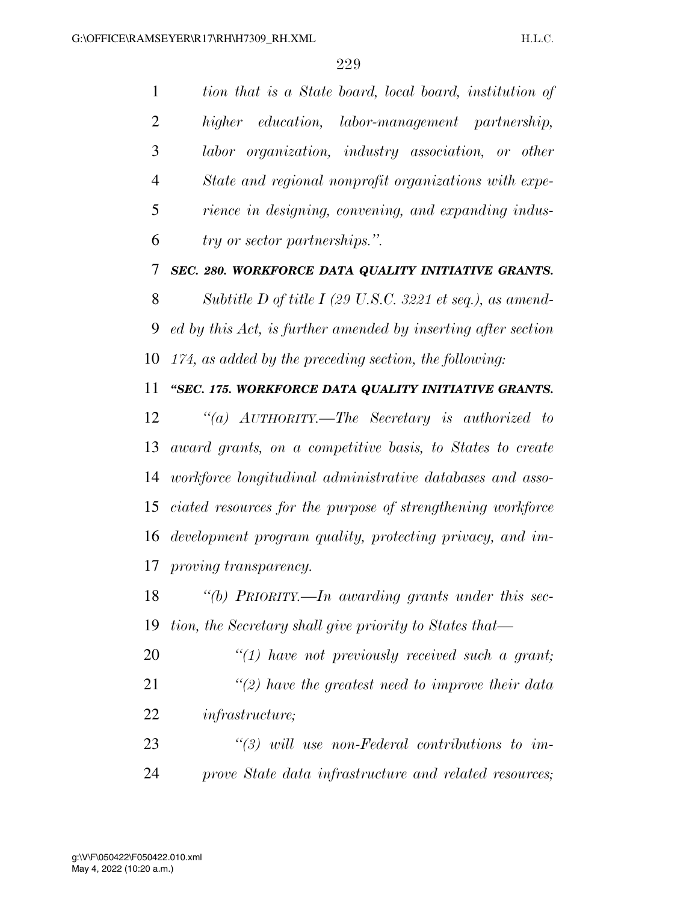*tion that is a State board, local board, institution of higher education, labor-management partnership, labor organization, industry association, or other State and regional nonprofit organizations with expe- rience in designing, convening, and expanding indus-try or sector partnerships.''.* 

*SEC. 280. WORKFORCE DATA QUALITY INITIATIVE GRANTS.* 

 *Subtitle D of title I (29 U.S.C. 3221 et seq.), as amend- ed by this Act, is further amended by inserting after section 174, as added by the preceding section, the following:* 

## *''SEC. 175. WORKFORCE DATA QUALITY INITIATIVE GRANTS.*

 *''(a) AUTHORITY.—The Secretary is authorized to award grants, on a competitive basis, to States to create workforce longitudinal administrative databases and asso- ciated resources for the purpose of strengthening workforce development program quality, protecting privacy, and im-proving transparency.* 

 *''(b) PRIORITY.—In awarding grants under this sec-tion, the Secretary shall give priority to States that—* 

 *''(1) have not previously received such a grant; ''(2) have the greatest need to improve their data infrastructure;* 

 *''(3) will use non-Federal contributions to im-prove State data infrastructure and related resources;*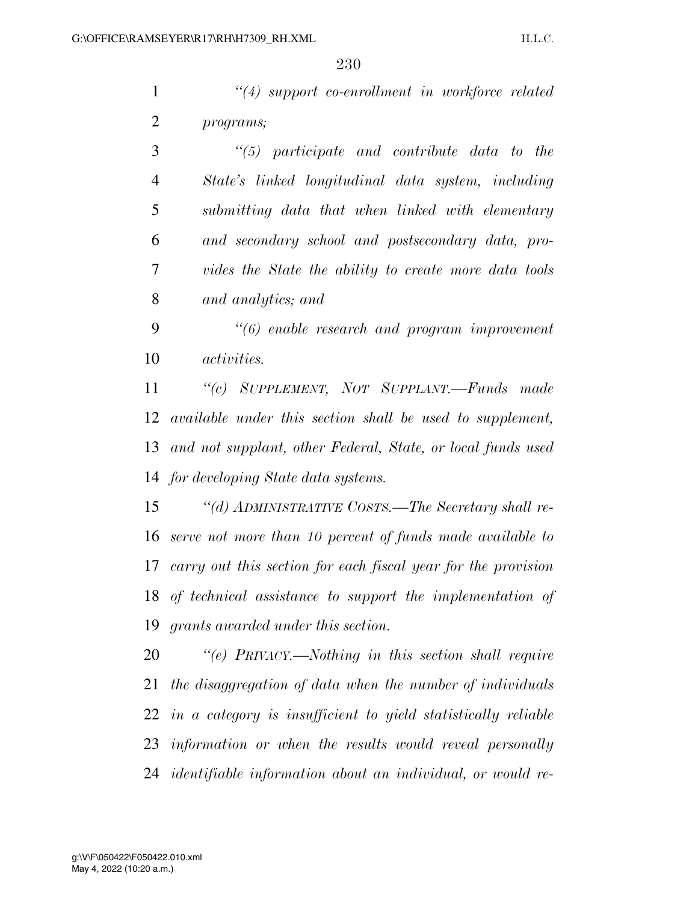*''(4) support co-enrollment in workforce related programs;* 

 *''(5) participate and contribute data to the State's linked longitudinal data system, including submitting data that when linked with elementary and secondary school and postsecondary data, pro- vides the State the ability to create more data tools and analytics; and* 

 *''(6) enable research and program improvement activities.* 

 *''(c) SUPPLEMENT, NOT SUPPLANT.—Funds made available under this section shall be used to supplement, and not supplant, other Federal, State, or local funds used for developing State data systems.* 

 *''(d) ADMINISTRATIVE COSTS.—The Secretary shall re- serve not more than 10 percent of funds made available to carry out this section for each fiscal year for the provision of technical assistance to support the implementation of grants awarded under this section.* 

 *''(e) PRIVACY.—Nothing in this section shall require the disaggregation of data when the number of individuals in a category is insufficient to yield statistically reliable information or when the results would reveal personally identifiable information about an individual, or would re-*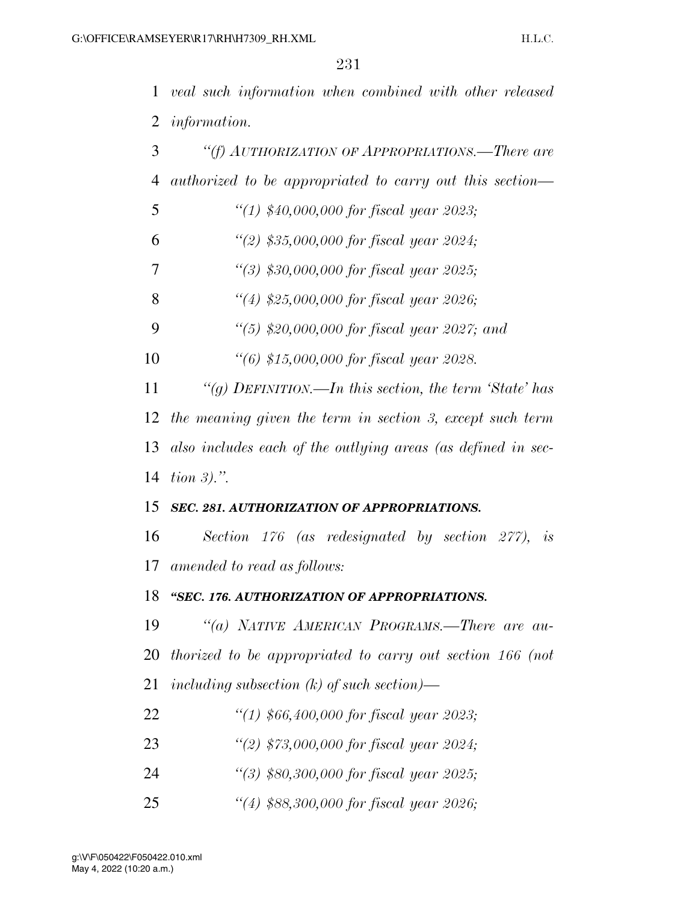*veal such information when combined with other released information.* 

| "(f) AUTHORIZATION OF APPROPRIATIONS.—There are              |
|--------------------------------------------------------------|
| authorized to be appropriated to carry out this section—     |
| "(1) $$40,000,000$ for fiscal year 2023;                     |
| "(2) $$35,000,000$ for fiscal year 2024;                     |
| $\lq(3)$ \$30,000,000 for fiscal year 2025;                  |
| "(4) $$25,000,000$ for fiscal year 2026;                     |
| "(5) \$20,000,000 for fiscal year 2027; and                  |
| "(6) \$15,000,000 for fiscal year 2028.                      |
| "(g) DEFINITION.—In this section, the term 'State' has       |
| the meaning given the term in section 3, except such term    |
| also includes each of the outlying areas (as defined in sec- |
| tion $3$ ).".                                                |
| SEC. 281. AUTHORIZATION OF APPROPRIATIONS.                   |
| Section 176 (as redesignated by section 277), is             |
| 17 amended to read as follows:                               |
| "SEC. 176. AUTHORIZATION OF APPROPRIATIONS.                  |
| "(a) NATIVE AMERICAN PROGRAMS.—There are au-                 |
| 20 thorized to be appropriated to carry out section 166 (not |
| including subsection $(k)$ of such section)—                 |
| "(1) $$66,400,000$ for fiscal year 2023;                     |
| "(2) $$73,000,000$ for fiscal year 2024;                     |
| $\lq(3)$ \$80,300,000 for fiscal year 2025;                  |
|                                                              |

*''(4) \$88,300,000 for fiscal year 2026;*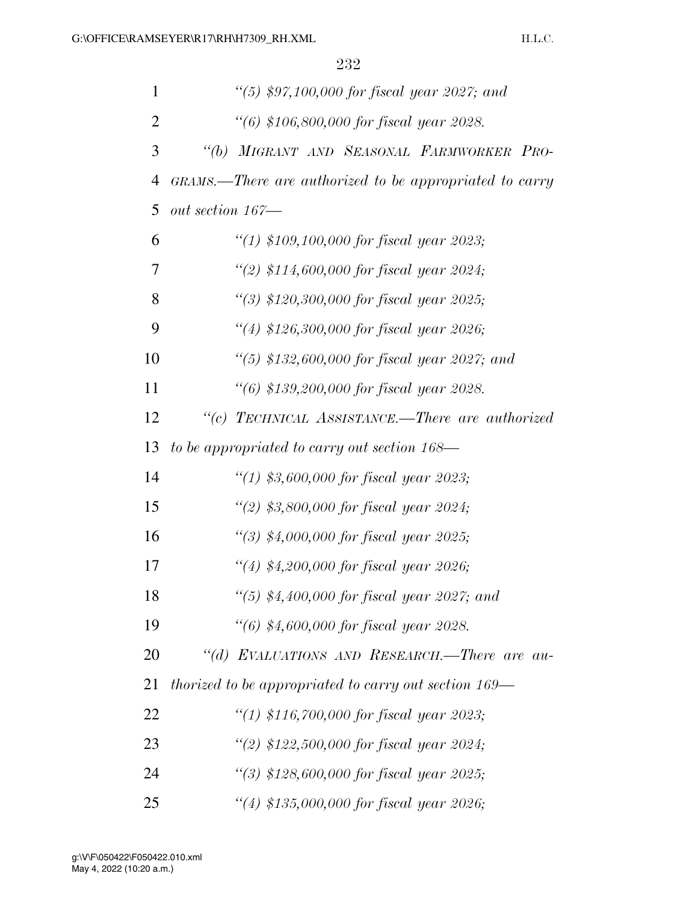| $\mathbf{1}$   | "(5) $$97,100,000$ for fiscal year 2027; and            |
|----------------|---------------------------------------------------------|
| $\overline{2}$ | "(6) \$106,800,000 for fiscal year 2028.                |
| 3              | MIGRANT AND SEASONAL FARMWORKER PRO-<br>$\lq(b)$        |
| 4              | GRAMS.—There are authorized to be appropriated to carry |
| 5              | out section 167—                                        |
| 6              | "(1) \$109,100,000 for fiscal year 2023;                |
| 7              | "(2) $$114,600,000$ for fiscal year 2024;               |
| 8              | "(3) \$120,300,000 for fiscal year 2025;                |
| 9              | "(4) \$126,300,000 for fiscal year 2026;                |
| 10             | "(5) $$132,600,000$ for fiscal year 2027; and           |
| 11             | "(6) \$139,200,000 for fiscal year 2028.                |
| 12             | "(c) TECHNICAL ASSISTANCE.—There are authorized         |
| 13             | to be appropriated to carry out section 168-            |
| 14             | "(1) \$3,600,000 for fiscal year 2023;                  |
| 15             | "(2) \$3,800,000 for fiscal year 2024;                  |
| 16             | $\lq(3)$ \$4,000,000 for fiscal year 2025;              |
| 17             | "(4) $$4,200,000$ for fiscal year 2026;                 |
| 18             | "(5) $$4,400,000$ for fiscal year 2027; and             |
| 19             | $\lq(6)$ \$4,600,000 for fiscal year 2028.              |
| 20             | "(d) EVALUATIONS AND RESEARCH.-There are au-            |
| 21             | thorized to be appropriated to carry out section 169—   |
| 22             | "(1) \$116,700,000 for fiscal year 2023;                |
| 23             | "(2) $$122,500,000$ for fiscal year 2024;               |
| 24             | "(3) $$128,600,000$ for fiscal year 2025;               |
| 25             | "(4) $$135,000,000$ for fiscal year 2026;               |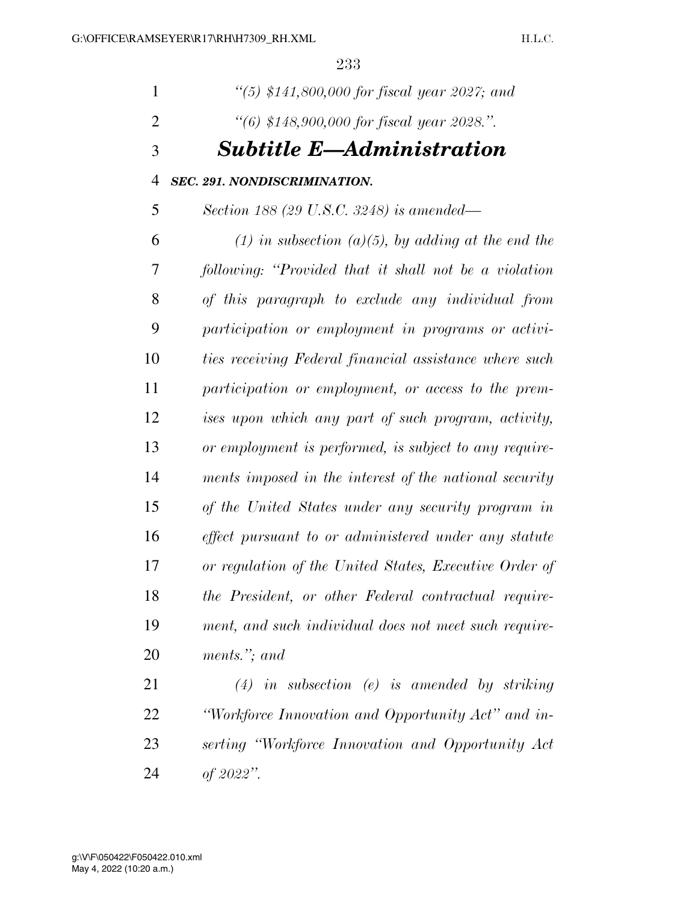H.L.C.

| 1              | "(5) \$141,800,000 for fiscal year 2027; and            |
|----------------|---------------------------------------------------------|
| 2              | "(6) $$148,900,000$ for fiscal year 2028.".             |
| 3              | <b>Subtitle E-Administration</b>                        |
| $\overline{4}$ | <b>SEC. 291. NONDISCRIMINATION.</b>                     |
| 5              | Section 188 (29 U.S.C. 3248) is amended—                |
| 6              | $(1)$ in subsection $(a)(5)$ , by adding at the end the |
| 7              | following: "Provided that it shall not be a violation"  |
| 8              | of this paragraph to exclude any individual from        |
| 9              | participation or employment in programs or activi-      |
| 10             | ties receiving Federal financial assistance where such  |
| 11             | participation or employment, or access to the prem-     |
| 12             | ises upon which any part of such program, activity,     |
| 13             | or employment is performed, is subject to any require-  |
| 14             | ments imposed in the interest of the national security  |
| 15             | of the United States under any security program in      |
| 16             | effect pursuant to or administered under any statute    |
| 17             | or regulation of the United States, Executive Order of  |
| 18             | the President, or other Federal contractual require-    |
| 19             | ment, and such individual does not meet such require-   |
| 20             | ments."; and                                            |
| 21             | $(4)$ in subsection (e) is amended by striking          |
|                |                                                         |

 *''Workforce Innovation and Opportunity Act'' and in- serting ''Workforce Innovation and Opportunity Act of 2022''.*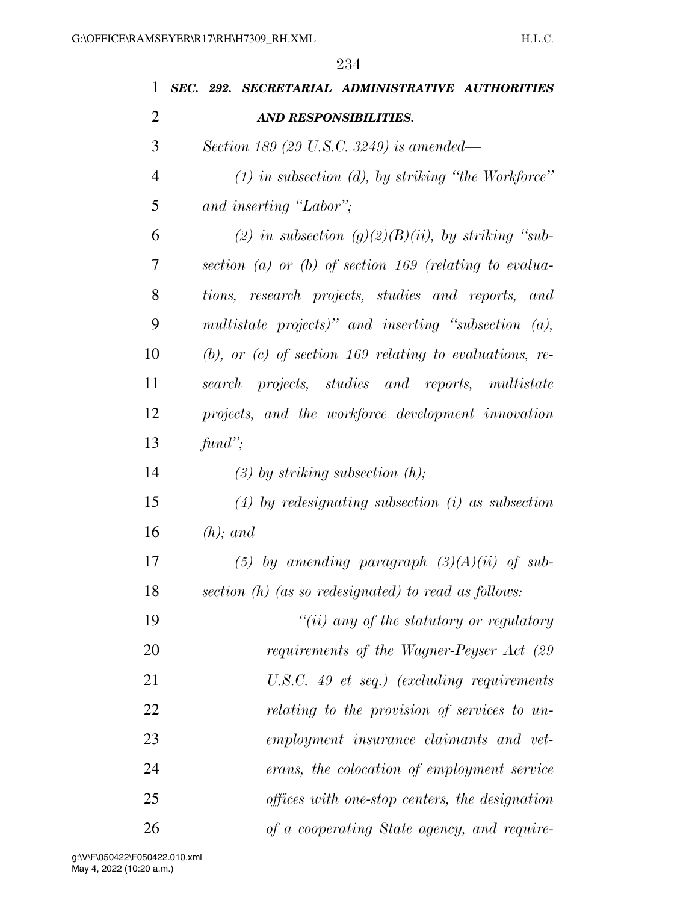| 1  | SEC. 292. SECRETARIAL ADMINISTRATIVE AUTHORITIES             |
|----|--------------------------------------------------------------|
| 2  | <b>AND RESPONSIBILITIES.</b>                                 |
| 3  | Section 189 (29 U.S.C. 3249) is amended—                     |
| 4  | $(1)$ in subsection $(d)$ , by striking "the Workforce"      |
| 5  | and inserting "Labor";                                       |
| 6  | (2) in subsection $(g)(2)(B)(ii)$ , by striking "sub-        |
| 7  | section (a) or (b) of section 169 (relating to evalua-       |
| 8  | tions, research projects, studies and reports, and           |
| 9  | multistate projects)" and inserting "subsection $(a)$ ,      |
| 10 | $(b)$ , or $(c)$ of section 169 relating to evaluations, re- |
| 11 | search projects, studies and reports, multistate             |
| 12 | projects, and the workforce development innovation           |
| 13 | $\text{find}$ ";                                             |
| 14 | $(3)$ by striking subsection $(h)$ ;                         |
| 15 | $(4)$ by redesignating subsection $(i)$ as subsection        |
| 16 | $(h)$ ; and                                                  |
| 17 | (5) by amending paragraph $(3)(A)(ii)$ of sub-               |
| 18 | section $(h)$ (as so redesignated) to read as follows:       |
| 19 | $``(ii)$ any of the statutory or regulatory                  |
| 20 | requirements of the Wagner-Peyser Act (29                    |
| 21 | U.S.C. 49 et seq.) (excluding requirements                   |
| 22 | relating to the provision of services to un-                 |
| 23 | employment insurance claimants and vet-                      |
| 24 | erans, the colocation of employment service                  |
| 25 | offices with one-stop centers, the designation               |
| 26 | of a cooperating State agency, and require-                  |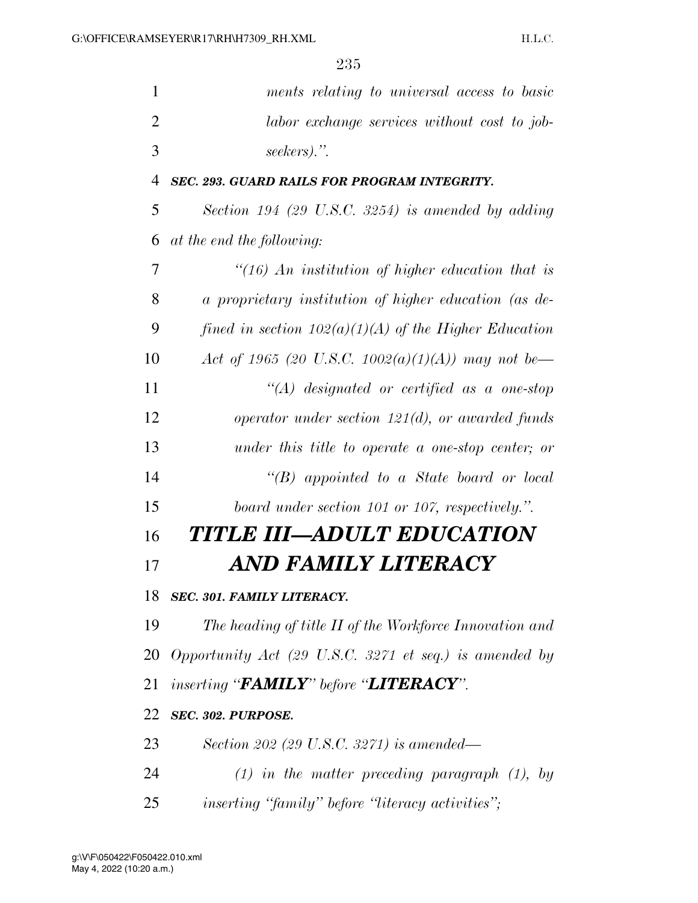| $\mathbf{1}$   | ments relating to universal access to basic             |
|----------------|---------------------------------------------------------|
| $\overline{2}$ | labor exchange services without cost to job-            |
| 3              | seekers).".                                             |
| $\overline{4}$ | <b>SEC. 293. GUARD RAILS FOR PROGRAM INTEGRITY.</b>     |
| 5              | Section 194 (29 U.S.C. 3254) is amended by adding       |
| 6              | at the end the following:                               |
| 7              | $\lq(16)$ An institution of higher education that is    |
| 8              | a proprietary institution of higher education (as de-   |
| 9              | fined in section $102(a)(1)(A)$ of the Higher Education |
| 10             | Act of 1965 (20 U.S.C. 1002(a)(1)(A)) may not be—       |
| 11             | $\lq (A)$ designated or certified as a one-stop         |
| 12             | operator under section $121(d)$ , or awarded funds      |
| 13             | under this title to operate a one-stop center; or       |
| 14             | " $(B)$ appointed to a State board or local             |
| 15             | board under section 101 or 107, respectively.".         |
| 16             | TITLE III—ADULT EDUCATION                               |
| 17             | AND FAMILY LITERACY                                     |
| 18             | SEC. 301. FAMILY LITERACY.                              |
| 19             | The heading of title II of the Workforce Innovation and |
| 20             | Opportunity Act (29 U.S.C. 3271 et seq.) is amended by  |
| 21             | inserting "FAMILY" before "LITERACY".                   |
| 22             | SEC. 302. PURPOSE.                                      |
| 23             | Section 202 (29 U.S.C. 3271) is amended—                |
| 24             | $(1)$ in the matter preceding paragraph $(1)$ , by      |
| 25             | <i>inserting "family" before "literacy activities";</i> |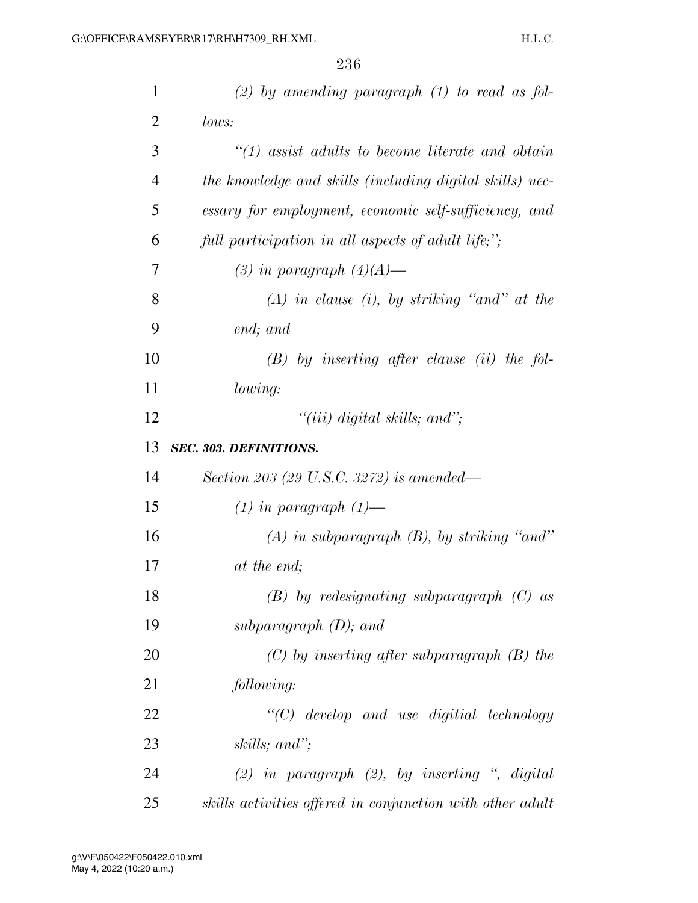| $\mathbf{1}$   | $(2)$ by amending paragraph $(1)$ to read as fol-         |
|----------------|-----------------------------------------------------------|
| $\overline{2}$ | lows:                                                     |
| 3              | $\lq(1)$ assist adults to become literate and obtain      |
| $\overline{4}$ | the knowledge and skills (including digital skills) nec-  |
| 5              | essary for employment, economic self-sufficiency, and     |
| 6              | full participation in all aspects of adult life;";        |
| 7              | (3) in paragraph $(4)(A)$ —                               |
| 8              | $(A)$ in clause (i), by striking "and" at the             |
| 9              | end; and                                                  |
| 10             | $(B)$ by inserting after clause (ii) the fol-             |
| 11             | lowing:                                                   |
| 12             | "(iii) digital skills; and";                              |
| 13             | <b>SEC. 303. DEFINITIONS.</b>                             |
| 14             | Section 203 (29 U.S.C. 3272) is amended—                  |
| 15             | $(1)$ in paragraph $(1)$ —                                |
| 16             | $(A)$ in subparagraph $(B)$ , by striking "and"           |
| 17             | at the end;                                               |
| 18             | $(B)$ by redesignating subparagraph $(C)$ as              |
| 19             | subparagraph $(D)$ ; and                                  |
| 20             | $(C)$ by inserting after subparagraph $(B)$ the           |
| 21             | following:                                                |
| 22             | $\lq\lq C$ develop and use digitial technology            |
| 23             | skills; and";                                             |
| 24             | (2) in paragraph (2), by inserting $\degree$ , digital    |
| 25             | skills activities offered in conjunction with other adult |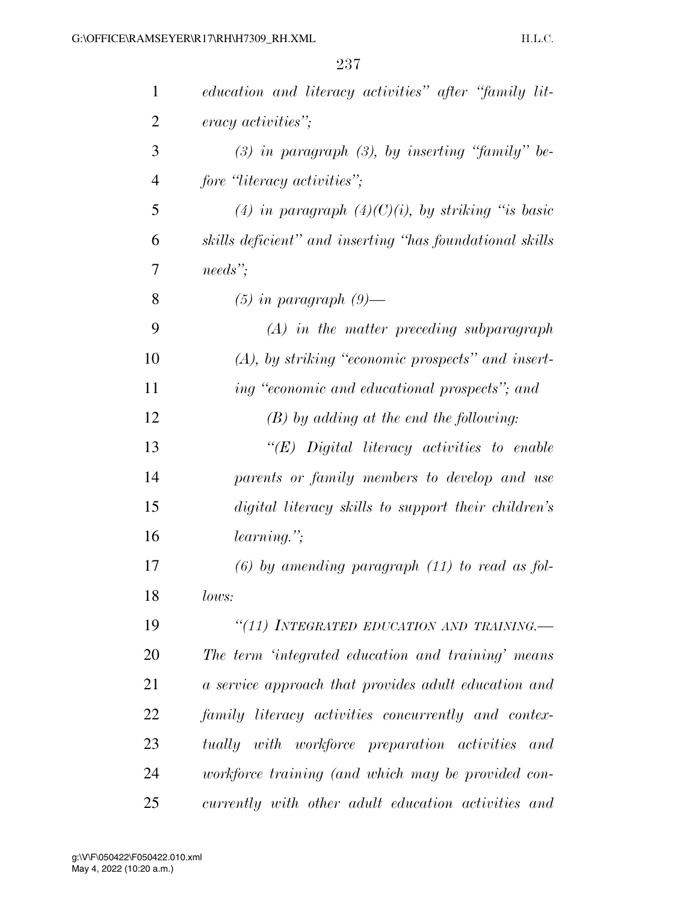| $\mathbf{1}$   | education and literacy activities" after "family lit-    |
|----------------|----------------------------------------------------------|
| $\overline{2}$ | eracy activities";                                       |
| 3              | $(3)$ in paragraph $(3)$ , by inserting "family" be-     |
| $\overline{4}$ | fore "literacy activities";                              |
| 5              | (4) in paragraph $(4)(C)(i)$ , by striking "is basic     |
| 6              | skills deficient" and inserting "has foundational skills |
| 7              | needs";                                                  |
| 8              | $(5)$ in paragraph $(9)$ —                               |
| 9              | $(A)$ in the matter preceding subparagraph               |
| 10             | $(A)$ , by striking "economic prospects" and insert-     |
| 11             | ing "economic and educational prospects"; and            |
| 12             | $(B)$ by adding at the end the following:                |
| 13             | $\lq\lq (E)$ Digital literacy activities to enable       |
| 14             | parents or family members to develop and use             |
| 15             | digital literacy skills to support their children's      |
| 16             | $learning.$ ";                                           |
| 17             | $(6)$ by amending paragraph $(11)$ to read as fol-       |
| 18             | lows:                                                    |
| 19             | "(11) INTEGRATED EDUCATION AND TRAINING.-                |
| 20             | The term 'integrated education and training' means       |
| 21             | a service approach that provides adult education and     |
| 22             | family literacy activities concurrently and contex-      |
| 23             | tually with workforce preparation activities and         |
| 24             | workforce training (and which may be provided con-       |
| 25             | currently with other adult education activities and      |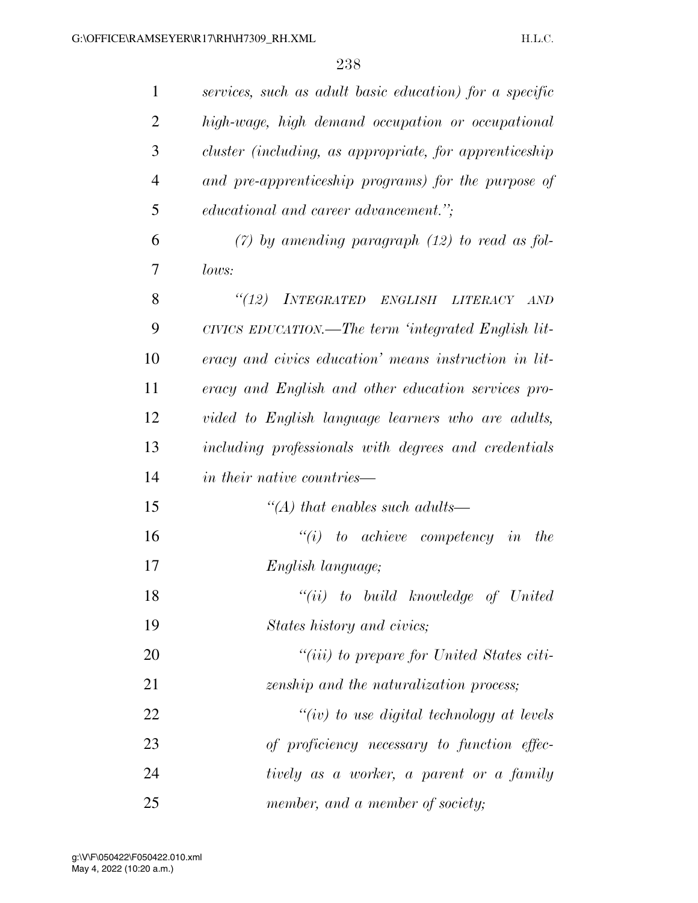| $\mathbf{1}$   | services, such as adult basic education) for a specific     |
|----------------|-------------------------------------------------------------|
| $\overline{2}$ | high-wage, high demand occupation or occupational           |
| 3              | cluster (including, as appropriate, for apprenticeship      |
| $\overline{4}$ | and pre-apprenticeship programs) for the purpose of         |
| 5              | educational and career advancement.";                       |
| 6              | $(7)$ by amending paragraph $(12)$ to read as fol-          |
| 7              | lows:                                                       |
| 8              | <i>INTEGRATED ENGLISH</i><br>(12)<br><b>LITERACY</b><br>AND |
| 9              | CIVICS EDUCATION.—The term 'integrated English lit-         |
| 10             | eracy and civics education' means instruction in lit-       |
| 11             | eracy and English and other education services pro-         |
| 12             | vided to English language learners who are adults,          |
| 13             | including professionals with degrees and credentials        |
| 14             | in their native countries—                                  |
| 15             | "(A) that enables such adults—                              |
| 16             | $``(i)$ to achieve competency in<br>the                     |
| 17             | English language;                                           |
| 18             | $``(ii)$ to build knowledge of United                       |
| 19             | States history and civics;                                  |
| 20             | "( <i>iii</i> ) to prepare for United States citi-          |
| 21             | zenship and the naturalization process;                     |
| 22             | "(iv) to use digital technology at levels                   |
| 23             | of proficiency necessary to function effec-                 |
| 24             | tively as a worker, a parent or a family                    |
| 25             | member, and a member of society;                            |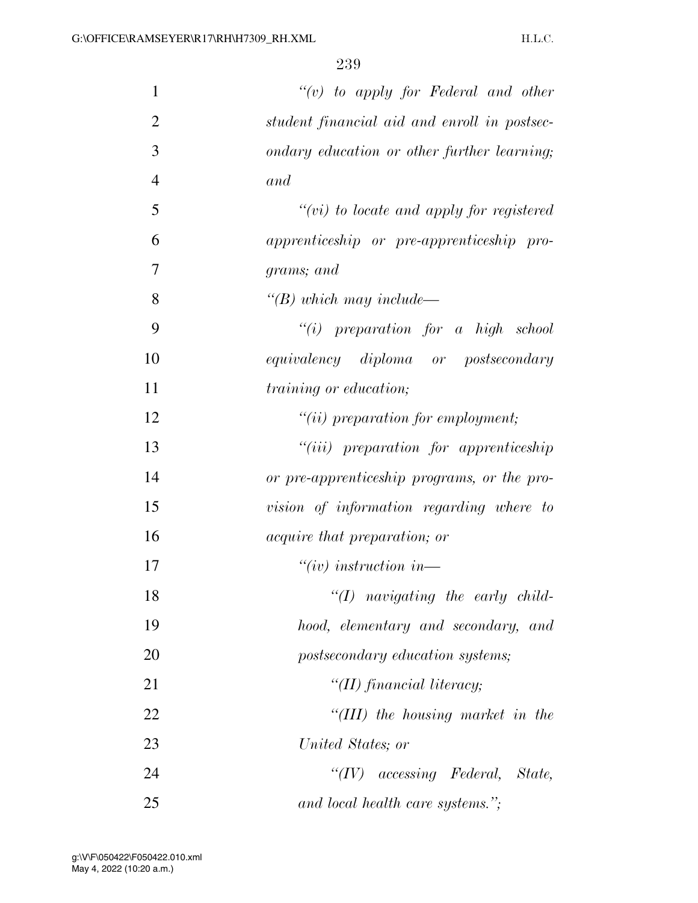| $\mathbf{1}$   | " $(v)$ to apply for Federal and other       |
|----------------|----------------------------------------------|
| $\overline{2}$ | student financial aid and enroll in postsec- |
| 3              | ondary education or other further learning;  |
| $\overline{4}$ | and                                          |
| 5              | $``(vi)$ to locate and apply for registered  |
| 6              | apprenticeship or pre-apprenticeship pro-    |
| 7              | grams; and                                   |
| 8              | $\lq (B)$ which may include—                 |
| 9              | $``(i)$ preparation for a high school        |
| 10             | equivalency diploma or postsecondary         |
| 11             | training or education;                       |
| 12             | $"(ii)$ preparation for employment;          |
| 13             | $"(iii)$ preparation for apprenticeship      |
| 14             | or pre-apprenticeship programs, or the pro-  |
| 15             | vision of information regarding where to     |
| 16             | <i>acquire that preparation; or</i>          |
| 17             | $``(iv)$ instruction in—                     |
| 18             | " $(I)$ navigating the early child-          |
| 19             | hood, elementary and secondary, and          |
| 20             | postsecondary education systems;             |
| 21             | $\lq$ (II) financial literacy;               |
| 22             | "(III) the housing market in the             |
| 23             | United States; or                            |
| 24             | $``(IV)$ accessing Federal, State,           |
| 25             | and local health care systems.";             |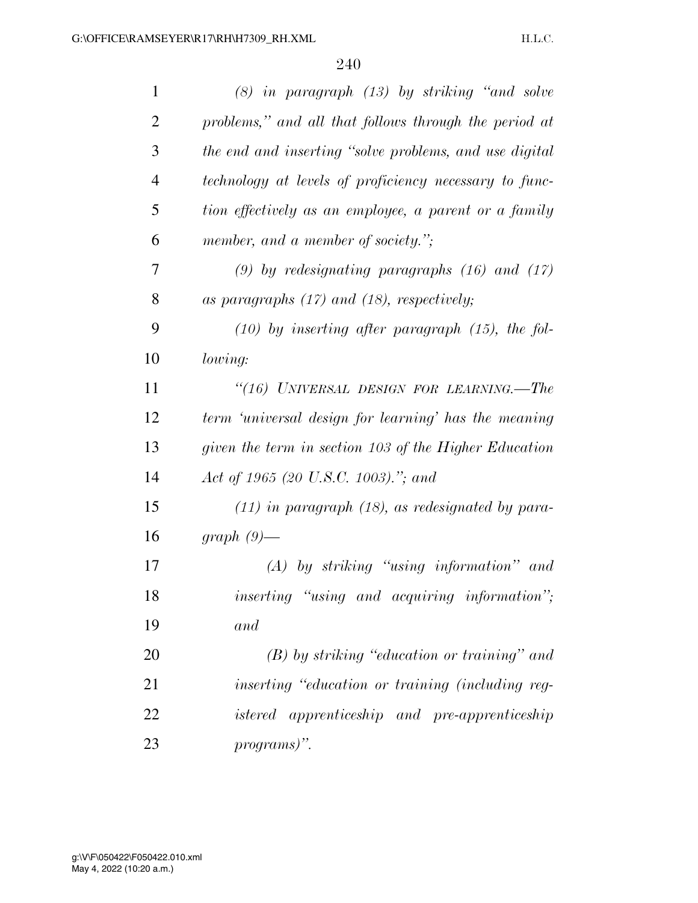| $\mathbf{1}$   | $(8)$ in paragraph $(13)$ by striking "and solve       |
|----------------|--------------------------------------------------------|
| $\overline{2}$ | problems," and all that follows through the period at  |
| 3              | the end and inserting "solve problems, and use digital |
| $\overline{4}$ | technology at levels of proficiency necessary to func- |
| 5              | tion effectively as an employee, a parent or a family  |
| 6              | member, and a member of society.";                     |
| 7              | $(9)$ by redesignating paragraphs $(16)$ and $(17)$    |
| 8              | as paragraphs $(17)$ and $(18)$ , respectively;        |
| 9              | $(10)$ by inserting after paragraph $(15)$ , the fol-  |
| 10             | lowing:                                                |
| 11             | "(16) UNIVERSAL DESIGN FOR LEARNING.—The               |
| 12             | term 'universal design for learning' has the meaning   |
| 13             | given the term in section 103 of the Higher Education  |
| 14             | Act of 1965 (20 U.S.C. 1003)."; and                    |
| 15             | $(11)$ in paragraph $(18)$ , as redesignated by para-  |
| 16             | graph $(9)$ —                                          |
| 17             | $(A)$ by striking "using information" and              |
| 18             | inserting "using and acquiring information";           |
| 19             | and                                                    |
| 20             | $(B)$ by striking "education or training" and          |
| 21             | inserting "education or training (including reg-       |
| 22             | istered apprenticeship and pre-apprenticeship          |
| 23             | programs)".                                            |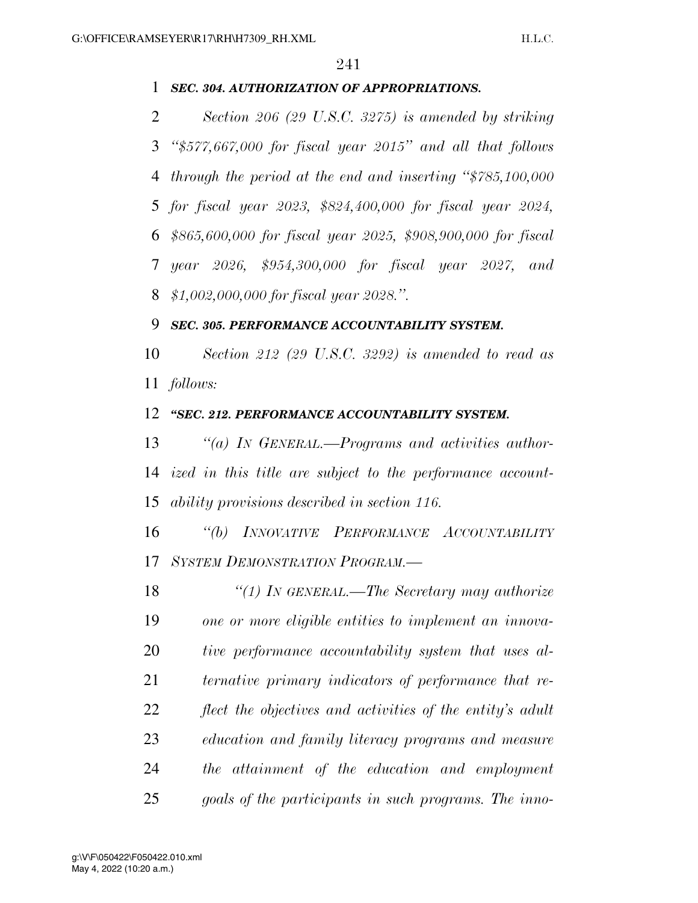## *SEC. 304. AUTHORIZATION OF APPROPRIATIONS.*

 *Section 206 (29 U.S.C. 3275) is amended by striking ''\$577,667,000 for fiscal year 2015'' and all that follows through the period at the end and inserting ''\$785,100,000 for fiscal year 2023, \$824,400,000 for fiscal year 2024, \$865,600,000 for fiscal year 2025, \$908,900,000 for fiscal year 2026, \$954,300,000 for fiscal year 2027, and \$1,002,000,000 for fiscal year 2028.''.* 

#### *SEC. 305. PERFORMANCE ACCOUNTABILITY SYSTEM.*

 *Section 212 (29 U.S.C. 3292) is amended to read as follows:* 

## *''SEC. 212. PERFORMANCE ACCOUNTABILITY SYSTEM.*

 *''(a) IN GENERAL.—Programs and activities author- ized in this title are subject to the performance account-ability provisions described in section 116.* 

 *''(b) INNOVATIVE PERFORMANCE ACCOUNTABILITY SYSTEM DEMONSTRATION PROGRAM.—* 

 *''(1) IN GENERAL.—The Secretary may authorize one or more eligible entities to implement an innova- tive performance accountability system that uses al- ternative primary indicators of performance that re- flect the objectives and activities of the entity's adult education and family literacy programs and measure the attainment of the education and employment goals of the participants in such programs. The inno-*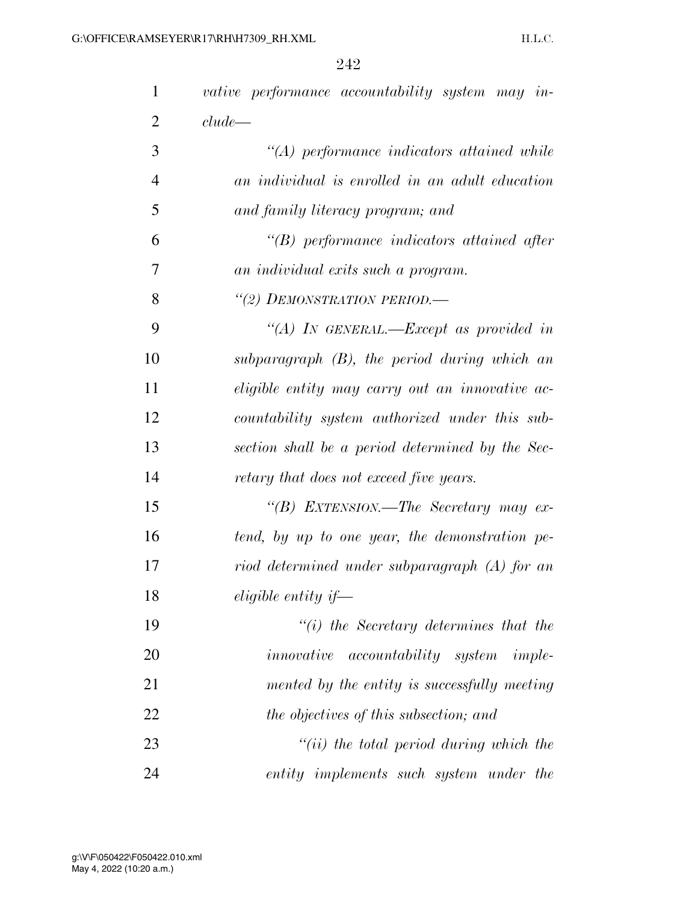| $\mathbf{1}$   | vative performance accountability system may in- |
|----------------|--------------------------------------------------|
| $\overline{2}$ | clude                                            |
| 3              | $\lq (A)$ performance indicators attained while  |
| $\overline{4}$ | an individual is enrolled in an adult education  |
| 5              | and family literacy program; and                 |
| 6              | $\lq\lq B$ performance indicators attained after |
| 7              | an individual exits such a program.              |
| 8              | "(2) DEMONSTRATION PERIOD.-                      |
| 9              | "(A) IN GENERAL.—Except as provided in           |
| 10             | subparagraph $(B)$ , the period during which an  |
| 11             | eligible entity may carry out an innovative ac-  |
| 12             | countability system authorized under this sub-   |
| 13             | section shall be a period determined by the Sec- |
| 14             | retary that does not exceed five years.          |
| 15             | "(B) EXTENSION.—The Secretary may ex-            |
| 16             | tend, by up to one year, the demonstration pe-   |
| 17             | riod determined under subparagraph (A) for an    |
| 18             | eligible entity if—                              |
| 19             | $"(i)$ the Secretary determines that the         |
| 20             | <i>innovative accountability system imple-</i>   |
| 21             | mented by the entity is successfully meeting     |
| 22             | the objectives of this subsection; and           |
| 23             | $``(ii)$ the total period during which the       |
| 24             | entity implements such system under the          |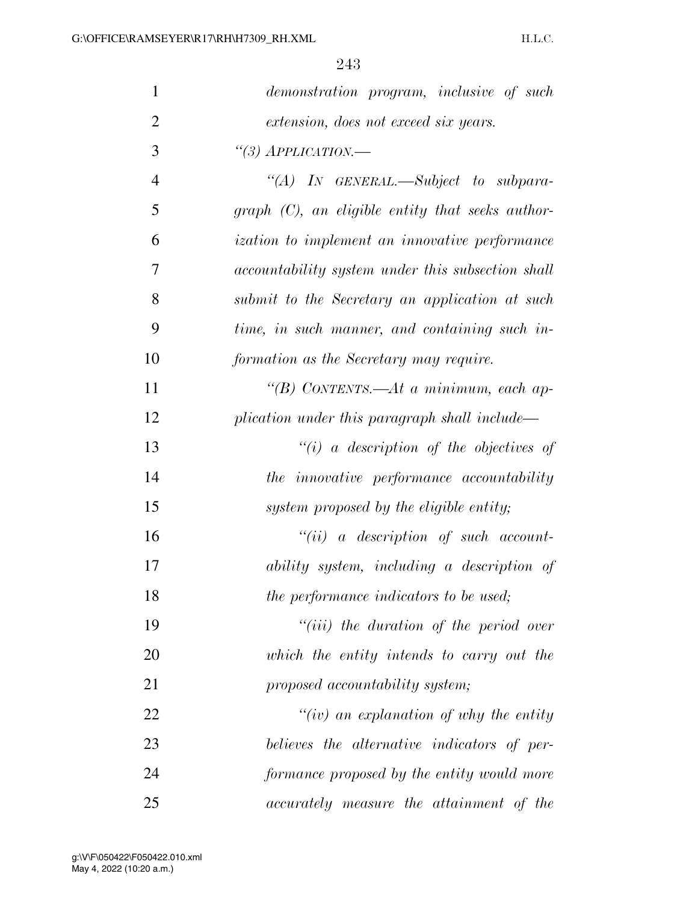| $\mathbf{1}$   | demonstration program, inclusive of such                 |
|----------------|----------------------------------------------------------|
| $\mathfrak{2}$ | extension, does not exceed six years.                    |
| 3              | "(3) $APPLICATION$ .                                     |
| $\overline{4}$ | "(A) IN GENERAL.—Subject to subpara-                     |
| 5              | $graph (C)$ , an eligible entity that seeks author-      |
| 6              | <i>ization to implement an innovative performance</i>    |
| 7              | <i>accountability system under this subsection shall</i> |
| 8              | submit to the Secretary an application at such           |
| 9              | time, in such manner, and containing such in-            |
| 10             | formation as the Secretary may require.                  |
| 11             | "(B) CONTENTS.—At a minimum, each ap-                    |
| 12             | plication under this paragraph shall include—            |
| 13             | $``(i)$ a description of the objectives of               |
| 14             | the innovative performance accountability                |
| 15             | system proposed by the eligible entity;                  |
| 16             | $``(ii)$ a description of such account-                  |
| 17             | ability system, including a description of               |
| 18             | the performance indicators to be used;                   |
| 19             | $``(iii)$ the duration of the period over                |
| 20             | which the entity intends to carry out the                |
| 21             | proposed accountability system;                          |
| 22             | "(iv) an explanation of why the entity                   |
| 23             | believes the alternative indicators of per-              |
| 24             | formance proposed by the entity would more               |
| 25             | accurately measure the attainment of the                 |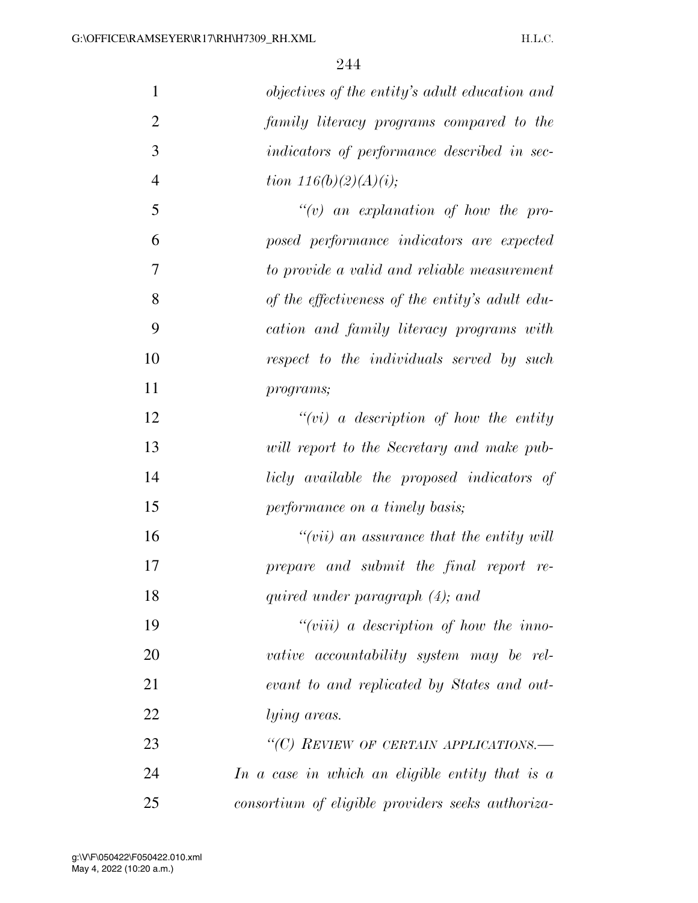| $\mathbf{1}$   | objectives of the entity's adult education and    |
|----------------|---------------------------------------------------|
| $\overline{2}$ | family literacy programs compared to the          |
| 3              | indicators of performance described in sec-       |
| $\overline{4}$ | tion $116(b)(2)(A)(i);$                           |
| 5              | $\lq\lq(v)$ an explanation of how the pro-        |
| 6              | posed performance indicators are expected         |
| 7              | to provide a valid and reliable measurement       |
| 8              | of the effectiveness of the entity's adult edu-   |
| 9              | cation and family literacy programs with          |
| 10             | respect to the individuals served by such         |
| 11             | programs;                                         |
| 12             | $``(vi)$ a description of how the entity          |
| 13             | will report to the Secretary and make pub-        |
| 14             | licly available the proposed indicators of        |
| 15             | performance on a timely basis;                    |
| 16             | "(vii) an assurance that the entity will          |
| 17             | prepare and submit the final report re-           |
| 18             | quired under paragraph (4); and                   |
| 19             | "(viii) a description of how the inno-            |
| 20             | vative accountability system may be rel-          |
| 21             | evant to and replicated by States and out-        |
| 22             | <i>lying areas.</i>                               |
| 23             | "(C) REVIEW OF CERTAIN APPLICATIONS.-             |
| 24             | In a case in which an eligible entity that is a   |
| 25             | consortium of eligible providers seeks authoriza- |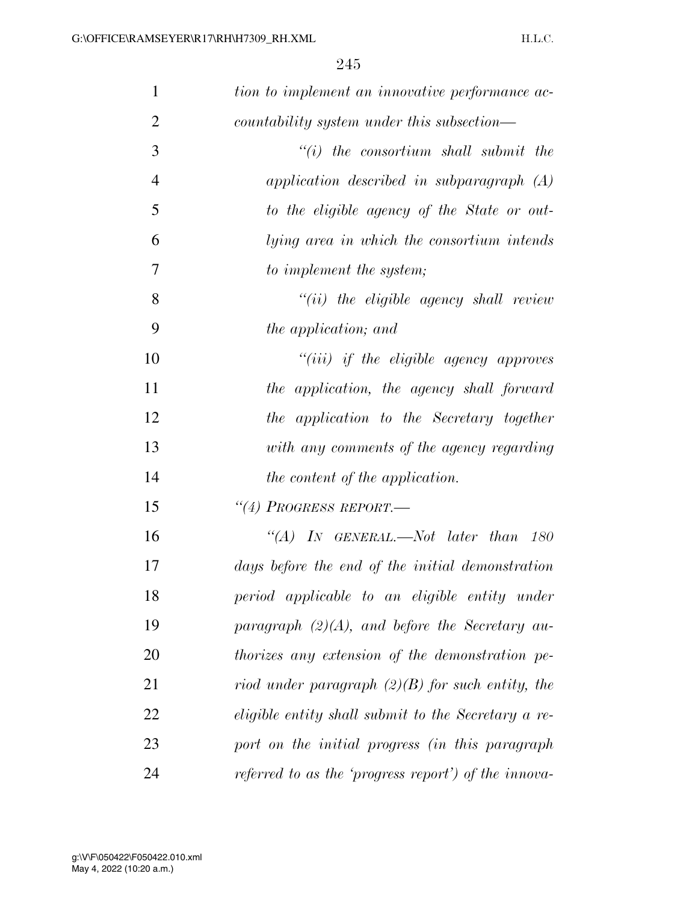| $\mathbf{1}$   | tion to implement an innovative performance ac-      |
|----------------|------------------------------------------------------|
| $\overline{2}$ | countability system under this subsection—           |
| 3              | $``(i)$ the consortium shall submit the              |
| $\overline{4}$ | application described in subparagraph $(A)$          |
| 5              | to the eligible agency of the State or out-          |
| 6              | lying area in which the consortium intends           |
| 7              | to implement the system;                             |
| 8              | $"(ii)$ the eligible agency shall review             |
| 9              | the application; and                                 |
| 10             | $``(iii)$ if the eligible agency approves            |
| 11             | the application, the agency shall forward            |
| 12             | the application to the Secretary together            |
| 13             | with any comments of the agency regarding            |
| 14             | the content of the application.                      |
| 15             | $``(4)$ Progress report.                             |
| 16             | "(A) IN GENERAL.—Not later than $180$                |
| 17             | days before the end of the initial demonstration     |
| 18             | period applicable to an eligible entity under        |
| 19             | paragraph $(2)(A)$ , and before the Secretary au-    |
| 20             | thorizes any extension of the demonstration pe-      |
| 21             | riod under paragraph $(2)(B)$ for such entity, the   |
| 22             | eligible entity shall submit to the Secretary a re-  |
| 23             | port on the initial progress (in this paragraph      |
| 24             | referred to as the 'progress report') of the innova- |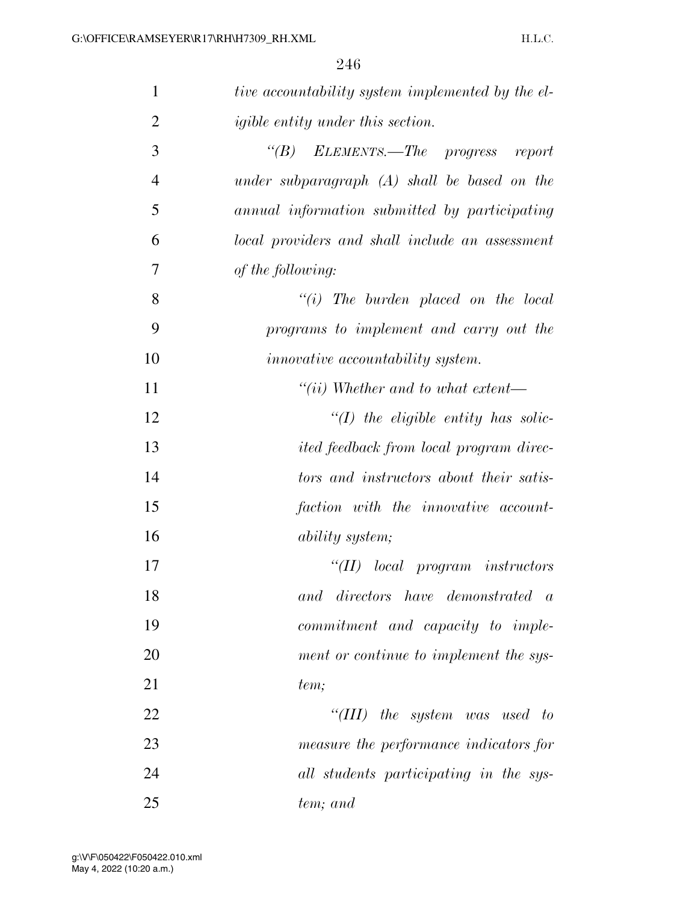| $\mathbf{1}$   | tive accountability system implemented by the el- |
|----------------|---------------------------------------------------|
| $\overline{2}$ | <i>igible entity under this section.</i>          |
| 3              | "(B) ELEMENTS.—The progress report                |
| $\overline{4}$ | under subparagraph $(A)$ shall be based on the    |
| 5              | annual information submitted by participating     |
| 6              | local providers and shall include an assessment   |
| 7              | of the following:                                 |
| 8              | $``(i)$ The burden placed on the local            |
| 9              | programs to implement and carry out the           |
| 10             | <i>innovative</i> accountability system.          |
| 11             | $``(ii)$ Whether and to what extent—              |
| 12             | $\lq (I)$ the eligible entity has solic-          |
| 13             | <i>ited feedback from local program direc-</i>    |
| 14             | tors and instructors about their satis-           |
| 15             | faction with the innovative account-              |
| 16             | <i>ability system;</i>                            |
| 17             | $``(II)$ local program instructors                |
| 18             | $directors$ have demonstrated $a$<br>and          |
| 19             | commitment and capacity to imple-                 |
| 20             | ment or continue to implement the sys-            |
| 21             | tem;                                              |
| 22             | "(III) the system was used to                     |
| 23             | measure the performance indicators for            |
| 24             | all students participating in the sys-            |
| 25             | tem; and                                          |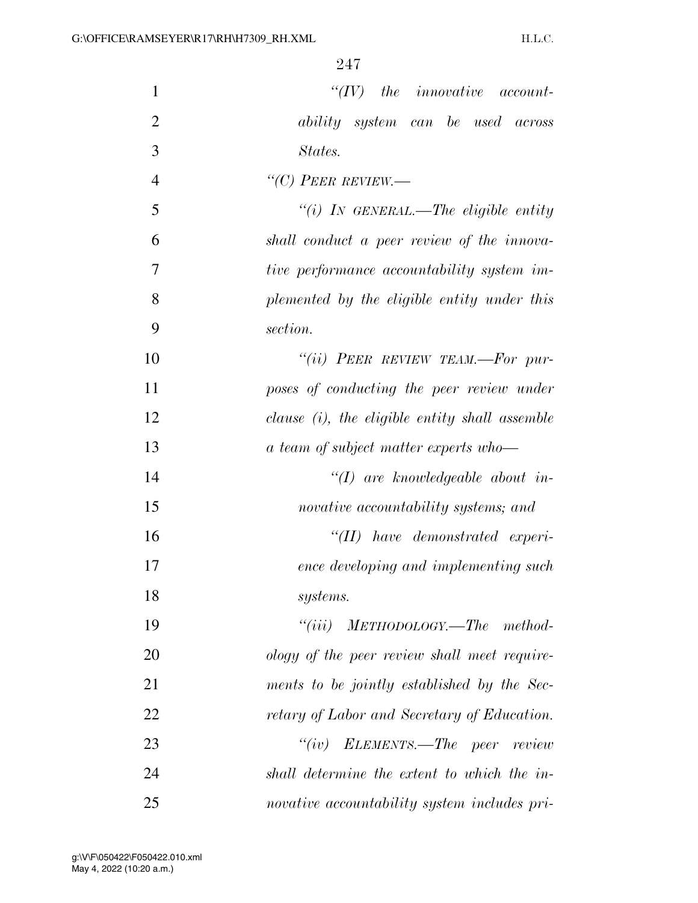| $\mathbf{1}$   | $``(IV)$ the innovative account-                  |
|----------------|---------------------------------------------------|
| $\overline{2}$ | ability system can be used across                 |
| 3              | States.                                           |
| $\overline{4}$ | "(C) PEER REVIEW.—                                |
| 5              | "(i) IN GENERAL.—The eligible entity              |
| 6              | shall conduct a peer review of the innova-        |
| $\tau$         | tive performance accountability system im-        |
| 8              | plemented by the eligible entity under this       |
| 9              | section.                                          |
| 10             | "(ii) PEER REVIEW TEAM.—For pur-                  |
| 11             | poses of conducting the peer review under         |
| 12             | clause $(i)$ , the eligible entity shall assemble |
| 13             | a team of subject matter experts who-             |
| 14             | $\lq (I)$ are knowledgeable about in-             |
| 15             | novative accountability systems; and              |
| 16             | $``(II)$ have demonstrated experi-                |
| 17             | ence developing and implementing such             |
| 18             | <i>systems.</i>                                   |
| 19             | $``(iii)$ METHODOLOGY.—The method-                |
| 20             | ology of the peer review shall meet require-      |
| 21             | ments to be jointly established by the Sec-       |
| 22             | retary of Labor and Secretary of Education.       |
| 23             | $``(iv)$ ELEMENTS.—The peer review                |
| 24             | shall determine the extent to which the in-       |
| 25             | novative accountability system includes pri-      |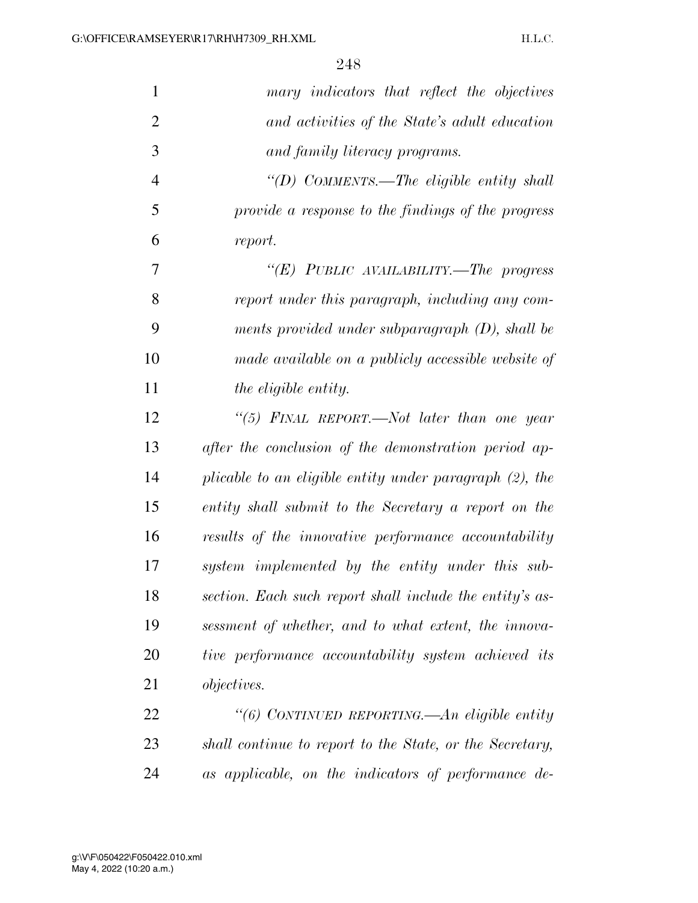| $\mathbf{1}$   | mary indicators that reflect the objectives                |
|----------------|------------------------------------------------------------|
| $\overline{2}$ | and activities of the State's adult education              |
| 3              | and family literacy programs.                              |
| $\overline{4}$ | "(D) COMMENTS.—The eligible entity shall                   |
| 5              | provide a response to the findings of the progress         |
| 6              | report.                                                    |
| 7              | "(E) PUBLIC AVAILABILITY.—The progress                     |
| 8              | report under this paragraph, including any com-            |
| 9              | ments provided under subparagraph $(D)$ , shall be         |
| 10             | made available on a publicly accessible website of         |
| 11             | the eligible entity.                                       |
| 12             | "(5) FINAL REPORT.—Not later than one year                 |
| 13             | after the conclusion of the demonstration period ap-       |
| 14             | plicable to an eligible entity under paragraph $(2)$ , the |
| 15             | entity shall submit to the Secretary a report on the       |
| 16             | results of the innovative performance accountability       |
| 17             | system implemented by the entity under this sub-           |
| 18             | section. Each such report shall include the entity's as-   |
| 19             | sessment of whether, and to what extent, the innova-       |
| 20             | tive performance accountability system achieved its        |
| 21             | <i>objectives.</i>                                         |
| 22             | "(6) CONTINUED REPORTING.—An eligible entity               |
| 23             | shall continue to report to the State, or the Secretary,   |
| 24             | as applicable, on the indicators of performance de-        |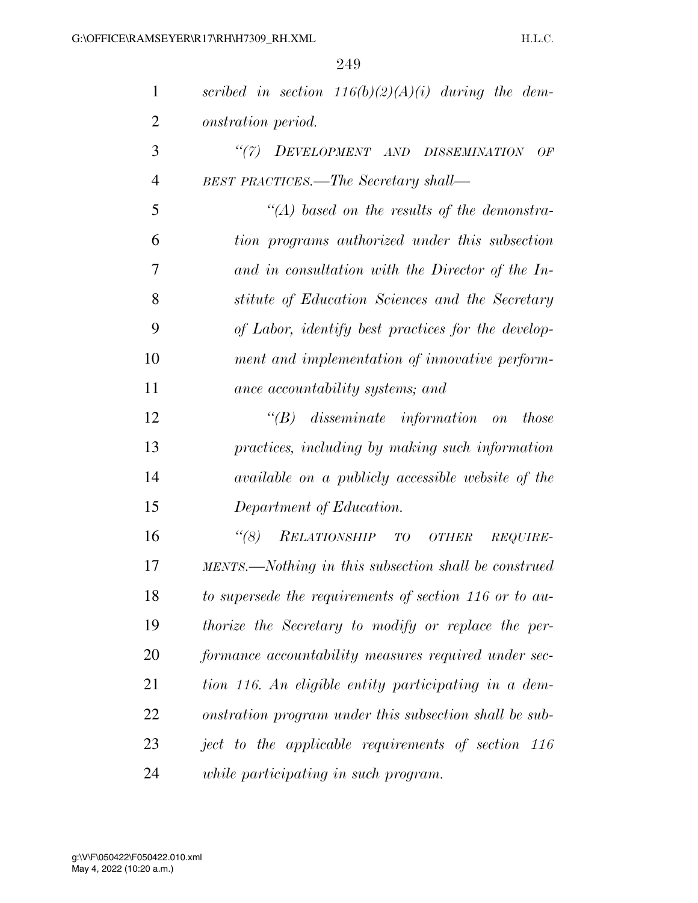| $\mathbf{1}$   | scribed in section $116(b)(2)(A)(i)$ during the dem-    |
|----------------|---------------------------------------------------------|
| 2              | onstration period.                                      |
| 3              | "(7) DEVELOPMENT AND DISSEMINATION<br>OF                |
| $\overline{4}$ | <b>BEST PRACTICES.—The Secretary shall—</b>             |
| 5              | $\lq (A)$ based on the results of the demonstra-        |
| 6              | tion programs authorized under this subsection          |
| 7              | and in consultation with the Director of the In-        |
| 8              | stitute of Education Sciences and the Secretary         |
| 9              | of Labor, identify best practices for the develop-      |
| 10             | ment and implementation of innovative perform-          |
| 11             | ance accountability systems; and                        |
| 12             | $\lq\lq B$ disseminate information on<br><i>those</i>   |
| 13             | practices, including by making such information         |
| 14             | available on a publicly accessible website of the       |
| 15             | Department of Education.                                |
| 16             | $\lq(8)$<br>RELATIONSHIP TO<br>OTHER<br><i>REQUIRE-</i> |
| 17             | MENTS.—Nothing in this subsection shall be construed    |
| 18             | to supersede the requirements of section 116 or to au-  |
| 19             | thorize the Secretary to modify or replace the per-     |
| 20             | formance accountability measures required under sec-    |
| 21             | tion 116. An eligible entity participating in a dem-    |
| 22             | onstration program under this subsection shall be sub-  |
| 23             | ject to the applicable requirements of section 116      |
| 24             | while participating in such program.                    |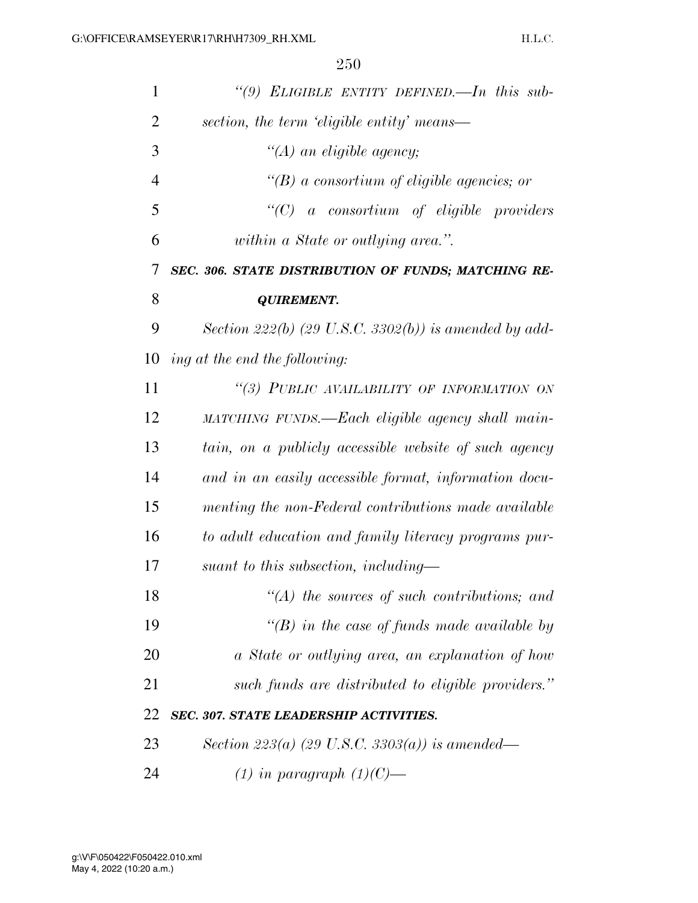| $\mathbf{1}$   | "(9) ELIGIBLE ENTITY DEFINED.—In this sub-                        |
|----------------|-------------------------------------------------------------------|
| $\overline{2}$ | section, the term 'eligible entity' means—                        |
| 3              | $\lq (A)$ an eligible agency;                                     |
| $\overline{4}$ | $\lq\lq(B)$ a consortium of eligible agencies; or                 |
| 5              | " $(C)$ a consortium of eligible providers                        |
| 6              | within a State or outlying area.".                                |
| 7              | SEC. 306. STATE DISTRIBUTION OF FUNDS; MATCHING RE-               |
| 8              | <b>QUIREMENT.</b>                                                 |
| 9              | Section 222(b) $(29 \text{ U.S. C. } 3302(b))$ is amended by add- |
| 10             | ing at the end the following:                                     |
| 11             | "(3) PUBLIC AVAILABILITY OF INFORMATION ON                        |
| 12             | MATCHING FUNDS.—Each eligible agency shall main-                  |
| 13             | tain, on a publicly accessible website of such agency             |
| 14             | and in an easily accessible format, information docu-             |
| 15             | menting the non-Federal contributions made available              |
| 16             | to adult education and family literacy programs pur-              |
| 17             | suant to this subsection, including—                              |
| 18             | $\lq (A)$ the sources of such contributions; and                  |
| 19             | "(B) in the case of funds made available by                       |
| 20             | a State or outlying area, an explanation of how                   |
| 21             | such funds are distributed to eligible providers."                |
| 22             | <b>SEC. 307. STATE LEADERSHIP ACTIVITIES.</b>                     |
| 23             | Section 223(a) (29 U.S.C. 3303(a)) is amended—                    |
| 24             | $(1)$ in paragraph $(1)(C)$ —                                     |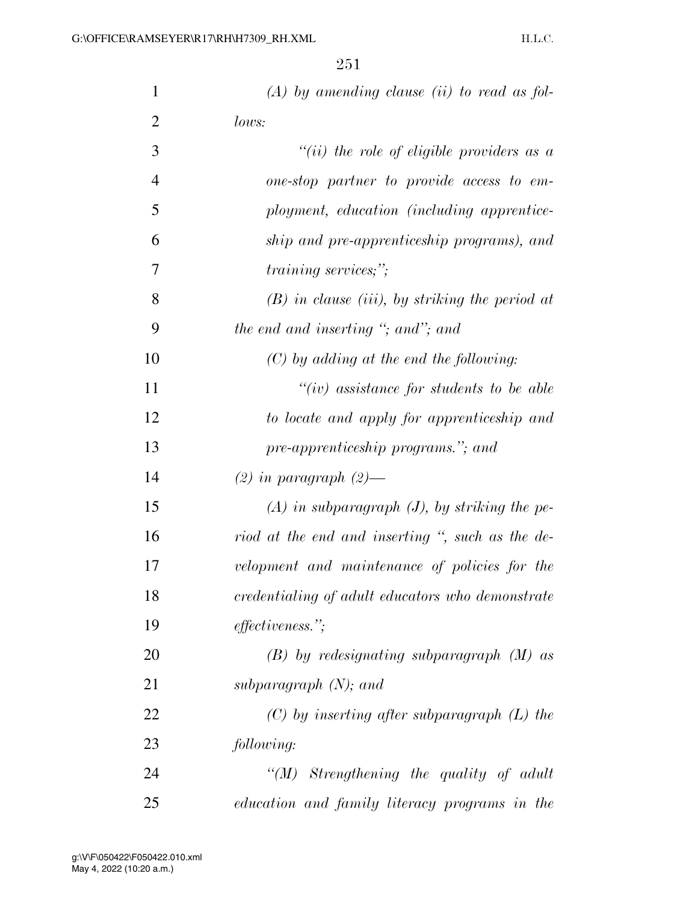| 1              | $(A)$ by amending clause (ii) to read as fol-     |
|----------------|---------------------------------------------------|
| $\overline{2}$ | lows:                                             |
| 3              | "(ii) the role of eligible providers as $a$       |
| $\overline{4}$ | one-stop partner to provide access to em-         |
| 5              | ployment, education (including apprentice-        |
| 6              | ship and pre-apprenticeship programs), and        |
| 7              | <i>training services;"</i> ;                      |
| 8              | $(B)$ in clause (iii), by striking the period at  |
| 9              | the end and inserting "; and"; and                |
| 10             | $(C)$ by adding at the end the following:         |
| 11             | $``(iv)$ assistance for students to be able       |
| 12             | to locate and apply for apprenticeship and        |
| 13             | pre-apprenticeship programs."; and                |
| 14             | $(2)$ in paragraph $(2)$ —                        |
| 15             | $(A)$ in subparagraph $(J)$ , by striking the pe- |
| 16             | riod at the end and inserting ", such as the de-  |
| 17             | velopment and maintenance of policies for the     |
| 18             | credentialing of adult educators who demonstrate  |
| 19             | <i>effectiveness.</i> ";                          |
| 20             | $(B)$ by redesignating subparagraph $(M)$ as      |
| 21             | subparagraph $(N)$ ; and                          |
| 22             | $(C)$ by inserting after subparagraph $(L)$ the   |
| 23             | following:                                        |
| 24             | $\lq (M)$ Strengthening the quality of adult      |
| 25             | education and family literacy programs in the     |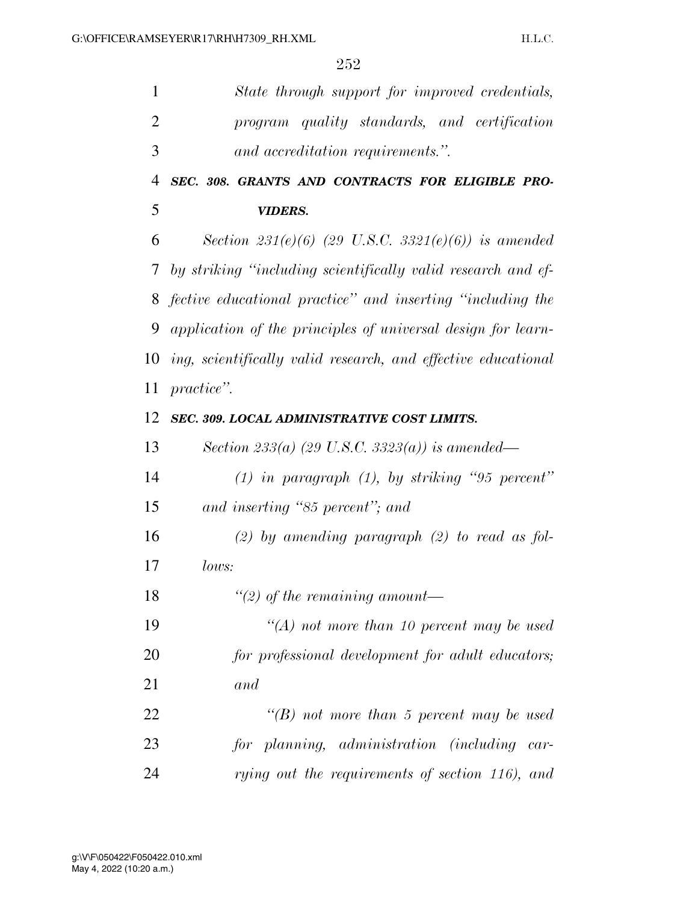| $\mathbf{1}$   | State through support for improved credentials,               |
|----------------|---------------------------------------------------------------|
| $\overline{2}$ | program quality standards, and certification                  |
| 3              | and accreditation requirements.".                             |
| 4              | SEC. 308. GRANTS AND CONTRACTS FOR ELIGIBLE PRO-              |
| 5              | <b>VIDERS.</b>                                                |
| 6              | Section 231(e)(6) (29 U.S.C. 3321(e)(6)) is amended           |
| 7 <sup>1</sup> | by striking "including scientifically valid research and ef-  |
| 8              | fective educational practice" and inserting "including the    |
| 9              | application of the principles of universal design for learn-  |
| 10             | ing, scientifically valid research, and effective educational |
| 11             | <i>practice</i> ".                                            |
| 12             | SEC. 309. LOCAL ADMINISTRATIVE COST LIMITS.                   |
| 13             | Section 233(a) (29 U.S.C. 3323(a)) is amended—                |
| 14             | $(1)$ in paragraph $(1)$ , by striking "95 percent"           |
| 15             | and inserting "85 percent"; and                               |
| 16             | (2) by amending paragraph $(2)$ to read as fol-               |
| 17             | <i>lows:</i>                                                  |
| 18             | "(2) of the remaining amount—                                 |
| 19             | $\lq (A)$ not more than 10 percent may be used                |
| 20             | for professional development for adult educators;             |
| 21             | and                                                           |
| 22             | "(B) not more than 5 percent may be used                      |
| 23             | for planning, administration (including car-                  |
| 24             | rying out the requirements of section 116), and               |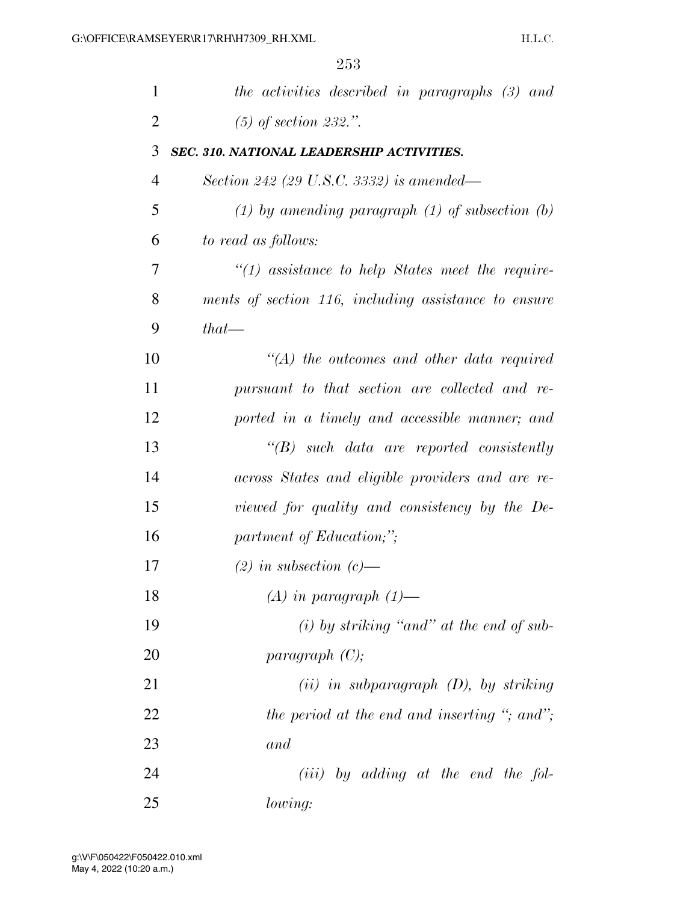| $\mathbf{1}$   | the activities described in paragraphs (3) and        |
|----------------|-------------------------------------------------------|
| $\overline{2}$ | $(5)$ of section 232.".                               |
| 3              | SEC. 310. NATIONAL LEADERSHIP ACTIVITIES.             |
| 4              | Section 242 (29 U.S.C. 3332) is amended—              |
| 5              | $(1)$ by amending paragraph $(1)$ of subsection $(b)$ |
| 6              | to read as follows:                                   |
| 7              | $"(1)$ assistance to help States meet the require-    |
| 8              | ments of section 116, including assistance to ensure  |
| 9              | $that$ —                                              |
| 10             | $\lq (A)$ the outcomes and other data required        |
| 11             | pursuant to that section are collected and re-        |
| 12             | ported in a timely and accessible manner; and         |
| 13             | $\lq\lq B$ such data are reported consistently        |
| 14             | across States and eligible providers and are re-      |
| 15             | viewed for quality and consistency by the De-         |
| 16             | partment of Education;";                              |
| 17             | $(2)$ in subsection $(c)$ —                           |
| 18             | $(A)$ in paragraph $(1)$ —                            |
| 19             | $(i)$ by striking "and" at the end of sub-            |
| 20             | paragnph(C);                                          |
| 21             | $(ii)$ in subparagraph $(D)$ , by striking            |
| 22             | the period at the end and inserting "; and";          |
| 23             | and                                                   |
| 24             | $(iii)$ by adding at the end the fol-                 |
| 25             | lowing:                                               |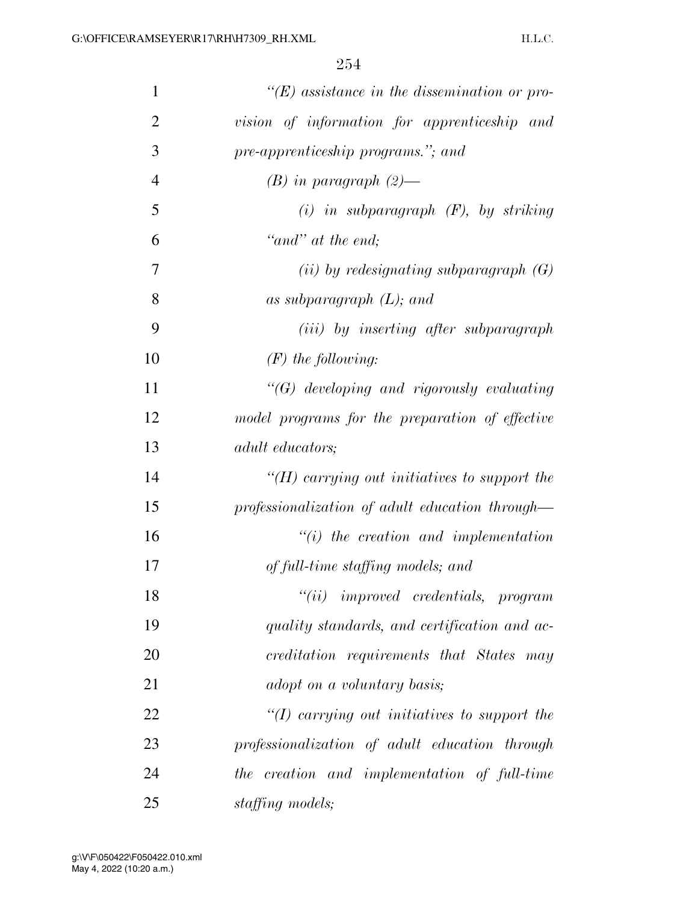| $\mathbf{1}$   | $\lq\lq(E)$ assistance in the dissemination or pro- |
|----------------|-----------------------------------------------------|
| $\overline{2}$ | vision of information for apprenticeship and        |
| 3              | pre-apprenticeship programs."; and                  |
| $\overline{4}$ | $(B)$ in paragraph $(2)$ —                          |
| 5              | $(i)$ in subparagraph $(F)$ , by striking           |
| 6              | "and" at the end;                                   |
| 7              | (ii) by redesignating subparagraph $(G)$            |
| 8              | as subparagraph $(L)$ ; and                         |
| 9              | ( <i>iii</i> ) by inserting after subparagraph      |
| 10             | $(F)$ the following:                                |
| 11             | $\lq\lq G$ developing and rigorously evaluating     |
| 12             | model programs for the preparation of effective     |
| 13             | <i>adult educators;</i>                             |
| 14             | "(H) carrying out initiatives to support the        |
| 15             | professionalization of adult education through—     |
| 16             | $"(i)$ the creation and implementation              |
| 17             | of full-time staffing models; and                   |
| 18             | $``(ii)$ improved credentials, program              |
| 19             | quality standards, and certification and ac-        |
| 20             | creditation requirements that States may            |
| 21             | adopt on a voluntary basis;                         |
| 22             | " $(I)$ carrying out initiatives to support the     |
| 23             | professionalization of adult education through      |
| 24             | the creation and implementation of full-time        |
| 25             | staffing models;                                    |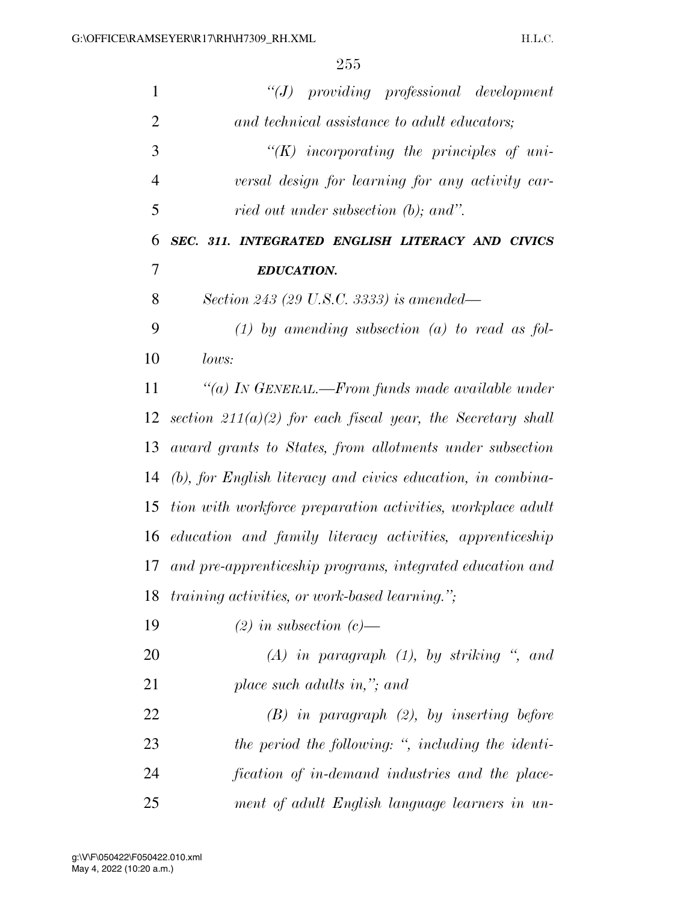| $\mathbf{1}$   | $``(J)$ providing professional development                    |
|----------------|---------------------------------------------------------------|
| $\overline{2}$ | and technical assistance to adult educators;                  |
| 3              | $\lq\lq (K)$ incorporating the principles of uni-             |
| $\overline{4}$ | versal design for learning for any activity car-              |
| 5              | ried out under subsection (b); and".                          |
| 6              | SEC. 311. INTEGRATED ENGLISH LITERACY AND CIVICS              |
| 7              | <b>EDUCATION.</b>                                             |
| 8              | Section 243 (29 U.S.C. 3333) is amended—                      |
| 9              | $(1)$ by amending subsection $(a)$ to read as fol-            |
| 10             | lows:                                                         |
| 11             | "(a) IN GENERAL.—From funds made available under              |
| 12             | section $211(a)(2)$ for each fiscal year, the Secretary shall |
| 13             | award grants to States, from allotments under subsection      |
| 14             | (b), for English literacy and civics education, in combina-   |
| 15             | tion with workforce preparation activities, workplace adult   |
| 16             | education and family literacy activities, apprenticeship      |
| 17             | and pre-apprenticeship programs, integrated education and     |
| 18             | <i>training activities, or work-based learning.</i> ";        |
| 19             | $(2)$ in subsection $(c)$ —                                   |
| 20             | $(A)$ in paragraph $(1)$ , by striking ", and                 |
| 21             | place such adults in,"; and                                   |
| 22             | $(B)$ in paragraph $(2)$ , by inserting before                |
| 23             | the period the following: ", including the identi-            |
| 24             | fication of in-demand industries and the place-               |
| 25             | ment of adult English language learners in un-                |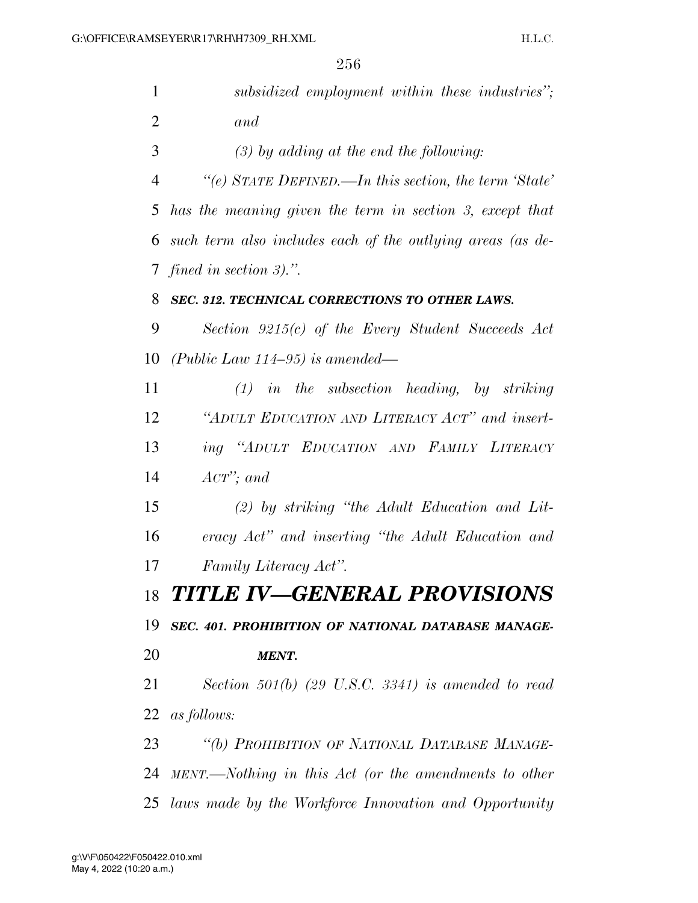| $\mathbf{1}$   | subsidized employment within these industries";            |
|----------------|------------------------------------------------------------|
| $\overline{2}$ | and                                                        |
| 3              | $(3)$ by adding at the end the following:                  |
| 4              | "(e) STATE DEFINED.—In this section, the term 'State'      |
| 5              | has the meaning given the term in section 3, except that   |
| 6              | such term also includes each of the outlying areas (as de- |
| $\tau$         | fined in section $3$ .".                                   |
| 8              | SEC. 312. TECHNICAL CORRECTIONS TO OTHER LAWS.             |
| 9              | Section $9215(c)$ of the Every Student Succeeds Act        |
| 10             | (Public Law 114–95) is amended—                            |
| 11             | $(1)$ in the subsection heading, by striking               |
| 12             | "ADULT EDUCATION AND LITERACY ACT" and insert-             |
| 13             | ing "ADULT EDUCATION AND FAMILY LITERACY                   |
| 14             | $Acr$ ; and                                                |
| 15             | $(2)$ by striking "the Adult Education and Lit-            |
| 16             | eracy Act" and inserting "the Adult Education and          |
| 17             | Family Literacy Act".                                      |
| 18             | <b>TITLE IV-GENERAL PROVISIONS</b>                         |
| 19             | SEC. 401. PROHIBITION OF NATIONAL DATABASE MANAGE-         |
| 20             | <b>MENT.</b>                                               |
| 21             | Section $501(b)$ (29 U.S.C. 3341) is amended to read       |
| 22             | <i>as follows:</i>                                         |
| 23             | "(b) PROHIBITION OF NATIONAL DATABASE MANAGE-              |
| 24             | MENT.—Nothing in this Act (or the amendments to other      |
| 25             | laws made by the Workforce Innovation and Opportunity      |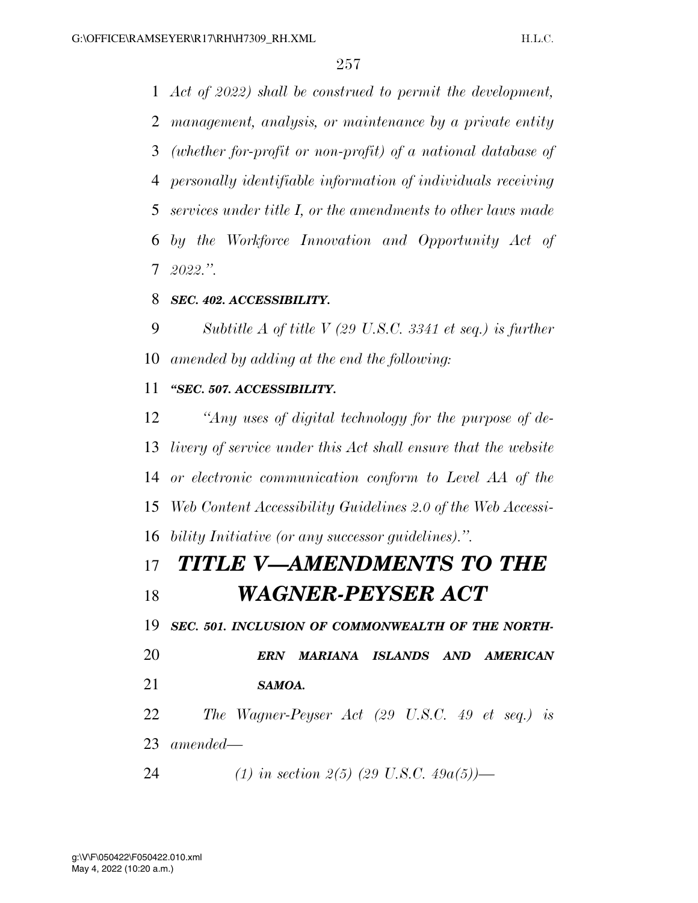*Act of 2022) shall be construed to permit the development, management, analysis, or maintenance by a private entity (whether for-profit or non-profit) of a national database of personally identifiable information of individuals receiving services under title I, or the amendments to other laws made by the Workforce Innovation and Opportunity Act of 2022.''.* 

## *SEC. 402. ACCESSIBILITY.*

 *Subtitle A of title V (29 U.S.C. 3341 et seq.) is further amended by adding at the end the following:* 

## *''SEC. 507. ACCESSIBILITY.*

 *''Any uses of digital technology for the purpose of de- livery of service under this Act shall ensure that the website or electronic communication conform to Level AA of the Web Content Accessibility Guidelines 2.0 of the Web Accessi-bility Initiative (or any successor guidelines).''.* 

# *TITLE V—AMENDMENTS TO THE WAGNER-PEYSER ACT*

*SEC. 501. INCLUSION OF COMMONWEALTH OF THE NORTH-*

 *ERN MARIANA ISLANDS AND AMERICAN SAMOA.* 

 *The Wagner-Peyser Act (29 U.S.C. 49 et seq.) is amended—* 

*(1) in section 2(5) (29 U.S.C. 49a(5))—*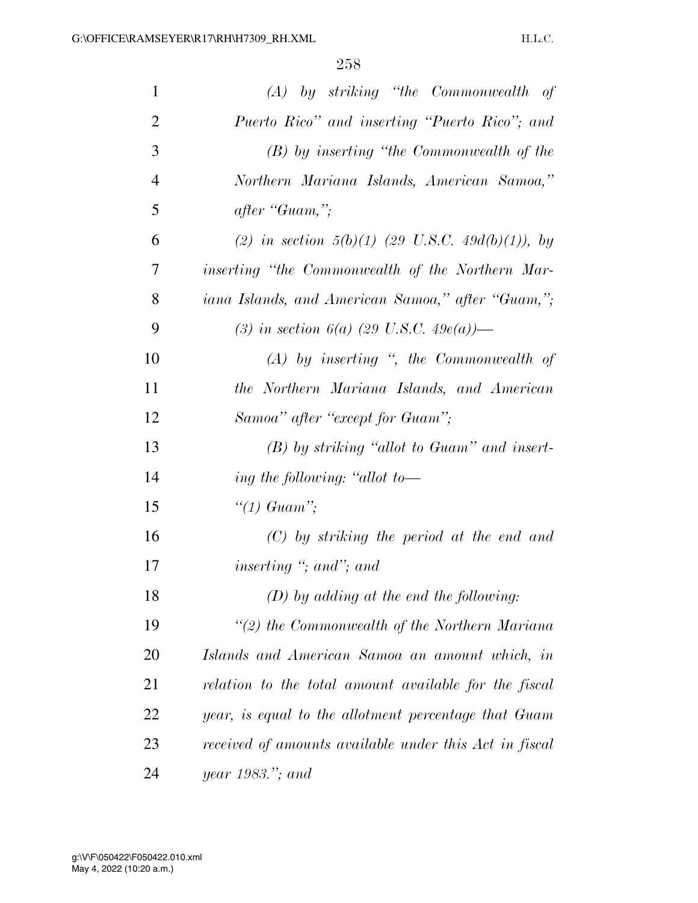| $\mathbf{1}$   | $(A)$ by striking "the Commonwealth of                 |
|----------------|--------------------------------------------------------|
| $\overline{2}$ | Puerto Rico" and inserting "Puerto Rico"; and          |
| 3              | $(B)$ by inserting "the Commonwealth of the            |
| $\overline{4}$ | Northern Mariana Islands, American Samoa,"             |
| 5              | after "Guam,";                                         |
| 6              | (2) in section $5(b)(1)$ (29 U.S.C. 49d(b)(1)), by     |
| 7              | inserting "the Commonwealth of the Northern Mar-       |
| 8              | iana Islands, and American Samoa," after "Guam,";      |
| 9              | (3) in section 6(a) (29 U.S.C. 49e(a))—                |
| 10             | $(A)$ by inserting ", the Commonwealth of              |
| 11             | the Northern Mariana Islands, and American             |
| 12             | Samoa" after "except for Guam";                        |
| 13             | $(B)$ by striking "allot to Guam" and insert-          |
| 14             | ing the following: "allot to—                          |
| 15             | "(1) Guam";                                            |
| 16             | $(C)$ by striking the period at the end and            |
| 17             | inserting $\degree$ ; and $\degree$ ; and              |
| 18             | $(D)$ by adding at the end the following:              |
| 19             | $\lq(2)$ the Commonwealth of the Northern Mariana      |
| 20             | Islands and American Samoa an amount which, in         |
| 21             | relation to the total amount available for the fiscal  |
| 22             | year, is equal to the allotment percentage that Guam   |
| 23             | received of amounts available under this Act in fiscal |
| 24             | year 1983."; and                                       |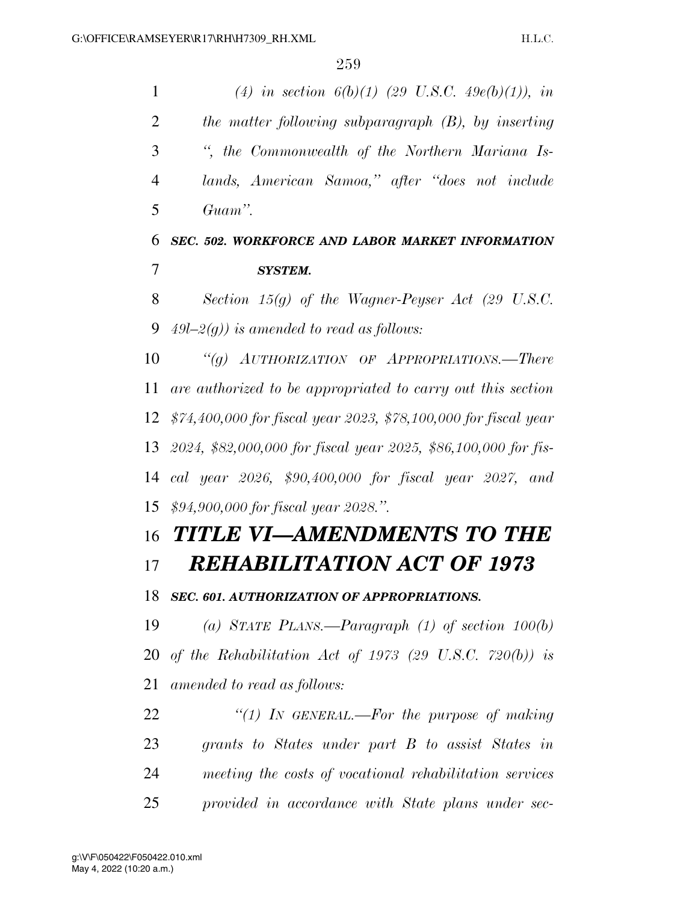| $\mathbf{1}$   | (4) in section $6(b)(1)$ (29 U.S.C. 49 $e(b)(1)$ ), in             |
|----------------|--------------------------------------------------------------------|
| $\overline{2}$ | the matter following subparagraph (B), by inserting                |
| 3              | ", the Commonwealth of the Northern Mariana Is-                    |
| 4              | lands, American Samoa," after "does not include                    |
| 5              | Guam".                                                             |
| 6              | SEC. 502. WORKFORCE AND LABOR MARKET INFORMATION                   |
| 7              | <b>SYSTEM.</b>                                                     |
| 8              | Section $15(g)$ of the Wagner-Peyser Act (29 U.S.C.                |
| 9              | 49l–2(g)) is amended to read as follows:                           |
| 10             | "(g) $AUTHORIZATION$ OF $APPROPRIATIONS$ . There                   |
| 11             | are authorized to be appropriated to carry out this section        |
|                | 12 \$74,400,000 for fiscal year 2023, \$78,100,000 for fiscal year |
| 13             | 2024, \$82,000,000 for fiscal year 2025, \$86,100,000 for fis-     |
| 14             | cal year 2026, \$90,400,000 for fiscal year 2027, and              |
| 15             | \$94,900,000 for fiscal year 2028.".                               |
| 16             | <b>TITLE VI-AMENDMENTS TO THE</b>                                  |
| 17             | <b>REHABILITATION ACT OF 1973</b>                                  |
| 18             | SEC. 601. AUTHORIZATION OF APPROPRIATIONS.                         |
| 19             | (a) STATE PLANS.—Paragraph $(1)$ of section $100(b)$               |
| 20             | of the Rehabilitation Act of 1973 (29 U.S.C. 720(b)) is            |
| 21             | amended to read as follows:                                        |
| 22             | "(1) In GENERAL.—For the purpose of making                         |
| 23             | grants to States under part B to assist States in                  |
| 24             | meeting the costs of vocational rehabilitation services            |
| 25             | provided in accordance with State plans under sec-                 |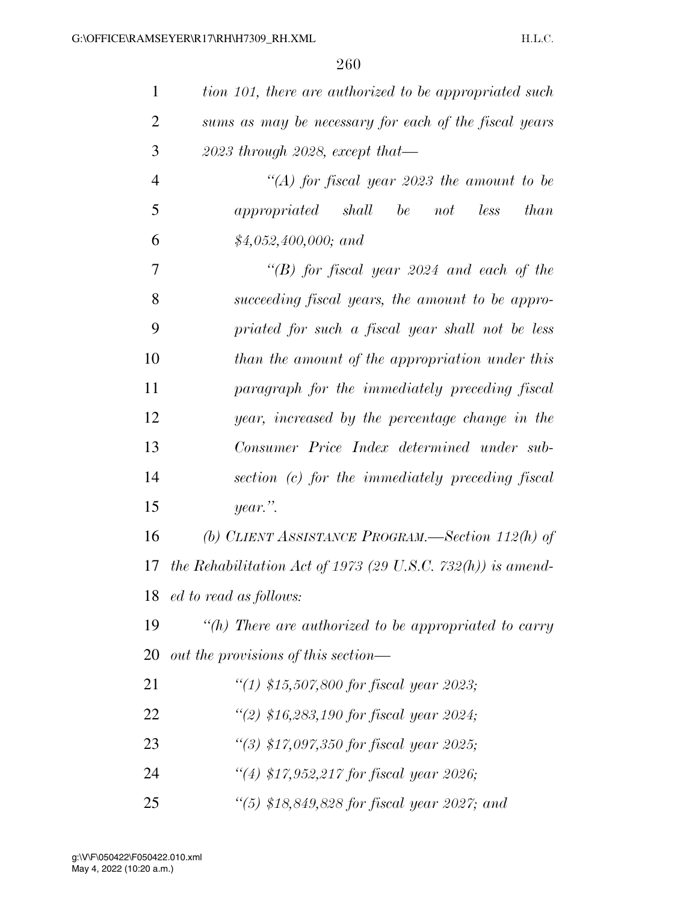| $\mathbf{1}$   | tion 101, there are authorized to be appropriated such      |
|----------------|-------------------------------------------------------------|
| $\overline{2}$ | sums as may be necessary for each of the fiscal years       |
| 3              | $2023$ through 2028, except that—                           |
| $\overline{4}$ | "(A) for fiscal year 2023 the amount to be                  |
| 5              | appropriated<br>shall be not<br>less<br><i>than</i>         |
| 6              | $$4,052,400,000;$ and                                       |
| 7              | "(B) for fiscal year 2024 and each of the                   |
| 8              | succeeding fiscal years, the amount to be appro-            |
| 9              | priated for such a fiscal year shall not be less            |
| 10             | than the amount of the appropriation under this             |
| 11             | paragraph for the immediately preceding fiscal              |
| 12             | year, increased by the percentage change in the             |
| 13             | Consumer Price Index determined under sub-                  |
| 14             | section (c) for the immediately preceding fiscal            |
| 15             | year.".                                                     |
| 16             | (b) CLIENT ASSISTANCE PROGRAM.—Section 112(h) of            |
| 17             | the Rehabilitation Act of 1973 (29 U.S.C. 732(h)) is amend- |
| 18             | ed to read as follows:                                      |
| 19             | "(h) There are authorized to be appropriated to carry       |
| 20             | out the provisions of this section—                         |
| 21             | "(1) \$15,507,800 for fiscal year 2023;                     |
| 22             | "(2) \$16,283,190 for fiscal year 2024;                     |
| 23             | $\lq(3)$ \$17,097,350 for fiscal year 2025;                 |
| 24             | "(4) \$17,952,217 for fiscal year 2026;                     |
| 25             | "(5) \$18,849,828 for fiscal year 2027; and                 |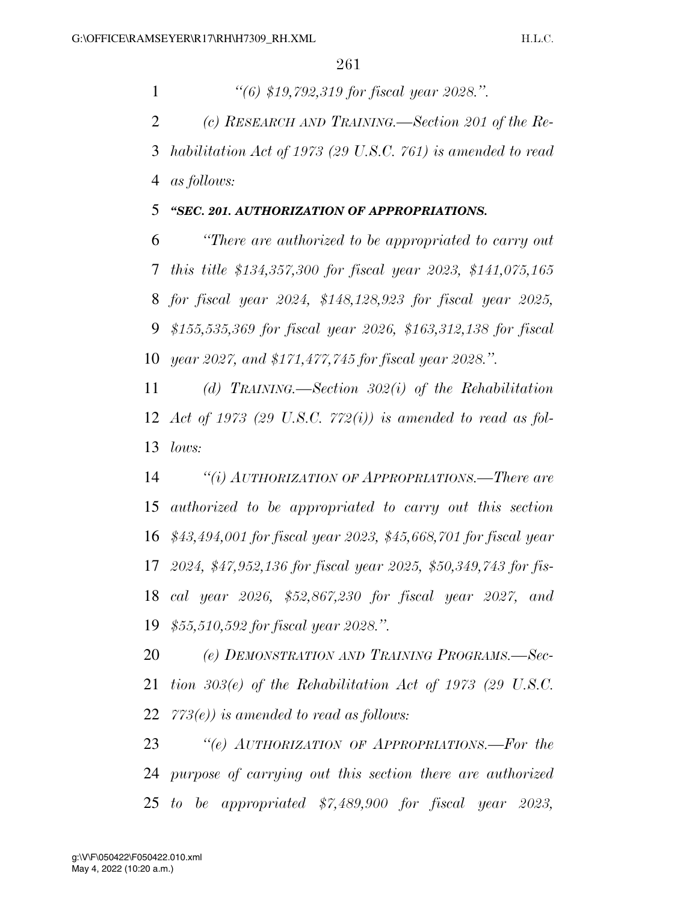*''(6) \$19,792,319 for fiscal year 2028.''. (c) RESEARCH AND TRAINING.—Section 201 of the Re- habilitation Act of 1973 (29 U.S.C. 761) is amended to read as follows:* 

## *''SEC. 201. AUTHORIZATION OF APPROPRIATIONS.*

 *''There are authorized to be appropriated to carry out this title \$134,357,300 for fiscal year 2023, \$141,075,165 for fiscal year 2024, \$148,128,923 for fiscal year 2025, \$155,535,369 for fiscal year 2026, \$163,312,138 for fiscal year 2027, and \$171,477,745 for fiscal year 2028.''.* 

 *(d) TRAINING.—Section 302(i) of the Rehabilitation Act of 1973 (29 U.S.C. 772(i)) is amended to read as fol-lows:* 

 *''(i) AUTHORIZATION OF APPROPRIATIONS.—There are authorized to be appropriated to carry out this section \$43,494,001 for fiscal year 2023, \$45,668,701 for fiscal year 2024, \$47,952,136 for fiscal year 2025, \$50,349,743 for fis- cal year 2026, \$52,867,230 for fiscal year 2027, and \$55,510,592 for fiscal year 2028.''.* 

 *(e) DEMONSTRATION AND TRAINING PROGRAMS.—Sec- tion 303(e) of the Rehabilitation Act of 1973 (29 U.S.C. 773(e)) is amended to read as follows:* 

 *''(e) AUTHORIZATION OF APPROPRIATIONS.—For the purpose of carrying out this section there are authorized to be appropriated \$7,489,900 for fiscal year 2023,*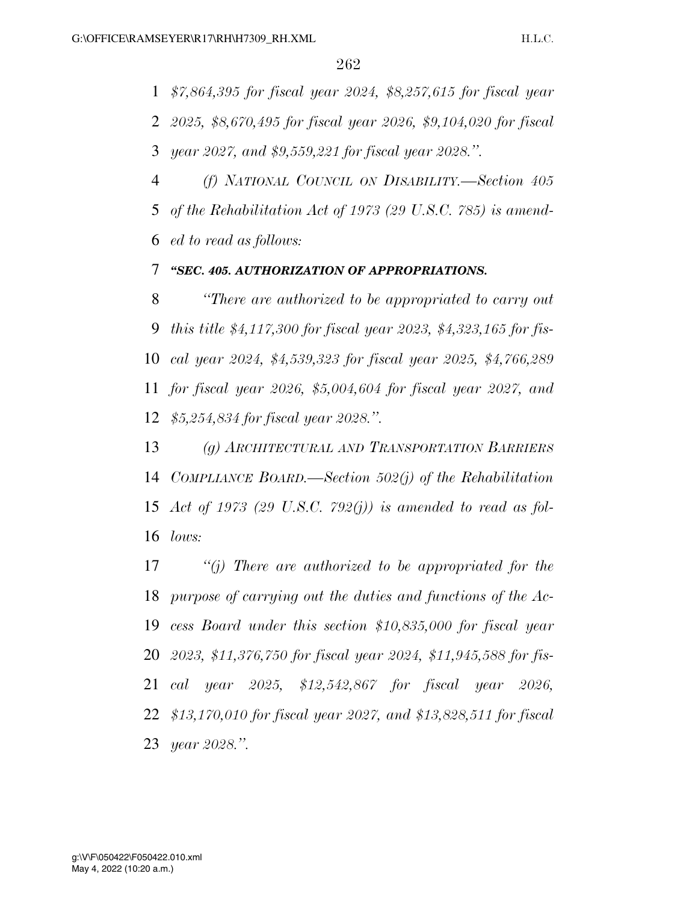*\$7,864,395 for fiscal year 2024, \$8,257,615 for fiscal year 2025, \$8,670,495 for fiscal year 2026, \$9,104,020 for fiscal year 2027, and \$9,559,221 for fiscal year 2028.''.* 

 *(f) NATIONAL COUNCIL ON DISABILITY.—Section 405 of the Rehabilitation Act of 1973 (29 U.S.C. 785) is amend-ed to read as follows:* 

## *''SEC. 405. AUTHORIZATION OF APPROPRIATIONS.*

 *''There are authorized to be appropriated to carry out this title \$4,117,300 for fiscal year 2023, \$4,323,165 for fis- cal year 2024, \$4,539,323 for fiscal year 2025, \$4,766,289 for fiscal year 2026, \$5,004,604 for fiscal year 2027, and \$5,254,834 for fiscal year 2028.''.* 

 *(g) ARCHITECTURAL AND TRANSPORTATION BARRIERS COMPLIANCE BOARD.—Section 502(j) of the Rehabilitation Act of 1973 (29 U.S.C. 792(j)) is amended to read as fol-lows:* 

 *''(j) There are authorized to be appropriated for the purpose of carrying out the duties and functions of the Ac- cess Board under this section \$10,835,000 for fiscal year 2023, \$11,376,750 for fiscal year 2024, \$11,945,588 for fis- cal year 2025, \$12,542,867 for fiscal year 2026, \$13,170,010 for fiscal year 2027, and \$13,828,511 for fiscal year 2028.''.*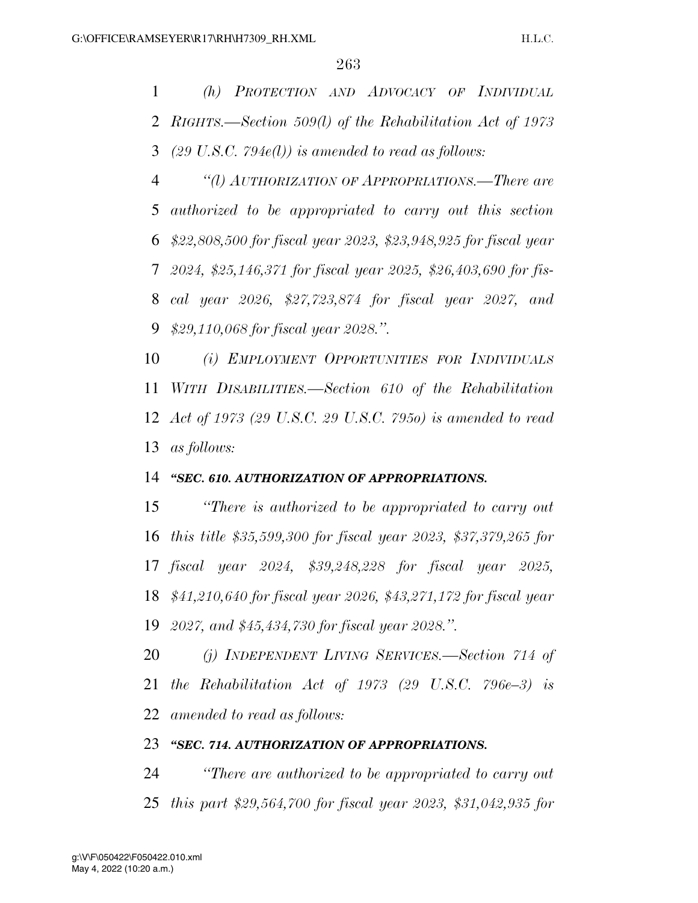*(h) PROTECTION AND ADVOCACY OF INDIVIDUAL RIGHTS.—Section 509(l) of the Rehabilitation Act of 1973 (29 U.S.C. 794e(l)) is amended to read as follows:* 

 *''(l) AUTHORIZATION OF APPROPRIATIONS.—There are authorized to be appropriated to carry out this section \$22,808,500 for fiscal year 2023, \$23,948,925 for fiscal year 2024, \$25,146,371 for fiscal year 2025, \$26,403,690 for fis- cal year 2026, \$27,723,874 for fiscal year 2027, and \$29,110,068 for fiscal year 2028.''.* 

 *(i) EMPLOYMENT OPPORTUNITIES FOR INDIVIDUALS WITH DISABILITIES.—Section 610 of the Rehabilitation Act of 1973 (29 U.S.C. 29 U.S.C. 795o) is amended to read as follows:* 

#### *''SEC. 610. AUTHORIZATION OF APPROPRIATIONS.*

 *''There is authorized to be appropriated to carry out this title \$35,599,300 for fiscal year 2023, \$37,379,265 for fiscal year 2024, \$39,248,228 for fiscal year 2025, \$41,210,640 for fiscal year 2026, \$43,271,172 for fiscal year 2027, and \$45,434,730 for fiscal year 2028.''.* 

 *(j) INDEPENDENT LIVING SERVICES.—Section 714 of the Rehabilitation Act of 1973 (29 U.S.C. 796e–3) is amended to read as follows:* 

#### *''SEC. 714. AUTHORIZATION OF APPROPRIATIONS.*

 *''There are authorized to be appropriated to carry out this part \$29,564,700 for fiscal year 2023, \$31,042,935 for*